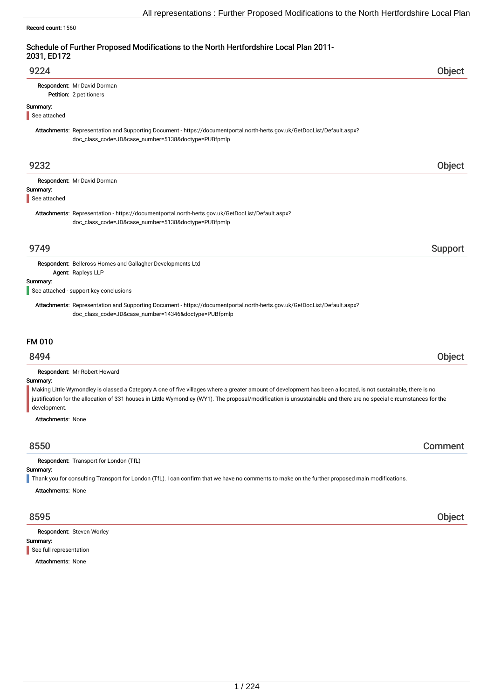### Record count: 1560

## Schedule of Further Proposed Modifications to the North Hertfordshire Local Plan 2011- 2031, ED172

| 9224                     |                                                                                                                                                                                 | Obiect |
|--------------------------|---------------------------------------------------------------------------------------------------------------------------------------------------------------------------------|--------|
|                          | Respondent: Mr David Dorman<br>Petition: 2 petitioners                                                                                                                          |        |
| Summary:<br>See attached |                                                                                                                                                                                 |        |
|                          | Attachments: Representation and Supporting Document - https://documentportal.north-herts.gov.uk/GetDocList/Default.aspx?<br>doc_class_code=JD&case_number=5138&doctype=PUBfpmlp |        |
| 9232                     |                                                                                                                                                                                 |        |
| Summary:<br>See attached | Respondent: Mr David Dorman                                                                                                                                                     |        |
|                          | Attachments: Representation - https://documentportal.north-herts.gov.uk/GetDocList/Default.aspx?<br>doc_class_code=JD&case_number=5138&doctype=PUBfpmlp                         |        |

## er 19749 i Support and the Support of the Support Support in the Support of the Support of the Support of the Support of the Support of the Support of the Support of the Support of the Support of the Support of the Support

Respondent: Bellcross Homes and Gallagher Developments Ltd Agent: Rapleys LLP

### Summary:

See attached - support key conclusions

Attachments: Representation and Supporting Document - https://documentportal.north-herts.gov.uk/GetDocList/Default.aspx? doc\_class\_code=JD&case\_number=14346&doctype=PUBfpmlp

## FM 010

## 8494 Object

Respondent: Mr Robert Howard

### Summary:

Making Little Wymondley is classed a Category A one of five villages where a greater amount of development has been allocated, is not sustainable, there is no justification for the allocation of 331 houses in Little Wymondley (WY1). The proposal/modification is unsustainable and there are no special circumstances for the development.

Attachments: None

## 8550 Comment

Respondent: Transport for London (TfL)

### Summary:

Thank you for consulting Transport for London (TfL). I can confirm that we have no comments to make on the further proposed main modifications.

Attachments: None

Summary: Respondent: Steven Worley See full representation

Attachments: None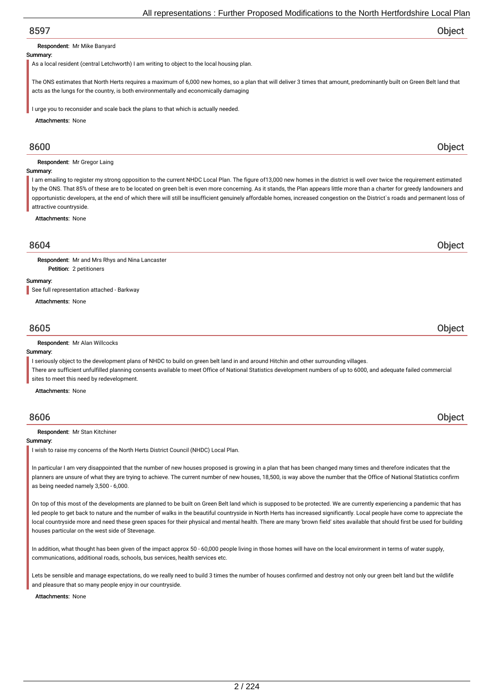### Respondent: Mr Mike Banyard

### Summary:

As a local resident (central Letchworth) I am writing to object to the local housing plan.

The ONS estimates that North Herts requires a maximum of 6,000 new homes, so a plan that will deliver 3 times that amount, predominantly built on Green Belt land that acts as the lungs for the country, is both environmentally and economically damaging

I urge you to reconsider and scale back the plans to that which is actually needed.

Attachments: None

### Respondent: Mr Gregor Laing

### Summary:

I am emailing to register my strong opposition to the current NHDC Local Plan. The figure of 13,000 new homes in the district is well over twice the requirement estimated by the ONS. That 85% of these are to be located on green belt is even more concerning. As it stands, the Plan appears little more than a charter for greedy landowners and opportunistic developers, at the end of which there will still be insufficient genuinely affordable homes, increased congestion on the District`s roads and permanent loss of attractive countryside.

Attachments: None

## 8604 Object

Respondent: Mr and Mrs Rhys and Nina Lancaster

### Summary:

See full representation attached - Barkway

Petition: 2 petitioners

Attachments: None

## 8605 Object

### Respondent: Mr Alan Willcocks

### Summary:

I seriously object to the development plans of NHDC to build on green belt land in and around Hitchin and other surrounding villages.

There are sufficient unfulfilled planning consents available to meet Office of National Statistics development numbers of up to 6000, and adequate failed commercial sites to meet this need by redevelopment.

Attachments: None

### Respondent: Mr Stan Kitchiner

### Summary:

I wish to raise my concerns of the North Herts District Council (NHDC) Local Plan.

In particular I am very disappointed that the number of new houses proposed is growing in a plan that has been changed many times and therefore indicates that the planners are unsure of what they are trying to achieve. The current number of new houses, 18,500, is way above the number that the Office of National Statistics confirm as being needed namely 3,500 - 6,000.

On top of this most of the developments are planned to be built on Green Belt land which is supposed to be protected. We are currently experiencing a pandemic that has led people to get back to nature and the number of walks in the beautiful countryside in North Herts has increased significantly. Local people have come to appreciate the local countryside more and need these green spaces for their physical and mental health. There are many 'brown field' sites available that should first be used for building houses particular on the west side of Stevenage.

In addition, what thought has been given of the impact approx 50 - 60,000 people living in those homes will have on the local environment in terms of water supply, communications, additional roads, schools, bus services, health services etc.

Lets be sensible and manage expectations, do we really need to build 3 times the number of houses confirmed and destroy not only our green belt land but the wildlife and pleasure that so many people enjoy in our countryside.

### Attachments: None

8600 Object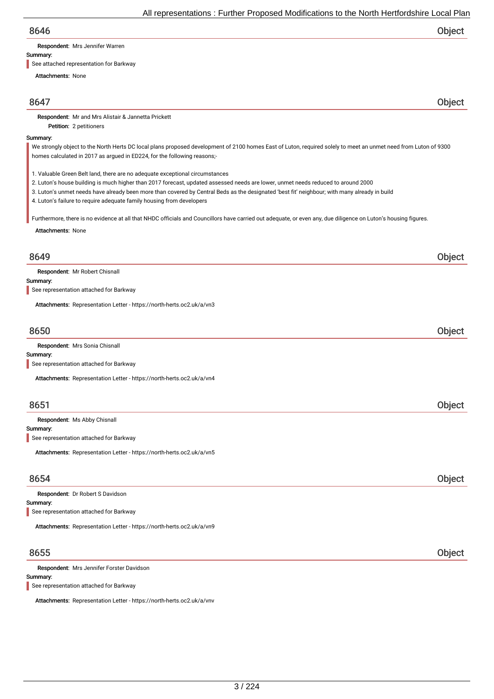Respondent: Mrs Jennifer Warren

### Summary:

See attached representation for Barkway

Petition: 2 petitioners

Attachments: None

8647 Object

Respondent: Mr and Mrs Alistair & Jannetta Prickett

### Summary:

We strongly object to the North Herts DC local plans proposed development of 2100 homes East of Luton, required solely to meet an unmet need from Luton of 9300 homes calculated in 2017 as argued in ED224, for the following reasons;-

1. Valuable Green Belt land, there are no adequate exceptional circumstances

- 2. Luton's house building is much higher than 2017 forecast, updated assessed needs are lower, unmet needs reduced to around 2000
- 3. Luton's unmet needs have already been more than covered by Central Beds as the designated 'best fit' neighbour; with many already in build
- 4. Luton's failure to require adequate family housing from developers

Furthermore, there is no evidence at all that NHDC officials and Councillors have carried out adequate, or even any, due diligence on Luton's housing figures.

Attachments: None

## 8649 Object

Respondent: Mr Robert Chisnall

### Summary:

See representation attached for Barkway

Attachments: Representation Letter - https://north-herts.oc2.uk/a/vn3

## 8650 Object

| <b>Respondent:</b> Mrs Sonia Chisnall                                 |  |
|-----------------------------------------------------------------------|--|
| Summary:                                                              |  |
| See representation attached for Barkway                               |  |
| Attachments: Representation Letter - https://north-herts.oc2.uk/a/vn4 |  |

## 8651 Object

Respondent: Ms Abby Chisnall

Summary:

See representation attached for Barkway

Attachments: Representation Letter - https://north-herts.oc2.uk/a/vn5

## 8654 Object

Summary: Respondent: Dr Robert S Davidson See representation attached for Barkway

Attachments: Representation Letter - https://north-herts.oc2.uk/a/vn9

## 8655 Object

Respondent: Mrs Jennifer Forster Davidson

Summary:

See representation attached for Barkway

Attachments: Representation Letter - https://north-herts.oc2.uk/a/vnv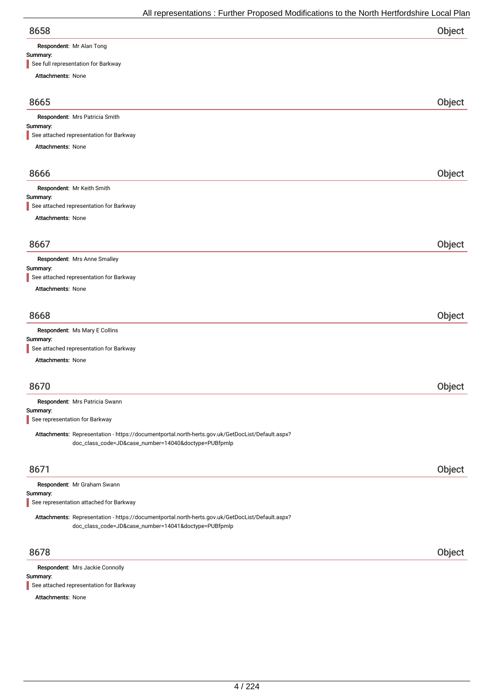| <b>Respondent:</b> Mr Alan Tong |
|---------------------------------|

| Summary:                                                                                         |        |
|--------------------------------------------------------------------------------------------------|--------|
| See full representation for Barkway                                                              |        |
| Attachments: None                                                                                |        |
|                                                                                                  |        |
| 8665                                                                                             | Object |
| Respondent: Mrs Patricia Smith                                                                   |        |
| Summary:                                                                                         |        |
| See attached representation for Barkway                                                          |        |
| Attachments: None                                                                                |        |
|                                                                                                  |        |
| 8666                                                                                             | Object |
| Respondent: Mr Keith Smith                                                                       |        |
| Summary:                                                                                         |        |
| See attached representation for Barkway                                                          |        |
| <b>Attachments: None</b>                                                                         |        |
|                                                                                                  |        |
|                                                                                                  |        |
| 8667                                                                                             | Object |
| Respondent: Mrs Anne Smalley                                                                     |        |
| Summary:                                                                                         |        |
| See attached representation for Barkway                                                          |        |
| Attachments: None                                                                                |        |
|                                                                                                  |        |
|                                                                                                  |        |
| 8668                                                                                             | Object |
| Respondent: Ms Mary E Collins                                                                    |        |
| Summary:                                                                                         |        |
| See attached representation for Barkway                                                          |        |
| Attachments: None                                                                                |        |
|                                                                                                  |        |
| 8670                                                                                             | Object |
|                                                                                                  |        |
| Respondent: Mrs Patricia Swann                                                                   |        |
| Summary:<br>See representation for Barkway                                                       |        |
|                                                                                                  |        |
| Attachments: Representation - https://documentportal.north-herts.gov.uk/GetDocList/Default.aspx? |        |
| doc_class_code=JD&case_number=14040&doctype=PUBfpmlp                                             |        |
|                                                                                                  |        |
| 8671                                                                                             | Object |
|                                                                                                  |        |
| Respondent: Mr Graham Swann<br>Summary:                                                          |        |
| See representation attached for Barkway                                                          |        |
|                                                                                                  |        |
| Attachments: Representation - https://documentportal.north-herts.gov.uk/GetDocList/Default.aspx? |        |
| doc_class_code=JD&case_number=14041&doctype=PUBfpmlp                                             |        |
|                                                                                                  |        |

Summary: Respondent: Mrs Jackie Connolly See attached representation for Barkway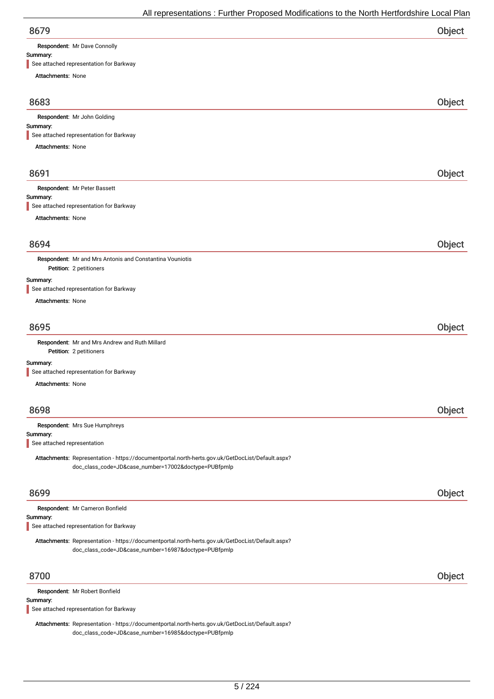Respondent: Mr Dave Connolly

# Summary:

See attached representation for Barkway

| See attached representation for Barkway                                                                                                                  |        |
|----------------------------------------------------------------------------------------------------------------------------------------------------------|--------|
| Attachments: None                                                                                                                                        |        |
| 8683                                                                                                                                                     | Object |
| Respondent: Mr John Golding                                                                                                                              |        |
| Summary:                                                                                                                                                 |        |
| See attached representation for Barkway<br>Attachments: None                                                                                             |        |
|                                                                                                                                                          |        |
| 8691                                                                                                                                                     | Object |
| Respondent: Mr Peter Bassett                                                                                                                             |        |
| Summary:<br>See attached representation for Barkway                                                                                                      |        |
| Attachments: None                                                                                                                                        |        |
|                                                                                                                                                          |        |
| 8694                                                                                                                                                     | Object |
| Respondent: Mr and Mrs Antonis and Constantina Vouniotis                                                                                                 |        |
| Petition: 2 petitioners                                                                                                                                  |        |
| Summary:                                                                                                                                                 |        |
| See attached representation for Barkway<br><b>Attachments: None</b>                                                                                      |        |
|                                                                                                                                                          |        |
| 8695                                                                                                                                                     | Object |
| Respondent: Mr and Mrs Andrew and Ruth Millard<br>Petition: 2 petitioners                                                                                |        |
| Summary:                                                                                                                                                 |        |
| See attached representation for Barkway                                                                                                                  |        |
| Attachments: None                                                                                                                                        |        |
| 8698                                                                                                                                                     | Object |
| Respondent: Mrs Sue Humphreys                                                                                                                            |        |
| Summary:<br>See attached representation                                                                                                                  |        |
| Attachments: Representation - https://documentportal.north-herts.gov.uk/GetDocList/Default.aspx?                                                         |        |
| doc_class_code=JD&case_number=17002&doctype=PUBfpmlp                                                                                                     |        |
|                                                                                                                                                          |        |
| 8699                                                                                                                                                     | Object |
| Respondent: Mr Cameron Bonfield                                                                                                                          |        |
| Summary:                                                                                                                                                 |        |
| See attached representation for Barkway                                                                                                                  |        |
| Attachments: Representation - https://documentportal.north-herts.gov.uk/GetDocList/Default.aspx?<br>doc_class_code=JD&case_number=16987&doctype=PUBfpmlp |        |
|                                                                                                                                                          |        |
| 8700                                                                                                                                                     | Object |
| Respondent: Mr Robert Bonfield                                                                                                                           |        |
| Summary:                                                                                                                                                 |        |

See attached representation for Barkway

Attachments: Representation - https://documentportal.north-herts.gov.uk/GetDocList/Default.aspx? doc\_class\_code=JD&case\_number=16985&doctype=PUBfpmlp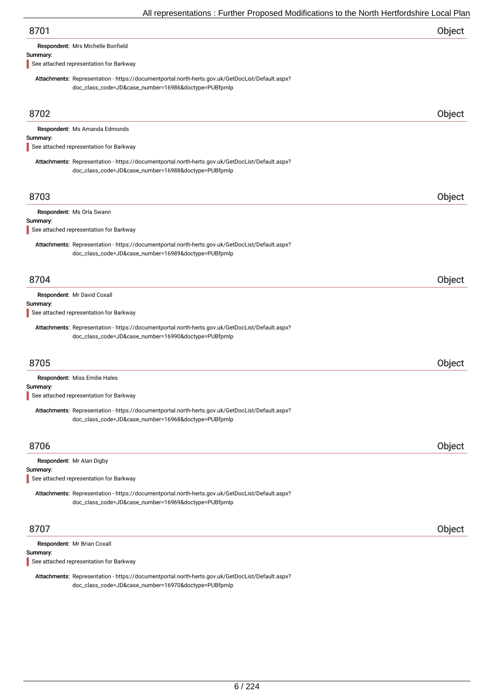Respondent: Mrs Michelle Bonfield

### Summary:

See attached representation for Barkway

Attachments: Representation - https://documentportal.north-herts.gov.uk/GetDocList/Default.aspx? doc\_class\_code=JD&case\_number=16986&doctype=PUBfpmlp

| 8702                                                                                                                                                     | <b>Object</b> |
|----------------------------------------------------------------------------------------------------------------------------------------------------------|---------------|
| Respondent: Ms Amanda Edmonds<br>Summary:<br>See attached representation for Barkway                                                                     |               |
| Attachments: Representation - https://documentportal.north-herts.gov.uk/GetDocList/Default.aspx?<br>doc_class_code=JD&case_number=16988&doctype=PUBfpmlp |               |
| 8703                                                                                                                                                     | Object        |
| Respondent: Ms Orla Swann<br>Summary:<br>See attached representation for Barkway                                                                         |               |
| Attachments: Representation - https://documentportal.north-herts.gov.uk/GetDocList/Default.aspx?<br>doc_class_code=JD&case_number=16989&doctype=PUBfpmlp |               |
| 8704                                                                                                                                                     | Object        |
| Respondent: Mr David Coxall<br>Summary:<br>See attached representation for Barkway                                                                       |               |
| Attachments: Representation - https://documentportal.north-herts.gov.uk/GetDocList/Default.aspx?<br>doc_class_code=JD&case_number=16990&doctype=PUBfpmlp |               |
| 8705                                                                                                                                                     | Object        |
| Respondent: Miss Emilie Hales<br>Summary:                                                                                                                |               |
| See attached representation for Barkway                                                                                                                  |               |
| Attachments: Representation - https://documentportal.north-herts.gov.uk/GetDocList/Default.aspx?<br>doc_class_code=JD&case_number=16968&doctype=PUBfpmlp |               |
| 8706                                                                                                                                                     | Object        |
| Respondent: Mr Alan Digby<br>Summary:<br>See attached representation for Barkway                                                                         |               |
| Attachments: Representation - https://documentportal.north-herts.gov.uk/GetDocList/Default.aspx?<br>doc_class_code=JD&case_number=16969&doctype=PUBfpmlp |               |
| 8707                                                                                                                                                     | Object        |
| Respondent: Mr Brian Coxall<br>Summary:                                                                                                                  |               |

See attached representation for Barkway

Attachments: Representation - https://documentportal.north-herts.gov.uk/GetDocList/Default.aspx? doc\_class\_code=JD&case\_number=16970&doctype=PUBfpmlp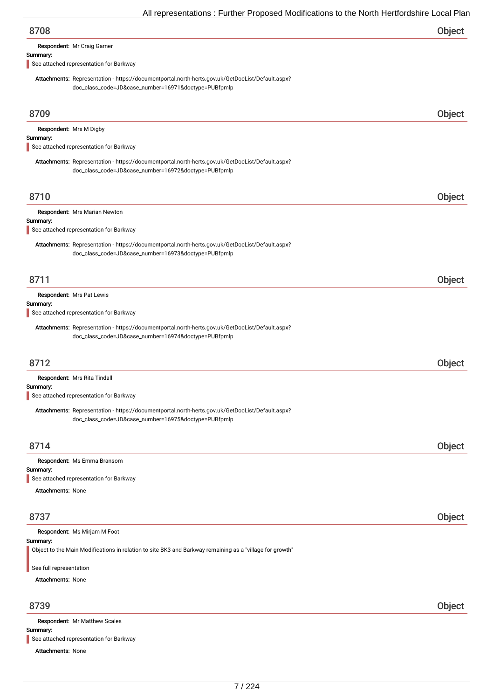| 8708 | Object |
|------|--------|
|      |        |

Respondent: Mr Craig Garner

### Summary:

See attached representation for Barkway

Attachments: Representation - https://documentportal.north-herts.gov.uk/GetDocList/Default.aspx? doc\_class\_code=JD&case\_number=16971&doctype=PUBfpmlp

| 8709                                                            |                                                                                                                                                          | Object |
|-----------------------------------------------------------------|----------------------------------------------------------------------------------------------------------------------------------------------------------|--------|
|                                                                 | Respondent: Mrs M Digby                                                                                                                                  |        |
| Summary:                                                        | See attached representation for Barkway                                                                                                                  |        |
|                                                                 | Attachments: Representation - https://documentportal.north-herts.gov.uk/GetDocList/Default.aspx?<br>doc_class_code=JD&case_number=16972&doctype=PUBfpmlp |        |
| 8710                                                            |                                                                                                                                                          | Object |
| Summary:                                                        | Respondent: Mrs Marian Newton<br>See attached representation for Barkway                                                                                 |        |
|                                                                 | Attachments: Representation - https://documentportal.north-herts.gov.uk/GetDocList/Default.aspx?<br>doc_class_code=JD&case_number=16973&doctype=PUBfpmlp |        |
| 8711                                                            |                                                                                                                                                          | Object |
| Summary:                                                        | Respondent: Mrs Pat Lewis                                                                                                                                |        |
|                                                                 | See attached representation for Barkway                                                                                                                  |        |
|                                                                 | Attachments: Representation - https://documentportal.north-herts.gov.uk/GetDocList/Default.aspx?<br>doc_class_code=JD&case_number=16974&doctype=PUBfpmlp |        |
| 8712                                                            |                                                                                                                                                          | Object |
| Summary:                                                        | Respondent: Mrs Rita Tindall<br>See attached representation for Barkway                                                                                  |        |
|                                                                 | Attachments: Representation - https://documentportal.north-herts.gov.uk/GetDocList/Default.aspx?<br>doc_class_code=JD&case_number=16975&doctype=PUBfpmlp |        |
| 8714                                                            |                                                                                                                                                          | Object |
|                                                                 | Respondent: Ms Emma Bransom                                                                                                                              |        |
| Summary:                                                        | See attached representation for Barkway                                                                                                                  |        |
| Attachments: None                                               |                                                                                                                                                          |        |
| 8737                                                            |                                                                                                                                                          | Object |
| Summary:<br>See full representation<br><b>Attachments: None</b> | Respondent: Ms Mirjam M Foot<br>Object to the Main Modifications in relation to site BK3 and Barkway remaining as a "village for growth"                 |        |
|                                                                 |                                                                                                                                                          |        |
| 8739                                                            |                                                                                                                                                          | Object |
| Summary:                                                        | Respondent: Mr Matthew Scales                                                                                                                            |        |

See attached representation for Barkway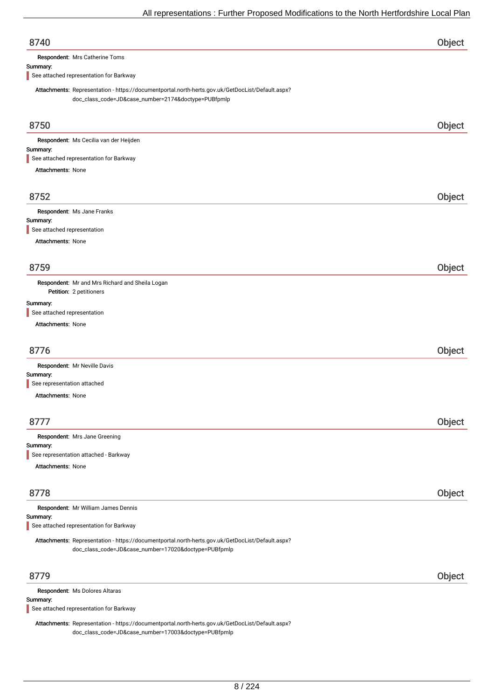| 8740                                                                                                                                                    | Object |
|---------------------------------------------------------------------------------------------------------------------------------------------------------|--------|
| Respondent: Mrs Catherine Toms                                                                                                                          |        |
| Summary:<br>See attached representation for Barkway                                                                                                     |        |
|                                                                                                                                                         |        |
| Attachments: Representation - https://documentportal.north-herts.gov.uk/GetDocList/Default.aspx?<br>doc_class_code=JD&case_number=2174&doctype=PUBfpmlp |        |
|                                                                                                                                                         |        |
| 8750                                                                                                                                                    | Object |
| Respondent: Ms Cecilia van der Heijden                                                                                                                  |        |
| Summary:                                                                                                                                                |        |
| See attached representation for Barkway                                                                                                                 |        |
| <b>Attachments: None</b>                                                                                                                                |        |
|                                                                                                                                                         |        |
| 8752                                                                                                                                                    | Object |
| Respondent: Ms Jane Franks                                                                                                                              |        |
| Summary:                                                                                                                                                |        |
| See attached representation                                                                                                                             |        |
| Attachments: None                                                                                                                                       |        |
|                                                                                                                                                         |        |
| 8759                                                                                                                                                    | Object |
| Respondent: Mr and Mrs Richard and Sheila Logan                                                                                                         |        |
| Petition: 2 petitioners                                                                                                                                 |        |
| Summary:<br>See attached representation                                                                                                                 |        |
| Attachments: None                                                                                                                                       |        |
|                                                                                                                                                         |        |
| 8776                                                                                                                                                    | Object |
| Respondent: Mr Neville Davis                                                                                                                            |        |
| Summary:                                                                                                                                                |        |
| See representation attached                                                                                                                             |        |
| <b>Attachments: None</b>                                                                                                                                |        |
|                                                                                                                                                         |        |
| 8777                                                                                                                                                    | Object |
| Respondent: Mrs Jane Greening                                                                                                                           |        |
| Summary:<br>See representation attached - Barkway                                                                                                       |        |
| Attachments: None                                                                                                                                       |        |
|                                                                                                                                                         |        |
|                                                                                                                                                         |        |
| 8778                                                                                                                                                    | Object |
| Respondent: Mr William James Dennis                                                                                                                     |        |
| Summary:<br>See attached representation for Barkway                                                                                                     |        |
| Attachments: Representation - https://documentportal.north-herts.gov.uk/GetDocList/Default.aspx?                                                        |        |
| doc_class_code=JD&case_number=17020&doctype=PUBfpmlp                                                                                                    |        |
|                                                                                                                                                         |        |
| 8779                                                                                                                                                    | Object |
|                                                                                                                                                         |        |
| Respondent: Ms Dolores Altaras<br>$C_{11}$ $C_{22}$                                                                                                     |        |

mmary: See attached representation for Barkway

Attachments: Representation - https://documentportal.north-herts.gov.uk/GetDocList/Default.aspx? doc\_class\_code=JD&case\_number=17003&doctype=PUBfpmlp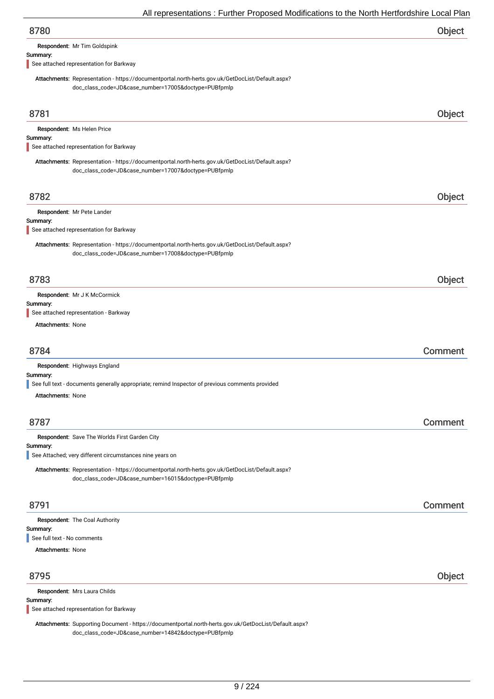| 8780                                |  |
|-------------------------------------|--|
| <b>Respondent: Mr Tim Goldspink</b> |  |

Summary:

See attached representation for Barkway

Attachments: Representation - https://documentportal.north-herts.gov.uk/GetDocList/Default.aspx? doc\_class\_code=JD&case\_number=17005&doctype=PUBfpmlp

| 8781                                                                                                                                                     | Object  |
|----------------------------------------------------------------------------------------------------------------------------------------------------------|---------|
| Respondent: Ms Helen Price                                                                                                                               |         |
| Summary:                                                                                                                                                 |         |
| See attached representation for Barkway                                                                                                                  |         |
| Attachments: Representation - https://documentportal.north-herts.gov.uk/GetDocList/Default.aspx?<br>doc_class_code=JD&case_number=17007&doctype=PUBfpmlp |         |
|                                                                                                                                                          |         |
| 8782                                                                                                                                                     | Object  |
| Respondent: Mr Pete Lander                                                                                                                               |         |
| Summary:                                                                                                                                                 |         |
| See attached representation for Barkway                                                                                                                  |         |
| Attachments: Representation - https://documentportal.north-herts.gov.uk/GetDocList/Default.aspx?                                                         |         |
| doc_class_code=JD&case_number=17008&doctype=PUBfpmlp                                                                                                     |         |
|                                                                                                                                                          |         |
| 8783                                                                                                                                                     | Object  |
| Respondent: Mr J K McCormick                                                                                                                             |         |
| Summary:                                                                                                                                                 |         |
| See attached representation - Barkway                                                                                                                    |         |
| <b>Attachments: None</b>                                                                                                                                 |         |
|                                                                                                                                                          |         |
| 8784                                                                                                                                                     | Comment |
| Respondent: Highways England                                                                                                                             |         |
| Summary:                                                                                                                                                 |         |
| See full text - documents generally appropriate; remind Inspector of previous comments provided                                                          |         |
| <b>Attachments: None</b>                                                                                                                                 |         |
|                                                                                                                                                          |         |
| 8787                                                                                                                                                     | Comment |
| Respondent: Save The Worlds First Garden City                                                                                                            |         |
| Summary:<br>See Attached; very different circumstances nine years on                                                                                     |         |
|                                                                                                                                                          |         |
| Attachments: Representation - https://documentportal.north-herts.gov.uk/GetDocList/Default.aspx?<br>doc_class_code=JD&case_number=16015&doctype=PUBfpmlp |         |
|                                                                                                                                                          |         |
| 8791                                                                                                                                                     | Comment |
| Respondent: The Coal Authority                                                                                                                           |         |
| Summary:                                                                                                                                                 |         |
| See full text - No comments                                                                                                                              |         |
| <b>Attachments: None</b>                                                                                                                                 |         |
| 8795                                                                                                                                                     | Object  |
|                                                                                                                                                          |         |
| Respondent: Mrs Laura Childs<br>Summary:                                                                                                                 |         |
| See attached representation for Barkway                                                                                                                  |         |
| Attachments: Supporting Document - https://documentportal.north-herts.gov.uk/GetDocList/Default.aspx?                                                    |         |

doc\_class\_code=JD&case\_number=14842&doctype=PUBfpmlp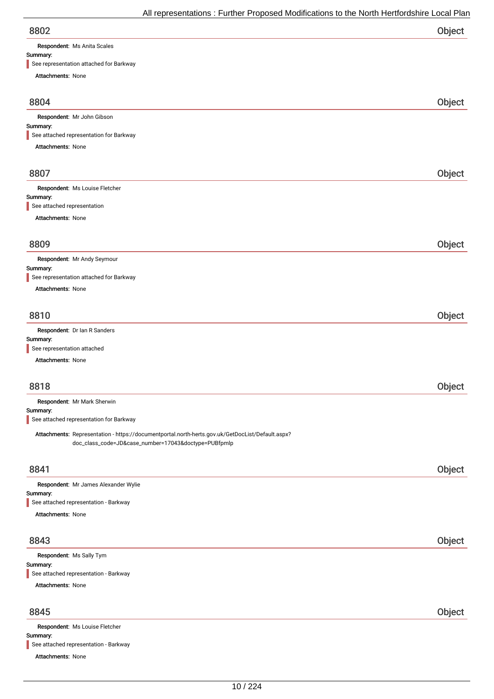| 8802 | Object |
|------|--------|
|      |        |

Respondent: Ms Anita Scales

Attachments: None

## Summary:

| See representation attached for Barkway                                                                                                                  |        |
|----------------------------------------------------------------------------------------------------------------------------------------------------------|--------|
| Attachments: None                                                                                                                                        |        |
| 8804                                                                                                                                                     | Object |
| Respondent: Mr John Gibson                                                                                                                               |        |
| Summary:                                                                                                                                                 |        |
| See attached representation for Barkway                                                                                                                  |        |
| Attachments: None                                                                                                                                        |        |
| 8807                                                                                                                                                     | Object |
| Respondent: Ms Louise Fletcher                                                                                                                           |        |
| Summary:                                                                                                                                                 |        |
| See attached representation                                                                                                                              |        |
| Attachments: None                                                                                                                                        |        |
| 8809                                                                                                                                                     | Object |
| Respondent: Mr Andy Seymour                                                                                                                              |        |
| Summary:                                                                                                                                                 |        |
| See representation attached for Barkway                                                                                                                  |        |
| <b>Attachments: None</b>                                                                                                                                 |        |
|                                                                                                                                                          |        |
| 8810                                                                                                                                                     | Object |
| Respondent: Dr Ian R Sanders                                                                                                                             |        |
| Summary:                                                                                                                                                 |        |
| See representation attached                                                                                                                              |        |
| <b>Attachments: None</b>                                                                                                                                 |        |
| 8818                                                                                                                                                     | Object |
| Respondent: Mr Mark Sherwin                                                                                                                              |        |
| Summary:                                                                                                                                                 |        |
| See attached representation for Barkway                                                                                                                  |        |
| Attachments: Representation - https://documentportal.north-herts.gov.uk/GetDocList/Default.aspx?<br>doc_class_code=JD&case_number=17043&doctype=PUBfpmlp |        |
| 8841                                                                                                                                                     | Object |
|                                                                                                                                                          |        |
| Respondent: Mr James Alexander Wylie<br>Summary:                                                                                                         |        |
| See attached representation - Barkway                                                                                                                    |        |
| Attachments: None                                                                                                                                        |        |
| 8843                                                                                                                                                     | Object |
| Respondent: Ms Sally Tym                                                                                                                                 |        |
| Summary:                                                                                                                                                 |        |
| See attached representation - Barkway                                                                                                                    |        |
| <b>Attachments: None</b>                                                                                                                                 |        |
| 8845                                                                                                                                                     | Object |
| Respondent: Ms Louise Fletcher                                                                                                                           |        |
| Summary:                                                                                                                                                 |        |
| See attached representation - Barkway                                                                                                                    |        |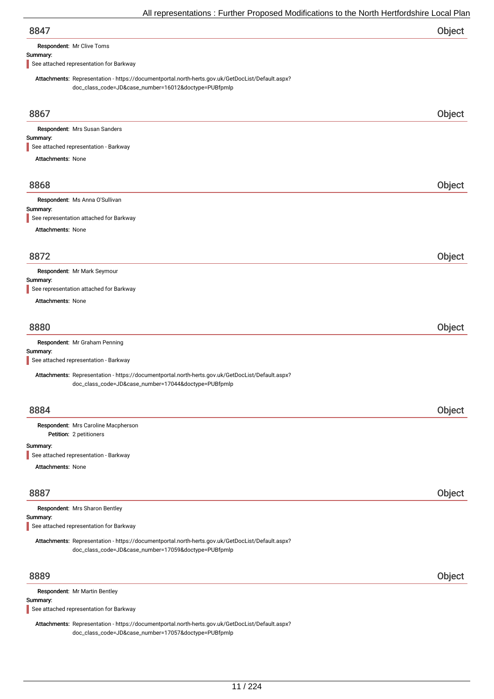| 8847 | Object |
|------|--------|
|      |        |

Respondent: Mr Clive Toms

### Summary:

See attached representation for Barkway

Attachments: Representation - https://documentportal.north-herts.gov.uk/GetDocList/Default.aspx? doc\_class\_code=JD&case\_number=16012&doctype=PUBfpmlp

| 8867                                                                                                                                                     | Object |
|----------------------------------------------------------------------------------------------------------------------------------------------------------|--------|
| Respondent: Mrs Susan Sanders                                                                                                                            |        |
| Summary:                                                                                                                                                 |        |
| See attached representation - Barkway                                                                                                                    |        |
| <b>Attachments: None</b>                                                                                                                                 |        |
| 8868                                                                                                                                                     | Object |
| Respondent: Ms Anna O'Sullivan                                                                                                                           |        |
| Summary:                                                                                                                                                 |        |
| See representation attached for Barkway                                                                                                                  |        |
| <b>Attachments: None</b>                                                                                                                                 |        |
| 8872                                                                                                                                                     | Object |
| Respondent: Mr Mark Seymour                                                                                                                              |        |
| Summary:<br>See representation attached for Barkway                                                                                                      |        |
| <b>Attachments: None</b>                                                                                                                                 |        |
|                                                                                                                                                          |        |
| 8880                                                                                                                                                     | Object |
| Respondent: Mr Graham Penning                                                                                                                            |        |
| Summary:<br>See attached representation - Barkway                                                                                                        |        |
|                                                                                                                                                          |        |
| Attachments: Representation - https://documentportal.north-herts.gov.uk/GetDocList/Default.aspx?<br>doc_class_code=JD&case_number=17044&doctype=PUBfpmlp |        |
| 8884                                                                                                                                                     | Object |
| Respondent: Mrs Caroline Macpherson                                                                                                                      |        |
| Petition: 2 petitioners                                                                                                                                  |        |
| Summary:                                                                                                                                                 |        |
| See attached representation - Barkway                                                                                                                    |        |
| Attachments: None                                                                                                                                        |        |
| 8887                                                                                                                                                     | Object |
| Respondent: Mrs Sharon Bentley                                                                                                                           |        |
| Summary:<br>See attached representation for Barkway                                                                                                      |        |
| Attachments: Representation - https://documentportal.north-herts.gov.uk/GetDocList/Default.aspx?<br>doc_class_code=JD&case_number=17059&doctype=PUBfpmlp |        |
| 8889                                                                                                                                                     | Object |
| Respondent: Mr Martin Bentley                                                                                                                            |        |
| Summary:                                                                                                                                                 |        |
| See attached representation for Barkway                                                                                                                  |        |

Attachments: Representation - https://documentportal.north-herts.gov.uk/GetDocList/Default.aspx? doc\_class\_code=JD&case\_number=17057&doctype=PUBfpmlp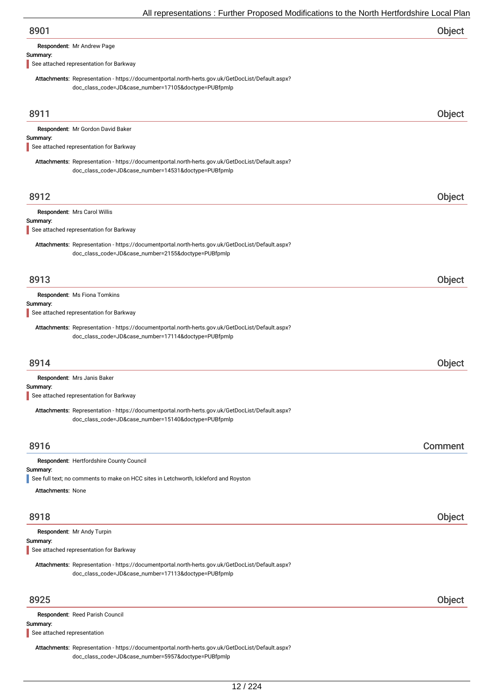| 8901 | Object |
|------|--------|
|------|--------|

Respondent: Mr Andrew Page

### Summary:

See attached representation for Barkway

Attachments: Representation - https://documentportal.north-herts.gov.uk/GetDocList/Default.aspx? doc\_class\_code=JD&case\_number=17105&doctype=PUBfpmlp

| 8911                                                                                                                                                     | Object  |
|----------------------------------------------------------------------------------------------------------------------------------------------------------|---------|
| Respondent: Mr Gordon David Baker                                                                                                                        |         |
| Summary:                                                                                                                                                 |         |
| See attached representation for Barkway                                                                                                                  |         |
| Attachments: Representation - https://documentportal.north-herts.gov.uk/GetDocList/Default.aspx?<br>doc_class_code=JD&case_number=14531&doctype=PUBfpmlp |         |
| 8912                                                                                                                                                     | Object  |
| Respondent: Mrs Carol Willis                                                                                                                             |         |
| Summary:<br>See attached representation for Barkway                                                                                                      |         |
| Attachments: Representation - https://documentportal.north-herts.gov.uk/GetDocList/Default.aspx?<br>doc_class_code=JD&case_number=2155&doctype=PUBfpmlp  |         |
| 8913                                                                                                                                                     | Object  |
| Respondent: Ms Fiona Tomkins<br>Summary:                                                                                                                 |         |
| See attached representation for Barkway                                                                                                                  |         |
| Attachments: Representation - https://documentportal.north-herts.gov.uk/GetDocList/Default.aspx?<br>doc_class_code=JD&case_number=17114&doctype=PUBfpmlp |         |
| 8914                                                                                                                                                     | Object  |
| Respondent: Mrs Janis Baker                                                                                                                              |         |
| Summary:<br>See attached representation for Barkway                                                                                                      |         |
| Attachments: Representation - https://documentportal.north-herts.gov.uk/GetDocList/Default.aspx?<br>doc_class_code=JD&case_number=15140&doctype=PUBfpmlp |         |
| 8916                                                                                                                                                     | Comment |
| Respondent: Hertfordshire County Council                                                                                                                 |         |
| Summary:                                                                                                                                                 |         |
| See full text; no comments to make on HCC sites in Letchworth, Ickleford and Royston<br>Attachments: None                                                |         |
|                                                                                                                                                          |         |
| 8918                                                                                                                                                     | Object  |
| Respondent: Mr Andy Turpin                                                                                                                               |         |
| Summary:<br>See attached representation for Barkway                                                                                                      |         |
| Attachments: Representation - https://documentportal.north-herts.gov.uk/GetDocList/Default.aspx?<br>doc_class_code=JD&case_number=17113&doctype=PUBfpmlp |         |
| 8925                                                                                                                                                     | Object  |
| Respondent: Reed Parish Council                                                                                                                          |         |
| Summary:<br>See attached representation                                                                                                                  |         |

Attachments: Representation - https://documentportal.north-herts.gov.uk/GetDocList/Default.aspx? doc\_class\_code=JD&case\_number=5957&doctype=PUBfpmlp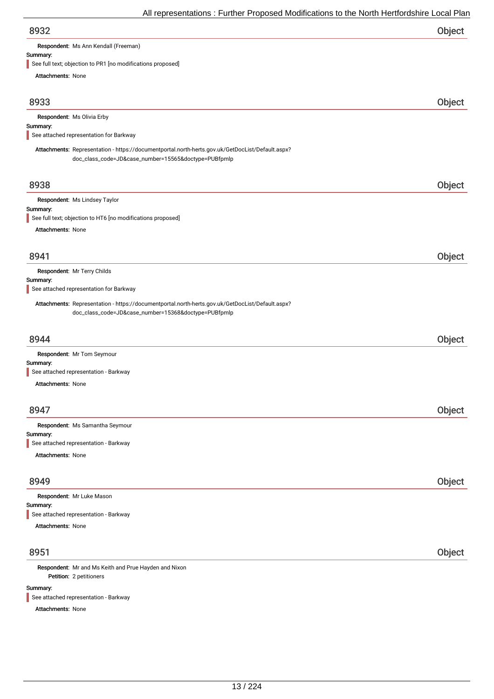| 8932 | Object |
|------|--------|
|      |        |

Respondent: Ms Ann Kendall (Freeman)

# Summary:<br>See full te

objection to PR1 [no modifications proposed]

| See full text, objection to find thounications proposed<br><b>Attachments: None</b>                                                                      |        |
|----------------------------------------------------------------------------------------------------------------------------------------------------------|--------|
|                                                                                                                                                          |        |
| 8933                                                                                                                                                     | Object |
| Respondent: Ms Olivia Erby                                                                                                                               |        |
| Summary:                                                                                                                                                 |        |
| See attached representation for Barkway                                                                                                                  |        |
| Attachments: Representation - https://documentportal.north-herts.gov.uk/GetDocList/Default.aspx?<br>doc_class_code=JD&case_number=15565&doctype=PUBfpmlp |        |
| 8938                                                                                                                                                     | Object |
| Respondent: Ms Lindsey Taylor                                                                                                                            |        |
| Summary:<br>See full text; objection to HT6 [no modifications proposed]                                                                                  |        |
| <b>Attachments: None</b>                                                                                                                                 |        |
|                                                                                                                                                          |        |
|                                                                                                                                                          |        |
| 8941                                                                                                                                                     | Object |
| Respondent: Mr Terry Childs                                                                                                                              |        |
| Summary:<br>See attached representation for Barkway                                                                                                      |        |
| Attachments: Representation - https://documentportal.north-herts.gov.uk/GetDocList/Default.aspx?                                                         |        |
| doc_class_code=JD&case_number=15368&doctype=PUBfpmlp                                                                                                     |        |
|                                                                                                                                                          |        |
| 8944                                                                                                                                                     | Object |
| Respondent: Mr Tom Seymour                                                                                                                               |        |
| Summary:                                                                                                                                                 |        |
| See attached representation - Barkway                                                                                                                    |        |
| <b>Attachments: None</b>                                                                                                                                 |        |
|                                                                                                                                                          |        |
| 8947                                                                                                                                                     | Object |
| Respondent: Ms Samantha Seymour                                                                                                                          |        |
| Summary:<br>See attached representation - Barkway                                                                                                        |        |
| Attachments: None                                                                                                                                        |        |
|                                                                                                                                                          |        |
| 8949                                                                                                                                                     | Object |
| Respondent: Mr Luke Mason                                                                                                                                |        |
| Summary:                                                                                                                                                 |        |
| See attached representation - Barkway                                                                                                                    |        |
| Attachments: None                                                                                                                                        |        |
|                                                                                                                                                          |        |
| 8951                                                                                                                                                     | Object |
| Respondent: Mr and Ms Keith and Prue Hayden and Nixon<br>Petition: 2 petitioners                                                                         |        |
| Summary:                                                                                                                                                 |        |

See attached representation - Barkway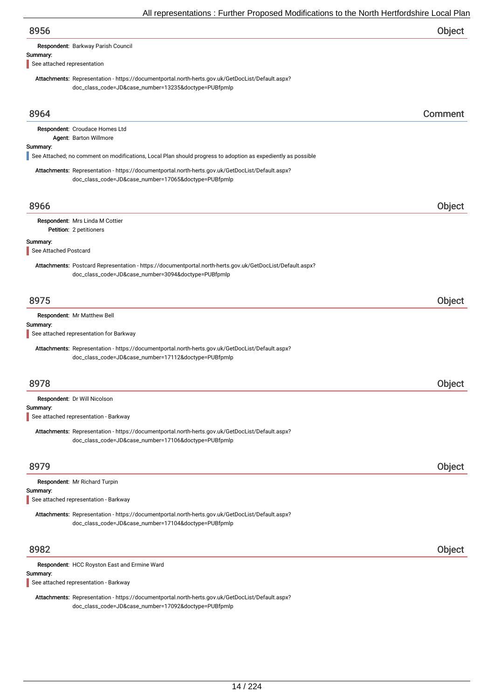| 8956                                                                                                                                                             | Object        |
|------------------------------------------------------------------------------------------------------------------------------------------------------------------|---------------|
| Respondent: Barkway Parish Council                                                                                                                               |               |
| Summary:<br>See attached representation                                                                                                                          |               |
| Attachments: Representation - https://documentportal.north-herts.gov.uk/GetDocList/Default.aspx?                                                                 |               |
| doc_class_code=JD&case_number=13235&doctype=PUBfpmlp                                                                                                             |               |
|                                                                                                                                                                  |               |
| 8964                                                                                                                                                             | Comment       |
| Respondent: Croudace Homes Ltd                                                                                                                                   |               |
| Agent: Barton Willmore<br>Summary:                                                                                                                               |               |
| See Attached; no comment on modifications, Local Plan should progress to adoption as expediently as possible                                                     |               |
| Attachments: Representation - https://documentportal.north-herts.gov.uk/GetDocList/Default.aspx?                                                                 |               |
| doc_class_code=JD&case_number=17065&doctype=PUBfpmlp                                                                                                             |               |
| 8966                                                                                                                                                             | Object        |
| Respondent: Mrs Linda M Cottier                                                                                                                                  |               |
| Petition: 2 petitioners                                                                                                                                          |               |
| Summary:                                                                                                                                                         |               |
| See Attached Postcard                                                                                                                                            |               |
| Attachments: Postcard Representation - https://documentportal.north-herts.gov.uk/GetDocList/Default.aspx?<br>doc_class_code=JD&case_number=3094&doctype=PUBfpmlp |               |
|                                                                                                                                                                  |               |
| 8975                                                                                                                                                             | Object        |
| Respondent: Mr Matthew Bell                                                                                                                                      |               |
| Summary:<br>See attached representation for Barkway                                                                                                              |               |
| Attachments: Representation - https://documentportal.north-herts.gov.uk/GetDocList/Default.aspx?                                                                 |               |
| doc_class_code=JD&case_number=17112&doctype=PUBfpmlp                                                                                                             |               |
|                                                                                                                                                                  |               |
| 8978                                                                                                                                                             | <b>Object</b> |
| Respondent: Dr Will Nicolson                                                                                                                                     |               |
| Summary:<br>See attached representation - Barkway                                                                                                                |               |
| Attachments: Representation - https://documentportal.north-herts.gov.uk/GetDocList/Default.aspx?                                                                 |               |
| doc_class_code=JD&case_number=17106&doctype=PUBfpmlp                                                                                                             |               |
|                                                                                                                                                                  |               |
| 8979                                                                                                                                                             | Object        |
| Respondent: Mr Richard Turpin                                                                                                                                    |               |
| Summary:<br>See attached representation - Barkway                                                                                                                |               |
| Attachments: Representation - https://documentportal.north-herts.gov.uk/GetDocList/Default.aspx?                                                                 |               |
| doc_class_code=JD&case_number=17104&doctype=PUBfpmlp                                                                                                             |               |
| 8982                                                                                                                                                             | Object        |
| Respondent: HCC Royston East and Ermine Ward                                                                                                                     |               |
| Summary:                                                                                                                                                         |               |
| See attached representation - Barkway                                                                                                                            |               |
| Attachments: Representation - https://documentportal.north-herts.gov.uk/GetDocList/Default.aspx?                                                                 |               |

doc\_class\_code=JD&case\_number=17092&doctype=PUBfpmlp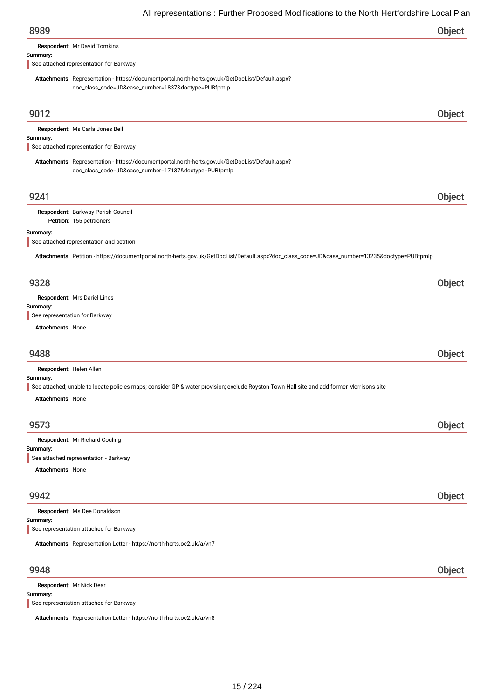| 8989                                                                                                                                                     | Object |
|----------------------------------------------------------------------------------------------------------------------------------------------------------|--------|
| Respondent: Mr David Tomkins                                                                                                                             |        |
| Summary:                                                                                                                                                 |        |
| See attached representation for Barkway                                                                                                                  |        |
| Attachments: Representation - https://documentportal.north-herts.gov.uk/GetDocList/Default.aspx?<br>doc_class_code=JD&case_number=1837&doctype=PUBfpmlp  |        |
| 9012                                                                                                                                                     | Object |
| Respondent: Ms Carla Jones Bell                                                                                                                          |        |
| Summary:                                                                                                                                                 |        |
| See attached representation for Barkway                                                                                                                  |        |
| Attachments: Representation - https://documentportal.north-herts.gov.uk/GetDocList/Default.aspx?<br>doc_class_code=JD&case_number=17137&doctype=PUBfpmlp |        |
| 9241                                                                                                                                                     | Object |
| Respondent: Barkway Parish Council                                                                                                                       |        |
| Petition: 155 petitioners                                                                                                                                |        |
| Summary:                                                                                                                                                 |        |
| See attached representation and petition                                                                                                                 |        |
| Attachments: Petition - https://documentportal.north-herts.gov.uk/GetDocList/Default.aspx?doc_class_code=JD&case_number=13235&doctype=PUBfpmlp           |        |
| 9328                                                                                                                                                     | Object |
| Respondent: Mrs Dariel Lines                                                                                                                             |        |
| Summary:                                                                                                                                                 |        |
| See representation for Barkway                                                                                                                           |        |
| <b>Attachments: None</b>                                                                                                                                 |        |
|                                                                                                                                                          |        |
| 9488                                                                                                                                                     | Object |
| Respondent: Helen Allen                                                                                                                                  |        |
| Summary:                                                                                                                                                 |        |
| See attached; unable to locate policies maps; consider GP & water provision; exclude Royston Town Hall site and add former Morrisons site                |        |
| Attachments: None                                                                                                                                        |        |
|                                                                                                                                                          |        |
| 9573                                                                                                                                                     | Object |
| Respondent: Mr Richard Couling                                                                                                                           |        |
| Summary:                                                                                                                                                 |        |
| See attached representation - Barkway                                                                                                                    |        |
| <b>Attachments: None</b>                                                                                                                                 |        |
|                                                                                                                                                          |        |
| 9942                                                                                                                                                     | Object |
| Respondent: Ms Dee Donaldson                                                                                                                             |        |
| Summary:                                                                                                                                                 |        |
| See representation attached for Barkway                                                                                                                  |        |
| Attachments: Representation Letter - https://north-herts.oc2.uk/a/vn7                                                                                    |        |
| 9948                                                                                                                                                     | Object |
| Respondent: Mr Nick Dear                                                                                                                                 |        |

## Summary:

See representation attached for Barkway

Attachments: Representation Letter - https://north-herts.oc2.uk/a/vn8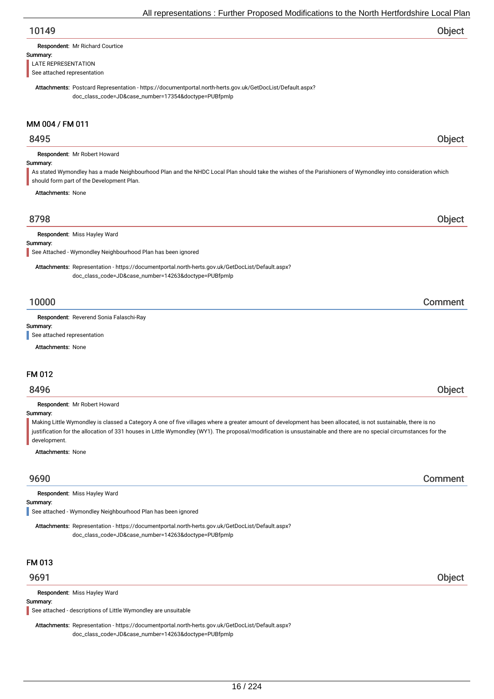| Object |
|--------|
|        |

| Respondent: Mr Richard Courtice |  |
|---------------------------------|--|
|                                 |  |

### Summary:

LATE REPRESENTATION

See attached representation

Attachments: Postcard Representation - https://documentportal.north-herts.gov.uk/GetDocList/Default.aspx? doc\_class\_code=JD&case\_number=17354&doctype=PUBfpmlp

## MM 004 / FM 011

## 8495 Object

Summary: Respondent: Mr Robert Howard As stated Wymondley has a made Neighbourhood Plan and the NHDC Local Plan should take the wishes of the Parishioners of Wymondley into consideration which should form part of the Development Plan.

Attachments: None

## 8798 Object

Respondent: Miss Hayley Ward

### Summary:

See Attached - Wymondley Neighbourhood Plan has been ignored

Attachments: Representation - https://documentportal.north-herts.gov.uk/GetDocList/Default.aspx? doc\_class\_code=JD&case\_number=14263&doctype=PUBfpmlp

## 10000 Comment

Respondent: Reverend Sonia Falaschi-Ray

## Summary:

See attached representation

Attachments: None

### FM 012

## 8496 Object

Respondent: Mr Robert Howard

### Summary:

Making Little Wymondley is classed a Category A one of five villages where a greater amount of development has been allocated, is not sustainable, there is no justification for the allocation of 331 houses in Little Wymondley (WY1). The proposal/modification is unsustainable and there are no special circumstances for the development.

### Attachments: None

## 9690 Comment

Respondent: Miss Hayley Ward

### Summary:

See attached - Wymondley Neighbourhood Plan has been ignored

Attachments: Representation - https://documentportal.north-herts.gov.uk/GetDocList/Default.aspx? doc\_class\_code=JD&case\_number=14263&doctype=PUBfpmlp

### FM 013

Respondent: Miss Hayley Ward

### Summary:

See attached - descriptions of Little Wymondley are unsuitable

Attachments: Representation - https://documentportal.north-herts.gov.uk/GetDocList/Default.aspx? doc\_class\_code=JD&case\_number=14263&doctype=PUBfpmlp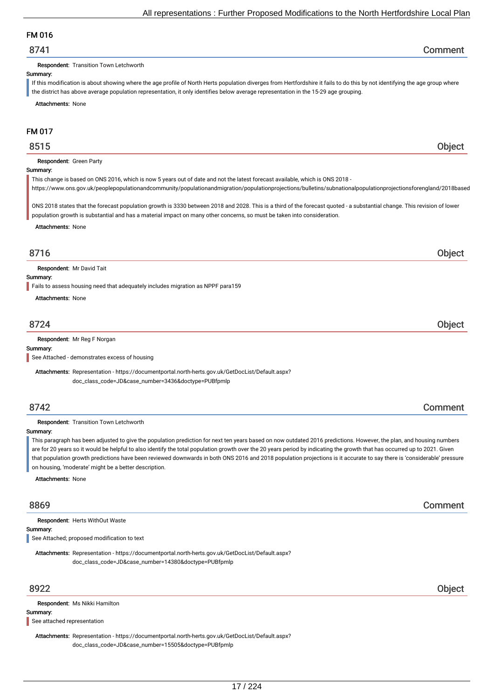## FM 016

## 8741 Comment

Respondent: Transition Town Letchworth

### Summary:

If this modification is about showing where the age profile of North Herts population diverges from Hertfordshire it fails to do this by not identifying the age group where the district has above average population representation, it only identifies below average representation in the 15-29 age grouping.

Attachments: None

## FM 017

## 8515 Object

### Respondent: Green Party

### Summary:

This change is based on ONS 2016, which is now 5 years out of date and not the latest forecast available, which is ONS 2018 -

https://www.ons.gov.uk/peoplepopulationandcommunity/populationandmigration/populationprojections/bulletins/subnationalpopulationprojectionsforengland/2018based

ONS 2018 states that the forecast population growth is 3330 between 2018 and 2028. This is a third of the forecast quoted - a substantial change. This revision of lower population growth is substantial and has a material impact on many other concerns, so must be taken into consideration.

Attachments: None

## 8716 Object

Respondent: Mr David Tait

### Summary:

Fails to assess housing need that adequately includes migration as NPPF para159

Attachments: None

## 8724 Object

### Respondent: Mr Reg F Norgan

Summary:

See Attached - demonstrates excess of housing

Attachments: Representation - https://documentportal.north-herts.gov.uk/GetDocList/Default.aspx? doc\_class\_code=JD&case\_number=3436&doctype=PUBfpmlp

## 8742 Comment

### Respondent: Transition Town Letchworth

Summary:

This paragraph has been adjusted to give the population prediction for next ten years based on now outdated 2016 predictions. However, the plan, and housing numbers are for 20 years so it would be helpful to also identify the total population growth over the 20 years period by indicating the growth that has occurred up to 2021. Given that population growth predictions have been reviewed downwards in both ONS 2016 and 2018 population projections is it accurate to say there is 'considerable' pressure on housing, 'moderate' might be a better description.

Attachments: None

## 8869 Comment

Summary: Respondent: Herts WithOut Waste

See Attached; proposed modification to text

Attachments: Representation - https://documentportal.north-herts.gov.uk/GetDocList/Default.aspx? doc\_class\_code=JD&case\_number=14380&doctype=PUBfpmlp

Respondent: Ms Nikki Hamilton

### Summary:

See attached representation

Attachments: Representation - https://documentportal.north-herts.gov.uk/GetDocList/Default.aspx? doc\_class\_code=JD&case\_number=15505&doctype=PUBfpmlp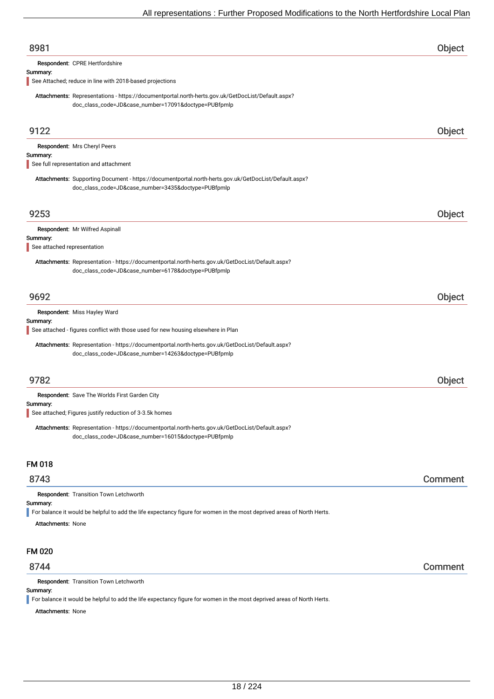| 8981                                                                                                                                                         | Object  |
|--------------------------------------------------------------------------------------------------------------------------------------------------------------|---------|
| Respondent: CPRE Hertfordshire                                                                                                                               |         |
| Summary:                                                                                                                                                     |         |
| See Attached; reduce in line with 2018-based projections                                                                                                     |         |
| Attachments: Representations - https://documentportal.north-herts.gov.uk/GetDocList/Default.aspx?<br>doc_class_code=JD&case_number=17091&doctype=PUBfpmlp    |         |
|                                                                                                                                                              |         |
| 9122                                                                                                                                                         | Object  |
| Respondent: Mrs Cheryl Peers                                                                                                                                 |         |
| Summary:                                                                                                                                                     |         |
| See full representation and attachment                                                                                                                       |         |
| Attachments: Supporting Document - https://documentportal.north-herts.gov.uk/GetDocList/Default.aspx?<br>doc_class_code=JD&case_number=3435&doctype=PUBfpmlp |         |
| 9253                                                                                                                                                         | Object  |
| Respondent: Mr Wilfred Aspinall                                                                                                                              |         |
| Summary:                                                                                                                                                     |         |
| See attached representation                                                                                                                                  |         |
| Attachments: Representation - https://documentportal.north-herts.gov.uk/GetDocList/Default.aspx?<br>doc_class_code=JD&case_number=6178&doctype=PUBfpmlp      |         |
| 9692                                                                                                                                                         | Object  |
| Respondent: Miss Hayley Ward                                                                                                                                 |         |
| Summary:<br>See attached - figures conflict with those used for new housing elsewhere in Plan                                                                |         |
|                                                                                                                                                              |         |
| Attachments: Representation - https://documentportal.north-herts.gov.uk/GetDocList/Default.aspx?<br>doc_class_code=JD&case_number=14263&doctype=PUBfpmlp     |         |
|                                                                                                                                                              |         |
| 9782                                                                                                                                                         | Object  |
| Respondent: Save The Worlds First Garden City                                                                                                                |         |
| Summarv:                                                                                                                                                     |         |
| See attached; Figures justify reduction of 3-3.5k homes                                                                                                      |         |
| Attachments: Representation - https://documentportal.north-herts.gov.uk/GetDocList/Default.aspx?<br>doc_class_code=JD&case_number=16015&doctype=PUBfpmlp     |         |
| <b>FM 018</b>                                                                                                                                                |         |
| 8743                                                                                                                                                         | Comment |
| Respondent: Transition Town Letchworth                                                                                                                       |         |
| Summary:                                                                                                                                                     |         |
| For balance it would be helpful to add the life expectancy figure for women in the most deprived areas of North Herts.                                       |         |
| <b>Attachments: None</b>                                                                                                                                     |         |
| FM 020                                                                                                                                                       |         |
| 8744                                                                                                                                                         | Comment |
| Respondent: Transition Town Letchworth                                                                                                                       |         |
| Summary:                                                                                                                                                     |         |
| For balance it would be helpful to add the life expectancy figure for women in the most deprived areas of North Herts.<br><b>Attachments: None</b>           |         |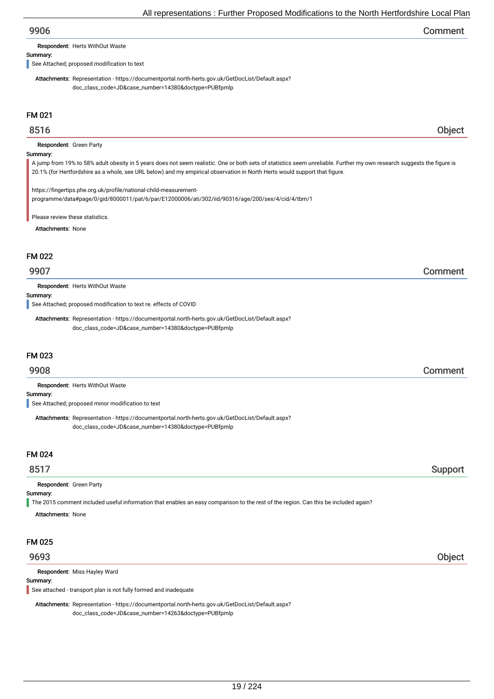| 9906 | Comment |
|------|---------|
|------|---------|

Respondent: Herts WithOut Waste

Summary:

See Attached; proposed modification to text

Attachments: Representation - https://documentportal.north-herts.gov.uk/GetDocList/Default.aspx? doc\_class\_code=JD&case\_number=14380&doctype=PUBfpmlp

## FM 021

## 8516 Object

Respondent: Green Party

### Summary:

A jump from 19% to 58% adult obesity in 5 years does not seem realistic. One or both sets of statistics seem unreliable. Further my own research suggests the figure is 20.1% (for Hertfordshire as a whole, see URL below) and my empirical observation in North Herts would support that figure.

https://fingertips.phe.org.uk/profile/national-child-measurementprogramme/data#page/0/gid/8000011/pat/6/par/E12000006/ati/302/iid/90316/age/200/sex/4/cid/4/tbm/1

Please review these statistics.

Attachments: None

### FM 022

## 9907 Comment

Respondent: Herts WithOut Waste

### Summary:

See Attached; proposed modification to text re. effects of COVID

Attachments: Representation - https://documentportal.north-herts.gov.uk/GetDocList/Default.aspx? doc\_class\_code=JD&case\_number=14380&doctype=PUBfpmlp

### FM 023

## 9908 Comment

Respondent: Herts WithOut Waste

### Summary:

See Attached; proposed minor modification to text

Attachments: Representation - https://documentportal.north-herts.gov.uk/GetDocList/Default.aspx? doc\_class\_code=JD&case\_number=14380&doctype=PUBfpmlp

### FM 024

## 8517 Support

Respondent: Green Party

### Summary:

The 2015 comment included useful information that enables an easy comparison to the rest of the region. Can this be included again?

Attachments: None

## FM 025

Respondent: Miss Hayley Ward

### Summary:

See attached - transport plan is not fully formed and inadequate

Attachments: Representation - https://documentportal.north-herts.gov.uk/GetDocList/Default.aspx? doc\_class\_code=JD&case\_number=14263&doctype=PUBfpmlp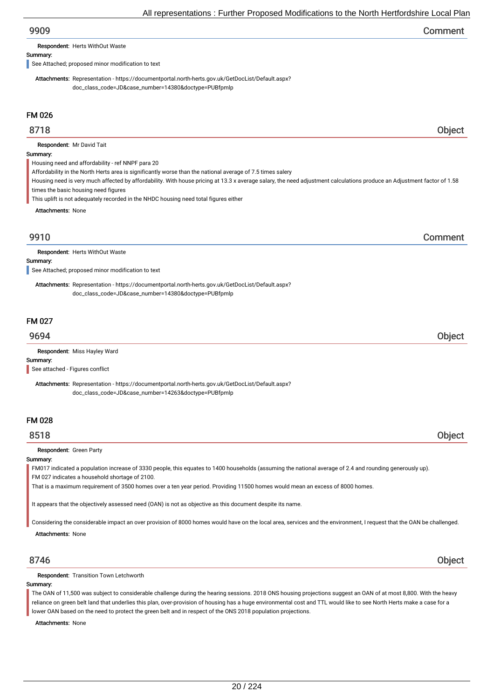| 9909 | Comment |
|------|---------|
|------|---------|

Respondent: Herts WithOut Waste

### Summary:

See Attached; proposed minor modification to text

Attachments: Representation - https://documentportal.north-herts.gov.uk/GetDocList/Default.aspx? doc\_class\_code=JD&case\_number=14380&doctype=PUBfpmlp

## FM 026

## 8718 Object

Respondent: Mr David Tait

### Summary:

Housing need and affordability - ref NNPF para 20

Affordability in the North Herts area is significantly worse than the national average of 7.5 times salery

Housing need is very much affected by affordability. With house pricing at 13.3 x average salary, the need adjustment calculations produce an Adjustment factor of 1.58 times the basic housing need figures

This uplift is not adequately recorded in the NHDC housing need total figures either

Attachments: None

# 9910 Comment

Respondent: Herts WithOut Waste

### Summary:

See Attached; proposed minor modification to text

Attachments: Representation - https://documentportal.north-herts.gov.uk/GetDocList/Default.aspx? doc\_class\_code=JD&case\_number=14380&doctype=PUBfpmlp

### FM 027

## 9694 Object

Respondent: Miss Hayley Ward

Summary:

See attached - Figures conflict

Attachments: Representation - https://documentportal.north-herts.gov.uk/GetDocList/Default.aspx? doc\_class\_code=JD&case\_number=14263&doctype=PUBfpmlp

## FM 028

8518 Object

### Respondent: Green Party

### Summary:

FM017 indicated a population increase of 3330 people, this equates to 1400 households (assuming the national average of 2.4 and rounding generously up). FM 027 indicates a household shortage of 2100.

That is a maximum requirement of 3500 homes over a ten year period. Providing 11500 homes would mean an excess of 8000 homes.

It appears that the objectively assessed need (OAN) is not as objective as this document despite its name.

Considering the considerable impact an over provision of 8000 homes would have on the local area, services and the environment, I request that the OAN be challenged.

Attachments: None

8746 Object

Respondent: Transition Town Letchworth

### Summary:

The OAN of 11,500 was subject to considerable challenge during the hearing sessions. 2018 ONS housing projections suggest an OAN of at most 8,800. With the heavy reliance on green belt land that underlies this plan, over-provision of housing has a huge environmental cost and TTL would like to see North Herts make a case for a lower OAN based on the need to protect the green belt and in respect of the ONS 2018 population projections.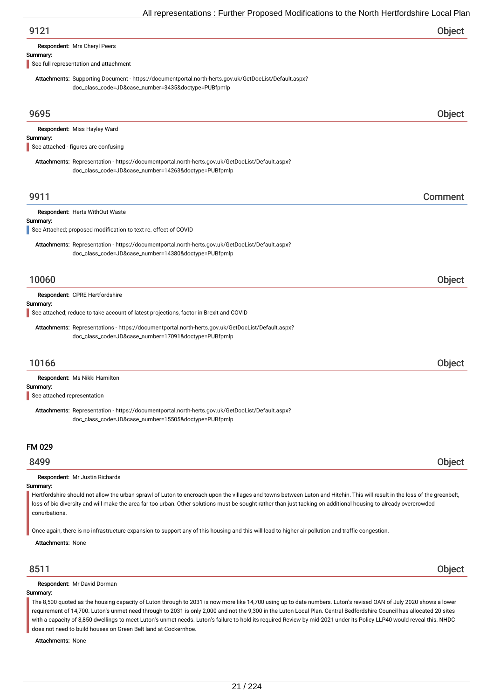| 9121 | Object |
|------|--------|
|      |        |

Respondent: Mrs Cheryl Peers

### Summary:

See full representation and attachment

Attachments: Supporting Document - https://documentportal.north-herts.gov.uk/GetDocList/Default.aspx? doc\_class\_code=JD&case\_number=3435&doctype=PUBfpmlp

| 9695                                                                                                                                                                                                                                                                                                                                                                                                          | Object  |
|---------------------------------------------------------------------------------------------------------------------------------------------------------------------------------------------------------------------------------------------------------------------------------------------------------------------------------------------------------------------------------------------------------------|---------|
| Respondent: Miss Hayley Ward<br>Summary:<br>See attached - figures are confusing                                                                                                                                                                                                                                                                                                                              |         |
| Attachments: Representation - https://documentportal.north-herts.gov.uk/GetDocList/Default.aspx?<br>doc_class_code=JD&case_number=14263&doctype=PUBfpmlp                                                                                                                                                                                                                                                      |         |
| 9911                                                                                                                                                                                                                                                                                                                                                                                                          | Comment |
| Respondent: Herts WithOut Waste<br>Summary:                                                                                                                                                                                                                                                                                                                                                                   |         |
| See Attached; proposed modification to text re. effect of COVID<br>Attachments: Representation - https://documentportal.north-herts.gov.uk/GetDocList/Default.aspx?<br>doc_class_code=JD&case_number=14380&doctype=PUBfpmlp                                                                                                                                                                                   |         |
| 10060                                                                                                                                                                                                                                                                                                                                                                                                         | Object  |
| Respondent: CPRE Hertfordshire<br>Summary:<br>See attached; reduce to take account of latest projections, factor in Brexit and COVID                                                                                                                                                                                                                                                                          |         |
| Attachments: Representations - https://documentportal.north-herts.gov.uk/GetDocList/Default.aspx?<br>doc_class_code=JD&case_number=17091&doctype=PUBfpmlp                                                                                                                                                                                                                                                     |         |
| 10166                                                                                                                                                                                                                                                                                                                                                                                                         | Object  |
| Respondent: Ms Nikki Hamilton<br>Summary:<br>See attached representation<br>Attachments: Representation - https://documentportal.north-herts.gov.uk/GetDocList/Default.aspx?<br>doc_class_code=JD&case_number=15505&doctype=PUBfpmlp                                                                                                                                                                          |         |
| <b>FM 029</b>                                                                                                                                                                                                                                                                                                                                                                                                 |         |
| 8499                                                                                                                                                                                                                                                                                                                                                                                                          | Object  |
| Respondent: Mr Justin Richards<br>Summary:<br>Hertfordshire should not allow the urban sprawl of Luton to encroach upon the villages and towns between Luton and Hitchin. This will result in the loss of the greenbelt,<br>loss of bio diversity and will make the area far too urban. Other solutions must be sought rather than just tacking on additional housing to already overcrowded<br>conurbations. |         |

Once again, there is no infrastructure expansion to support any of this housing and this will lead to higher air pollution and traffic congestion.

Attachments: None

## 8511 Object

Respondent: Mr David Dorman

### Summary:

The 8,500 quoted as the housing capacity of Luton through to 2031 is now more like 14,700 using up to date numbers. Luton's revised OAN of July 2020 shows a lower requirement of 14,700. Luton's unmet need through to 2031 is only 2,000 and not the 9,300 in the Luton Local Plan. Central Bedfordshire Council has allocated 20 sites with a capacity of 8,850 dwellings to meet Luton's unmet needs. Luton's failure to hold its required Review by mid-2021 under its Policy LLP40 would reveal this. NHDC does not need to build houses on Green Belt land at Cockernhoe.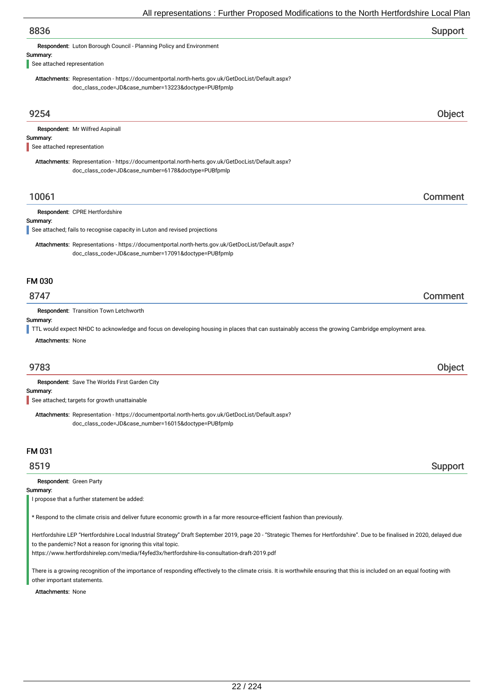| All representations . Further Proposed Modifications to the North Hertfordshire Local Plar                                                                    |         |
|---------------------------------------------------------------------------------------------------------------------------------------------------------------|---------|
| 8836                                                                                                                                                          | Support |
| Respondent: Luton Borough Council - Planning Policy and Environment                                                                                           |         |
| Summary:                                                                                                                                                      |         |
| See attached representation                                                                                                                                   |         |
| Attachments: Representation - https://documentportal.north-herts.gov.uk/GetDocList/Default.aspx?<br>doc_class_code=JD&case_number=13223&doctype=PUBfpmlp      |         |
|                                                                                                                                                               |         |
| 9254                                                                                                                                                          | Object  |
| Respondent: Mr Wilfred Aspinall                                                                                                                               |         |
| Summary:<br>See attached representation                                                                                                                       |         |
| Attachments: Representation - https://documentportal.north-herts.gov.uk/GetDocList/Default.aspx?                                                              |         |
| doc_class_code=JD&case_number=6178&doctype=PUBfpmlp                                                                                                           |         |
| 10061                                                                                                                                                         | Comment |
| Respondent: CPRE Hertfordshire                                                                                                                                |         |
| Summary:                                                                                                                                                      |         |
| See attached; fails to recognise capacity in Luton and revised projections                                                                                    |         |
| Attachments: Representations - https://documentportal.north-herts.gov.uk/GetDocList/Default.aspx?<br>doc_class_code=JD&case_number=17091&doctype=PUBfpmlp     |         |
| <b>FM 030</b>                                                                                                                                                 |         |
| 8747                                                                                                                                                          | Comment |
| Respondent: Transition Town Letchworth                                                                                                                        |         |
| Summary:<br>TTL would expect NHDC to acknowledge and focus on developing housing in places that can sustainably access the growing Cambridge employment area. |         |
| <b>Attachments: None</b>                                                                                                                                      |         |
|                                                                                                                                                               |         |
| 9783                                                                                                                                                          | Object  |
| Respondent: Save The Worlds First Garden City                                                                                                                 |         |
| Summary:<br>See attached; targets for growth unattainable                                                                                                     |         |
| Attachments: Representation - https://documentportal.north-herts.gov.uk/GetDocList/Default.aspx?<br>doc_class_code=JD&case_number=16015&doctype=PUBfpmlp      |         |
| FM 031                                                                                                                                                        |         |
| 8519                                                                                                                                                          | Support |

Respondent: Green Party

Summary:

I propose that a further statement be added:

\* Respond to the climate crisis and deliver future economic growth in a far more resource-efficient fashion than previously.

Hertfordshire LEP "Hertfordshire Local Industrial Strategy" Draft September 2019, page 20 - "Strategic Themes for Hertfordshire". Due to be finalised in 2020, delayed due to the pandemic? Not a reason for ignoring this vital topic.

https://www.hertfordshirelep.com/media/f4yfed3x/hertfordshire-lis-consultation-draft-2019.pdf

There is a growing recognition of the importance of responding effectively to the climate crisis. It is worthwhile ensuring that this is included on an equal footing with other important statements.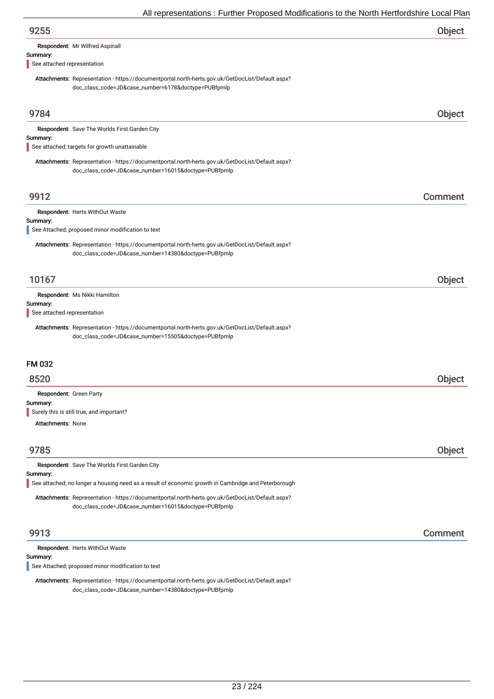| $\overline{\phantom{a}}$ and $\overline{\phantom{a}}$ . The contract of the contract of the contract of the contract of the contract of $\overline{\phantom{a}}$ |         |
|------------------------------------------------------------------------------------------------------------------------------------------------------------------|---------|
| 9255                                                                                                                                                             | Object  |
| Respondent: Mr Wilfred Aspinall                                                                                                                                  |         |
| Summary:<br>See attached representation                                                                                                                          |         |
| Attachments: Representation - https://documentportal.north-herts.gov.uk/GetDocList/Default.aspx?                                                                 |         |
| doc_class_code=JD&case_number=6178&doctype=PUBfpmlp                                                                                                              |         |
|                                                                                                                                                                  |         |
| 9784                                                                                                                                                             | Object  |
| Respondent: Save The Worlds First Garden City                                                                                                                    |         |
| Summary:<br>See attached; targets for growth unattainable                                                                                                        |         |
| Attachments: Representation - https://documentportal.north-herts.gov.uk/GetDocList/Default.aspx?                                                                 |         |
| doc_class_code=JD&case_number=16015&doctype=PUBfpmlp                                                                                                             |         |
|                                                                                                                                                                  |         |
| 9912                                                                                                                                                             | Comment |
| Respondent: Herts WithOut Waste                                                                                                                                  |         |
| Summary:<br>See Attached; proposed minor modification to text                                                                                                    |         |
| Attachments: Representation - https://documentportal.north-herts.gov.uk/GetDocList/Default.aspx?                                                                 |         |
| doc_class_code=JD&case_number=14380&doctype=PUBfpmlp                                                                                                             |         |
|                                                                                                                                                                  |         |
| 10167                                                                                                                                                            | Object  |
| Respondent: Ms Nikki Hamilton                                                                                                                                    |         |
| Summary:<br>See attached representation                                                                                                                          |         |
|                                                                                                                                                                  |         |
| Attachments: Representation - https://documentportal.north-herts.gov.uk/GetDocList/Default.aspx?<br>doc_class_code=JD&case_number=15505&doctype=PUBfpmlp         |         |
|                                                                                                                                                                  |         |
| <b>FM 032</b>                                                                                                                                                    |         |
| 8520                                                                                                                                                             | Object  |
| Respondent: Green Party                                                                                                                                          |         |
| Summary:                                                                                                                                                         |         |
| Surely this is still true, and important?                                                                                                                        |         |
| <b>Attachments: None</b>                                                                                                                                         |         |
| 9785                                                                                                                                                             | Object  |
| Respondent: Save The Worlds First Garden City                                                                                                                    |         |
| Summary:                                                                                                                                                         |         |
| See attached; no longer a housing need as a result of economic growth in Cambridge and Peterborough                                                              |         |
| Attachments: Representation - https://documentportal.north-herts.gov.uk/GetDocList/Default.aspx?<br>doc_class_code=JD&case_number=16015&doctype=PUBfpmlp         |         |
|                                                                                                                                                                  |         |
| 9913                                                                                                                                                             | Comment |
| Respondent: Herts WithOut Waste                                                                                                                                  |         |
| Summary:                                                                                                                                                         |         |
| See Attached; proposed minor modification to text                                                                                                                |         |

Attachments: Representation - https://documentportal.north-herts.gov.uk/GetDocList/Default.aspx? doc\_class\_code=JD&case\_number=14380&doctype=PUBfpmlp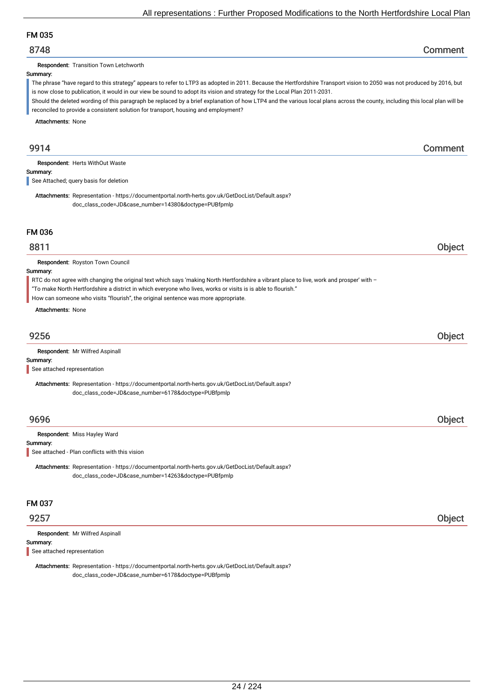## FM 035

## 8748 Comment

Respondent: Transition Town Letchworth

### Summary:

The phrase "have regard to this strategy" appears to refer to LTP3 as adopted in 2011. Because the Hertfordshire Transport vision to 2050 was not produced by 2016, but is now close to publication, it would in our view be sound to adopt its vision and strategy for the Local Plan 2011-2031.

Should the deleted wording of this paragraph be replaced by a brief explanation of how LTP4 and the various local plans across the county, including this local plan will be reconciled to provide a consistent solution for transport, housing and employment?

Attachments: None

## 9914 Comment

Respondent: Herts WithOut Waste

Summary:

See Attached; query basis for deletion

Attachments: Representation - https://documentportal.north-herts.gov.uk/GetDocList/Default.aspx? doc\_class\_code=JD&case\_number=14380&doctype=PUBfpmlp

## FM 036

## 8811 Object

Respondent: Royston Town Council

### Summary:

RTC do not agree with changing the original text which says 'making North Hertfordshire a vibrant place to live, work and prosper' with –

- "To make North Hertfordshire a district in which everyone who lives, works or visits is is able to flourish."
- How can someone who visits "flourish", the original sentence was more appropriate.

Attachments: None

# 9256 Object

Respondent: Mr Wilfred Aspinall

## Summary:

See attached representation

Attachments: Representation - https://documentportal.north-herts.gov.uk/GetDocList/Default.aspx? doc\_class\_code=JD&case\_number=6178&doctype=PUBfpmlp

## 9696 Object

Respondent: Miss Hayley Ward

### Summary:

See attached - Plan conflicts with this vision

Attachments: Representation - https://documentportal.north-herts.gov.uk/GetDocList/Default.aspx? doc\_class\_code=JD&case\_number=14263&doctype=PUBfpmlp

### FM 037

## 9257 Object

Summary: Respondent: Mr Wilfred Aspinall

See attached representation

Attachments: Representation - https://documentportal.north-herts.gov.uk/GetDocList/Default.aspx? doc\_class\_code=JD&case\_number=6178&doctype=PUBfpmlp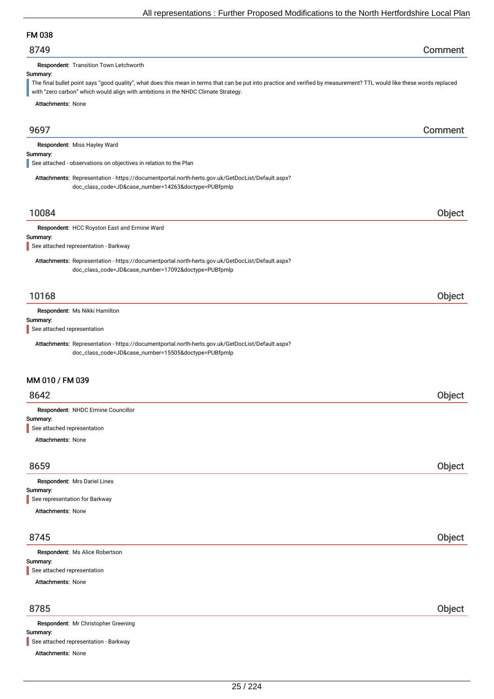## FM 038

| 8749 | Comment |
|------|---------|
|------|---------|

Respondent: Transition Town Letchworth

### Summary:

The final bullet point says "good quality", what does this mean in terms that can be put into practice and verified by measurement? TTL would like these words replaced with "zero carbon" which would align with ambitions in the NHDC Climate Strategy.

Attachments: None

9697 Comment Summary: Respondent: Miss Hayley Ward Attachments: Representation - https://documentportal.north-herts.gov.uk/GetDocList/Default.aspx? doc\_class\_code=JD&case\_number=14263&doctype=PUBfpmlp See attached - observations on objectives in relation to the Plan 10084 Object Summary: Respondent: HCC Royston East and Ermine Ward Attachments: Representation - https://documentportal.north-herts.gov.uk/GetDocList/Default.aspx? doc\_class\_code=JD&case\_number=17092&doctype=PUBfpmlp See attached representation - Barkway 10168 Object Summary: Respondent: Ms Nikki Hamilton Attachments: Representation - https://documentportal.north-herts.gov.uk/GetDocList/Default.aspx? doc\_class\_code=JD&case\_number=15505&doctype=PUBfpmlp See attached representation MM 010 / FM 039 8642 Object Summary: Attachments: None Respondent: NHDC Ermine Councillor See attached representation

| 8659                           | Object |
|--------------------------------|--------|
| Respondent: Mrs Dariel Lines   |        |
| Summary:                       |        |
| See representation for Barkway |        |
| <b>Attachments: None</b>       |        |
|                                |        |
|                                |        |

# 8745 Object Summary: Attachments: None Respondent: Ms Alice Robertson See attached representation

| <b>Respondent:</b> Mr Christopher Greening |
|--------------------------------------------|
| Summary:                                   |
| See attached representation - Barkway      |
| <b>Attachments: None</b>                   |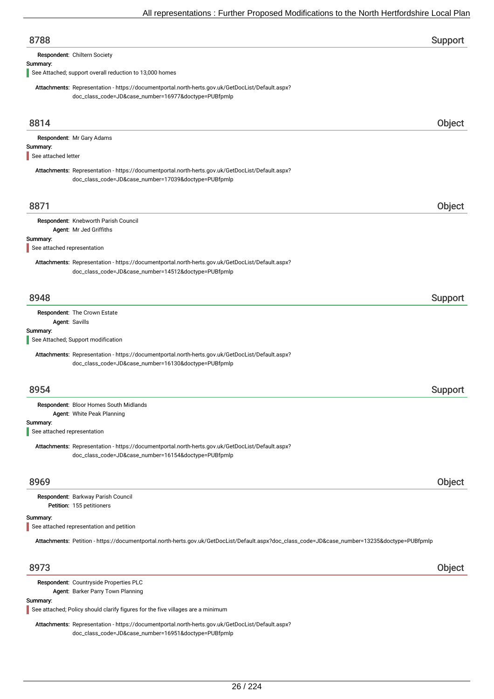| 8788                                    | Support                                                                                                                                                  |        |
|-----------------------------------------|----------------------------------------------------------------------------------------------------------------------------------------------------------|--------|
|                                         | Respondent: Chiltern Society                                                                                                                             |        |
| Summary:                                | See Attached; support overall reduction to 13,000 homes                                                                                                  |        |
|                                         | Attachments: Representation - https://documentportal.north-herts.gov.uk/GetDocList/Default.aspx?<br>doc_class_code=JD&case_number=16977&doctype=PUBfpmlp |        |
| 8814                                    |                                                                                                                                                          | Object |
|                                         | Respondent: Mr Gary Adams                                                                                                                                |        |
| Summary:<br>See attached letter         |                                                                                                                                                          |        |
|                                         | Attachments: Representation - https://documentportal.north-herts.gov.uk/GetDocList/Default.aspx?<br>doc_class_code=JD&case_number=17039&doctype=PUBfpmlp |        |
| 8871                                    |                                                                                                                                                          | Object |
|                                         | Respondent: Knebworth Parish Council<br>Agent: Mr Jed Griffiths                                                                                          |        |
| Summary:<br>See attached representation |                                                                                                                                                          |        |
|                                         | Attachments: Representation - https://documentportal.north-herts.gov.uk/GetDocList/Default.aspx?<br>doc_class_code=JD&case_number=14512&doctype=PUBfpmlp |        |
| 8948                                    | Support                                                                                                                                                  |        |
|                                         | Respondent: The Crown Estate<br>Agent: Savills                                                                                                           |        |
| Summary:                                | See Attached; Support modification                                                                                                                       |        |
|                                         | Attachments: Representation - https://documentportal.north-herts.gov.uk/GetDocList/Default.aspx?<br>doc_class_code=JD&case_number=16130&doctype=PUBfpmlp |        |
| 8954                                    | Support                                                                                                                                                  |        |
|                                         | Respondent: Bloor Homes South Midlands                                                                                                                   |        |
| Summary:                                | Agent: White Peak Planning                                                                                                                               |        |
| See attached representation             |                                                                                                                                                          |        |
|                                         | Attachments: Representation - https://documentportal.north-herts.gov.uk/GetDocList/Default.aspx?<br>doc_class_code=JD&case_number=16154&doctype=PUBfpmlp |        |
| 8969                                    |                                                                                                                                                          | Object |
|                                         | Respondent: Barkway Parish Council<br>Petition: 155 petitioners                                                                                          |        |
| Summary:                                | See attached representation and petition                                                                                                                 |        |
|                                         | Attachments: Petition - https://documentportal.north-herts.gov.uk/GetDocList/Default.aspx?doc_class_code=JD&case_number=13235&doctype=PUBfpmlp           |        |
| 8973                                    |                                                                                                                                                          | Object |
|                                         | Respondent: Countryside Properties PLC                                                                                                                   |        |

Agent: Barker Parry Town Planning

### Summary:

See attached; Policy should clarify figures for the five villages are a minimum

Attachments: Representation - https://documentportal.north-herts.gov.uk/GetDocList/Default.aspx? doc\_class\_code=JD&case\_number=16951&doctype=PUBfpmlp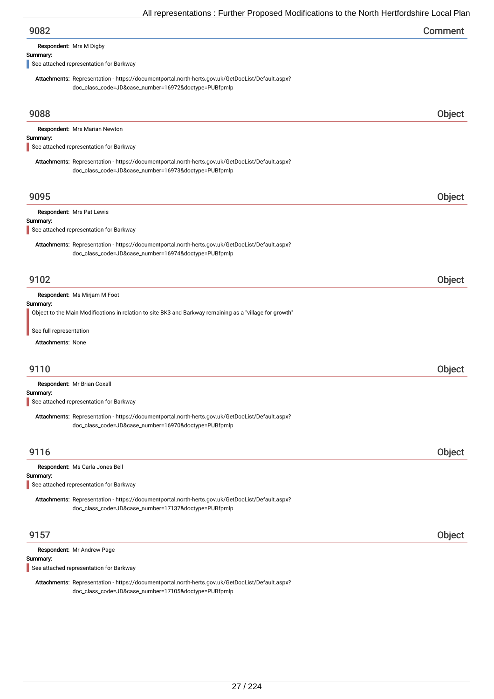| 9082 | Comment |
|------|---------|
|------|---------|

Respondent: Mrs M Digby

### Summary:

See attached representation for Barkway

Attachments: Representation - https://documentportal.north-herts.gov.uk/GetDocList/Default.aspx? doc\_class\_code=JD&case\_number=16972&doctype=PUBfpmlp

| 9088                                                                                                                                                     | <b>Object</b> |
|----------------------------------------------------------------------------------------------------------------------------------------------------------|---------------|
| Respondent: Mrs Marian Newton                                                                                                                            |               |
| Summary:<br>See attached representation for Barkway                                                                                                      |               |
| Attachments: Representation - https://documentportal.north-herts.gov.uk/GetDocList/Default.aspx?<br>doc_class_code=JD&case_number=16973&doctype=PUBfpmlp |               |
| 9095                                                                                                                                                     | Object        |
| Respondent: Mrs Pat Lewis                                                                                                                                |               |
| Summary:<br>See attached representation for Barkway                                                                                                      |               |
| Attachments: Representation - https://documentportal.north-herts.gov.uk/GetDocList/Default.aspx?<br>doc_class_code=JD&case_number=16974&doctype=PUBfpmlp |               |
| 9102                                                                                                                                                     | Object        |
| Respondent: Ms Mirjam M Foot                                                                                                                             |               |
| Summary:<br>Object to the Main Modifications in relation to site BK3 and Barkway remaining as a "village for growth"                                     |               |
| See full representation                                                                                                                                  |               |
| <b>Attachments: None</b>                                                                                                                                 |               |
| 9110                                                                                                                                                     | Object        |
| Respondent: Mr Brian Coxall                                                                                                                              |               |
| Summary:<br>See attached representation for Barkway                                                                                                      |               |
| Attachments: Representation - https://documentportal.north-herts.gov.uk/GetDocList/Default.aspx?<br>doc_class_code=JD&case_number=16970&doctype=PUBfpmlp |               |
| 9116                                                                                                                                                     | Object        |
| Respondent: Ms Carla Jones Bell<br>Summary:<br>See attached representation for Barkway                                                                   |               |
| Attachments: Representation - https://documentportal.north-herts.gov.uk/GetDocList/Default.aspx?<br>doc_class_code=JD&case_number=17137&doctype=PUBfpmlp |               |
| 9157                                                                                                                                                     | Object        |
| Respondent: Mr Andrew Page                                                                                                                               |               |
| Summary:<br>See attached representation for Barkway                                                                                                      |               |
|                                                                                                                                                          |               |

Attachments: Representation - https://documentportal.north-herts.gov.uk/GetDocList/Default.aspx? doc\_class\_code=JD&case\_number=17105&doctype=PUBfpmlp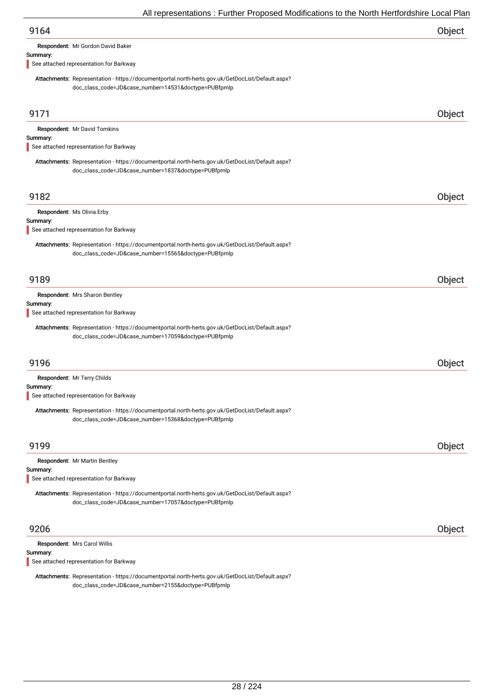| All representations : Further Proposed Modifications to the North Hertfordshire Local Plar                                                               |        |
|----------------------------------------------------------------------------------------------------------------------------------------------------------|--------|
| 9164                                                                                                                                                     | Object |
| Respondent: Mr Gordon David Baker                                                                                                                        |        |
| Summary:                                                                                                                                                 |        |
| See attached representation for Barkway                                                                                                                  |        |
| Attachments: Representation - https://documentportal.north-herts.gov.uk/GetDocList/Default.aspx?<br>doc_class_code=JD&case_number=14531&doctype=PUBfpmlp |        |
| 9171                                                                                                                                                     | Object |
| Respondent: Mr David Tomkins                                                                                                                             |        |
| Summary:                                                                                                                                                 |        |
| See attached representation for Barkway                                                                                                                  |        |
| Attachments: Representation - https://documentportal.north-herts.gov.uk/GetDocList/Default.aspx?                                                         |        |
| doc_class_code=JD&case_number=1837&doctype=PUBfpmlp                                                                                                      |        |
|                                                                                                                                                          |        |
| 9182                                                                                                                                                     | Object |
| Respondent: Ms Olivia Erby                                                                                                                               |        |
| Summary:                                                                                                                                                 |        |
| See attached representation for Barkway                                                                                                                  |        |
| Attachments: Representation - https://documentportal.north-herts.gov.uk/GetDocList/Default.aspx?<br>doc_class_code=JD&case_number=15565&doctype=PUBfpmlp |        |
| 9189                                                                                                                                                     | Object |
| Respondent: Mrs Sharon Bentley                                                                                                                           |        |
| Summary:<br>See attached representation for Barkway                                                                                                      |        |
|                                                                                                                                                          |        |
| Attachments: Representation - https://documentportal.north-herts.gov.uk/GetDocList/Default.aspx?<br>doc_class_code=JD&case_number=17059&doctype=PUBfpmlp |        |
| 9196                                                                                                                                                     | Object |
| Respondent: Mr Terry Childs                                                                                                                              |        |
| Summary:                                                                                                                                                 |        |
| See attached representation for Barkway                                                                                                                  |        |
| Attachments: Representation - https://documentportal.north-herts.gov.uk/GetDocList/Default.aspx?<br>doc_class_code=JD&case_number=15368&doctype=PUBfpmlp |        |
| 9199                                                                                                                                                     | Object |
| Respondent: Mr Martin Bentley                                                                                                                            |        |
| Summary:                                                                                                                                                 |        |
|                                                                                                                                                          |        |

See attached representation for Barkway

Attachments: Representation - https://documentportal.north-herts.gov.uk/GetDocList/Default.aspx? doc\_class\_code=JD&case\_number=17057&doctype=PUBfpmlp

## 9206 Object

Respondent: Mrs Carol Willis

Summary:

See attached representation for Barkway

Attachments: Representation - https://documentportal.north-herts.gov.uk/GetDocList/Default.aspx? doc\_class\_code=JD&case\_number=2155&doctype=PUBfpmlp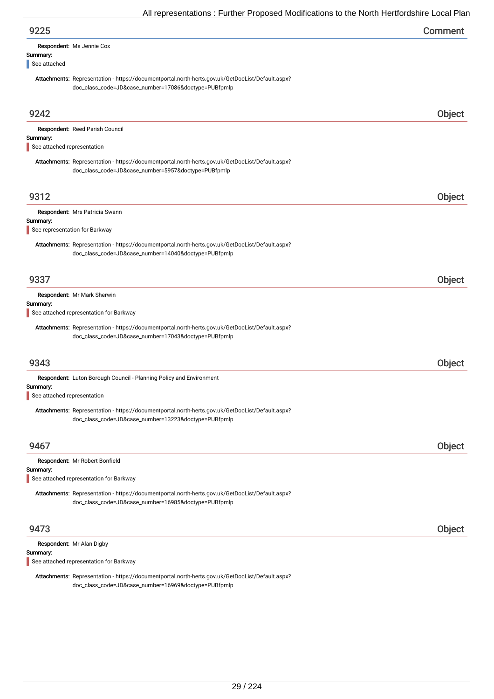| 9225                                                                                                                                                     | Comment |
|----------------------------------------------------------------------------------------------------------------------------------------------------------|---------|
| <b>Respondent: Ms Jennie Cox</b><br>Summary:<br>See attached                                                                                             |         |
| Attachments: Representation - https://documentportal.north-herts.gov.uk/GetDocList/Default.aspx?<br>doc_class_code=JD&case_number=17086&doctype=PUBfpmlp |         |
| 9242                                                                                                                                                     | Object  |

| Respondent: Reed Parish Council                                                                                                                          |        |
|----------------------------------------------------------------------------------------------------------------------------------------------------------|--------|
| Summary:<br>See attached representation                                                                                                                  |        |
| Attachments: Representation - https://documentportal.north-herts.gov.uk/GetDocList/Default.aspx?<br>doc_class_code=JD&case_number=5957&doctype=PUBfpmlp  |        |
| 9312                                                                                                                                                     | Object |
| Respondent: Mrs Patricia Swann<br>Summary:                                                                                                               |        |
| See representation for Barkway                                                                                                                           |        |
| Attachments: Representation - https://documentportal.north-herts.gov.uk/GetDocList/Default.aspx?<br>doc_class_code=JD&case_number=14040&doctype=PUBfpmlp |        |
| 9337                                                                                                                                                     | Object |
| Respondent: Mr Mark Sherwin                                                                                                                              |        |
| Summary:<br>See attached representation for Barkway                                                                                                      |        |
| Attachments: Representation - https://documentportal.north-herts.gov.uk/GetDocList/Default.aspx?<br>doc_class_code=JD&case_number=17043&doctype=PUBfpmlp |        |
| 9343                                                                                                                                                     | Object |
| Respondent: Luton Borough Council - Planning Policy and Environment<br>Summary:<br>See attached representation                                           |        |
| Attachments: Representation - https://documentportal.north-herts.gov.uk/GetDocList/Default.aspx?<br>doc_class_code=JD&case_number=13223&doctype=PUBfpmlp |        |
| 9467                                                                                                                                                     | Object |
| Respondent: Mr Robert Bonfield                                                                                                                           |        |
| Summary:<br>See attached representation for Barkway                                                                                                      |        |
| Attachments: Representation - https://documentportal.north-herts.gov.uk/GetDocList/Default.aspx?<br>doc_class_code=JD&case_number=16985&doctype=PUBfpmlp |        |
| 9473                                                                                                                                                     | Object |

Respondent: Mr Alan Digby

Summary:

See attached representation for Barkway

Attachments: Representation - https://documentportal.north-herts.gov.uk/GetDocList/Default.aspx? doc\_class\_code=JD&case\_number=16969&doctype=PUBfpmlp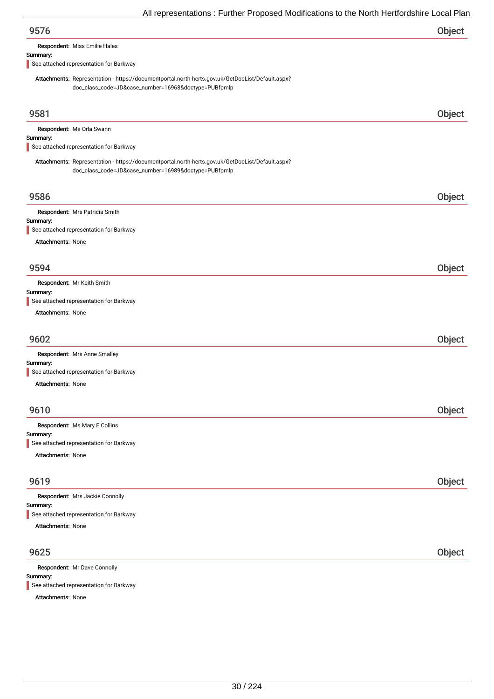| 9576 | Object |
|------|--------|
|      |        |

Respondent: Miss Emilie Hales

### Summary:

See attached representation for Barkway

Attachments: Representation - https://documentportal.north-herts.gov.uk/GetDocList/Default.aspx? doc\_class\_code=JD&case\_number=16968&doctype=PUBfpmlp

| 9581                                                                                                                                                     | Object |
|----------------------------------------------------------------------------------------------------------------------------------------------------------|--------|
| Respondent: Ms Orla Swann                                                                                                                                |        |
| Summary:<br>See attached representation for Barkway                                                                                                      |        |
|                                                                                                                                                          |        |
| Attachments: Representation - https://documentportal.north-herts.gov.uk/GetDocList/Default.aspx?<br>doc_class_code=JD&case_number=16989&doctype=PUBfpmlp |        |
|                                                                                                                                                          |        |
| 9586                                                                                                                                                     | Object |
| Respondent: Mrs Patricia Smith<br>Summary:                                                                                                               |        |
| See attached representation for Barkway                                                                                                                  |        |
| <b>Attachments: None</b>                                                                                                                                 |        |
|                                                                                                                                                          |        |
| 9594                                                                                                                                                     | Object |
| Respondent: Mr Keith Smith                                                                                                                               |        |
| Summary:<br>See attached representation for Barkway                                                                                                      |        |
| <b>Attachments: None</b>                                                                                                                                 |        |
| 9602                                                                                                                                                     | Object |
| Respondent: Mrs Anne Smalley                                                                                                                             |        |
| Summary:                                                                                                                                                 |        |
| See attached representation for Barkway                                                                                                                  |        |
| <b>Attachments: None</b>                                                                                                                                 |        |
| 9610                                                                                                                                                     | Object |
|                                                                                                                                                          |        |
| Respondent: Ms Mary E Collins<br>Summary:                                                                                                                |        |
| See attached representation for Barkway                                                                                                                  |        |
| Attachments: None                                                                                                                                        |        |
| 9619                                                                                                                                                     | Object |
| Respondent: Mrs Jackie Connolly                                                                                                                          |        |
| Summary:                                                                                                                                                 |        |
| See attached representation for Barkway                                                                                                                  |        |
| Attachments: None                                                                                                                                        |        |
| 9625                                                                                                                                                     | Object |
| Respondent: Mr Dave Connolly                                                                                                                             |        |
| Summary:                                                                                                                                                 |        |

See attached representation for Barkway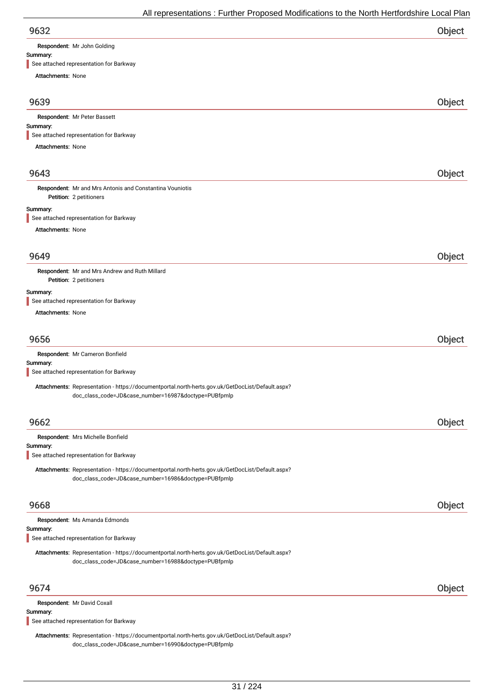Respondent: Mr John Golding

### Summary:

See attached representation for Barkway

Attachments: None 9639 Object Summary: Attachments: None Respondent: Mr Peter Bassett See attached representation for Barkway 9643 Object Petition: 2 petitioners Summary: Attachments: None Respondent: Mr and Mrs Antonis and Constantina Vouniotis See attached representation for Barkway 9649 Object Petition: 2 petitioners Summary: Attachments: None Respondent: Mr and Mrs Andrew and Ruth Millard See attached representation for Barkway 9656 Object Summary: Respondent: Mr Cameron Bonfield Attachments: Representation - https://documentportal.north-herts.gov.uk/GetDocList/Default.aspx? doc\_class\_code=JD&case\_number=16987&doctype=PUBfpmlp See attached representation for Barkway 9662 Object Summary: Respondent: Mrs Michelle Bonfield Attachments: Representation - https://documentportal.north-herts.gov.uk/GetDocList/Default.aspx? doc\_class\_code=JD&case\_number=16986&doctype=PUBfpmlp See attached representation for Barkway 9668 Object Summary: Respondent: Ms Amanda Edmonds Attachments: Representation - https://documentportal.north-herts.gov.uk/GetDocList/Default.aspx? doc\_class\_code=JD&case\_number=16988&doctype=PUBfpmlp See attached representation for Barkway 9674 Object Summary: Respondent: Mr David Coxall See attached representation for Barkway

Attachments: Representation - https://documentportal.north-herts.gov.uk/GetDocList/Default.aspx? doc\_class\_code=JD&case\_number=16990&doctype=PUBfpmlp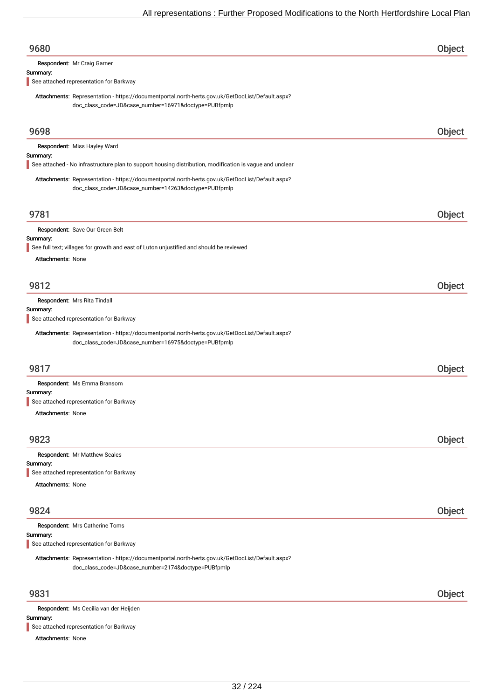| 9680                                                                                                                                                     | Object |
|----------------------------------------------------------------------------------------------------------------------------------------------------------|--------|
| Respondent: Mr Craig Garner                                                                                                                              |        |
| Summary:<br>See attached representation for Barkway                                                                                                      |        |
| Attachments: Representation - https://documentportal.north-herts.gov.uk/GetDocList/Default.aspx?                                                         |        |
| doc_class_code=JD&case_number=16971&doctype=PUBfpmlp                                                                                                     |        |
| 9698                                                                                                                                                     | Object |
| Respondent: Miss Hayley Ward                                                                                                                             |        |
| Summary:<br>See attached - No infrastructure plan to support housing distribution, modification is vague and unclear                                     |        |
| Attachments: Representation - https://documentportal.north-herts.gov.uk/GetDocList/Default.aspx?                                                         |        |
| doc_class_code=JD&case_number=14263&doctype=PUBfpmlp                                                                                                     |        |
| 9781                                                                                                                                                     | Object |
| Respondent: Save Our Green Belt                                                                                                                          |        |
| Summary:<br>See full text; villages for growth and east of Luton unjustified and should be reviewed                                                      |        |
| <b>Attachments: None</b>                                                                                                                                 |        |
|                                                                                                                                                          |        |
| 9812                                                                                                                                                     | Object |
| Respondent: Mrs Rita Tindall                                                                                                                             |        |
| Summary:                                                                                                                                                 |        |
| See attached representation for Barkway                                                                                                                  |        |
| Attachments: Representation - https://documentportal.north-herts.gov.uk/GetDocList/Default.aspx?<br>doc_class_code=JD&case_number=16975&doctype=PUBfpmlp |        |
| 9817                                                                                                                                                     | Object |
| Respondent: Ms Emma Bransom                                                                                                                              |        |
| Summary:<br>See attached representation for Barkway                                                                                                      |        |
| <b>Attachments: None</b>                                                                                                                                 |        |
|                                                                                                                                                          |        |
| 9823                                                                                                                                                     | Object |
| Respondent: Mr Matthew Scales                                                                                                                            |        |
| Summary:<br>See attached representation for Barkway                                                                                                      |        |
| <b>Attachments: None</b>                                                                                                                                 |        |
| 9824                                                                                                                                                     | Object |
| Respondent: Mrs Catherine Toms                                                                                                                           |        |
| Summary:                                                                                                                                                 |        |
| See attached representation for Barkway                                                                                                                  |        |
| Attachments: Representation - https://documentportal.north-herts.gov.uk/GetDocList/Default.aspx?<br>doc_class_code=JD&case_number=2174&doctype=PUBfpmlp  |        |
| 9831                                                                                                                                                     | Object |
| Respondent: Ms Cecilia van der Heijden                                                                                                                   |        |
| Summary:                                                                                                                                                 |        |
| See attached representation for Barkway                                                                                                                  |        |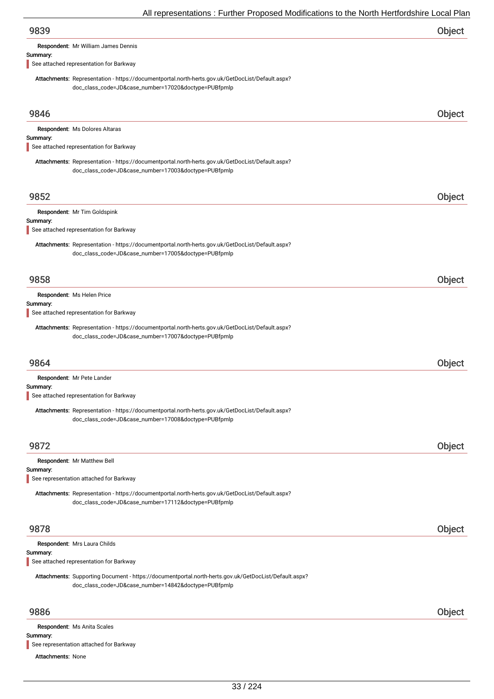| 9839                                                                                                                                                     | Object |
|----------------------------------------------------------------------------------------------------------------------------------------------------------|--------|
| Respondent: Mr William James Dennis                                                                                                                      |        |
| Summary:                                                                                                                                                 |        |
| See attached representation for Barkway                                                                                                                  |        |
| Attachments: Representation - https://documentportal.north-herts.gov.uk/GetDocList/Default.aspx?                                                         |        |
| doc_class_code=JD&case_number=17020&doctype=PUBfpmlp                                                                                                     |        |
| 9846                                                                                                                                                     | Object |
| Respondent: Ms Dolores Altaras                                                                                                                           |        |
| Summary:                                                                                                                                                 |        |
| See attached representation for Barkway                                                                                                                  |        |
| Attachments: Representation - https://documentportal.north-herts.gov.uk/GetDocList/Default.aspx?<br>doc_class_code=JD&case_number=17003&doctype=PUBfpmlp |        |
|                                                                                                                                                          |        |
| 9852<br>Respondent: Mr Tim Goldspink<br>See attached representation for Barkway                                                                          | Object |
| Attachments: Representation - https://documentportal.north-herts.gov.uk/GetDocList/Default.aspx?<br>doc_class_code=JD&case_number=17005&doctype=PUBfpmlp |        |
| 9858                                                                                                                                                     | Object |
| Respondent: Ms Helen Price                                                                                                                               |        |
| See attached representation for Barkway                                                                                                                  |        |
|                                                                                                                                                          |        |
| Attachments: Representation - https://documentportal.north-herts.gov.uk/GetDocList/Default.aspx?<br>doc_class_code=JD&case_number=17007&doctype=PUBfpmlp |        |
| 9864                                                                                                                                                     | Object |
| Respondent: Mr Pete Lander                                                                                                                               |        |
| Summary:<br>Summary:<br>Summary:<br>See attached representation for Barkway                                                                              |        |

| 9872                                                                                             | <b>Object</b> |
|--------------------------------------------------------------------------------------------------|---------------|
| Respondent: Mr Matthew Bell                                                                      |               |
| Summary:                                                                                         |               |
| See representation attached for Barkway                                                          |               |
| Attachments: Representation - https://documentportal.north-herts.gov.uk/GetDocList/Default.aspx? |               |
| doc_class_code=JD&case_number=17112&doctype=PUBfpmlp                                             |               |
|                                                                                                  |               |

Respondent: Mrs Laura Childs

## Summary:

See attached representation for Barkway

Attachments: Supporting Document - https://documentportal.north-herts.gov.uk/GetDocList/Default.aspx? doc\_class\_code=JD&case\_number=14842&doctype=PUBfpmlp

## 9886 Object

Respondent: Ms Anita Scales

### Summary:

See representation attached for Barkway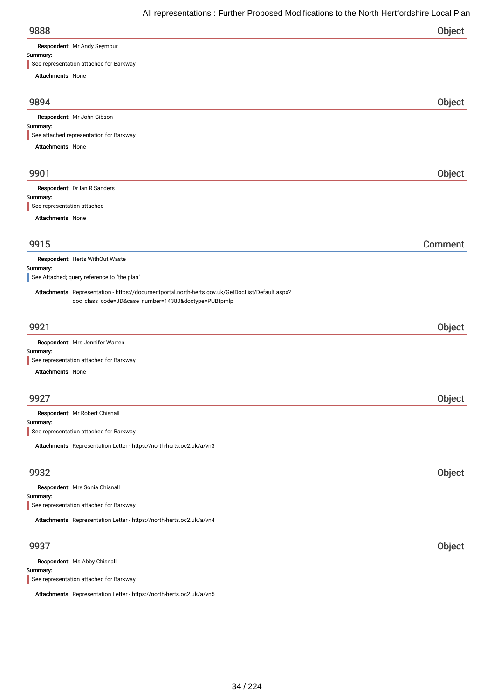| 9888 | Object |
|------|--------|
|      |        |

Respondent: Mr Andy Seymour

## Summary:

| See representation attached for Barkway                                                                                                                  |         |
|----------------------------------------------------------------------------------------------------------------------------------------------------------|---------|
| Attachments: None                                                                                                                                        |         |
| 9894                                                                                                                                                     | Object  |
| Respondent: Mr John Gibson                                                                                                                               |         |
| Summary:                                                                                                                                                 |         |
| See attached representation for Barkway                                                                                                                  |         |
| Attachments: None                                                                                                                                        |         |
| 9901                                                                                                                                                     | Object  |
| Respondent: Dr Ian R Sanders                                                                                                                             |         |
| Summary:<br>See representation attached                                                                                                                  |         |
|                                                                                                                                                          |         |
| Attachments: None                                                                                                                                        |         |
| 9915                                                                                                                                                     | Comment |
| Respondent: Herts WithOut Waste                                                                                                                          |         |
| Summary:                                                                                                                                                 |         |
| See Attached; query reference to "the plan"                                                                                                              |         |
| Attachments: Representation - https://documentportal.north-herts.gov.uk/GetDocList/Default.aspx?<br>doc_class_code=JD&case_number=14380&doctype=PUBfpmlp |         |
| 9921                                                                                                                                                     | Object  |
| Respondent: Mrs Jennifer Warren                                                                                                                          |         |
| Summary:<br>See representation attached for Barkway                                                                                                      |         |
| Attachments: None                                                                                                                                        |         |
|                                                                                                                                                          |         |
| 9927                                                                                                                                                     | Object  |
| Respondent: Mr Robert Chisnall<br>Summary:                                                                                                               |         |
| See representation attached for Barkway                                                                                                                  |         |
| Attachments: Representation Letter - https://north-herts.oc2.uk/a/vn3                                                                                    |         |
|                                                                                                                                                          |         |
| 9932                                                                                                                                                     | Object  |
| Respondent: Mrs Sonia Chisnall                                                                                                                           |         |
| Summary:<br>See representation attached for Barkway                                                                                                      |         |
|                                                                                                                                                          |         |
| Attachments: Representation Letter - https://north-herts.oc2.uk/a/vn4                                                                                    |         |
| 9937                                                                                                                                                     | Object  |
| Respondent: Ms Abby Chisnall<br>Summary:                                                                                                                 |         |

See representation attached for Barkway

Attachments: Representation Letter - https://north-herts.oc2.uk/a/vn5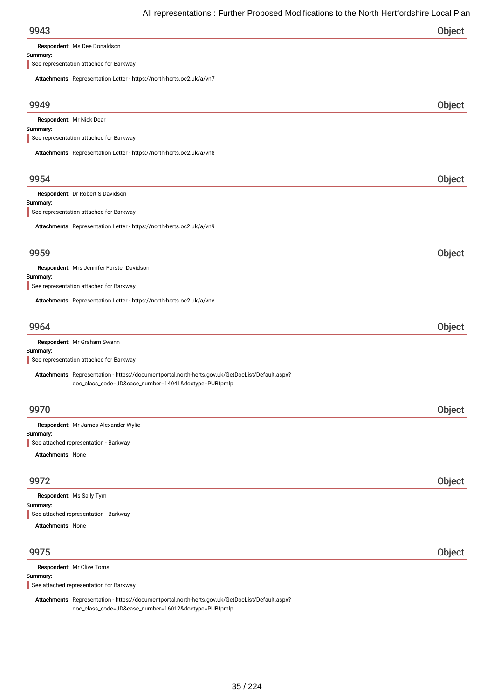| 9943 | Object |
|------|--------|
|      |        |

Respondent: Ms Dee Donaldson

### Summary:

See representation attached for Barkway

| Attachments: Representation Letter - https://north-herts.oc2.uk/a/vn7                                                                                    |        |
|----------------------------------------------------------------------------------------------------------------------------------------------------------|--------|
| 9949                                                                                                                                                     | Object |
| Respondent: Mr Nick Dear<br>Summary:<br>See representation attached for Barkway                                                                          |        |
| Attachments: Representation Letter - https://north-herts.oc2.uk/a/vn8                                                                                    |        |
| 9954                                                                                                                                                     | Object |
| Respondent: Dr Robert S Davidson<br>Summary:<br>See representation attached for Barkway                                                                  |        |
| Attachments: Representation Letter - https://north-herts.oc2.uk/a/vn9                                                                                    |        |
| 9959                                                                                                                                                     | Object |
| Respondent: Mrs Jennifer Forster Davidson<br>Summary:<br>See representation attached for Barkway                                                         |        |
| Attachments: Representation Letter - https://north-herts.oc2.uk/a/vnv                                                                                    |        |
| 9964                                                                                                                                                     | Object |
| Respondent: Mr Graham Swann<br>Summary:<br>See representation attached for Barkway                                                                       |        |
| Attachments: Representation - https://documentportal.north-herts.gov.uk/GetDocList/Default.aspx?<br>doc_class_code=JD&case_number=14041&doctype=PUBfpmlp |        |
| 9970                                                                                                                                                     | Object |
| Respondent: Mr James Alexander Wylie<br>Summary:<br>See attached representation - Barkway<br><b>Attachments: None</b>                                    |        |
| 9972                                                                                                                                                     | Object |
| Respondent: Ms Sally Tym<br>Summary:<br>See attached representation - Barkway<br><b>Attachments: None</b>                                                |        |
| 9975                                                                                                                                                     | Object |
| Respondent: Mr Clive Toms<br>Summary:<br>See attached representation for Barkway                                                                         |        |
|                                                                                                                                                          |        |

Attachments: Representation - https://documentportal.north-herts.gov.uk/GetDocList/Default.aspx? doc\_class\_code=JD&case\_number=16012&doctype=PUBfpmlp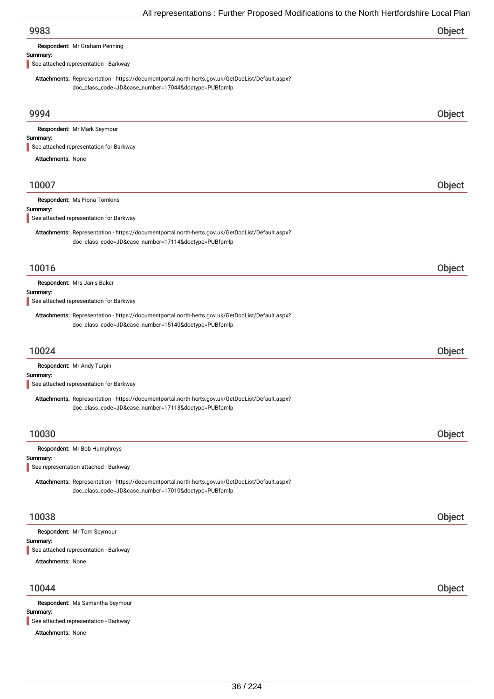Respondent: Mr Graham Penning

### Summary:

See attached representation - Barkway

Attachments: Representation - https://documentportal.north-herts.gov.uk/GetDocList/Default.aspx? doc\_class\_code=JD&case\_number=17044&doctype=PUBfpmlp

| 9994                                                                                                                                                     | Object |
|----------------------------------------------------------------------------------------------------------------------------------------------------------|--------|
| Respondent: Mr Mark Seymour                                                                                                                              |        |
| Summary:                                                                                                                                                 |        |
| See attached representation for Barkway                                                                                                                  |        |
| <b>Attachments: None</b>                                                                                                                                 |        |
| 10007                                                                                                                                                    | Object |
| Respondent: Ms Fiona Tomkins                                                                                                                             |        |
| Summary:                                                                                                                                                 |        |
| See attached representation for Barkway                                                                                                                  |        |
| Attachments: Representation - https://documentportal.north-herts.gov.uk/GetDocList/Default.aspx?<br>doc_class_code=JD&case_number=17114&doctype=PUBfpmlp |        |
| 10016                                                                                                                                                    | Object |
| Respondent: Mrs Janis Baker                                                                                                                              |        |
| Summary:                                                                                                                                                 |        |
| See attached representation for Barkway                                                                                                                  |        |
| Attachments: Representation - https://documentportal.north-herts.gov.uk/GetDocList/Default.aspx?<br>doc_class_code=JD&case_number=15140&doctype=PUBfpmlp |        |
| 10024                                                                                                                                                    | Object |
| Respondent: Mr Andy Turpin                                                                                                                               |        |
| Summary:<br>See attached representation for Barkway                                                                                                      |        |
| Attachments: Representation - https://documentportal.north-herts.gov.uk/GetDocList/Default.aspx?                                                         |        |
| doc_class_code=JD&case_number=17113&doctype=PUBfpmlp                                                                                                     |        |
|                                                                                                                                                          |        |
| 10030                                                                                                                                                    | Object |
| Respondent: Mr Bob Humphreys                                                                                                                             |        |
| Summary:                                                                                                                                                 |        |
| See representation attached - Barkway                                                                                                                    |        |
| Attachments: Representation - https://documentportal.north-herts.gov.uk/GetDocList/Default.aspx?<br>doc_class_code=JD&case_number=17010&doctype=PUBfpmlp |        |
| 10038                                                                                                                                                    | Object |
| Respondent: Mr Tom Seymour                                                                                                                               |        |
| Summary:                                                                                                                                                 |        |
| See attached representation - Barkway                                                                                                                    |        |
| <b>Attachments: None</b>                                                                                                                                 |        |
| 10044                                                                                                                                                    | Object |
| Respondent: Ms Samantha Seymour                                                                                                                          |        |
| Summary:<br>See attached representation - Barkway                                                                                                        |        |
| Attachments: None                                                                                                                                        |        |
|                                                                                                                                                          |        |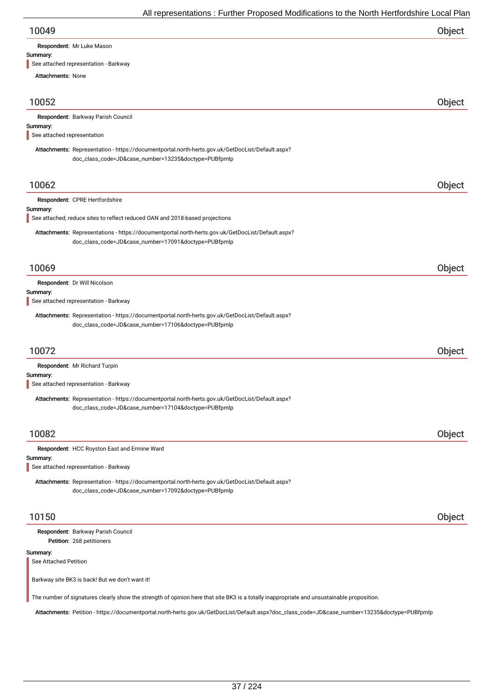| 10049 | Object |
|-------|--------|
|-------|--------|

Respondent: Mr Luke Mason

#### Summary:

See attached representation - Barkway

| <b>Attachments: None</b>                |                                                                                                                                                           |        |
|-----------------------------------------|-----------------------------------------------------------------------------------------------------------------------------------------------------------|--------|
| 10052                                   |                                                                                                                                                           | Object |
|                                         | Respondent: Barkway Parish Council                                                                                                                        |        |
| Summary:<br>See attached representation |                                                                                                                                                           |        |
|                                         | Attachments: Representation - https://documentportal.north-herts.gov.uk/GetDocList/Default.aspx?                                                          |        |
|                                         | doc_class_code=JD&case_number=13235&doctype=PUBfpmlp                                                                                                      |        |
| 10062                                   |                                                                                                                                                           | Object |
|                                         | Respondent: CPRE Hertfordshire                                                                                                                            |        |
| Summary:                                | See attached; reduce sites to reflect reduced OAN and 2018-based projections                                                                              |        |
|                                         | Attachments: Representations - https://documentportal.north-herts.gov.uk/GetDocList/Default.aspx?<br>doc_class_code=JD&case_number=17091&doctype=PUBfpmlp |        |
| 10069                                   |                                                                                                                                                           | Object |
|                                         | Respondent: Dr Will Nicolson                                                                                                                              |        |
| Summary:                                | See attached representation - Barkway                                                                                                                     |        |
|                                         |                                                                                                                                                           |        |
|                                         | Attachments: Representation - https://documentportal.north-herts.gov.uk/GetDocList/Default.aspx?<br>doc_class_code=JD&case_number=17106&doctype=PUBfpmlp  |        |
| 10072                                   |                                                                                                                                                           | Object |
|                                         | Respondent: Mr Richard Turpin                                                                                                                             |        |
| Summary:                                | See attached representation - Barkway                                                                                                                     |        |
|                                         | Attachments: Representation - https://documentportal.north-herts.gov.uk/GetDocList/Default.aspx?<br>doc_class_code=JD&case_number=17104&doctype=PUBfpmlp  |        |
| 10082                                   |                                                                                                                                                           | Object |
|                                         | Respondent: HCC Royston East and Ermine Ward                                                                                                              |        |
| Summary:                                | See attached representation - Barkway                                                                                                                     |        |
|                                         | Attachments: Representation - https://documentportal.north-herts.gov.uk/GetDocList/Default.aspx?<br>doc_class_code=JD&case_number=17092&doctype=PUBfpmlp  |        |
| 10150                                   |                                                                                                                                                           | Object |
|                                         | Respondent: Barkway Parish Council<br>Petition: 268 petitioners                                                                                           |        |
| Summary:<br>See Attached Petition       |                                                                                                                                                           |        |
|                                         | Barkway site BK3 is back! But we don't want it!                                                                                                           |        |
|                                         | The number of signatures clearly show the strength of opinion here that site BK3 is a totally inappropriate and unsustainable proposition.                |        |
|                                         | Attachments: Petition - https://documentportal.north-herts.gov.uk/GetDocList/Default.aspx?doc_class_code=JD&case_number=13235&doctype=PUBfpmlp            |        |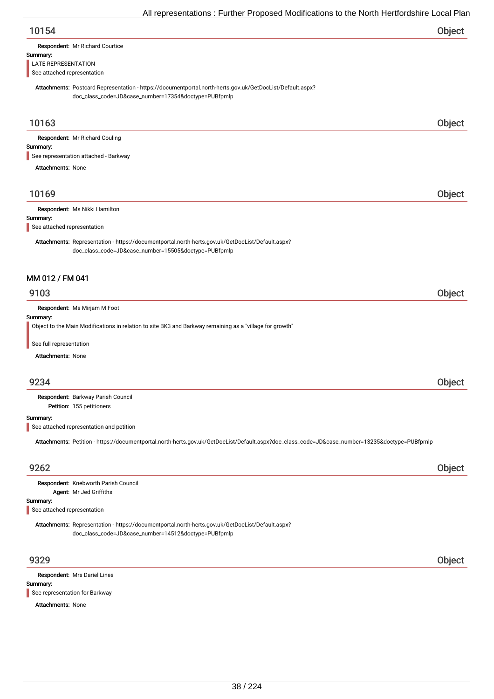| 10154 | Object |
|-------|--------|
|       |        |

| Respondent: Mr Richard Courtice |  |
|---------------------------------|--|
|                                 |  |

#### Summary:

LATE REPRESENTATION

See attached representation

Attachments: Postcard Representation - https://documentportal.north-herts.gov.uk/GetDocList/Default.aspx? doc\_class\_code=JD&case\_number=17354&doctype=PUBfpmlp

## 10163 Object

Respondent: Mr Richard Couling

#### Summary:

See representation attached - Barkway

Attachments: None

## 10169 Object

Respondent: Ms Nikki Hamilton

#### Summary:

See attached representation

Attachments: Representation - https://documentportal.north-herts.gov.uk/GetDocList/Default.aspx? doc\_class\_code=JD&case\_number=15505&doctype=PUBfpmlp

## MM 012 / FM 041

## 9103 Object

Respondent: Ms Mirjam M Foot

## Summary:

Object to the Main Modifications in relation to site BK3 and Barkway remaining as a "village for growth"

See full representation

Attachments: None

## 9234 Object

Petition: 155 petitioners Respondent: Barkway Parish Council

Summary:

See attached representation and petition

Attachments: Petition - https://documentportal.north-herts.gov.uk/GetDocList/Default.aspx?doc\_class\_code=JD&case\_number=13235&doctype=PUBfpmlp

## 9262 Object

| Respondent: Knebworth Parish Council |
|--------------------------------------|
| Agent: Mr Jed Griffiths              |

#### Summary:

See attached representation

Attachments: Representation - https://documentportal.north-herts.gov.uk/GetDocList/Default.aspx? doc\_class\_code=JD&case\_number=14512&doctype=PUBfpmlp

Summary: Respondent: Mrs Dariel Lines See representation for Barkway

#### Attachments: None

9329 Object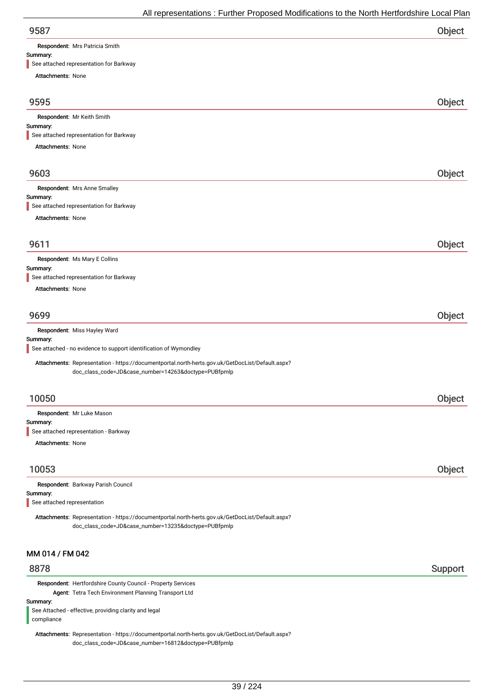Respondent: Mrs Patricia Smith

#### Summary:

See attached representation for Barkway

| see andoned representation for Barkway                                                                                                                   |                |
|----------------------------------------------------------------------------------------------------------------------------------------------------------|----------------|
| Attachments: None                                                                                                                                        |                |
| 9595                                                                                                                                                     | Object         |
| Respondent: Mr Keith Smith                                                                                                                               |                |
| Summary:                                                                                                                                                 |                |
| See attached representation for Barkway<br>Attachments: None                                                                                             |                |
|                                                                                                                                                          |                |
| 9603                                                                                                                                                     | Object         |
| Respondent: Mrs Anne Smalley                                                                                                                             |                |
| Summary:<br>See attached representation for Barkway                                                                                                      |                |
| <b>Attachments: None</b>                                                                                                                                 |                |
|                                                                                                                                                          |                |
| 9611                                                                                                                                                     | Object         |
| Respondent: Ms Mary E Collins<br>Summary:                                                                                                                |                |
| See attached representation for Barkway                                                                                                                  |                |
| Attachments: None                                                                                                                                        |                |
| 9699                                                                                                                                                     | Object         |
| Respondent: Miss Hayley Ward                                                                                                                             |                |
| Summary:<br>See attached - no evidence to support identification of Wymondley                                                                            |                |
| Attachments: Representation - https://documentportal.north-herts.gov.uk/GetDocList/Default.aspx?<br>doc_class_code=JD&case_number=14263&doctype=PUBfpmlp |                |
| 10050                                                                                                                                                    | Object         |
| Respondent: Mr Luke Mason                                                                                                                                |                |
| Summary:                                                                                                                                                 |                |
| See attached representation - Barkway                                                                                                                    |                |
| Attachments: None                                                                                                                                        |                |
| 10053                                                                                                                                                    | Object         |
| Respondent: Barkway Parish Council                                                                                                                       |                |
| Summary:<br>See attached representation                                                                                                                  |                |
| Attachments: Representation - https://documentportal.north-herts.gov.uk/GetDocList/Default.aspx?<br>doc_class_code=JD&case_number=13235&doctype=PUBfpmlp |                |
| MM 014 / FM 042                                                                                                                                          |                |
| 8878                                                                                                                                                     | <b>Support</b> |
| Respondent: Hertfordshire County Council - Property Services                                                                                             |                |
| Agent: Tetra Tech Environment Planning Transport Ltd                                                                                                     |                |
| See Attached - effective, providing clarity and legal                                                                                                    |                |
| Summary:                                                                                                                                                 |                |

compliance

Attachments: Representation - https://documentportal.north-herts.gov.uk/GetDocList/Default.aspx? doc\_class\_code=JD&case\_number=16812&doctype=PUBfpmlp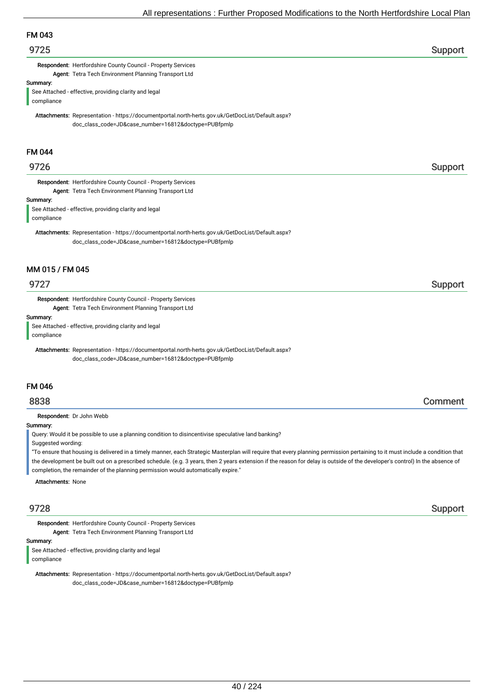# FM 043

## er 19725 i Support and the set of the set of the set of the set of the set of the Support Support in the set of the set of the set of the set of the set of the set of the set of the set of the set of the set of the set of

Respondent: Hertfordshire County Council - Property Services Agent: Tetra Tech Environment Planning Transport Ltd

## Summary:

See Attached - effective, providing clarity and legal compliance

Attachments: Representation - https://documentportal.north-herts.gov.uk/GetDocList/Default.aspx? doc\_class\_code=JD&case\_number=16812&doctype=PUBfpmlp

## FM 044

## 9726 Support

Respondent: Hertfordshire County Council - Property Services Agent: Tetra Tech Environment Planning Transport Ltd

#### Summary:

See Attached - effective, providing clarity and legal compliance

Attachments: Representation - https://documentportal.north-herts.gov.uk/GetDocList/Default.aspx? doc\_class\_code=JD&case\_number=16812&doctype=PUBfpmlp

## MM 015 / FM 045

Respondent: Hertfordshire County Council - Property Services Agent: Tetra Tech Environment Planning Transport Ltd

Summary:

See Attached - effective, providing clarity and legal compliance

Attachments: Representation - https://documentportal.north-herts.gov.uk/GetDocList/Default.aspx? doc\_class\_code=JD&case\_number=16812&doctype=PUBfpmlp

## FM 046

## 8838 Comment

Respondent: Dr John Webb

#### Summary:

Query: Would it be possible to use a planning condition to disincentivise speculative land banking?

Suggested wording:

"To ensure that housing is delivered in a timely manner, each Strategic Masterplan will require that every planning permission pertaining to it must include a condition that the development be built out on a prescribed schedule. (e.g. 3 years, then 2 years extension if the reason for delay is outside of the developer's control) In the absence of completion, the remainder of the planning permission would automatically expire."

Attachments: None

Respondent: Hertfordshire County Council - Property Services Agent: Tetra Tech Environment Planning Transport Ltd

Summary:

See Attached - effective, providing clarity and legal

compliance

Attachments: Representation - https://documentportal.north-herts.gov.uk/GetDocList/Default.aspx? doc\_class\_code=JD&case\_number=16812&doctype=PUBfpmlp

9728 Support

## er 19727 i Support and the set of the set of the set of the set of the set of the Support Support in the Support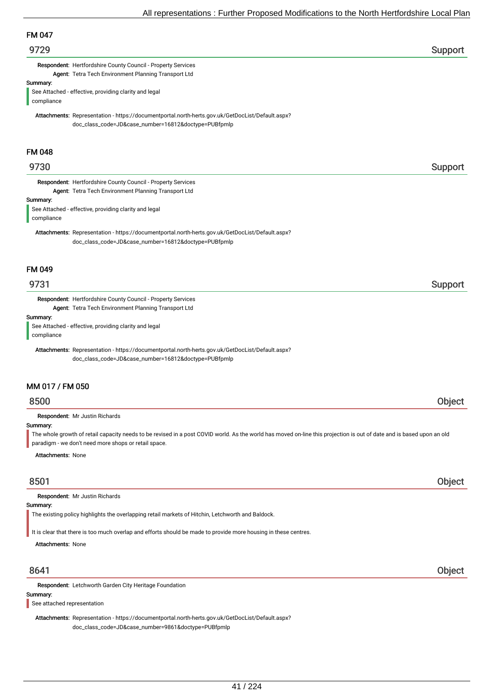## 9729 Support

Respondent: Hertfordshire County Council - Property Services Agent: Tetra Tech Environment Planning Transport Ltd

Summary:

See Attached - effective, providing clarity and legal compliance

Attachments: Representation - https://documentportal.north-herts.gov.uk/GetDocList/Default.aspx? doc\_class\_code=JD&case\_number=16812&doctype=PUBfpmlp

## FM 048

## er 19730 i Support i Support i Support i Support i Support i Support i Support i Support i Support i Support i

Respondent: Hertfordshire County Council - Property Services Agent: Tetra Tech Environment Planning Transport Ltd

#### Summary:

See Attached - effective, providing clarity and legal compliance

Attachments: Representation - https://documentportal.north-herts.gov.uk/GetDocList/Default.aspx? doc\_class\_code=JD&case\_number=16812&doctype=PUBfpmlp

## FM 049

Respondent: Hertfordshire County Council - Property Services Agent: Tetra Tech Environment Planning Transport Ltd

#### Summary:

See Attached - effective, providing clarity and legal compliance

Attachments: Representation - https://documentportal.north-herts.gov.uk/GetDocList/Default.aspx? doc\_class\_code=JD&case\_number=16812&doctype=PUBfpmlp

## MM 017 / FM 050

## 8500 Object

Respondent: Mr Justin Richards

## Summary:

The whole growth of retail capacity needs to be revised in a post COVID world. As the world has moved on-line this projection is out of date and is based upon an old paradigm - we don't need more shops or retail space.

Attachments: None

## 8501 Object

Respondent: Mr Justin Richards

### Summary:

The existing policy highlights the overlapping retail markets of Hitchin, Letchworth and Baldock.

It is clear that there is too much overlap and efforts should be made to provide more housing in these centres.

Attachments: None

Respondent: Letchworth Garden City Heritage Foundation

## Summary:

See attached representation

Attachments: Representation - https://documentportal.north-herts.gov.uk/GetDocList/Default.aspx? doc\_class\_code=JD&case\_number=9861&doctype=PUBfpmlp

## 8641 Object

er 19731 i Support i Support i Support i Support i Support i Support i Support i Support i Support i Support i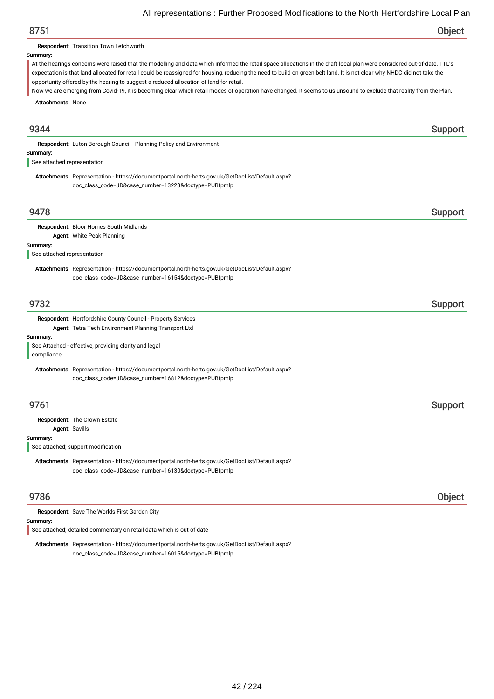# 8751 Object

Respondent: Transition Town Letchworth

### Summary:

At the hearings concerns were raised that the modelling and data which informed the retail space allocations in the draft local plan were considered out-of-date. TTL's expectation is that land allocated for retail could be reassigned for housing, reducing the need to build on green belt land. It is not clear why NHDC did not take the opportunity offered by the hearing to suggest a reduced allocation of land for retail.

Attachments: None Now we are emerging from Covid-19, it is becoming clear which retail modes of operation have changed. It seems to us unsound to exclude that reality from the Plan.

# er 1934 and 1934 and 1935 and 1936 and 1936 and 1936 and 1936 and 1936 and 1936 and 1936 and 1937 and 1938 and Summary: Respondent: Luton Borough Council - Planning Policy and Environment Attachments: Representation - https://documentportal.north-herts.gov.uk/GetDocList/Default.aspx? doc\_class\_code=JD&case\_number=13223&doctype=PUBfpmlp See attached representation 9478 Support Summary: Respondent: Bloor Homes South Midlands Agent: White Peak Planning Attachments: Representation - https://documentportal.north-herts.gov.uk/GetDocList/Default.aspx? doc\_class\_code=JD&case\_number=16154&doctype=PUBfpmlp See attached representation er 19732 i Support and the Support of the Support Support in the Support of the Support of the Support of the Support of the Support of the Support of the Support of the Support of the Support of the Support of the Support Summary: Respondent: Hertfordshire County Council - Property Services Agent: Tetra Tech Environment Planning Transport Ltd Attachments: Representation - https://documentportal.north-herts.gov.uk/GetDocList/Default.aspx? doc\_class\_code=JD&case\_number=16812&doctype=PUBfpmlp See Attached - effective, providing clarity and legal compliance er 19761 i Support Support i Support i Support Support i Support i Support i Support i Support i Support i Sup Summary: Respondent: The Crown Estate Agent: Savills Attachments: Representation - https://documentportal.north-herts.gov.uk/GetDocList/Default.aspx? doc\_class\_code=JD&case\_number=16130&doctype=PUBfpmlp See attached; support modification 9786 Object Summary: Respondent: Save The Worlds First Garden City See attached; detailed commentary on retail data which is out of date

Attachments: Representation - https://documentportal.north-herts.gov.uk/GetDocList/Default.aspx? doc\_class\_code=JD&case\_number=16015&doctype=PUBfpmlp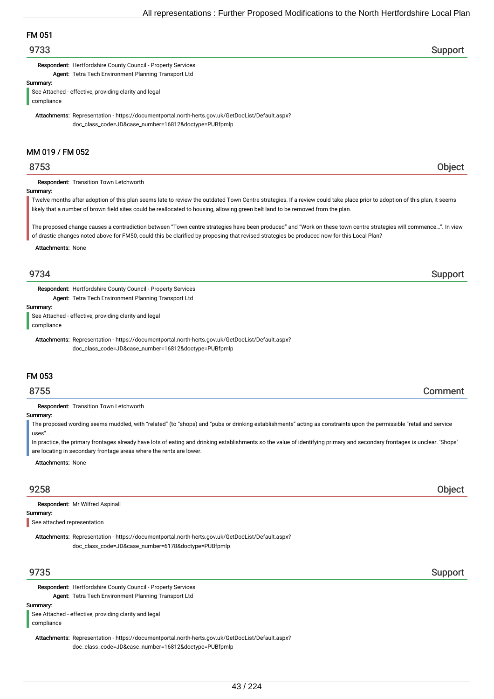# FM 051

## 9733 Support

Respondent: Hertfordshire County Council - Property Services Agent: Tetra Tech Environment Planning Transport Ltd

Summary:

See Attached - effective, providing clarity and legal compliance

Attachments: Representation - https://documentportal.north-herts.gov.uk/GetDocList/Default.aspx? doc\_class\_code=JD&case\_number=16812&doctype=PUBfpmlp

## MM 019 / FM 052

Respondent: Transition Town Letchworth

#### Summary:

Twelve months after adoption of this plan seems late to review the outdated Town Centre strategies. If a review could take place prior to adoption of this plan, it seems likely that a number of brown field sites could be reallocated to housing, allowing green belt land to be removed from the plan.

The proposed change causes a contradiction between "Town centre strategies have been produced" and "Work on these town centre strategies will commence…". In view of drastic changes noted above for FM50, could this be clarified by proposing that revised strategies be produced now for this Local Plan?

#### Attachments: None

Respondent: Hertfordshire County Council - Property Services Agent: Tetra Tech Environment Planning Transport Ltd

Summary:

See Attached - effective, providing clarity and legal

compliance

Attachments: Representation - https://documentportal.north-herts.gov.uk/GetDocList/Default.aspx? doc\_class\_code=JD&case\_number=16812&doctype=PUBfpmlp

## FM 053

## 8755 Comment

Respondent: Transition Town Letchworth

#### Summary:

The proposed wording seems muddled, with "related" (to "shops) and "pubs or drinking establishments" acting as constraints upon the permissible "retail and service uses"

In practice, the primary frontages already have lots of eating and drinking establishments so the value of identifying primary and secondary frontages is unclear. 'Shops' are locating in secondary frontage areas where the rents are lower.

Attachments: None

Summary: Respondent: Mr Wilfred Aspinall

See attached representation

Attachments: Representation - https://documentportal.north-herts.gov.uk/GetDocList/Default.aspx? doc\_class\_code=JD&case\_number=6178&doctype=PUBfpmlp

Respondent: Hertfordshire County Council - Property Services Agent: Tetra Tech Environment Planning Transport Ltd

### Summary:

See Attached - effective, providing clarity and legal compliance

Attachments: Representation - https://documentportal.north-herts.gov.uk/GetDocList/Default.aspx? doc\_class\_code=JD&case\_number=16812&doctype=PUBfpmlp

## er 19735 Support in the second state of the second state of the second state  $\sim$  Support in the second state  $\sim$

## 9734 Support

# 9258 Object

# 8753 Object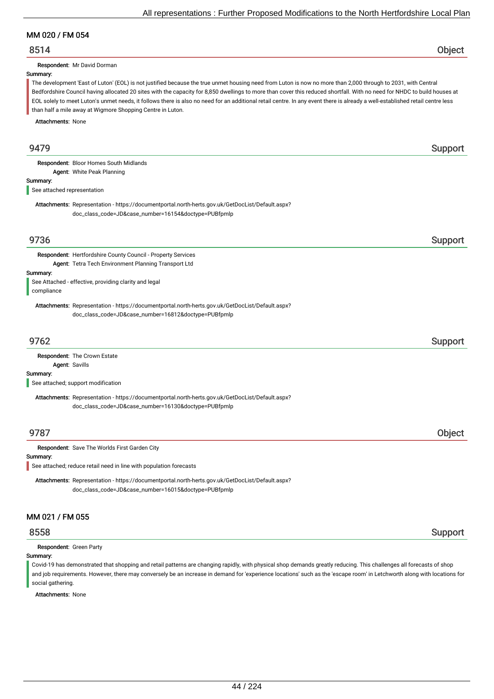## MM 020 / FM 054

## 8514 Object

Respondent: Mr David Dorman

## Summary:

The development 'East of Luton' (EOL) is not justified because the true unmet housing need from Luton is now no more than 2,000 through to 2031, with Central Bedfordshire Council having allocated 20 sites with the capacity for 8,850 dwellings to more than cover this reduced shortfall. With no need for NHDC to build houses at EOL solely to meet Luton's unmet needs, it follows there is also no need for an additional retail centre. In any event there is already a well-established retail centre less than half a mile away at Wigmore Shopping Centre in Luton.

Attachments: None

| 9479                        |                                                                                                                                                          | Support |
|-----------------------------|----------------------------------------------------------------------------------------------------------------------------------------------------------|---------|
|                             | Respondent: Bloor Homes South Midlands<br>Agent: White Peak Planning                                                                                     |         |
| Summary:                    |                                                                                                                                                          |         |
| See attached representation |                                                                                                                                                          |         |
|                             | Attachments: Representation - https://documentportal.north-herts.gov.uk/GetDocList/Default.aspx?<br>doc_class_code=JD&case_number=16154&doctype=PUBfpmlp |         |
| 9736                        |                                                                                                                                                          | Support |
|                             | Respondent: Hertfordshire County Council - Property Services                                                                                             |         |
|                             | Agent: Tetra Tech Environment Planning Transport Ltd                                                                                                     |         |
| Summary:<br>compliance      | See Attached - effective, providing clarity and legal                                                                                                    |         |
|                             | Attachments: Representation - https://documentportal.north-herts.gov.uk/GetDocList/Default.aspx?<br>doc_class_code=JD&case_number=16812&doctype=PUBfpmlp |         |
| 9762                        |                                                                                                                                                          | Support |
|                             | Respondent: The Crown Estate<br>Agent: Savills                                                                                                           |         |
| Summary:                    | See attached; support modification                                                                                                                       |         |
|                             | Attachments: Representation - https://documentportal.north-herts.gov.uk/GetDocList/Default.aspx?<br>doc_class_code=JD&case_number=16130&doctype=PUBfpmlp |         |
| 9787                        |                                                                                                                                                          | Object  |
|                             | Respondent: Save The Worlds First Garden City                                                                                                            |         |
| Summary:                    | See attached; reduce retail need in line with population forecasts                                                                                       |         |
|                             | Attachments: Representation - https://documentportal.north-herts.gov.uk/GetDocList/Default.aspx?<br>doc_class_code=JD&case_number=16015&doctype=PUBfpmlp |         |
| MM 021 / FM 055             |                                                                                                                                                          |         |
| 8558                        |                                                                                                                                                          | Support |

Respondent: Green Party

#### Summary:

Covid-19 has demonstrated that shopping and retail patterns are changing rapidly, with physical shop demands greatly reducing. This challenges all forecasts of shop and job requirements. However, there may conversely be an increase in demand for 'experience locations' such as the 'escape room' in Letchworth along with locations for social gathering.

Attachments: None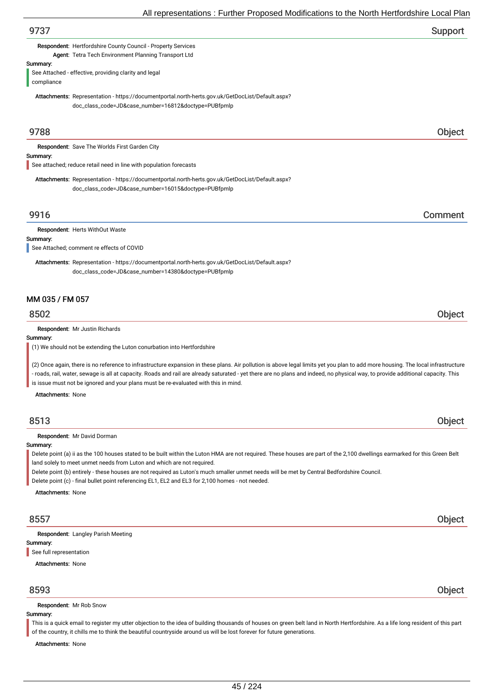|                                      | All representations : Further Proposed Modifications to the North Hertfordshire Local Plan                                                                                                                                                                                                                                                                                                                                                                                                                                                                               |
|--------------------------------------|--------------------------------------------------------------------------------------------------------------------------------------------------------------------------------------------------------------------------------------------------------------------------------------------------------------------------------------------------------------------------------------------------------------------------------------------------------------------------------------------------------------------------------------------------------------------------|
| 9737                                 | Support                                                                                                                                                                                                                                                                                                                                                                                                                                                                                                                                                                  |
|                                      | Respondent: Hertfordshire County Council - Property Services<br>Agent: Tetra Tech Environment Planning Transport Ltd                                                                                                                                                                                                                                                                                                                                                                                                                                                     |
| Summary:<br>compliance               | See Attached - effective, providing clarity and legal                                                                                                                                                                                                                                                                                                                                                                                                                                                                                                                    |
|                                      | Attachments: Representation - https://documentportal.north-herts.gov.uk/GetDocList/Default.aspx?<br>doc_class_code=JD&case_number=16812&doctype=PUBfpmlp                                                                                                                                                                                                                                                                                                                                                                                                                 |
| 9788                                 | Object                                                                                                                                                                                                                                                                                                                                                                                                                                                                                                                                                                   |
| Summary:                             | Respondent: Save The Worlds First Garden City<br>See attached; reduce retail need in line with population forecasts                                                                                                                                                                                                                                                                                                                                                                                                                                                      |
|                                      | Attachments: Representation - https://documentportal.north-herts.gov.uk/GetDocList/Default.aspx?<br>doc_class_code=JD&case_number=16015&doctype=PUBfpmlp                                                                                                                                                                                                                                                                                                                                                                                                                 |
| 9916                                 | Comment                                                                                                                                                                                                                                                                                                                                                                                                                                                                                                                                                                  |
| Summary:                             | Respondent: Herts WithOut Waste<br>See Attached; comment re effects of COVID<br>Attachments: Representation - https://documentportal.north-herts.gov.uk/GetDocList/Default.aspx?<br>doc_class_code=JD&case_number=14380&doctype=PUBfpmlp                                                                                                                                                                                                                                                                                                                                 |
| MM 035 / FM 057<br>8502              | Object                                                                                                                                                                                                                                                                                                                                                                                                                                                                                                                                                                   |
| Summary:<br><b>Attachments: None</b> | Respondent: Mr Justin Richards<br>(1) We should not be extending the Luton conurbation into Hertfordshire<br>(2) Once again, there is no reference to infrastructure expansion in these plans. Air pollution is above legal limits yet you plan to add more housing. The local infrastructure<br>- roads, rail, water, sewage is all at capacity. Roads and rail are already saturated - yet there are no plans and indeed, no physical way, to provide additional capacity. This<br>is issue must not be ignored and your plans must be re-evaluated with this in mind. |
| 8513                                 | Object                                                                                                                                                                                                                                                                                                                                                                                                                                                                                                                                                                   |
| Summary:<br><b>Attachments: None</b> | Respondent: Mr David Dorman<br>Delete point (a) ii as the 100 houses stated to be built within the Luton HMA are not required. These houses are part of the 2,100 dwellings earmarked for this Green Belt<br>land solely to meet unmet needs from Luton and which are not required.<br>Delete point (b) entirely - these houses are not required as Luton's much smaller unmet needs will be met by Central Bedfordshire Council.<br>Delete point (c) - final bullet point referencing EL1, EL2 and EL3 for 2,100 homes - not needed.                                    |
| 8557                                 | Object                                                                                                                                                                                                                                                                                                                                                                                                                                                                                                                                                                   |

Respondent: Langley Parish Meeting

Summary:

See full representation

Attachments: None

Respondent: Mr Rob Snow

### Summary:

This is a quick email to register my utter objection to the idea of building thousands of houses on green belt land in North Hertfordshire. As a life long resident of this part of the country, it chills me to think the beautiful countryside around us will be lost forever for future generations.

Attachments: None

8593 Object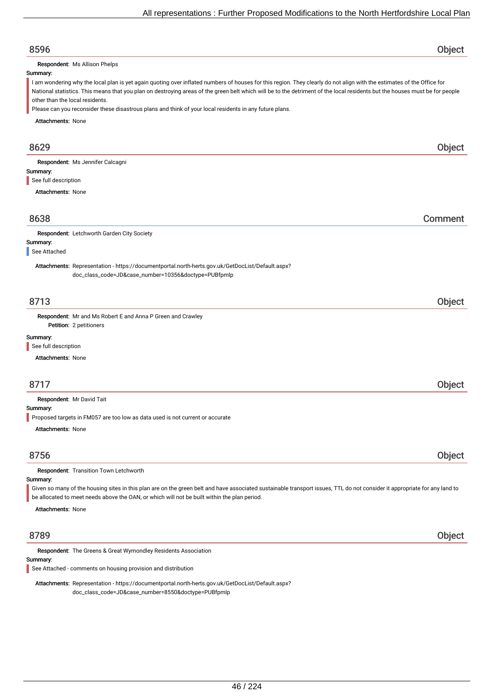# 8596 Object Summary: Attachments: None Respondent: Ms Allison Phelps I am wondering why the local plan is yet again quoting over inflated numbers of houses for this region. They clearly do not align with the estimates of the Office for National statistics. This means that you plan on destroying areas of the green belt which will be to the detriment of the local residents but the houses must be for people other than the local residents. Please can you reconsider these disastrous plans and think of your local residents in any future plans. 8629 Object Summary: Attachments: None Respondent: Ms Jennifer Calcagni See full description 8638 Comment Summary: Respondent: Letchworth Garden City Society Attachments: Representation - https://documentportal.north-herts.gov.uk/GetDocList/Default.aspx? doc\_class\_code=JD&case\_number=10356&doctype=PUBfpmlp See Attached 8713 Object Petition: 2 petitioners Summary: Attachments: None Respondent: Mr and Ms Robert E and Anna P Green and Crawley See full description 8717 Object Summary: Attachments: None Respondent: Mr David Tait Proposed targets in FM057 are too low as data used is not current or accurate 8756 Object Summary: Attachments: None Respondent: Transition Town Letchworth Given so many of the housing sites in this plan are on the green belt and have associated sustainable transport issues, TTL do not consider it appropriate for any land to be allocated to meet needs above the OAN, or which will not be built within the plan period. 8789 Object Summary: Respondent: The Greens & Great Wymondley Residents Association Attachments: Representation - https://documentportal.north-herts.gov.uk/GetDocList/Default.aspx? doc\_class\_code=JD&case\_number=8550&doctype=PUBfpmlp See Attached - comments on housing provision and distribution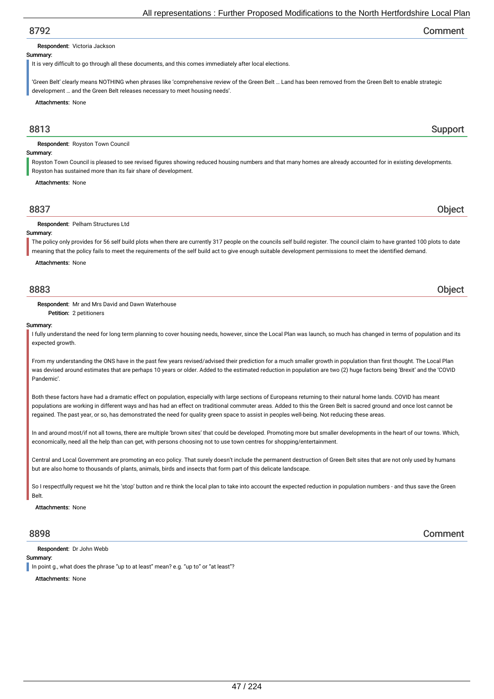## 8792 Comment

#### Respondent: Victoria Jackson

#### Summary:

It is very difficult to go through all these documents, and this comes immediately after local elections.

'Green Belt' clearly means NOTHING when phrases like 'comprehensive review of the Green Belt … Land has been removed from the Green Belt to enable strategic development … and the Green Belt releases necessary to meet housing needs'.

Attachments: None

## example. The state of the state of the state of the state of the state of the state of the Support Support

Respondent: Royston Town Council

## Summary:

Royston Town Council is pleased to see revised figures showing reduced housing numbers and that many homes are already accounted for in existing developments. Royston has sustained more than its fair share of development.

#### Attachments: None

| 8837                                  |  |
|---------------------------------------|--|
| <b>pondent</b> : Pelham S<br>– W<br>. |  |

#### Summary:

The policy only provides for 56 self build plots when there are currently 317 people on the councils self build register. The council claim to have granted 100 plots to date meaning that the policy fails to meet the requirements of the self build act to give enough suitable development permissions to meet the identified demand.

Attachments: None

Respondent: Mr and Mrs David and Dawn Waterhouse

Petition: 2 petitioners

#### Summary:

I fully understand the need for long term planning to cover housing needs, however, since the Local Plan was launch, so much has changed in terms of population and its expected growth

From my understanding the ONS have in the past few years revised/advised their prediction for a much smaller growth in population than first thought. The Local Plan was devised around estimates that are perhaps 10 years or older. Added to the estimated reduction in population are two (2) huge factors being 'Brexit' and the 'COVID Pandemic'.

Both these factors have had a dramatic effect on population, especially with large sections of Europeans returning to their natural home lands. COVID has meant populations are working in different ways and has had an effect on traditional commuter areas. Added to this the Green Belt is sacred ground and once lost cannot be regained. The past year, or so, has demonstrated the need for quality green space to assist in peoples well-being. Not reducing these areas.

In and around most/if not all towns, there are multiple 'brown sites' that could be developed. Promoting more but smaller developments in the heart of our towns. Which, economically, need all the help than can get, with persons choosing not to use town centres for shopping/entertainment.

Central and Local Government are promoting an eco policy. That surely doesn't include the permanent destruction of Green Belt sites that are not only used by humans but are also home to thousands of plants, animals, birds and insects that form part of this delicate landscape.

So I respectfully request we hit the 'stop' button and re think the local plan to take into account the expected reduction in population numbers - and thus save the Green **Belt** 

Attachments: None

Respondent: Dr John Webb

## Summary:

In point g., what does the phrase "up to at least" mean? e.g. "up to" or "at least"?

Attachments: None

8898 Comment

8883 Object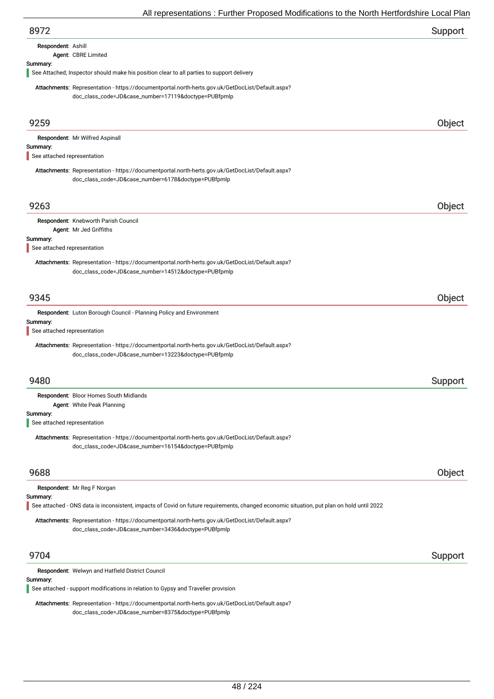| 8972                                                                                                                                                     | Support |
|----------------------------------------------------------------------------------------------------------------------------------------------------------|---------|
| Respondent: Ashill                                                                                                                                       |         |
| Agent: CBRE Limited                                                                                                                                      |         |
| Summary:<br>See Attached; Inspector should make his position clear to all parties to support delivery                                                    |         |
| Attachments: Representation - https://documentportal.north-herts.gov.uk/GetDocList/Default.aspx?<br>doc_class_code=JD&case_number=17119&doctype=PUBfpmlp |         |
| 9259                                                                                                                                                     | Object  |
| Respondent: Mr Wilfred Aspinall                                                                                                                          |         |
| Summary:<br>See attached representation                                                                                                                  |         |
| Attachments: Representation - https://documentportal.north-herts.gov.uk/GetDocList/Default.aspx?<br>doc_class_code=JD&case_number=6178&doctype=PUBfpmlp  |         |
| 9263                                                                                                                                                     | Object  |
| Respondent: Knebworth Parish Council                                                                                                                     |         |
| Agent: Mr Jed Griffiths<br>Summary:                                                                                                                      |         |
| See attached representation                                                                                                                              |         |
| Attachments: Representation - https://documentportal.north-herts.gov.uk/GetDocList/Default.aspx?<br>doc_class_code=JD&case_number=14512&doctype=PUBfpmlp |         |
| 9345                                                                                                                                                     | Object  |
| Respondent: Luton Borough Council - Planning Policy and Environment                                                                                      |         |
| Summary:<br>See attached representation                                                                                                                  |         |
| Attachments: Representation - https://documentportal.north-herts.gov.uk/GetDocList/Default.aspx?<br>doc_class_code=JD&case_number=13223&doctype=PUBfpmlp |         |
| 9480                                                                                                                                                     | Support |
| Respondent: Bloor Homes South Midlands                                                                                                                   |         |
| <b>Agent: White Peak Planning</b><br>Summary:                                                                                                            |         |
| See attached representation                                                                                                                              |         |
| Attachments: Representation - https://documentportal.north-herts.gov.uk/GetDocList/Default.aspx?<br>doc_class_code=JD&case_number=16154&doctype=PUBfpmlp |         |
| 9688                                                                                                                                                     | Object  |
| Respondent: Mr Reg F Norgan                                                                                                                              |         |
| Summary:<br>See attached - ONS data is inconsistent, impacts of Covid on future requirements, changed economic situation, put plan on hold until 2022    |         |
| Attachments: Representation - https://documentportal.north-herts.gov.uk/GetDocList/Default.aspx?<br>doc_class_code=JD&case_number=3436&doctype=PUBfpmlp  |         |
| 9704                                                                                                                                                     | Support |
| Respondent: Welwyn and Hatfield District Council                                                                                                         |         |

Summary:

See attached - support modifications in relation to Gypsy and Traveller provision

Attachments: Representation - https://documentportal.north-herts.gov.uk/GetDocList/Default.aspx? doc\_class\_code=JD&case\_number=8375&doctype=PUBfpmlp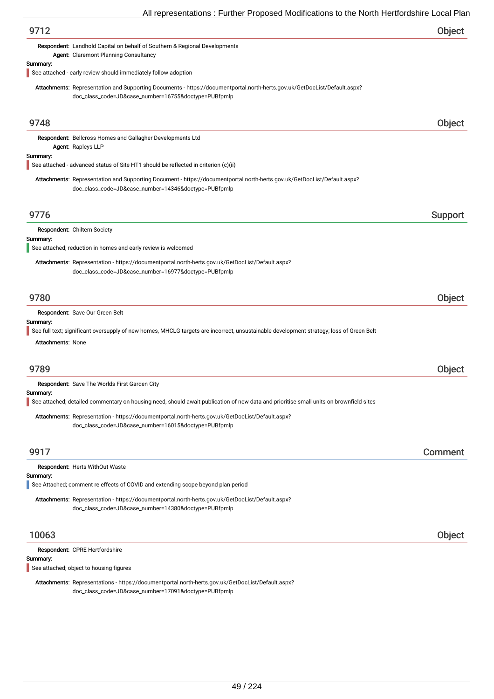| 9712                                                                                                                                                                              | Object  |
|-----------------------------------------------------------------------------------------------------------------------------------------------------------------------------------|---------|
| Respondent: Landhold Capital on behalf of Southern & Regional Developments<br>Agent: Claremont Planning Consultancy                                                               |         |
| Summary:<br>See attached - early review should immediately follow adoption                                                                                                        |         |
| Attachments: Representation and Supporting Documents - https://documentportal.north-herts.gov.uk/GetDocList/Default.aspx?<br>doc_class_code=JD&case_number=16755&doctype=PUBfpmlp |         |
| 9748                                                                                                                                                                              | Object  |
| Respondent: Bellcross Homes and Gallagher Developments Ltd<br>Agent: Rapleys LLP                                                                                                  |         |
| Summary:<br>See attached - advanced status of Site HT1 should be reflected in criterion (c)(ii)                                                                                   |         |
| Attachments: Representation and Supporting Document - https://documentportal.north-herts.gov.uk/GetDocList/Default.aspx?<br>doc_class_code=JD&case_number=14346&doctype=PUBfpmlp  |         |
| 9776                                                                                                                                                                              | Support |
| Respondent: Chiltern Society                                                                                                                                                      |         |
| Summary:<br>See attached; reduction in homes and early review is welcomed                                                                                                         |         |
| Attachments: Representation - https://documentportal.north-herts.gov.uk/GetDocList/Default.aspx?<br>doc_class_code=JD&case_number=16977&doctype=PUBfpmlp                          |         |
| 9780                                                                                                                                                                              | Object  |
| Respondent: Save Our Green Belt                                                                                                                                                   |         |
| Summary:<br>See full text; significant oversupply of new homes, MHCLG targets are incorrect, unsustainable development strategy; loss of Green Belt<br><b>Attachments: None</b>   |         |
| 9789                                                                                                                                                                              | Object  |
| <b>Respondent:</b> Save The Worlds First Garden City                                                                                                                              |         |
| Summary:<br>See attached; detailed commentary on housing need, should await publication of new data and prioritise small units on brownfield sites                                |         |
| Attachments: Representation - https://documentportal.north-herts.gov.uk/GetDocList/Default.aspx?<br>doc_class_code=JD&case_number=16015&doctype=PUBfpmlp                          |         |
| 9917                                                                                                                                                                              | Comment |
| Respondent: Herts WithOut Waste<br>Summary:                                                                                                                                       |         |
| See Attached; comment re effects of COVID and extending scope beyond plan period                                                                                                  |         |
| Attachments: Representation - https://documentportal.north-herts.gov.uk/GetDocList/Default.aspx?<br>doc_class_code=JD&case_number=14380&doctype=PUBfpmlp                          |         |
| 10063                                                                                                                                                                             | Object  |
| Respondent: CPRE Hertfordshire                                                                                                                                                    |         |
| Summary:<br>See attached; object to housing figures                                                                                                                               |         |
|                                                                                                                                                                                   |         |

Attachments: Representations - https://documentportal.north-herts.gov.uk/GetDocList/Default.aspx? doc\_class\_code=JD&case\_number=17091&doctype=PUBfpmlp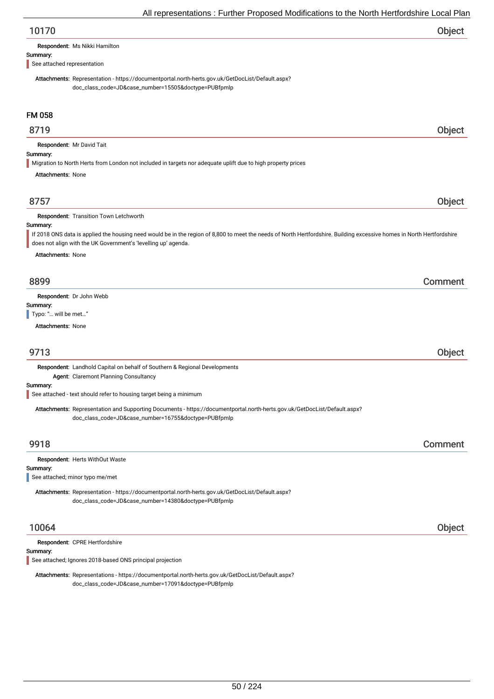| 10170 | Object |
|-------|--------|
|-------|--------|

| Respondent: Ms Nikki Hamilton |
|-------------------------------|
|-------------------------------|

#### Summary:

See attached representation

Attachments: Representation - https://documentportal.north-herts.gov.uk/GetDocList/Default.aspx? doc\_class\_code=JD&case\_number=15505&doctype=PUBfpmlp

## FM 058

## 8719 Object

Respondent: Mr David Tait

## Summary:

Migration to North Herts from London not included in targets nor adequate uplift due to high property prices

Attachments: None

## 8757 Object

#### Respondent: Transition Town Letchworth

## Summary:

If 2018 ONS data is applied the housing need would be in the region of 8,800 to meet the needs of North Hertfordshire. Building excessive homes in North Hertfordshire does not align with the UK Government's 'levelling up' agenda.

Attachments: None

## 8899 Comment

Respondent: Dr John Webb

Summary:

Typo: "... will be met..."

Attachments: None

## 9713 Object

Respondent: Landhold Capital on behalf of Southern & Regional Developments Agent: Claremont Planning Consultancy

Summary:

See attached - text should refer to housing target being a minimum

Attachments: Representation and Supporting Documents - https://documentportal.north-herts.gov.uk/GetDocList/Default.aspx? doc\_class\_code=JD&case\_number=16755&doctype=PUBfpmlp

## 9918 Comment

#### Respondent: Herts WithOut Waste

#### Summary:

See attached; minor typo me/met

Attachments: Representation - https://documentportal.north-herts.gov.uk/GetDocList/Default.aspx? doc\_class\_code=JD&case\_number=14380&doctype=PUBfpmlp

Respondent: CPRE Hertfordshire

Summary:

See attached; Ignores 2018-based ONS principal projection

Attachments: Representations - https://documentportal.north-herts.gov.uk/GetDocList/Default.aspx? doc\_class\_code=JD&case\_number=17091&doctype=PUBfpmlp

10064 Object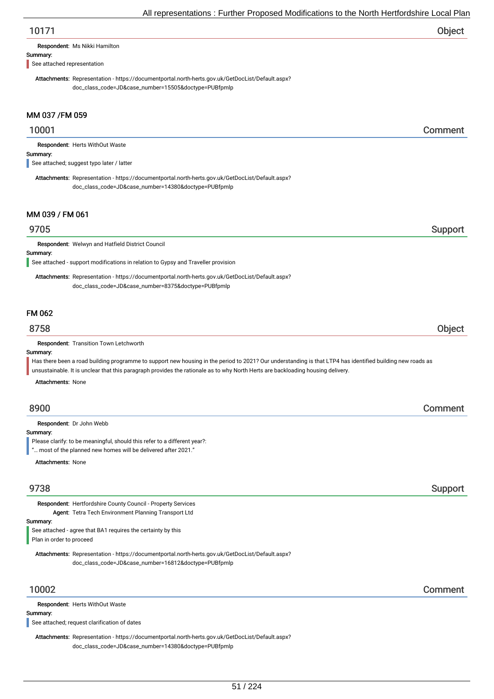# 10171 Object

Respondent: Ms Nikki Hamilton

#### Summary:

See attached representation

Attachments: Representation - https://documentportal.north-herts.gov.uk/GetDocList/Default.aspx? doc\_class\_code=JD&case\_number=15505&doctype=PUBfpmlp

## MM 037 /FM 059

## 10001 Comment

Respondent: Herts WithOut Waste

### Summary:

See attached; suggest typo later / latter

Attachments: Representation - https://documentportal.north-herts.gov.uk/GetDocList/Default.aspx? doc\_class\_code=JD&case\_number=14380&doctype=PUBfpmlp

## MM 039 / FM 061

## er 19705 i Support and the Support of the Support Support in the Support Support of the Support of the Support

Respondent: Welwyn and Hatfield District Council

## Summary:

See attached - support modifications in relation to Gypsy and Traveller provision

Attachments: Representation - https://documentportal.north-herts.gov.uk/GetDocList/Default.aspx? doc\_class\_code=JD&case\_number=8375&doctype=PUBfpmlp

## FM 062

## 8758 Object

Respondent: Transition Town Letchworth

### Summary:

Has there been a road building programme to support new housing in the period to 2021? Our understanding is that LTP4 has identified building new roads as unsustainable. It is unclear that this paragraph provides the rationale as to why North Herts are backloading housing delivery.

Attachments: None

## 8900 Comment

Respondent: Dr John Webb

Summary:

Please clarify: to be meaningful, should this refer to a different year?:

"… most of the planned new homes will be delivered after 2021."

Attachments: None

## 9738 Support

Respondent: Hertfordshire County Council - Property Services Agent: Tetra Tech Environment Planning Transport Ltd

Summary:

See attached - agree that BA1 requires the certainty by this Plan in order to proceed

Attachments: Representation - https://documentportal.north-herts.gov.uk/GetDocList/Default.aspx? doc\_class\_code=JD&case\_number=16812&doctype=PUBfpmlp

Respondent: Herts WithOut Waste

## Summary:

See attached; request clarification of dates

Attachments: Representation - https://documentportal.north-herts.gov.uk/GetDocList/Default.aspx? doc\_class\_code=JD&case\_number=14380&doctype=PUBfpmlp

10002 Comment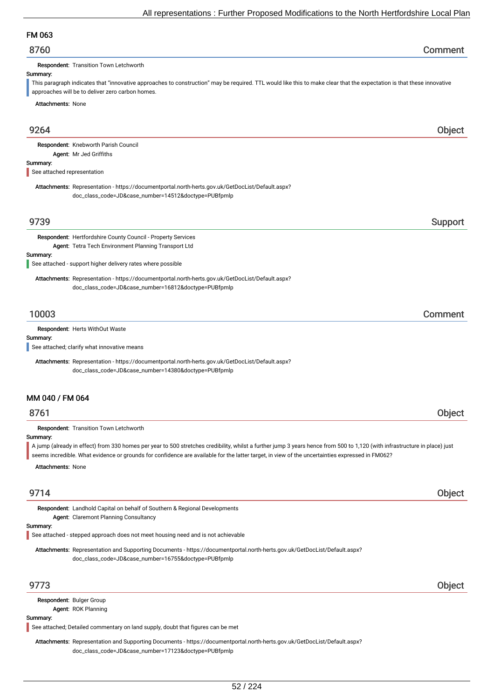# FM 063

Respondent: Transition Town Letchworth

### Summary:

This paragraph indicates that "innovative approaches to construction" may be required. TTL would like this to make clear that the expectation is that these innovative approaches will be to deliver zero carbon homes.

Attachments: None

| 9264                                                                                                                                                                              | Object  |
|-----------------------------------------------------------------------------------------------------------------------------------------------------------------------------------|---------|
| Respondent: Knebworth Parish Council                                                                                                                                              |         |
| Agent: Mr Jed Griffiths<br>Summary:                                                                                                                                               |         |
| See attached representation                                                                                                                                                       |         |
| Attachments: Representation - https://documentportal.north-herts.gov.uk/GetDocList/Default.aspx?<br>doc_class_code=JD&case_number=14512&doctype=PUBfpmlp                          |         |
| 9739                                                                                                                                                                              | Support |
| Respondent: Hertfordshire County Council - Property Services                                                                                                                      |         |
| Agent: Tetra Tech Environment Planning Transport Ltd                                                                                                                              |         |
| Summary:<br>See attached - support higher delivery rates where possible                                                                                                           |         |
| Attachments: Representation - https://documentportal.north-herts.gov.uk/GetDocList/Default.aspx?                                                                                  |         |
| doc_class_code=JD&case_number=16812&doctype=PUBfpmlp                                                                                                                              |         |
| 10003                                                                                                                                                                             | Comment |
| Respondent: Herts WithOut Waste                                                                                                                                                   |         |
| Summary:                                                                                                                                                                          |         |
| See attached; clarify what innovative means                                                                                                                                       |         |
| Attachments: Representation - https://documentportal.north-herts.gov.uk/GetDocList/Default.aspx?                                                                                  |         |
| doc_class_code=JD&case_number=14380&doctype=PUBfpmlp                                                                                                                              |         |
| MM 040 / FM 064                                                                                                                                                                   |         |
| 8761                                                                                                                                                                              | Object  |
|                                                                                                                                                                                   |         |
| Respondent: Transition Town Letchworth<br>Summary:                                                                                                                                |         |
| A jump (already in effect) from 330 homes per year to 500 stretches credibility, whilst a further jump 3 years hence from 500 to 1,120 (with infrastructure in place) just        |         |
| seems incredible. What evidence or grounds for confidence are available for the latter target, in view of the uncertainties expressed in FM062?                                   |         |
| <b>Attachments: None</b>                                                                                                                                                          |         |
| 9714                                                                                                                                                                              | Object  |
| Respondent: Landhold Capital on behalf of Southern & Regional Developments                                                                                                        |         |
| <b>Agent: Claremont Planning Consultancy</b>                                                                                                                                      |         |
| Summary:<br>See attached - stepped approach does not meet housing need and is not achievable                                                                                      |         |
|                                                                                                                                                                                   |         |
| Attachments: Representation and Supporting Documents - https://documentportal.north-herts.gov.uk/GetDocList/Default.aspx?<br>doc_class_code=JD&case_number=16755&doctype=PUBfpmlp |         |
| 9773                                                                                                                                                                              | Object  |
| Respondent: Bulger Group                                                                                                                                                          |         |
| Agent: ROK Planning                                                                                                                                                               |         |
| Summary:                                                                                                                                                                          |         |

See attached; Detailed commentary on land supply, doubt that figures can be met

Attachments: Representation and Supporting Documents - https://documentportal.north-herts.gov.uk/GetDocList/Default.aspx? doc\_class\_code=JD&case\_number=17123&doctype=PUBfpmlp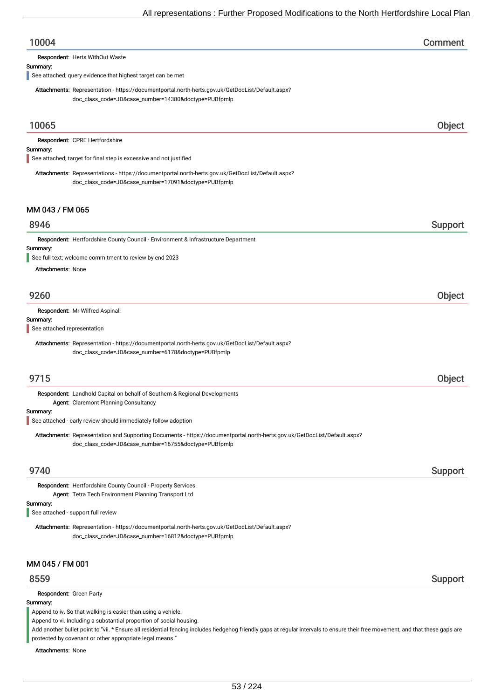| 10004                                                                                                                                                                             | Comment |
|-----------------------------------------------------------------------------------------------------------------------------------------------------------------------------------|---------|
| Respondent: Herts WithOut Waste                                                                                                                                                   |         |
| Summary:<br>See attached; query evidence that highest target can be met                                                                                                           |         |
| Attachments: Representation - https://documentportal.north-herts.gov.uk/GetDocList/Default.aspx?<br>doc_class_code=JD&case_number=14380&doctype=PUBfpmlp                          |         |
| 10065                                                                                                                                                                             | Object  |
| Respondent: CPRE Hertfordshire<br>Summary:                                                                                                                                        |         |
| See attached; target for final step is excessive and not justified                                                                                                                |         |
| Attachments: Representations - https://documentportal.north-herts.gov.uk/GetDocList/Default.aspx?<br>doc_class_code=JD&case_number=17091&doctype=PUBfpmlp                         |         |
| MM 043 / FM 065                                                                                                                                                                   |         |
| 8946                                                                                                                                                                              | Support |
| Respondent: Hertfordshire County Council - Environment & Infrastructure Department                                                                                                |         |
| Summary:<br>See full text; welcome commitment to review by end 2023                                                                                                               |         |
| <b>Attachments: None</b>                                                                                                                                                          |         |
| 9260                                                                                                                                                                              | Object  |
|                                                                                                                                                                                   |         |
| Respondent: Mr Wilfred Aspinall<br>Summary:<br>See attached representation                                                                                                        |         |
| Attachments: Representation - https://documentportal.north-herts.gov.uk/GetDocList/Default.aspx?                                                                                  |         |
| doc_class_code=JD&case_number=6178&doctype=PUBfpmlp                                                                                                                               |         |
|                                                                                                                                                                                   |         |
| 9715                                                                                                                                                                              | Object  |
| Respondent: Landhold Capital on behalf of Southern & Regional Developments<br><b>Agent: Claremont Planning Consultancy</b>                                                        |         |
| Summary:<br>See attached - early review should immediately follow adoption                                                                                                        |         |
| Attachments: Representation and Supporting Documents - https://documentportal.north-herts.gov.uk/GetDocList/Default.aspx?<br>doc_class_code=JD&case_number=16755&doctype=PUBfpmlp |         |
| 9740                                                                                                                                                                              | Support |
| Respondent: Hertfordshire County Council - Property Services<br>Agent: Tetra Tech Environment Planning Transport Ltd                                                              |         |
| Summary:<br>See attached - support full review                                                                                                                                    |         |
| Attachments: Representation - https://documentportal.north-herts.gov.uk/GetDocList/Default.aspx?<br>doc_class_code=JD&case_number=16812&doctype=PUBfpmlp                          |         |
| MM 045 / FM 001                                                                                                                                                                   |         |
| 8559                                                                                                                                                                              | Support |
| Respondent: Green Party                                                                                                                                                           |         |
| Summary:<br>Append to iv. So that walking is easier than using a vehicle.                                                                                                         |         |
| Append to vi. Including a substantial proportion of social housing.                                                                                                               |         |

Add another bullet point to "vii. \* Ensure all residential fencing includes hedgehog friendly gaps at regular intervals to ensure their free movement, and that these gaps are protected by covenant or other appropriate legal means."

Attachments: None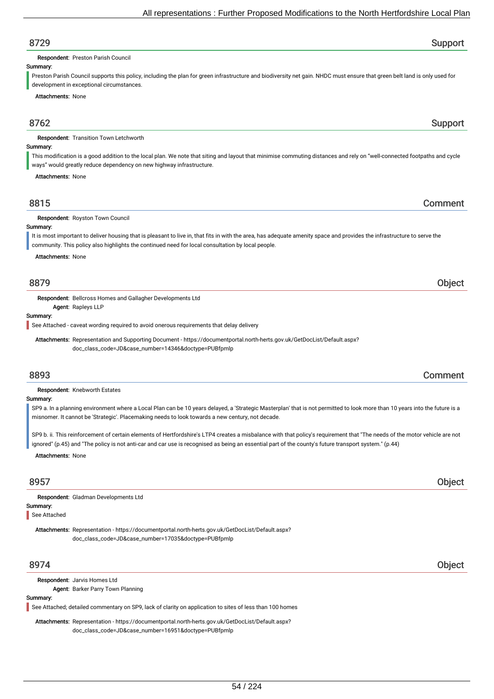# 8729 Support

Respondent: Preston Parish Council

## Summary:

Preston Parish Council supports this policy, including the plan for green infrastructure and biodiversity net gain. NHDC must ensure that green belt land is only used for development in exceptional circumstances.

Attachments: None

## 8762 Support

Respondent: Transition Town Letchworth

### Summary:

This modification is a good addition to the local plan. We note that siting and layout that minimise commuting distances and rely on "well-connected footpaths and cycle ways" would greatly reduce dependency on new highway infrastructure.

Attachments: None

## 8815 Comment

Respondent: Royston Town Council

Summary: It is most important to deliver housing that is pleasant to live in, that fits in with the area, has adequate amenity space and provides the infrastructure to serve the

community. This policy also highlights the continued need for local consultation by local people.

Attachments: None

## 8879 Object

Respondent: Bellcross Homes and Gallagher Developments Ltd

Agent: Rapleys LLP

## Summary:

See Attached - caveat wording required to avoid onerous requirements that delay delivery

Attachments: Representation and Supporting Document - https://documentportal.north-herts.gov.uk/GetDocList/Default.aspx? doc\_class\_code=JD&case\_number=14346&doctype=PUBfpmlp

## 8893 Comment

Respondent: Knebworth Estates

### Summary:

SP9 a. In a planning environment where a Local Plan can be 10 years delayed, a 'Strategic Masterplan' that is not permitted to look more than 10 years into the future is a misnomer. It cannot be 'Strategic'. Placemaking needs to look towards a new century, not decade.

SP9 b. ii. This reinforcement of certain elements of Hertfordshire's LTP4 creates a misbalance with that policy's requirement that "The needs of the motor vehicle are not ignored" (p.45) and "The policy is not anti-car and car use is recognised as being an essential part of the county's future transport system." (p.44)

Attachments: None

## 8957 Object

Summary: Respondent: Gladman Developments Ltd

See Attached

Attachments: Representation - https://documentportal.north-herts.gov.uk/GetDocList/Default.aspx? doc\_class\_code=JD&case\_number=17035&doctype=PUBfpmlp

## 8974 Object

Respondent: Jarvis Homes Ltd

Agent: Barker Parry Town Planning

#### Summary:

See Attached; detailed commentary on SP9, lack of clarity on application to sites of less than 100 homes

Attachments: Representation - https://documentportal.north-herts.gov.uk/GetDocList/Default.aspx? doc\_class\_code=JD&case\_number=16951&doctype=PUBfpmlp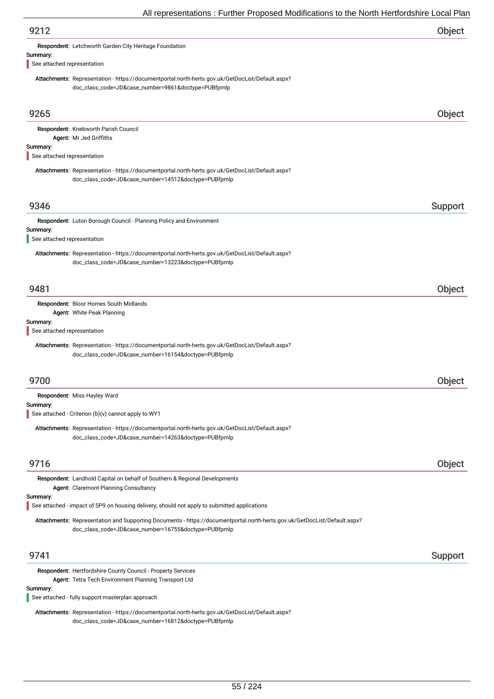| An representations. Further Froposca modifications to the north richtorushine Eocal Fit                                                                                           |         |
|-----------------------------------------------------------------------------------------------------------------------------------------------------------------------------------|---------|
| 9212                                                                                                                                                                              | Object  |
| Respondent: Letchworth Garden City Heritage Foundation                                                                                                                            |         |
| Summary:<br>See attached representation                                                                                                                                           |         |
| Attachments: Representation - https://documentportal.north-herts.gov.uk/GetDocList/Default.aspx?<br>doc_class_code=JD&case_number=9861&doctype=PUBfpmlp                           |         |
| 9265                                                                                                                                                                              | Object  |
| Respondent: Knebworth Parish Council                                                                                                                                              |         |
| Agent: Mr Jed Griffiths<br>Summary:<br>See attached representation                                                                                                                |         |
| Attachments: Representation - https://documentportal.north-herts.gov.uk/GetDocList/Default.aspx?<br>doc_class_code=JD&case_number=14512&doctype=PUBfpmlp                          |         |
| 9346                                                                                                                                                                              | Support |
| Respondent: Luton Borough Council - Planning Policy and Environment                                                                                                               |         |
| Summary:<br>See attached representation                                                                                                                                           |         |
| Attachments: Representation - https://documentportal.north-herts.gov.uk/GetDocList/Default.aspx?<br>doc_class_code=JD&case_number=13223&doctype=PUBfpmlp                          |         |
| 9481                                                                                                                                                                              | Object  |
| Respondent: Bloor Homes South Midlands                                                                                                                                            |         |
| Agent: White Peak Planning<br>Summary:<br>See attached representation                                                                                                             |         |
| Attachments: Representation - https://documentportal.north-herts.gov.uk/GetDocList/Default.aspx?<br>doc_class_code=JD&case_number=16154&doctype=PUBfpmlp                          |         |
| 9700                                                                                                                                                                              | Object  |
| Respondent: Miss Hayley Ward                                                                                                                                                      |         |
| Summary:<br>See attached - Criterion (b)(v) cannot apply to WY1                                                                                                                   |         |
| Attachments: Representation - https://documentportal.north-herts.gov.uk/GetDocList/Default.aspx?<br>doc_class_code=JD&case_number=14263&doctype=PUBfpmlp                          |         |
| 9716                                                                                                                                                                              | Object  |
| Respondent: Landhold Capital on behalf of Southern & Regional Developments<br>Agent: Claremont Planning Consultancy                                                               |         |
| Summary:<br>See attached - impact of SP9 on housing delivery; should not apply to submitted applications                                                                          |         |
| Attachments: Representation and Supporting Documents - https://documentportal.north-herts.gov.uk/GetDocList/Default.aspx?<br>doc_class_code=JD&case_number=16755&doctype=PUBfpmlp |         |
| 9741                                                                                                                                                                              | Support |
| Respondent: Hertfordshire County Council - Property Services                                                                                                                      |         |
| Agent: Tetra Tech Environment Planning Transport Ltd<br>Summary:<br>See attached - fully support masterplan approach                                                              |         |
| Attachments: Representation - https://documentportal.north-herts.gov.uk/GetDocList/Default.aspx?                                                                                  |         |
|                                                                                                                                                                                   |         |

doc\_class\_code=JD&case\_number=16812&doctype=PUBfpmlp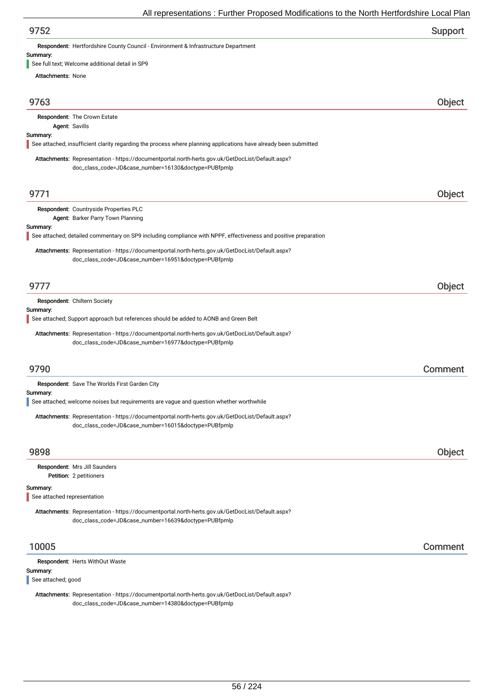| 9752 | Support |
|------|---------|
|------|---------|

Respondent: Hertfordshire County Council - Environment & Infrastructure Department

## Summary:

See full text; Welcome additional detail in SP9

| Attachments: None                       |                                                                                                                                                          |         |
|-----------------------------------------|----------------------------------------------------------------------------------------------------------------------------------------------------------|---------|
|                                         |                                                                                                                                                          |         |
| 9763                                    |                                                                                                                                                          | Object  |
|                                         | Respondent: The Crown Estate                                                                                                                             |         |
|                                         | Agent: Savills                                                                                                                                           |         |
| Summary:                                | See attached; insufficient clarity regarding the process where planning applications have already been submitted                                         |         |
|                                         | Attachments: Representation - https://documentportal.north-herts.gov.uk/GetDocList/Default.aspx?<br>doc_class_code=JD&case_number=16130&doctype=PUBfpmlp |         |
| 9771                                    |                                                                                                                                                          | Object  |
|                                         | Respondent: Countryside Properties PLC                                                                                                                   |         |
|                                         | Agent: Barker Parry Town Planning                                                                                                                        |         |
| Summary:                                | See attached; detailed commentary on SP9 including compliance with NPPF, effectiveness and positive preparation                                          |         |
|                                         | Attachments: Representation - https://documentportal.north-herts.gov.uk/GetDocList/Default.aspx?<br>doc_class_code=JD&case_number=16951&doctype=PUBfpmlp |         |
| 9777                                    |                                                                                                                                                          | Object  |
|                                         | Respondent: Chiltern Society                                                                                                                             |         |
| Summary:                                |                                                                                                                                                          |         |
|                                         | See attached; Support approach but references should be added to AONB and Green Belt                                                                     |         |
|                                         | Attachments: Representation - https://documentportal.north-herts.gov.uk/GetDocList/Default.aspx?<br>doc_class_code=JD&case_number=16977&doctype=PUBfpmlp |         |
| 9790                                    |                                                                                                                                                          | Comment |
|                                         | Respondent: Save The Worlds First Garden City                                                                                                            |         |
| Summary:                                | See attached; welcome noises but requirements are vague and question whether worthwhile                                                                  |         |
|                                         |                                                                                                                                                          |         |
|                                         | Attachments: Representation - https://documentportal.north-herts.gov.uk/GetDocList/Default.aspx?<br>doc_class_code=JD&case_number=16015&doctype=PUBfpmlp |         |
| 9898                                    |                                                                                                                                                          | Object  |
|                                         | Respondent: Mrs Jill Saunders                                                                                                                            |         |
|                                         | Petition: 2 petitioners                                                                                                                                  |         |
| Summary:<br>See attached representation |                                                                                                                                                          |         |
|                                         |                                                                                                                                                          |         |
|                                         | Attachments: Representation - https://documentportal.north-herts.gov.uk/GetDocList/Default.aspx?<br>doc_class_code=JD&case_number=16639&doctype=PUBfpmlp |         |
| 10005                                   |                                                                                                                                                          | Comment |
|                                         | Respondent: Herts WithOut Waste                                                                                                                          |         |
| Summary:<br>See attached; good          |                                                                                                                                                          |         |
|                                         |                                                                                                                                                          |         |

Attachments: Representation - https://documentportal.north-herts.gov.uk/GetDocList/Default.aspx? doc\_class\_code=JD&case\_number=14380&doctype=PUBfpmlp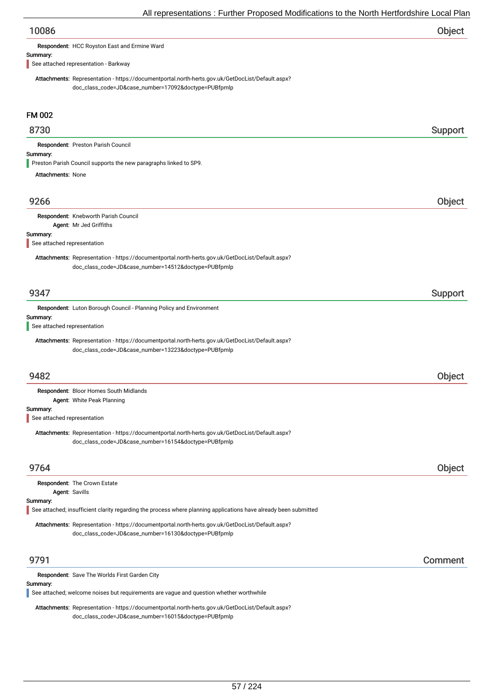| 10086 | Object |
|-------|--------|
|       |        |

Respondent: HCC Royston East and Ermine Ward

#### Summary:

See attached representation - Barkway

Attachments: Representation - https://documentportal.north-herts.gov.uk/GetDocList/Default.aspx? doc\_class\_code=JD&case\_number=17092&doctype=PUBfpmlp

## FM 002

## 8730 Support

Respondent: Preston Parish Council

## Summary:

Preston Parish Council supports the new paragraphs linked to SP9.

Attachments: None

## 9266 Object

# Respondent: Knebworth Parish Council

Agent: Mr Jed Griffiths

### Summary:

See attached representation

Attachments: Representation - https://documentportal.north-herts.gov.uk/GetDocList/Default.aspx? doc\_class\_code=JD&case\_number=14512&doctype=PUBfpmlp

## er 19347 i Support i Support i Support i Support i Support i Support i Support i Support i Support i Support i

Respondent: Luton Borough Council - Planning Policy and Environment

#### Summary:

See attached representation

Attachments: Representation - https://documentportal.north-herts.gov.uk/GetDocList/Default.aspx? doc\_class\_code=JD&case\_number=13223&doctype=PUBfpmlp

## 9482 Object

Summary: Respondent: Bloor Homes South Midlands Agent: White Peak Planning

See attached representation

Attachments: Representation - https://documentportal.north-herts.gov.uk/GetDocList/Default.aspx? doc\_class\_code=JD&case\_number=16154&doctype=PUBfpmlp

## 9764 Object

|                | <b>Respondent: The Crown Estate</b>                                                                              |
|----------------|------------------------------------------------------------------------------------------------------------------|
| Agent: Savills |                                                                                                                  |
| Summary:       |                                                                                                                  |
|                | See attached; insufficient clarity regarding the process where planning applications have already been submitted |
|                | Attachments: Representation - https://documentportal.north-herts.gov.uk/GetDocList/Default.aspx?                 |
|                |                                                                                                                  |
|                | doc_class_code=JD&case_number=16130&doctype=PUBfpmlp                                                             |

## 9791 Comment

#### Respondent: Save The Worlds First Garden City

## Summary:

See attached; welcome noises but requirements are vague and question whether worthwhile

Attachments: Representation - https://documentportal.north-herts.gov.uk/GetDocList/Default.aspx? doc\_class\_code=JD&case\_number=16015&doctype=PUBfpmlp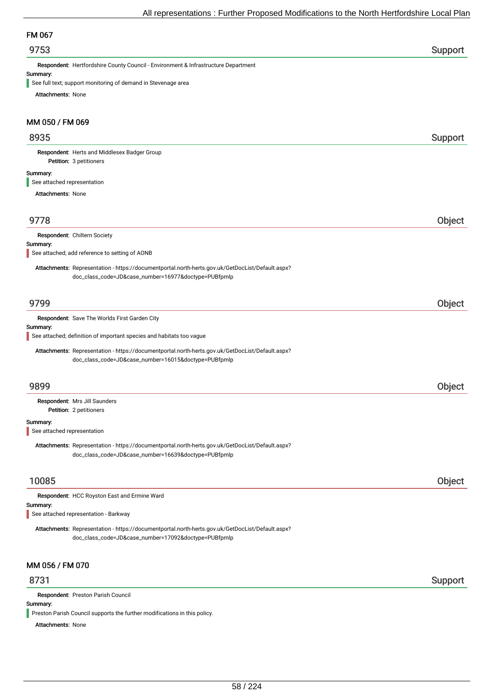## FM 067

## er 19753 i Support and the Support of the Support of the Support Support in the Support of the Support of the Support of the Support of the Support of the Support of the Support of the Support of the Support of the Support

Respondent: Hertfordshire County Council - Environment & Infrastructure Department

#### Summary:

See full text; support monitoring of demand in Stevenage area

Attachments: None

## MM 050 / FM 069

## 8935 Support

Petition: 3 petitioners Respondent: Herts and Middlesex Badger Group

#### Summary:

See attached representation

Attachments: None

## 9778 Object

Respondent: Chiltern Society

#### Summary:

See attached; add reference to setting of AONB

Attachments: Representation - https://documentportal.north-herts.gov.uk/GetDocList/Default.aspx? doc\_class\_code=JD&case\_number=16977&doctype=PUBfpmlp

## 9799 Object

Summary: Respondent: Save The Worlds First Garden City Attachments: Representation - https://documentportal.north-herts.gov.uk/GetDocList/Default.aspx? doc\_class\_code=JD&case\_number=16015&doctype=PUBfpmlp See attached; definition of important species and habitats too vague 9899 Object Petition: 2 petitioners Summary: Respondent: Mrs Jill Saunders Attachments: Representation - https://documentportal.north-herts.gov.uk/GetDocList/Default.aspx? doc\_class\_code=JD&case\_number=16639&doctype=PUBfpmlp See attached representation 10085 Object Respondent: HCC Royston East and Ermine Ward

## Summary:

See attached representation - Barkway

Attachments: Representation - https://documentportal.north-herts.gov.uk/GetDocList/Default.aspx? doc\_class\_code=JD&case\_number=17092&doctype=PUBfpmlp

## MM 056 / FM 070

## 8731 Support

Respondent: Preston Parish Council

## Summary:

**Preston Parish Council supports the further modifications in this policy.** 

Attachments: None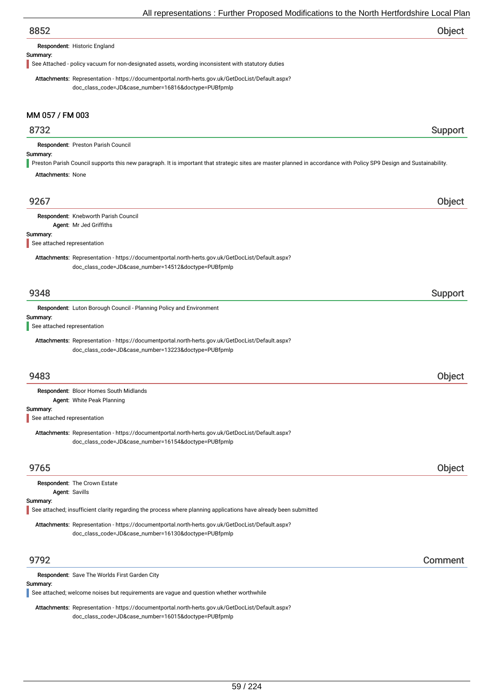| 8852 | Object |
|------|--------|
|      |        |

#### Respondent: Historic England

### Summary:

See Attached - policy vacuum for non-designated assets, wording inconsistent with statutory duties

Attachments: Representation - https://documentportal.north-herts.gov.uk/GetDocList/Default.aspx? doc\_class\_code=JD&case\_number=16816&doctype=PUBfpmlp

## MM 057 / FM 003

## 8732 Support

Respondent: Preston Parish Council

## Summary:

Preston Parish Council supports this new paragraph. It is important that strategic sites are master planned in accordance with Policy SP9 Design and Sustainability.

Attachments: None

| 9267                                                                                                                                                     | Object        |
|----------------------------------------------------------------------------------------------------------------------------------------------------------|---------------|
| Respondent: Knebworth Parish Council                                                                                                                     |               |
| Agent: Mr Jed Griffiths                                                                                                                                  |               |
| Summary:                                                                                                                                                 |               |
| See attached representation                                                                                                                              |               |
| Attachments: Representation - https://documentportal.north-herts.gov.uk/GetDocList/Default.aspx?<br>doc_class_code=JD&case_number=14512&doctype=PUBfpmlp |               |
| 9348                                                                                                                                                     | Support       |
| Respondent: Luton Borough Council - Planning Policy and Environment                                                                                      |               |
| Summary:                                                                                                                                                 |               |
| See attached representation                                                                                                                              |               |
| Attachments: Representation - https://documentportal.north-herts.gov.uk/GetDocList/Default.aspx?                                                         |               |
| doc_class_code=JD&case_number=13223&doctype=PUBfpmlp                                                                                                     |               |
|                                                                                                                                                          |               |
| 9483                                                                                                                                                     | Object        |
| Respondent: Bloor Homes South Midlands                                                                                                                   |               |
| Agent: White Peak Planning                                                                                                                               |               |
| Summary:                                                                                                                                                 |               |
| See attached representation                                                                                                                              |               |
| Attachments: Representation - https://documentportal.north-herts.gov.uk/GetDocList/Default.aspx?                                                         |               |
| doc_class_code=JD&case_number=16154&doctype=PUBfpmlp                                                                                                     |               |
|                                                                                                                                                          |               |
| 9765                                                                                                                                                     | <b>Object</b> |
| Respondent: The Crown Estate                                                                                                                             |               |
| Agent: Savills                                                                                                                                           |               |
| Summary:                                                                                                                                                 |               |
| See attached; insufficient clarity regarding the process where planning applications have already been submitted                                         |               |
| Attachments: Representation - https://documentportal.north-herts.gov.uk/GetDocList/Default.aspx?                                                         |               |
| doc_class_code=JD&case_number=16130&doctype=PUBfpmlp                                                                                                     |               |
|                                                                                                                                                          |               |
| 9792                                                                                                                                                     | Comment       |
| Respondent: Save The Worlds First Garden City                                                                                                            |               |

## Summary:

See attached; welcome noises but requirements are vague and question whether worthwhile

Attachments: Representation - https://documentportal.north-herts.gov.uk/GetDocList/Default.aspx? doc\_class\_code=JD&case\_number=16015&doctype=PUBfpmlp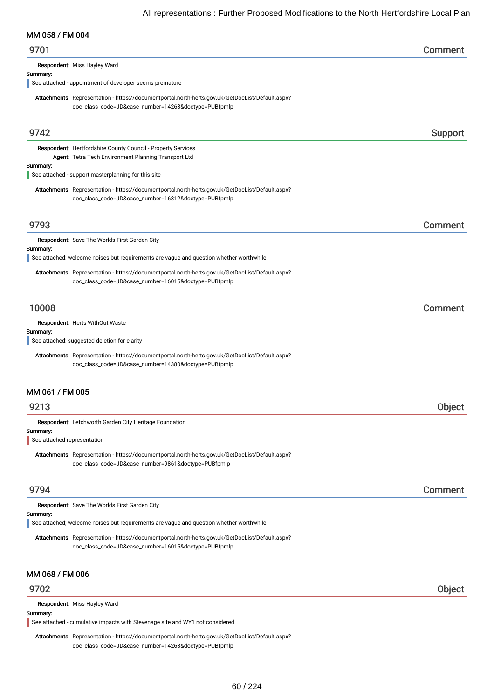## MM 058 / FM 004

| 9701 | Comment |
|------|---------|
|------|---------|

Respondent: Miss Hayley Ward

### Summary:

See attached - appointment of developer seems premature

Attachments: Representation - https://documentportal.north-herts.gov.uk/GetDocList/Default.aspx? doc\_class\_code=JD&case\_number=14263&doctype=PUBfpmlp

| 9742                                    |                                                                                                                                                          | Support |
|-----------------------------------------|----------------------------------------------------------------------------------------------------------------------------------------------------------|---------|
|                                         | Respondent: Hertfordshire County Council - Property Services                                                                                             |         |
| Summary:                                | Agent: Tetra Tech Environment Planning Transport Ltd                                                                                                     |         |
|                                         | See attached - support masterplanning for this site                                                                                                      |         |
|                                         | Attachments: Representation - https://documentportal.north-herts.gov.uk/GetDocList/Default.aspx?<br>doc_class_code=JD&case_number=16812&doctype=PUBfpmlp |         |
| 9793                                    |                                                                                                                                                          | Comment |
| Summary:                                | Respondent: Save The Worlds First Garden City<br>See attached; welcome noises but requirements are vague and question whether worthwhile                 |         |
|                                         |                                                                                                                                                          |         |
|                                         | Attachments: Representation - https://documentportal.north-herts.gov.uk/GetDocList/Default.aspx?<br>doc_class_code=JD&case_number=16015&doctype=PUBfpmlp |         |
| 10008                                   |                                                                                                                                                          | Comment |
| <b>Respondent: Herts WithOut Waste</b>  |                                                                                                                                                          |         |
| Summary:                                | See attached; suggested deletion for clarity                                                                                                             |         |
|                                         | Attachments: Representation - https://documentportal.north-herts.gov.uk/GetDocList/Default.aspx?                                                         |         |
|                                         | doc_class_code=JD&case_number=14380&doctype=PUBfpmlp                                                                                                     |         |
| MM 061 / FM 005<br>9213                 |                                                                                                                                                          |         |
|                                         |                                                                                                                                                          | Object  |
| Summary:<br>See attached representation | Respondent: Letchworth Garden City Heritage Foundation                                                                                                   |         |
|                                         |                                                                                                                                                          |         |
|                                         | Attachments: Representation - https://documentportal.north-herts.gov.uk/GetDocList/Default.aspx?<br>doc_class_code=JD&case_number=9861&doctype=PUBfpmlp  |         |
| 9794                                    |                                                                                                                                                          | Comment |
| Summary:                                | Respondent: Save The Worlds First Garden City                                                                                                            |         |
|                                         | See attached; welcome noises but requirements are vague and question whether worthwhile                                                                  |         |
|                                         | Attachments: Representation - https://documentportal.north-herts.gov.uk/GetDocList/Default.aspx?<br>doc_class_code=JD&case_number=16015&doctype=PUBfpmlp |         |
| MM 068 / FM 006                         |                                                                                                                                                          |         |
| 9702                                    |                                                                                                                                                          | Object  |
| Respondent: Miss Hayley Ward            |                                                                                                                                                          |         |
| Summary:                                | See attached - cumulative impacts with Stevenage site and WY1 not considered                                                                             |         |

Attachments: Representation - https://documentportal.north-herts.gov.uk/GetDocList/Default.aspx? doc\_class\_code=JD&case\_number=14263&doctype=PUBfpmlp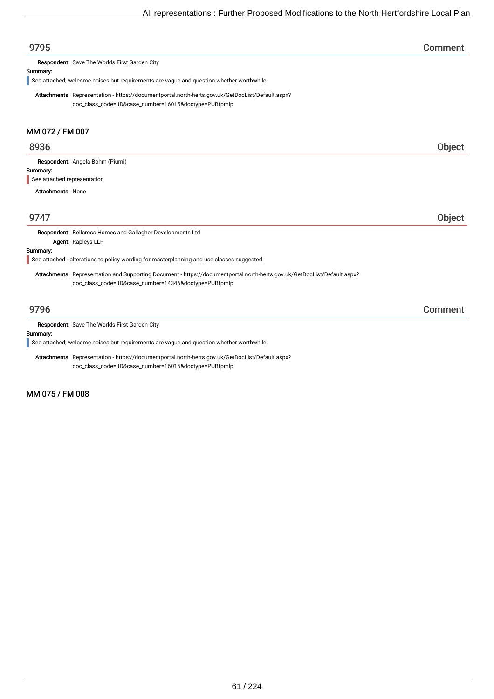| 9795                                                                                                                     | Comment |
|--------------------------------------------------------------------------------------------------------------------------|---------|
| Respondent: Save The Worlds First Garden City                                                                            |         |
| Summary:                                                                                                                 |         |
| See attached; welcome noises but requirements are vague and question whether worthwhile                                  |         |
| Attachments: Representation - https://documentportal.north-herts.gov.uk/GetDocList/Default.aspx?                         |         |
| doc_class_code=JD&case_number=16015&doctype=PUBfpmlp                                                                     |         |
| MM 072 / FM 007                                                                                                          |         |
| 8936                                                                                                                     | Object  |
| Respondent: Angela Bohm (Piumi)                                                                                          |         |
| Summary:                                                                                                                 |         |
| See attached representation                                                                                              |         |
| <b>Attachments: None</b>                                                                                                 |         |
|                                                                                                                          |         |
| 9747                                                                                                                     | Object  |
| Respondent: Bellcross Homes and Gallagher Developments Ltd                                                               |         |
| Agent: Rapleys LLP                                                                                                       |         |
| Summary:                                                                                                                 |         |
| See attached - alterations to policy wording for masterplanning and use classes suggested                                |         |
| Attachments: Representation and Supporting Document - https://documentportal.north-herts.gov.uk/GetDocList/Default.aspx? |         |
| doc_class_code=JD&case_number=14346&doctype=PUBfpmlp                                                                     |         |
| 9796                                                                                                                     | Comment |

Respondent: Save The Worlds First Garden City

Summary:

See attached; welcome noises but requirements are vague and question whether worthwhile

Attachments: Representation - https://documentportal.north-herts.gov.uk/GetDocList/Default.aspx? doc\_class\_code=JD&case\_number=16015&doctype=PUBfpmlp

MM 075 / FM 008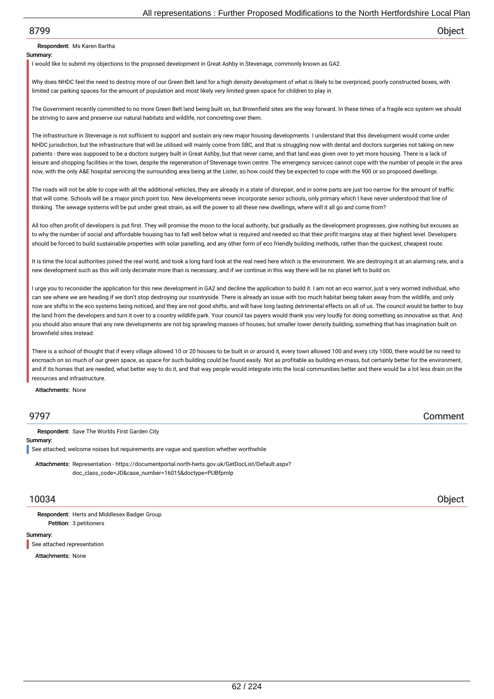## Respondent: Ms Karen Bartha

#### Summary:

I would like to submit my objections to the proposed development in Great Ashby in Stevenage, commonly known as GA2.

Why does NHDC feel the need to destroy more of our Green Belt land for a high density development of what is likely to be overpriced, poorly constructed boxes, with limited car parking spaces for the amount of population and most likely very limited green space for children to play in.

The Government recently committed to no more Green Belt land being built on, but Brownfield sites are the way forward. In these times of a fragile eco system we should be striving to save and preserve our natural habitats and wildlife, not concreting over them.

The infrastructure in Stevenage is not sufficient to support and sustain any new major housing developments. I understand that this development would come under NHDC jurisdiction, but the infrastructure that will be utilised will mainly come from SBC, and that is struggling now with dental and doctors surgeries not taking on new patients - there was supposed to be a doctors surgery built in Great Ashby, but that never came, and that land was given over to yet more housing. There is a lack of leisure and shopping facilities in the town, despite the regeneration of Stevenage town centre. The emergency services cannot cope with the number of people in the area now, with the only A&E hospital servicing the surrounding area being at the Lister, so how could they be expected to cope with the 900 or so proposed dwellings.

The roads will not be able to cope with all the additional vehicles, they are already in a state of disrepair, and in some parts are just too narrow for the amount of traffic that will come. Schools will be a major pinch point too. New developments never incorporate senior schools, only primary which I have never understood that line of thinking. The sewage systems will be put under great strain, as will the power to all these new dwellings, where will it all go and come from?

All too often profit of developers is put first. They will promise the moon to the local authority, but gradually as the development progresses, give nothing but excuses as to why the number of social and affordable housing has to fall well below what is required and needed so that their profit margins stay at their highest level. Developers should be forced to build sustainable properties with solar panelling, and any other form of eco friendly building methods, rather than the quickest, cheapest route.

It is time the local authorities joined the real world, and took a long hard look at the real need here which is the environment. We are destroying it at an alarming rate, and a new development such as this will only decimate more than is necessary, and if we continue in this way there will be no planet left to build on.

I urge you to reconsider the application for this new development in GA2 and decline the application to build it. I am not an eco warrior, just a very worried individual, who can see where we are heading if we don't stop destroying our countryside. There is already an issue with too much habitat being taken away from the wildlife, and only now are shifts in the eco systems being noticed, and they are not good shifts, and will have long lasting detrimental effects on all of us. The council would be better to buy the land from the developers and turn it over to a country wildlife park. Your council tax payers would thank you very loudly for doing something as innovative as that. And you should also ensure that any new developments are not big sprawling masses of houses, but smaller lower density building, something that has imagination built on brownfield sites instead.

There is a school of thought that if every village allowed 10 or 20 houses to be built in or around it, every town allowed 100 and every city 1000, there would be no need to encroach on so much of our green space, as space for such building could be found easily. Not as profitable as building en-mass, but certainly better for the environment, and if its homes that are needed, what better way to do it, and that way people would integrate into the local communities better and there would be a lot less drain on the resources and infrastructure.

Attachments: None

9797 Comment

Respondent: Save The Worlds First Garden City

### Summary:

See attached; welcome noises but requirements are vague and question whether worthwhile

Attachments: Representation - https://documentportal.north-herts.gov.uk/GetDocList/Default.aspx? doc\_class\_code=JD&case\_number=16015&doctype=PUBfpmlp

10034 Object

Petition: 3 petitioners Respondent: Herts and Middlesex Badger Group

#### Summary:

See attached representation

Attachments: None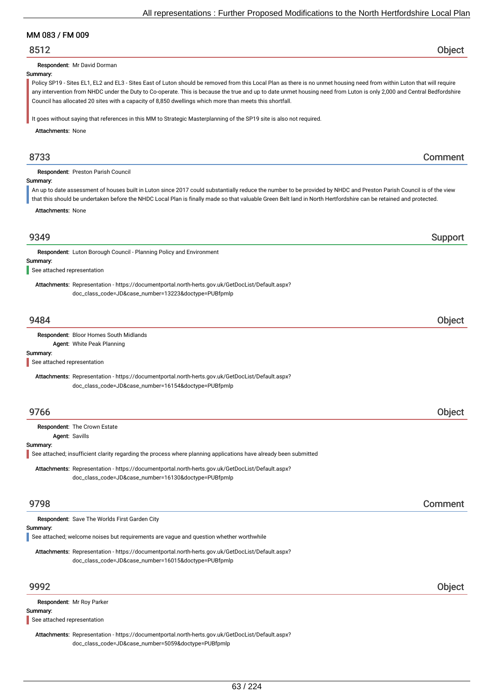## MM 083 / FM 009

## 8512 Object

Respondent: Mr David Dorman

### Summary:

Policy SP19 - Sites EL1, EL2 and EL3 - Sites East of Luton should be removed from this Local Plan as there is no unmet housing need from within Luton that will require any intervention from NHDC under the Duty to Co-operate. This is because the true and up to date unmet housing need from Luton is only 2,000 and Central Bedfordshire Council has allocated 20 sites with a capacity of 8,850 dwellings which more than meets this shortfall.

It goes without saying that references in this MM to Strategic Masterplanning of the SP19 site is also not required.

Attachments: None

## 8733 Comment

Respondent: Preston Parish Council

### Summary:

An up to date assessment of houses built in Luton since 2017 could substantially reduce the number to be provided by NHDC and Preston Parish Council is of the view that this should be undertaken before the NHDC Local Plan is finally made so that valuable Green Belt land in North Hertfordshire can be retained and protected.

Attachments: None

| 9349                                                                                                             | Support |
|------------------------------------------------------------------------------------------------------------------|---------|
| Respondent: Luton Borough Council - Planning Policy and Environment                                              |         |
| Summary:                                                                                                         |         |
| See attached representation                                                                                      |         |
| Attachments: Representation - https://documentportal.north-herts.gov.uk/GetDocList/Default.aspx?                 |         |
| doc_class_code=JD&case_number=13223&doctype=PUBfpmlp                                                             |         |
|                                                                                                                  |         |
| 9484                                                                                                             | Object  |
| Respondent: Bloor Homes South Midlands                                                                           |         |
| Agent: White Peak Planning                                                                                       |         |
| Summary:                                                                                                         |         |
| See attached representation                                                                                      |         |
| Attachments: Representation - https://documentportal.north-herts.gov.uk/GetDocList/Default.aspx?                 |         |
| doc_class_code=JD&case_number=16154&doctype=PUBfpmlp                                                             |         |
|                                                                                                                  |         |
| 9766                                                                                                             | Object  |
| Respondent: The Crown Estate                                                                                     |         |
| Agent: Savills                                                                                                   |         |
| Summary:                                                                                                         |         |
| See attached; insufficient clarity regarding the process where planning applications have already been submitted |         |
| Attachments: Representation - https://documentportal.north-herts.gov.uk/GetDocList/Default.aspx?                 |         |
| doc_class_code=JD&case_number=16130&doctype=PUBfpmlp                                                             |         |
|                                                                                                                  |         |
| 9798                                                                                                             | Comment |
| Respondent: Save The Worlds First Garden City                                                                    |         |
| Summary:                                                                                                         |         |
| See attached; welcome noises but requirements are vague and question whether worthwhile                          |         |
| Attachmente: Depresentation, https://degumentpertal.perth.berte.gov.uk/CetDeeList/Defeult.com/2                  |         |

Attachments: Representation - https://documentportal.north-herts.gov.uk/GetDocList/Default.aspx? doc\_class\_code=JD&case\_number=16015&doctype=PUBfpmlp

## 9992 Object

Respondent: Mr Roy Parker

#### Summary:

See attached representation

Attachments: Representation - https://documentportal.north-herts.gov.uk/GetDocList/Default.aspx? doc\_class\_code=JD&case\_number=5059&doctype=PUBfpmlp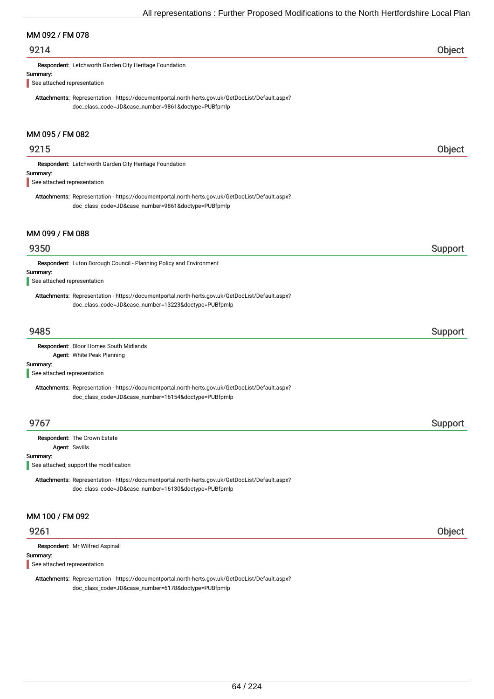## MM 092 / FM 078

## 9214 Object

Respondent: Letchworth Garden City Heritage Foundation

#### Summary:

See attached representation

Attachments: Representation - https://documentportal.north-herts.gov.uk/GetDocList/Default.aspx? doc\_class\_code=JD&case\_number=9861&doctype=PUBfpmlp

## MM 095 / FM 082

# 9215 Object Summary: Respondent: Letchworth Garden City Heritage Foundation Attachments: Representation - https://documentportal.north-herts.gov.uk/GetDocList/Default.aspx? doc\_class\_code=JD&case\_number=9861&doctype=PUBfpmlp See attached representation

## MM 099 / FM 088

## er 19350 support that the second state of the second state of the second state  $\sim$  Support Support support in the second state of the second state  $\sim$

Respondent: Luton Borough Council - Planning Policy and Environment

#### Summary:

See attached representation

Attachments: Representation - https://documentportal.north-herts.gov.uk/GetDocList/Default.aspx? doc\_class\_code=JD&case\_number=13223&doctype=PUBfpmlp

## er 19485 i 1958 ble stort i 1959 ble stort i 1959 ble stort i 1959 ble stort i 1959 ble stort i 1959 ble stort

Respondent: Bloor Homes South Midlands Agent: White Peak Planning

#### Summary:

See attached representation

Attachments: Representation - https://documentportal.north-herts.gov.uk/GetDocList/Default.aspx? doc\_class\_code=JD&case\_number=16154&doctype=PUBfpmlp

## er 19767 i Support i Support i Support i Support i Support i Support i Support i Support i Support i Support i

Respondent: The Crown Estate

## Agent: Savills

Summary:

L See attached; support the modification

Attachments: Representation - https://documentportal.north-herts.gov.uk/GetDocList/Default.aspx? doc\_class\_code=JD&case\_number=16130&doctype=PUBfpmlp

## MM 100 / FM 092

## 9261 Object

Respondent: Mr Wilfred Aspinall

### Summary:

See attached representation

Attachments: Representation - https://documentportal.north-herts.gov.uk/GetDocList/Default.aspx? doc\_class\_code=JD&case\_number=6178&doctype=PUBfpmlp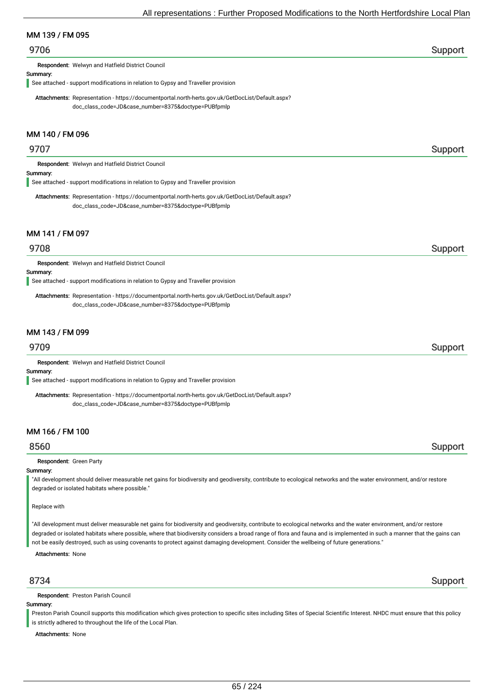## MM 139 / FM 095

## er 19706 i Support i Support i Support i Support i Support i Support i Support i Support i Support i Support i

Respondent: Welwyn and Hatfield District Council

#### Summary:

See attached - support modifications in relation to Gypsy and Traveller provision

Attachments: Representation - https://documentportal.north-herts.gov.uk/GetDocList/Default.aspx? doc\_class\_code=JD&case\_number=8375&doctype=PUBfpmlp

## MM 140 / FM 096

## er 19707 i Support i Support i Support i Support i Support i Support i Support i Support i Support i Support i

Respondent: Welwyn and Hatfield District Council

#### Summary:

See attached - support modifications in relation to Gypsy and Traveller provision

Attachments: Representation - https://documentportal.north-herts.gov.uk/GetDocList/Default.aspx? doc\_class\_code=JD&case\_number=8375&doctype=PUBfpmlp

## MM 141 / FM 097

## 9708 Support

Respondent: Welwyn and Hatfield District Council

#### Summary:

See attached - support modifications in relation to Gypsy and Traveller provision

Attachments: Representation - https://documentportal.north-herts.gov.uk/GetDocList/Default.aspx? doc\_class\_code=JD&case\_number=8375&doctype=PUBfpmlp

## MM 143 / FM 099

Respondent: Welwyn and Hatfield District Council

## Summary:

See attached - support modifications in relation to Gypsy and Traveller provision

Attachments: Representation - https://documentportal.north-herts.gov.uk/GetDocList/Default.aspx? doc\_class\_code=JD&case\_number=8375&doctype=PUBfpmlp

## MM 166 / FM 100

## 8560 Support

#### Respondent: Green Party

### Summary:

"All development should deliver measurable net gains for biodiversity and geodiversity, contribute to ecological networks and the water environment, and/or restore degraded or isolated habitats where possible."

#### Replace with

"All development must deliver measurable net gains for biodiversity and geodiversity, contribute to ecological networks and the water environment, and/or restore degraded or isolated habitats where possible, where that biodiversity considers a broad range of flora and fauna and is implemented in such a manner that the gains can not be easily destroyed, such as using covenants to protect against damaging development. Consider the wellbeing of future generations."

Attachments: None

Respondent: Preston Parish Council

### Summary:

Preston Parish Council supports this modification which gives protection to specific sites including Sites of Special Scientific Interest. NHDC must ensure that this policy is strictly adhered to throughout the life of the Local Plan.

Attachments: None

## 8734 Support

## 9709 Support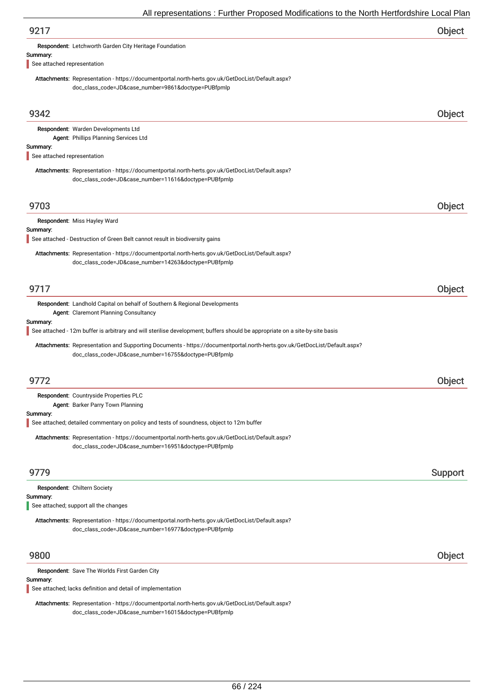|                                         | $\overline{\phantom{a}}$ and $\overline{\phantom{a}}$ and $\overline{\phantom{a}}$ and $\overline{\phantom{a}}$ and $\overline{\phantom{a}}$ and $\overline{\phantom{a}}$ and $\overline{\phantom{a}}$ and $\overline{\phantom{a}}$ and $\overline{\phantom{a}}$ and $\overline{\phantom{a}}$ and $\overline{\phantom{a}}$ and $\overline{\phantom{a}}$ and $\overline{\phantom{a}}$ and $\overline{\phantom{a}}$ a |         |
|-----------------------------------------|---------------------------------------------------------------------------------------------------------------------------------------------------------------------------------------------------------------------------------------------------------------------------------------------------------------------------------------------------------------------------------------------------------------------|---------|
| 9217                                    |                                                                                                                                                                                                                                                                                                                                                                                                                     | Object  |
|                                         | Respondent: Letchworth Garden City Heritage Foundation                                                                                                                                                                                                                                                                                                                                                              |         |
| Summary:<br>See attached representation |                                                                                                                                                                                                                                                                                                                                                                                                                     |         |
|                                         | Attachments: Representation - https://documentportal.north-herts.gov.uk/GetDocList/Default.aspx?                                                                                                                                                                                                                                                                                                                    |         |
|                                         | doc_class_code=JD&case_number=9861&doctype=PUBfpmlp                                                                                                                                                                                                                                                                                                                                                                 |         |
|                                         |                                                                                                                                                                                                                                                                                                                                                                                                                     |         |
| 9342                                    |                                                                                                                                                                                                                                                                                                                                                                                                                     | Object  |
|                                         | Respondent: Warden Developments Ltd                                                                                                                                                                                                                                                                                                                                                                                 |         |
| Summary:                                | Agent: Phillips Planning Services Ltd                                                                                                                                                                                                                                                                                                                                                                               |         |
| See attached representation             |                                                                                                                                                                                                                                                                                                                                                                                                                     |         |
|                                         | Attachments: Representation - https://documentportal.north-herts.gov.uk/GetDocList/Default.aspx?                                                                                                                                                                                                                                                                                                                    |         |
|                                         | doc_class_code=JD&case_number=11616&doctype=PUBfpmlp                                                                                                                                                                                                                                                                                                                                                                |         |
|                                         |                                                                                                                                                                                                                                                                                                                                                                                                                     |         |
| 9703                                    |                                                                                                                                                                                                                                                                                                                                                                                                                     | Object  |
| Summary:                                | Respondent: Miss Hayley Ward                                                                                                                                                                                                                                                                                                                                                                                        |         |
|                                         | See attached - Destruction of Green Belt cannot result in biodiversity gains                                                                                                                                                                                                                                                                                                                                        |         |
|                                         | Attachments: Representation - https://documentportal.north-herts.gov.uk/GetDocList/Default.aspx?                                                                                                                                                                                                                                                                                                                    |         |
|                                         | doc_class_code=JD&case_number=14263&doctype=PUBfpmlp                                                                                                                                                                                                                                                                                                                                                                |         |
|                                         |                                                                                                                                                                                                                                                                                                                                                                                                                     |         |
| 9717                                    |                                                                                                                                                                                                                                                                                                                                                                                                                     | Object  |
|                                         | <b>Respondent:</b> Landhold Capital on behalf of Southern & Regional Developments                                                                                                                                                                                                                                                                                                                                   |         |
| Summary:                                | Agent: Claremont Planning Consultancy                                                                                                                                                                                                                                                                                                                                                                               |         |
|                                         | See attached - 12m buffer is arbitrary and will sterilise development; buffers should be appropriate on a site-by-site basis                                                                                                                                                                                                                                                                                        |         |
|                                         | Attachments: Representation and Supporting Documents - https://documentportal.north-herts.gov.uk/GetDocList/Default.aspx?                                                                                                                                                                                                                                                                                           |         |
|                                         | doc_class_code=JD&case_number=16755&doctype=PUBfpmlp                                                                                                                                                                                                                                                                                                                                                                |         |
|                                         |                                                                                                                                                                                                                                                                                                                                                                                                                     |         |
| 9772                                    |                                                                                                                                                                                                                                                                                                                                                                                                                     | Object  |
|                                         | Respondent: Countryside Properties PLC<br>Agent: Barker Parry Town Planning                                                                                                                                                                                                                                                                                                                                         |         |
| Summary:                                |                                                                                                                                                                                                                                                                                                                                                                                                                     |         |
|                                         | See attached; detailed commentary on policy and tests of soundness, object to 12m buffer                                                                                                                                                                                                                                                                                                                            |         |
|                                         | Attachments: Representation - https://documentportal.north-herts.gov.uk/GetDocList/Default.aspx?<br>doc_class_code=JD&case_number=16951&doctype=PUBfpmlp                                                                                                                                                                                                                                                            |         |
|                                         |                                                                                                                                                                                                                                                                                                                                                                                                                     |         |
| 9779                                    |                                                                                                                                                                                                                                                                                                                                                                                                                     | Support |
|                                         | Respondent: Chiltern Society                                                                                                                                                                                                                                                                                                                                                                                        |         |
| Summary:                                |                                                                                                                                                                                                                                                                                                                                                                                                                     |         |
|                                         | See attached; support all the changes                                                                                                                                                                                                                                                                                                                                                                               |         |
|                                         | Attachments: Representation - https://documentportal.north-herts.gov.uk/GetDocList/Default.aspx?<br>doc_class_code=JD&case_number=16977&doctype=PUBfpmlp                                                                                                                                                                                                                                                            |         |
|                                         |                                                                                                                                                                                                                                                                                                                                                                                                                     |         |
| 9800                                    |                                                                                                                                                                                                                                                                                                                                                                                                                     | Object  |
|                                         | Respondent: Save The Worlds First Garden City                                                                                                                                                                                                                                                                                                                                                                       |         |
| Summary:                                |                                                                                                                                                                                                                                                                                                                                                                                                                     |         |
|                                         | See attached; lacks definition and detail of implementation                                                                                                                                                                                                                                                                                                                                                         |         |

Attachments: Representation - https://documentportal.north-herts.gov.uk/GetDocList/Default.aspx? doc\_class\_code=JD&case\_number=16015&doctype=PUBfpmlp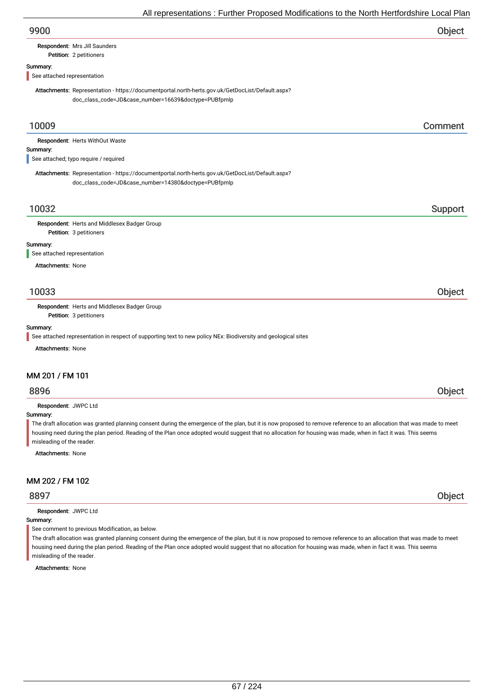# Respondent: Mrs Jill Saunders

### Petition: 2 petitioners

## Summary:

See attached representation

Attachments: Representation - https://documentportal.north-herts.gov.uk/GetDocList/Default.aspx? doc\_class\_code=JD&case\_number=16639&doctype=PUBfpmlp

## 10009 Comment

|          | <b>Respondent: Herts WithOut Waste</b> |  |  |
|----------|----------------------------------------|--|--|
| Summary: |                                        |  |  |
|          | See attached; typo require / required  |  |  |

Attachments: Representation - https://documentportal.north-herts.gov.uk/GetDocList/Default.aspx? doc\_class\_code=JD&case\_number=14380&doctype=PUBfpmlp

## 10032 Support

Petition: 3 petitioners Respondent: Herts and Middlesex Badger Group

#### Summary:

See attached representation

Attachments: None

## 10033 Object

Respondent: Herts and Middlesex Badger Group

Petition: 3 petitioners

## Summary:

See attached representation in respect of supporting text to new policy NEx: Biodiversity and geological sites

Attachments: None

## MM 201 / FM 101

# 8896 Object

Respondent: JWPC Ltd

## Summary:

The draft allocation was granted planning consent during the emergence of the plan, but it is now proposed to remove reference to an allocation that was made to meet housing need during the plan period. Reading of the Plan once adopted would suggest that no allocation for housing was made, when in fact it was. This seems misleading of the reader.

Attachments: None

## MM 202 / FM 102

Respondent: JWPC Ltd

#### Summary:

See comment to previous Modification, as below.

The draft allocation was granted planning consent during the emergence of the plan, but it is now proposed to remove reference to an allocation that was made to meet housing need during the plan period. Reading of the Plan once adopted would suggest that no allocation for housing was made, when in fact it was. This seems misleading of the reader.

Attachments: None

8897 Object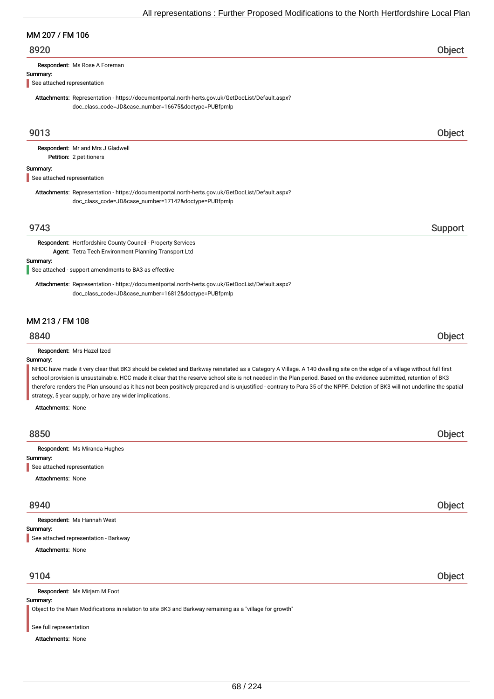## MM 207 / FM 106

## 8920 Object

Respondent: Ms Rose A Foreman

#### Summary:

See attached representation

Attachments: Representation - https://documentportal.north-herts.gov.uk/GetDocList/Default.aspx? doc\_class\_code=JD&case\_number=16675&doctype=PUBfpmlp

## 9013 Object

Petition: 2 petitioners Respondent: Mr and Mrs J Gladwell

#### Summary:

See attached representation

Attachments: Representation - https://documentportal.north-herts.gov.uk/GetDocList/Default.aspx? doc\_class\_code=JD&case\_number=17142&doctype=PUBfpmlp

## 9743 Support

Respondent: Hertfordshire County Council - Property Services Agent: Tetra Tech Environment Planning Transport Ltd

#### Summary:

See attached - support amendments to BA3 as effective

Attachments: Representation - https://documentportal.north-herts.gov.uk/GetDocList/Default.aspx? doc\_class\_code=JD&case\_number=16812&doctype=PUBfpmlp

## MM 213 / FM 108

## 8840 Object

Respondent: Mrs Hazel Izod

#### Summary:

NHDC have made it very clear that BK3 should be deleted and Barkway reinstated as a Category A Village. A 140 dwelling site on the edge of a village without full first school provision is unsustainable. HCC made it clear that the reserve school site is not needed in the Plan period. Based on the evidence submitted, retention of BK3 therefore renders the Plan unsound as it has not been positively prepared and is unjustified - contrary to Para 35 of the NPPF. Deletion of BK3 will not underline the spatial strategy, 5 year supply, or have any wider implications.

Attachments: None

| 8850                                    | Object |
|-----------------------------------------|--------|
| Respondent: Ms Miranda Hughes           |        |
|                                         |        |
| Summary:<br>See attached representation |        |
| <b>Attachments: None</b>                |        |
|                                         |        |
|                                         |        |

## 8940 Object

Summary: Attachments: None Respondent: Ms Hannah West See attached representation - Barkway

## 9104 Object

Respondent: Ms Mirjam M Foot

## Summary:

Object to the Main Modifications in relation to site BK3 and Barkway remaining as a "village for growth"

### See full representation

Attachments: None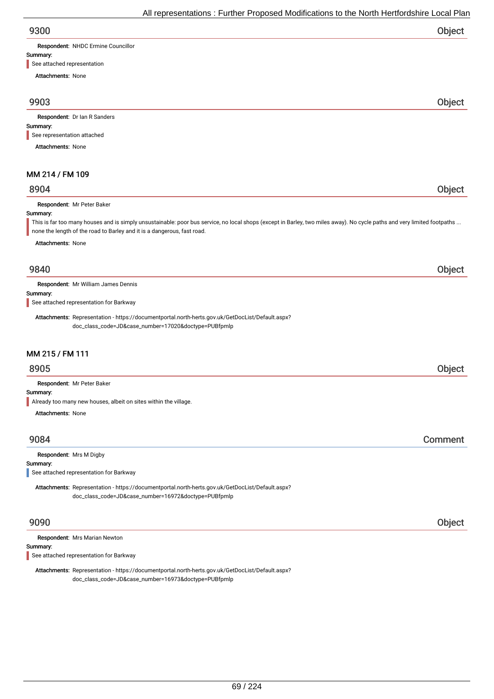| 9300 | Object |
|------|--------|
|      |        |

Respondent: NHDC Ermine Councillor

### Summary:

See attached representation

Attachments: None

## 9903 Object

Respondent: Dr Ian R Sanders

## Summary:

See representation attached

Attachments: None

## MM 214 / FM 109

## 8904 Object

Respondent: Mr Peter Baker

#### Summary:

This is far too many houses and is simply unsustainable: poor bus service, no local shops (except in Barley, two miles away). No cycle paths and very limited footpaths ... none the length of the road to Barley and it is a dangerous, fast road.

Attachments: None

## 9840 Object

Respondent: Mr William James Dennis

Summary:

See attached representation for Barkway

Attachments: Representation - https://documentportal.north-herts.gov.uk/GetDocList/Default.aspx? doc\_class\_code=JD&case\_number=17020&doctype=PUBfpmlp

## MM 215 / FM 111

## 8905 Object

Respondent: Mr Peter Baker

#### Summary:

Already too many new houses, albeit on sites within the village.

Attachments: None

## 9084 Comment

#### Respondent: Mrs M Digby

Summary:

See attached representation for Barkway

Attachments: Representation - https://documentportal.north-herts.gov.uk/GetDocList/Default.aspx? doc\_class\_code=JD&case\_number=16972&doctype=PUBfpmlp

Respondent: Mrs Marian Newton

## Summary:

See attached representation for Barkway

Attachments: Representation - https://documentportal.north-herts.gov.uk/GetDocList/Default.aspx? doc\_class\_code=JD&case\_number=16973&doctype=PUBfpmlp

9090 Object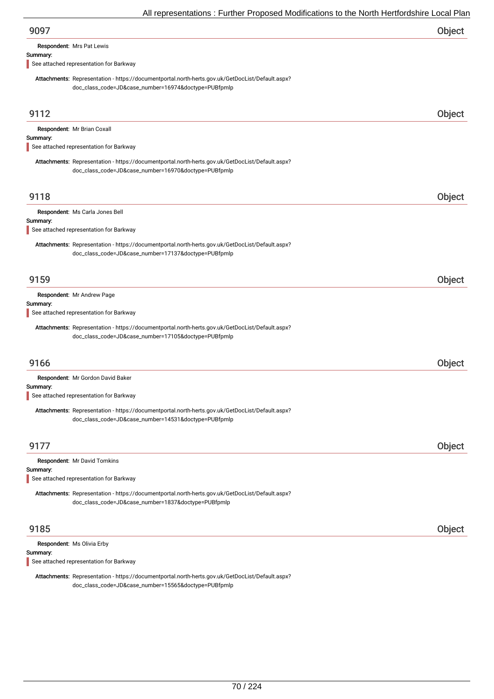Respondent: Mrs Pat Lewis

### Summary:

See attached representation for Barkway

Attachments: Representation - https://documentportal.north-herts.gov.uk/GetDocList/Default.aspx? doc\_class\_code=JD&case\_number=16974&doctype=PUBfpmlp

| 9112                                                                                                                                                     | Object |
|----------------------------------------------------------------------------------------------------------------------------------------------------------|--------|
| Respondent: Mr Brian Coxall<br>Summary:<br>See attached representation for Barkway                                                                       |        |
| Attachments: Representation - https://documentportal.north-herts.gov.uk/GetDocList/Default.aspx?<br>doc_class_code=JD&case_number=16970&doctype=PUBfpmlp |        |
| 9118                                                                                                                                                     | Object |
| Respondent: Ms Carla Jones Bell<br>Summary:<br>See attached representation for Barkway                                                                   |        |
| Attachments: Representation - https://documentportal.north-herts.gov.uk/GetDocList/Default.aspx?<br>doc_class_code=JD&case_number=17137&doctype=PUBfpmlp |        |
| 9159                                                                                                                                                     | Object |
| Respondent: Mr Andrew Page<br>Summary:<br>See attached representation for Barkway                                                                        |        |
| Attachments: Representation - https://documentportal.north-herts.gov.uk/GetDocList/Default.aspx?<br>doc_class_code=JD&case_number=17105&doctype=PUBfpmlp |        |
| 9166                                                                                                                                                     | Object |
| Respondent: Mr Gordon David Baker                                                                                                                        |        |
| Summary:<br>See attached representation for Barkway                                                                                                      |        |
| Attachments: Representation - https://documentportal.north-herts.gov.uk/GetDocList/Default.aspx?<br>doc_class_code=JD&case_number=14531&doctype=PUBfpmlp |        |
| 9177                                                                                                                                                     | Object |
| Respondent: Mr David Tomkins<br>Summary:<br>See attached representation for Barkway                                                                      |        |
| Attachments: Representation - https://documentportal.north-herts.gov.uk/GetDocList/Default.aspx?<br>doc_class_code=JD&case_number=1837&doctype=PUBfpmlp  |        |
| 9185                                                                                                                                                     | Object |
| Respondent: Ms Olivia Erby<br>Summary:                                                                                                                   |        |

See attached representation for Barkway

Attachments: Representation - https://documentportal.north-herts.gov.uk/GetDocList/Default.aspx? doc\_class\_code=JD&case\_number=15565&doctype=PUBfpmlp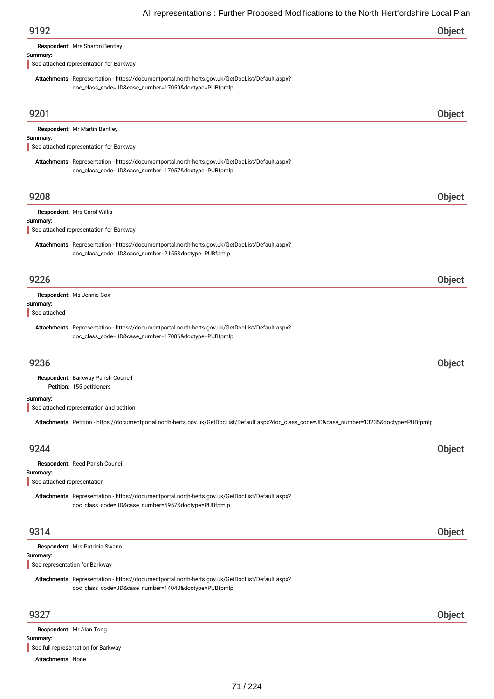Respondent: Mrs Sharon Bentley

#### Summary:

See attached representation for Barkway

Attachments: None

See full representation for Barkway

Attachments: Representation - https://documentportal.north-herts.gov.uk/GetDocList/Default.aspx? doc\_class\_code=JD&case\_number=17059&doctype=PUBfpmlp

| 9201                           |                                                                                                                                                          | Object |
|--------------------------------|----------------------------------------------------------------------------------------------------------------------------------------------------------|--------|
|                                | <b>Respondent:</b> Mr Martin Bentley                                                                                                                     |        |
| Summary:                       | See attached representation for Barkway                                                                                                                  |        |
|                                | Attachments: Representation - https://documentportal.north-herts.gov.uk/GetDocList/Default.aspx?                                                         |        |
|                                | doc_class_code=JD&case_number=17057&doctype=PUBfpmlp                                                                                                     |        |
|                                |                                                                                                                                                          |        |
| 9208                           |                                                                                                                                                          | Object |
|                                | Respondent: Mrs Carol Willis                                                                                                                             |        |
| Summary:                       | See attached representation for Barkway                                                                                                                  |        |
|                                |                                                                                                                                                          |        |
|                                | Attachments: Representation - https://documentportal.north-herts.gov.uk/GetDocList/Default.aspx?<br>doc_class_code=JD&case_number=2155&doctype=PUBfpmlp  |        |
|                                |                                                                                                                                                          |        |
| 9226                           |                                                                                                                                                          | Object |
|                                | Respondent: Ms Jennie Cox                                                                                                                                |        |
| Summary:                       |                                                                                                                                                          |        |
| See attached                   |                                                                                                                                                          |        |
|                                | Attachments: Representation - https://documentportal.north-herts.gov.uk/GetDocList/Default.aspx?<br>doc_class_code=JD&case_number=17086&doctype=PUBfpmlp |        |
|                                |                                                                                                                                                          |        |
| 9236                           |                                                                                                                                                          | Object |
|                                | Respondent: Barkway Parish Council                                                                                                                       |        |
|                                | Petition: 155 petitioners                                                                                                                                |        |
| Summary:                       | See attached representation and petition                                                                                                                 |        |
|                                | Attachments: Petition - https://documentportal.north-herts.gov.uk/GetDocList/Default.aspx?doc_class_code=JD&case_number=13235&doctype=PUBfpmlp           |        |
|                                |                                                                                                                                                          |        |
| 9244                           |                                                                                                                                                          | Object |
|                                | Respondent: Reed Parish Council                                                                                                                          |        |
| Summary:                       |                                                                                                                                                          |        |
| See attached representation    |                                                                                                                                                          |        |
|                                | Attachments: Representation - https://documentportal.north-herts.gov.uk/GetDocList/Default.aspx?                                                         |        |
|                                | doc_class_code=JD&case_number=5957&doctype=PUBfpmlp                                                                                                      |        |
| 9314                           |                                                                                                                                                          | Object |
|                                | Respondent: Mrs Patricia Swann                                                                                                                           |        |
| Summary:                       |                                                                                                                                                          |        |
| See representation for Barkway |                                                                                                                                                          |        |
|                                | Attachments: Representation - https://documentportal.north-herts.gov.uk/GetDocList/Default.aspx?                                                         |        |
|                                | doc_class_code=JD&case_number=14040&doctype=PUBfpmlp                                                                                                     |        |
| 9327                           |                                                                                                                                                          | Object |
|                                |                                                                                                                                                          |        |
| Summary:                       | Respondent: Mr Alan Tong                                                                                                                                 |        |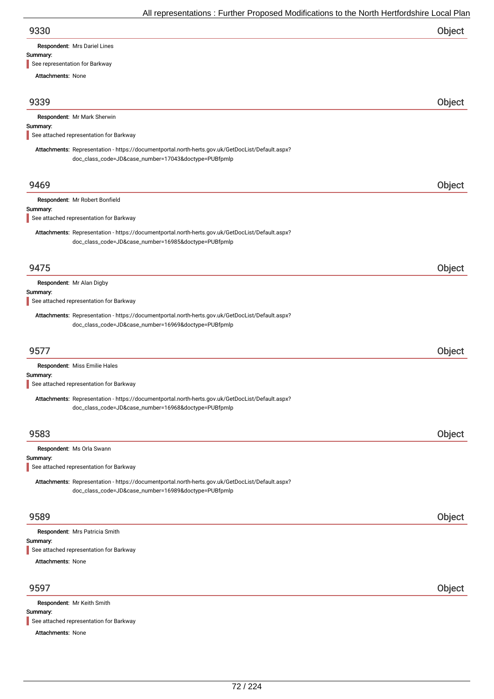#### Summary:

See representation for Barkway

Attachments: None

| 9339 | Object |
|------|--------|
|      |        |

|  |  | Respondent: Mr Mark Sherwin |
|--|--|-----------------------------|
|--|--|-----------------------------|

### Summary:

See attached representation for Barkway

Attachments: Representation - https://documentportal.north-herts.gov.uk/GetDocList/Default.aspx? doc\_class\_code=JD&case\_number=17043&doctype=PUBfpmlp

| 9469     |                                                                                                                                                          | Object |
|----------|----------------------------------------------------------------------------------------------------------------------------------------------------------|--------|
|          | Respondent: Mr Robert Bonfield                                                                                                                           |        |
| Summary: | See attached representation for Barkway                                                                                                                  |        |
|          |                                                                                                                                                          |        |
|          | Attachments: Representation - https://documentportal.north-herts.gov.uk/GetDocList/Default.aspx?<br>doc_class_code=JD&case_number=16985&doctype=PUBfpmlp |        |
| 9475     |                                                                                                                                                          | Object |
| Summary: | Respondent: Mr Alan Digby                                                                                                                                |        |
|          | See attached representation for Barkway                                                                                                                  |        |
|          | Attachments: Representation - https://documentportal.north-herts.gov.uk/GetDocList/Default.aspx?<br>doc_class_code=JD&case_number=16969&doctype=PUBfpmlp |        |
| 9577     |                                                                                                                                                          | Object |
|          | Respondent: Miss Emilie Hales                                                                                                                            |        |
| Summary: |                                                                                                                                                          |        |
|          | See attached representation for Barkway                                                                                                                  |        |
|          | Attachments: Representation - https://documentportal.north-herts.gov.uk/GetDocList/Default.aspx?<br>doc_class_code=JD&case_number=16968&doctype=PUBfpmlp |        |
| 9583     |                                                                                                                                                          | Object |
|          | Respondent: Ms Orla Swann                                                                                                                                |        |
| Summary: |                                                                                                                                                          |        |
|          | See attached representation for Barkway                                                                                                                  |        |
|          | Attachments: Representation - https://documentportal.north-herts.gov.uk/GetDocList/Default.aspx?<br>doc_class_code=JD&case_number=16989&doctype=PUBfpmlp |        |
|          |                                                                                                                                                          |        |

## 9589 Object

| Respondent: Mrs Patricia Smith          |  |  |  |
|-----------------------------------------|--|--|--|
| Summary:                                |  |  |  |
| See attached representation for Barkway |  |  |  |
| <b>Attachments: None</b>                |  |  |  |
|                                         |  |  |  |

## 9597 Object

Summary: Attachments: None Respondent: Mr Keith Smith See attached representation for Barkway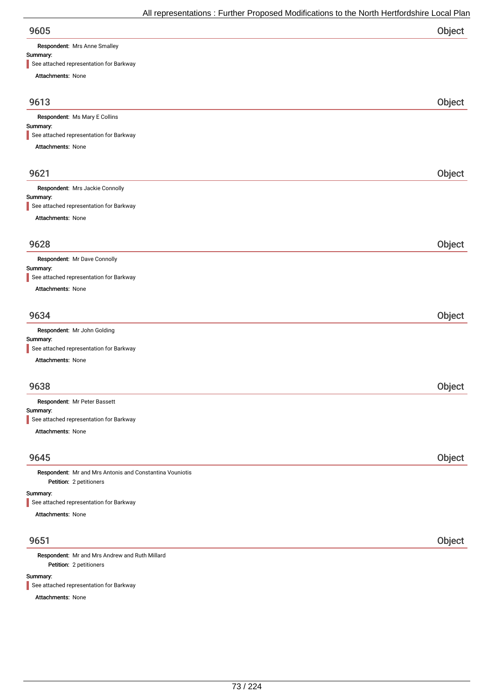Respondent: Mrs Anne Smalley

### Summary:

| See attached representation for Barkway                  |        |
|----------------------------------------------------------|--------|
| Attachments: None                                        |        |
| 9613                                                     | Object |
| Respondent: Ms Mary E Collins                            |        |
| Summary:                                                 |        |
| See attached representation for Barkway                  |        |
| Attachments: None                                        |        |
| 9621                                                     | Object |
| Respondent: Mrs Jackie Connolly                          |        |
| Summary:<br>See attached representation for Barkway      |        |
| Attachments: None                                        |        |
| 9628                                                     | Object |
| Respondent: Mr Dave Connolly                             |        |
| Summary:<br>See attached representation for Barkway      |        |
| Attachments: None                                        |        |
| 9634                                                     | Object |
| Respondent: Mr John Golding                              |        |
| Summary:                                                 |        |
| See attached representation for Barkway                  |        |
| Attachments: None                                        |        |
| 9638                                                     | Object |
| Respondent: Mr Peter Bassett<br>Summary:                 |        |
| See attached representation for Barkway                  |        |
| Attachments: None                                        |        |
| 9645                                                     | Object |
| Respondent: Mr and Mrs Antonis and Constantina Vouniotis |        |
| Petition: 2 petitioners                                  |        |
| Summary:<br>See attached representation for Barkway      |        |
| Attachments: None                                        |        |
| 9651                                                     | Object |
| والأناط الموردان                                         |        |

Petition: 2 petitioners Respondent: Mr and Mrs Andrew and Ruth Millard

Summary:

See attached representation for Barkway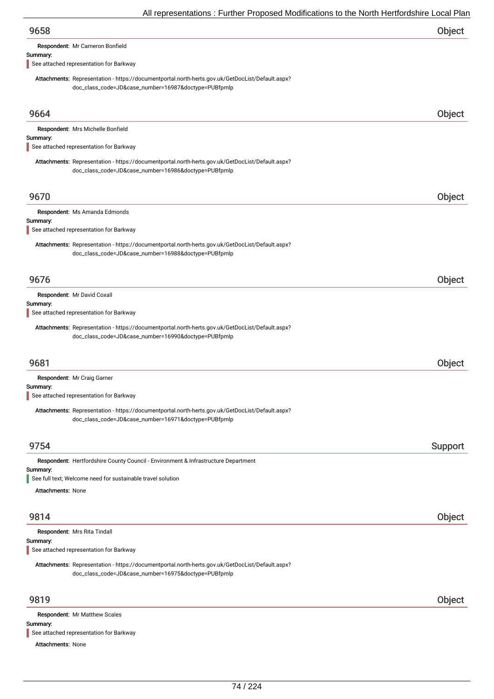| 9658     |                                         | Object |
|----------|-----------------------------------------|--------|
|          | Respondent: Mr Cameron Bonfield         |        |
| Summary: |                                         |        |
|          | See attached representation for Barkway |        |

Attachments: Representation - https://documentportal.north-herts.gov.uk/GetDocList/Default.aspx? doc\_class\_code=JD&case\_number=16987&doctype=PUBfpmlp

| 9664                                                                                                                                                     | Object  |
|----------------------------------------------------------------------------------------------------------------------------------------------------------|---------|
| Respondent: Mrs Michelle Bonfield                                                                                                                        |         |
| Summary:<br>See attached representation for Barkway                                                                                                      |         |
| Attachments: Representation - https://documentportal.north-herts.gov.uk/GetDocList/Default.aspx?<br>doc_class_code=JD&case_number=16986&doctype=PUBfpmlp |         |
| 9670                                                                                                                                                     | Object  |
| Respondent: Ms Amanda Edmonds<br>Summary:                                                                                                                |         |
| See attached representation for Barkway                                                                                                                  |         |
| Attachments: Representation - https://documentportal.north-herts.gov.uk/GetDocList/Default.aspx?<br>doc_class_code=JD&case_number=16988&doctype=PUBfpmlp |         |
| 9676                                                                                                                                                     | Object  |
| Respondent: Mr David Coxall                                                                                                                              |         |
| Summary:<br>See attached representation for Barkway                                                                                                      |         |
| Attachments: Representation - https://documentportal.north-herts.gov.uk/GetDocList/Default.aspx?<br>doc_class_code=JD&case_number=16990&doctype=PUBfpmlp |         |
| 9681                                                                                                                                                     | Object  |
| Respondent: Mr Craig Garner<br>Summary:<br>See attached representation for Barkway                                                                       |         |
| Attachments: Representation - https://documentportal.north-herts.gov.uk/GetDocList/Default.aspx?<br>doc_class_code=JD&case_number=16971&doctype=PUBfpmlp |         |
| 9754                                                                                                                                                     | Support |
| Respondent: Hertfordshire County Council - Environment & Infrastructure Department                                                                       |         |
| Summary:<br>See full text; Welcome need for sustainable travel solution                                                                                  |         |
| <b>Attachments: None</b>                                                                                                                                 |         |
| 9814                                                                                                                                                     | Object  |
| Respondent: Mrs Rita Tindall<br>Summary:<br>See attached representation for Barkway                                                                      |         |
| Attachments: Representation - https://documentportal.north-herts.gov.uk/GetDocList/Default.aspx?<br>doc_class_code=JD&case_number=16975&doctype=PUBfpmlp |         |
| 9819                                                                                                                                                     | Object  |
| Respondent: Mr Matthew Scales<br>Summary:                                                                                                                |         |
| See attached representation for Barkway                                                                                                                  |         |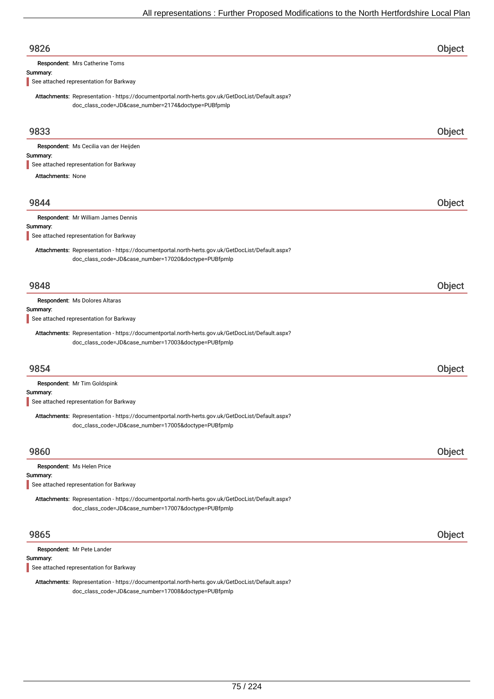| See attached representation for Barkway<br>Attachments: Representation - https://documentportal.north-herts.gov.uk/GetDocList/Default.aspx?<br>doc_class_code=JD&case_number=17007&doctype=PUBfpmlp<br>9865<br>Respondent: Mr Pete Lander | Object |
|-------------------------------------------------------------------------------------------------------------------------------------------------------------------------------------------------------------------------------------------|--------|
|                                                                                                                                                                                                                                           |        |
|                                                                                                                                                                                                                                           |        |
|                                                                                                                                                                                                                                           |        |
| Respondent: Ms Helen Price<br>Summary:                                                                                                                                                                                                    |        |
| 9860                                                                                                                                                                                                                                      | Object |
| Attachments: Representation - https://documentportal.north-herts.gov.uk/GetDocList/Default.aspx?<br>doc_class_code=JD&case_number=17005&doctype=PUBfpmlp                                                                                  |        |
| See attached representation for Barkway                                                                                                                                                                                                   |        |
| Respondent: Mr Tim Goldspink<br>Summary:                                                                                                                                                                                                  |        |
| 9854                                                                                                                                                                                                                                      | Object |
| Attachments: Representation - https://documentportal.north-herts.gov.uk/GetDocList/Default.aspx?<br>doc_class_code=JD&case_number=17003&doctype=PUBfpmlp                                                                                  |        |
| Summary:<br>See attached representation for Barkway                                                                                                                                                                                       |        |
| 9848<br>Respondent: Ms Dolores Altaras                                                                                                                                                                                                    | Object |
|                                                                                                                                                                                                                                           |        |
| Attachments: Representation - https://documentportal.north-herts.gov.uk/GetDocList/Default.aspx?<br>doc_class_code=JD&case_number=17020&doctype=PUBfpmlp                                                                                  |        |
| Summary:<br>See attached representation for Barkway                                                                                                                                                                                       |        |
| Respondent: Mr William James Dennis                                                                                                                                                                                                       |        |
| 9844                                                                                                                                                                                                                                      | Object |
| <b>Attachments: None</b>                                                                                                                                                                                                                  |        |
| See attached representation for Barkway                                                                                                                                                                                                   |        |
| Respondent: Ms Cecilia van der Heijden<br>Summary:                                                                                                                                                                                        |        |
| 9833                                                                                                                                                                                                                                      | Object |
| Attachments: Representation - https://documentportal.north-herts.gov.uk/GetDocList/Default.aspx?<br>doc_class_code=JD&case_number=2174&doctype=PUBfpmlp                                                                                   |        |
| Summary:<br>See attached representation for Barkway                                                                                                                                                                                       |        |
| Respondent: Mrs Catherine Toms                                                                                                                                                                                                            |        |
| 9826                                                                                                                                                                                                                                      | Object |

Attachments: Representation - https://documentportal.north-herts.gov.uk/GetDocList/Default.aspx? doc\_class\_code=JD&case\_number=17008&doctype=PUBfpmlp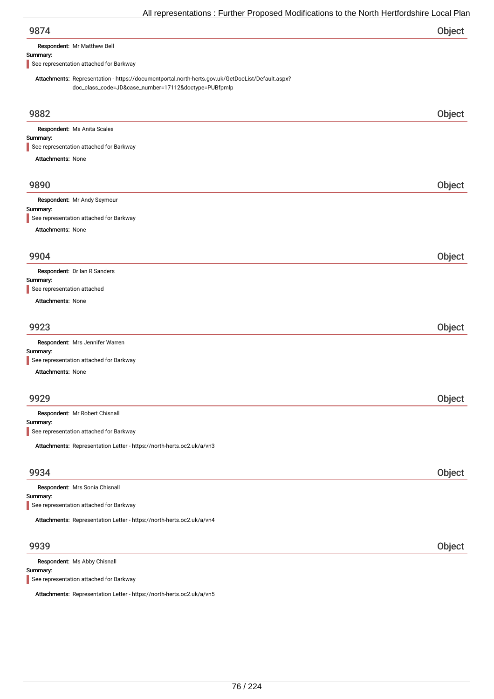| 9874 | Object |
|------|--------|
|      |        |

Respondent: Mr Matthew Bell

#### Summary:

See representation attached for Barkway

Attachments: Representation - https://documentportal.north-herts.gov.uk/GetDocList/Default.aspx? doc\_class\_code=JD&case\_number=17112&doctype=PUBfpmlp

| 9882                                                                  | Object |
|-----------------------------------------------------------------------|--------|
|                                                                       |        |
| Respondent: Ms Anita Scales<br>Summary:                               |        |
| See representation attached for Barkway                               |        |
| <b>Attachments: None</b>                                              |        |
|                                                                       |        |
| 9890                                                                  | Object |
| Respondent: Mr Andy Seymour                                           |        |
| Summary:                                                              |        |
| See representation attached for Barkway                               |        |
| Attachments: None                                                     |        |
|                                                                       |        |
| 9904                                                                  | Object |
| Respondent: Dr Ian R Sanders                                          |        |
| Summary:<br>See representation attached                               |        |
| <b>Attachments: None</b>                                              |        |
|                                                                       |        |
| 9923                                                                  | Object |
| Respondent: Mrs Jennifer Warren                                       |        |
| Summary:                                                              |        |
| See representation attached for Barkway                               |        |
| <b>Attachments: None</b>                                              |        |
|                                                                       |        |
| 9929                                                                  | Object |
| Respondent: Mr Robert Chisnall                                        |        |
| Summary:                                                              |        |
| See representation attached for Barkway                               |        |
| Attachments: Representation Letter - https://north-herts.oc2.uk/a/vn3 |        |
|                                                                       |        |
| 9934                                                                  | Object |
| Respondent: Mrs Sonia Chisnall                                        |        |
| Summary:                                                              |        |
| See representation attached for Barkway                               |        |
| Attachments: Representation Letter - https://north-herts.oc2.uk/a/vn4 |        |
|                                                                       |        |
| 9939                                                                  | Object |
|                                                                       |        |

Summary: Respondent: Ms Abby Chisnall See representation attached for Barkway

Attachments: Representation Letter - https://north-herts.oc2.uk/a/vn5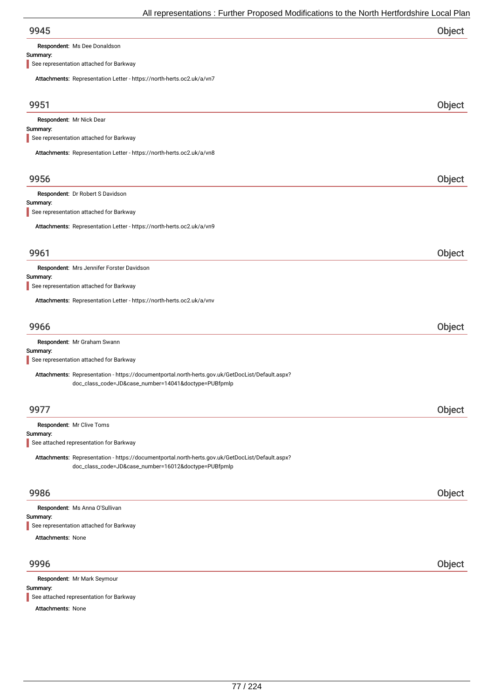Respondent: Ms Dee Donaldson

### Summary:

See representation attached for Barkway

| Attachments: Representation Letter - https://north-herts.oc2.uk/a/vn7                            |        |
|--------------------------------------------------------------------------------------------------|--------|
| 9951                                                                                             | Object |
| Respondent: Mr Nick Dear                                                                         |        |
| Summary:<br>See representation attached for Barkway                                              |        |
|                                                                                                  |        |
| Attachments: Representation Letter - https://north-herts.oc2.uk/a/vn8                            |        |
| 9956                                                                                             | Object |
| Respondent: Dr Robert S Davidson                                                                 |        |
| Summary:<br>See representation attached for Barkway                                              |        |
| Attachments: Representation Letter - https://north-herts.oc2.uk/a/vn9                            |        |
|                                                                                                  |        |
| 9961                                                                                             | Object |
| Respondent: Mrs Jennifer Forster Davidson                                                        |        |
| Summary:<br>See representation attached for Barkway                                              |        |
| Attachments: Representation Letter - https://north-herts.oc2.uk/a/vnv                            |        |
|                                                                                                  |        |
| 9966                                                                                             | Object |
| Respondent: Mr Graham Swann                                                                      |        |
| Summary:<br>See representation attached for Barkway                                              |        |
| Attachments: Representation - https://documentportal.north-herts.gov.uk/GetDocList/Default.aspx? |        |
| doc_class_code=JD&case_number=14041&doctype=PUBfpmlp                                             |        |
|                                                                                                  |        |
| 9977                                                                                             | Object |
| Respondent: Mr Clive Toms                                                                        |        |
| Summary:<br>See attached representation for Barkway                                              |        |
| Attachments: Representation - https://documentportal.north-herts.gov.uk/GetDocList/Default.aspx? |        |
| doc_class_code=JD&case_number=16012&doctype=PUBfpmlp                                             |        |
|                                                                                                  |        |
| 9986                                                                                             | Object |
| Respondent: Ms Anna O'Sullivan                                                                   |        |
| Summary:<br>See representation attached for Barkway                                              |        |
| <b>Attachments: None</b>                                                                         |        |
|                                                                                                  |        |
| 9996                                                                                             | Object |
| Respondent: Mr Mark Seymour                                                                      |        |
| Summary:<br>See attached representation for Barkway                                              |        |
|                                                                                                  |        |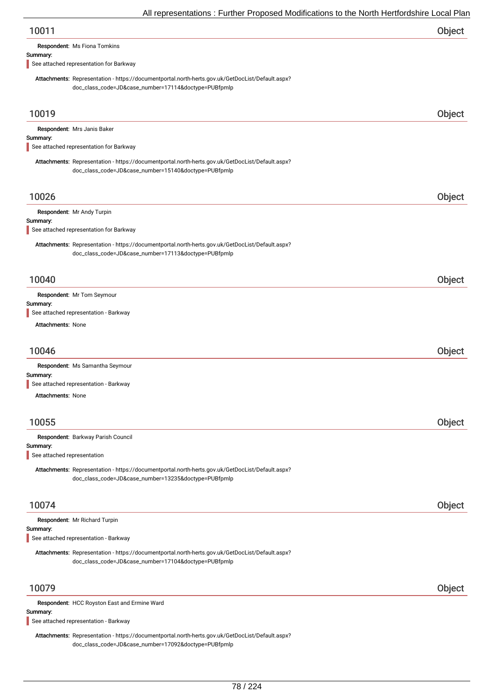| Object |
|--------|
|        |

Respondent: Ms Fiona Tomkins

#### Summary:

See attached representation for Barkway

Attachments: Representation - https://documentportal.north-herts.gov.uk/GetDocList/Default.aspx? doc\_class\_code=JD&case\_number=17114&doctype=PUBfpmlp

| 10019                                                                                                                                                    | Object |
|----------------------------------------------------------------------------------------------------------------------------------------------------------|--------|
| Respondent: Mrs Janis Baker<br>Summary:                                                                                                                  |        |
| See attached representation for Barkway                                                                                                                  |        |
| Attachments: Representation - https://documentportal.north-herts.gov.uk/GetDocList/Default.aspx?<br>doc_class_code=JD&case_number=15140&doctype=PUBfpmlp |        |
| 10026                                                                                                                                                    | Object |
| Respondent: Mr Andy Turpin                                                                                                                               |        |
| Summary:                                                                                                                                                 |        |
| See attached representation for Barkway                                                                                                                  |        |
| Attachments: Representation - https://documentportal.north-herts.gov.uk/GetDocList/Default.aspx?<br>doc_class_code=JD&case_number=17113&doctype=PUBfpmlp |        |
| 10040                                                                                                                                                    | Object |
| Respondent: Mr Tom Seymour                                                                                                                               |        |
| Summary:<br>See attached representation - Barkway                                                                                                        |        |
| <b>Attachments: None</b>                                                                                                                                 |        |
|                                                                                                                                                          |        |
| 10046                                                                                                                                                    | Object |
| Respondent: Ms Samantha Seymour                                                                                                                          |        |
| Summary:                                                                                                                                                 |        |
| See attached representation - Barkway                                                                                                                    |        |
| <b>Attachments: None</b>                                                                                                                                 |        |
|                                                                                                                                                          |        |
| 10055                                                                                                                                                    | Object |
| Respondent: Barkway Parish Council                                                                                                                       |        |
| Summary:<br>See attached representation                                                                                                                  |        |
|                                                                                                                                                          |        |
| Attachments: Representation - https://documentportal.north-herts.gov.uk/GetDocList/Default.aspx?<br>doc_class_code=JD&case_number=13235&doctype=PUBfpmlp |        |
| 10074                                                                                                                                                    | Object |
| Respondent: Mr Richard Turpin                                                                                                                            |        |
| Summary:                                                                                                                                                 |        |
| See attached representation - Barkway                                                                                                                    |        |
| Attachments: Representation - https://documentportal.north-herts.gov.uk/GetDocList/Default.aspx?<br>doc_class_code=JD&case_number=17104&doctype=PUBfpmlp |        |
| 10079                                                                                                                                                    | Object |
| Respondent: HCC Royston East and Ermine Ward                                                                                                             |        |
| Summary:<br>See attached representation - Barkway                                                                                                        |        |
| Attachments: Representation - https://documentportal.north-herts.gov.uk/GetDocList/Default.aspx?                                                         |        |

doc\_class\_code=JD&case\_number=17092&doctype=PUBfpmlp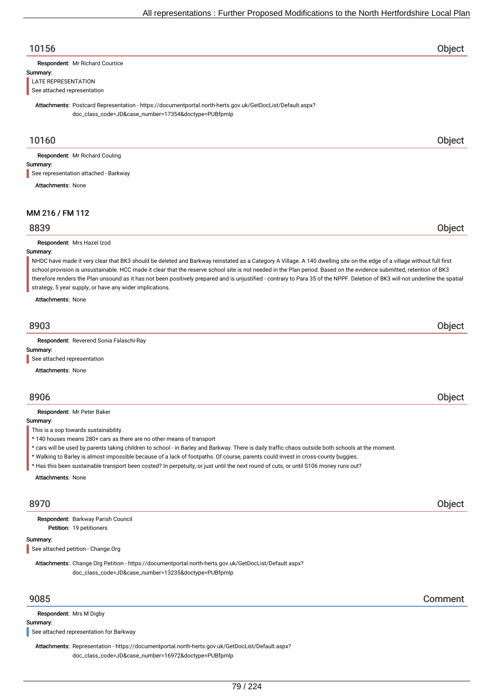### 10156 Object

Respondent: Mr Richard Courtice

#### Summary:

LATE REPRESENTATION See attached representation

Attachments: Postcard Representation - https://documentportal.north-herts.gov.uk/GetDocList/Default.aspx? doc\_class\_code=JD&case\_number=17354&doctype=PUBfpmlp

### 10160 Object

Respondent: Mr Richard Couling

### Summary:

See representation attached - Barkway

Attachments: None

### MM 216 / FM 112

### 8839 Object

Respondent: Mrs Hazel Izod

### Summary:

NHDC have made it very clear that BK3 should be deleted and Barkway reinstated as a Category A Village. A 140 dwelling site on the edge of a village without full first school provision is unsustainable. HCC made it clear that the reserve school site is not needed in the Plan period. Based on the evidence submitted, retention of BK3 therefore renders the Plan unsound as it has not been positively prepared and is unjustified - contrary to Para 35 of the NPPF. Deletion of BK3 will not underline the spatial strategy, 5 year supply, or have any wider implications.

Attachments: None

# 8903 Object

Respondent: Reverend Sonia Falaschi-Ray

### Summary:

See attached representation

Attachments: None

### 8906 Object

Respondent: Mr Peter Baker

Summary:

This is a sop towards sustainability.

- \* 140 houses means 280+ cars as there are no other means of transport
- \* cars will be used by parents taking children to school in Barley and Barkway. There is daily traffic chaos outside both schools at the moment.
- \* Walking to Barley is almost impossible because of a lack of footpaths. Of course, parents could invest in cross-county buggies.

\* Has this been sustainable transport been costed? In perpetuity, or just until the next round of cuts, or until S106 money runs out?

Attachments: None

### 8970 Object

Petition: 19 petitioners Respondent: Barkway Parish Council

#### Summary:

See attached petition - Change.Org

Attachments: Change.Org Petition - https://documentportal.north-herts.gov.uk/GetDocList/Default.aspx? doc\_class\_code=JD&case\_number=13235&doctype=PUBfpmlp

Respondent: Mrs M Digby

Summary:

See attached representation for Barkway

Attachments: Representation - https://documentportal.north-herts.gov.uk/GetDocList/Default.aspx? doc\_class\_code=JD&case\_number=16972&doctype=PUBfpmlp

9085 Comment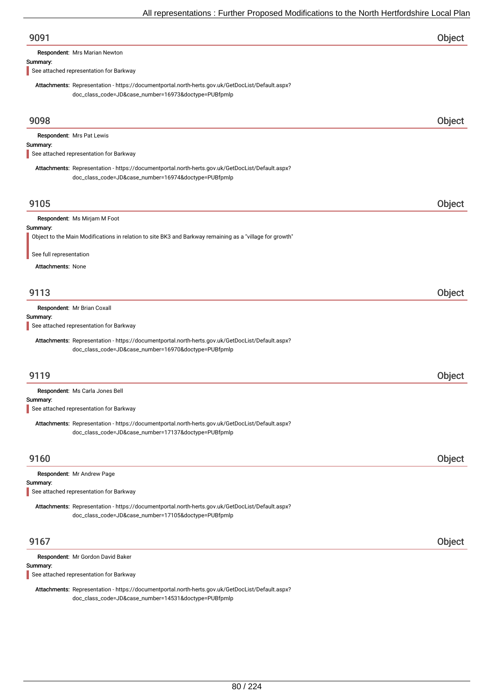| 9091                                                                                                                                                     | Object |
|----------------------------------------------------------------------------------------------------------------------------------------------------------|--------|
| Respondent: Mrs Marian Newton                                                                                                                            |        |
| Summary:<br>See attached representation for Barkway                                                                                                      |        |
| Attachments: Representation - https://documentportal.north-herts.gov.uk/GetDocList/Default.aspx?<br>doc_class_code=JD&case_number=16973&doctype=PUBfpmlp |        |
| 9098                                                                                                                                                     | Object |
| Respondent: Mrs Pat Lewis<br>Summary:                                                                                                                    |        |
| See attached representation for Barkway                                                                                                                  |        |
| Attachments: Representation - https://documentportal.north-herts.gov.uk/GetDocList/Default.aspx?<br>doc_class_code=JD&case_number=16974&doctype=PUBfpmlp |        |
| 9105                                                                                                                                                     | Object |
| Respondent: Ms Mirjam M Foot<br>Summary:                                                                                                                 |        |
| Object to the Main Modifications in relation to site BK3 and Barkway remaining as a "village for growth"                                                 |        |
| See full representation                                                                                                                                  |        |
| Attachments: None                                                                                                                                        |        |
| 9113                                                                                                                                                     | Object |
| Respondent: Mr Brian Coxall<br>Summary:<br>See attached representation for Barkway                                                                       |        |
| Attachments: Representation - https://documentportal.north-herts.gov.uk/GetDocList/Default.aspx?<br>doc_class_code=JD&case_number=16970&doctype=PUBfpmlp |        |
| 9119                                                                                                                                                     | Object |
| Respondent: Ms Carla Jones Bell                                                                                                                          |        |
| Summary:<br>See attached representation for Barkway                                                                                                      |        |
| Attachments: Representation - https://documentportal.north-herts.gov.uk/GetDocList/Default.aspx?<br>doc_class_code=JD&case_number=17137&doctype=PUBfpmlp |        |
| 9160                                                                                                                                                     | Object |
| Respondent: Mr Andrew Page                                                                                                                               |        |
| Summary:<br>See attached representation for Barkway                                                                                                      |        |
| Attachments: Representation - https://documentportal.north-herts.gov.uk/GetDocList/Default.aspx?<br>doc_class_code=JD&case_number=17105&doctype=PUBfpmlp |        |
| 9167                                                                                                                                                     | Object |
| Respondent: Mr Gordon David Baker<br>Summary:                                                                                                            |        |
| See attached representation for Barkway                                                                                                                  |        |

Attachments: Representation - https://documentportal.north-herts.gov.uk/GetDocList/Default.aspx? doc\_class\_code=JD&case\_number=14531&doctype=PUBfpmlp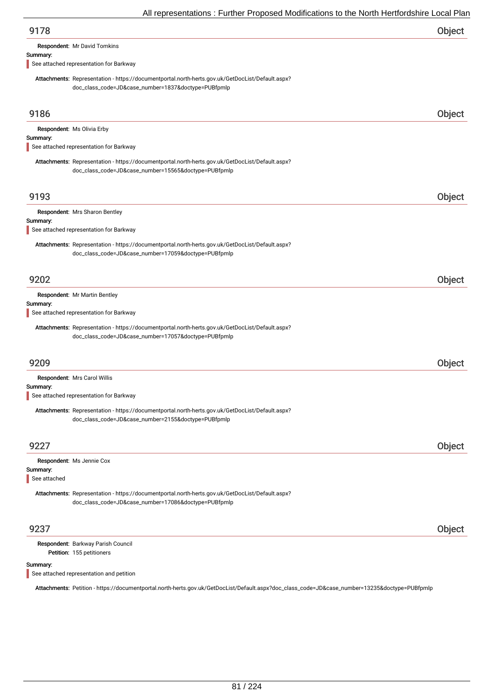| 9178 | Object |
|------|--------|
|      |        |

Respondent: Mr David Tomkins

#### Summary:

See attached representation for Barkway

Attachments: Representation - https://documentportal.north-herts.gov.uk/GetDocList/Default.aspx? doc\_class\_code=JD&case\_number=1837&doctype=PUBfpmlp

| 9186                     |                                                                                                                                                          | Object |
|--------------------------|----------------------------------------------------------------------------------------------------------------------------------------------------------|--------|
| Summary:                 | Respondent: Ms Olivia Erby<br>See attached representation for Barkway                                                                                    |        |
|                          | Attachments: Representation - https://documentportal.north-herts.gov.uk/GetDocList/Default.aspx?<br>doc_class_code=JD&case_number=15565&doctype=PUBfpmlp |        |
| 9193                     |                                                                                                                                                          | Object |
| Summary:                 | Respondent: Mrs Sharon Bentley<br>See attached representation for Barkway                                                                                |        |
|                          | Attachments: Representation - https://documentportal.north-herts.gov.uk/GetDocList/Default.aspx?<br>doc_class_code=JD&case_number=17059&doctype=PUBfpmlp |        |
| 9202                     |                                                                                                                                                          | Object |
| Summary:                 | Respondent: Mr Martin Bentley<br>See attached representation for Barkway                                                                                 |        |
|                          | Attachments: Representation - https://documentportal.north-herts.gov.uk/GetDocList/Default.aspx?<br>doc_class_code=JD&case_number=17057&doctype=PUBfpmlp |        |
| 9209                     |                                                                                                                                                          | Object |
|                          | Respondent: Mrs Carol Willis                                                                                                                             |        |
| Summary:                 | See attached representation for Barkway                                                                                                                  |        |
|                          | Attachments: Representation - https://documentportal.north-herts.gov.uk/GetDocList/Default.aspx?<br>doc_class_code=JD&case_number=2155&doctype=PUBfpmlp  |        |
| 9227                     |                                                                                                                                                          | Object |
| Summary:<br>See attached | Respondent: Ms Jennie Cox                                                                                                                                |        |
|                          | Attachments: Representation - https://documentportal.north-herts.gov.uk/GetDocList/Default.aspx?<br>doc_class_code=JD&case_number=17086&doctype=PUBfpmlp |        |
| 9237                     |                                                                                                                                                          | Object |
|                          | Respondent: Barkway Parish Council<br>Petition: 155 petitioners                                                                                          |        |

#### Summary:

See attached representation and petition

Attachments: Petition - https://documentportal.north-herts.gov.uk/GetDocList/Default.aspx?doc\_class\_code=JD&case\_number=13235&doctype=PUBfpmlp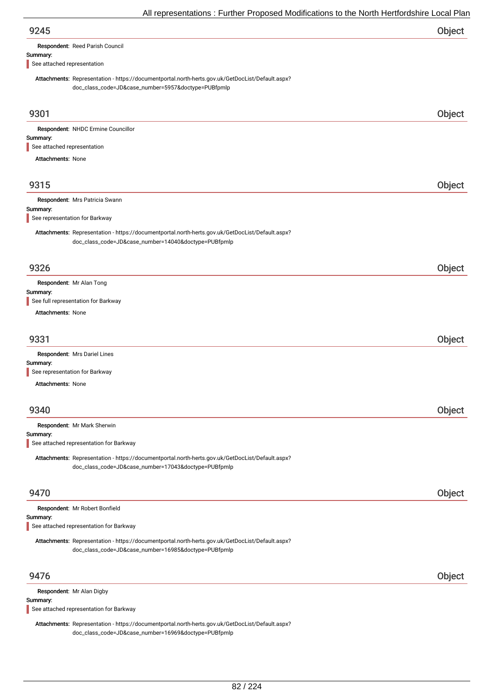| Respondent: Reed Parish Council |  |  |
|---------------------------------|--|--|
|                                 |  |  |

### Summary:

See attached representation

Attachments: Representation - https://documentportal.north-herts.gov.uk/GetDocList/Default.aspx? doc\_class\_code=JD&case\_number=5957&doctype=PUBfpmlp

| 9301                                                                                                                                                     | Object |
|----------------------------------------------------------------------------------------------------------------------------------------------------------|--------|
| Respondent: NHDC Ermine Councillor                                                                                                                       |        |
| Summary:<br>See attached representation                                                                                                                  |        |
| <b>Attachments: None</b>                                                                                                                                 |        |
|                                                                                                                                                          |        |
| 9315                                                                                                                                                     | Object |
| Respondent: Mrs Patricia Swann                                                                                                                           |        |
| Summary:<br>See representation for Barkway                                                                                                               |        |
|                                                                                                                                                          |        |
| Attachments: Representation - https://documentportal.north-herts.gov.uk/GetDocList/Default.aspx?<br>doc_class_code=JD&case_number=14040&doctype=PUBfpmlp |        |
| 9326                                                                                                                                                     | Object |
|                                                                                                                                                          |        |
| Respondent: Mr Alan Tong<br>Summary:                                                                                                                     |        |
| See full representation for Barkway                                                                                                                      |        |
| <b>Attachments: None</b>                                                                                                                                 |        |
| 9331                                                                                                                                                     | Object |
|                                                                                                                                                          |        |
| Respondent: Mrs Dariel Lines<br>Summary:                                                                                                                 |        |
| See representation for Barkway                                                                                                                           |        |
| <b>Attachments: None</b>                                                                                                                                 |        |
|                                                                                                                                                          |        |
| 9340                                                                                                                                                     | Object |
| Respondent: Mr Mark Sherwin                                                                                                                              |        |
| Summary:                                                                                                                                                 |        |
| See attached representation for Barkway                                                                                                                  |        |
| Attachments: Representation - https://documentportal.north-herts.gov.uk/GetDocList/Default.aspx?<br>doc_class_code=JD&case_number=17043&doctype=PUBfpmlp |        |
| 9470                                                                                                                                                     | Object |
| Respondent: Mr Robert Bonfield                                                                                                                           |        |
| Summary:                                                                                                                                                 |        |
| See attached representation for Barkway                                                                                                                  |        |
| Attachments: Representation - https://documentportal.north-herts.gov.uk/GetDocList/Default.aspx?<br>doc_class_code=JD&case_number=16985&doctype=PUBfpmlp |        |
| 9476                                                                                                                                                     | Object |
| Respondent: Mr Alan Digby                                                                                                                                |        |
| Summary:<br>See attached representation for Barkway                                                                                                      |        |
|                                                                                                                                                          |        |
| Attachments: Representation - https://documentportal.north-herts.gov.uk/GetDocList/Default.aspx?                                                         |        |

doc\_class\_code=JD&case\_number=16969&doctype=PUBfpmlp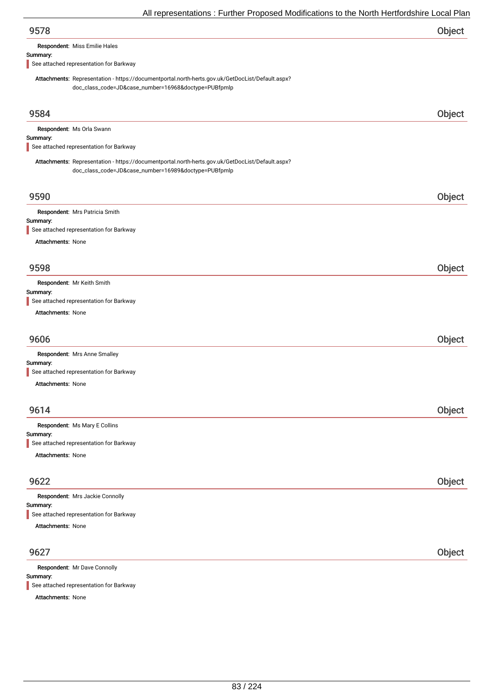| Object |
|--------|
|        |

Respondent: Miss Emilie Hales

#### Summary:

See attached representation for Barkway

Attachments: Representation - https://documentportal.north-herts.gov.uk/GetDocList/Default.aspx? doc\_class\_code=JD&case\_number=16968&doctype=PUBfpmlp

| 9584                                                                                             | Object |
|--------------------------------------------------------------------------------------------------|--------|
| Respondent: Ms Orla Swann                                                                        |        |
| Summary:                                                                                         |        |
| See attached representation for Barkway                                                          |        |
| Attachments: Representation - https://documentportal.north-herts.gov.uk/GetDocList/Default.aspx? |        |
| doc_class_code=JD&case_number=16989&doctype=PUBfpmlp                                             |        |
| 9590                                                                                             | Object |
| Respondent: Mrs Patricia Smith                                                                   |        |
| Summary:<br>See attached representation for Barkway                                              |        |
| Attachments: None                                                                                |        |
|                                                                                                  |        |
| 9598                                                                                             | Object |
| Respondent: Mr Keith Smith                                                                       |        |
| Summary:                                                                                         |        |
| See attached representation for Barkway                                                          |        |
| Attachments: None                                                                                |        |
| 9606                                                                                             | Object |
| Respondent: Mrs Anne Smalley                                                                     |        |
| Summary:                                                                                         |        |
| See attached representation for Barkway                                                          |        |
| Attachments: None                                                                                |        |
|                                                                                                  |        |
| 9614                                                                                             | Object |
| Respondent: Ms Mary E Collins                                                                    |        |
| Summary:                                                                                         |        |
| See attached representation for Barkway                                                          |        |
| Attachments: None                                                                                |        |
| 9622                                                                                             | Object |
|                                                                                                  |        |
| Respondent: Mrs Jackie Connolly<br>Summary:                                                      |        |
| See attached representation for Barkway                                                          |        |
| Attachments: None                                                                                |        |
|                                                                                                  |        |
| 9627                                                                                             | Object |
| Respondent: Mr Dave Connolly                                                                     |        |
| Summary:                                                                                         |        |

See attached representation for Barkway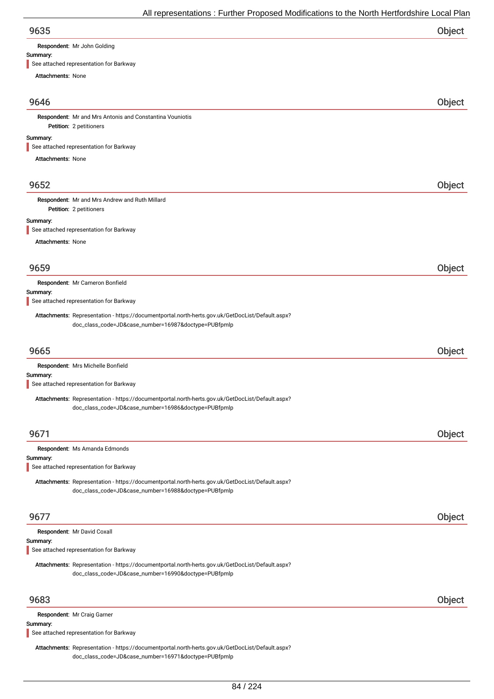Respondent: Mr John Golding

#### Summary:

See attached representation for Barkway

Attachments: None

### 9646 Object

Petition: 2 petitioners Respondent: Mr and Mrs Antonis and Constantina Vouniotis

#### Summary:

See attached representation for Barkway

Attachments: None

### 9652 Object

Petition: 2 petitioners Respondent: Mr and Mrs Andrew and Ruth Millard

#### Summary:

See attached representation for Barkway

Attachments: None

| 9659     |                                                                                                  | Object |
|----------|--------------------------------------------------------------------------------------------------|--------|
|          | Respondent: Mr Cameron Bonfield                                                                  |        |
| Summary: | See attached representation for Barkway                                                          |        |
|          |                                                                                                  |        |
|          | Attachments: Representation - https://documentportal.north-herts.gov.uk/GetDocList/Default.aspx? |        |
|          | doc_class_code=JD&case_number=16987&doctype=PUBfpmlp                                             |        |
| 9665     |                                                                                                  | Object |
|          | Respondent: Mrs Michelle Bonfield                                                                |        |
| Summary: |                                                                                                  |        |
|          | See attached representation for Barkway                                                          |        |
|          | Attachments: Representation - https://documentportal.north-herts.gov.uk/GetDocList/Default.aspx? |        |
|          | doc_class_code=JD&case_number=16986&doctype=PUBfpmlp                                             |        |
| 9671     |                                                                                                  | Object |
|          |                                                                                                  |        |
|          | Respondent: Ms Amanda Edmonds                                                                    |        |
| Summary: |                                                                                                  |        |
|          | See attached representation for Barkway                                                          |        |
|          | Attachments: Representation - https://documentportal.north-herts.gov.uk/GetDocList/Default.aspx? |        |
|          | doc_class_code=JD&case_number=16988&doctype=PUBfpmlp                                             |        |
| 9677     |                                                                                                  | Object |
|          | Respondent: Mr David Coxall                                                                      |        |
| Summary: |                                                                                                  |        |
|          | See attached representation for Barkway                                                          |        |
|          | Attachments: Representation - https://documentportal.north-herts.gov.uk/GetDocList/Default.aspx? |        |
|          | doc_class_code=JD&case_number=16990&doctype=PUBfpmlp                                             |        |
| 9683     |                                                                                                  | Object |
|          |                                                                                                  |        |
|          | Respondent: Mr Craig Garner                                                                      |        |
| Summary: |                                                                                                  |        |

See attached representation for Barkway

Attachments: Representation - https://documentportal.north-herts.gov.uk/GetDocList/Default.aspx? doc\_class\_code=JD&case\_number=16971&doctype=PUBfpmlp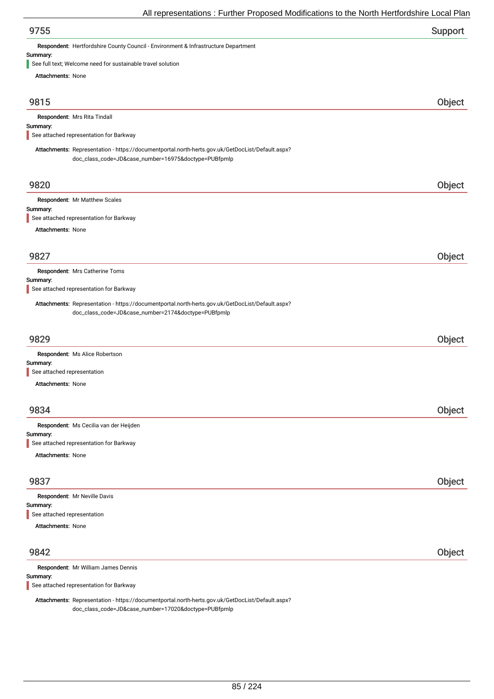| Support |
|---------|
|         |

Respondent: Hertfordshire County Council - Environment & Infrastructure Department

# Summary:<br>See full to

need for sustainable travel solution

| $\blacksquare$ See full text, welcome need for sustainable travel solution<br>Attachments: None                                                          |        |
|----------------------------------------------------------------------------------------------------------------------------------------------------------|--------|
|                                                                                                                                                          |        |
| 9815                                                                                                                                                     | Object |
| Respondent: Mrs Rita Tindall                                                                                                                             |        |
| Summary:<br>See attached representation for Barkway                                                                                                      |        |
|                                                                                                                                                          |        |
| Attachments: Representation - https://documentportal.north-herts.gov.uk/GetDocList/Default.aspx?<br>doc_class_code=JD&case_number=16975&doctype=PUBfpmlp |        |
| 9820                                                                                                                                                     | Object |
| Respondent: Mr Matthew Scales                                                                                                                            |        |
| Summary:<br>See attached representation for Barkway                                                                                                      |        |
| <b>Attachments: None</b>                                                                                                                                 |        |
|                                                                                                                                                          |        |
| 9827                                                                                                                                                     | Object |
| Respondent: Mrs Catherine Toms                                                                                                                           |        |
| Summary:<br>See attached representation for Barkway                                                                                                      |        |
|                                                                                                                                                          |        |
| Attachments: Representation - https://documentportal.north-herts.gov.uk/GetDocList/Default.aspx?<br>doc_class_code=JD&case_number=2174&doctype=PUBfpmlp  |        |
|                                                                                                                                                          |        |
| 9829                                                                                                                                                     | Object |
| Respondent: Ms Alice Robertson                                                                                                                           |        |
| Summary:<br>See attached representation                                                                                                                  |        |
| <b>Attachments: None</b>                                                                                                                                 |        |
|                                                                                                                                                          |        |
| 9834                                                                                                                                                     | Object |
| Respondent: Ms Cecilia van der Heijden                                                                                                                   |        |
| Summary:<br>See attached representation for Barkway                                                                                                      |        |
| <b>Attachments: None</b>                                                                                                                                 |        |
|                                                                                                                                                          |        |
| 9837                                                                                                                                                     | Object |
| Respondent: Mr Neville Davis                                                                                                                             |        |
| Summary:<br>See attached representation                                                                                                                  |        |
| <b>Attachments: None</b>                                                                                                                                 |        |
| 9842                                                                                                                                                     | Object |
|                                                                                                                                                          |        |
| Respondent: Mr William James Dennis<br>Summary:                                                                                                          |        |
| See attached representation for Barkway                                                                                                                  |        |
| Attachments: Representation - https://documentportal.north-herts.gov.uk/GetDocList/Default.aspx?                                                         |        |

doc\_class\_code=JD&case\_number=17020&doctype=PUBfpmlp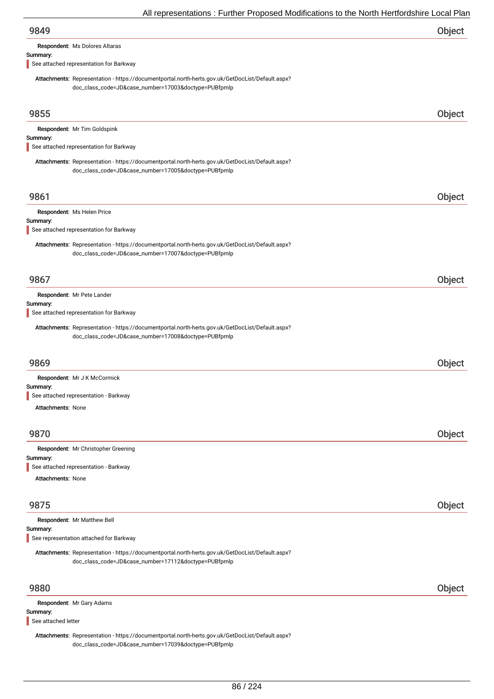Respondent: Ms Dolores Altaras

#### Summary:

See attached representation for Barkway

Attachments: Representation - https://documentportal.north-herts.gov.uk/GetDocList/Default.aspx? doc\_class\_code=JD&case\_number=17003&doctype=PUBfpmlp

| 9855                                                                                                                                                     | Object |
|----------------------------------------------------------------------------------------------------------------------------------------------------------|--------|
| Respondent: Mr Tim Goldspink                                                                                                                             |        |
| Summary:                                                                                                                                                 |        |
| See attached representation for Barkway                                                                                                                  |        |
| Attachments: Representation - https://documentportal.north-herts.gov.uk/GetDocList/Default.aspx?<br>doc_class_code=JD&case_number=17005&doctype=PUBfpmlp |        |
| 9861                                                                                                                                                     | Object |
| Respondent: Ms Helen Price                                                                                                                               |        |
| Summary:<br>See attached representation for Barkway                                                                                                      |        |
| Attachments: Representation - https://documentportal.north-herts.gov.uk/GetDocList/Default.aspx?<br>doc_class_code=JD&case_number=17007&doctype=PUBfpmlp |        |
|                                                                                                                                                          |        |
| 9867                                                                                                                                                     | Object |
| Respondent: Mr Pete Lander<br>Summary:                                                                                                                   |        |
| See attached representation for Barkway                                                                                                                  |        |
| Attachments: Representation - https://documentportal.north-herts.gov.uk/GetDocList/Default.aspx?<br>doc_class_code=JD&case_number=17008&doctype=PUBfpmlp |        |
| 9869                                                                                                                                                     | Object |
| Respondent: Mr J K McCormick                                                                                                                             |        |
| Summary:<br>See attached representation - Barkway                                                                                                        |        |
| <b>Attachments: None</b>                                                                                                                                 |        |
|                                                                                                                                                          |        |
| 9870                                                                                                                                                     | Object |
| Respondent: Mr Christopher Greening                                                                                                                      |        |
| Summary:<br>See attached representation - Barkway                                                                                                        |        |
| <b>Attachments: None</b>                                                                                                                                 |        |
|                                                                                                                                                          |        |
| 9875                                                                                                                                                     | Object |
| Respondent: Mr Matthew Bell                                                                                                                              |        |
| Summary:                                                                                                                                                 |        |
| See representation attached for Barkway<br>Attachments: Representation - https://documentportal.north-herts.gov.uk/GetDocList/Default.aspx?              |        |
| doc_class_code=JD&case_number=17112&doctype=PUBfpmlp                                                                                                     |        |
| 9880                                                                                                                                                     | Object |
| Respondent: Mr Gary Adams                                                                                                                                |        |
| Summary:<br>See attached letter                                                                                                                          |        |
| Attachments: Representation - https://documentportal.north-herts.gov.uk/GetDocList/Default.aspx?                                                         |        |

doc\_class\_code=JD&case\_number=17039&doctype=PUBfpmlp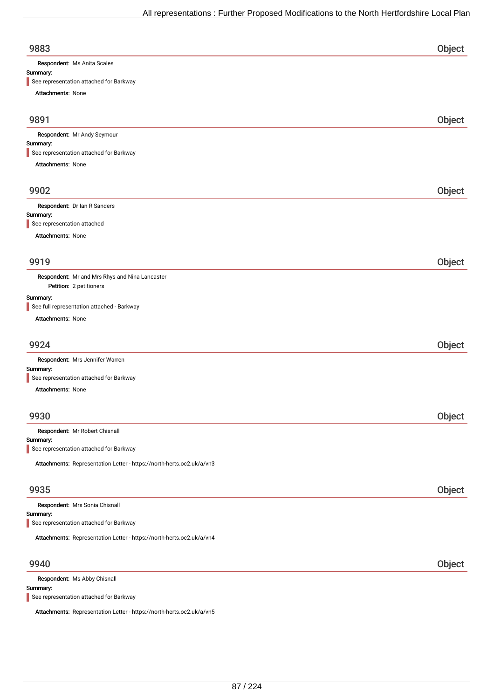| 9883                                                                      | Object |
|---------------------------------------------------------------------------|--------|
| Respondent: Ms Anita Scales                                               |        |
| Summary:                                                                  |        |
| See representation attached for Barkway                                   |        |
| Attachments: None                                                         |        |
| 9891                                                                      | Object |
| Respondent: Mr Andy Seymour                                               |        |
| Summary:<br>See representation attached for Barkway                       |        |
| Attachments: None                                                         |        |
|                                                                           |        |
| 9902                                                                      | Object |
| Respondent: Dr Ian R Sanders                                              |        |
| Summary:                                                                  |        |
| See representation attached                                               |        |
| <b>Attachments: None</b>                                                  |        |
|                                                                           |        |
| 9919                                                                      | Object |
| Respondent: Mr and Mrs Rhys and Nina Lancaster<br>Petition: 2 petitioners |        |
| Summary:                                                                  |        |
| See full representation attached - Barkway                                |        |
| Attachments: None                                                         |        |
|                                                                           |        |
| 9924                                                                      | Object |
| Respondent: Mrs Jennifer Warren<br>Summary:                               |        |
| See representation attached for Barkway                                   |        |
| <b>Attachments: None</b>                                                  |        |
|                                                                           |        |
| 9930                                                                      | Object |
| Respondent: Mr Robert Chisnall                                            |        |
| Summary:                                                                  |        |
| See representation attached for Barkway                                   |        |
| Attachments: Representation Letter - https://north-herts.oc2.uk/a/vn3     |        |
| 9935                                                                      | Object |
| Respondent: Mrs Sonia Chisnall                                            |        |
| Summary:                                                                  |        |
| See representation attached for Barkway                                   |        |
| Attachments: Representation Letter - https://north-herts.oc2.uk/a/vn4     |        |
| 9940                                                                      | Object |
|                                                                           |        |
| Respondent: Ms Abby Chisnall<br>Summary:                                  |        |

See representation attached for Barkway

Attachments: Representation Letter - https://north-herts.oc2.uk/a/vn5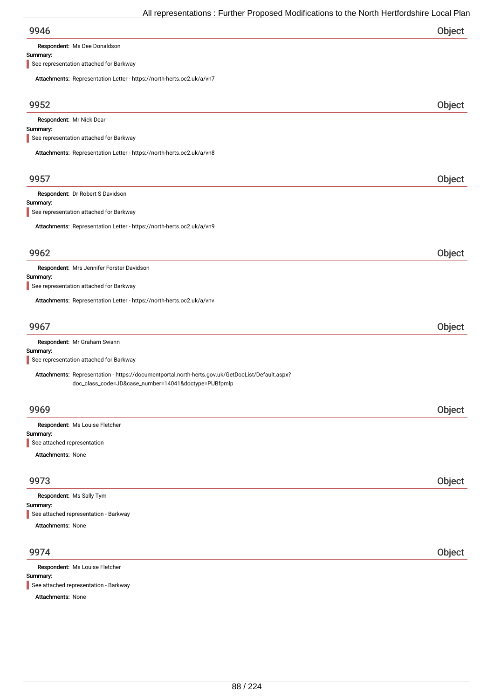Respondent: Ms Dee Donaldson

### Summary:

See representation attached for Barkway

| Attachments: Representation Letter - https://north-herts.oc2.uk/a/vn7                            |        |
|--------------------------------------------------------------------------------------------------|--------|
| 9952                                                                                             | Object |
| Respondent: Mr Nick Dear                                                                         |        |
| Summary:<br>See representation attached for Barkway                                              |        |
| Attachments: Representation Letter - https://north-herts.oc2.uk/a/vn8                            |        |
|                                                                                                  |        |
| 9957                                                                                             | Object |
| Respondent: Dr Robert S Davidson                                                                 |        |
| Summary:<br>See representation attached for Barkway                                              |        |
| Attachments: Representation Letter - https://north-herts.oc2.uk/a/vn9                            |        |
|                                                                                                  |        |
| 9962                                                                                             | Object |
| Respondent: Mrs Jennifer Forster Davidson                                                        |        |
| Summary:<br>See representation attached for Barkway                                              |        |
| Attachments: Representation Letter - https://north-herts.oc2.uk/a/vnv                            |        |
|                                                                                                  |        |
| 9967                                                                                             | Object |
| Respondent: Mr Graham Swann                                                                      |        |
| Summary:<br>See representation attached for Barkway                                              |        |
| Attachments: Representation - https://documentportal.north-herts.gov.uk/GetDocList/Default.aspx? |        |
| doc_class_code=JD&case_number=14041&doctype=PUBfpmlp                                             |        |
| 9969                                                                                             | Object |
| Respondent: Ms Louise Fletcher                                                                   |        |
| Summary:                                                                                         |        |
| See attached representation<br>Attachments: None                                                 |        |
|                                                                                                  |        |
| 9973                                                                                             | Object |
| Respondent: Ms Sally Tym                                                                         |        |
| Summary:<br>See attached representation - Barkway                                                |        |
| Attachments: None                                                                                |        |
|                                                                                                  |        |
| 9974                                                                                             | Object |
| Respondent: Ms Louise Fletcher<br>Summary:                                                       |        |

See attached representation - Barkway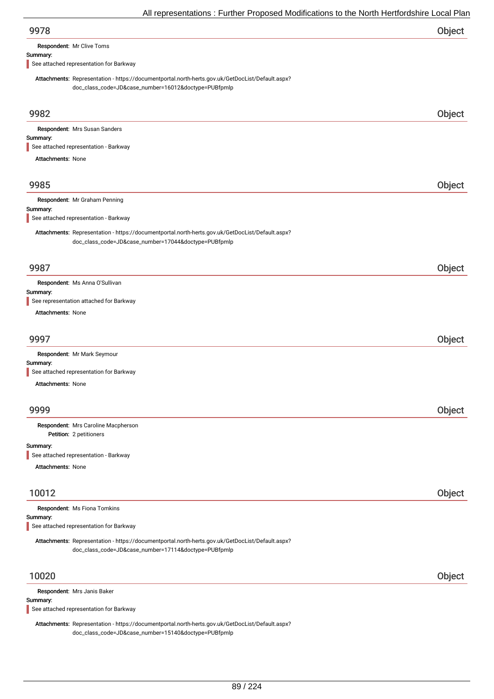| 9978 | Object |
|------|--------|
|      |        |

Respondent: Mr Clive Toms

#### Summary:

See attached representation for Barkway

Attachments: Representation - https://documentportal.north-herts.gov.uk/GetDocList/Default.aspx? doc\_class\_code=JD&case\_number=16012&doctype=PUBfpmlp

| 9982                                                                                                                                                     | Object |
|----------------------------------------------------------------------------------------------------------------------------------------------------------|--------|
| Respondent: Mrs Susan Sanders                                                                                                                            |        |
| Summary:                                                                                                                                                 |        |
| See attached representation - Barkway                                                                                                                    |        |
| Attachments: None                                                                                                                                        |        |
| 9985                                                                                                                                                     | Object |
| Respondent: Mr Graham Penning                                                                                                                            |        |
| Summary:<br>See attached representation - Barkway                                                                                                        |        |
| Attachments: Representation - https://documentportal.north-herts.gov.uk/GetDocList/Default.aspx?<br>doc_class_code=JD&case_number=17044&doctype=PUBfpmlp |        |
| 9987                                                                                                                                                     | Object |
| Respondent: Ms Anna O'Sullivan                                                                                                                           |        |
| Summary:                                                                                                                                                 |        |
| See representation attached for Barkway                                                                                                                  |        |
| <b>Attachments: None</b>                                                                                                                                 |        |
| 9997                                                                                                                                                     | Object |
| Respondent: Mr Mark Seymour                                                                                                                              |        |
| Summary:<br>See attached representation for Barkway                                                                                                      |        |
| Attachments: None                                                                                                                                        |        |
|                                                                                                                                                          |        |
| 9999                                                                                                                                                     | Object |
| Respondent: Mrs Caroline Macpherson<br>Petition: 2 petitioners                                                                                           |        |
| Summary:                                                                                                                                                 |        |
| See attached representation - Barkway                                                                                                                    |        |
| <b>Attachments: None</b>                                                                                                                                 |        |
|                                                                                                                                                          |        |
| 10012                                                                                                                                                    | Object |
| Respondent: Ms Fiona Tomkins                                                                                                                             |        |
| Summary:<br>See attached representation for Barkway                                                                                                      |        |
| Attachments: Representation - https://documentportal.north-herts.gov.uk/GetDocList/Default.aspx?                                                         |        |
| doc_class_code=JD&case_number=17114&doctype=PUBfpmlp                                                                                                     |        |
| 10020                                                                                                                                                    | Object |
| Respondent: Mrs Janis Baker                                                                                                                              |        |
| Summary:                                                                                                                                                 |        |
| See attached representation for Barkway                                                                                                                  |        |

Attachments: Representation - https://documentportal.north-herts.gov.uk/GetDocList/Default.aspx? doc\_class\_code=JD&case\_number=15140&doctype=PUBfpmlp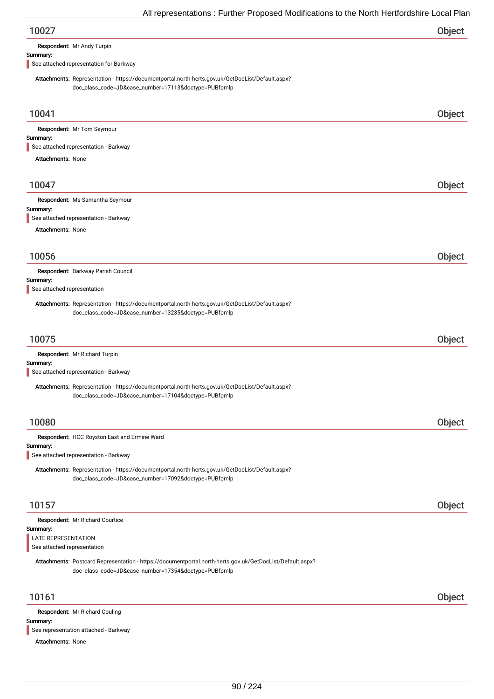| 10027 | Object |
|-------|--------|
|-------|--------|

Respondent: Mr Andy Turpin

### Summary:

See attached representation for Barkway

Attachments: Representation - https://documentportal.north-herts.gov.uk/GetDocList/Default.aspx? doc\_class\_code=JD&case\_number=17113&doctype=PUBfpmlp

| 10041                                                                                                                                                             | Object |
|-------------------------------------------------------------------------------------------------------------------------------------------------------------------|--------|
| Respondent: Mr Tom Seymour                                                                                                                                        |        |
| Summary:<br>See attached representation - Barkway                                                                                                                 |        |
| <b>Attachments: None</b>                                                                                                                                          |        |
|                                                                                                                                                                   |        |
| 10047                                                                                                                                                             | Object |
| Respondent: Ms Samantha Seymour                                                                                                                                   |        |
| Summary:<br>See attached representation - Barkway                                                                                                                 |        |
| Attachments: None                                                                                                                                                 |        |
|                                                                                                                                                                   |        |
| 10056                                                                                                                                                             | Object |
| Respondent: Barkway Parish Council                                                                                                                                |        |
| Summary:<br>See attached representation                                                                                                                           |        |
| Attachments: Representation - https://documentportal.north-herts.gov.uk/GetDocList/Default.aspx?                                                                  |        |
| doc_class_code=JD&case_number=13235&doctype=PUBfpmlp                                                                                                              |        |
|                                                                                                                                                                   |        |
| 10075                                                                                                                                                             | Object |
| Respondent: Mr Richard Turpin<br>Summary:                                                                                                                         |        |
| See attached representation - Barkway                                                                                                                             |        |
| Attachments: Representation - https://documentportal.north-herts.gov.uk/GetDocList/Default.aspx?                                                                  |        |
| doc_class_code=JD&case_number=17104&doctype=PUBfpmlp                                                                                                              |        |
|                                                                                                                                                                   |        |
| 10080                                                                                                                                                             | Object |
| Respondent: HCC Royston East and Ermine Ward<br>Summary:                                                                                                          |        |
| See attached representation - Barkway                                                                                                                             |        |
| Attachments: Representation - https://documentportal.north-herts.gov.uk/GetDocList/Default.aspx?                                                                  |        |
| doc_class_code=JD&case_number=17092&doctype=PUBfpmlp                                                                                                              |        |
| 10157                                                                                                                                                             |        |
|                                                                                                                                                                   | Object |
| Respondent: Mr Richard Courtice<br>Summary:                                                                                                                       |        |
| LATE REPRESENTATION                                                                                                                                               |        |
| See attached representation                                                                                                                                       |        |
| Attachments: Postcard Representation - https://documentportal.north-herts.gov.uk/GetDocList/Default.aspx?<br>doc_class_code=JD&case_number=17354&doctype=PUBfpmlp |        |
| 10161                                                                                                                                                             | Object |
| Respondent: Mr Richard Couling                                                                                                                                    |        |
| Summary:<br>See representation attached - Barkway                                                                                                                 |        |
|                                                                                                                                                                   |        |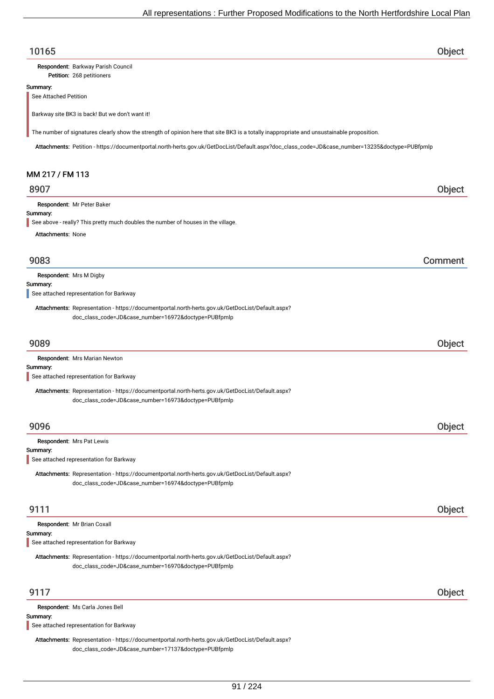### 10165 Object

Petition: 268 petitioners Respondent: Barkway Parish Council

#### Summary:

See Attached Petition

Barkway site BK3 is back! But we don't want it!

The number of signatures clearly show the strength of opinion here that site BK3 is a totally inappropriate and unsustainable proposition.

Attachments: Petition - https://documentportal.north-herts.gov.uk/GetDocList/Default.aspx?doc\_class\_code=JD&case\_number=13235&doctype=PUBfpmlp

### MM 217 / FM 113

### 8907 Object

Respondent: Mr Peter Baker

#### Summary:

See above - really? This pretty much doubles the number of houses in the village.

Attachments: None

### 9083 Comment

Summary: Respondent: Mrs M Digby

See attached representation for Barkway

Attachments: Representation - https://documentportal.north-herts.gov.uk/GetDocList/Default.aspx? doc\_class\_code=JD&case\_number=16972&doctype=PUBfpmlp

### 9089 Object

| <b>Respondent:</b> Mrs Marian Newton                                                             |
|--------------------------------------------------------------------------------------------------|
| Summary:                                                                                         |
| See attached representation for Barkway                                                          |
| Attachments: Representation - https://documentportal.north-herts.gov.uk/GetDocList/Default.aspx? |

9096 Object Summary: Respondent: Mrs Pat Lewis

See attached representation for Barkway

Attachments: Representation - https://documentportal.north-herts.gov.uk/GetDocList/Default.aspx? doc\_class\_code=JD&case\_number=16974&doctype=PUBfpmlp

doc\_class\_code=JD&case\_number=16973&doctype=PUBfpmlp

### 9111 Object

| Summary: | Respondent: Mr Brian Coxall<br>See attached representation for Barkway                                                                                   |        |
|----------|----------------------------------------------------------------------------------------------------------------------------------------------------------|--------|
|          | Attachments: Representation - https://documentportal.north-herts.gov.uk/GetDocList/Default.aspx?<br>doc_class_code=JD&case_number=16970&doctype=PUBfpmlp |        |
| 9117     |                                                                                                                                                          | Object |
| Summary: | Respondent: Ms Carla Jones Bell<br>See attached representation for Barkway                                                                               |        |

Attachments: Representation - https://documentportal.north-herts.gov.uk/GetDocList/Default.aspx? doc\_class\_code=JD&case\_number=17137&doctype=PUBfpmlp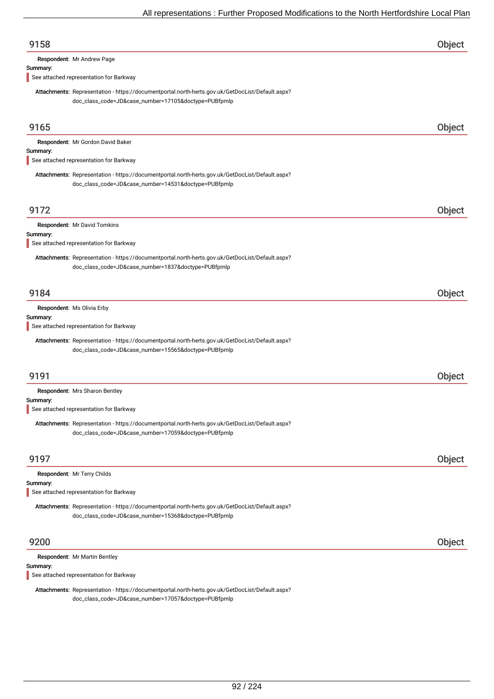| 9158                                                                                                                                                     | Object        |
|----------------------------------------------------------------------------------------------------------------------------------------------------------|---------------|
| Respondent: Mr Andrew Page                                                                                                                               |               |
| Summary:<br>See attached representation for Barkway                                                                                                      |               |
| Attachments: Representation - https://documentportal.north-herts.gov.uk/GetDocList/Default.aspx?<br>doc_class_code=JD&case_number=17105&doctype=PUBfpmlp |               |
| 9165                                                                                                                                                     | Object        |
| Respondent: Mr Gordon David Baker<br>Summary:                                                                                                            |               |
| See attached representation for Barkway                                                                                                                  |               |
| Attachments: Representation - https://documentportal.north-herts.gov.uk/GetDocList/Default.aspx?<br>doc_class_code=JD&case_number=14531&doctype=PUBfpmlp |               |
| 9172                                                                                                                                                     | Object        |
| Respondent: Mr David Tomkins<br>Summary:                                                                                                                 |               |
| See attached representation for Barkway                                                                                                                  |               |
| Attachments: Representation - https://documentportal.north-herts.gov.uk/GetDocList/Default.aspx?<br>doc_class_code=JD&case_number=1837&doctype=PUBfpmlp  |               |
| 9184                                                                                                                                                     | Object        |
| Respondent: Ms Olivia Erby<br>Summary:<br>See attached representation for Barkway                                                                        |               |
| Attachments: Representation - https://documentportal.north-herts.gov.uk/GetDocList/Default.aspx?<br>doc_class_code=JD&case_number=15565&doctype=PUBfpmlp |               |
| 9191                                                                                                                                                     | Object        |
| Respondent: Mrs Sharon Bentley<br>Summary:                                                                                                               |               |
| See attached representation for Barkway                                                                                                                  |               |
| Attachments: Representation - https://documentportal.north-herts.gov.uk/GetDocList/Default.aspx?<br>doc_class_code=JD&case_number=17059&doctype=PUBfpmlp |               |
| 9197                                                                                                                                                     | <b>Object</b> |
| Respondent: Mr Terry Childs                                                                                                                              |               |
| Summary:<br>See attached representation for Barkway                                                                                                      |               |
| Attachments: Representation - https://documentportal.north-herts.gov.uk/GetDocList/Default.aspx?<br>doc_class_code=JD&case_number=15368&doctype=PUBfpmlp |               |
| 9200                                                                                                                                                     | Object        |
| Respondent: Mr Martin Bentley<br>Summary:                                                                                                                |               |

See attached representation for Barkway

Attachments: Representation - https://documentportal.north-herts.gov.uk/GetDocList/Default.aspx? doc\_class\_code=JD&case\_number=17057&doctype=PUBfpmlp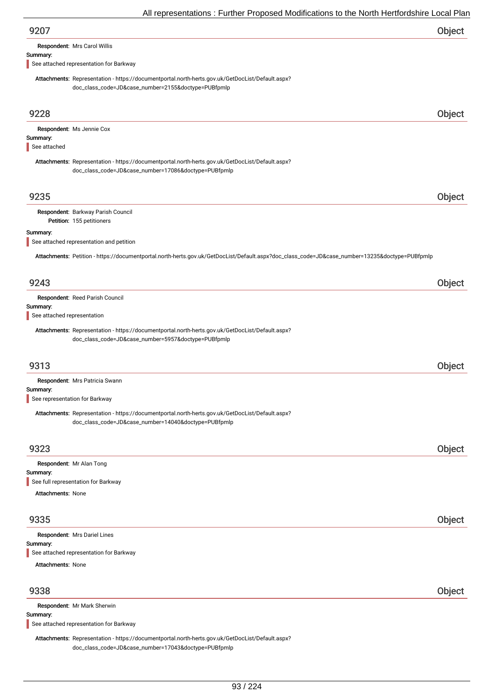| 9207                                                                                                                                                                                                                                  | Object        |
|---------------------------------------------------------------------------------------------------------------------------------------------------------------------------------------------------------------------------------------|---------------|
| Respondent: Mrs Carol Willis                                                                                                                                                                                                          |               |
| Summary:<br>See attached representation for Barkway                                                                                                                                                                                   |               |
|                                                                                                                                                                                                                                       |               |
| Attachments: Representation - https://documentportal.north-herts.gov.uk/GetDocList/Default.aspx?<br>doc_class_code=JD&case_number=2155&doctype=PUBfpmlp                                                                               |               |
| 9228                                                                                                                                                                                                                                  | <b>Object</b> |
| Respondent: Ms Jennie Cox                                                                                                                                                                                                             |               |
| Summary:<br>See attached                                                                                                                                                                                                              |               |
| Attachments: Representation - https://documentportal.north-herts.gov.uk/GetDocList/Default.aspx?<br>doc_class_code=JD&case_number=17086&doctype=PUBfpmlp                                                                              |               |
| 9235                                                                                                                                                                                                                                  | Object        |
| Respondent: Barkway Parish Council<br>Petition: 155 petitioners                                                                                                                                                                       |               |
| Summary:<br>See attached representation and petition                                                                                                                                                                                  |               |
| Attachments: Petition - https://documentportal.north-herts.gov.uk/GetDocList/Default.aspx?doc_class_code=JD&case_number=13235&doctype=PUBfpmlp                                                                                        |               |
| 9243                                                                                                                                                                                                                                  | Object        |
| Respondent: Reed Parish Council<br>Summary:<br>See attached representation<br>Attachments: Representation - https://documentportal.north-herts.gov.uk/GetDocList/Default.aspx?<br>doc_class_code=JD&case_number=5957&doctype=PUBfpmlp |               |
|                                                                                                                                                                                                                                       |               |
| 9313                                                                                                                                                                                                                                  | Object        |
| Respondent: Mrs Patricia Swann                                                                                                                                                                                                        |               |
| Summary:<br>See representation for Barkway                                                                                                                                                                                            |               |
| Attachments: Representation - https://documentportal.north-herts.gov.uk/GetDocList/Default.aspx?<br>doc_class_code=JD&case_number=14040&doctype=PUBfpmlp                                                                              |               |
| 9323                                                                                                                                                                                                                                  | Object        |
| Respondent: Mr Alan Tong                                                                                                                                                                                                              |               |
| Summary:<br>See full representation for Barkway                                                                                                                                                                                       |               |
| Attachments: None                                                                                                                                                                                                                     |               |
|                                                                                                                                                                                                                                       |               |
| 9335                                                                                                                                                                                                                                  | Object        |
| Respondent: Mrs Dariel Lines                                                                                                                                                                                                          |               |
| Summary:<br>See attached representation for Barkway                                                                                                                                                                                   |               |
| <b>Attachments: None</b>                                                                                                                                                                                                              |               |
| 9338                                                                                                                                                                                                                                  | Object        |
| Respondent: Mr Mark Sherwin                                                                                                                                                                                                           |               |

Summary:

See attached representation for Barkway

Attachments: Representation - https://documentportal.north-herts.gov.uk/GetDocList/Default.aspx? doc\_class\_code=JD&case\_number=17043&doctype=PUBfpmlp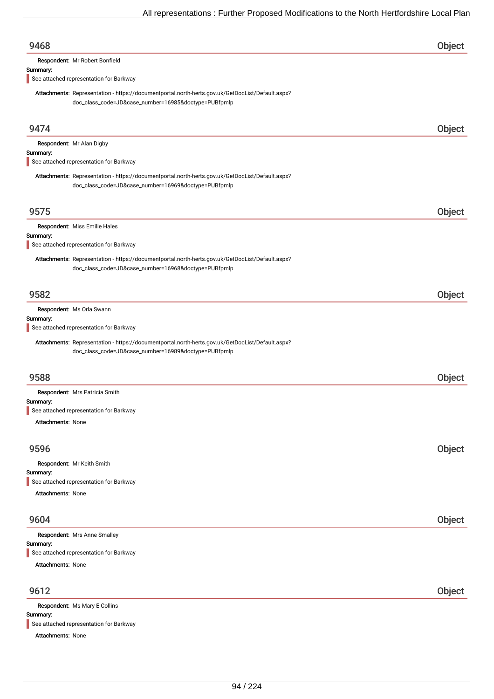| Respondent: Mr Robert Bonfield<br>Summary:<br>See attached representation for Barkway<br>Attachments: Representation - https://documentportal.north-herts.gov.uk/GetDocList/Default.aspx?<br>doc_class_code=JD&case_number=16985&doctype=PUBfpmlp<br>9474<br>Respondent: Mr Alan Digby<br>Summary:<br>See attached representation for Barkway<br>Attachments: Representation - https://documentportal.north-herts.gov.uk/GetDocList/Default.aspx?<br>doc_class_code=JD&case_number=16969&doctype=PUBfpmlp<br>9575<br>Respondent: Miss Emilie Hales<br>Summary:<br>See attached representation for Barkway<br>Attachments: Representation - https://documentportal.north-herts.gov.uk/GetDocList/Default.aspx?<br>doc_class_code=JD&case_number=16968&doctype=PUBfpmlp<br>9582<br>Respondent: Ms Orla Swann<br>Summary:<br>See attached representation for Barkway<br>Attachments: Representation - https://documentportal.north-herts.gov.uk/GetDocList/Default.aspx?<br>doc_class_code=JD&case_number=16989&doctype=PUBfpmlp<br>9588<br>Respondent: Mrs Patricia Smith<br>Summary:<br>See attached representation for Barkway<br>Attachments: None<br>Object<br>9596 | Object<br>Object |
|-----------------------------------------------------------------------------------------------------------------------------------------------------------------------------------------------------------------------------------------------------------------------------------------------------------------------------------------------------------------------------------------------------------------------------------------------------------------------------------------------------------------------------------------------------------------------------------------------------------------------------------------------------------------------------------------------------------------------------------------------------------------------------------------------------------------------------------------------------------------------------------------------------------------------------------------------------------------------------------------------------------------------------------------------------------------------------------------------------------------------------------------------------------------------|------------------|
|                                                                                                                                                                                                                                                                                                                                                                                                                                                                                                                                                                                                                                                                                                                                                                                                                                                                                                                                                                                                                                                                                                                                                                       |                  |
|                                                                                                                                                                                                                                                                                                                                                                                                                                                                                                                                                                                                                                                                                                                                                                                                                                                                                                                                                                                                                                                                                                                                                                       |                  |
|                                                                                                                                                                                                                                                                                                                                                                                                                                                                                                                                                                                                                                                                                                                                                                                                                                                                                                                                                                                                                                                                                                                                                                       |                  |
|                                                                                                                                                                                                                                                                                                                                                                                                                                                                                                                                                                                                                                                                                                                                                                                                                                                                                                                                                                                                                                                                                                                                                                       |                  |
|                                                                                                                                                                                                                                                                                                                                                                                                                                                                                                                                                                                                                                                                                                                                                                                                                                                                                                                                                                                                                                                                                                                                                                       |                  |
|                                                                                                                                                                                                                                                                                                                                                                                                                                                                                                                                                                                                                                                                                                                                                                                                                                                                                                                                                                                                                                                                                                                                                                       |                  |
|                                                                                                                                                                                                                                                                                                                                                                                                                                                                                                                                                                                                                                                                                                                                                                                                                                                                                                                                                                                                                                                                                                                                                                       |                  |
|                                                                                                                                                                                                                                                                                                                                                                                                                                                                                                                                                                                                                                                                                                                                                                                                                                                                                                                                                                                                                                                                                                                                                                       |                  |
|                                                                                                                                                                                                                                                                                                                                                                                                                                                                                                                                                                                                                                                                                                                                                                                                                                                                                                                                                                                                                                                                                                                                                                       |                  |
|                                                                                                                                                                                                                                                                                                                                                                                                                                                                                                                                                                                                                                                                                                                                                                                                                                                                                                                                                                                                                                                                                                                                                                       |                  |
|                                                                                                                                                                                                                                                                                                                                                                                                                                                                                                                                                                                                                                                                                                                                                                                                                                                                                                                                                                                                                                                                                                                                                                       |                  |
|                                                                                                                                                                                                                                                                                                                                                                                                                                                                                                                                                                                                                                                                                                                                                                                                                                                                                                                                                                                                                                                                                                                                                                       |                  |
|                                                                                                                                                                                                                                                                                                                                                                                                                                                                                                                                                                                                                                                                                                                                                                                                                                                                                                                                                                                                                                                                                                                                                                       |                  |
|                                                                                                                                                                                                                                                                                                                                                                                                                                                                                                                                                                                                                                                                                                                                                                                                                                                                                                                                                                                                                                                                                                                                                                       |                  |
|                                                                                                                                                                                                                                                                                                                                                                                                                                                                                                                                                                                                                                                                                                                                                                                                                                                                                                                                                                                                                                                                                                                                                                       |                  |
|                                                                                                                                                                                                                                                                                                                                                                                                                                                                                                                                                                                                                                                                                                                                                                                                                                                                                                                                                                                                                                                                                                                                                                       | Object           |
|                                                                                                                                                                                                                                                                                                                                                                                                                                                                                                                                                                                                                                                                                                                                                                                                                                                                                                                                                                                                                                                                                                                                                                       |                  |
|                                                                                                                                                                                                                                                                                                                                                                                                                                                                                                                                                                                                                                                                                                                                                                                                                                                                                                                                                                                                                                                                                                                                                                       |                  |
|                                                                                                                                                                                                                                                                                                                                                                                                                                                                                                                                                                                                                                                                                                                                                                                                                                                                                                                                                                                                                                                                                                                                                                       |                  |
|                                                                                                                                                                                                                                                                                                                                                                                                                                                                                                                                                                                                                                                                                                                                                                                                                                                                                                                                                                                                                                                                                                                                                                       |                  |
|                                                                                                                                                                                                                                                                                                                                                                                                                                                                                                                                                                                                                                                                                                                                                                                                                                                                                                                                                                                                                                                                                                                                                                       | Object           |
|                                                                                                                                                                                                                                                                                                                                                                                                                                                                                                                                                                                                                                                                                                                                                                                                                                                                                                                                                                                                                                                                                                                                                                       |                  |
|                                                                                                                                                                                                                                                                                                                                                                                                                                                                                                                                                                                                                                                                                                                                                                                                                                                                                                                                                                                                                                                                                                                                                                       |                  |
|                                                                                                                                                                                                                                                                                                                                                                                                                                                                                                                                                                                                                                                                                                                                                                                                                                                                                                                                                                                                                                                                                                                                                                       |                  |
|                                                                                                                                                                                                                                                                                                                                                                                                                                                                                                                                                                                                                                                                                                                                                                                                                                                                                                                                                                                                                                                                                                                                                                       |                  |
|                                                                                                                                                                                                                                                                                                                                                                                                                                                                                                                                                                                                                                                                                                                                                                                                                                                                                                                                                                                                                                                                                                                                                                       |                  |
|                                                                                                                                                                                                                                                                                                                                                                                                                                                                                                                                                                                                                                                                                                                                                                                                                                                                                                                                                                                                                                                                                                                                                                       |                  |
| Respondent: Mr Keith Smith                                                                                                                                                                                                                                                                                                                                                                                                                                                                                                                                                                                                                                                                                                                                                                                                                                                                                                                                                                                                                                                                                                                                            |                  |
| Summary:<br>See attached representation for Barkway                                                                                                                                                                                                                                                                                                                                                                                                                                                                                                                                                                                                                                                                                                                                                                                                                                                                                                                                                                                                                                                                                                                   |                  |
| Attachments: None                                                                                                                                                                                                                                                                                                                                                                                                                                                                                                                                                                                                                                                                                                                                                                                                                                                                                                                                                                                                                                                                                                                                                     |                  |
|                                                                                                                                                                                                                                                                                                                                                                                                                                                                                                                                                                                                                                                                                                                                                                                                                                                                                                                                                                                                                                                                                                                                                                       |                  |
| 9604                                                                                                                                                                                                                                                                                                                                                                                                                                                                                                                                                                                                                                                                                                                                                                                                                                                                                                                                                                                                                                                                                                                                                                  | Object           |
| Respondent: Mrs Anne Smalley                                                                                                                                                                                                                                                                                                                                                                                                                                                                                                                                                                                                                                                                                                                                                                                                                                                                                                                                                                                                                                                                                                                                          |                  |
| Summary:<br>See attached representation for Barkway                                                                                                                                                                                                                                                                                                                                                                                                                                                                                                                                                                                                                                                                                                                                                                                                                                                                                                                                                                                                                                                                                                                   |                  |
| <b>Attachments: None</b>                                                                                                                                                                                                                                                                                                                                                                                                                                                                                                                                                                                                                                                                                                                                                                                                                                                                                                                                                                                                                                                                                                                                              |                  |
|                                                                                                                                                                                                                                                                                                                                                                                                                                                                                                                                                                                                                                                                                                                                                                                                                                                                                                                                                                                                                                                                                                                                                                       |                  |
| 9612                                                                                                                                                                                                                                                                                                                                                                                                                                                                                                                                                                                                                                                                                                                                                                                                                                                                                                                                                                                                                                                                                                                                                                  | Object           |
| Respondent: Ms Mary E Collins                                                                                                                                                                                                                                                                                                                                                                                                                                                                                                                                                                                                                                                                                                                                                                                                                                                                                                                                                                                                                                                                                                                                         |                  |

Summary: See attached representation for Barkway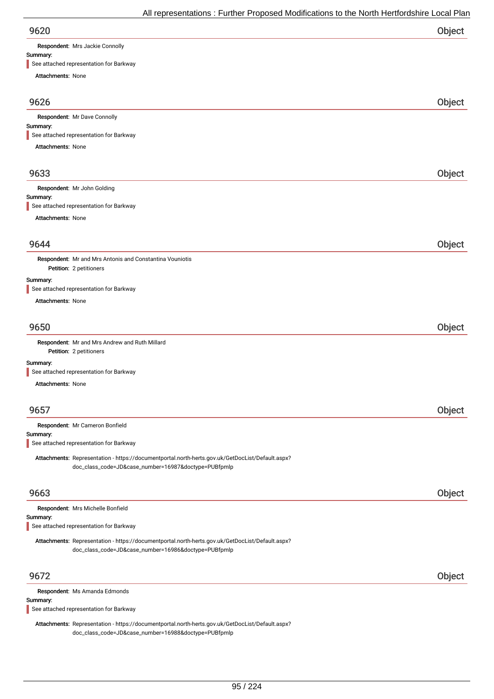| 9620 | Object |
|------|--------|
|      |        |

Respondent: Mrs Jackie Connolly

### Summary:

See attached representation for Barkway

| $\blacksquare$ See attached representation for Barkway                                           |        |
|--------------------------------------------------------------------------------------------------|--------|
| <b>Attachments: None</b>                                                                         |        |
| 9626                                                                                             | Object |
| Respondent: Mr Dave Connolly                                                                     |        |
| Summary:                                                                                         |        |
| See attached representation for Barkway                                                          |        |
| <b>Attachments: None</b>                                                                         |        |
| 9633                                                                                             | Object |
| Respondent: Mr John Golding                                                                      |        |
| Summary:<br>See attached representation for Barkway                                              |        |
| <b>Attachments: None</b>                                                                         |        |
|                                                                                                  |        |
| 9644                                                                                             | Object |
| Respondent: Mr and Mrs Antonis and Constantina Vouniotis                                         |        |
| Petition: 2 petitioners                                                                          |        |
| Summary:<br>See attached representation for Barkway                                              |        |
| <b>Attachments: None</b>                                                                         |        |
|                                                                                                  |        |
| 9650                                                                                             | Object |
| Respondent: Mr and Mrs Andrew and Ruth Millard<br>Petition: 2 petitioners                        |        |
| Summary:<br>See attached representation for Barkway                                              |        |
| Attachments: None                                                                                |        |
|                                                                                                  |        |
| 9657                                                                                             | Object |
| Respondent: Mr Cameron Bonfield                                                                  |        |
| Summary:<br>See attached representation for Barkway                                              |        |
| Attachments: Representation - https://documentportal.north-herts.gov.uk/GetDocList/Default.aspx? |        |
| doc_class_code=JD&case_number=16987&doctype=PUBfpmlp                                             |        |
|                                                                                                  |        |
| 9663                                                                                             | Object |
| Respondent: Mrs Michelle Bonfield                                                                |        |
| Summary:<br>See attached representation for Barkway                                              |        |
| Attachments: Representation - https://documentportal.north-herts.gov.uk/GetDocList/Default.aspx? |        |
| doc_class_code=JD&case_number=16986&doctype=PUBfpmlp                                             |        |
|                                                                                                  |        |
| 9672                                                                                             | Object |
| Respondent: Ms Amanda Edmonds<br>Summary:                                                        |        |
|                                                                                                  |        |

See attached representation for Barkway

Attachments: Representation - https://documentportal.north-herts.gov.uk/GetDocList/Default.aspx? doc\_class\_code=JD&case\_number=16988&doctype=PUBfpmlp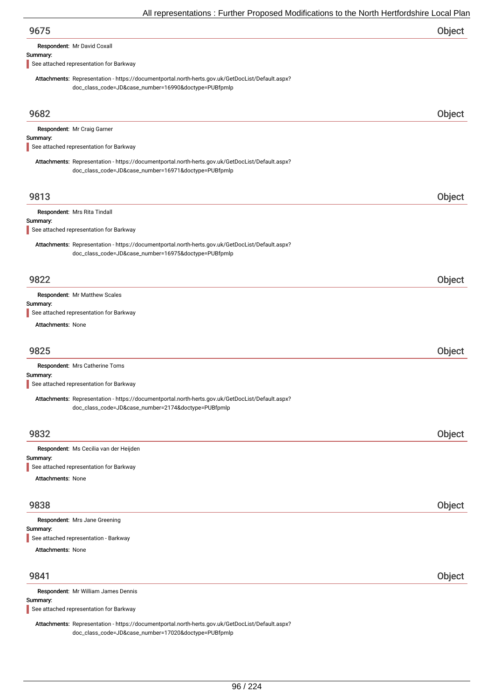Respondent: Mr David Coxall

### Summary:

See attached representation for Barkway

Attachments: Representation - https://documentportal.north-herts.gov.uk/GetDocList/Default.aspx? doc\_class\_code=JD&case\_number=16990&doctype=PUBfpmlp

| 9682                                                                                                                                                     | Object |
|----------------------------------------------------------------------------------------------------------------------------------------------------------|--------|
| Respondent: Mr Craig Garner                                                                                                                              |        |
| Summary:<br>See attached representation for Barkway                                                                                                      |        |
|                                                                                                                                                          |        |
| Attachments: Representation - https://documentportal.north-herts.gov.uk/GetDocList/Default.aspx?<br>doc_class_code=JD&case_number=16971&doctype=PUBfpmlp |        |
|                                                                                                                                                          |        |
| 9813                                                                                                                                                     | Object |
| Respondent: Mrs Rita Tindall                                                                                                                             |        |
| Summary:<br>See attached representation for Barkway                                                                                                      |        |
| Attachments: Representation - https://documentportal.north-herts.gov.uk/GetDocList/Default.aspx?                                                         |        |
| doc_class_code=JD&case_number=16975&doctype=PUBfpmlp                                                                                                     |        |
|                                                                                                                                                          |        |
| 9822                                                                                                                                                     | Object |
| Respondent: Mr Matthew Scales                                                                                                                            |        |
| Summary:                                                                                                                                                 |        |
| See attached representation for Barkway                                                                                                                  |        |
| <b>Attachments: None</b>                                                                                                                                 |        |
| 9825                                                                                                                                                     | Object |
| Respondent: Mrs Catherine Toms                                                                                                                           |        |
| Summary:                                                                                                                                                 |        |
| See attached representation for Barkway                                                                                                                  |        |
| Attachments: Representation - https://documentportal.north-herts.gov.uk/GetDocList/Default.aspx?<br>doc_class_code=JD&case_number=2174&doctype=PUBfpmlp  |        |
|                                                                                                                                                          |        |
| 9832                                                                                                                                                     | Object |
|                                                                                                                                                          |        |
| Respondent: Ms Cecilia van der Heijden<br>Summary:                                                                                                       |        |
| See attached representation for Barkway                                                                                                                  |        |
| <b>Attachments: None</b>                                                                                                                                 |        |
| 9838                                                                                                                                                     | Object |
|                                                                                                                                                          |        |
| Respondent: Mrs Jane Greening<br>Summary:                                                                                                                |        |
| See attached representation - Barkway                                                                                                                    |        |
| <b>Attachments: None</b>                                                                                                                                 |        |
|                                                                                                                                                          |        |
| 9841                                                                                                                                                     | Object |
| Respondent: Mr William James Dennis                                                                                                                      |        |
| Summary:<br>See attached representation for Barkway                                                                                                      |        |

Attachments: Representation - https://documentportal.north-herts.gov.uk/GetDocList/Default.aspx? doc\_class\_code=JD&case\_number=17020&doctype=PUBfpmlp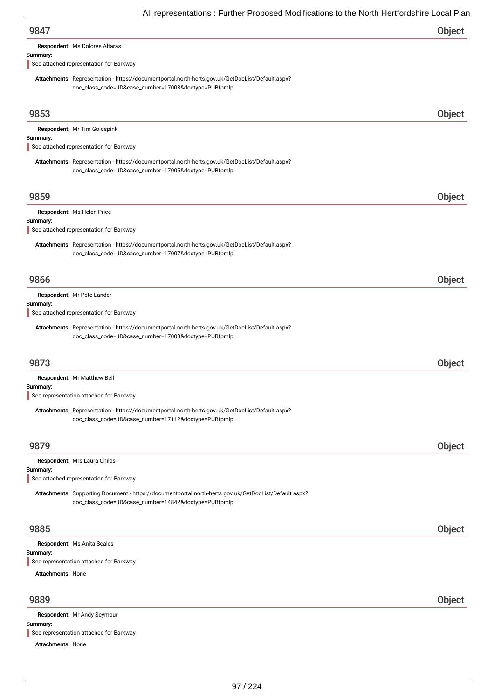| 9847                                  |  |
|---------------------------------------|--|
| <b>Respondent: Ms Dolores Altaras</b> |  |

### Summary:

See attached representation for Barkway

Attachments: Representation - https://documentportal.north-herts.gov.uk/GetDocList/Default.aspx? doc\_class\_code=JD&case\_number=17003&doctype=PUBfpmlp

| 9853                                                                                                                                                          | Object        |
|---------------------------------------------------------------------------------------------------------------------------------------------------------------|---------------|
| Respondent: Mr Tim Goldspink                                                                                                                                  |               |
| Summary:<br>See attached representation for Barkway                                                                                                           |               |
| Attachments: Representation - https://documentportal.north-herts.gov.uk/GetDocList/Default.aspx?<br>doc_class_code=JD&case_number=17005&doctype=PUBfpmlp      |               |
| 9859                                                                                                                                                          | Object        |
| Respondent: Ms Helen Price                                                                                                                                    |               |
| Summary:<br>See attached representation for Barkway                                                                                                           |               |
| Attachments: Representation - https://documentportal.north-herts.gov.uk/GetDocList/Default.aspx?<br>doc_class_code=JD&case_number=17007&doctype=PUBfpmlp      |               |
| 9866                                                                                                                                                          | <b>Object</b> |
| Respondent: Mr Pete Lander                                                                                                                                    |               |
| Summary:<br>See attached representation for Barkway                                                                                                           |               |
| Attachments: Representation - https://documentportal.north-herts.gov.uk/GetDocList/Default.aspx?<br>doc_class_code=JD&case_number=17008&doctype=PUBfpmlp      |               |
| 9873                                                                                                                                                          | Object        |
| Respondent: Mr Matthew Bell                                                                                                                                   |               |
| Summary:<br>See representation attached for Barkway                                                                                                           |               |
| Attachments: Representation - https://documentportal.north-herts.gov.uk/GetDocList/Default.aspx?<br>doc_class_code=JD&case_number=17112&doctype=PUBfpmlp      |               |
| 9879                                                                                                                                                          | Object        |
| Respondent: Mrs Laura Childs                                                                                                                                  |               |
| Summary:<br>See attached representation for Barkway                                                                                                           |               |
| Attachments: Supporting Document - https://documentportal.north-herts.gov.uk/GetDocList/Default.aspx?<br>doc_class_code=JD&case_number=14842&doctype=PUBfpmlp |               |
| 9885                                                                                                                                                          | Object        |
| Respondent: Ms Anita Scales                                                                                                                                   |               |
| Summary:<br>See representation attached for Barkway                                                                                                           |               |
| <b>Attachments: None</b>                                                                                                                                      |               |
| 9889                                                                                                                                                          | Object        |
| Respondent: Mr Andy Seymour<br>Summary:                                                                                                                       |               |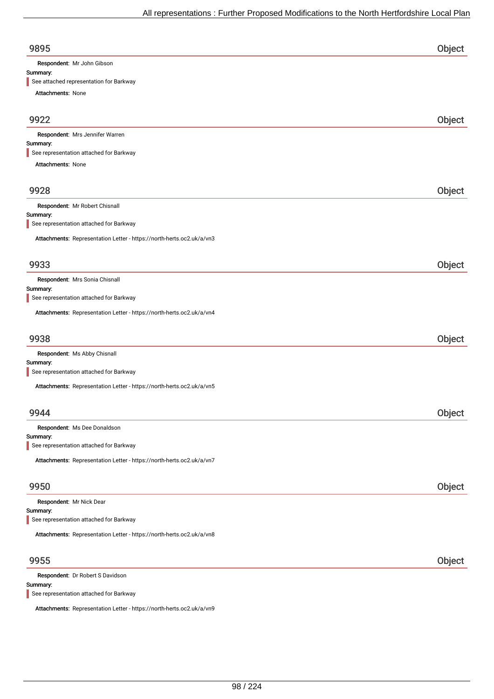| 9895                                                                  | Object |
|-----------------------------------------------------------------------|--------|
| Respondent: Mr John Gibson<br>Summary:                                |        |
| See attached representation for Barkway                               |        |
| Attachments: None                                                     |        |
|                                                                       |        |
| 9922                                                                  | Object |
| Respondent: Mrs Jennifer Warren                                       |        |
| Summary:<br>See representation attached for Barkway                   |        |
| Attachments: None                                                     |        |
|                                                                       |        |
| 9928                                                                  | Object |
| Respondent: Mr Robert Chisnall                                        |        |
| Summary:                                                              |        |
| See representation attached for Barkway                               |        |
| Attachments: Representation Letter - https://north-herts.oc2.uk/a/vn3 |        |
|                                                                       |        |
| 9933                                                                  | Object |
| Respondent: Mrs Sonia Chisnall                                        |        |
| Summary:<br>See representation attached for Barkway                   |        |
| Attachments: Representation Letter - https://north-herts.oc2.uk/a/vn4 |        |
| 9938                                                                  | Object |
| Respondent: Ms Abby Chisnall                                          |        |
| Summary:                                                              |        |
| See representation attached for Barkway                               |        |
| Attachments: Representation Letter - https://north-herts.oc2.uk/a/vn5 |        |
|                                                                       |        |
| 9944                                                                  | Object |
| Respondent: Ms Dee Donaldson<br>Summary:                              |        |
| See representation attached for Barkway                               |        |
| Attachments: Representation Letter - https://north-herts.oc2.uk/a/vn7 |        |
|                                                                       |        |
| 9950                                                                  | Object |
| Respondent: Mr Nick Dear                                              |        |
| Summary:<br>See representation attached for Barkway                   |        |
|                                                                       |        |
| Attachments: Representation Letter - https://north-herts.oc2.uk/a/vn8 |        |
| 9955                                                                  | Object |
| Respondent: Dr Robert S Davidson                                      |        |
| Summary:                                                              |        |

See representation attached for Barkway

Attachments: Representation Letter - https://north-herts.oc2.uk/a/vn9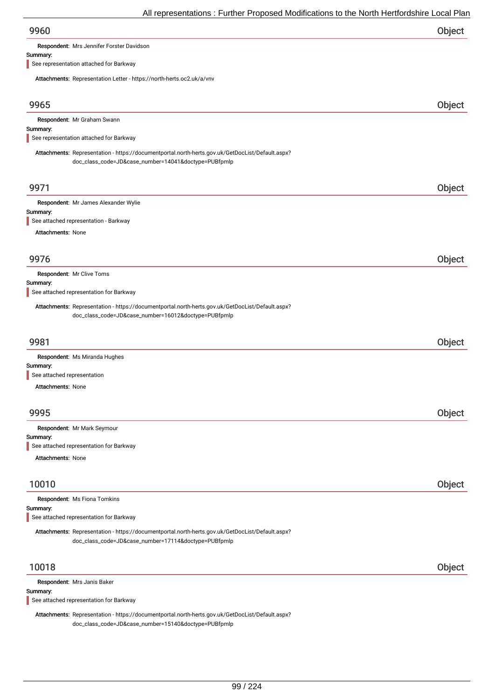Respondent: Mrs Jennifer Forster Davidson

#### Summary:

See representation attached for Barkway

Attachments: Representation Letter - https://north-herts.oc2.uk/a/vnv

| Attachments. Representation Letter - https://north-nerts.ocz.uk/d/viiv                                                                                   |        |
|----------------------------------------------------------------------------------------------------------------------------------------------------------|--------|
| 9965                                                                                                                                                     | Object |
| Respondent: Mr Graham Swann                                                                                                                              |        |
| Summary:<br>See representation attached for Barkway                                                                                                      |        |
|                                                                                                                                                          |        |
| Attachments: Representation - https://documentportal.north-herts.gov.uk/GetDocList/Default.aspx?<br>doc_class_code=JD&case_number=14041&doctype=PUBfpmlp |        |
| 9971                                                                                                                                                     | Object |
| Respondent: Mr James Alexander Wylie                                                                                                                     |        |
| Summary:<br>See attached representation - Barkway                                                                                                        |        |
| Attachments: None                                                                                                                                        |        |
|                                                                                                                                                          |        |
| 9976                                                                                                                                                     | Object |
|                                                                                                                                                          |        |
| Respondent: Mr Clive Toms<br>Summary:                                                                                                                    |        |
| See attached representation for Barkway                                                                                                                  |        |
| Attachments: Representation - https://documentportal.north-herts.gov.uk/GetDocList/Default.aspx?<br>doc_class_code=JD&case_number=16012&doctype=PUBfpmlp |        |
| 9981                                                                                                                                                     | Object |
| Respondent: Ms Miranda Hughes                                                                                                                            |        |
| Summary:                                                                                                                                                 |        |
| See attached representation                                                                                                                              |        |
| <b>Attachments: None</b>                                                                                                                                 |        |
| 9995                                                                                                                                                     | Object |
|                                                                                                                                                          |        |
| Respondent: Mr Mark Seymour<br>Summary:                                                                                                                  |        |
| See attached representation for Barkway                                                                                                                  |        |
| <b>Attachments: None</b>                                                                                                                                 |        |
|                                                                                                                                                          |        |
| 10010                                                                                                                                                    | Object |
| Respondent: Ms Fiona Tomkins                                                                                                                             |        |
| Summary:<br>See attached representation for Barkway                                                                                                      |        |
|                                                                                                                                                          |        |
| Attachments: Representation - https://documentportal.north-herts.gov.uk/GetDocList/Default.aspx?<br>doc_class_code=JD&case_number=17114&doctype=PUBfpmlp |        |
| 10018                                                                                                                                                    | Object |
| Respondent: Mrs Janis Baker                                                                                                                              |        |
| Summary:                                                                                                                                                 |        |
| See attached representation for Barkway                                                                                                                  |        |

Attachments: Representation - https://documentportal.north-herts.gov.uk/GetDocList/Default.aspx? doc\_class\_code=JD&case\_number=15140&doctype=PUBfpmlp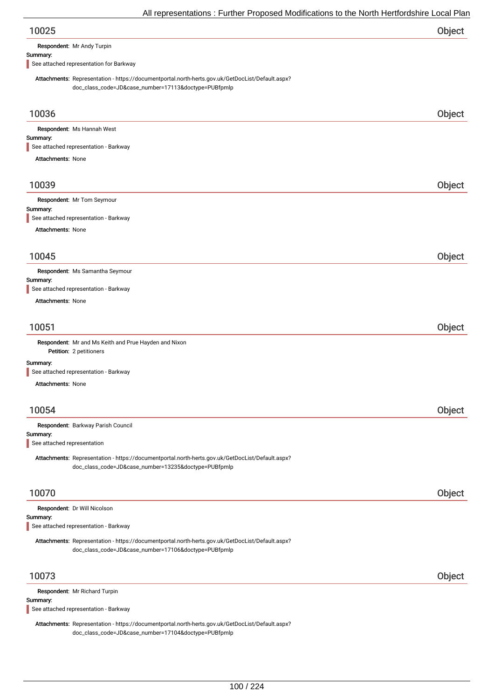| Object |
|--------|
|        |

Respondent: Mr Andy Turpin

#### Summary:

See attached representation for Barkway

Attachments: Representation - https://documentportal.north-herts.gov.uk/GetDocList/Default.aspx? doc\_class\_code=JD&case\_number=17113&doctype=PUBfpmlp

| 10036                                                                                                                                                    | Object |
|----------------------------------------------------------------------------------------------------------------------------------------------------------|--------|
| Respondent: Ms Hannah West                                                                                                                               |        |
| Summary:<br>See attached representation - Barkway                                                                                                        |        |
| <b>Attachments: None</b>                                                                                                                                 |        |
|                                                                                                                                                          |        |
| 10039                                                                                                                                                    | Object |
| Respondent: Mr Tom Seymour                                                                                                                               |        |
| Summary:<br>See attached representation - Barkway                                                                                                        |        |
| Attachments: None                                                                                                                                        |        |
|                                                                                                                                                          |        |
| 10045                                                                                                                                                    | Object |
| Respondent: Ms Samantha Seymour                                                                                                                          |        |
| Summary:                                                                                                                                                 |        |
| See attached representation - Barkway<br><b>Attachments: None</b>                                                                                        |        |
|                                                                                                                                                          |        |
|                                                                                                                                                          |        |
| 10051                                                                                                                                                    | Object |
| Respondent: Mr and Ms Keith and Prue Hayden and Nixon<br>Petition: 2 petitioners                                                                         |        |
| Summary:                                                                                                                                                 |        |
| See attached representation - Barkway                                                                                                                    |        |
| <b>Attachments: None</b>                                                                                                                                 |        |
|                                                                                                                                                          |        |
| 10054                                                                                                                                                    | Object |
| Respondent: Barkway Parish Council                                                                                                                       |        |
| Summary:                                                                                                                                                 |        |
| See attached representation                                                                                                                              |        |
| Attachments: Representation - https://documentportal.north-herts.gov.uk/GetDocList/Default.aspx?<br>doc_class_code=JD&case_number=13235&doctype=PUBfpmlp |        |
|                                                                                                                                                          |        |
| 10070                                                                                                                                                    | Object |
| Respondent: Dr Will Nicolson                                                                                                                             |        |
| Summary:<br>See attached representation - Barkway                                                                                                        |        |
|                                                                                                                                                          |        |
| Attachments: Representation - https://documentportal.north-herts.gov.uk/GetDocList/Default.aspx?<br>doc_class_code=JD&case_number=17106&doctype=PUBfpmlp |        |
| 10073                                                                                                                                                    | Object |
| Respondent: Mr Richard Turpin                                                                                                                            |        |
| Summary:                                                                                                                                                 |        |
| See attached representation - Barkway                                                                                                                    |        |
| Attachments: Representation - https://documentportal.north-herts.gov.uk/GetDocList/Default.aspx?                                                         |        |

doc\_class\_code=JD&case\_number=17104&doctype=PUBfpmlp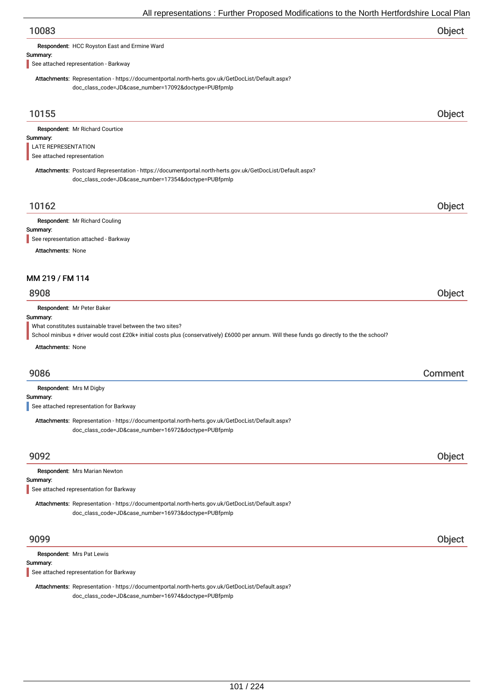| 10083                                                                                                                                                                                                       | Object  |
|-------------------------------------------------------------------------------------------------------------------------------------------------------------------------------------------------------------|---------|
| Respondent: HCC Royston East and Ermine Ward                                                                                                                                                                |         |
| Summary:<br>See attached representation - Barkway                                                                                                                                                           |         |
| Attachments: Representation - https://documentportal.north-herts.gov.uk/GetDocList/Default.aspx?<br>doc_class_code=JD&case_number=17092&doctype=PUBfpmlp                                                    |         |
| 10155                                                                                                                                                                                                       | Object  |
| Respondent: Mr Richard Courtice<br>Summary:<br>LATE REPRESENTATION<br>See attached representation                                                                                                           |         |
| Attachments: Postcard Representation - https://documentportal.north-herts.gov.uk/GetDocList/Default.aspx?<br>doc_class_code=JD&case_number=17354&doctype=PUBfpmlp                                           |         |
| 10162                                                                                                                                                                                                       | Object  |
| Respondent: Mr Richard Couling<br>Summary:                                                                                                                                                                  |         |
| See representation attached - Barkway                                                                                                                                                                       |         |
| <b>Attachments: None</b>                                                                                                                                                                                    |         |
| MM 219 / FM 114                                                                                                                                                                                             |         |
| 8908                                                                                                                                                                                                        |         |
|                                                                                                                                                                                                             | Object  |
| Respondent: Mr Peter Baker<br>Summary:                                                                                                                                                                      |         |
| What constitutes sustainable travel between the two sites?<br>School minibus + driver would cost £20k+ initial costs plus (conservatively) £6000 per annum. Will these funds go directly to the the school? |         |
| Attachments: None                                                                                                                                                                                           |         |
| 9086                                                                                                                                                                                                        | Comment |
| Respondent: Mrs M Digby                                                                                                                                                                                     |         |
| Summary:<br>See attached representation for Barkway                                                                                                                                                         |         |
| Attachments: Representation - https://documentportal.north-herts.gov.uk/GetDocList/Default.aspx?<br>doc_class_code=JD&case_number=16972&doctype=PUBfpmlp                                                    |         |
| 9092                                                                                                                                                                                                        | Object  |
| Respondent: Mrs Marian Newton                                                                                                                                                                               |         |
| Summary:<br>See attached representation for Barkway                                                                                                                                                         |         |
| Attachments: Representation - https://documentportal.north-herts.gov.uk/GetDocList/Default.aspx?<br>doc_class_code=JD&case_number=16973&doctype=PUBfpmlp                                                    |         |
| 9099                                                                                                                                                                                                        | Object  |
| Respondent: Mrs Pat Lewis<br>Summary:                                                                                                                                                                       |         |

See attached representation for Barkway

Attachments: Representation - https://documentportal.north-herts.gov.uk/GetDocList/Default.aspx? doc\_class\_code=JD&case\_number=16974&doctype=PUBfpmlp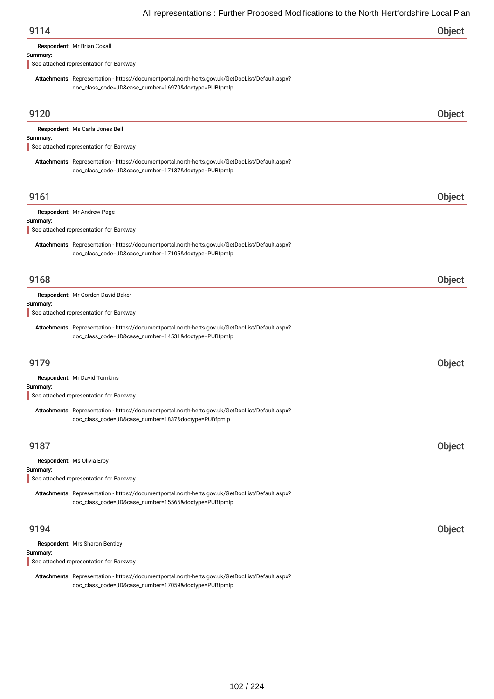| Object |
|--------|
|        |

Respondent: Mr Brian Coxall

### Summary:

See attached representation for Barkway

Attachments: Representation - https://documentportal.north-herts.gov.uk/GetDocList/Default.aspx? doc\_class\_code=JD&case\_number=16970&doctype=PUBfpmlp

| 9120                                                                                                                                                                                         | <b>Object</b> |
|----------------------------------------------------------------------------------------------------------------------------------------------------------------------------------------------|---------------|
| Respondent: Ms Carla Jones Bell<br>Summary:<br>See attached representation for Barkway                                                                                                       |               |
| Attachments: Representation - https://documentportal.north-herts.gov.uk/GetDocList/Default.aspx?<br>doc_class_code=JD&case_number=17137&doctype=PUBfpmlp                                     |               |
| 9161                                                                                                                                                                                         | Object        |
| Respondent: Mr Andrew Page<br>Summary:<br>See attached representation for Barkway                                                                                                            |               |
| Attachments: Representation - https://documentportal.north-herts.gov.uk/GetDocList/Default.aspx?<br>doc_class_code=JD&case_number=17105&doctype=PUBfpmlp                                     |               |
| 9168                                                                                                                                                                                         | Object        |
| Respondent: Mr Gordon David Baker<br>Summary:<br>See attached representation for Barkway<br>Attachments: Representation - https://documentportal.north-herts.gov.uk/GetDocList/Default.aspx? |               |
| doc_class_code=JD&case_number=14531&doctype=PUBfpmlp                                                                                                                                         |               |
| 9179                                                                                                                                                                                         | Object        |
| Respondent: Mr David Tomkins<br>Summary:                                                                                                                                                     |               |
| See attached representation for Barkway                                                                                                                                                      |               |
| Attachments: Representation - https://documentportal.north-herts.gov.uk/GetDocList/Default.aspx?<br>doc_class_code=JD&case_number=1837&doctype=PUBfpmlp                                      |               |
| 9187                                                                                                                                                                                         | Object        |
| Respondent: Ms Olivia Erby<br>Summary:<br>See attached representation for Barkway                                                                                                            |               |
| Attachments: Representation - https://documentportal.north-herts.gov.uk/GetDocList/Default.aspx?<br>doc_class_code=JD&case_number=15565&doctype=PUBfpmlp                                     |               |
| 9194                                                                                                                                                                                         | Object        |
| Respondent: Mrs Sharon Bentley<br>Summary:                                                                                                                                                   |               |

See attached representation for Barkway

Attachments: Representation - https://documentportal.north-herts.gov.uk/GetDocList/Default.aspx? doc\_class\_code=JD&case\_number=17059&doctype=PUBfpmlp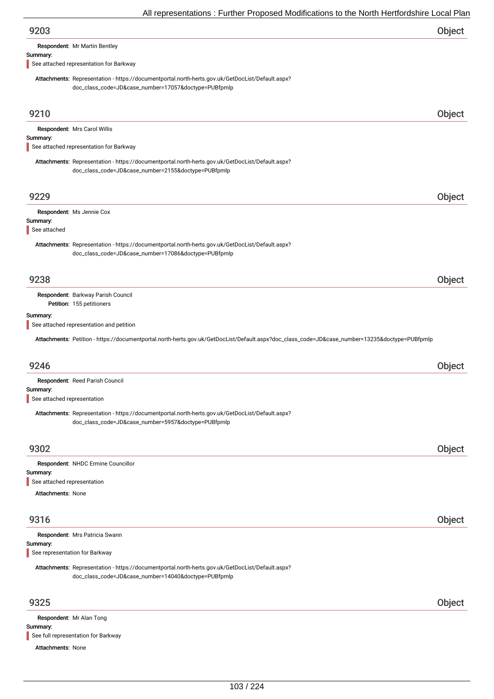Respondent: Mr Martin Bentley

#### Summary:

See attached representation for Barkway

Attachments: Representation - https://documentportal.north-herts.gov.uk/GetDocList/Default.aspx? doc\_class\_code=JD&case\_number=17057&doctype=PUBfpmlp

| 9210                                       |                                                                                                                                                          | Object |
|--------------------------------------------|----------------------------------------------------------------------------------------------------------------------------------------------------------|--------|
|                                            | Respondent: Mrs Carol Willis                                                                                                                             |        |
| Summary:                                   | See attached representation for Barkway                                                                                                                  |        |
|                                            | Attachments: Representation - https://documentportal.north-herts.gov.uk/GetDocList/Default.aspx?                                                         |        |
|                                            | doc_class_code=JD&case_number=2155&doctype=PUBfpmlp                                                                                                      |        |
| 9229                                       |                                                                                                                                                          | Object |
|                                            | Respondent: Ms Jennie Cox                                                                                                                                |        |
| Summary:<br>See attached                   |                                                                                                                                                          |        |
|                                            | Attachments: Representation - https://documentportal.north-herts.gov.uk/GetDocList/Default.aspx?<br>doc_class_code=JD&case_number=17086&doctype=PUBfpmlp |        |
| 9238                                       |                                                                                                                                                          | Object |
|                                            | Respondent: Barkway Parish Council<br>Petition: 155 petitioners                                                                                          |        |
| Summary:                                   |                                                                                                                                                          |        |
|                                            | See attached representation and petition                                                                                                                 |        |
|                                            | Attachments: Petition - https://documentportal.north-herts.gov.uk/GetDocList/Default.aspx?doc_class_code=JD&case_number=13235&doctype=PUBfpmlp           |        |
| 9246                                       |                                                                                                                                                          | Object |
| Summary:                                   | Respondent: Reed Parish Council                                                                                                                          |        |
| See attached representation                |                                                                                                                                                          |        |
|                                            | Attachments: Representation - https://documentportal.north-herts.gov.uk/GetDocList/Default.aspx?<br>doc_class_code=JD&case_number=5957&doctype=PUBfpmlp  |        |
| 9302                                       |                                                                                                                                                          | Object |
|                                            | Respondent: NHDC Ermine Councillor                                                                                                                       |        |
| Summary:<br>See attached representation    |                                                                                                                                                          |        |
| Attachments: None                          |                                                                                                                                                          |        |
|                                            |                                                                                                                                                          |        |
| 9316                                       |                                                                                                                                                          | Object |
|                                            | Respondent: Mrs Patricia Swann                                                                                                                           |        |
| Summary:<br>See representation for Barkway |                                                                                                                                                          |        |
|                                            | Attachments: Representation - https://documentportal.north-herts.gov.uk/GetDocList/Default.aspx?<br>doc_class_code=JD&case_number=14040&doctype=PUBfpmlp |        |
| 9325                                       |                                                                                                                                                          | Object |
| <b>Pecpondent: Mr Alan Tong</b>            |                                                                                                                                                          |        |

Summary: Attachments: None i<mark>t:</mark> Mr Alan Tong See full representation for Barkway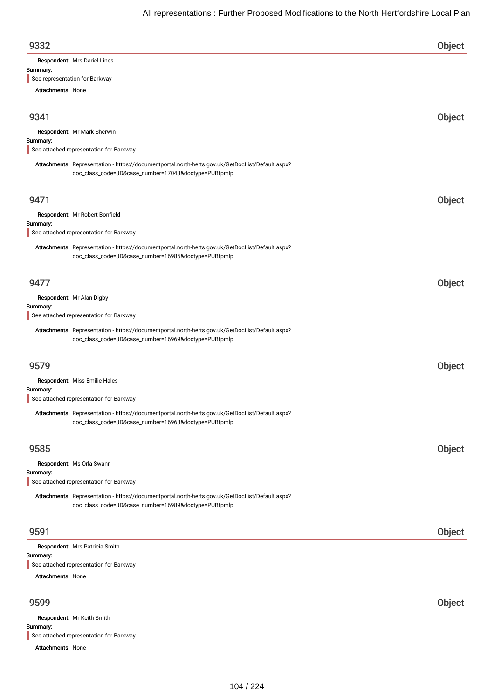| 9332 | Object |
|------|--------|
|      |        |

Respondent: Mrs Dariel Lines

#### Summary:

See representation for Barkway

Attachments: None

| 9341                     |                                                                                                                                                          | Object |
|--------------------------|----------------------------------------------------------------------------------------------------------------------------------------------------------|--------|
|                          | Respondent: Mr Mark Sherwin                                                                                                                              |        |
| Summary:                 | See attached representation for Barkway                                                                                                                  |        |
|                          |                                                                                                                                                          |        |
|                          | Attachments: Representation - https://documentportal.north-herts.gov.uk/GetDocList/Default.aspx?<br>doc_class_code=JD&case_number=17043&doctype=PUBfpmlp |        |
|                          |                                                                                                                                                          |        |
| 9471                     |                                                                                                                                                          | Object |
|                          | Respondent: Mr Robert Bonfield                                                                                                                           |        |
| Summary:                 |                                                                                                                                                          |        |
|                          | See attached representation for Barkway                                                                                                                  |        |
|                          | Attachments: Representation - https://documentportal.north-herts.gov.uk/GetDocList/Default.aspx?                                                         |        |
|                          | doc_class_code=JD&case_number=16985&doctype=PUBfpmlp                                                                                                     |        |
|                          |                                                                                                                                                          |        |
| 9477                     |                                                                                                                                                          | Object |
|                          | Respondent: Mr Alan Digby                                                                                                                                |        |
| Summary:                 |                                                                                                                                                          |        |
|                          | See attached representation for Barkway                                                                                                                  |        |
|                          | Attachments: Representation - https://documentportal.north-herts.gov.uk/GetDocList/Default.aspx?                                                         |        |
|                          | doc_class_code=JD&case_number=16969&doctype=PUBfpmlp                                                                                                     |        |
|                          |                                                                                                                                                          |        |
| 9579                     |                                                                                                                                                          | Object |
|                          | Respondent: Miss Emilie Hales                                                                                                                            |        |
| Summary:                 |                                                                                                                                                          |        |
|                          | See attached representation for Barkway                                                                                                                  |        |
|                          | Attachments: Representation - https://documentportal.north-herts.gov.uk/GetDocList/Default.aspx?                                                         |        |
|                          | doc_class_code=JD&case_number=16968&doctype=PUBfpmlp                                                                                                     |        |
|                          |                                                                                                                                                          |        |
| 9585                     |                                                                                                                                                          | Object |
|                          | Respondent: Ms Orla Swann                                                                                                                                |        |
| Summary:                 |                                                                                                                                                          |        |
|                          | See attached representation for Barkway                                                                                                                  |        |
|                          | Attachments: Representation - https://documentportal.north-herts.gov.uk/GetDocList/Default.aspx?                                                         |        |
|                          | doc_class_code=JD&case_number=16989&doctype=PUBfpmlp                                                                                                     |        |
|                          |                                                                                                                                                          |        |
| 9591                     |                                                                                                                                                          | Object |
|                          | Respondent: Mrs Patricia Smith                                                                                                                           |        |
| Summary:                 |                                                                                                                                                          |        |
|                          | See attached representation for Barkway                                                                                                                  |        |
| <b>Attachments: None</b> |                                                                                                                                                          |        |
|                          |                                                                                                                                                          |        |
| 9599                     |                                                                                                                                                          | Object |
|                          | Respondent: Mr Keith Smith                                                                                                                               |        |
| Summary:                 |                                                                                                                                                          |        |
|                          | See attached representation for Barkway                                                                                                                  |        |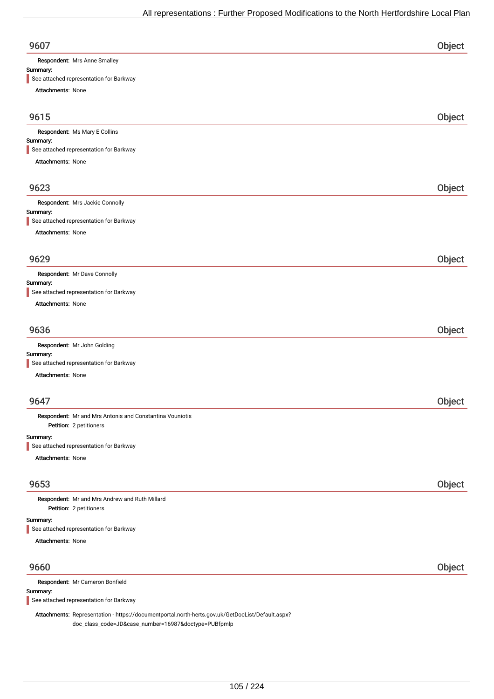| 9607                                |  |
|-------------------------------------|--|
| <b>Pespondent:</b> Mrs Anne Smalley |  |

#### Summary:

See attached representation for Barkway

| Attachments: None                                                         |        |
|---------------------------------------------------------------------------|--------|
| 9615                                                                      | Object |
| Respondent: Ms Mary E Collins                                             |        |
| Summary:                                                                  |        |
| See attached representation for Barkway                                   |        |
| Attachments: None                                                         |        |
| 9623                                                                      | Object |
| Respondent: Mrs Jackie Connolly                                           |        |
| Summary:<br>See attached representation for Barkway                       |        |
| <b>Attachments: None</b>                                                  |        |
|                                                                           |        |
| 9629                                                                      | Object |
| Respondent: Mr Dave Connolly                                              |        |
| Summary:                                                                  |        |
| See attached representation for Barkway                                   |        |
| <b>Attachments: None</b>                                                  |        |
| 9636                                                                      | Object |
| Respondent: Mr John Golding                                               |        |
| Summary:                                                                  |        |
| See attached representation for Barkway                                   |        |
| Attachments: None                                                         |        |
| 9647                                                                      | Object |
| Respondent: Mr and Mrs Antonis and Constantina Vouniotis                  |        |
| Petition: 2 petitioners                                                   |        |
| Summary:<br>See attached representation for Barkway                       |        |
| Attachments: None                                                         |        |
|                                                                           |        |
| 9653                                                                      | Object |
| Respondent: Mr and Mrs Andrew and Ruth Millard<br>Petition: 2 petitioners |        |
| Summary:                                                                  |        |

See attached representation for Barkway

Attachments: None

### 9660 Object

| Respondent: Mr Cameron Bonfield                                                                  |  |
|--------------------------------------------------------------------------------------------------|--|
| Summary:                                                                                         |  |
| See attached representation for Barkway                                                          |  |
| Attachments: Representation - https://documentportal.north-herts.gov.uk/GetDocList/Default.aspx? |  |
| doc_class_code=JD&case_number=16987&doctype=PUBfpmlp                                             |  |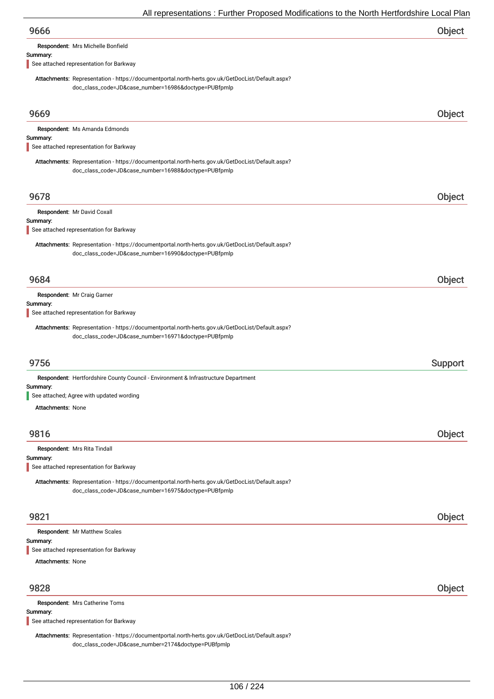| All representations : Further Proposed Modifications to the North Hertfordshire Local Plan                                                               |         |
|----------------------------------------------------------------------------------------------------------------------------------------------------------|---------|
| 9666                                                                                                                                                     | Object  |
| Respondent: Mrs Michelle Bonfield                                                                                                                        |         |
| Summary:<br>See attached representation for Barkway                                                                                                      |         |
| Attachments: Representation - https://documentportal.north-herts.gov.uk/GetDocList/Default.aspx?<br>doc_class_code=JD&case_number=16986&doctype=PUBfpmlp |         |
| 9669                                                                                                                                                     | Object  |
| Respondent: Ms Amanda Edmonds                                                                                                                            |         |
| Summary:<br>See attached representation for Barkway                                                                                                      |         |
| Attachments: Representation - https://documentportal.north-herts.gov.uk/GetDocList/Default.aspx?<br>doc_class_code=JD&case_number=16988&doctype=PUBfpmlp |         |
| 9678                                                                                                                                                     | Object  |
| Respondent: Mr David Coxall                                                                                                                              |         |
| Summary:<br>See attached representation for Barkway                                                                                                      |         |
| Attachments: Representation - https://documentportal.north-herts.gov.uk/GetDocList/Default.aspx?<br>doc_class_code=JD&case_number=16990&doctype=PUBfpmlp |         |
| 9684                                                                                                                                                     | Object  |
| Respondent: Mr Craig Garner<br>Summary:<br>See attached representation for Barkway                                                                       |         |
| Attachments: Representation - https://documentportal.north-herts.gov.uk/GetDocList/Default.aspx?<br>doc_class_code=JD&case_number=16971&doctype=PUBfpmlp |         |
| 9756                                                                                                                                                     | Support |
| Respondent: Hertfordshire County Council - Environment & Infrastructure Department                                                                       |         |
| Summary:<br>See attached; Agree with updated wording                                                                                                     |         |
| <b>Attachments: None</b>                                                                                                                                 |         |
| 9816                                                                                                                                                     | Object  |
| Respondent: Mrs Rita Tindall                                                                                                                             |         |
| Summary:<br>See attached representation for Barkway                                                                                                      |         |
| Attachments: Representation - https://documentportal.north-herts.gov.uk/GetDocList/Default.aspx?<br>doc_class_code=JD&case_number=16975&doctype=PUBfpmlp |         |
| 9821                                                                                                                                                     | Object  |
| Respondent: Mr Matthew Scales                                                                                                                            |         |
| Summary:<br>See attached representation for Barkway                                                                                                      |         |
| <b>Attachments: None</b>                                                                                                                                 |         |
|                                                                                                                                                          |         |
| 9828                                                                                                                                                     | Object  |

Respondent: Mrs Catherine Toms

### Summary:

See attached representation for Barkway

Attachments: Representation - https://documentportal.north-herts.gov.uk/GetDocList/Default.aspx? doc\_class\_code=JD&case\_number=2174&doctype=PUBfpmlp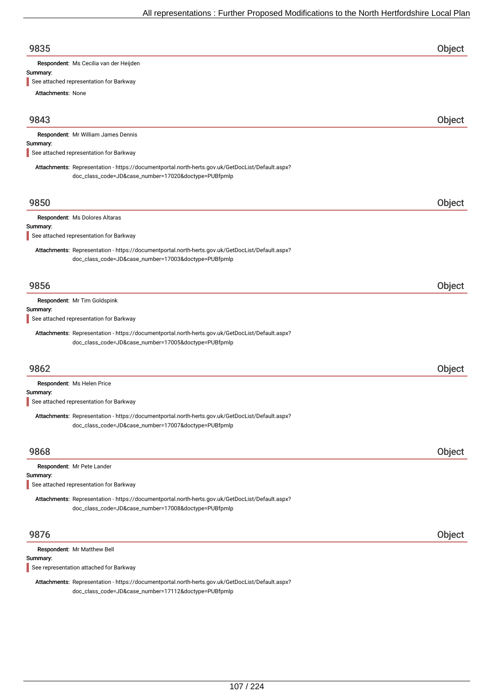| 9835                                                                                             | Object |
|--------------------------------------------------------------------------------------------------|--------|
| Respondent: Ms Cecilia van der Heijden                                                           |        |
| Summary:                                                                                         |        |
| See attached representation for Barkway                                                          |        |
| <b>Attachments: None</b>                                                                         |        |
| 9843                                                                                             | Object |
| Respondent: Mr William James Dennis                                                              |        |
| Summary:                                                                                         |        |
| See attached representation for Barkway                                                          |        |
| Attachments: Representation - https://documentportal.north-herts.gov.uk/GetDocList/Default.aspx? |        |
| doc_class_code=JD&case_number=17020&doctype=PUBfpmlp                                             |        |

## 9850 Object

## Respondent: Ms Dolores Altaras

Summary:

See attached representation for Barkway

Attachments: Representation - https://documentportal.north-herts.gov.uk/GetDocList/Default.aspx? doc\_class\_code=JD&case\_number=17003&doctype=PUBfpmlp

### 9856 Object

Respondent: Mr Tim Goldspink

#### Summary:

See attached representation for Barkway

Attachments: Representation - https://documentportal.north-herts.gov.uk/GetDocList/Default.aspx? doc\_class\_code=JD&case\_number=17005&doctype=PUBfpmlp

### 9862 Object

Respondent: Ms Helen Price

#### Summary:

See attached representation for Barkway

Attachments: Representation - https://documentportal.north-herts.gov.uk/GetDocList/Default.aspx? doc\_class\_code=JD&case\_number=17007&doctype=PUBfpmlp

| 9868                                                                                                                                                     | Object        |
|----------------------------------------------------------------------------------------------------------------------------------------------------------|---------------|
| Respondent: Mr Pete Lander<br>Summary:<br>See attached representation for Barkway                                                                        |               |
| Attachments: Representation - https://documentportal.north-herts.gov.uk/GetDocList/Default.aspx?<br>doc_class_code=JD&case_number=17008&doctype=PUBfpmlp |               |
| 9876                                                                                                                                                     | <b>Object</b> |

| <b>Respondent: Mr Matthew Bell</b>      |  |
|-----------------------------------------|--|
| Summary:                                |  |
| See representation attached for Barkway |  |

Attachments: Representation - https://documentportal.north-herts.gov.uk/GetDocList/Default.aspx? doc\_class\_code=JD&case\_number=17112&doctype=PUBfpmlp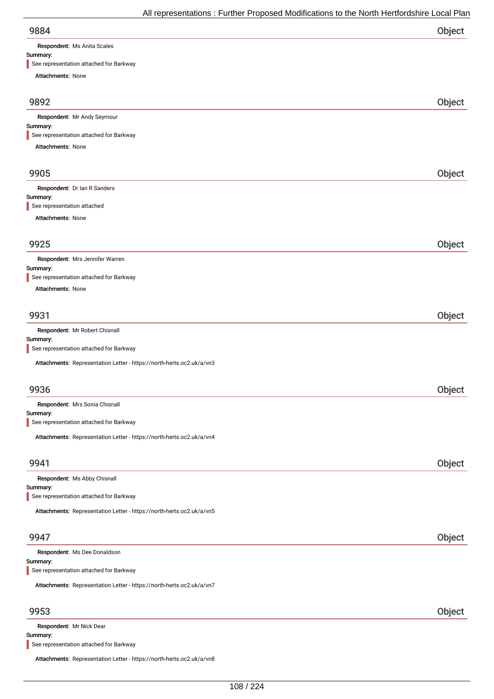Respondent: Ms Anita Scales

### Summary:

| See representation attached for Barkway                               |        |
|-----------------------------------------------------------------------|--------|
| Attachments: None                                                     |        |
|                                                                       |        |
| 9892                                                                  | Object |
| Respondent: Mr Andy Seymour                                           |        |
| Summary:<br>See representation attached for Barkway                   |        |
| Attachments: None                                                     |        |
|                                                                       |        |
| 9905                                                                  | Object |
| Respondent: Dr Ian R Sanders                                          |        |
| Summary:<br>See representation attached                               |        |
| Attachments: None                                                     |        |
|                                                                       |        |
| 9925                                                                  | Object |
| Respondent: Mrs Jennifer Warren                                       |        |
| Summary:<br>See representation attached for Barkway                   |        |
| Attachments: None                                                     |        |
|                                                                       |        |
| 9931                                                                  | Object |
| Respondent: Mr Robert Chisnall                                        |        |
| Summary:<br>See representation attached for Barkway                   |        |
| Attachments: Representation Letter - https://north-herts.oc2.uk/a/vn3 |        |
|                                                                       |        |
| 9936                                                                  | Object |
| Respondent: Mrs Sonia Chisnall                                        |        |
| Summary:<br>See representation attached for Barkway                   |        |
|                                                                       |        |
| Attachments: Representation Letter - https://north-herts.oc2.uk/a/vn4 |        |
| 9941                                                                  |        |
|                                                                       | Object |
| Respondent: Ms Abby Chisnall<br>Summary:                              |        |
| See representation attached for Barkway                               |        |
| Attachments: Representation Letter - https://north-herts.oc2.uk/a/vn5 |        |
|                                                                       |        |
| 9947                                                                  | Object |
| Respondent: Ms Dee Donaldson                                          |        |
| Summary:<br>See representation attached for Barkway                   |        |
|                                                                       |        |
| Attachments: Representation Letter - https://north-herts.oc2.uk/a/vn7 |        |
|                                                                       |        |
| 9953                                                                  | Object |
| Respondent: Mr Nick Dear                                              |        |

Summary:

See representation attached for Barkway

Attachments: Representation Letter - https://north-herts.oc2.uk/a/vn8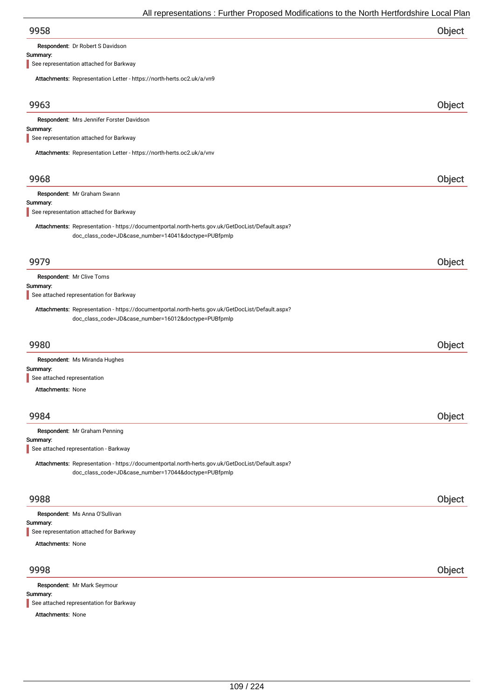| 9958 | Object |
|------|--------|
|      |        |

Respondent: Dr Robert S Davidson

#### Summary:

See representation attached for Barkway

Attachments: Representation Letter - https://north-herts.oc2.uk/a/vn9

| $\frac{1}{1000}$ . The process is the contract of the contract of $\frac{1}{1000}$ . The contract of $\frac{1}{1000}$                                    |        |
|----------------------------------------------------------------------------------------------------------------------------------------------------------|--------|
| 9963                                                                                                                                                     | Object |
| Respondent: Mrs Jennifer Forster Davidson                                                                                                                |        |
| Summary:<br>See representation attached for Barkway                                                                                                      |        |
|                                                                                                                                                          |        |
| Attachments: Representation Letter - https://north-herts.oc2.uk/a/vnv                                                                                    |        |
| 9968                                                                                                                                                     | Object |
| Respondent: Mr Graham Swann                                                                                                                              |        |
| Summary:<br>See representation attached for Barkway                                                                                                      |        |
| Attachments: Representation - https://documentportal.north-herts.gov.uk/GetDocList/Default.aspx?<br>doc_class_code=JD&case_number=14041&doctype=PUBfpmlp |        |
| 9979                                                                                                                                                     | Object |
| Respondent: Mr Clive Toms                                                                                                                                |        |
| Summary:<br>See attached representation for Barkway                                                                                                      |        |
| Attachments: Representation - https://documentportal.north-herts.gov.uk/GetDocList/Default.aspx?<br>doc_class_code=JD&case_number=16012&doctype=PUBfpmlp |        |
| 9980                                                                                                                                                     | Object |
| Respondent: Ms Miranda Hughes                                                                                                                            |        |
| Summary:<br>See attached representation                                                                                                                  |        |
| <b>Attachments: None</b>                                                                                                                                 |        |
|                                                                                                                                                          |        |
| 9984                                                                                                                                                     | Object |
| Respondent: Mr Graham Penning                                                                                                                            |        |
| Summary:<br>See attached representation - Barkway                                                                                                        |        |
| Attachments: Representation - https://documentportal.north-herts.gov.uk/GetDocList/Default.aspx?<br>doc_class_code=JD&case_number=17044&doctype=PUBfpmlp |        |
| 9988                                                                                                                                                     | Object |
| Respondent: Ms Anna O'Sullivan                                                                                                                           |        |
| Summary:<br>See representation attached for Barkway                                                                                                      |        |
| <b>Attachments: None</b>                                                                                                                                 |        |
|                                                                                                                                                          |        |
| 9998                                                                                                                                                     | Object |
| Respondent: Mr Mark Seymour                                                                                                                              |        |
| Summary:<br>See attached representation for Barkway                                                                                                      |        |

Attachments: None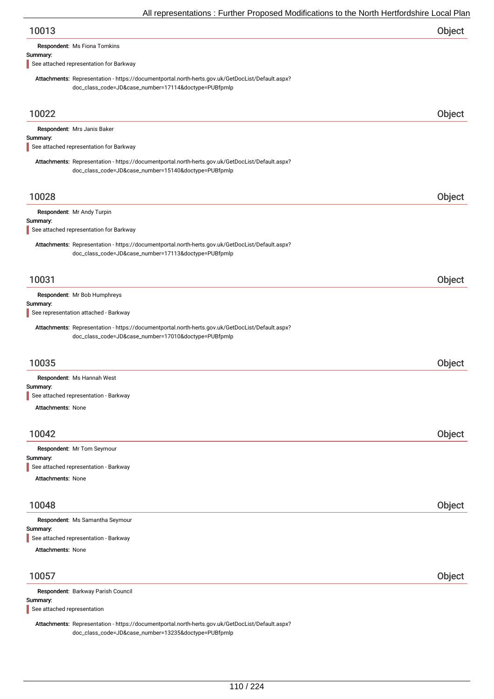| 10013 | Object |
|-------|--------|
|       |        |

| <b>Respondent: Ms Fiona Tomkins</b> |  |  |
|-------------------------------------|--|--|
|-------------------------------------|--|--|

#### Summary:

See attached representation for Barkway

Attachments: Representation - https://documentportal.north-herts.gov.uk/GetDocList/Default.aspx? doc\_class\_code=JD&case\_number=17114&doctype=PUBfpmlp

| 10022                                                                                                                                                    | Object |
|----------------------------------------------------------------------------------------------------------------------------------------------------------|--------|
| Respondent: Mrs Janis Baker                                                                                                                              |        |
| Summary:<br>See attached representation for Barkway                                                                                                      |        |
| Attachments: Representation - https://documentportal.north-herts.gov.uk/GetDocList/Default.aspx?<br>doc_class_code=JD&case_number=15140&doctype=PUBfpmlp |        |
| 10028                                                                                                                                                    | Object |
| Respondent: Mr Andy Turpin                                                                                                                               |        |
| Summary:<br>See attached representation for Barkway                                                                                                      |        |
| Attachments: Representation - https://documentportal.north-herts.gov.uk/GetDocList/Default.aspx?<br>doc_class_code=JD&case_number=17113&doctype=PUBfpmlp |        |
| 10031                                                                                                                                                    | Object |
| Respondent: Mr Bob Humphreys<br>Summary:                                                                                                                 |        |
| See representation attached - Barkway                                                                                                                    |        |
| Attachments: Representation - https://documentportal.north-herts.gov.uk/GetDocList/Default.aspx?<br>doc_class_code=JD&case_number=17010&doctype=PUBfpmlp |        |
| 10035                                                                                                                                                    | Object |
| Respondent: Ms Hannah West<br>Summary:<br>See attached representation - Barkway                                                                          |        |
| <b>Attachments: None</b>                                                                                                                                 |        |
| 10042                                                                                                                                                    | Object |
| Respondent: Mr Tom Seymour                                                                                                                               |        |
| Summary:<br>See attached representation - Barkway                                                                                                        |        |
| <b>Attachments: None</b>                                                                                                                                 |        |
| 10048                                                                                                                                                    | Object |
| Respondent: Ms Samantha Seymour                                                                                                                          |        |
| Summary:<br>See attached representation - Barkway                                                                                                        |        |
| <b>Attachments: None</b>                                                                                                                                 |        |
| 10057                                                                                                                                                    | Object |
| Respondent: Barkway Parish Council                                                                                                                       |        |
| Summary:<br>See attached representation                                                                                                                  |        |

Attachments: Representation - https://documentportal.north-herts.gov.uk/GetDocList/Default.aspx? doc\_class\_code=JD&case\_number=13235&doctype=PUBfpmlp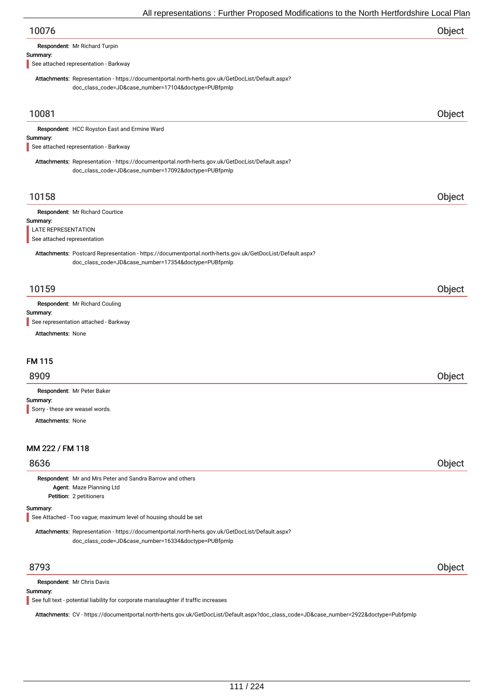| All representations . Further Froposed Modifications to the North Hertfordshire Local Fial                                                               |        |
|----------------------------------------------------------------------------------------------------------------------------------------------------------|--------|
| 10076                                                                                                                                                    | Object |
| Respondent: Mr Richard Turpin                                                                                                                            |        |
| Summary:<br>See attached representation - Barkway                                                                                                        |        |
|                                                                                                                                                          |        |
| Attachments: Representation - https://documentportal.north-herts.gov.uk/GetDocList/Default.aspx?<br>doc_class_code=JD&case_number=17104&doctype=PUBfpmlp |        |
|                                                                                                                                                          |        |
| 10081                                                                                                                                                    | Object |
| Respondent: HCC Royston East and Ermine Ward                                                                                                             |        |
| Summary:                                                                                                                                                 |        |
| See attached representation - Barkway                                                                                                                    |        |
| Attachments: Representation - https://documentportal.north-herts.gov.uk/GetDocList/Default.aspx?<br>doc_class_code=JD&case_number=17092&doctype=PUBfpmlp |        |
| 10158                                                                                                                                                    | Object |
| Respondent: Mr Richard Courtice                                                                                                                          |        |
| Summary:<br><b>LATE REPRESENTATION</b>                                                                                                                   |        |
| See attached representation                                                                                                                              |        |
| Attachments: Postcard Representation - https://documentportal.north-herts.gov.uk/GetDocList/Default.aspx?                                                |        |
| doc_class_code=JD&case_number=17354&doctype=PUBfpmlp                                                                                                     |        |
|                                                                                                                                                          |        |
| 10159                                                                                                                                                    | Object |
| Respondent: Mr Richard Couling                                                                                                                           |        |
| Summary:<br>See representation attached - Barkway                                                                                                        |        |
| <b>Attachments: None</b>                                                                                                                                 |        |
|                                                                                                                                                          |        |
| <b>FM 115</b>                                                                                                                                            |        |
| 8909                                                                                                                                                     | Object |
| Respondent: Mr Peter Baker                                                                                                                               |        |
| Summary:                                                                                                                                                 |        |
| Sorry - these are weasel words.                                                                                                                          |        |
| <b>Attachments: None</b>                                                                                                                                 |        |
|                                                                                                                                                          |        |
| MM 222 / FM 118                                                                                                                                          |        |
| 8636                                                                                                                                                     | Object |
| Respondent: Mr and Mrs Peter and Sandra Barrow and others                                                                                                |        |
| Agent: Maze Planning Ltd<br>Petition: 2 petitioners                                                                                                      |        |
| Summary:                                                                                                                                                 |        |
| See Attached - Too vague; maximum level of housing should be set                                                                                         |        |
| Attachments: Representation - https://documentportal.north-herts.gov.uk/GetDocList/Default.aspx?<br>doc_class_code=JD&case_number=16334&doctype=PUBfpmlp |        |
| 8793                                                                                                                                                     | Object |
| Respondent: Mr Chris Davis                                                                                                                               |        |
| Summary:                                                                                                                                                 |        |
| See full text - potential liability for corporate manslaughter if traffic increases                                                                      |        |

Attachments: CV -https://documentportal.north-herts.gov.uk/GetDocList/Default.aspx?doc\_class\_code=JD&case\_number=2922&doctype=Pubfpmlp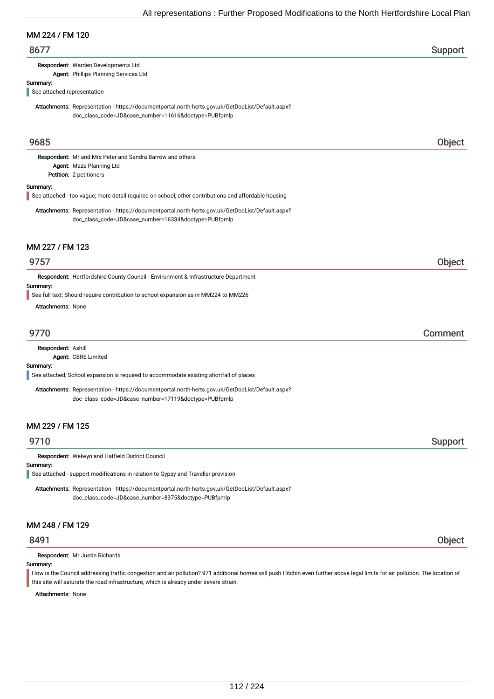## MM 224 / FM 120

## 8677 Support

Respondent: Warden Developments Ltd

Agent: Phillips Planning Services Ltd

# Summary:

See attached representation

Attachments: Representation - https://documentportal.north-herts.gov.uk/GetDocList/Default.aspx? doc\_class\_code=JD&case\_number=11616&doctype=PUBfpmlp

## 9685 Object

Petition: 2 petitioners Respondent: Mr and Mrs Peter and Sandra Barrow and others Agent: Maze Planning Ltd

#### Summary:

See attached - too vague; more detail required on school, other contributions and affordable housing

Attachments: Representation - https://documentportal.north-herts.gov.uk/GetDocList/Default.aspx? doc\_class\_code=JD&case\_number=16334&doctype=PUBfpmlp

#### MM 227 / FM 123

## 9757 Object

Respondent: Hertfordshire County Council - Environment & Infrastructure Department

Summary:

See full text; Should require contribution to school expansion as in MM224 to MM226

Attachments: None

## 9770 Comment

Respondent: Ashill

Agent: CBRE Limited

#### Summary:

See attached; School expansion is required to accommodate existing shortfall of places

Attachments: Representation - https://documentportal.north-herts.gov.uk/GetDocList/Default.aspx? doc\_class\_code=JD&case\_number=17119&doctype=PUBfpmlp

## MM 229 / FM 125

## extending the state of the state of the state of the state of the state of the Support Support of the Support

Respondent: Welwyn and Hatfield District Council

#### Summary:

See attached - support modifications in relation to Gypsy and Traveller provision

Attachments: Representation - https://documentportal.north-herts.gov.uk/GetDocList/Default.aspx? doc\_class\_code=JD&case\_number=8375&doctype=PUBfpmlp

## MM 248 / FM 129

Respondent: Mr Justin Richards

Summary:

How is the Council addressing traffic congestion and air pollution? 971 additional homes will push Hitchin even further above legal limits for air pollution. The location of this site will saturate the road infrastructure, which is already under severe strain.

Attachments: None

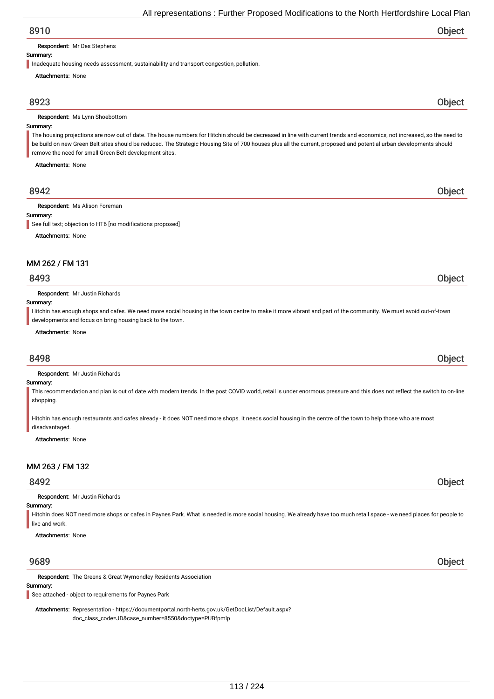# All representations : Further Proposed Modifications to the North Hertfordshire Local Plan

| 8910                                                                                                                                                                    | ∩hiart |
|-------------------------------------------------------------------------------------------------------------------------------------------------------------------------|--------|
| <b>Respondent: Mr Des Stephens</b>                                                                                                                                      |        |
| Summary:                                                                                                                                                                |        |
| Inadequate housing needs assessment, sustainability and transport congestion, pollution.                                                                                |        |
| <b>Attachments: None</b>                                                                                                                                                |        |
| 8923                                                                                                                                                                    | Object |
| <b>Respondent:</b> Ms Lynn Shoebottom                                                                                                                                   |        |
| Summary:                                                                                                                                                                |        |
| The housing projections are now out of date. The house numbers for Hitchin should be decreased in line with current trends and economics, not increased, so the need to |        |
| be build on new Green Belt sites should be reduced. The Strategic Housing Site of 700 houses plus all the current, proposed and potential urban developments should     |        |
| remove the need for small Green Belt development sites.                                                                                                                 |        |
| <b>Attachments: None</b>                                                                                                                                                |        |
|                                                                                                                                                                         |        |
|                                                                                                                                                                         |        |

## 8942 Object

Respondent: Ms Alison Foreman

#### Summary:

See full text: objection to HT6 [no modifications proposed]

Attachments: None

#### MM 262 / FM 131

## 8493 Object

Respondent: Mr Justin Richards

#### Summary:

Hitchin has enough shops and cafes. We need more social housing in the town centre to make it more vibrant and part of the community. We must avoid out-of-town developments and focus on bring housing back to the town.

#### Attachments: None

## 8498 Object

Respondent: Mr Justin Richards

#### Summary:

This recommendation and plan is out of date with modern trends. In the post COVID world, retail is under enormous pressure and this does not reflect the switch to on-line shopping.

Hitchin has enough restaurants and cafes already - it does NOT need more shops. It needs social housing in the centre of the town to help those who are most disadvantaged.

Attachments: None

# MM 263 / FM 132

# 8492 Object

Respondent: Mr Justin Richards

## Summary:

Hitchin does NOT need more shops or cafes in Paynes Park. What is needed is more social housing. We already have too much retail space - we need places for people to live and work.

Attachments: None

## 9689 Object

Respondent: The Greens & Great Wymondley Residents Association

#### Summary:

See attached - object to requirements for Paynes Park

Attachments: Representation - https://documentportal.north-herts.gov.uk/GetDocList/Default.aspx? doc\_class\_code=JD&case\_number=8550&doctype=PUBfpmlp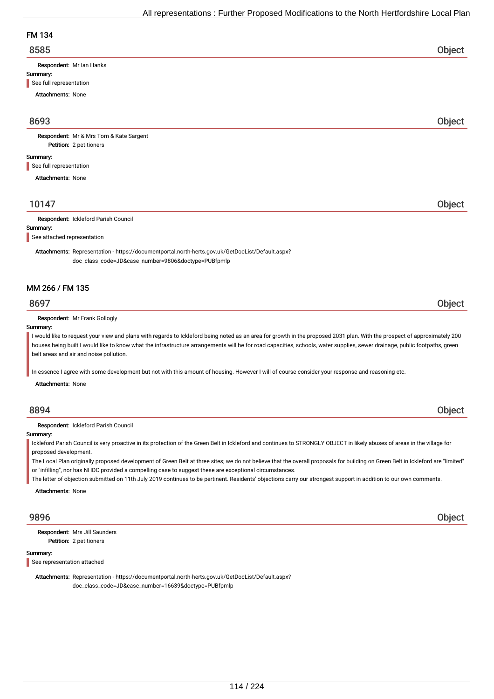# FM 134

| 8585 | Object |
|------|--------|
|      |        |

Respondent: Mr Ian Hanks

#### Summary:

See full representation

Attachments: None

# 8693 Object

Petition: 2 petitioners Respondent: Mr & Mrs Tom & Kate Sargent

#### Summary:

See full representation

Attachments: None

# 10147 Object

#### Respondent: Ickleford Parish Council

Summary:

See attached representation

Attachments: Representation - https://documentportal.north-herts.gov.uk/GetDocList/Default.aspx? doc\_class\_code=JD&case\_number=9806&doctype=PUBfpmlp

## MM 266 / FM 135

## 8697 Object

Respondent: Mr Frank Gollogly

#### Summary:

I would like to request your view and plans with regards to Ickleford being noted as an area for growth in the proposed 2031 plan. With the prospect of approximately 200 houses being built I would like to know what the infrastructure arrangements will be for road capacities, schools, water supplies, sewer drainage, public footpaths, green belt areas and air and noise pollution.

In essence I agree with some development but not with this amount of housing. However I will of course consider your response and reasoning etc.

Attachments: None

## 8894 Object

Respondent: Ickleford Parish Council

#### Summary:

Ickleford Parish Council is very proactive in its protection of the Green Belt in Ickleford and continues to STRONGLY OBJECT in likely abuses of areas in the village for proposed development.

The Local Plan originally proposed development of Green Belt at three sites; we do not believe that the overall proposals for building on Green Belt in Ickleford are "limited" or "infilling", nor has NHDC provided a compelling case to suggest these are exceptional circumstances.

The letter of objection submitted on 11th July 2019 continues to be pertinent. Residents' objections carry our strongest support in addition to our own comments.

Attachments: None

Petition: 2 petitioners Respondent: Mrs Jill Saunders

#### Summary:

See representation attached

Attachments: Representation - https://documentportal.north-herts.gov.uk/GetDocList/Default.aspx? doc\_class\_code=JD&case\_number=16639&doctype=PUBfpmlp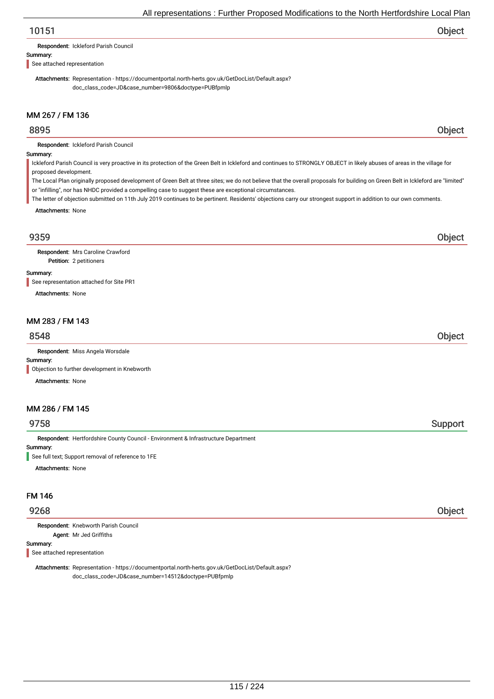# 10151 Object

Respondent: Ickleford Parish Council

Summary:

See attached representation

Attachments: Representation - https://documentportal.north-herts.gov.uk/GetDocList/Default.aspx? doc\_class\_code=JD&case\_number=9806&doctype=PUBfpmlp

# MM 267 / FM 136

## 8895 Object

Respondent: Ickleford Parish Council

#### Summary:

Ickleford Parish Council is very proactive in its protection of the Green Belt in Ickleford and continues to STRONGLY OBJECT in likely abuses of areas in the village for proposed development.

The Local Plan originally proposed development of Green Belt at three sites; we do not believe that the overall proposals for building on Green Belt in Ickleford are "limited" or "infilling", nor has NHDC provided a compelling case to suggest these are exceptional circumstances.

The letter of objection submitted on 11th July 2019 continues to be pertinent. Residents' objections carry our strongest support in addition to our own comments.

Attachments: None

## 9359 Object

Petition: 2 petitioners Respondent: Mrs Caroline Crawford

#### Summary:

See representation attached for Site PR1

Attachments: None

## MM 283 / FM 143

## 8548 Object

Respondent: Miss Angela Worsdale

#### Summary:

**Objection to further development in Knebworth** 

Attachments: None

# MM 286 / FM 145

## 9758 Support

Summary: Respondent: Hertfordshire County Council - Environment & Infrastructure Department

See full text; Support removal of reference to 1FE

Attachments: None

#### FM 146

Respondent: Knebworth Parish Council Agent: Mr Jed Griffiths

#### Summary:

See attached representation

Attachments: Representation - https://documentportal.north-herts.gov.uk/GetDocList/Default.aspx? doc\_class\_code=JD&case\_number=14512&doctype=PUBfpmlp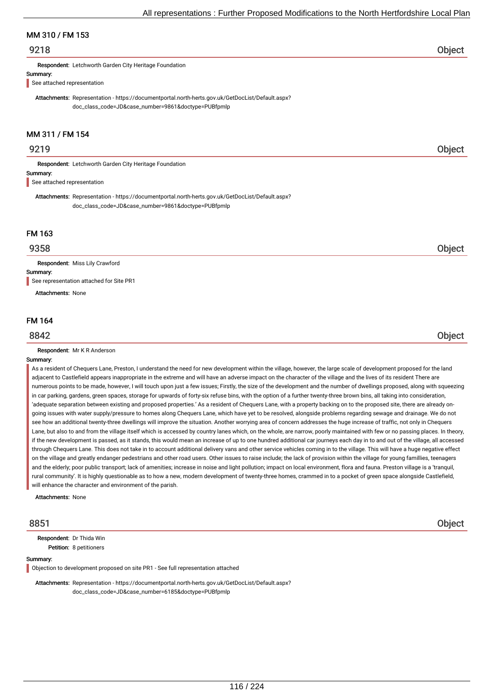## MM 310 / FM 153

## 9218 Object

Respondent: Letchworth Garden City Heritage Foundation

#### Summary:

See attached representation

Attachments: Representation - https://documentportal.north-herts.gov.uk/GetDocList/Default.aspx? doc\_class\_code=JD&case\_number=9861&doctype=PUBfpmlp

# MM 311 / FM 154

## 9219 Object

Respondent: Letchworth Garden City Heritage Foundation

#### Summary:

See attached representation

Attachments: Representation - https://documentportal.north-herts.gov.uk/GetDocList/Default.aspx? doc\_class\_code=JD&case\_number=9861&doctype=PUBfpmlp

## FM 163

Respondent: Miss Lily Crawford

Summary:

See representation attached for Site PR1

Attachments: None

#### FM 164

Respondent: Mr K R Anderson

#### Summary:

As a resident of Chequers Lane, Preston, I understand the need for new development within the village, however, the large scale of development proposed for the land adjacent to Castlefield appears inappropriate in the extreme and will have an adverse impact on the character of the village and the lives of its resident There are numerous points to be made, however, I will touch upon just a few issues; Firstly, the size of the development and the number of dwellings proposed, along with squeezing in car parking, gardens, green spaces, storage for upwards of forty-six refuse bins, with the option of a further twenty-three brown bins, all taking into consideration, 'adequate separation between existing and proposed properties.' As a resident of Chequers Lane, with a property backing on to the proposed site, there are already ongoing issues with water supply/pressure to homes along Chequers Lane, which have yet to be resolved, alongside problems regarding sewage and drainage. We do not see how an additional twenty-three dwellings will improve the situation. Another worrying area of concern addresses the huge increase of traffic, not only in Chequers Lane, but also to and from the village itself which is accessed by country lanes which, on the whole, are narrow, poorly maintained with few or no passing places. In theory, if the new development is passed, as it stands, this would mean an increase of up to one hundred additional car journeys each day in to and out of the village, all accessed through Chequers Lane. This does not take in to account additional delivery vans and other service vehicles coming in to the village. This will have a huge negative effect on the village and greatly endanger pedestrians and other road users. Other issues to raise include; the lack of provision within the village for young famillies, teenagers and the elderly; poor public transport; lack of amenities; increase in noise and light pollution; impact on local environment, flora and fauna. Preston village is a 'tranquil, rural community'. It is highly questionable as to how a new, modern development of twenty-three homes, crammed in to a pocket of green space alongside Castlefield, will enhance the character and environment of the parish.

Attachments: None

Petition: 8 petitioners Respondent: Dr Thida Win

#### Summary:

Objection to development proposed on site PR1 - See full representation attached

Attachments: Representation - https://documentportal.north-herts.gov.uk/GetDocList/Default.aspx? doc\_class\_code=JD&case\_number=6185&doctype=PUBfpmlp

8851 Object

9358 Object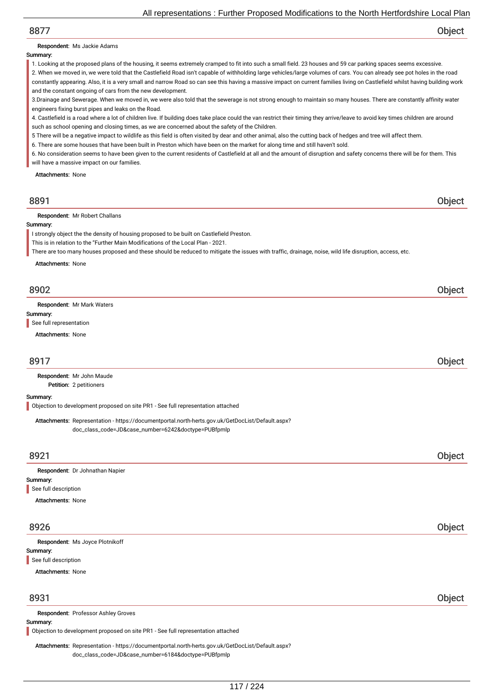# 8877 Object

#### Respondent: Ms Jackie Adams

#### Summary:

1. Looking at the proposed plans of the housing, it seems extremely cramped to fit into such a small field. 23 houses and 59 car parking spaces seems excessive. 2. When we moved in, we were told that the Castlefield Road isn't capable of withholding large vehicles/large volumes of cars. You can already see pot holes in the road constantly appearing. Also, it is a very small and narrow Road so can see this having a massive impact on current families living on Castlefield whilst having building work

and the constant ongoing of cars from the new development. 3.Drainage and Sewerage. When we moved in, we were also told that the sewerage is not strong enough to maintain so many houses. There are constantly affinity water engineers fixing burst pipes and leaks on the Road.

4. Castlefield is a road where a lot of children live. If building does take place could the van restrict their timing they arrive/leave to avoid key times children are around such as school opening and closing times, as we are concerned about the safety of the Children.

- 5 There will be a negative impact to wildlife as this field is often visited by dear and other animal, also the cutting back of hedges and tree will affect them.
- 6. There are some houses that have been built in Preston which have been on the market for along time and still haven't sold.

6. No consideration seems to have been given to the current residents of Castlefield at all and the amount of disruption and safety concerns there will be for them. This will have a massive impact on our families.

Attachments: None

| 8891                                                                                                                                                    | <b>Object</b> |
|---------------------------------------------------------------------------------------------------------------------------------------------------------|---------------|
| <b>Respondent:</b> Mr Robert Challans                                                                                                                   |               |
| Summary:                                                                                                                                                |               |
| I strongly object the the density of housing proposed to be built on Castlefield Preston.                                                               |               |
| This is in relation to the "Further Main Modifications of the Local Plan - 2021.                                                                        |               |
| There are too many houses proposed and these should be reduced to mitigate the issues with traffic, drainage, noise, wild life disruption, access, etc. |               |
| Attachments: None                                                                                                                                       |               |
| 8902                                                                                                                                                    | Object        |

Respondent: Mr Mark Waters

Summary:

See full representation

Attachments: None

## 8917 Object

Petition: 2 petitioners Respondent: Mr John Maude

Summary:

Objection to development proposed on site PR1 - See full representation attached

Attachments: Representation - https://documentportal.north-herts.gov.uk/GetDocList/Default.aspx? doc\_class\_code=JD&case\_number=6242&doctype=PUBfpmlp

| 8921                            | Object |
|---------------------------------|--------|
| Respondent: Dr Johnathan Napier |        |
| Summary:                        |        |
| See full description            |        |
| <b>Attachments: None</b>        |        |

## 8926 Object

| Respondent: Ms Joyce Plotnikoff |  |        |
|---------------------------------|--|--------|
| Summary:                        |  |        |
| See full description            |  |        |
| <b>Attachments: None</b>        |  |        |
|                                 |  |        |
| 8931                            |  | Object |

#### Respondent: Professor Ashley Groves

Summary:

Objection to development proposed on site PR1 - See full representation attached

Attachments: Representation - https://documentportal.north-herts.gov.uk/GetDocList/Default.aspx? doc\_class\_code=JD&case\_number=6184&doctype=PUBfpmlp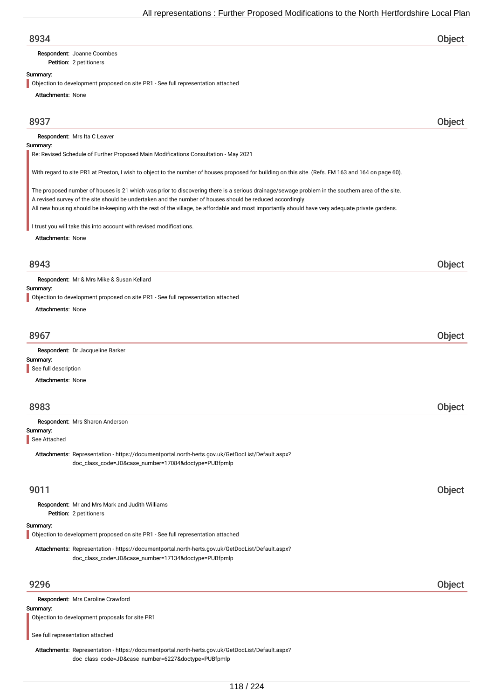Petition: 2 petitioners Respondent: Joanne Coombes

#### Summary:

Objection to development proposed on site PR1 - See full representation attached

Attachments: None

## 8937 Object

Respondent: Mrs Ita C Leaver

#### Summary:

Re: Revised Schedule of Further Proposed Main Modifications Consultation - May 2021

With regard to site PR1 at Preston, I wish to object to the number of houses proposed for building on this site. (Refs. FM 163 and 164 on page 60).

The proposed number of houses is 21 which was prior to discovering there is a serious drainage/sewage problem in the southern area of the site. A revised survey of the site should be undertaken and the number of houses should be reduced accordingly. All new housing should be in-keeping with the rest of the village, be affordable and most importantly should have very adequate private gardens.

I trust you will take this into account with revised modifications.

Attachments: None

## 8943 Object

Respondent: Mr & Mrs Mike & Susan Kellard

#### Summary:

Objection to development proposed on site PR1 - See full representation attached

Attachments: None

| 8967                                    |  |
|-----------------------------------------|--|
| <b>Respondent:</b> Dr Jacqueline Barker |  |

Summary: See full description

Attachments: None

# 8983 Object

Summary: Respondent: Mrs Sharon Anderson

See Attached

Attachments: Representation - https://documentportal.north-herts.gov.uk/GetDocList/Default.aspx? doc\_class\_code=JD&case\_number=17084&doctype=PUBfpmlp

## 9011 Object

Petition: 2 petitioners Respondent: Mr and Mrs Mark and Judith Williams

#### Summary:

Objection to development proposed on site PR1 - See full representation attached

Attachments: Representation - https://documentportal.north-herts.gov.uk/GetDocList/Default.aspx? doc\_class\_code=JD&case\_number=17134&doctype=PUBfpmlp

# 9296 Object

Respondent: Mrs Caroline Crawford

#### Summary:

Objection to development proposals for site PR1

See full representation attached

Attachments: Representation - https://documentportal.north-herts.gov.uk/GetDocList/Default.aspx? doc\_class\_code=JD&case\_number=6227&doctype=PUBfpmlp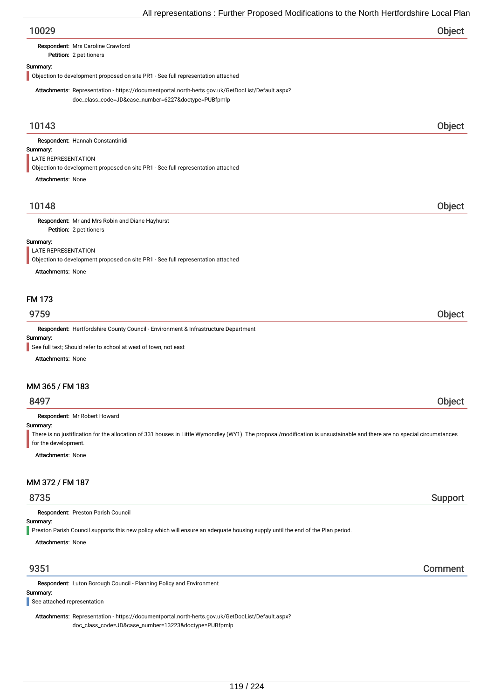| All representations : Further Proposed Modifications to the North Hertfordshire Local Plan                                                                                          |         |
|-------------------------------------------------------------------------------------------------------------------------------------------------------------------------------------|---------|
| 10029                                                                                                                                                                               | Object  |
| Respondent: Mrs Caroline Crawford<br>Petition: 2 petitioners                                                                                                                        |         |
| Summary:<br>Objection to development proposed on site PR1 - See full representation attached                                                                                        |         |
| Attachments: Representation - https://documentportal.north-herts.gov.uk/GetDocList/Default.aspx?<br>doc_class_code=JD&case_number=6227&doctype=PUBfpmlp                             |         |
| 10143                                                                                                                                                                               | Object  |
| Respondent: Hannah Constantinidi                                                                                                                                                    |         |
| Summary:                                                                                                                                                                            |         |
| LATE REPRESENTATION<br>Objection to development proposed on site PR1 - See full representation attached                                                                             |         |
| <b>Attachments: None</b>                                                                                                                                                            |         |
|                                                                                                                                                                                     |         |
| 10148                                                                                                                                                                               | Object  |
| Respondent: Mr and Mrs Robin and Diane Hayhurst                                                                                                                                     |         |
| Petition: 2 petitioners                                                                                                                                                             |         |
| Summary:                                                                                                                                                                            |         |
| LATE REPRESENTATION<br>Objection to development proposed on site PR1 - See full representation attached                                                                             |         |
| <b>Attachments: None</b>                                                                                                                                                            |         |
|                                                                                                                                                                                     |         |
| <b>FM 173</b>                                                                                                                                                                       |         |
| 9759                                                                                                                                                                                | Object  |
| Respondent: Hertfordshire County Council - Environment & Infrastructure Department                                                                                                  |         |
| Summary:                                                                                                                                                                            |         |
| See full text; Should refer to school at west of town, not east                                                                                                                     |         |
| <b>Attachments: None</b>                                                                                                                                                            |         |
| MM 365 / FM 183                                                                                                                                                                     |         |
| 8497                                                                                                                                                                                | Object  |
| Respondent: Mr Robert Howard                                                                                                                                                        |         |
| Summary:<br>There is no justification for the allocation of 331 houses in Little Wymondley (WY1). The proposal/modification is unsustainable and there are no special circumstances |         |
| for the development.<br><b>Attachments: None</b>                                                                                                                                    |         |
|                                                                                                                                                                                     |         |
| MM 372 / FM 187                                                                                                                                                                     |         |
| 8735                                                                                                                                                                                | Support |
| Respondent: Preston Parish Council                                                                                                                                                  |         |
| Summary:                                                                                                                                                                            |         |
| Preston Parish Council supports this new policy which will ensure an adequate housing supply until the end of the Plan period.                                                      |         |
| <b>Attachments: None</b>                                                                                                                                                            |         |
|                                                                                                                                                                                     |         |
| 9351                                                                                                                                                                                | Comment |

Respondent: Luton Borough Council - Planning Policy and Environment

# Summary:

See attached representation

Attachments: Representation - https://documentportal.north-herts.gov.uk/GetDocList/Default.aspx? doc\_class\_code=JD&case\_number=13223&doctype=PUBfpmlp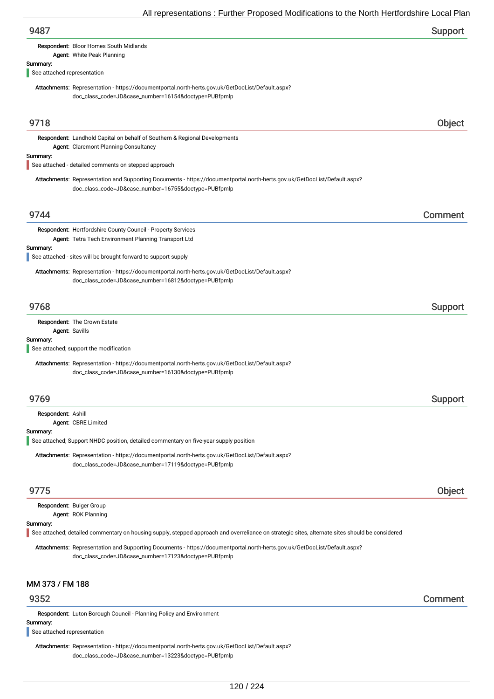| 9487                                                                                                                                                                              | Support |
|-----------------------------------------------------------------------------------------------------------------------------------------------------------------------------------|---------|
| Respondent: Bloor Homes South Midlands<br>Agent: White Peak Planning                                                                                                              |         |
| Summary:                                                                                                                                                                          |         |
| See attached representation                                                                                                                                                       |         |
| Attachments: Representation - https://documentportal.north-herts.gov.uk/GetDocList/Default.aspx?<br>doc_class_code=JD&case_number=16154&doctype=PUBfpmlp                          |         |
| 9718                                                                                                                                                                              | Object  |
| Respondent: Landhold Capital on behalf of Southern & Regional Developments<br>Agent: Claremont Planning Consultancy                                                               |         |
| Summary:<br>See attached - detailed comments on stepped approach                                                                                                                  |         |
| Attachments: Representation and Supporting Documents - https://documentportal.north-herts.gov.uk/GetDocList/Default.aspx?<br>doc_class_code=JD&case_number=16755&doctype=PUBfpmlp |         |
| 9744                                                                                                                                                                              | Comment |
| Respondent: Hertfordshire County Council - Property Services<br>Agent: Tetra Tech Environment Planning Transport Ltd                                                              |         |
| Summary:<br>See attached - sites will be brought forward to support supply                                                                                                        |         |
| Attachments: Representation - https://documentportal.north-herts.gov.uk/GetDocList/Default.aspx?<br>doc_class_code=JD&case_number=16812&doctype=PUBfpmlp                          |         |
| 9768                                                                                                                                                                              | Support |
| Respondent: The Crown Estate<br>Agent: Savills                                                                                                                                    |         |
| Summary:<br>See attached; support the modification                                                                                                                                |         |
| Attachments: Representation - https://documentportal.north-herts.gov.uk/GetDocList/Default.aspx?<br>doc_class_code=JD&case_number=16130&doctype=PUBfpmlp                          |         |
| 9769                                                                                                                                                                              | Support |
| Respondent: Ashill<br>Agent: CBRE Limited                                                                                                                                         |         |
| Summary:<br>See attached; Support NHDC position, detailed commentary on five-year supply position                                                                                 |         |
| Attachments: Representation - https://documentportal.north-herts.gov.uk/GetDocList/Default.aspx?<br>doc_class_code=JD&case_number=17119&doctype=PUBfpmlp                          |         |
| 9775                                                                                                                                                                              | Object  |
| Respondent: Bulger Group<br>Agent: ROK Planning                                                                                                                                   |         |
| Summary:<br>See attached; detailed commentary on housing supply, stepped approach and overreliance on strategic sites, alternate sites should be considered                       |         |
| Attachments: Representation and Supporting Documents - https://documentportal.north-herts.gov.uk/GetDocList/Default.aspx?<br>doc_class_code=JD&case_number=17123&doctype=PUBfpmlp |         |
| MM 373 / FM 188                                                                                                                                                                   |         |
| 9352                                                                                                                                                                              | Comment |

Respondent: Luton Borough Council - Planning Policy and Environment

Summary:

See attached representation

Attachments: Representation - https://documentportal.north-herts.gov.uk/GetDocList/Default.aspx? doc\_class\_code=JD&case\_number=13223&doctype=PUBfpmlp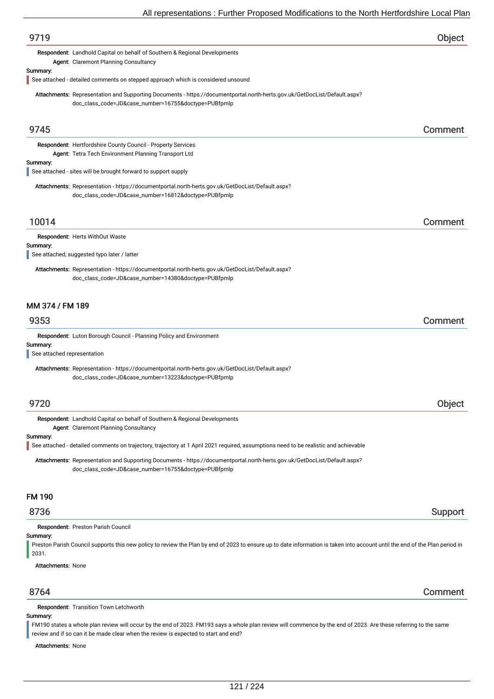| 8764                        |                                                                                                                                                                                   | Comment |
|-----------------------------|-----------------------------------------------------------------------------------------------------------------------------------------------------------------------------------|---------|
| <b>Attachments: None</b>    |                                                                                                                                                                                   |         |
| Summary:<br>2031.           | Preston Parish Council supports this new policy to review the Plan by end of 2023 to ensure up to date information is taken into account until the end of the Plan period in      |         |
|                             | Respondent: Preston Parish Council                                                                                                                                                |         |
| 8736                        |                                                                                                                                                                                   | Support |
| <b>FM 190</b>               |                                                                                                                                                                                   |         |
|                             | Attachments: Representation and Supporting Documents - https://documentportal.north-herts.gov.uk/GetDocList/Default.aspx?<br>doc_class_code=JD&case_number=16755&doctype=PUBfpmlp |         |
|                             | See attached - detailed comments on trajectory, trajectory at 1 April 2021 required, assumptions need to be realistic and achievable                                              |         |
| Summary:                    | Agent: Claremont Planning Consultancy                                                                                                                                             |         |
|                             | Respondent: Landhold Capital on behalf of Southern & Regional Developments                                                                                                        |         |
| 9720                        |                                                                                                                                                                                   | Object  |
|                             | Attachments: Representation - https://documentportal.north-herts.gov.uk/GetDocList/Default.aspx?<br>doc_class_code=JD&case_number=13223&doctype=PUBfpmlp                          |         |
| See attached representation |                                                                                                                                                                                   |         |
| Summary:                    | Respondent: Luton Borough Council - Planning Policy and Environment                                                                                                               |         |
| 9353                        |                                                                                                                                                                                   | Comment |
| MM 374 / FM 189             |                                                                                                                                                                                   |         |
|                             |                                                                                                                                                                                   |         |
|                             | Attachments: Representation - https://documentportal.north-herts.gov.uk/GetDocList/Default.aspx?<br>doc_class_code=JD&case_number=14380&doctype=PUBfpmlp                          |         |
| Summary:                    | See attached; suggested typo later / latter                                                                                                                                       |         |
|                             | <b>Respondent: Herts WithOut Waste</b>                                                                                                                                            |         |
| 10014                       |                                                                                                                                                                                   | Comment |
|                             | doc_class_code=JD&case_number=16812&doctype=PUBfpmlp                                                                                                                              |         |
|                             | Attachments: Representation - https://documentportal.north-herts.gov.uk/GetDocList/Default.aspx?                                                                                  |         |
| Summary:                    | See attached - sites will be brought forward to support supply                                                                                                                    |         |
|                             | Respondent: Hertfordshire County Council - Property Services<br>Agent: Tetra Tech Environment Planning Transport Ltd                                                              |         |
| 9745                        |                                                                                                                                                                                   | Comment |
|                             | doc_class_code=JD&case_number=16755&doctype=PUBfpmlp                                                                                                                              |         |
|                             | Attachments: Representation and Supporting Documents - https://documentportal.north-herts.gov.uk/GetDocList/Default.aspx?                                                         |         |
| Summary:                    | See attached - detailed comments on stepped approach which is considered unsound                                                                                                  |         |
|                             | Respondent: Landhold Capital on behalf of Southern & Regional Developments<br>Agent: Claremont Planning Consultancy                                                               |         |
| 9719                        |                                                                                                                                                                                   | Object  |
|                             |                                                                                                                                                                                   |         |

# Summary:

FM190 states a whole plan review will occur by the end of 2023. FM193 says a whole plan review will commence by the end of 2023. Are these referring to the same review and if so can it be made clear when the review is expected to start and end?

Attachments: None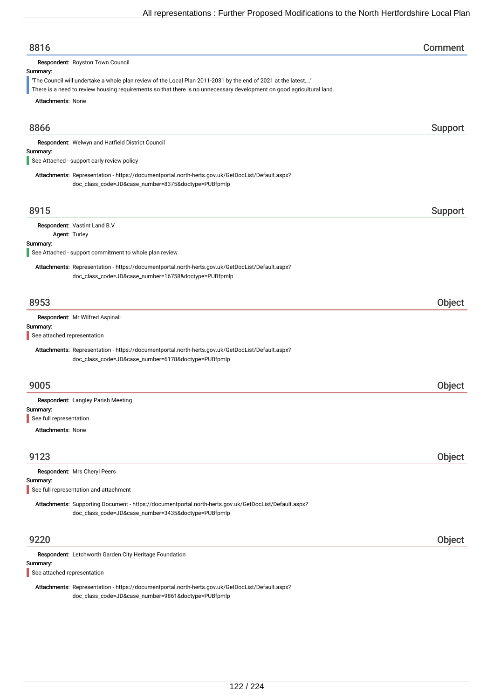| 8816                                                                                                                                                                                                                                                                                   | Comment |
|----------------------------------------------------------------------------------------------------------------------------------------------------------------------------------------------------------------------------------------------------------------------------------------|---------|
| Respondent: Royston Town Council<br>Summary:<br>'The Council will undertake a whole plan review of the Local Plan 2011-2031 by the end of 2021 at the latest'<br>There is a need to review housing requirements so that there is no unnecessary development on good agricultural land. |         |
| <b>Attachments: None</b>                                                                                                                                                                                                                                                               |         |
| 8866                                                                                                                                                                                                                                                                                   | Support |
| Respondent: Welwyn and Hatfield District Council<br>Summary:<br>See Attached - support early review policy                                                                                                                                                                             |         |
| Attachments: Representation - https://documentportal.north-herts.gov.uk/GetDocList/Default.aspx?<br>doc_class_code=JD&case_number=8375&doctype=PUBfpmlp                                                                                                                                |         |
| 8915                                                                                                                                                                                                                                                                                   | Support |
| Respondent: Vastint Land B.V<br>Agent: Turley                                                                                                                                                                                                                                          |         |
| Summary:<br>See Attached - support commitment to whole plan review                                                                                                                                                                                                                     |         |
| Attachments: Representation - https://documentportal.north-herts.gov.uk/GetDocList/Default.aspx?<br>doc_class_code=JD&case_number=16758&doctype=PUBfpmlp                                                                                                                               |         |
| 8953                                                                                                                                                                                                                                                                                   | Object  |
| Respondent: Mr Wilfred Aspinall                                                                                                                                                                                                                                                        |         |
| Summary:<br>See attached representation                                                                                                                                                                                                                                                |         |
| Attachments: Representation - https://documentportal.north-herts.gov.uk/GetDocList/Default.aspx?<br>doc_class_code=JD&case_number=6178&doctype=PUBfpmlp                                                                                                                                |         |
| 9005                                                                                                                                                                                                                                                                                   | Object  |
| Respondent: Langley Parish Meeting<br>Summary:                                                                                                                                                                                                                                         |         |
| See full representation                                                                                                                                                                                                                                                                |         |
| <b>Attachments: None</b>                                                                                                                                                                                                                                                               |         |
| 9123                                                                                                                                                                                                                                                                                   | Object  |
| Respondent: Mrs Cheryl Peers<br>Summary:<br>See full representation and attachment                                                                                                                                                                                                     |         |
| Attachments: Supporting Document - https://documentportal.north-herts.gov.uk/GetDocList/Default.aspx?<br>doc_class_code=JD&case_number=3435&doctype=PUBfpmlp                                                                                                                           |         |
| 9220                                                                                                                                                                                                                                                                                   | Object  |
| Respondent: Letchworth Garden City Heritage Foundation<br>Summary:<br>See attached representation                                                                                                                                                                                      |         |

Attachments: Representation - https://documentportal.north-herts.gov.uk/GetDocList/Default.aspx? doc\_class\_code=JD&case\_number=9861&doctype=PUBfpmlp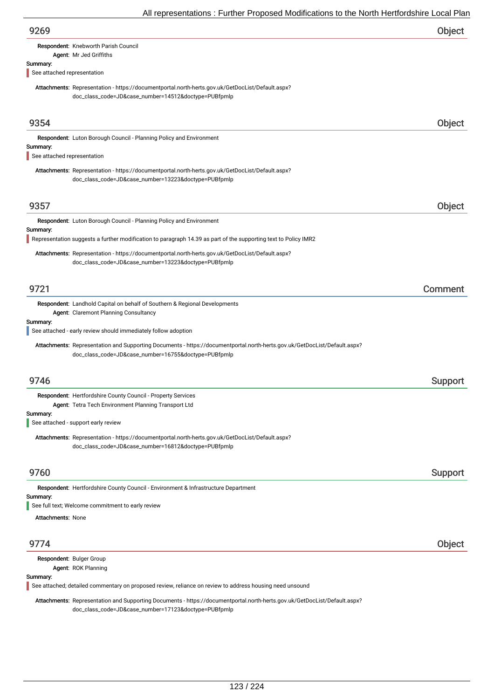| 9269                                                                                                                                                                              | Object  |
|-----------------------------------------------------------------------------------------------------------------------------------------------------------------------------------|---------|
| Respondent: Knebworth Parish Council                                                                                                                                              |         |
| Agent: Mr Jed Griffiths<br>Summary:                                                                                                                                               |         |
| See attached representation                                                                                                                                                       |         |
| Attachments: Representation - https://documentportal.north-herts.gov.uk/GetDocList/Default.aspx?<br>doc_class_code=JD&case_number=14512&doctype=PUBfpmlp                          |         |
| 9354                                                                                                                                                                              | Object  |
| Respondent: Luton Borough Council - Planning Policy and Environment<br>Summary:<br>See attached representation                                                                    |         |
|                                                                                                                                                                                   |         |
| Attachments: Representation - https://documentportal.north-herts.gov.uk/GetDocList/Default.aspx?<br>doc_class_code=JD&case_number=13223&doctype=PUBfpmlp                          |         |
| 9357                                                                                                                                                                              | Object  |
| Respondent: Luton Borough Council - Planning Policy and Environment                                                                                                               |         |
| Summary:<br>Representation suggests a further modification to paragraph 14.39 as part of the supporting text to Policy IMR2                                                       |         |
| Attachments: Representation - https://documentportal.north-herts.gov.uk/GetDocList/Default.aspx?<br>doc_class_code=JD&case_number=13223&doctype=PUBfpmlp                          |         |
| 9721                                                                                                                                                                              | Comment |
| Respondent: Landhold Capital on behalf of Southern & Regional Developments                                                                                                        |         |
| Agent: Claremont Planning Consultancy<br>Summary:                                                                                                                                 |         |
| See attached - early review should immediately follow adoption                                                                                                                    |         |
| Attachments: Representation and Supporting Documents - https://documentportal.north-herts.gov.uk/GetDocList/Default.aspx?<br>doc_class_code=JD&case_number=16755&doctype=PUBfpmlp |         |
| 9746                                                                                                                                                                              | Support |
| Respondent: Hertfordshire County Council - Property Services                                                                                                                      |         |
| Agent: Tetra Tech Environment Planning Transport Ltd                                                                                                                              |         |
| Summary:<br>See attached - support early review                                                                                                                                   |         |
| Attachments: Representation - https://documentportal.north-herts.gov.uk/GetDocList/Default.aspx?<br>doc_class_code=JD&case_number=16812&doctype=PUBfpmlp                          |         |
| 9760                                                                                                                                                                              | Support |
| Respondent: Hertfordshire County Council - Environment & Infrastructure Department                                                                                                |         |
| Summary:<br>See full text; Welcome commitment to early review                                                                                                                     |         |
| <b>Attachments: None</b>                                                                                                                                                          |         |
|                                                                                                                                                                                   |         |
| 9774                                                                                                                                                                              | Object  |
| Respondent: Bulger Group<br>Agent: ROK Planning                                                                                                                                   |         |
| Summary:                                                                                                                                                                          |         |
| See attached; detailed commentary on proposed review, reliance on review to address housing need unsound                                                                          |         |

Attachments: Representation and Supporting Documents - https://documentportal.north-herts.gov.uk/GetDocList/Default.aspx? doc\_class\_code=JD&case\_number=17123&doctype=PUBfpmlp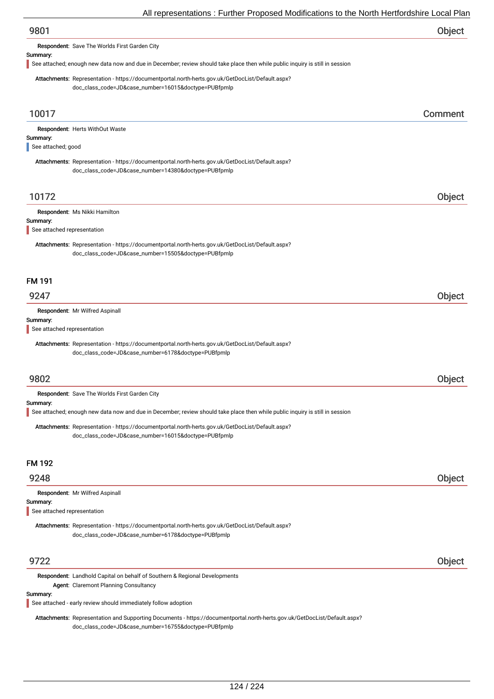| 9801 | Object |
|------|--------|
|------|--------|

Respondent: Save The Worlds First Garden City

#### Summary:

See attached; enough new data now and due in December; review should take place then while public inquiry is still in session

Attachments: Representation - https://documentportal.north-herts.gov.uk/GetDocList/Default.aspx? doc\_class\_code=JD&case\_number=16015&doctype=PUBfpmlp

| 10017                                                                                                                                                                          | Comment |
|--------------------------------------------------------------------------------------------------------------------------------------------------------------------------------|---------|
| Respondent: Herts WithOut Waste<br>Summary:<br>See attached; good                                                                                                              |         |
| Attachments: Representation - https://documentportal.north-herts.gov.uk/GetDocList/Default.aspx?<br>doc_class_code=JD&case_number=14380&doctype=PUBfpmlp                       |         |
| 10172                                                                                                                                                                          | Object  |
| Respondent: Ms Nikki Hamilton<br>Summary:<br>See attached representation                                                                                                       |         |
| Attachments: Representation - https://documentportal.north-herts.gov.uk/GetDocList/Default.aspx?<br>doc_class_code=JD&case_number=15505&doctype=PUBfpmlp                       |         |
| <b>FM 191</b>                                                                                                                                                                  |         |
| 9247                                                                                                                                                                           | Object  |
| Respondent: Mr Wilfred Aspinall<br>Summary:<br>See attached representation<br>Attachments: Representation - https://documentportal.north-herts.gov.uk/GetDocList/Default.aspx? |         |
| doc_class_code=JD&case_number=6178&doctype=PUBfpmlp                                                                                                                            |         |
| 9802                                                                                                                                                                           | Object  |
| Respondent: Save The Worlds First Garden City                                                                                                                                  |         |
| Summary:<br>See attached; enough new data now and due in December; review should take place then while public inquiry is still in session                                      |         |
| Attachments: Representation - https://documentportal.north-herts.gov.uk/GetDocList/Default.aspx?<br>doc_class_code=JD&case_number=16015&doctype=PUBfpmlp                       |         |
| <b>FM 192</b>                                                                                                                                                                  |         |
| 9248                                                                                                                                                                           | Object  |
| Respondent: Mr Wilfred Aspinall<br>Summary:<br>See attached representation                                                                                                     |         |
| Attachments: Representation - https://documentportal.north-herts.gov.uk/GetDocList/Default.aspx?<br>doc_class_code=JD&case_number=6178&doctype=PUBfpmlp                        |         |
| 9722                                                                                                                                                                           | Object  |

Respondent: Landhold Capital on behalf of Southern & Regional Developments Agent: Claremont Planning Consultancy

#### Summary:

See attached - early review should immediately follow adoption

Attachments: Representation and Supporting Documents - https://documentportal.north-herts.gov.uk/GetDocList/Default.aspx? doc\_class\_code=JD&case\_number=16755&doctype=PUBfpmlp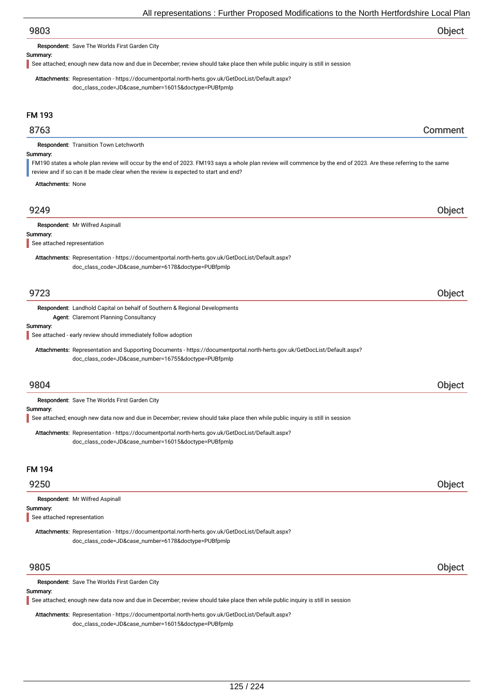# 9803 Object

Respondent: Save The Worlds First Garden City

#### Summary:

See attached; enough new data now and due in December; review should take place then while public inquiry is still in session

Attachments: Representation - https://documentportal.north-herts.gov.uk/GetDocList/Default.aspx? doc\_class\_code=JD&case\_number=16015&doctype=PUBfpmlp

# FM 193

## 8763 Comment

Respondent: Transition Town Letchworth

#### Summary:

FM190 states a whole plan review will occur by the end of 2023. FM193 says a whole plan review will commence by the end of 2023. Are these referring to the same

review and if so can it be made clear when the review is expected to start and end?

Attachments: None

# 9249 Object

|--|

#### Summary:

See attached representation

Attachments: Representation - https://documentportal.north-herts.gov.uk/GetDocList/Default.aspx? doc\_class\_code=JD&case\_number=6178&doctype=PUBfpmlp

## 9723 Object

Respondent: Landhold Capital on behalf of Southern & Regional Developments Agent: Claremont Planning Consultancy

#### Summary:

See attached - early review should immediately follow adoption

Attachments: Representation and Supporting Documents - https://documentportal.north-herts.gov.uk/GetDocList/Default.aspx? doc\_class\_code=JD&case\_number=16755&doctype=PUBfpmlp

## 9804 Object

Respondent: Save The Worlds First Garden City

#### Summary:

See attached; enough new data now and due in December; review should take place then while public inquiry is still in session

Attachments: Representation - https://documentportal.north-herts.gov.uk/GetDocList/Default.aspx? doc\_class\_code=JD&case\_number=16015&doctype=PUBfpmlp

# FM 194

## 9250 Object

|  | Respondent: Mr Wilfred Aspinall |  |
|--|---------------------------------|--|
|--|---------------------------------|--|

#### Summary:

See attached representation

Attachments: Representation - https://documentportal.north-herts.gov.uk/GetDocList/Default.aspx? doc\_class\_code=JD&case\_number=6178&doctype=PUBfpmlp

## 9805 Object

Respondent: Save The Worlds First Garden City

#### Summary:

See attached; enough new data now and due in December; review should take place then while public inquiry is still in session

Attachments: Representation - https://documentportal.north-herts.gov.uk/GetDocList/Default.aspx?

doc\_class\_code=JD&case\_number=16015&doctype=PUBfpmlp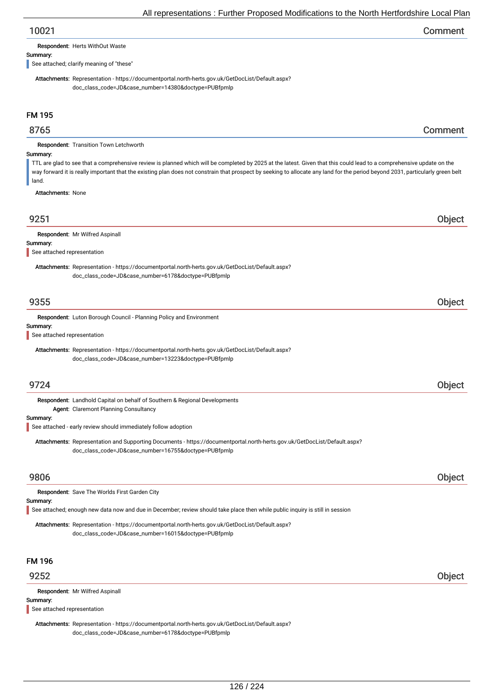# 10021 Comment

Respondent: Herts WithOut Waste

#### Summary:

See attached; clarify meaning of "these"

Attachments: Representation - https://documentportal.north-herts.gov.uk/GetDocList/Default.aspx? doc\_class\_code=JD&case\_number=14380&doctype=PUBfpmlp

# FM 195

## 8765 Comment

Respondent: Transition Town Letchworth

#### Summary:

TTL are glad to see that a comprehensive review is planned which will be completed by 2025 at the latest. Given that this could lead to a comprehensive update on the way forward it is really important that the existing plan does not constrain that prospect by seeking to allocate any land for the period beyond 2031, particularly green belt land.

Attachments: None

| 9251                                    |                                                                                                                                                                                       | <b>Object</b> |
|-----------------------------------------|---------------------------------------------------------------------------------------------------------------------------------------------------------------------------------------|---------------|
| Summary:<br>See attached representation | Respondent: Mr Wilfred Aspinall                                                                                                                                                       |               |
|                                         | Attachments: Representation - https://documentportal.north-herts.gov.uk/GetDocList/Default.aspx?<br>doc_class_code=JD&case_number=6178&doctype=PUBfpmlp                               |               |
| 9355                                    |                                                                                                                                                                                       | Object        |
| Summary:<br>See attached representation | Respondent: Luton Borough Council - Planning Policy and Environment                                                                                                                   |               |
|                                         | Attachments: Representation - https://documentportal.north-herts.gov.uk/GetDocList/Default.aspx?<br>doc_class_code=JD&case_number=13223&doctype=PUBfpmlp                              |               |
| 9724                                    |                                                                                                                                                                                       | Object        |
| Summary:                                | Respondent: Landhold Capital on behalf of Southern & Regional Developments<br>Agent: Claremont Planning Consultancy<br>See attached - early review should immediately follow adoption |               |
|                                         | Attachments: Representation and Supporting Documents - https://documentportal.north-herts.gov.uk/GetDocList/Default.aspx?<br>doc_class_code=JD&case_number=16755&doctype=PUBfpmlp     |               |
| 9806                                    |                                                                                                                                                                                       | Object        |
| Summary:                                | Respondent: Save The Worlds First Garden City<br>See attached; enough new data now and due in December; review should take place then while public inquiry is still in session        |               |
|                                         | Attachments: Representation - https://documentportal.north-herts.gov.uk/GetDocList/Default.aspx?<br>doc_class_code=JD&case_number=16015&doctype=PUBfpmlp                              |               |
| <b>FM 196</b>                           |                                                                                                                                                                                       |               |
| 9252                                    |                                                                                                                                                                                       | <b>Object</b> |

Summary: Respondent: Mr Wilfred Aspinall See attached representation

Attachments: Representation - https://documentportal.north-herts.gov.uk/GetDocList/Default.aspx? doc\_class\_code=JD&case\_number=6178&doctype=PUBfpmlp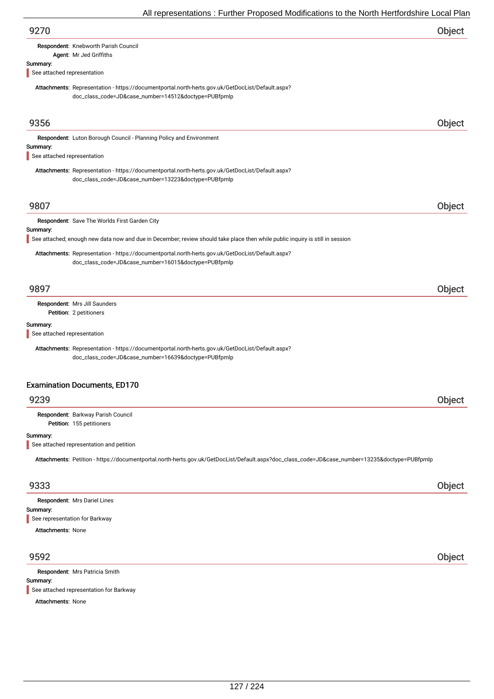|                             | All representations. Further Froposed Modifications to the North Hertionushine Local Fial                                                                |               |
|-----------------------------|----------------------------------------------------------------------------------------------------------------------------------------------------------|---------------|
| 9270                        |                                                                                                                                                          | Object        |
|                             | Respondent: Knebworth Parish Council                                                                                                                     |               |
|                             | Agent: Mr Jed Griffiths                                                                                                                                  |               |
| Summary:                    |                                                                                                                                                          |               |
| See attached representation |                                                                                                                                                          |               |
|                             | Attachments: Representation - https://documentportal.north-herts.gov.uk/GetDocList/Default.aspx?<br>doc_class_code=JD&case_number=14512&doctype=PUBfpmlp |               |
| 9356                        |                                                                                                                                                          | <b>Object</b> |
|                             | Respondent: Luton Borough Council - Planning Policy and Environment                                                                                      |               |
| Summary:                    |                                                                                                                                                          |               |
| See attached representation |                                                                                                                                                          |               |
|                             | Attachments: Representation - https://documentportal.north-herts.gov.uk/GetDocList/Default.aspx?<br>doc_class_code=JD&case_number=13223&doctype=PUBfpmlp |               |
|                             |                                                                                                                                                          |               |
| 9807                        |                                                                                                                                                          | Object        |
|                             | Respondent: Save The Worlds First Garden City                                                                                                            |               |
| Summary:                    |                                                                                                                                                          |               |
|                             | See attached; enough new data now and due in December; review should take place then while public inquiry is still in session                            |               |
|                             | Attachments: Representation - https://documentportal.north-herts.gov.uk/GetDocList/Default.aspx?<br>doc_class_code=JD&case_number=16015&doctype=PUBfpmlp |               |
| 9897                        |                                                                                                                                                          | Object        |
|                             | Respondent: Mrs Jill Saunders<br>Petition: 2 petitioners                                                                                                 |               |
| Summary:                    |                                                                                                                                                          |               |
| See attached representation |                                                                                                                                                          |               |
|                             | Attachments: Representation - https://documentportal.north-herts.gov.uk/GetDocList/Default.aspx?<br>doc_class_code=JD&case_number=16639&doctype=PUBfpmlp |               |
|                             | <b>Examination Documents, ED170</b>                                                                                                                      |               |
| 9239                        |                                                                                                                                                          | Object        |
|                             | Respondent: Barkway Parish Council<br>Petition: 155 petitioners                                                                                          |               |
| Summary:                    |                                                                                                                                                          |               |
|                             | See attached representation and petition                                                                                                                 |               |
|                             | Attachments: Petition - https://documentportal.north-herts.gov.uk/GetDocList/Default.aspx?doc_class_code=JD&case_number=13235&doctype=PUBfpmlp           |               |
| 9333                        |                                                                                                                                                          | Object        |
|                             | Respondent: Mrs Dariel Lines                                                                                                                             |               |
| Summary:                    |                                                                                                                                                          |               |
|                             | See representation for Barkway                                                                                                                           |               |
| <b>Attachments: None</b>    |                                                                                                                                                          |               |
| 9592                        |                                                                                                                                                          | Object        |
|                             | Respondent: Mrs Patricia Smith                                                                                                                           |               |
| Summary:                    |                                                                                                                                                          |               |

See attached representation for Barkway

Attachments: None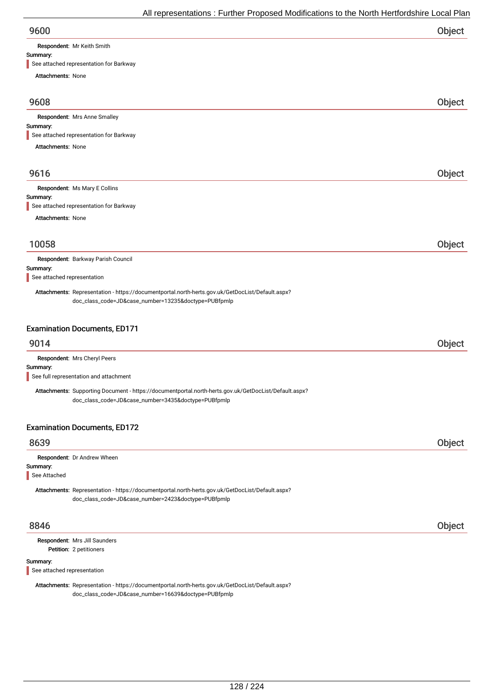Respondent: Mr Keith Smith

# Summary:

| See attached representation for Barkway                                                                                                                      |        |
|--------------------------------------------------------------------------------------------------------------------------------------------------------------|--------|
| <b>Attachments: None</b>                                                                                                                                     |        |
| 9608                                                                                                                                                         | Object |
| Respondent: Mrs Anne Smalley                                                                                                                                 |        |
| Summary:                                                                                                                                                     |        |
| See attached representation for Barkway                                                                                                                      |        |
| <b>Attachments: None</b>                                                                                                                                     |        |
| 9616                                                                                                                                                         | Object |
| Respondent: Ms Mary E Collins                                                                                                                                |        |
| Summary:                                                                                                                                                     |        |
| See attached representation for Barkway                                                                                                                      |        |
| <b>Attachments: None</b>                                                                                                                                     |        |
|                                                                                                                                                              |        |
| 10058                                                                                                                                                        | Object |
| Respondent: Barkway Parish Council<br>Summary:                                                                                                               |        |
| See attached representation                                                                                                                                  |        |
| Attachments: Representation - https://documentportal.north-herts.gov.uk/GetDocList/Default.aspx?<br>doc_class_code=JD&case_number=13235&doctype=PUBfpmlp     |        |
| <b>Examination Documents, ED171</b>                                                                                                                          |        |
| 9014                                                                                                                                                         | Object |
| Respondent: Mrs Cheryl Peers                                                                                                                                 |        |
| Summary:<br>See full representation and attachment                                                                                                           |        |
| Attachments: Supporting Document - https://documentportal.north-herts.gov.uk/GetDocList/Default.aspx?<br>doc_class_code=JD&case_number=3435&doctype=PUBfpmlp |        |
| <b>Examination Documents, ED172</b>                                                                                                                          |        |
| 8639                                                                                                                                                         | Object |
| Respondent: Dr Andrew Wheen                                                                                                                                  |        |
| Summary:                                                                                                                                                     |        |
| See Attached                                                                                                                                                 |        |
| Attachments: Representation - https://documentportal.north-herts.gov.uk/GetDocList/Default.aspx?<br>doc_class_code=JD&case_number=2423&doctype=PUBfpmlp      |        |
| 8846                                                                                                                                                         | Object |
| Respondent: Mrs Jill Saunders<br>Petition: 2 petitioners                                                                                                     |        |
| Summary:<br>See attached representation                                                                                                                      |        |
| $\text{http://documentportol north-harte.gov.uk/CatPool}$<br>Attachmonte: Donrocontation                                                                     |        |

Attachments: Representation - https://documentportal.north-herts.gov.uk/GetDocList/Default.aspx? doc\_class\_code=JD&case\_number=16639&doctype=PUBfpmlp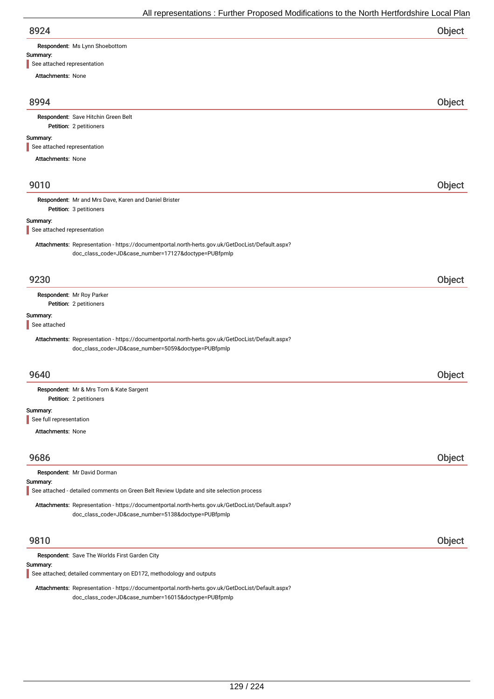| 8924                                    |                                                                                                                                                          | <b>Object</b> |
|-----------------------------------------|----------------------------------------------------------------------------------------------------------------------------------------------------------|---------------|
|                                         | Respondent: Ms Lynn Shoebottom                                                                                                                           |               |
| Summary:<br>See attached representation |                                                                                                                                                          |               |
| <b>Attachments: None</b>                |                                                                                                                                                          |               |
|                                         |                                                                                                                                                          |               |
| 8994                                    |                                                                                                                                                          | Object        |
|                                         | Respondent: Save Hitchin Green Belt<br>Petition: 2 petitioners                                                                                           |               |
| Summary:                                |                                                                                                                                                          |               |
| See attached representation             |                                                                                                                                                          |               |
| <b>Attachments: None</b>                |                                                                                                                                                          |               |
| 9010                                    |                                                                                                                                                          | Object        |
|                                         |                                                                                                                                                          |               |
|                                         | Respondent: Mr and Mrs Dave, Karen and Daniel Brister<br>Petition: 3 petitioners                                                                         |               |
| Summary:                                |                                                                                                                                                          |               |
| See attached representation             |                                                                                                                                                          |               |
|                                         | Attachments: Representation - https://documentportal.north-herts.gov.uk/GetDocList/Default.aspx?<br>doc_class_code=JD&case_number=17127&doctype=PUBfpmlp |               |
| 9230                                    |                                                                                                                                                          | Object        |
|                                         | Respondent: Mr Roy Parker                                                                                                                                |               |
|                                         | Petition: 2 petitioners                                                                                                                                  |               |
| Summary:<br>See attached                |                                                                                                                                                          |               |
|                                         | Attachments: Representation - https://documentportal.north-herts.gov.uk/GetDocList/Default.aspx?<br>doc_class_code=JD&case_number=5059&doctype=PUBfpmlp  |               |
| 9640                                    |                                                                                                                                                          | Object        |
|                                         | Respondent: Mr & Mrs Tom & Kate Sargent<br>Petition: 2 petitioners                                                                                       |               |
| Summary:                                |                                                                                                                                                          |               |
| See full representation                 |                                                                                                                                                          |               |
| <b>Attachments: None</b>                |                                                                                                                                                          |               |
|                                         |                                                                                                                                                          |               |
| 9686                                    |                                                                                                                                                          | Object        |
| Summary:                                | Respondent: Mr David Dorman                                                                                                                              |               |
|                                         | See attached - detailed comments on Green Belt Review Update and site selection process                                                                  |               |
|                                         | Attachments: Representation - https://documentportal.north-herts.gov.uk/GetDocList/Default.aspx?<br>doc_class_code=JD&case_number=5138&doctype=PUBfpmlp  |               |
| 9810                                    |                                                                                                                                                          | Object        |
|                                         | Respondent: Save The Worlds First Garden City                                                                                                            |               |
| Summary:                                | See attached; detailed commentary on ED172, methodology and outputs                                                                                      |               |
|                                         | Attachments: Representation - https://documentportal.north-herts.gov.uk/GetDocList/Default.aspx?                                                         |               |

doc\_class\_code=JD&case\_number=16015&doctype=PUBfpmlp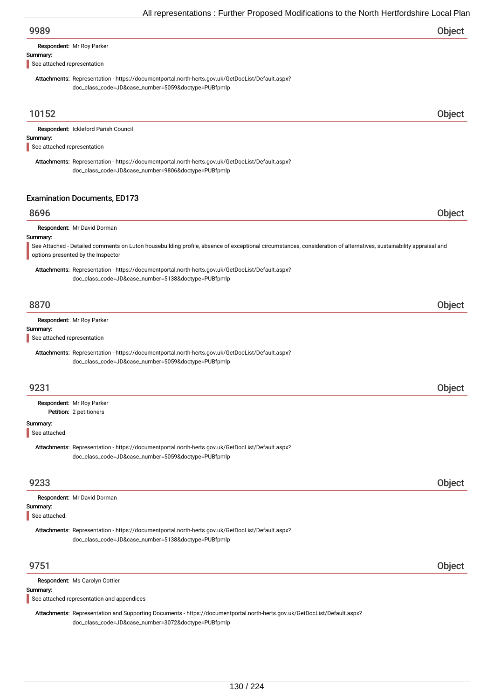Respondent: Mr Roy Parker

#### Summary:

See attached representation

Attachments: Representation - https://documentportal.north-herts.gov.uk/GetDocList/Default.aspx? doc\_class\_code=JD&case\_number=5059&doctype=PUBfpmlp

## 10152 Object

Summary: Respondent: Ickleford Parish Council See attached representation

Attachments: Representation - https://documentportal.north-herts.gov.uk/GetDocList/Default.aspx? doc\_class\_code=JD&case\_number=9806&doctype=PUBfpmlp

# Examination Documents, ED173

# 8696 Object

Respondent: Mr David Dorman

#### Summary:

See Attached - Detailed comments on Luton housebuilding profile, absence of exceptional circumstances, consideration of alternatives, sustainability appraisal and options presented by the Inspector

Attachments: Representation - https://documentportal.north-herts.gov.uk/GetDocList/Default.aspx? doc\_class\_code=JD&case\_number=5138&doctype=PUBfpmlp

## 8870 Object

Respondent: Mr Roy Parker

#### Summary:

See attached representation

Attachments: Representation - https://documentportal.north-herts.gov.uk/GetDocList/Default.aspx? doc\_class\_code=JD&case\_number=5059&doctype=PUBfpmlp

| 9231                             |  |  |  |
|----------------------------------|--|--|--|
| <b>Respondent: Mr Roy Parker</b> |  |  |  |
| Petition: 2 petitioners          |  |  |  |

#### Summary:

See attached

Attachments: Representation - https://documentportal.north-herts.gov.uk/GetDocList/Default.aspx? doc\_class\_code=JD&case\_number=5059&doctype=PUBfpmlp

# 9233 Object

| <b>Respondent: Mr David Dorman</b>                                                               |  |
|--------------------------------------------------------------------------------------------------|--|
| Summary:                                                                                         |  |
| See attached.                                                                                    |  |
| Attachments: Representation - https://documentportal.north-herts.gov.uk/GetDocList/Default.aspx? |  |
| doc_class_code=JD&case_number=5138&doctype=PUBfpmlp                                              |  |
|                                                                                                  |  |
|                                                                                                  |  |

## 9751 Object

Respondent: Ms Carolyn Cottier

#### Summary:

See attached representation and appendices

Attachments: Representation and Supporting Documents - https://documentportal.north-herts.gov.uk/GetDocList/Default.aspx? doc\_class\_code=JD&case\_number=3072&doctype=PUBfpmlp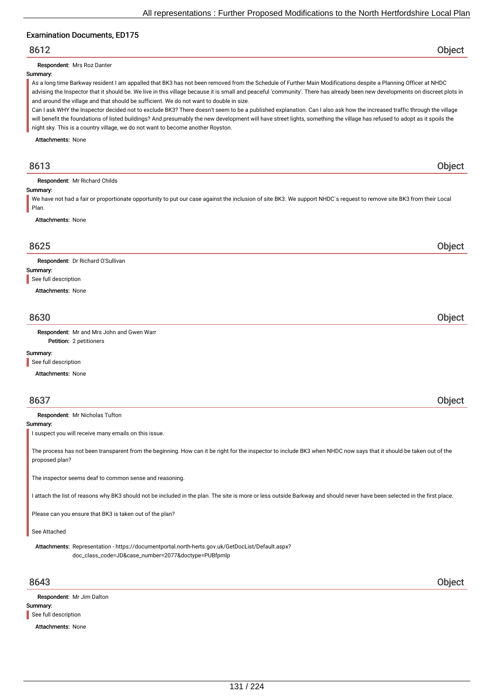## Examination Documents, ED175

## 8612 Object

Respondent: Mrs Roz Danter

#### Summary:

As a long time Barkway resident I am appalled that BK3 has not been removed from the Schedule of Further Main Modifications despite a Planning Officer at NHDC advising the Inspector that it should be. We live in this village because it is small and peaceful 'community'. There has already been new developments on discreet plots in and around the village and that should be sufficient. We do not want to double in size.

Can I ask WHY the Inspector decided not to exclude BK3? There doesn't seem to be a published explanation. Can I also ask how the increased traffic through the village will benefit the foundations of listed buildings? And presumably the new development will have street lights, something the village has refused to adopt as it spoils the night sky. This is a country village, we do not want to become another Royston.

Attachments: None

# 8613 Object

Respondent: Mr Richard Childs

#### Summary:

We have not had a fair or proportionate opportunity to put our case against the inclusion of site BK3. We support NHDC`s request to remove site BK3 from their Local Plan.

Attachments: None

## 8625 Object

Respondent: Dr Richard O'Sullivan

#### Summary:

See full description

Attachments: None

## 8630 Object

Petition: 2 petitioners Respondent: Mr and Mrs John and Gwen Warr

#### Summary:

See full description

Attachments: None

| 8637                                                  | Object |
|-------------------------------------------------------|--------|
| Respondent: Mr Nicholas Tufton                        |        |
| Summary:                                              |        |
| I suspect you will receive many emails on this issue. |        |

The process has not been transparent from the beginning. How can it be right for the inspector to include BK3 when NHDC now says that it should be taken out of the proposed plan?

The inspector seems deaf to common sense and reasoning.

I attach the list of reasons why BK3 should not be included in the plan. The site is more or less outside Barkway and should never have been selected in the first place.

Please can you ensure that BK3 is taken out of the plan?

#### See Attached

Attachments: Representation - https://documentportal.north-herts.gov.uk/GetDocList/Default.aspx? doc\_class\_code=JD&case\_number=2077&doctype=PUBfpmlp

## 8643 Object

Summary: Respondent: Mr Jim Dalton See full description

Attachments: None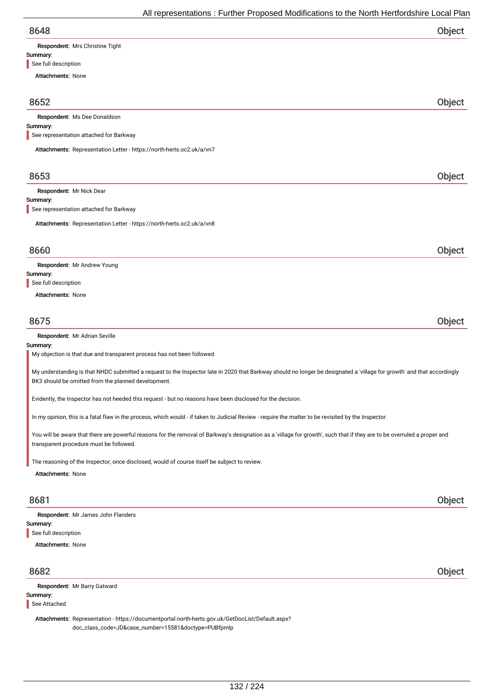| 8648                                                                                                                                                                                                                           | Object |
|--------------------------------------------------------------------------------------------------------------------------------------------------------------------------------------------------------------------------------|--------|
| Respondent: Mrs Christine Tight                                                                                                                                                                                                |        |
| Summary:<br>See full description                                                                                                                                                                                               |        |
| <b>Attachments: None</b>                                                                                                                                                                                                       |        |
| 8652                                                                                                                                                                                                                           |        |
| Respondent: Ms Dee Donaldson                                                                                                                                                                                                   | Object |
| Summary:                                                                                                                                                                                                                       |        |
| See representation attached for Barkway<br>Attachments: Representation Letter - https://north-herts.oc2.uk/a/vn7                                                                                                               |        |
|                                                                                                                                                                                                                                |        |
| 8653                                                                                                                                                                                                                           | Object |
| Respondent: Mr Nick Dear                                                                                                                                                                                                       |        |
| Summary:<br>See representation attached for Barkway                                                                                                                                                                            |        |
| Attachments: Representation Letter - https://north-herts.oc2.uk/a/vn8                                                                                                                                                          |        |
| 8660                                                                                                                                                                                                                           | Object |
| Respondent: Mr Andrew Young                                                                                                                                                                                                    |        |
| Summary:                                                                                                                                                                                                                       |        |
| See full description<br><b>Attachments: None</b>                                                                                                                                                                               |        |
|                                                                                                                                                                                                                                |        |
| 8675                                                                                                                                                                                                                           | Object |
| Respondent: Mr Adrian Seville                                                                                                                                                                                                  |        |
| Summary:<br>My objection is that due and transparent process has not been followed.                                                                                                                                            |        |
| My understanding is that NHDC submitted a request to the Inspector late in 2020 that Barkway should no longer be designated a 'village for growth' and that accordingly<br>BK3 should be omitted from the planned development. |        |
| Evidently, the Inspector has not heeded this request - but no reasons have been disclosed for the decision.                                                                                                                    |        |
| In my opinion, this is a fatal flaw in the process, which would - if taken to Judicial Review - require the matter to be revisited by the Inspector.                                                                           |        |
| You will be aware that there are powerful reasons for the removal of Barkway's designation as a 'village for growth', such that if they are to be overruled a proper and<br>transparent procedure must be followed.            |        |
| The reasoning of the Inspector, once disclosed, would of course itself be subject to review.                                                                                                                                   |        |
| Attachments: None                                                                                                                                                                                                              |        |
| 8681                                                                                                                                                                                                                           | Object |
| Respondent: Mr James John Flanders                                                                                                                                                                                             |        |
| Summary:<br>See full description                                                                                                                                                                                               |        |
| <b>Attachments: None</b>                                                                                                                                                                                                       |        |
| 8682                                                                                                                                                                                                                           | Object |
|                                                                                                                                                                                                                                |        |
| Respondent: Mr Barry Gatward                                                                                                                                                                                                   |        |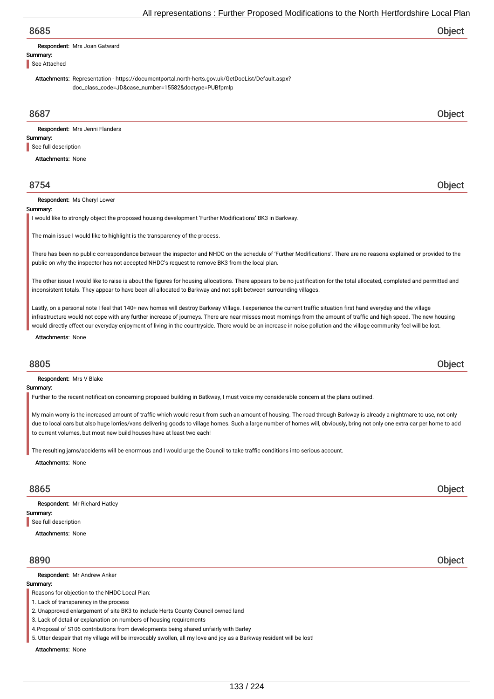# 8685 Object

Respondent: Mrs Joan Gatward

Summary: See Attached

> Attachments: Representation - https://documentportal.north-herts.gov.uk/GetDocList/Default.aspx? doc\_class\_code=JD&case\_number=15582&doctype=PUBfpmlp

## 8687 Object

Summary: Respondent: Mrs Jenni Flanders See full description

Attachments: None

# 8754 Object

Respondent: Ms Cheryl Lower

#### **Summary**

I would like to strongly object the proposed housing development 'Further Modifications' BK3 in Barkway.

The main issue I would like to highlight is the transparency of the process.

There has been no public correspondence between the inspector and NHDC on the schedule of 'Further Modifications'. There are no reasons explained or provided to the public on why the inspector has not accepted NHDC's request to remove BK3 from the local plan.

The other issue I would like to raise is about the figures for housing allocations. There appears to be no justification for the total allocated, completed and permitted and inconsistent totals. They appear to have been all allocated to Barkway and not split between surrounding villages.

Lastly, on a personal note I feel that 140+ new homes will destroy Barkway Village. I experience the current traffic situation first hand everyday and the village infrastructure would not cope with any further increase of journeys. There are near misses most mornings from the amount of traffic and high speed. The new housing would directly effect our everyday enjoyment of living in the countryside. There would be an increase in noise pollution and the village community feel will be lost.

Attachments: None

# 8805 Object

Respondent: Mrs V Blake

#### Summary:

Further to the recent notification concerning proposed building in Batkway, I must voice my considerable concern at the plans outlined.

My main worry is the increased amount of traffic which would result from such an amount of housing. The road through Barkway is already a nightmare to use, not only due to local cars but also huge lorries/vans delivering goods to village homes. Such a large number of homes will, obviously, bring not only one extra car per home to add to current volumes, but most new build houses have at least two each!

The resulting jams/accidents will be enormous and I would urge the Council to take traffic conditions into serious account.

Attachments: None

## 8865 Object

Summary: Respondent: Mr Richard Hatley See full description

Attachments: None

#### Respondent: Mr Andrew Anker

#### Summary:

Reasons for objection to the NHDC Local Plan:

1. Lack of transparency in the process

2. Unapproved enlargement of site BK3 to include Herts County Council owned land

3. Lack of detail or explanation on numbers of housing requirements

4.Proposal of S106 contributions from developments being shared unfairly with Barley

5. Utter despair that my village will be irrevocably swollen, all my love and joy as a Barkway resident will be lost!

Attachments: None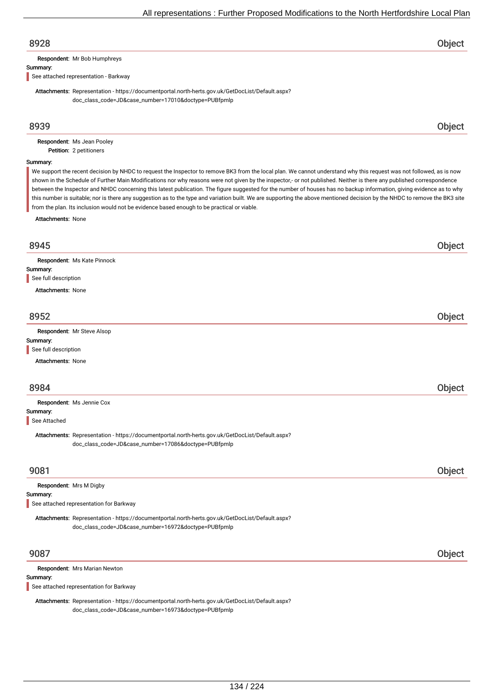# 8928 Object

Respondent: Mr Bob Humphreys

#### Summary:

See attached representation - Barkway

Attachments: Representation - https://documentportal.north-herts.gov.uk/GetDocList/Default.aspx? doc\_class\_code=JD&case\_number=17010&doctype=PUBfpmlp

# 8939 Object

Petition: 2 petitioners Respondent: Ms Jean Pooley

#### Summary:

We support the recent decision by NHDC to request the Inspector to remove BK3 from the local plan. We cannot understand why this request was not followed, as is now shown in the Schedule of Further Main Modifications nor why reasons were not given by the inspector,- or not published. Neither is there any published correspondence between the Inspector and NHDC concerning this latest publication. The figure suggested for the number of houses has no backup information, giving evidence as to why this number is suitable; nor is there any suggestion as to the type and variation built. We are supporting the above mentioned decision by the NHDC to remove the BK3 site from the plan. Its inclusion would not be evidence based enough to be practical or viable.

Attachments: None

| 8945                                                                                                                                                     | Object |
|----------------------------------------------------------------------------------------------------------------------------------------------------------|--------|
| Respondent: Ms Kate Pinnock                                                                                                                              |        |
| Summary:                                                                                                                                                 |        |
| See full description                                                                                                                                     |        |
| <b>Attachments: None</b>                                                                                                                                 |        |
| 8952                                                                                                                                                     | Object |
| Respondent: Mr Steve Alsop                                                                                                                               |        |
| Summary:                                                                                                                                                 |        |
| See full description                                                                                                                                     |        |
| <b>Attachments: None</b>                                                                                                                                 |        |
| 8984                                                                                                                                                     | Object |
|                                                                                                                                                          |        |
| Respondent: Ms Jennie Cox<br>Summary:                                                                                                                    |        |
| See Attached                                                                                                                                             |        |
| Attachments: Representation - https://documentportal.north-herts.gov.uk/GetDocList/Default.aspx?<br>doc_class_code=JD&case_number=17086&doctype=PUBfpmlp |        |
| 9081                                                                                                                                                     | Object |
| Respondent: Mrs M Digby                                                                                                                                  |        |
| Summary:                                                                                                                                                 |        |
| See attached representation for Barkway                                                                                                                  |        |
| Attachments: Representation - https://documentportal.north-herts.gov.uk/GetDocList/Default.aspx?<br>doc_class_code=JD&case_number=16972&doctype=PUBfpmlp |        |
|                                                                                                                                                          |        |
| 9087                                                                                                                                                     | Object |
| Respondent: Mrs Marian Newton                                                                                                                            |        |
| Summary:                                                                                                                                                 |        |
| See attached representation for Barkway                                                                                                                  |        |

Attachments: Representation - https://documentportal.north-herts.gov.uk/GetDocList/Default.aspx? doc\_class\_code=JD&case\_number=16973&doctype=PUBfpmlp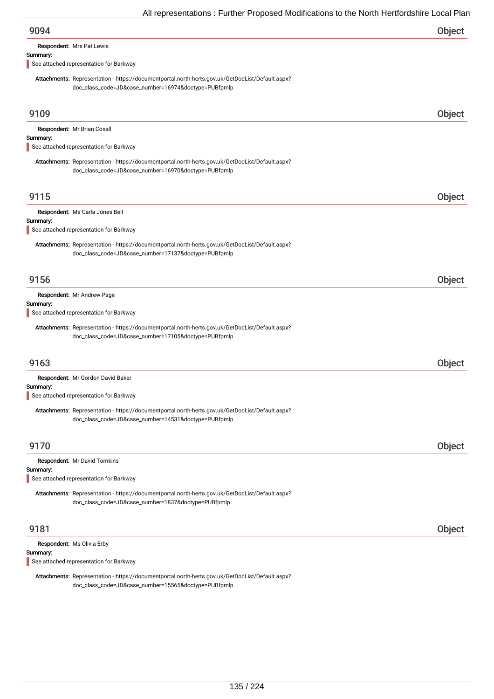Respondent: Mrs Pat Lewis

#### Summary:

See attached representation for Barkway

Attachments: Representation - https://documentportal.north-herts.gov.uk/GetDocList/Default.aspx? doc\_class\_code=JD&case\_number=16974&doctype=PUBfpmlp

| 9109                                                                                                                                                     | Object |
|----------------------------------------------------------------------------------------------------------------------------------------------------------|--------|
| Respondent: Mr Brian Coxall<br>Summary:                                                                                                                  |        |
| See attached representation for Barkway                                                                                                                  |        |
| Attachments: Representation - https://documentportal.north-herts.gov.uk/GetDocList/Default.aspx?<br>doc_class_code=JD&case_number=16970&doctype=PUBfpmlp |        |
| 9115                                                                                                                                                     | Object |
| Respondent: Ms Carla Jones Bell                                                                                                                          |        |
| Summary:<br>See attached representation for Barkway                                                                                                      |        |
| Attachments: Representation - https://documentportal.north-herts.gov.uk/GetDocList/Default.aspx?<br>doc_class_code=JD&case_number=17137&doctype=PUBfpmlp |        |
| 9156                                                                                                                                                     | Object |
| Respondent: Mr Andrew Page<br>Summary:<br>See attached representation for Barkway                                                                        |        |
| Attachments: Representation - https://documentportal.north-herts.gov.uk/GetDocList/Default.aspx?<br>doc_class_code=JD&case_number=17105&doctype=PUBfpmlp |        |
| 9163                                                                                                                                                     | Object |
| Respondent: Mr Gordon David Baker                                                                                                                        |        |
| Summary:<br>See attached representation for Barkway                                                                                                      |        |
| Attachments: Representation - https://documentportal.north-herts.gov.uk/GetDocList/Default.aspx?<br>doc_class_code=JD&case_number=14531&doctype=PUBfpmlp |        |
| 9170                                                                                                                                                     | Object |
| Respondent: Mr David Tomkins<br>Summary:                                                                                                                 |        |
| See attached representation for Barkway                                                                                                                  |        |
| Attachments: Representation - https://documentportal.north-herts.gov.uk/GetDocList/Default.aspx?<br>doc_class_code=JD&case_number=1837&doctype=PUBfpmlp  |        |
| 9181                                                                                                                                                     | Object |
| Respondent: Ms Olivia Erby<br>Summary:                                                                                                                   |        |

See attached representation for Barkway

Attachments: Representation - https://documentportal.north-herts.gov.uk/GetDocList/Default.aspx? doc\_class\_code=JD&case\_number=15565&doctype=PUBfpmlp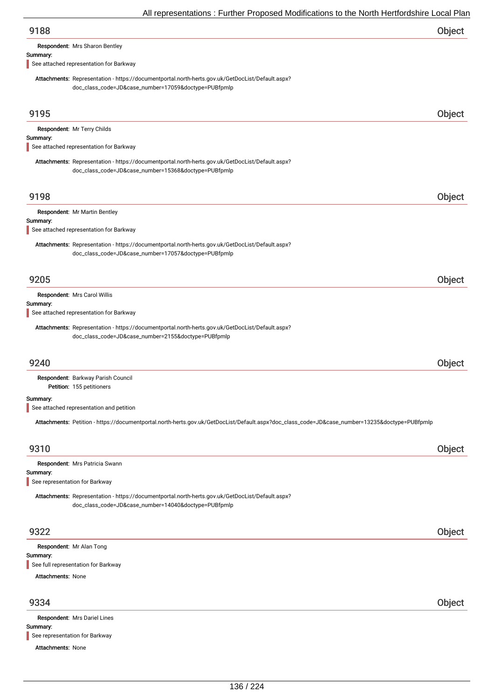| 9188 | Object |
|------|--------|
|      |        |

Respondent: Mrs Sharon Bentley

#### Summary:

See attached representation for Barkway

Attachments: Representation - https://documentportal.north-herts.gov.uk/GetDocList/Default.aspx? doc\_class\_code=JD&case\_number=17059&doctype=PUBfpmlp

| 9195                           |                                                                                                                                                          | Object |
|--------------------------------|----------------------------------------------------------------------------------------------------------------------------------------------------------|--------|
| Summary:                       | Respondent: Mr Terry Childs<br>See attached representation for Barkway                                                                                   |        |
|                                | Attachments: Representation - https://documentportal.north-herts.gov.uk/GetDocList/Default.aspx?<br>doc_class_code=JD&case_number=15368&doctype=PUBfpmlp |        |
| 9198                           |                                                                                                                                                          | Object |
| Summary:                       | Respondent: Mr Martin Bentley<br>See attached representation for Barkway                                                                                 |        |
|                                | Attachments: Representation - https://documentportal.north-herts.gov.uk/GetDocList/Default.aspx?<br>doc_class_code=JD&case_number=17057&doctype=PUBfpmlp |        |
| 9205                           |                                                                                                                                                          | Object |
| Summary:                       | Respondent: Mrs Carol Willis<br>See attached representation for Barkway                                                                                  |        |
|                                | Attachments: Representation - https://documentportal.north-herts.gov.uk/GetDocList/Default.aspx?<br>doc_class_code=JD&case_number=2155&doctype=PUBfpmlp  |        |
| 9240                           |                                                                                                                                                          | Object |
|                                | Respondent: Barkway Parish Council<br>Petition: 155 petitioners                                                                                          |        |
| Summary:                       | See attached representation and petition                                                                                                                 |        |
|                                | Attachments: Petition - https://documentportal.north-herts.gov.uk/GetDocList/Default.aspx?doc_class_code=JD&case_number=13235&doctype=PUBfpmlp           |        |
| 9310                           |                                                                                                                                                          | Object |
| Summary:                       | Respondent: Mrs Patricia Swann                                                                                                                           |        |
| See representation for Barkway | Attachments: Representation - https://documentportal.north-herts.gov.uk/GetDocList/Default.aspx?<br>doc_class_code=JD&case_number=14040&doctype=PUBfpmlp |        |
| 9322                           |                                                                                                                                                          | Object |
| Summary:                       | Respondent: Mr Alan Tong<br>See full representation for Barkway                                                                                          |        |
| <b>Attachments: None</b>       |                                                                                                                                                          |        |

# 9334 Object

Summary: Attachments: None Respondent: Mrs Dariel Lines See representation for Barkway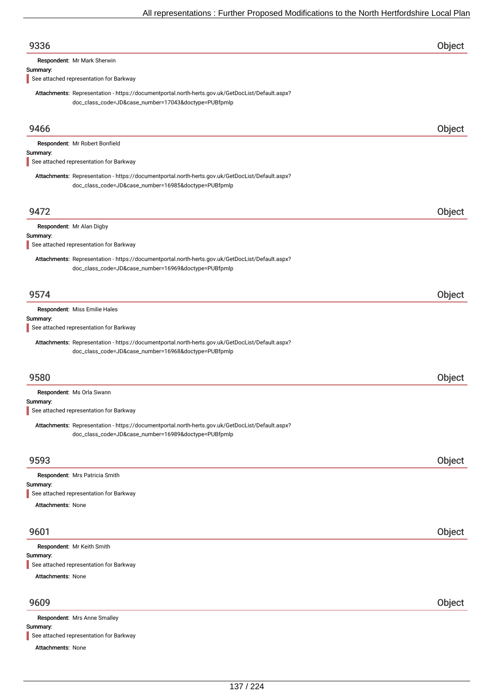| 9336                                                                                                                                                     | Object |
|----------------------------------------------------------------------------------------------------------------------------------------------------------|--------|
| Respondent: Mr Mark Sherwin                                                                                                                              |        |
| Summary:<br>See attached representation for Barkway                                                                                                      |        |
| Attachments: Representation - https://documentportal.north-herts.gov.uk/GetDocList/Default.aspx?<br>doc_class_code=JD&case_number=17043&doctype=PUBfpmlp |        |
| 9466                                                                                                                                                     | Object |
| Respondent: Mr Robert Bonfield<br>Summary:<br>See attached representation for Barkway                                                                    |        |
| Attachments: Representation - https://documentportal.north-herts.gov.uk/GetDocList/Default.aspx?<br>doc_class_code=JD&case_number=16985&doctype=PUBfpmlp |        |
| 9472                                                                                                                                                     | Object |
| Respondent: Mr Alan Digby                                                                                                                                |        |
| Summary:<br>See attached representation for Barkway                                                                                                      |        |
| Attachments: Representation - https://documentportal.north-herts.gov.uk/GetDocList/Default.aspx?<br>doc_class_code=JD&case_number=16969&doctype=PUBfpmlp |        |
| 9574                                                                                                                                                     | Object |
| Respondent: Miss Emilie Hales                                                                                                                            |        |
| Summary:<br>See attached representation for Barkway                                                                                                      |        |
| Attachments: Representation - https://documentportal.north-herts.gov.uk/GetDocList/Default.aspx?<br>doc_class_code=JD&case_number=16968&doctype=PUBfpmlp |        |
| 9580                                                                                                                                                     | Object |
| Respondent: Ms Orla Swann                                                                                                                                |        |
| Summary:<br>See attached representation for Barkway                                                                                                      |        |
| Attachments: Representation - https://documentportal.north-herts.gov.uk/GetDocList/Default.aspx?<br>doc_class_code=JD&case_number=16989&doctype=PUBfpmlp |        |
| 9593                                                                                                                                                     | Object |
| Respondent: Mrs Patricia Smith                                                                                                                           |        |
| Summary:<br>See attached representation for Barkway                                                                                                      |        |
| <b>Attachments: None</b>                                                                                                                                 |        |
| 9601                                                                                                                                                     | Object |
| Respondent: Mr Keith Smith                                                                                                                               |        |
| Summary:<br>See attached representation for Barkway                                                                                                      |        |
| <b>Attachments: None</b>                                                                                                                                 |        |
| 9609                                                                                                                                                     | Object |
| Respondent: Mrs Anne Smalley<br>Summary:                                                                                                                 |        |

Attachments: None See attached representation for Barkway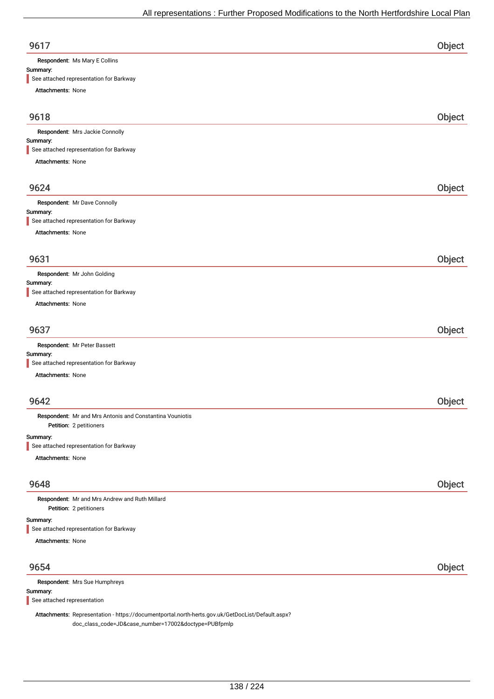| 9617   |  |
|--------|--|
| $\sim$ |  |

Respondent: Ms Mary E Collins

## Summary:

See attached representation for Barkway

Attachments:

| <b>Attachments: None</b>                                                            |        |
|-------------------------------------------------------------------------------------|--------|
| 9618                                                                                | Object |
| Respondent: Mrs Jackie Connolly                                                     |        |
| Summary:                                                                            |        |
| See attached representation for Barkway                                             |        |
| Attachments: None                                                                   |        |
| 9624                                                                                | Object |
| Respondent: Mr Dave Connolly                                                        |        |
| Summary:                                                                            |        |
| See attached representation for Barkway                                             |        |
| <b>Attachments: None</b>                                                            |        |
| 9631                                                                                | Object |
| Respondent: Mr John Golding                                                         |        |
| Summary:                                                                            |        |
| See attached representation for Barkway                                             |        |
| Attachments: None                                                                   |        |
|                                                                                     |        |
| 9637                                                                                | Object |
| Respondent: Mr Peter Bassett                                                        |        |
| Summary:<br>See attached representation for Barkway                                 |        |
| Attachments: None                                                                   |        |
|                                                                                     |        |
| 9642                                                                                | Object |
| Respondent: Mr and Mrs Antonis and Constantina Vouniotis<br>Petition: 2 petitioners |        |
| Summary:                                                                            |        |
| See attached representation for Barkway                                             |        |
| Attachments: None                                                                   |        |
| 9648                                                                                | Object |
|                                                                                     |        |

Petition: 2 petitioners Respondent: Mr and Mrs Andrew and Ruth Millard

#### Summary:

See attached representation for Barkway

Attachments: None

| 9654                                                                                              | Object |
|---------------------------------------------------------------------------------------------------|--------|
| <b>Respondent: Mrs Sue Humphreys</b>                                                              |        |
| Summary:                                                                                          |        |
| See attached representation                                                                       |        |
| Attachments: Penresontation - https://documentportal.porth-berts.gov.uk/CetDocl.jst/Default.aspy2 |        |

esentation - https://documentportal.north-herts.gov.uk/GetDocList/Default.aspx? doc\_class\_code=JD&case\_number=17002&doctype=PUBfpmlp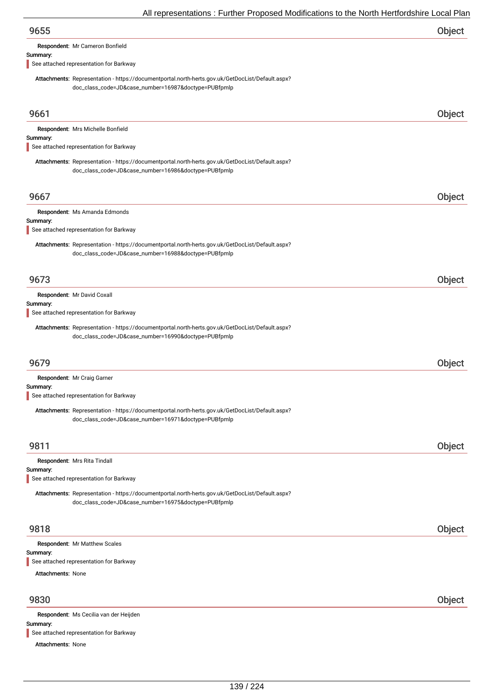Respondent: Mr Cameron Bonfield

#### Summary:

See attached representation for Barkway

Attachments: Representation - https://documentportal.north-herts.gov.uk/GetDocList/Default.aspx? doc\_class\_code=JD&case\_number=16987&doctype=PUBfpmlp

| 9661                     |                                                                                                                                                          | <b>Object</b> |
|--------------------------|----------------------------------------------------------------------------------------------------------------------------------------------------------|---------------|
|                          | Respondent: Mrs Michelle Bonfield                                                                                                                        |               |
| Summary:                 |                                                                                                                                                          |               |
|                          | See attached representation for Barkway                                                                                                                  |               |
|                          | Attachments: Representation - https://documentportal.north-herts.gov.uk/GetDocList/Default.aspx?<br>doc_class_code=JD&case_number=16986&doctype=PUBfpmlp |               |
| 9667                     |                                                                                                                                                          | Object        |
| Summary:                 | Respondent: Ms Amanda Edmonds                                                                                                                            |               |
|                          | See attached representation for Barkway                                                                                                                  |               |
|                          | Attachments: Representation - https://documentportal.north-herts.gov.uk/GetDocList/Default.aspx?<br>doc_class_code=JD&case_number=16988&doctype=PUBfpmlp |               |
| 9673                     |                                                                                                                                                          | Object        |
|                          | Respondent: Mr David Coxall                                                                                                                              |               |
| Summary:                 | See attached representation for Barkway                                                                                                                  |               |
|                          | Attachments: Representation - https://documentportal.north-herts.gov.uk/GetDocList/Default.aspx?<br>doc_class_code=JD&case_number=16990&doctype=PUBfpmlp |               |
| 9679                     |                                                                                                                                                          | Object        |
|                          | Respondent: Mr Craig Garner                                                                                                                              |               |
| Summary:                 | See attached representation for Barkway                                                                                                                  |               |
|                          | Attachments: Representation - https://documentportal.north-herts.gov.uk/GetDocList/Default.aspx?<br>doc_class_code=JD&case_number=16971&doctype=PUBfpmlp |               |
| 9811                     |                                                                                                                                                          | Object        |
| Summary:                 | Respondent: Mrs Rita Tindall                                                                                                                             |               |
|                          | See attached representation for Barkway                                                                                                                  |               |
|                          | Attachments: Representation - https://documentportal.north-herts.gov.uk/GetDocList/Default.aspx?<br>doc_class_code=JD&case_number=16975&doctype=PUBfpmlp |               |
| 9818                     |                                                                                                                                                          | Object        |
|                          | Respondent: Mr Matthew Scales                                                                                                                            |               |
| Summary:                 | See attached representation for Barkway                                                                                                                  |               |
| <b>Attachments: None</b> |                                                                                                                                                          |               |
| 9830                     |                                                                                                                                                          | Object        |
| Summary:                 | Respondent: Ms Cecilia van der Heijden                                                                                                                   |               |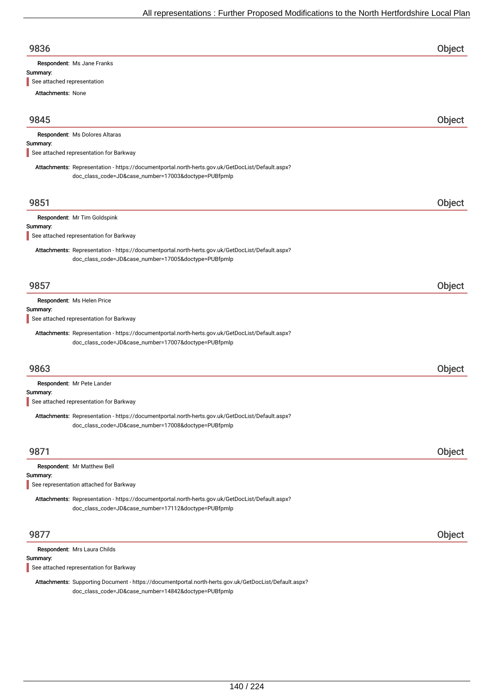| 9836                       |  |
|----------------------------|--|
| Respondent: Ms Jane Franks |  |

#### Summary:

See attached representation

Attachments: None

| 9845     |                                                                                                                                                          | Object |
|----------|----------------------------------------------------------------------------------------------------------------------------------------------------------|--------|
| Summary: | Respondent: Ms Dolores Altaras                                                                                                                           |        |
|          | See attached representation for Barkway                                                                                                                  |        |
|          | Attachments: Representation - https://documentportal.north-herts.gov.uk/GetDocList/Default.aspx?<br>doc_class_code=JD&case_number=17003&doctype=PUBfpmlp |        |
| 9851     |                                                                                                                                                          | Object |
|          | Respondent: Mr Tim Goldspink                                                                                                                             |        |
| Summary: | See attached representation for Barkway                                                                                                                  |        |
|          | Attachments: Representation - https://documentportal.north-herts.gov.uk/GetDocList/Default.aspx?<br>doc_class_code=JD&case_number=17005&doctype=PUBfpmlp |        |
| 9857     |                                                                                                                                                          | Object |
|          | Respondent: Ms Helen Price                                                                                                                               |        |
| Summary: | See attached representation for Barkway                                                                                                                  |        |
|          | Attachments: Representation - https://documentportal.north-herts.gov.uk/GetDocList/Default.aspx?<br>doc_class_code=JD&case_number=17007&doctype=PUBfpmlp |        |
| 9863     |                                                                                                                                                          | Object |
| Summary: | Respondent: Mr Pete Lander<br>See attached representation for Barkway                                                                                    |        |
|          | Attachments: Representation - https://documentportal.north-herts.gov.uk/GetDocList/Default.aspx?<br>doc_class_code=JD&case_number=17008&doctype=PUBfpmlp |        |
| 9871     |                                                                                                                                                          | Object |
|          | Respondent: Mr Matthew Bell                                                                                                                              |        |
| Summary: | See representation attached for Barkway                                                                                                                  |        |
|          | Attachments: Representation - https://documentportal.north-herts.gov.uk/GetDocList/Default.aspx?<br>doc_class_code=JD&case_number=17112&doctype=PUBfpmlp |        |
| 9877     |                                                                                                                                                          | Object |
|          | Respondent: Mrs Laura Childs                                                                                                                             |        |
| Summary: | See attached representation for Barkway                                                                                                                  |        |

Attachments: Supporting Document - https://documentportal.north-herts.gov.uk/GetDocList/Default.aspx? doc\_class\_code=JD&case\_number=14842&doctype=PUBfpmlp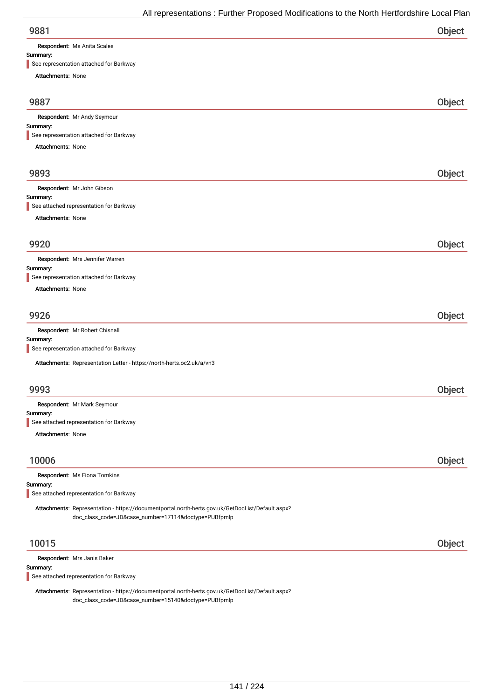Respondent: Ms Anita Scales

#### Summary:

| See representation attached for Barkway                                                          |        |
|--------------------------------------------------------------------------------------------------|--------|
| <b>Attachments: None</b>                                                                         |        |
|                                                                                                  |        |
| 9887                                                                                             | Object |
| Respondent: Mr Andy Seymour                                                                      |        |
| Summary:                                                                                         |        |
| See representation attached for Barkway                                                          |        |
| Attachments: None                                                                                |        |
| 9893                                                                                             | Object |
| Respondent: Mr John Gibson                                                                       |        |
| Summary:                                                                                         |        |
| See attached representation for Barkway                                                          |        |
|                                                                                                  |        |
| Attachments: None                                                                                |        |
| 9920                                                                                             |        |
|                                                                                                  | Object |
| Respondent: Mrs Jennifer Warren                                                                  |        |
| Summary:                                                                                         |        |
| See representation attached for Barkway                                                          |        |
| <b>Attachments: None</b>                                                                         |        |
| 9926                                                                                             | Object |
| Respondent: Mr Robert Chisnall                                                                   |        |
| Summary:                                                                                         |        |
| See representation attached for Barkway                                                          |        |
| Attachments: Representation Letter - https://north-herts.oc2.uk/a/vn3                            |        |
|                                                                                                  |        |
| 9993                                                                                             | Object |
| Respondent: Mr Mark Seymour                                                                      |        |
| Summary:                                                                                         |        |
| See attached representation for Barkway                                                          |        |
| <b>Attachments: None</b>                                                                         |        |
|                                                                                                  |        |
| 10006                                                                                            | Object |
| Respondent: Ms Fiona Tomkins                                                                     |        |
| Summary:<br>See attached representation for Barkway                                              |        |
|                                                                                                  |        |
| Attachments: Representation - https://documentportal.north-herts.gov.uk/GetDocList/Default.aspx? |        |
| doc_class_code=JD&case_number=17114&doctype=PUBfpmlp                                             |        |
|                                                                                                  |        |
| 10015                                                                                            | Object |
| Respondent: Mrs Janis Baker                                                                      |        |
| Summary:                                                                                         |        |
| See attached representation for Barkway                                                          |        |

Attachments: Representation - https://documentportal.north-herts.gov.uk/GetDocList/Default.aspx? doc\_class\_code=JD&case\_number=15140&doctype=PUBfpmlp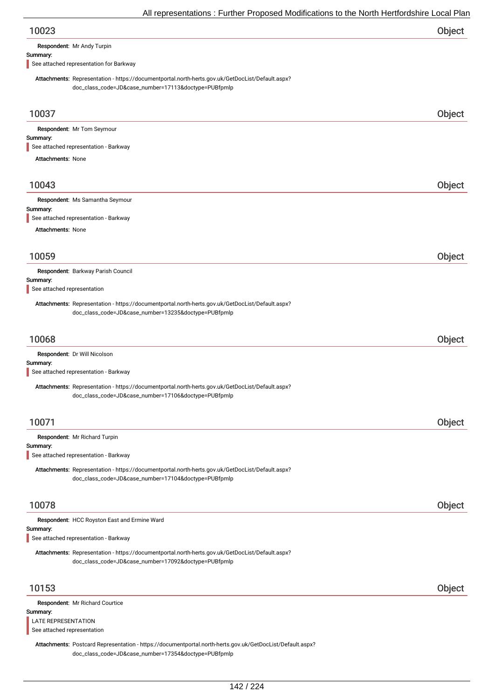| 10023 | Object |
|-------|--------|
|-------|--------|

Respondent: Mr Andy Turpin

#### Summary:

See attached representation for Barkway

Attachments: Representation - https://documentportal.north-herts.gov.uk/GetDocList/Default.aspx? doc\_class\_code=JD&case\_number=17113&doctype=PUBfpmlp

| 10037                                                                                                                                                             | Object |
|-------------------------------------------------------------------------------------------------------------------------------------------------------------------|--------|
| Respondent: Mr Tom Seymour<br>Summary:<br>See attached representation - Barkway                                                                                   |        |
| <b>Attachments: None</b>                                                                                                                                          |        |
|                                                                                                                                                                   |        |
| 10043                                                                                                                                                             | Object |
| Respondent: Ms Samantha Seymour<br>Summary:<br>See attached representation - Barkway                                                                              |        |
| <b>Attachments: None</b>                                                                                                                                          |        |
| 10059                                                                                                                                                             | Object |
| Respondent: Barkway Parish Council<br>Summary:<br>See attached representation                                                                                     |        |
| Attachments: Representation - https://documentportal.north-herts.gov.uk/GetDocList/Default.aspx?<br>doc_class_code=JD&case_number=13235&doctype=PUBfpmlp          |        |
| 10068                                                                                                                                                             | Object |
| Respondent: Dr Will Nicolson<br>Summary:<br>See attached representation - Barkway                                                                                 |        |
| Attachments: Representation - https://documentportal.north-herts.gov.uk/GetDocList/Default.aspx?<br>doc_class_code=JD&case_number=17106&doctype=PUBfpmlp          |        |
| 10071                                                                                                                                                             | Object |
| Respondent: Mr Richard Turpin<br>Summary:<br>See attached representation - Barkway                                                                                |        |
| Attachments: Representation - https://documentportal.north-herts.gov.uk/GetDocList/Default.aspx?<br>doc_class_code=JD&case_number=17104&doctype=PUBfpmlp          |        |
| 10078                                                                                                                                                             | Object |
| Respondent: HCC Royston East and Ermine Ward<br>Summary:<br>See attached representation - Barkway                                                                 |        |
| Attachments: Representation - https://documentportal.north-herts.gov.uk/GetDocList/Default.aspx?<br>doc_class_code=JD&case_number=17092&doctype=PUBfpmlp          |        |
| 10153                                                                                                                                                             | Object |
| Respondent: Mr Richard Courtice                                                                                                                                   |        |
| Summary:<br>LATE REPRESENTATION<br>See attached representation                                                                                                    |        |
| Attachments: Postcard Representation - https://documentportal.north-herts.gov.uk/GetDocList/Default.aspx?<br>doc_class_code=JD&case_number=17354&doctype=PUBfpmlp |        |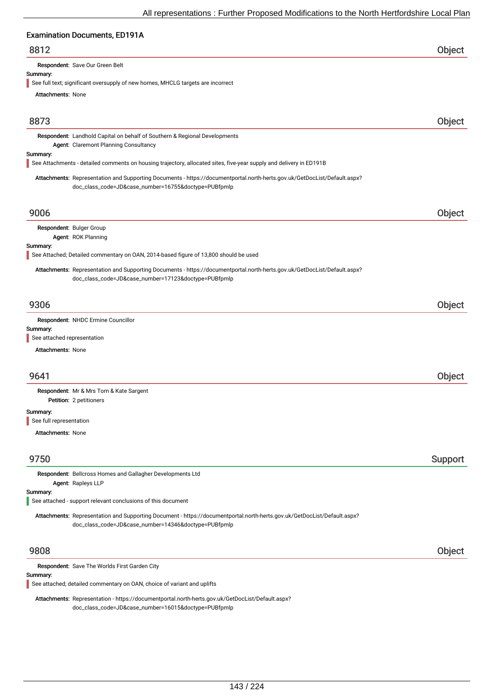# Examination Documents, ED101A

| <b>Examination Documents, EDT7TA</b>                                                                                                                                              |         |
|-----------------------------------------------------------------------------------------------------------------------------------------------------------------------------------|---------|
| 8812                                                                                                                                                                              | Object  |
| Respondent: Save Our Green Belt                                                                                                                                                   |         |
| Summary:                                                                                                                                                                          |         |
| See full text; significant oversupply of new homes, MHCLG targets are incorrect                                                                                                   |         |
| <b>Attachments: None</b>                                                                                                                                                          |         |
| 8873                                                                                                                                                                              | Object  |
| Respondent: Landhold Capital on behalf of Southern & Regional Developments                                                                                                        |         |
| Agent: Claremont Planning Consultancy                                                                                                                                             |         |
| Summary:<br>See Attachments - detailed comments on housing trajectory, allocated sites, five-year supply and delivery in ED191B                                                   |         |
| Attachments: Representation and Supporting Documents - https://documentportal.north-herts.gov.uk/GetDocList/Default.aspx?<br>doc_class_code=JD&case_number=16755&doctype=PUBfpmlp |         |
| 9006                                                                                                                                                                              | Object  |
| Respondent: Bulger Group                                                                                                                                                          |         |
| Agent: ROK Planning                                                                                                                                                               |         |
| Summary:                                                                                                                                                                          |         |
| See Attached; Detailed commentary on OAN, 2014-based figure of 13,800 should be used                                                                                              |         |
| Attachments: Representation and Supporting Documents - https://documentportal.north-herts.gov.uk/GetDocList/Default.aspx?<br>doc_class_code=JD&case_number=17123&doctype=PUBfpmlp |         |
| 9306                                                                                                                                                                              | Object  |
| Respondent: NHDC Ermine Councillor                                                                                                                                                |         |
| Summary:                                                                                                                                                                          |         |
| See attached representation                                                                                                                                                       |         |
| <b>Attachments: None</b>                                                                                                                                                          |         |
| 9641                                                                                                                                                                              | Object  |
|                                                                                                                                                                                   |         |
| Respondent: Mr & Mrs Tom & Kate Sargent<br>Petition: 2 petitioners                                                                                                                |         |
| Summary:<br>See full representation                                                                                                                                               |         |
| <b>Attachments: None</b>                                                                                                                                                          |         |
|                                                                                                                                                                                   |         |
| 9750                                                                                                                                                                              | Support |

Respondent: Bellcross Homes and Gallagher Developments Ltd Agent: Rapleys LLP

#### Summary:

See attached - support relevant conclusions of this document

Attachments: Representation and Supporting Document - https://documentportal.north-herts.gov.uk/GetDocList/Default.aspx? doc\_class\_code=JD&case\_number=14346&doctype=PUBfpmlp

## 9808 Object

Respondent: Save The Worlds First Garden City

# Summary:

See attached; detailed commentary on OAN, choice of variant and uplifts

Attachments: Representation - https://documentportal.north-herts.gov.uk/GetDocList/Default.aspx? doc\_class\_code=JD&case\_number=16015&doctype=PUBfpmlp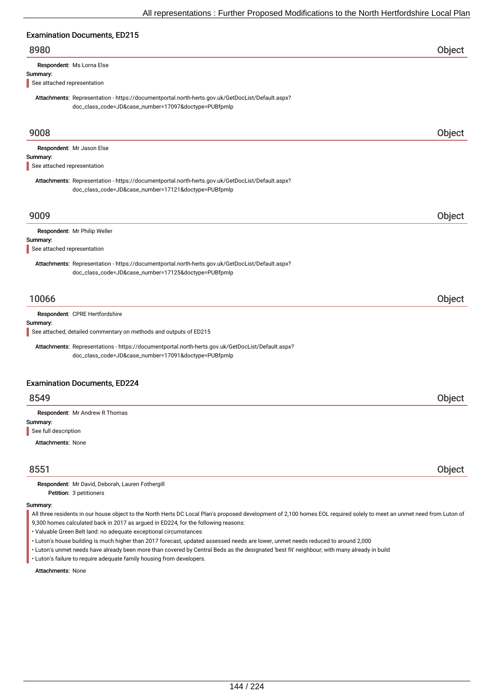# Examination Documents, ED215

## 8980 Object

Respondent: Ms Lorna Else

#### Summary:

See attached representation

Attachments: Representation - https://documentportal.north-herts.gov.uk/GetDocList/Default.aspx? doc\_class\_code=JD&case\_number=17097&doctype=PUBfpmlp

| 9008                                                                                              | Object |
|---------------------------------------------------------------------------------------------------|--------|
| Respondent: Mr Jason Else                                                                         |        |
| Summary:                                                                                          |        |
| See attached representation                                                                       |        |
| Attachments: Representation - https://documentportal.north-herts.gov.uk/GetDocList/Default.aspx?  |        |
| doc_class_code=JD&case_number=17121&doctype=PUBfpmlp                                              |        |
| 9009                                                                                              | Object |
| Respondent: Mr Philip Weller                                                                      |        |
| Summary:<br>See attached representation                                                           |        |
| Attachments: Representation - https://documentportal.north-herts.gov.uk/GetDocList/Default.aspx?  |        |
| doc_class_code=JD&case_number=17125&doctype=PUBfpmlp                                              |        |
| 10066                                                                                             | Object |
| Respondent: CPRE Hertfordshire                                                                    |        |
| Summary:                                                                                          |        |
| See attached; detailed commentary on methods and outputs of ED215                                 |        |
| Attachments: Representations - https://documentportal.north-herts.gov.uk/GetDocList/Default.aspx? |        |
| doc_class_code=JD&case_number=17091&doctype=PUBfpmlp                                              |        |
| <b>Examination Documents, ED224</b>                                                               |        |
| 8549                                                                                              | Object |
| Respondent: Mr Andrew R Thomas                                                                    |        |
| Summary:                                                                                          |        |
| See full description                                                                              |        |
| <b>Attachments: None</b>                                                                          |        |
| 8551                                                                                              | Object |
| Respondent: Mr David, Deborah, Lauren Fothergill                                                  |        |

Petition: 3 petitioners

#### Summary:

All three residents in our house object to the North Herts DC Local Plan's proposed development of 2,100 homes EOL required solely to meet an unmet need from Luton of 9,300 homes calculated back in 2017 as argued in ED224, for the following reasons:

• Valuable Green Belt land: no adequate exceptional circumstances

- Luton's house building is much higher than 2017 forecast, updated assessed needs are lower, unmet needs reduced to around 2,000
- Luton's unmet needs have already been more than covered by Central Beds as the designated 'best fit' neighbour; with many already in build
- Luton's failure to require adequate family housing from developers.

Attachments: None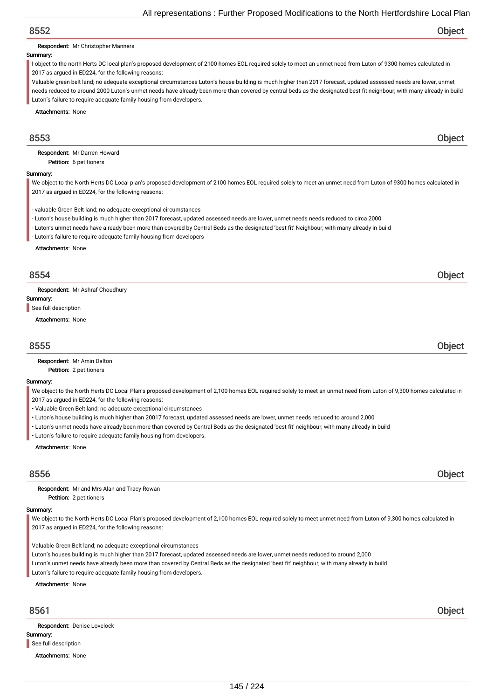Respondent: Mr Christopher Manners

## Summary:

I object to the north Herts DC local plan's proposed development of 2100 homes EOL required solely to meet an unmet need from Luton of 9300 homes calculated in 2017 as argued in ED224, for the following reasons:

Valuable green belt land; no adequate exceptional circumstances Luton's house building is much higher than 2017 forecast, updated assessed needs are lower, unmet needs reduced to around 2000 Luton's unmet needs have already been more than covered by central beds as the designated best fit neighbour; with many already in build Luton's failure to require adequate family housing from developers.

Attachments: None

# 8553 Object

Petition: 6 petitioners Respondent: Mr Darren Howard

### Summary:

We object to the North Herts DC Local plan's proposed development of 2100 homes EOL required solely to meet an unmet need from Luton of 9300 homes calculated in 2017 as argued in ED224, for the following reasons;

- valuable Green Belt land; no adequate exceptional circumstances

- Luton's house building is much higher than 2017 forecast, updated assessed needs are lower, unmet needs needs reduced to circa 2000

- Luton's unmet needs have already been more than covered by Central Beds as the designated 'best fit' Neighbour; with many already in build

- Luton's failure to require adequate family housing from developers

Attachments: None

# 8554 Object

Respondent: Mr Ashraf Choudhury

Summary:

See full description

Attachments: None

# 8555 Object

Petition: 2 petitioners Respondent: Mr Amin Dalton

## Summary:

We object to the North Herts DC Local Plan's proposed development of 2,100 homes EOL required solely to meet an unmet need from Luton of 9,300 homes calculated in 2017 as argued in ED224, for the following reasons:

- Valuable Green Belt land; no adequate exceptional circumstances
- Luton's house building is much higher than 20017 forecast, updated assessed needs are lower, unmet needs reduced to around 2,000
- Luton's unmet needs have already been more than covered by Central Beds as the designated 'best fit' neighbour; with many already in build
- Luton's failure to require adequate family housing from developers.

Attachments: None

# 8556 Object

Petition: 2 petitioners Respondent: Mr and Mrs Alan and Tracy Rowan

## Summary:

We object to the North Herts DC Local Plan's proposed development of 2,100 homes EOL required solely to meet unmet need from Luton of 9,300 homes calculated in 2017 as argued in ED224, for the following reasons:

Valuable Green Belt land; no adequate exceptional circumstances

Luton's houses building is much higher than 2017 forecast, updated assessed needs are lower, unmet needs reduced to around 2,000

Luton's unmet needs have already been more than covered by Central Beds as the designated 'best fit' neighbour; with many already in build

Luton's failure to require adequate family housing from developers.

## Attachments: None

Summary: Respondent: Denise Lovelock See full description

Attachments: None

8561 Object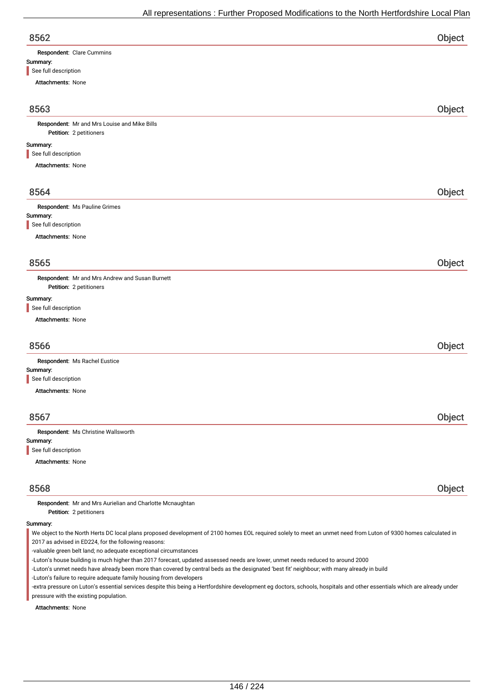| v.<br>۰.<br>۰,<br>v |  |
|---------------------|--|

| 8562                      | Object |
|---------------------------|--------|
| Respondent: Clare Cummins |        |
| Summary:                  |        |
| See full description      |        |

| Attachments: None                                                                                                                                               |        |
|-----------------------------------------------------------------------------------------------------------------------------------------------------------------|--------|
|                                                                                                                                                                 |        |
| 8563                                                                                                                                                            | Object |
| Respondent: Mr and Mrs Louise and Mike Bills                                                                                                                    |        |
| Petition: 2 petitioners                                                                                                                                         |        |
| Summary:                                                                                                                                                        |        |
| See full description                                                                                                                                            |        |
| Attachments: None                                                                                                                                               |        |
| 8564                                                                                                                                                            | Object |
| Respondent: Ms Pauline Grimes                                                                                                                                   |        |
| Summary:                                                                                                                                                        |        |
| See full description                                                                                                                                            |        |
| Attachments: None                                                                                                                                               |        |
|                                                                                                                                                                 |        |
| 8565                                                                                                                                                            | Object |
| Respondent: Mr and Mrs Andrew and Susan Burnett<br>Petition: 2 petitioners                                                                                      |        |
| Summary:                                                                                                                                                        |        |
| See full description                                                                                                                                            |        |
| Attachments: None                                                                                                                                               |        |
| 8566                                                                                                                                                            | Object |
| Respondent: Ms Rachel Eustice                                                                                                                                   |        |
| Summary:                                                                                                                                                        |        |
| See full description                                                                                                                                            |        |
| Attachments: None                                                                                                                                               |        |
| 8567                                                                                                                                                            | Object |
| Respondent: Ms Christine Wallsworth                                                                                                                             |        |
| Summary:                                                                                                                                                        |        |
| See full description                                                                                                                                            |        |
| Attachments: None                                                                                                                                               |        |
| 8568                                                                                                                                                            | Object |
| Respondent: Mr and Mrs Aurielian and Charlotte Mcnaughtan<br>Petition: 2 petitioners                                                                            |        |
| Summary:                                                                                                                                                        |        |
| We object to the North Herts DC local plans proposed development of 2100 homes EOL required solely to meet an unmet need from Luton of 9300 homes calculated in |        |

2017 as advised in ED224, for the following reasons:

-valuable green belt land; no adequate exceptional circumstances

-Luton's house building is much higher than 2017 forecast, updated assessed needs are lower, unmet needs reduced to around 2000

-Luton's unmet needs have already been more than covered by central beds as the designated 'best fit' neighbour; with many already in build

-Luton's failure to require adequate family housing from developers

-extra pressure on Luton's essential services despite this being a Hertfordshire development eg doctors, schools, hospitals and other essentials which are already under pressure with the existing population.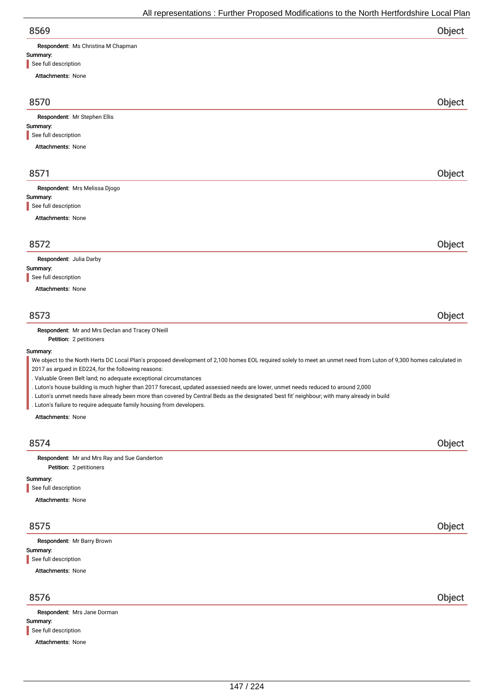| All representations : Further Proposed Modifications to the North Hertfordshire Local Plan                                                                                                                                                                                        |        |
|-----------------------------------------------------------------------------------------------------------------------------------------------------------------------------------------------------------------------------------------------------------------------------------|--------|
| 8569                                                                                                                                                                                                                                                                              | Object |
| Respondent: Ms Christina M Chapman                                                                                                                                                                                                                                                |        |
| Summary:<br>See full description                                                                                                                                                                                                                                                  |        |
| <b>Attachments: None</b>                                                                                                                                                                                                                                                          |        |
| 8570                                                                                                                                                                                                                                                                              | Object |
| Respondent: Mr Stephen Ellis                                                                                                                                                                                                                                                      |        |
| Summary:                                                                                                                                                                                                                                                                          |        |
| See full description                                                                                                                                                                                                                                                              |        |
| <b>Attachments: None</b>                                                                                                                                                                                                                                                          |        |
| 8571                                                                                                                                                                                                                                                                              |        |
| Respondent: Mrs Melissa Djogo                                                                                                                                                                                                                                                     | Object |
| Summary:                                                                                                                                                                                                                                                                          |        |
| See full description                                                                                                                                                                                                                                                              |        |
| <b>Attachments: None</b>                                                                                                                                                                                                                                                          |        |
| 8572                                                                                                                                                                                                                                                                              | Object |
| Respondent: Julia Darby                                                                                                                                                                                                                                                           |        |
| Summary:<br>See full description                                                                                                                                                                                                                                                  |        |
| <b>Attachments: None</b>                                                                                                                                                                                                                                                          |        |
|                                                                                                                                                                                                                                                                                   |        |
| 8573                                                                                                                                                                                                                                                                              | Object |
| Respondent: Mr and Mrs Declan and Tracey O'Neill<br>Petition: 2 petitioners                                                                                                                                                                                                       |        |
| Summary:                                                                                                                                                                                                                                                                          |        |
| We object to the North Herts DC Local Plan's proposed development of 2,100 homes EOL required solely to meet an unmet need from Luton of 9,300 homes calculated in<br>2017 as argued in ED224, for the following reasons:                                                         |        |
| . Valuable Green Belt land; no adequate exceptional circumstances                                                                                                                                                                                                                 |        |
| . Luton's house building is much higher than 2017 forecast, updated assessed needs are lower, unmet needs reduced to around 2,000<br>. Luton's unmet needs have already been more than covered by Central Beds as the designated 'best fit' neighbour; with many already in build |        |
| . Luton's failure to require adequate family housing from developers.                                                                                                                                                                                                             |        |
| Attachments: None                                                                                                                                                                                                                                                                 |        |
| 8574                                                                                                                                                                                                                                                                              | Object |
| Respondent: Mr and Mrs Ray and Sue Ganderton<br>Petition: 2 petitioners                                                                                                                                                                                                           |        |
| Summary:                                                                                                                                                                                                                                                                          |        |
| See full description                                                                                                                                                                                                                                                              |        |
| <b>Attachments: None</b>                                                                                                                                                                                                                                                          |        |
| 8575                                                                                                                                                                                                                                                                              | Object |
| Respondent: Mr Barry Brown                                                                                                                                                                                                                                                        |        |
| Summary:                                                                                                                                                                                                                                                                          |        |

Summary: Attachments: None Respondent: Mrs Jane Dorman See full description

8576 Object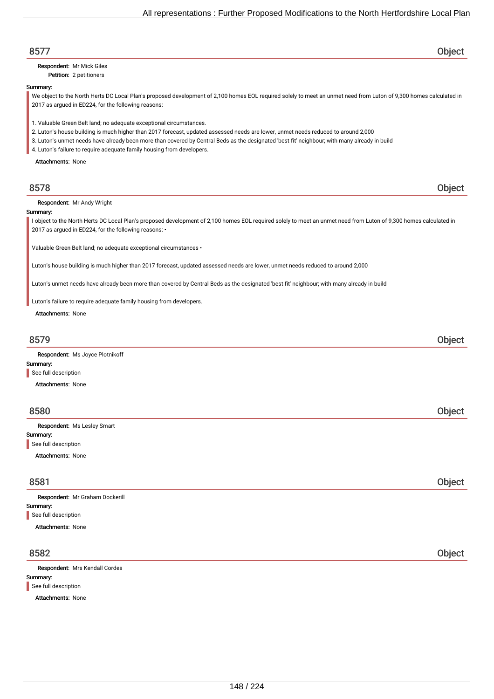| 8577                                                                                                                                                                                                                       | Object        |
|----------------------------------------------------------------------------------------------------------------------------------------------------------------------------------------------------------------------------|---------------|
| Respondent: Mr Mick Giles                                                                                                                                                                                                  |               |
| Petition: 2 petitioners                                                                                                                                                                                                    |               |
| Summary:                                                                                                                                                                                                                   |               |
| We object to the North Herts DC Local Plan's proposed development of 2,100 homes EOL required solely to meet an unmet need from Luton of 9,300 homes calculated in                                                         |               |
| 2017 as argued in ED224, for the following reasons:                                                                                                                                                                        |               |
|                                                                                                                                                                                                                            |               |
| 1. Valuable Green Belt land; no adequate exceptional circumstances.                                                                                                                                                        |               |
| 2. Luton's house building is much higher than 2017 forecast, updated assessed needs are lower, unmet needs reduced to around 2,000                                                                                         |               |
| 3. Luton's unmet needs have already been more than covered by Central Beds as the designated 'best fit' neighbour; with many already in build                                                                              |               |
| 4. Luton's failure to require adequate family housing from developers.                                                                                                                                                     |               |
| <b>Attachments: None</b>                                                                                                                                                                                                   |               |
|                                                                                                                                                                                                                            |               |
| 8578                                                                                                                                                                                                                       | Object        |
| Respondent: Mr Andy Wright                                                                                                                                                                                                 |               |
| Summary:                                                                                                                                                                                                                   |               |
| I object to the North Herts DC Local Plan's proposed development of 2,100 homes EOL required solely to meet an unmet need from Luton of 9,300 homes calculated in<br>2017 as argued in ED224, for the following reasons: • |               |
| Valuable Green Belt land; no adequate exceptional circumstances .                                                                                                                                                          |               |
| Luton's house building is much higher than 2017 forecast, updated assessed needs are lower, unmet needs reduced to around 2,000                                                                                            |               |
| Luton's unmet needs have already been more than covered by Central Beds as the designated 'best fit' neighbour; with many already in build                                                                                 |               |
| Luton's failure to require adequate family housing from developers.                                                                                                                                                        |               |
| Attachments: None                                                                                                                                                                                                          |               |
|                                                                                                                                                                                                                            |               |
|                                                                                                                                                                                                                            |               |
| 8579                                                                                                                                                                                                                       | Object        |
| Respondent: Ms Joyce Plotnikoff                                                                                                                                                                                            |               |
| Summary:                                                                                                                                                                                                                   |               |
| See full description                                                                                                                                                                                                       |               |
| <b>Attachments: None</b>                                                                                                                                                                                                   |               |
|                                                                                                                                                                                                                            |               |
|                                                                                                                                                                                                                            |               |
| 8580                                                                                                                                                                                                                       | <b>Object</b> |
| Respondent: Ms Lesley Smart                                                                                                                                                                                                |               |
| Summary:                                                                                                                                                                                                                   |               |
| See full description                                                                                                                                                                                                       |               |
| <b>Attachments: None</b>                                                                                                                                                                                                   |               |
|                                                                                                                                                                                                                            |               |
| 8581                                                                                                                                                                                                                       | Object        |
| Respondent: Mr Graham Dockerill                                                                                                                                                                                            |               |
| Summary:                                                                                                                                                                                                                   |               |
| See full description                                                                                                                                                                                                       |               |
| <b>Attachments: None</b>                                                                                                                                                                                                   |               |
|                                                                                                                                                                                                                            |               |
| 8582                                                                                                                                                                                                                       | Object        |
| Respondent: Mrs Kendall Cordes                                                                                                                                                                                             |               |
| Summary:                                                                                                                                                                                                                   |               |
| See full description                                                                                                                                                                                                       |               |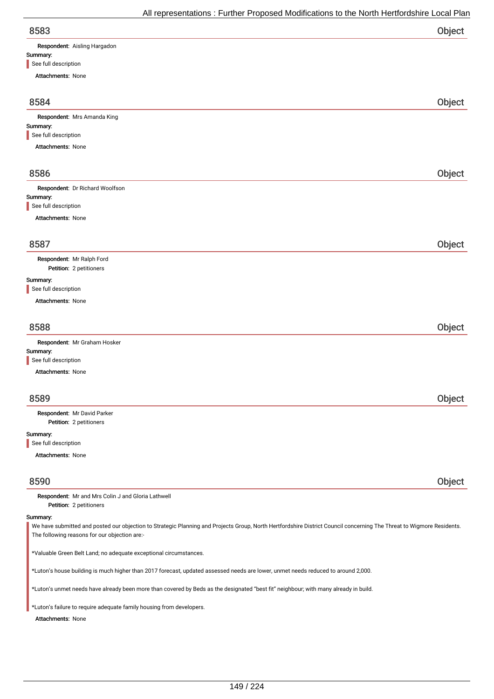| All representations : Further Proposed Modifications to the North Hertfordshire Local Plan |        |
|--------------------------------------------------------------------------------------------|--------|
| 8583                                                                                       | Object |
| Respondent: Aisling Hargadon                                                               |        |
| Summary:                                                                                   |        |
| See full description                                                                       |        |
| <b>Attachments: None</b>                                                                   |        |
| 8584                                                                                       | Object |
| Respondent: Mrs Amanda King                                                                |        |
| Summary:                                                                                   |        |
| See full description                                                                       |        |
| <b>Attachments: None</b>                                                                   |        |
| 8586                                                                                       | Object |
| Respondent: Dr Richard Woolfson                                                            |        |
| Summary:                                                                                   |        |
| See full description                                                                       |        |
| <b>Attachments: None</b>                                                                   |        |

Petition: 2 petitioners Respondent: Mr Ralph Ford

## Summary:

See full description

Attachments: None

| 8588                         | Object |
|------------------------------|--------|
| Respondent: Mr Graham Hosker |        |
| Summary:                     |        |
| See full description         |        |

Attachments: None

| 8589                             | Object |
|----------------------------------|--------|
| Respondent: Mr David Parker      |        |
| Petition: 2 petitioners          |        |
| Summary:<br>See full description |        |
|                                  |        |
| <b>Attachments: None</b>         |        |

8590 Object

Petition: 2 petitioners Respondent: Mr and Mrs Colin J and Gloria Lathwell

## Summary:

We have submitted and posted our objection to Strategic Planning and Projects Group, North Hertfordshire District Council concerning The Threat to Wigmore Residents. The following reasons for our objection are:-

\*Valuable Green Belt Land; no adequate exceptional circumstances.

\*Luton's house building is much higher than 2017 forecast, updated assessed needs are lower, unmet needs reduced to around 2,000.

\*Luton's unmet needs have already been more than covered by Beds as the designated "best fit" neighbour; with many already in build.

\*Luton's failure to require adequate family housing from developers.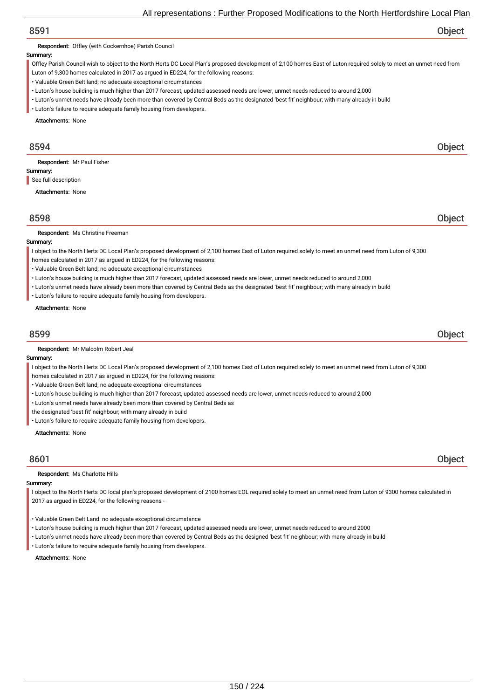Respondent: Offley (with Cockernhoe) Parish Council

## Summary:

Offley Parish Council wish to object to the North Herts DC Local Plan's proposed development of 2,100 homes East of Luton required solely to meet an unmet need from

Luton of 9,300 homes calculated in 2017 as argued in ED224, for the following reasons:

- Valuable Green Belt land; no adequate exceptional circumstances
- Luton's house building is much higher than 2017 forecast, updated assessed needs are lower, unmet needs reduced to around 2,000
- Luton's unmet needs have already been more than covered by Central Beds as the designated 'best fit' neighbour; with many already in build
- Luton's failure to require adequate family housing from developers.

Attachments: None

# 8594 Object

Respondent: Mr Paul Fisher

Summary: See full description

Attachments: None

# 8598 Object

Respondent: Ms Christine Freeman

## Summary:

I object to the North Herts DC Local Plan's proposed development of 2,100 homes East of Luton required solely to meet an unmet need from Luton of 9,300

- homes calculated in 2017 as argued in ED224, for the following reasons:
- Valuable Green Belt land; no adequate exceptional circumstances
- Luton's house building is much higher than 2017 forecast, updated assessed needs are lower, unmet needs reduced to around 2,000
- Luton's unmet needs have already been more than covered by Central Beds as the designated 'best fit' neighbour; with many already in build
- Luton's failure to require adequate family housing from developers.

### Attachments: None

# 8599 Object

Respondent: Mr Malcolm Robert Jeal

## Summary:

I object to the North Herts DC Local Plan's proposed development of 2,100 homes East of Luton required solely to meet an unmet need from Luton of 9,300

- homes calculated in 2017 as argued in ED224, for the following reasons:
- Valuable Green Belt land; no adequate exceptional circumstances
- Luton's house building is much higher than 2017 forecast, updated assessed needs are lower, unmet needs reduced to around 2,000
- Luton's unmet needs have already been more than covered by Central Beds as
- the designated 'best fit' neighbour; with many already in build
- Luton's failure to require adequate family housing from developers.

Attachments: None

## Respondent: Ms Charlotte Hills

## Summary:

I object to the North Herts DC local plan's proposed development of 2100 homes EOL required solely to meet an unmet need from Luton of 9300 homes calculated in 2017 as argued in ED224, for the following reasons -

- Valuable Green Belt Land: no adequate exceptional circumstance
- Luton's house building is much higher than 2017 forecast, updated assessed needs are lower, unmet needs reduced to around 2000
- Luton's unmet needs have already been more than covered by Central Beds as the designed 'best fit' neighbour; with many already in build
- Luton's failure to require adequate family housing from developers.

## Attachments: None

8601 Object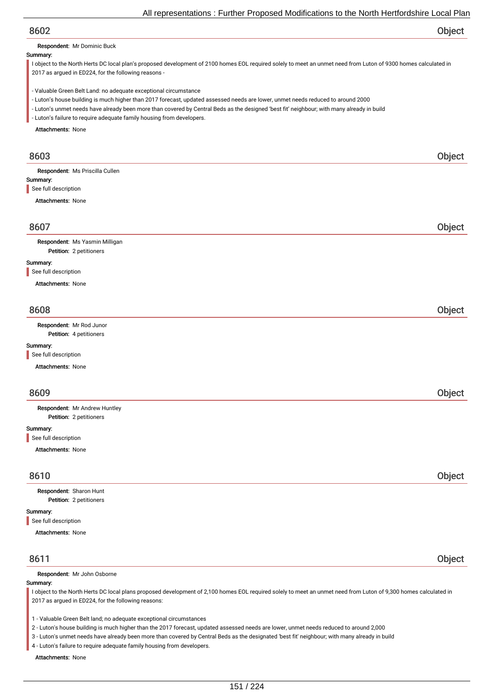Respondent: Mr Dominic Buck

## Summary:

I object to the North Herts DC local plan's proposed development of 2100 homes EOL required solely to meet an unmet need from Luton of 9300 homes calculated in 2017 as argued in ED224, for the following reasons -

- Valuable Green Belt Land: no adequate exceptional circumstance
- Luton's house building is much higher than 2017 forecast, updated assessed needs are lower, unmet needs reduced to around 2000
- Luton's unmet needs have already been more than covered by Central Beds as the designed 'best fit' neighbour; with many already in build
- Luton's failure to require adequate family housing from developers.

Attachments: None

| 8603                                                      | Object |
|-----------------------------------------------------------|--------|
| Respondent: Ms Priscilla Cullen                           |        |
| Summary:                                                  |        |
| See full description                                      |        |
| <b>Attachments: None</b>                                  |        |
| 8607                                                      | Object |
| Respondent: Ms Yasmin Milligan<br>Petition: 2 petitioners |        |
| Summary:<br>See full description                          |        |
| <b>Attachments: None</b>                                  |        |
| 8608                                                      | Object |
| Respondent: Mr Rod Junor<br>Petition: 4 petitioners       |        |
| Summary:                                                  |        |
| See full description                                      |        |
| <b>Attachments: None</b>                                  |        |
| 8609                                                      | Object |
| Respondent: Mr Andrew Huntley                             |        |
| Petition: 2 petitioners                                   |        |
| Summary:<br>See full description                          |        |
| <b>Attachments: None</b>                                  |        |
|                                                           |        |

# 8610 Object

Petition: 2 petitioners Respondent: Sharon Hunt

## Summary:

See full description

## Attachments: None

# 8611 Object

Respondent: Mr John Osborne

## Summary:

I object to the North Herts DC local plans proposed development of 2,100 homes EOL required solely to meet an unmet need from Luton of 9,300 homes calculated in 2017 as argued in ED224, for the following reasons:

1 - Valuable Green Belt land; no adequate exceptional circumstances

2 - Luton's house building is much higher than the 2017 forecast, updated assessed needs are lower, unmet needs reduced to around 2,000

3 - Luton's unmet needs have already been more than covered by Central Beds as the designated 'best fit' neighbour; with many already in build

4 - Luton's failure to require adequate family housing from developers.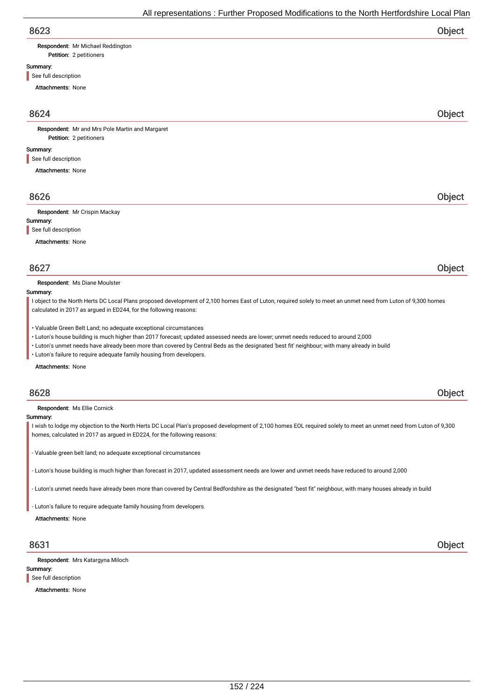| Respondent: Mr Michael Reddington |
|-----------------------------------|
|-----------------------------------|

Petition: 2 petitioners

# Summary:

See full description

Attachments: None

# 8624 Object

Petition: 2 petitioners Respondent: Mr and Mrs Pole Martin and Margaret

## Summary:

See full description

Attachments: None

# 8626 Object

Respondent: Mr Crispin Mackay

## Summary:

See full description

Attachments: None

# 8627 Object

Respondent: Ms Diane Moulster

### Summary:

I object to the North Herts DC Local Plans proposed development of 2,100 homes East of Luton, required solely to meet an unmet need from Luton of 9,300 homes calculated in 2017 as argued in ED244, for the following reasons:

- Valuable Green Belt Land; no adequate exceptional circumstances
- Luton's house building is much higher than 2017 forecast; updated assessed needs are lower; unmet needs reduced to around 2,000
- Luton's unmet needs have already been more than covered by Central Beds as the designated 'best fit' neighbour; with many already in build
- Luton's failure to require adequate family housing from developers.

### Attachments: None

# 8628 Object

Respondent: Ms Ellie Cornick

## Summary:

I wish to lodge my objection to the North Herts DC Local Plan's proposed development of 2,100 homes EOL required solely to meet an unmet need from Luton of 9,300 homes, calculated in 2017 as argued in ED224, for the following reasons:

- Valuable green belt land; no adequate exceptional circumstances

- Luton's house building is much higher than forecast in 2017, updated assessment needs are lower and unmet needs have reduced to around 2,000

- Luton's unmet needs have already been more than covered by Central Bedfordshire as the designated "best fit" neighbour, with many houses already in build

- Luton's failure to require adequate family housing from developers.

Attachments: None

Respondent: Mrs Katargyna Miloch

## Summary:

See full description

Attachments: None

8631 Object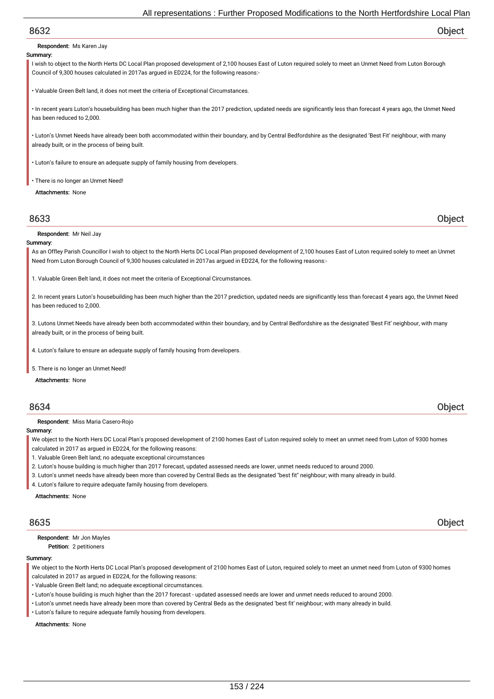Respondent: Ms Karen Jay

## Summary:

I wish to object to the North Herts DC Local Plan proposed development of 2,100 houses East of Luton required solely to meet an Unmet Need from Luton Borough Council of 9,300 houses calculated in 2017as argued in ED224, for the following reasons:-

• Valuable Green Belt land, it does not meet the criteria of Exceptional Circumstances.

• In recent years Luton's housebuilding has been much higher than the 2017 prediction, updated needs are significantly less than forecast 4 years ago, the Unmet Need has been reduced to 2,000.

• Luton's Unmet Needs have already been both accommodated within their boundary, and by Central Bedfordshire as the designated 'Best Fit' neighbour, with many already built, or in the process of being built.

• Luton's failure to ensure an adequate supply of family housing from developers.

• There is no longer an Unmet Need!

Attachments: None

8633 Object

Respondent: Mr Neil Jay

## Summary:

As an Offley Parish Councillor I wish to object to the North Herts DC Local Plan proposed development of 2,100 houses East of Luton required solely to meet an Unmet Need from Luton Borough Council of 9,300 houses calculated in 2017as argued in ED224, for the following reasons:-

1. Valuable Green Belt land, it does not meet the criteria of Exceptional Circumstances.

2. In recent years Luton's housebuilding has been much higher than the 2017 prediction, updated needs are significantly less than forecast 4 years ago, the Unmet Need has been reduced to 2,000.

3. Lutons Unmet Needs have already been both accommodated within their boundary, and by Central Bedfordshire as the designated 'Best Fit' neighbour, with many already built, or in the process of being built.

4. Luton's failure to ensure an adequate supply of family housing from developers.

5. There is no longer an Unmet Need!

Attachments: None

# 8634 Object

Respondent: Miss Maria Casero-Rojo

# Summary:

We object to the North Hers DC Local Plan's proposed development of 2100 homes East of Luton required solely to meet an unmet need from Luton of 9300 homes calculated in 2017 as argued in ED224, for the following reasons:

- 1. Valuable Green Belt land; no adequate exceptional circumstances
- 2. Luton's house building is much higher than 2017 forecast, updated assessed needs are lower, unmet needs reduced to around 2000.
- 3. Luton's unmet needs have already been more than covered by Central Beds as the designated "best fit" neighbour; with many already in build.
- 4. Luton's failure to require adequate family housing from developers.

Attachments: None

8635 Object

Petition: 2 petitioners Respondent: Mr Jon Mayles

## Summary:

We object to the North Herts DC Local Plan's proposed development of 2100 homes East of Luton, required solely to meet an unmet need from Luton of 9300 homes calculated in 2017 as argued in ED224, for the following reasons:

- Valuable Green Belt land; no adequate exceptional circumstances.
- Luton's house building is much higher than the 2017 forecast updated assessed needs are lower and unmet needs reduced to around 2000.
- Luton's unmet needs have already been more than covered by Central Beds as the designated 'best fit' neighbour; with many already in build.
- Luton's failure to require adequate family housing from developers.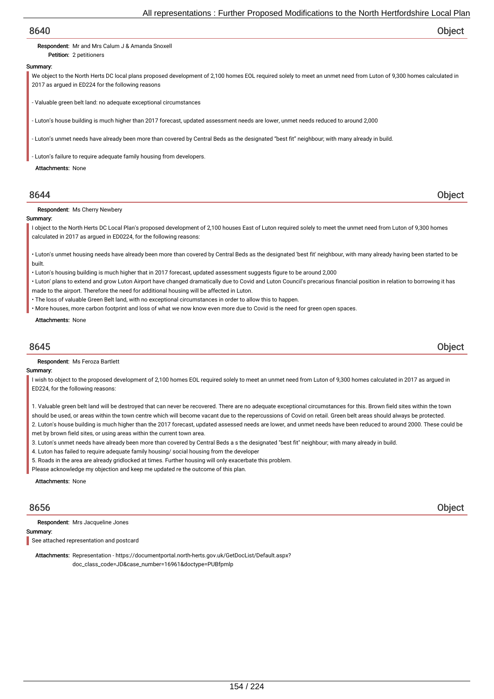## Respondent: Mr and Mrs Calum J & Amanda Snoxell

Petition: 2 petitioners

## Summary:

We object to the North Herts DC local plans proposed development of 2,100 homes EOL required solely to meet an unmet need from Luton of 9,300 homes calculated in 2017 as argued in ED224 for the following reasons

- Valuable green belt land: no adequate exceptional circumstances

Luton's house building is much higher than 2017 forecast, updated assessment needs are lower, unmet needs reduced to around 2,000

- Luton's unmet needs have already been more than covered by Central Beds as the designated "best fit" neighbour; with many already in build.

Luton's failure to require adequate family housing from developers.

## Attachments: None

# 8644 Object

Respondent: Ms Cherry Newbery

## Summary:

I object to the North Herts DC Local Plan's proposed development of 2,100 houses East of Luton required solely to meet the unmet need from Luton of 9,300 homes calculated in 2017 as argued in ED0224, for the following reasons:

• Luton's unmet housing needs have already been more than covered by Central Beds as the designated 'best fit' neighbour, with many already having been started to be built.

- Luton's housing building is much higher that in 2017 forecast, updated assessment suggests figure to be around 2,000
- Luton' plans to extend and grow Luton Airport have changed dramatically due to Covid and Luton Council's precarious financial position in relation to borrowing it has made to the airport. Therefore the need for additional housing will be affected in Luton.
- The loss of valuable Green Belt land, with no exceptional circumstances in order to allow this to happen.
- More houses, more carbon footprint and loss of what we now know even more due to Covid is the need for green open spaces.

### Attachments: None

# 8645 Object

Respondent: Ms Feroza Bartlett

## Summary:

I wish to object to the proposed development of 2,100 homes EOL required solely to meet an unmet need from Luton of 9,300 homes calculated in 2017 as arqued in ED224, for the following reasons:

1. Valuable green belt land will be destroyed that can never be recovered. There are no adequate exceptional circumstances for this. Brown field sites within the town should be used, or areas within the town centre which will become vacant due to the repercussions of Covid on retail. Green belt areas should always be protected.

2. Luton's house building is much higher than the 2017 forecast, updated assessed needs are lower, and unmet needs have been reduced to around 2000. These could be met by brown field sites, or using areas within the current town area.

- 3. Luton's unmet needs have already been more than covered by Central Beds a s the designated "best fit" neighbour; with many already in build.
- 4. Luton has failed to require adequate family housing/ social housing from the developer
- 5. Roads in the area are already gridlocked at times. Further housing will only exacerbate this problem.
- Please acknowledge my objection and keep me updated re the outcome of this plan.

Attachments: None

Respondent: Mrs Jacqueline Jones

# Summary:

See attached representation and postcard

Attachments: Representation - https://documentportal.north-herts.gov.uk/GetDocList/Default.aspx? doc\_class\_code=JD&case\_number=16961&doctype=PUBfpmlp

8656 Object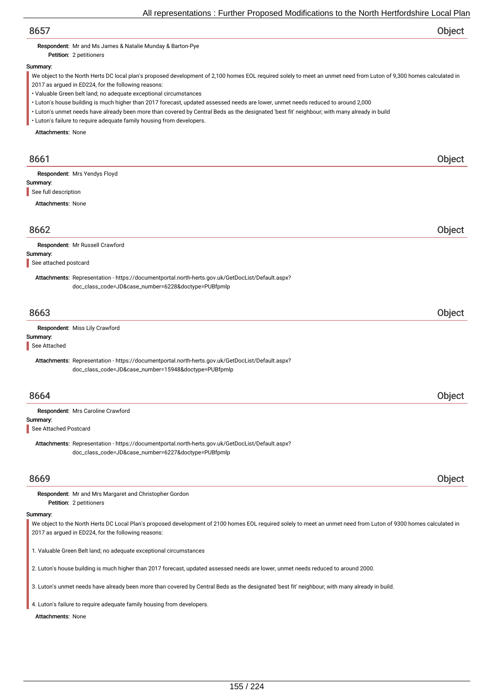Respondent: Mr and Ms James & Natalie Munday & Barton-Pye

Petition: 2 petitioners

# Summary:

We object to the North Herts DC local plan's proposed development of 2,100 homes EOL required solely to meet an unmet need from Luton of 9,300 homes calculated in 2017 as argued in ED224, for the following reasons:

• Valuable Green belt land; no adequate exceptional circumstances

• Luton's house building is much higher than 2017 forecast, updated assessed needs are lower, unmet needs reduced to around 2,000

• Luton's unmet needs have already been more than covered by Central Beds as the designated 'best fit' neighbour; with many already in build

• Luton's failure to require adequate family housing from developers.

Attachments: None

| 8661                     |                                                                                                                                                                  | Object |
|--------------------------|------------------------------------------------------------------------------------------------------------------------------------------------------------------|--------|
| Summary:                 | Respondent: Mrs Yendys Floyd                                                                                                                                     |        |
| See full description     |                                                                                                                                                                  |        |
| <b>Attachments: None</b> |                                                                                                                                                                  |        |
|                          |                                                                                                                                                                  |        |
| 8662                     |                                                                                                                                                                  | Object |
|                          | Respondent: Mr Russell Crawford                                                                                                                                  |        |
| Summary:                 |                                                                                                                                                                  |        |
| See attached postcard    |                                                                                                                                                                  |        |
|                          | Attachments: Representation - https://documentportal.north-herts.gov.uk/GetDocList/Default.aspx?                                                                 |        |
|                          | doc_class_code=JD&case_number=6228&doctype=PUBfpmlp                                                                                                              |        |
|                          |                                                                                                                                                                  |        |
| 8663                     |                                                                                                                                                                  | Object |
|                          | Respondent: Miss Lily Crawford                                                                                                                                   |        |
| Summary:                 |                                                                                                                                                                  |        |
| See Attached             |                                                                                                                                                                  |        |
|                          | Attachments: Representation - https://documentportal.north-herts.gov.uk/GetDocList/Default.aspx?                                                                 |        |
|                          | doc_class_code=JD&case_number=15948&doctype=PUBfpmlp                                                                                                             |        |
|                          |                                                                                                                                                                  |        |
| 8664                     |                                                                                                                                                                  | Object |
|                          | Respondent: Mrs Caroline Crawford                                                                                                                                |        |
| Summary:                 |                                                                                                                                                                  |        |
| See Attached Postcard    |                                                                                                                                                                  |        |
|                          | Attachments: Representation - https://documentportal.north-herts.gov.uk/GetDocList/Default.aspx?                                                                 |        |
|                          | doc_class_code=JD&case_number=6227&doctype=PUBfpmlp                                                                                                              |        |
|                          |                                                                                                                                                                  |        |
| 8669                     |                                                                                                                                                                  | Object |
|                          | Respondent: Mr and Mrs Margaret and Christopher Gordon                                                                                                           |        |
|                          | Petition: 2 petitioners                                                                                                                                          |        |
| Summary:                 |                                                                                                                                                                  |        |
|                          | We object to the North Herts DC Local Plan's proposed development of 2100 homes EOL required solely to meet an unmet need from Luton of 9300 homes calculated in |        |
|                          | 2017 as argued in ED224, for the following reasons:                                                                                                              |        |

1. Valuable Green Belt land; no adequate exceptional circumstances

2. Luton's house building is much higher than 2017 forecast, updated assessed needs are lower, unmet needs reduced to around 2000.

3. Luton's unmet needs have already been more than covered by Central Beds as the designated 'best fit' neighbour; with many already in build.

4. Luton's failure to require adequate family housing from developers.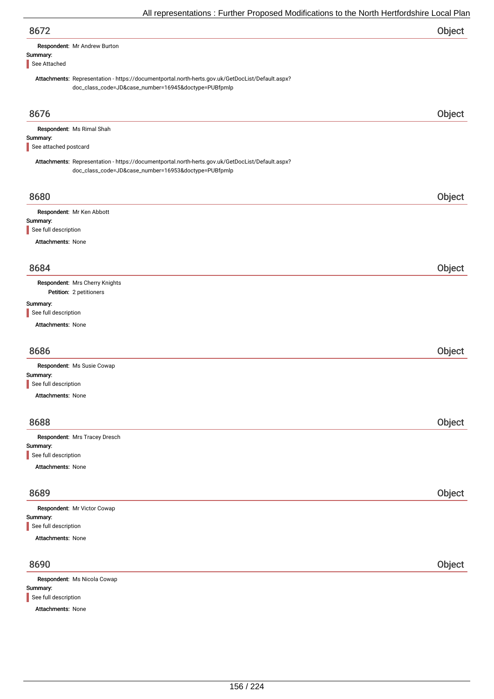| 8672                                                                                                                                                     | Object |
|----------------------------------------------------------------------------------------------------------------------------------------------------------|--------|
| Respondent: Mr Andrew Burton                                                                                                                             |        |
| Summary:<br>See Attached                                                                                                                                 |        |
| Attachments: Representation - https://documentportal.north-herts.gov.uk/GetDocList/Default.aspx?<br>doc_class_code=JD&case_number=16945&doctype=PUBfpmlp |        |
| 8676                                                                                                                                                     | Object |
| Respondent: Ms Rimal Shah                                                                                                                                |        |
| Summary:<br>See attached postcard                                                                                                                        |        |
| Attachments: Representation - https://documentportal.north-herts.gov.uk/GetDocList/Default.aspx?<br>doc_class_code=JD&case_number=16953&doctype=PUBfpmlp |        |
| 8680                                                                                                                                                     | Object |
| Respondent: Mr Ken Abbott                                                                                                                                |        |
| Summary:<br>See full description                                                                                                                         |        |
| Attachments: None                                                                                                                                        |        |
|                                                                                                                                                          |        |
| 8684                                                                                                                                                     | Object |
| Respondent: Mrs Cherry Knights<br>Petition: 2 petitioners                                                                                                |        |
| Summary:                                                                                                                                                 |        |
| See full description<br>Attachments: None                                                                                                                |        |
|                                                                                                                                                          |        |
| 8686                                                                                                                                                     | Object |
| Respondent: Ms Susie Cowap                                                                                                                               |        |
| Summary:<br>See full description                                                                                                                         |        |
| <b>Attachments: None</b>                                                                                                                                 |        |
| 8688                                                                                                                                                     | Object |
| Respondent: Mrs Tracey Dresch                                                                                                                            |        |
| Summary:<br>See full description                                                                                                                         |        |
| <b>Attachments: None</b>                                                                                                                                 |        |
| 8689                                                                                                                                                     | Object |
| Respondent: Mr Victor Cowap                                                                                                                              |        |
| Summary:                                                                                                                                                 |        |
| See full description<br><b>Attachments: None</b>                                                                                                         |        |
|                                                                                                                                                          |        |
| 8690                                                                                                                                                     | Object |
| Respondent: Ms Nicola Cowap                                                                                                                              |        |
| Summary:<br>See full description                                                                                                                         |        |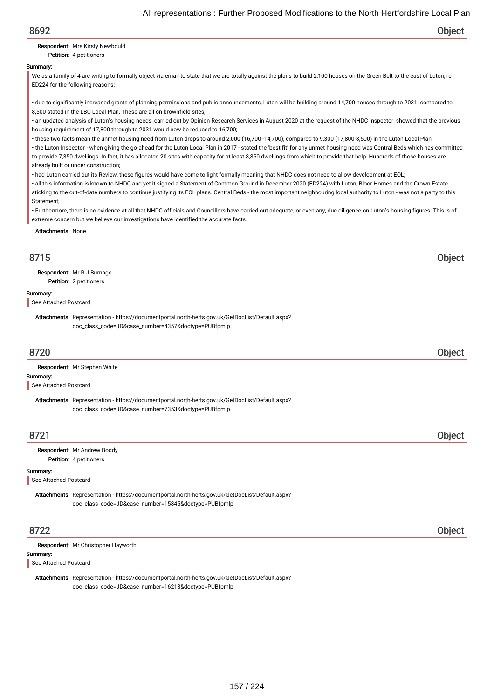## Respondent: Mrs Kirsty Newbould

Petition: 4 petitioners

## Summary:

We as a family of 4 are writing to formally object via email to state that we are totally against the plans to build 2,100 houses on the Green Belt to the east of Luton, re ED224 for the following reasons:

• due to significantly increased grants of planning permissions and public announcements, Luton will be building around 14,700 houses through to 2031. compared to 8,500 stated in the LBC Local Plan. These are all on brownfield sites;

• an updated analysis of Luton's housing needs, carried out by Opinion Research Services in August 2020 at the request of the NHDC Inspector, showed that the previous housing requirement of 17,800 through to 2031 would now be reduced to 16,700;

• these two facts mean the unmet housing need from Luton drops to around 2,000 (16,700 -14,700), compared to 9,300 (17,800-8,500) in the Luton Local Plan;

• the Luton Inspector - when giving the go-ahead for the Luton Local Plan in 2017 - stated the 'best fit' for any unmet housing need was Central Beds which has committed to provide 7,350 dwellings. In fact, it has allocated 20 sites with capacity for at least 8,850 dwellings from which to provide that help. Hundreds of those houses are already built or under construction;

• had Luton carried out its Review, these figures would have come to light formally meaning that NHDC does not need to allow development at EOL;

• all this information is known to NHDC and yet it signed a Statement of Common Ground in December 2020 (ED224) with Luton, Bloor Homes and the Crown Estate sticking to the out-of-date numbers to continue justifying its EOL plans. Central Beds - the most important neighbouring local authority to Luton - was not a party to this Statement;

• Furthermore, there is no evidence at all that NHDC officials and Councillors have carried out adequate, or even any, due diligence on Luton's housing figures. This is of extreme concern but we believe our investigations have identified the accurate facts.

Attachments: None

# 8715 Object

Petition: 2 petitioners Respondent: Mr R J Burnage

## Summary:

See Attached Postcard

Attachments: Representation - https://documentportal.north-herts.gov.uk/GetDocList/Default.aspx? doc\_class\_code=JD&case\_number=4357&doctype=PUBfpmlp

# 8720 Object

Respondent: Mr Stephen White

## Summary:

See Attached Postcard

Attachments: Representation - https://documentportal.north-herts.gov.uk/GetDocList/Default.aspx? doc\_class\_code=JD&case\_number=7353&doctype=PUBfpmlp

# 8721 Object

Petition: 4 petitioners Respondent: Mr Andrew Boddy

## Summary:

See Attached Postcard

Attachments: Representation - https://documentportal.north-herts.gov.uk/GetDocList/Default.aspx? doc\_class\_code=JD&case\_number=15845&doctype=PUBfpmlp

# 8722 Object

| Respondent: Mr Christopher Hayworth |
|-------------------------------------|
|                                     |

## Summary:

See Attached Postcard

Attachments: Representation - https://documentportal.north-herts.gov.uk/GetDocList/Default.aspx? doc\_class\_code=JD&case\_number=16218&doctype=PUBfpmlp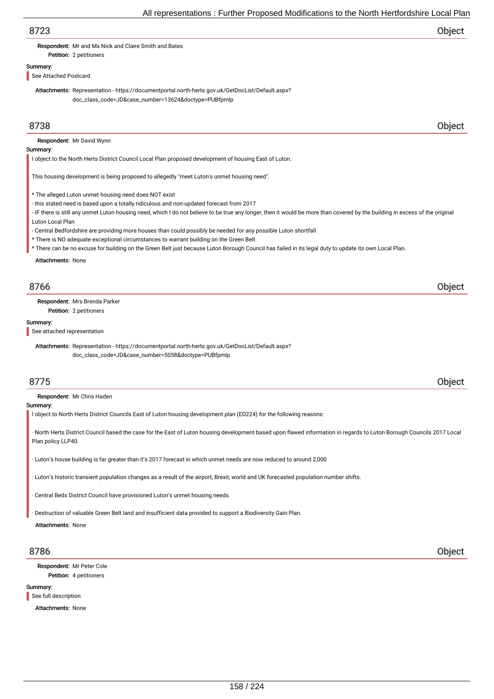Respondent: Mr and Ms Nick and Claire Smith and Bates

# Summary:

See Attached Postcard

Petition: 2 petitioners

Attachments: Representation - https://documentportal.north-herts.gov.uk/GetDocList/Default.aspx? doc\_class\_code=JD&case\_number=13624&doctype=PUBfpmlp

# 8738 Object

Respondent: Mr David Wynn

## Summary:

I object to the North Herts District Council Local Plan proposed development of housing East of Luton.

This housing development is being proposed to allegedly "meet Luton's unmet housing need".

- \* The alleged Luton unmet housing need does NOT exist
- this stated need is based upon a totally ridiculous and non-updated forecast from 2017
- IF there is still any unmet Luton housing need, which I do not believe to be true any longer, then it would be more than covered by the building in excess of the original Luton Local Plan
- Central Bedfordshire are providing more houses than could possibly be needed for any possible Luton shortfall
- \* There is NO adequate exceptional circumstances to warrant building on the Green Belt
- \* There can be no excuse for building on the Green Belt just because Luton Borough Council has failed in its legal duty to update its own Local Plan.

Attachments: None

# 8766 Object

Petition: 2 petitioners Respondent: Mrs Brenda Parker

## Summary:

See attached representation

Attachments: Representation - https://documentportal.north-herts.gov.uk/GetDocList/Default.aspx? doc\_class\_code=JD&case\_number=5058&doctype=PUBfpmlp

# 8775 Object

Respondent: Mr Chris Haden

Summary:

I object to North Herts District Councils East of Luton housing development plan (ED224) for the following reasons:

· North Herts District Council based the case for the East of Luton housing development based upon flawed information in regards to Luton Borough Councils 2017 Local Plan policy LLP40

· Luton's house building is far greater than it's 2017 forecast in which unmet needs are now reduced to around 2,000

· Luton's historic transient population changes as a result of the airport, Brexit, world and UK forecasted population number shifts.

Central Beds District Council have provisioned Luton's unmet housing needs.

· Destruction of valuable Green Belt land and insufficient data provided to support a Biodiversity Gain Plan.

### Attachments: None

Petition: 4 petitioners Respondent: Mr Peter Cole

## Summary:

See full description

Attachments: None

8786 Object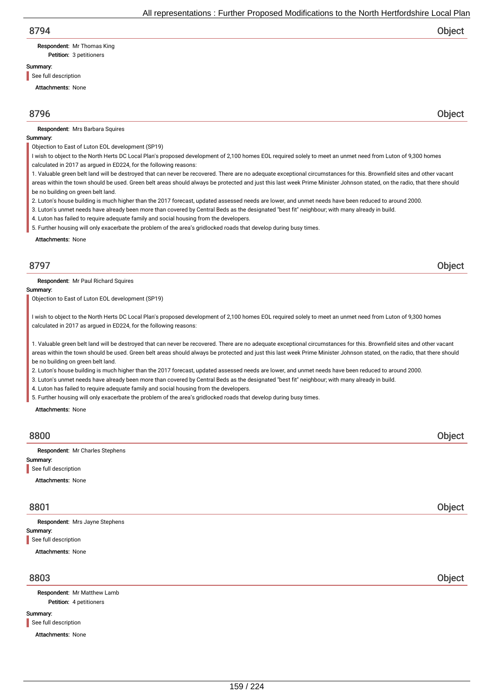# Respondent: Mr Thomas King

Petition: 3 petitioners

# Summary:

See full description

Attachments: None

# 8796 Object

Respondent: Mrs Barbara Squires

## Summary:

Objection to East of Luton EOL development (SP19)

- I wish to object to the North Herts DC Local Plan's proposed development of 2,100 homes EOL required solely to meet an unmet need from Luton of 9,300 homes calculated in 2017 as argued in ED224, for the following reasons:
- 1. Valuable green belt land will be destroyed that can never be recovered. There are no adequate exceptional circumstances for this. Brownfield sites and other vacant

areas within the town should be used. Green belt areas should always be protected and just this last week Prime Minister Johnson stated, on the radio, that there should be no building on green belt land.

- 2. Luton's house building is much higher than the 2017 forecast, updated assessed needs are lower, and unmet needs have been reduced to around 2000.
- 3. Luton's unmet needs have already been more than covered by Central Beds as the designated "best fit" neighbour; with many already in build.
- 4. Luton has failed to require adequate family and social housing from the developers.
- 5. Further housing will only exacerbate the problem of the area's gridlocked roads that develop during busy times.

Attachments: None

# 8797 Object

Respondent: Mr Paul Richard Squires

## Summary:

Objection to East of Luton EOL development (SP19)

I wish to object to the North Herts DC Local Plan's proposed development of 2,100 homes EOL required solely to meet an unmet need from Luton of 9,300 homes calculated in 2017 as argued in ED224, for the following reasons:

1. Valuable green belt land will be destroyed that can never be recovered. There are no adequate exceptional circumstances for this. Brownfield sites and other vacant areas within the town should be used. Green belt areas should always be protected and just this last week Prime Minister Johnson stated, on the radio, that there should be no building on green belt land.

2. Luton's house building is much higher than the 2017 forecast, updated assessed needs are lower, and unmet needs have been reduced to around 2000.

3. Luton's unmet needs have already been more than covered by Central Beds as the designated "best fit" neighbour; with many already in build.

4. Luton has failed to require adequate family and social housing from the developers.

5. Further housing will only exacerbate the problem of the area's gridlocked roads that develop during busy times.

Attachments: None

# 8800 Object Summary: Attachments: None Respondent: Mr Charles Stephens See full description 8801 Object Summary: Attachments: None Respondent: Mrs Jayne Stephens See full description 8803 Object

Petition: 4 petitioners Respondent: Mr Matthew Lamb

Summary:

See full description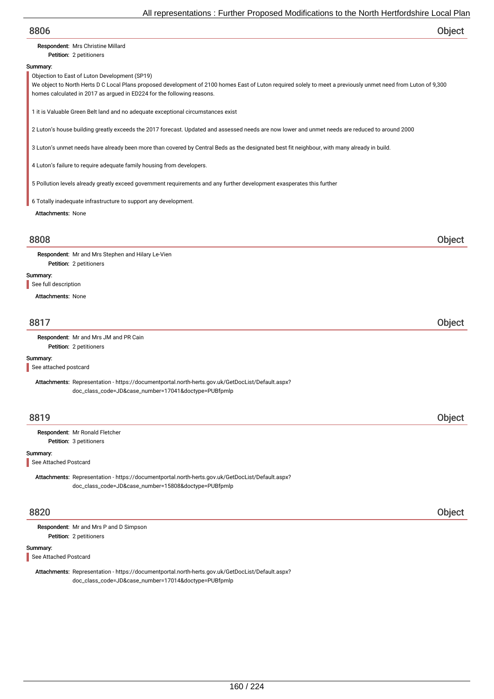| 8806                                                                                                                                                                                                           |        |
|----------------------------------------------------------------------------------------------------------------------------------------------------------------------------------------------------------------|--------|
|                                                                                                                                                                                                                | Object |
| Respondent: Mrs Christine Millard<br>Petition: 2 petitioners                                                                                                                                                   |        |
| Summary:                                                                                                                                                                                                       |        |
| Objection to East of Luton Development (SP19)<br>We object to North Herts D C Local Plans proposed development of 2100 homes East of Luton required solely to meet a previously unmet need from Luton of 9,300 |        |
| homes calculated in 2017 as argued in ED224 for the following reasons.                                                                                                                                         |        |
| 1 it is Valuable Green Belt land and no adequate exceptional circumstances exist                                                                                                                               |        |
| 2 Luton's house building greatly exceeds the 2017 forecast. Updated and assessed needs are now lower and unmet needs are reduced to around 2000                                                                |        |
| 3 Luton's unmet needs have already been more than covered by Central Beds as the designated best fit neighbour, with many already in build.                                                                    |        |
| 4 Luton's failure to require adequate family housing from developers.                                                                                                                                          |        |
| 5 Pollution levels already greatly exceed government requirements and any further development exasperates this further                                                                                         |        |
| 6 Totally inadequate infrastructure to support any development.                                                                                                                                                |        |
| <b>Attachments: None</b>                                                                                                                                                                                       |        |
| 8808                                                                                                                                                                                                           | Object |
| Respondent: Mr and Mrs Stephen and Hilary Le-Vien<br>Petition: 2 petitioners                                                                                                                                   |        |
| Summary:                                                                                                                                                                                                       |        |
| See full description                                                                                                                                                                                           |        |
| <b>Attachments: None</b>                                                                                                                                                                                       |        |
| 8817                                                                                                                                                                                                           | Object |
| Respondent: Mr and Mrs JM and PR Cain                                                                                                                                                                          |        |
| Petition: 2 petitioners                                                                                                                                                                                        |        |
| Summary:<br>See attached postcard                                                                                                                                                                              |        |
|                                                                                                                                                                                                                |        |
| Attachments: Representation - https://documentportal.north-herts.gov.uk/GetDocList/Default.aspx?<br>doc_class_code=JD&case_number=17041&doctype=PUBfpmlp                                                       |        |
| 8819                                                                                                                                                                                                           | Object |
|                                                                                                                                                                                                                |        |
| Respondent: Mr Ronald Fletcher<br>Petition: 3 petitioners                                                                                                                                                      |        |
| Summary:<br>See Attached Postcard                                                                                                                                                                              |        |
| Attachments: Representation - https://documentportal.north-herts.gov.uk/GetDocList/Default.aspx?                                                                                                               |        |
| doc_class_code=JD&case_number=15808&doctype=PUBfpmlp                                                                                                                                                           |        |

Respondent: Mr and Mrs P and D Simpson

Petition: 2 petitioners

# Summary:

See Attached Postcard

Attachments: Representation - https://documentportal.north-herts.gov.uk/GetDocList/Default.aspx? doc\_class\_code=JD&case\_number=17014&doctype=PUBfpmlp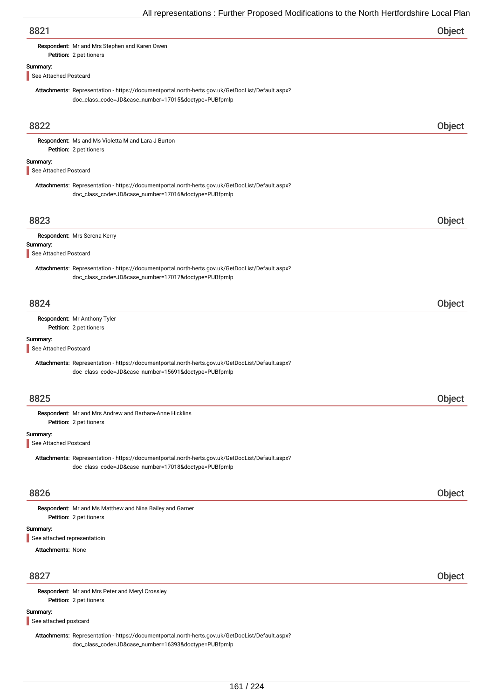| Object |
|--------|
|        |

Respondent: Mr and Mrs Stephen and Karen Owen

# Summary:

See Attached Postcard

Petition: 2 petitioners

Attachments: Representation - https://documentportal.north-herts.gov.uk/GetDocList/Default.aspx? doc\_class\_code=JD&case\_number=17015&doctype=PUBfpmlp

| 8822                              |                                                                                                                                                          | Object |
|-----------------------------------|----------------------------------------------------------------------------------------------------------------------------------------------------------|--------|
|                                   | Respondent: Ms and Ms Violetta M and Lara J Burton<br>Petition: 2 petitioners                                                                            |        |
| Summary:                          |                                                                                                                                                          |        |
| See Attached Postcard             |                                                                                                                                                          |        |
|                                   | Attachments: Representation - https://documentportal.north-herts.gov.uk/GetDocList/Default.aspx?<br>doc_class_code=JD&case_number=17016&doctype=PUBfpmlp |        |
| 8823                              |                                                                                                                                                          | Object |
|                                   | Respondent: Mrs Serena Kerry                                                                                                                             |        |
| Summary:<br>See Attached Postcard |                                                                                                                                                          |        |
|                                   | Attachments: Representation - https://documentportal.north-herts.gov.uk/GetDocList/Default.aspx?<br>doc_class_code=JD&case_number=17017&doctype=PUBfpmlp |        |
| 8824                              |                                                                                                                                                          | Object |
|                                   | Respondent: Mr Anthony Tyler                                                                                                                             |        |
|                                   | Petition: 2 petitioners                                                                                                                                  |        |
| Summary:<br>See Attached Postcard |                                                                                                                                                          |        |
|                                   | Attachments: Representation - https://documentportal.north-herts.gov.uk/GetDocList/Default.aspx?<br>doc_class_code=JD&case_number=15691&doctype=PUBfpmlp |        |
| 8825                              |                                                                                                                                                          | Object |
|                                   | Respondent: Mr and Mrs Andrew and Barbara-Anne Hicklins<br>Petition: 2 petitioners                                                                       |        |
| Summary:<br>See Attached Postcard |                                                                                                                                                          |        |
|                                   | Attachments: Representation - https://documentportal.north-herts.gov.uk/GetDocList/Default.aspx?<br>doc_class_code=JD&case_number=17018&doctype=PUBfpmlp |        |
| 8826                              |                                                                                                                                                          | Object |
|                                   | Respondent: Mr and Ms Matthew and Nina Bailey and Garner<br>Petition: 2 petitioners                                                                      |        |
| Summary:                          |                                                                                                                                                          |        |
| See attached representatioin      |                                                                                                                                                          |        |
| <b>Attachments: None</b>          |                                                                                                                                                          |        |
| 8827                              |                                                                                                                                                          | Object |
|                                   | Respondent: Mr and Mrs Peter and Meryl Crossley<br>Petition: 2 petitioners                                                                               |        |
| Summary:<br>See attached postcard |                                                                                                                                                          |        |
|                                   | Attachments: Representation - https://documentportal.north-herts.gov.uk/GetDocList/Default.aspx?                                                         |        |

doc\_class\_code=JD&case\_number=16393&doctype=PUBfpmlp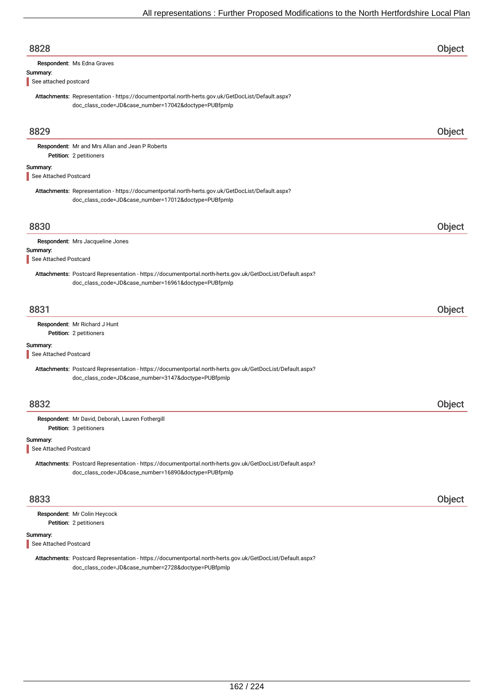| 8828                              |                                                                                                                                                                   | Object        |
|-----------------------------------|-------------------------------------------------------------------------------------------------------------------------------------------------------------------|---------------|
| Summary:<br>See attached postcard | Respondent: Ms Edna Graves                                                                                                                                        |               |
|                                   | Attachments: Representation - https://documentportal.north-herts.gov.uk/GetDocList/Default.aspx?<br>doc_class_code=JD&case_number=17042&doctype=PUBfpmlp          |               |
| 8829                              |                                                                                                                                                                   | Object        |
|                                   | Respondent: Mr and Mrs Allan and Jean P Roberts<br>Petition: 2 petitioners                                                                                        |               |
| Summary:<br>See Attached Postcard |                                                                                                                                                                   |               |
|                                   | Attachments: Representation - https://documentportal.north-herts.gov.uk/GetDocList/Default.aspx?<br>doc_class_code=JD&case_number=17012&doctype=PUBfpmlp          |               |
| 8830                              |                                                                                                                                                                   | Object        |
| Summary:<br>See Attached Postcard | Respondent: Mrs Jacqueline Jones                                                                                                                                  |               |
|                                   | Attachments: Postcard Representation - https://documentportal.north-herts.gov.uk/GetDocList/Default.aspx?<br>doc_class_code=JD&case_number=16961&doctype=PUBfpmlp |               |
| 8831                              |                                                                                                                                                                   | Object        |
|                                   | Respondent: Mr Richard J Hunt<br>Petition: 2 petitioners                                                                                                          |               |
| Summary:<br>See Attached Postcard |                                                                                                                                                                   |               |
|                                   | Attachments: Postcard Representation - https://documentportal.north-herts.gov.uk/GetDocList/Default.aspx?<br>doc_class_code=JD&case_number=3147&doctype=PUBfpmlp  |               |
| 8832                              |                                                                                                                                                                   | <b>Object</b> |
|                                   | Respondent: Mr David, Deborah, Lauren Fothergill<br>Petition: 3 petitioners                                                                                       |               |
| Summary:<br>See Attached Postcard |                                                                                                                                                                   |               |
|                                   | Attachments: Postcard Representation - https://documentportal.north-herts.gov.uk/GetDocList/Default.aspx?<br>doc_class_code=JD&case_number=16890&doctype=PUBfpmlp |               |
| 8833                              |                                                                                                                                                                   | Object        |
|                                   | Respondent: Mr Colin Heycock<br>Petition: 2 petitioners                                                                                                           |               |
| Summary:<br>See Attached Postcard |                                                                                                                                                                   |               |

Attachments: Postcard Representation - https://documentportal.north-herts.gov.uk/GetDocList/Default.aspx? doc\_class\_code=JD&case\_number=2728&doctype=PUBfpmlp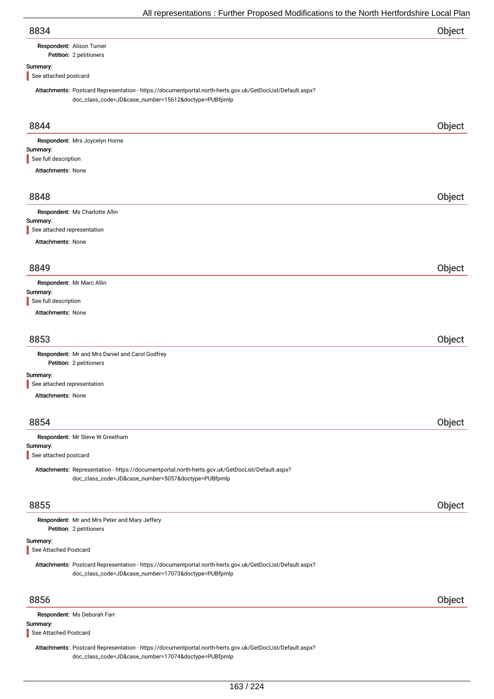| 8834 | Object |
|------|--------|
|      |        |

# Respondent: Alison Turner

## Petition: 2 petitioners

## Summary:

See attached postcard

Attachments: Postcard Representation - https://documentportal.north-herts.gov.uk/GetDocList/Default.aspx? doc\_class\_code=JD&case\_number=15612&doctype=PUBfpmlp

| 8844                                                                                                                                                    | Object |
|---------------------------------------------------------------------------------------------------------------------------------------------------------|--------|
| Respondent: Mrs Joycelyn Horne                                                                                                                          |        |
| Summary:<br>See full description                                                                                                                        |        |
| <b>Attachments: None</b>                                                                                                                                |        |
|                                                                                                                                                         |        |
| 8848                                                                                                                                                    | Object |
| Respondent: Ms Charlotte Allin                                                                                                                          |        |
| Summary:<br>See attached representation                                                                                                                 |        |
| <b>Attachments: None</b>                                                                                                                                |        |
|                                                                                                                                                         |        |
| 8849                                                                                                                                                    | Object |
| Respondent: Mr Marc Allin                                                                                                                               |        |
| Summary:                                                                                                                                                |        |
| See full description                                                                                                                                    |        |
| <b>Attachments: None</b>                                                                                                                                |        |
|                                                                                                                                                         |        |
| 8853                                                                                                                                                    | Object |
| Respondent: Mr and Mrs Daniel and Carol Godfrey<br>Petition: 2 petitioners                                                                              |        |
| Summary:                                                                                                                                                |        |
| See attached representation                                                                                                                             |        |
| <b>Attachments: None</b>                                                                                                                                |        |
| 8854                                                                                                                                                    | Object |
| Respondent: Mr Steve W Greetham                                                                                                                         |        |
| Summary:                                                                                                                                                |        |
| See attached postcard                                                                                                                                   |        |
| Attachments: Representation - https://documentportal.north-herts.gov.uk/GetDocList/Default.aspx?<br>doc_class_code=JD&case_number=5057&doctype=PUBfpmlp |        |
|                                                                                                                                                         |        |
| 8855                                                                                                                                                    | Object |
|                                                                                                                                                         |        |
| Respondent: Mr and Mrs Peter and Mary Jeffery<br>Petition: 2 petitioners                                                                                |        |
| Summary:                                                                                                                                                |        |
| See Attached Postcard                                                                                                                                   |        |
| Attachments: Postcard Representation - https://documentportal.north-herts.gov.uk/GetDocList/Default.aspx?                                               |        |
| doc_class_code=JD&case_number=17073&doctype=PUBfpmlp                                                                                                    |        |
|                                                                                                                                                         |        |
| 8856                                                                                                                                                    | Object |
| Respondent: Ms Deborah Farr<br>Summary:                                                                                                                 |        |
| See Attached Postcard                                                                                                                                   |        |
| Attachments: Postcard Representation - https://documentportal.north-herts.gov.uk/GetDocList/Default.aspx?                                               |        |
| doc_class_code=JD&case_number=17074&doctype=PUBfpmlp                                                                                                    |        |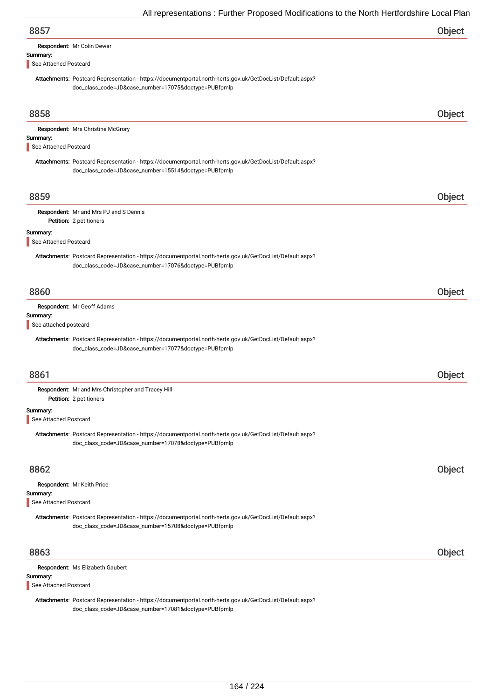|                                   | All representations. Further Froposed Modifications to the North Hertfordshire Local Fial                                                                         |        |
|-----------------------------------|-------------------------------------------------------------------------------------------------------------------------------------------------------------------|--------|
| 8857                              |                                                                                                                                                                   | Object |
|                                   | Respondent: Mr Colin Dewar                                                                                                                                        |        |
| Summary:<br>See Attached Postcard |                                                                                                                                                                   |        |
|                                   | Attachments: Postcard Representation - https://documentportal.north-herts.gov.uk/GetDocList/Default.aspx?                                                         |        |
|                                   | doc_class_code=JD&case_number=17075&doctype=PUBfpmlp                                                                                                              |        |
| 8858                              |                                                                                                                                                                   | Object |
|                                   | Respondent: Mrs Christine McGrory                                                                                                                                 |        |
| Summary:<br>See Attached Postcard |                                                                                                                                                                   |        |
|                                   | Attachments: Postcard Representation - https://documentportal.north-herts.gov.uk/GetDocList/Default.aspx?<br>doc_class_code=JD&case_number=15514&doctype=PUBfpmlp |        |
| 8859                              |                                                                                                                                                                   | Object |
|                                   | Respondent: Mr and Mrs PJ and S Dennis<br>Petition: 2 petitioners                                                                                                 |        |
| Summary:<br>See Attached Postcard |                                                                                                                                                                   |        |
|                                   | Attachments: Postcard Representation - https://documentportal.north-herts.gov.uk/GetDocList/Default.aspx?<br>doc_class_code=JD&case_number=17076&doctype=PUBfpmlp |        |
| 8860                              |                                                                                                                                                                   | Object |
|                                   | Respondent: Mr Geoff Adams                                                                                                                                        |        |
| Summary:<br>See attached postcard |                                                                                                                                                                   |        |
|                                   | Attachments: Postcard Representation - https://documentportal.north-herts.gov.uk/GetDocList/Default.aspx?<br>doc_class_code=JD&case_number=17077&doctype=PUBfpmlp |        |
| 8861                              |                                                                                                                                                                   | Object |
|                                   | Respondent: Mr and Mrs Christopher and Tracey Hill                                                                                                                |        |
| Summary:                          | Petition: 2 petitioners                                                                                                                                           |        |
| See Attached Postcard             |                                                                                                                                                                   |        |
|                                   | Attachments: Postcard Representation - https://documentportal.north-herts.gov.uk/GetDocList/Default.aspx?<br>doc_class_code=JD&case_number=17078&doctype=PUBfpmlp |        |
| 8862                              |                                                                                                                                                                   | Object |
|                                   | Respondent: Mr Keith Price                                                                                                                                        |        |
| Summary:<br>See Attached Postcard |                                                                                                                                                                   |        |
|                                   | Attachments: Postcard Representation - https://documentportal.north-herts.gov.uk/GetDocList/Default.aspx?<br>doc_class_code=JD&case_number=15708&doctype=PUBfpmlp |        |
| 8863                              |                                                                                                                                                                   | Object |
|                                   | Respondent: Ms Elizabeth Gaubert                                                                                                                                  |        |

Attachments: Postcard Representation - https://documentportal.north-herts.gov.uk/GetDocList/Default.aspx? doc\_class\_code=JD&case\_number=17081&doctype=PUBfpmlp

Summary:

See Attached Postcard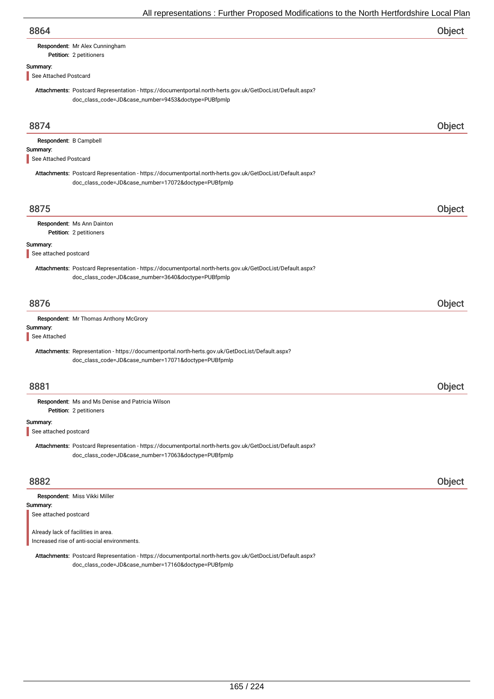# Respondent: Mr Alex Cunningham

Petition: 2 petitioners

# Summary:

See Attached Postcard

Attachments: Postcard Representation - https://documentportal.north-herts.gov.uk/GetDocList/Default.aspx? doc\_class\_code=JD&case\_number=9453&doctype=PUBfpmlp

| 8874                                                        |                                                                                                                                                                   | Object        |
|-------------------------------------------------------------|-------------------------------------------------------------------------------------------------------------------------------------------------------------------|---------------|
| Respondent: B Campbell<br>Summary:<br>See Attached Postcard |                                                                                                                                                                   |               |
|                                                             | Attachments: Postcard Representation - https://documentportal.north-herts.gov.uk/GetDocList/Default.aspx?<br>doc_class_code=JD&case_number=17072&doctype=PUBfpmlp |               |
| 8875                                                        |                                                                                                                                                                   | Object        |
|                                                             | Respondent: Ms Ann Dainton<br>Petition: 2 petitioners                                                                                                             |               |
| Summary:<br>See attached postcard                           |                                                                                                                                                                   |               |
|                                                             | Attachments: Postcard Representation - https://documentportal.north-herts.gov.uk/GetDocList/Default.aspx?<br>doc_class_code=JD&case_number=3640&doctype=PUBfpmlp  |               |
| 8876                                                        |                                                                                                                                                                   | <b>Object</b> |
| Summary:<br>See Attached                                    | Respondent: Mr Thomas Anthony McGrory                                                                                                                             |               |
|                                                             | Attachments: Representation - https://documentportal.north-herts.gov.uk/GetDocList/Default.aspx?<br>doc_class_code=JD&case_number=17071&doctype=PUBfpmlp          |               |
| 8881                                                        |                                                                                                                                                                   | Object        |
|                                                             | Respondent: Ms and Ms Denise and Patricia Wilson<br>Petition: 2 petitioners                                                                                       |               |
| Summary:<br>See attached postcard                           |                                                                                                                                                                   |               |
|                                                             | Attachments: Postcard Representation - https://documentportal.north-herts.gov.uk/GetDocList/Default.aspx?<br>doc_class_code=JD&case_number=17063&doctype=PUBfpmlp |               |
| 8882                                                        |                                                                                                                                                                   | Object        |
| Summary:<br>See attached postcard                           | Respondent: Miss Vikki Miller                                                                                                                                     |               |

Already lack of facilities in area. Increased rise of anti-social environments.

Attachments: Postcard Representation - https://documentportal.north-herts.gov.uk/GetDocList/Default.aspx? doc\_class\_code=JD&case\_number=17160&doctype=PUBfpmlp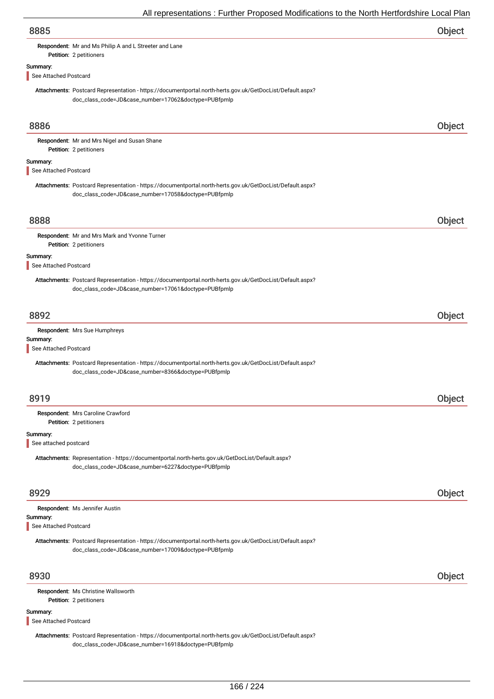|                                   | An representations. Further Froposca modifications to the north richtorushine Local Fia                                                                           |        |
|-----------------------------------|-------------------------------------------------------------------------------------------------------------------------------------------------------------------|--------|
| 8885                              |                                                                                                                                                                   | Object |
|                                   | Respondent: Mr and Ms Philip A and L Streeter and Lane                                                                                                            |        |
|                                   | Petition: 2 petitioners                                                                                                                                           |        |
| Summary:<br>See Attached Postcard |                                                                                                                                                                   |        |
|                                   |                                                                                                                                                                   |        |
|                                   | Attachments: Postcard Representation - https://documentportal.north-herts.gov.uk/GetDocList/Default.aspx?<br>doc_class_code=JD&case_number=17062&doctype=PUBfpmlp |        |
| 8886                              |                                                                                                                                                                   | Object |
|                                   | Respondent: Mr and Mrs Nigel and Susan Shane<br>Petition: 2 petitioners                                                                                           |        |
| Summary:<br>See Attached Postcard |                                                                                                                                                                   |        |
|                                   | Attachments: Postcard Representation - https://documentportal.north-herts.gov.uk/GetDocList/Default.aspx?<br>doc_class_code=JD&case_number=17058&doctype=PUBfpmlp |        |
| 8888                              |                                                                                                                                                                   | Object |
|                                   | Respondent: Mr and Mrs Mark and Yvonne Turner<br>Petition: 2 petitioners                                                                                          |        |
| Summary:<br>See Attached Postcard |                                                                                                                                                                   |        |
|                                   | Attachments: Postcard Representation - https://documentportal.north-herts.gov.uk/GetDocList/Default.aspx?<br>doc_class_code=JD&case_number=17061&doctype=PUBfpmlp |        |
| 8892                              |                                                                                                                                                                   | Object |
|                                   | Respondent: Mrs Sue Humphreys                                                                                                                                     |        |
| Summary:<br>See Attached Postcard |                                                                                                                                                                   |        |
|                                   | Attachments: Postcard Representation - https://documentportal.north-herts.gov.uk/GetDocList/Default.aspx?<br>doc_class_code=JD&case_number=8366&doctype=PUBfpmlp  |        |
| 8919                              |                                                                                                                                                                   | Object |
|                                   | Respondent: Mrs Caroline Crawford<br>Petition: 2 petitioners                                                                                                      |        |
| Summary:<br>See attached postcard |                                                                                                                                                                   |        |
|                                   | Attachments: Representation - https://documentportal.north-herts.gov.uk/GetDocList/Default.aspx?<br>doc_class_code=JD&case_number=6227&doctype=PUBfpmlp           |        |
| 8929                              |                                                                                                                                                                   | Object |
|                                   | Respondent: Ms Jennifer Austin                                                                                                                                    |        |
| Summary:<br>See Attached Postcard |                                                                                                                                                                   |        |
|                                   | Attachments: Postcard Representation - https://documentportal.north-herts.gov.uk/GetDocList/Default.aspx?<br>doc_class_code=JD&case_number=17009&doctype=PUBfpmlp |        |
| 8930                              |                                                                                                                                                                   | Object |
|                                   | Respondent: Ms Christine Wallsworth<br>Petition: 2 petitioners                                                                                                    |        |
| Summary:<br>See Attached Postcard |                                                                                                                                                                   |        |

Attachments: Postcard Representation - https://documentportal.north-herts.gov.uk/GetDocList/Default.aspx? doc\_class\_code=JD&case\_number=16918&doctype=PUBfpmlp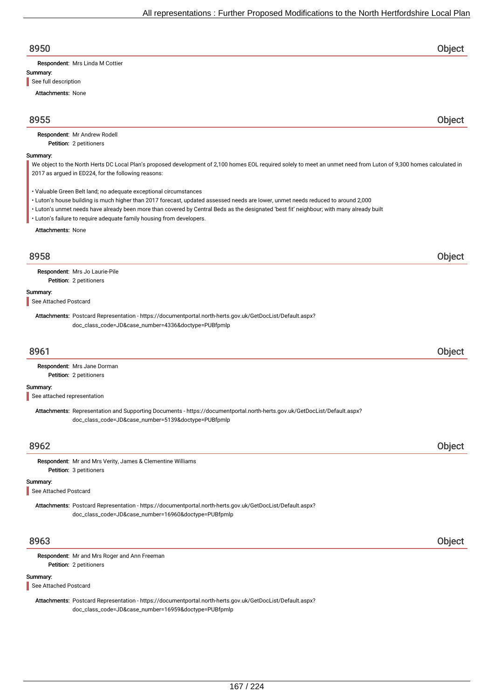| 8950                                                                                                                                                                                                                      | <b>Object</b> |
|---------------------------------------------------------------------------------------------------------------------------------------------------------------------------------------------------------------------------|---------------|
| Respondent: Mrs Linda M Cottier                                                                                                                                                                                           |               |
| Summary:                                                                                                                                                                                                                  |               |
| See full description                                                                                                                                                                                                      |               |
| <b>Attachments: None</b>                                                                                                                                                                                                  |               |
| 8955                                                                                                                                                                                                                      | Object        |
| Respondent: Mr Andrew Rodell<br>Petition: 2 petitioners                                                                                                                                                                   |               |
| Summary:                                                                                                                                                                                                                  |               |
| We object to the North Herts DC Local Plan's proposed development of 2,100 homes EOL required solely to meet an unmet need from Luton of 9,300 homes calculated in<br>2017 as argued in ED224, for the following reasons: |               |
| • Valuable Green Belt land; no adequate exceptional circumstances<br>• Luton's house building is much higher than 2017 forecast, updated assessed needs are lower, unmet needs reduced to around 2,000                    |               |
| · Luton's unmet needs have already been more than covered by Central Beds as the designated 'best fit' neighbour; with many already built<br>• Luton's failure to require adequate family housing from developers.        |               |
| <b>Attachments: None</b>                                                                                                                                                                                                  |               |
| 8958                                                                                                                                                                                                                      | Object        |
| Respondent: Mrs Jo Laurie-Pile                                                                                                                                                                                            |               |
| Petition: 2 petitioners                                                                                                                                                                                                   |               |
| Summary:                                                                                                                                                                                                                  |               |
| See Attached Postcard                                                                                                                                                                                                     |               |
| Attachments: Postcard Representation - https://documentportal.north-herts.gov.uk/GetDocList/Default.aspx?<br>doc_class_code=JD&case_number=4336&doctype=PUBfpmlp                                                          |               |
| 8961                                                                                                                                                                                                                      | Object        |
| Respondent: Mrs Jane Dorman                                                                                                                                                                                               |               |
| Petition: 2 petitioners                                                                                                                                                                                                   |               |
| Summary:                                                                                                                                                                                                                  |               |
| See attached representation                                                                                                                                                                                               |               |
| Attachments: Representation and Supporting Documents - https://documentportal.north-herts.gov.uk/GetDocList/Default.aspx?<br>doc_class_code=JD&case_number=5139&doctype=PUBfpmlp                                          |               |
| 8962                                                                                                                                                                                                                      | Object        |
| Respondent: Mr and Mrs Verity, James & Clementine Williams                                                                                                                                                                |               |
| Petition: 3 petitioners                                                                                                                                                                                                   |               |
| Summary:<br>See Attached Postcard                                                                                                                                                                                         |               |
| Attachments: Postcard Representation - https://documentportal.north-herts.gov.uk/GetDocList/Default.aspx?<br>doc_class_code=JD&case_number=16960&doctype=PUBfpmlp                                                         |               |
| 8963                                                                                                                                                                                                                      | Object        |
| Respondent: Mr and Mrs Roger and Ann Freeman                                                                                                                                                                              |               |
| Petition: 2 petitioners                                                                                                                                                                                                   |               |

## Summary:

See Attached Postcard

Attachments: Postcard Representation - https://documentportal.north-herts.gov.uk/GetDocList/Default.aspx? doc\_class\_code=JD&case\_number=16959&doctype=PUBfpmlp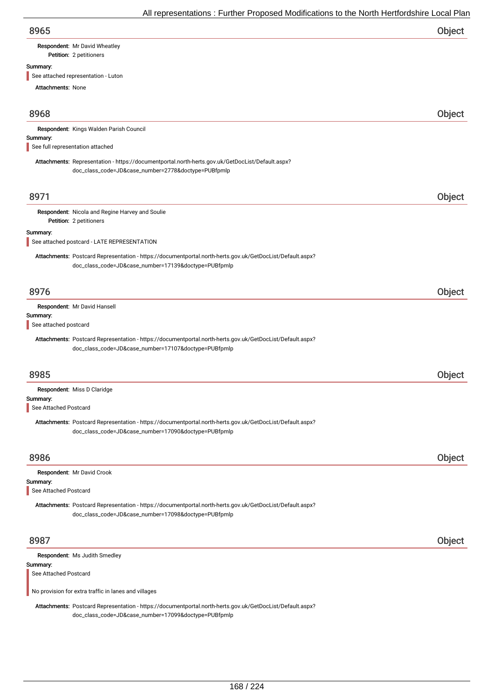| 8965 | Object |
|------|--------|
|      |        |

# Respondent: Mr David Wheatley

Petition: 2 petitioners

## Summary:

See attached representation - Luton

| <b>Attachments: None</b>                                                                                                                                          |               |
|-------------------------------------------------------------------------------------------------------------------------------------------------------------------|---------------|
| 8968                                                                                                                                                              | Object        |
| Respondent: Kings Walden Parish Council                                                                                                                           |               |
| Summary:<br>See full representation attached                                                                                                                      |               |
| Attachments: Representation - https://documentportal.north-herts.gov.uk/GetDocList/Default.aspx?<br>doc_class_code=JD&case_number=2778&doctype=PUBfpmlp           |               |
| 8971                                                                                                                                                              | <b>Object</b> |
| Respondent: Nicola and Regine Harvey and Soulie<br>Petition: 2 petitioners                                                                                        |               |
| Summary:<br>See attached postcard - LATE REPRESENTATION                                                                                                           |               |
| Attachments: Postcard Representation - https://documentportal.north-herts.gov.uk/GetDocList/Default.aspx?<br>doc_class_code=JD&case_number=17139&doctype=PUBfpmlp |               |
| 8976                                                                                                                                                              | Object        |
| Respondent: Mr David Hansell<br>Summary:<br>See attached postcard                                                                                                 |               |
| Attachments: Postcard Representation - https://documentportal.north-herts.gov.uk/GetDocList/Default.aspx?<br>doc_class_code=JD&case_number=17107&doctype=PUBfpmlp |               |
| 8985                                                                                                                                                              | Object        |
| Respondent: Miss D Claridge<br>Summary:<br>See Attached Postcard                                                                                                  |               |
| Attachments: Postcard Representation - https://documentportal.north-herts.gov.uk/GetDocList/Default.aspx?<br>doc_class_code=JD&case_number=17090&doctype=PUBfpmlp |               |
| 8986                                                                                                                                                              | Object        |
| Respondent: Mr David Crook<br>Summary:<br>See Attached Postcard                                                                                                   |               |
| Attachments: Postcard Representation - https://documentportal.north-herts.gov.uk/GetDocList/Default.aspx?<br>doc_class_code=JD&case_number=17098&doctype=PUBfpmlp |               |
| 8987                                                                                                                                                              | Object        |
| Respondent: Ms Judith Smedley                                                                                                                                     |               |
| Summary:<br>See Attached Postcard                                                                                                                                 |               |
| No provision for extra traffic in lanes and villages                                                                                                              |               |

Attachments: Postcard Representation - https://documentportal.north-herts.gov.uk/GetDocList/Default.aspx? doc\_class\_code=JD&case\_number=17099&doctype=PUBfpmlp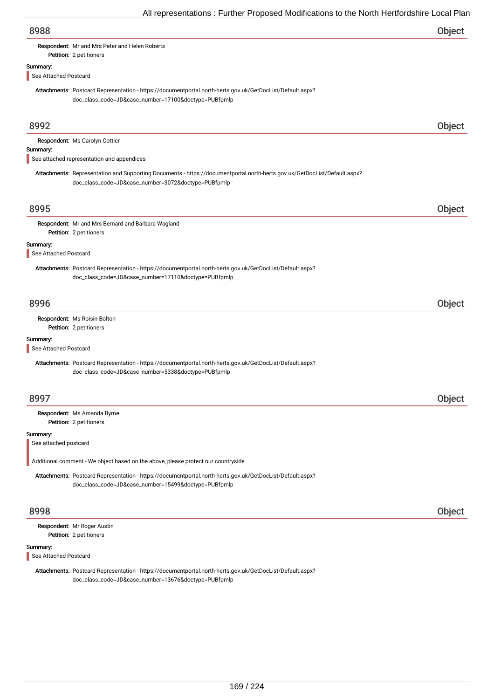| procentations in anthon respects modifications to the richtimetric domic Local is                                                                                                |        |
|----------------------------------------------------------------------------------------------------------------------------------------------------------------------------------|--------|
| 8988                                                                                                                                                                             | Object |
| Respondent: Mr and Mrs Peter and Helen Roberts<br>Petition: 2 petitioners                                                                                                        |        |
|                                                                                                                                                                                  |        |
| Summary:<br>See Attached Postcard                                                                                                                                                |        |
| Attachments: Postcard Representation - https://documentportal.north-herts.gov.uk/GetDocList/Default.aspx?<br>doc_class_code=JD&case_number=17100&doctype=PUBfpmlp                |        |
| 8992                                                                                                                                                                             | Object |
|                                                                                                                                                                                  |        |
| Respondent: Ms Carolyn Cottier                                                                                                                                                   |        |
| Summary:<br>See attached representation and appendices                                                                                                                           |        |
| Attachments: Representation and Supporting Documents - https://documentportal.north-herts.gov.uk/GetDocList/Default.aspx?<br>doc_class_code=JD&case_number=3072&doctype=PUBfpmlp |        |
| 8995                                                                                                                                                                             | Object |
|                                                                                                                                                                                  |        |
| Respondent: Mr and Mrs Bernard and Barbara Wagland<br>Petition: 2 petitioners                                                                                                    |        |
| Summary:                                                                                                                                                                         |        |
| See Attached Postcard                                                                                                                                                            |        |
| Attachments: Postcard Representation - https://documentportal.north-herts.gov.uk/GetDocList/Default.aspx?<br>doc_class_code=JD&case_number=17110&doctype=PUBfpmlp                |        |
|                                                                                                                                                                                  |        |
| 8996                                                                                                                                                                             | Object |
| Respondent: Ms Roisin Bolton<br>Petition: 2 petitioners                                                                                                                          |        |
| Summary:                                                                                                                                                                         |        |
| See Attached Postcard                                                                                                                                                            |        |
| Attachments: Postcard Representation - https://documentportal.north-herts.gov.uk/GetDocList/Default.aspx?<br>doc_class_code=JD&case_number=5338&doctype=PUBfpmlp                 |        |
|                                                                                                                                                                                  |        |
| 8997                                                                                                                                                                             | Object |
|                                                                                                                                                                                  |        |
| Respondent: Ms Amanda Byrne<br>Petition: 2 petitioners                                                                                                                           |        |
| Summary:<br>See attached postcard                                                                                                                                                |        |
| Additional comment - We object based on the above, please protect our countryside                                                                                                |        |
| Attachments: Postcard Representation - https://documentportal.north-herts.gov.uk/GetDocList/Default.aspx?                                                                        |        |
| doc_class_code=JD&case_number=15499&doctype=PUBfpmlp                                                                                                                             |        |
| 8998                                                                                                                                                                             | Object |
| Respondent: Mr Roger Austin                                                                                                                                                      |        |
| Petition: 2 petitioners                                                                                                                                                          |        |
| Summary:<br>See Attached Postcard                                                                                                                                                |        |
| Attachments: Postcard Representation - https://documentportal.north-herts.gov.uk/GetDocList/Default.aspx?<br>doc_class_code=JD&case_number=13676&doctype=PUBfpmlp                |        |
|                                                                                                                                                                                  |        |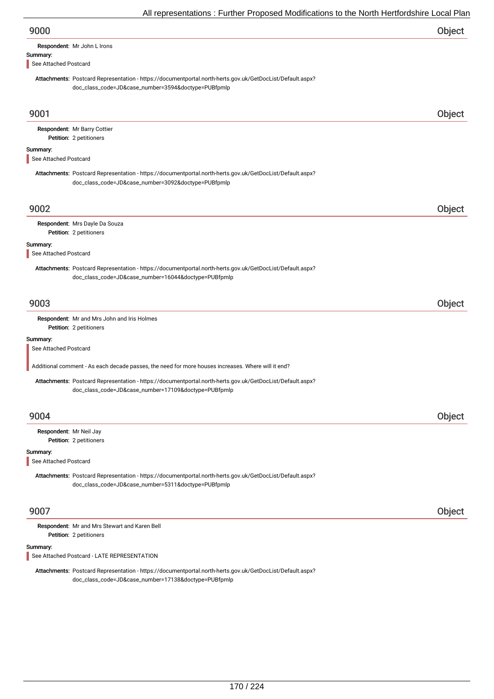| 9000 | Object |
|------|--------|
|------|--------|

| Respondent: Mr John L Irons |
|-----------------------------|
|                             |

# Summary:

See Attached Postcard

Attachments: Postcard Representation - https://documentportal.north-herts.gov.uk/GetDocList/Default.aspx? doc\_class\_code=JD&case\_number=3594&doctype=PUBfpmlp

| 9001                                                                                                                                                              | Object |
|-------------------------------------------------------------------------------------------------------------------------------------------------------------------|--------|
| Respondent: Mr Barry Cottier<br>Petition: 2 petitioners                                                                                                           |        |
| Summary:<br>See Attached Postcard                                                                                                                                 |        |
| Attachments: Postcard Representation - https://documentportal.north-herts.gov.uk/GetDocList/Default.aspx?<br>doc_class_code=JD&case_number=3092&doctype=PUBfpmlp  |        |
| 9002                                                                                                                                                              | Object |
| Respondent: Mrs Dayle Da Souza<br>Petition: 2 petitioners                                                                                                         |        |
| Summary:<br>See Attached Postcard                                                                                                                                 |        |
| Attachments: Postcard Representation - https://documentportal.north-herts.gov.uk/GetDocList/Default.aspx?<br>doc_class_code=JD&case_number=16044&doctype=PUBfpmlp |        |
| 9003                                                                                                                                                              | Object |
| Respondent: Mr and Mrs John and Iris Holmes<br>Petition: 2 petitioners                                                                                            |        |
| Summary:<br>See Attached Postcard                                                                                                                                 |        |
| Additional comment - As each decade passes, the need for more houses increases. Where will it end?                                                                |        |
| Attachments: Postcard Representation - https://documentportal.north-herts.gov.uk/GetDocList/Default.aspx?<br>doc_class_code=JD&case_number=17109&doctype=PUBfpmlp |        |
| 9004                                                                                                                                                              | Object |
| Respondent: Mr Neil Jay<br>Petition: 2 petitioners                                                                                                                |        |
| Summary:<br>See Attached Postcard                                                                                                                                 |        |
| Attachments: Postcard Representation - https://documentportal.north-herts.gov.uk/GetDocList/Default.aspx?<br>doc_class_code=JD&case_number=5311&doctype=PUBfpmlp  |        |
| 9007                                                                                                                                                              | Object |
| Respondent: Mr and Mrs Stewart and Karen Bell<br>Petition: 2 petitioners                                                                                          |        |
| Summary:<br>See Attached Postcard - LATE REPRESENTATION                                                                                                           |        |
| Attachments: Postcard Representation - https://documentportal.north-herts.gov.uk/GetDocList/Default.aspx?<br>doc_class_code=JD&case_number=17138&doctype=PUBfpmlp |        |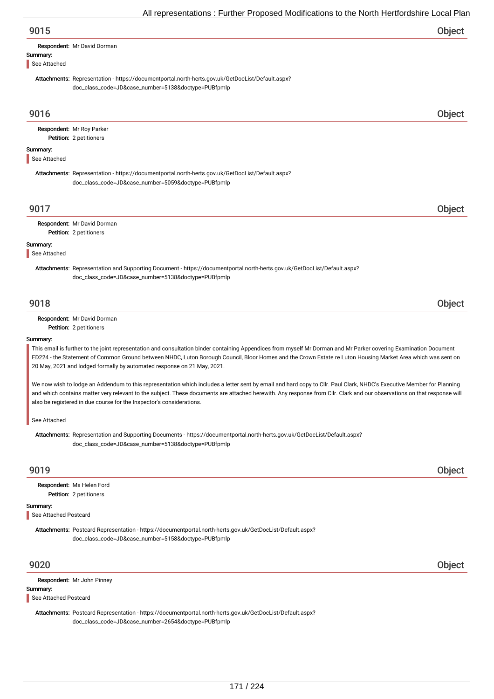|                          | All representations : Further Proposed Modifications to the North Hertfordshire Local Plan                                                                                      |        |
|--------------------------|---------------------------------------------------------------------------------------------------------------------------------------------------------------------------------|--------|
| 9015                     |                                                                                                                                                                                 | Object |
| Summary:<br>See Attached | Respondent: Mr David Dorman                                                                                                                                                     |        |
|                          | Attachments: Representation - https://documentportal.north-herts.gov.uk/GetDocList/Default.aspx?<br>doc_class_code=JD&case_number=5138&doctype=PUBfpmlp                         |        |
| 9016                     |                                                                                                                                                                                 | Object |
|                          | Respondent: Mr Roy Parker<br>Petition: 2 petitioners                                                                                                                            |        |
| Summary:<br>See Attached |                                                                                                                                                                                 |        |
|                          | Attachments: Representation - https://documentportal.north-herts.gov.uk/GetDocList/Default.aspx?<br>doc_class_code=JD&case_number=5059&doctype=PUBfpmlp                         |        |
| 9017                     |                                                                                                                                                                                 | Object |
|                          | Respondent: Mr David Dorman<br>Petition: 2 petitioners                                                                                                                          |        |
| Summary:<br>See Attached |                                                                                                                                                                                 |        |
|                          | Attachments: Representation and Supporting Document - https://documentportal.north-herts.gov.uk/GetDocList/Default.aspx?<br>doc_class_code=JD&case_number=5138&doctype=PUBfpmlp |        |
| 9018                     |                                                                                                                                                                                 | Object |
|                          | Respondent: Mr David Dorman<br>Petition: 2 petitioners                                                                                                                          |        |
| Summary:                 | This email is further to the joint representation and consultation binder containing Appendices from myself Mr Dorman and Mr Parker covering Examination Document               |        |

ED224 - the Statement of Common Ground between NHDC, Luton Borough Council, Bloor Homes and the Crown Estate re Luton Housing Market Area which was sent on 20 May, 2021 and lodged formally by automated response on 21 May, 2021.

We now wish to lodge an Addendum to this representation which includes a letter sent by email and hard copy to Cllr. Paul Clark, NHDC's Executive Member for Planning and which contains matter very relevant to the subject. These documents are attached herewith. Any response from Cllr. Clark and our observations on that response will also be registered in due course for the Inspector's considerations.

See Attached

Attachments: Representation and Supporting Documents - https://documentportal.north-herts.gov.uk/GetDocList/Default.aspx? doc\_class\_code=JD&case\_number=5138&doctype=PUBfpmlp

# 9019 Object

Petition: 2 petitioners Respondent: Ms Helen Ford

## Summary:

See Attached Postcard

Attachments: Postcard Representation - https://documentportal.north-herts.gov.uk/GetDocList/Default.aspx? doc\_class\_code=JD&case\_number=5158&doctype=PUBfpmlp

9020 Object

Summary: Respondent: Mr John Pinney

## See Attached Postcard

Attachments: Postcard Representation - https://documentportal.north-herts.gov.uk/GetDocList/Default.aspx? doc\_class\_code=JD&case\_number=2654&doctype=PUBfpmlp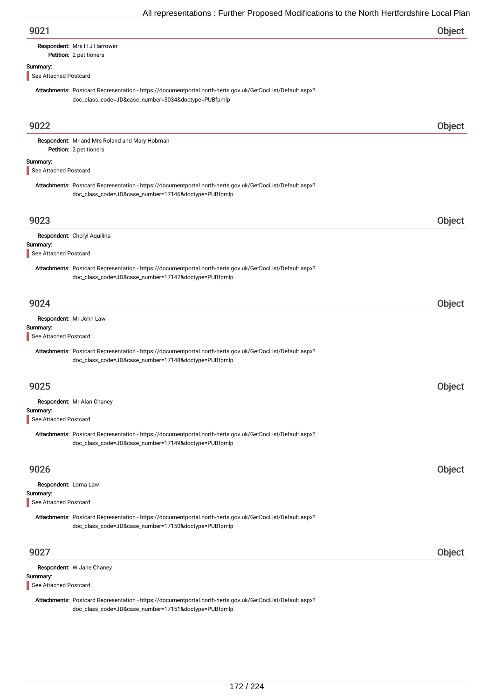| 9021 | Object |
|------|--------|
|------|--------|

## Petition: 2 petitioners Respondent: Mrs H J Harrower

Summary:

# See Attached Postcard

Attachments: Postcard Representation - https://documentportal.north-herts.gov.uk/GetDocList/Default.aspx? doc\_class\_code=JD&case\_number=5034&doctype=PUBfpmlp

| 9022                                                       |                                                                                                                                                                   | Object |
|------------------------------------------------------------|-------------------------------------------------------------------------------------------------------------------------------------------------------------------|--------|
|                                                            | Respondent: Mr and Mrs Roland and Mary Hobman<br>Petition: 2 petitioners                                                                                          |        |
| Summary:<br>See Attached Postcard                          |                                                                                                                                                                   |        |
|                                                            | Attachments: Postcard Representation - https://documentportal.north-herts.gov.uk/GetDocList/Default.aspx?<br>doc_class_code=JD&case_number=17146&doctype=PUBfpmlp |        |
| 9023                                                       |                                                                                                                                                                   | Object |
| Summary:<br>See Attached Postcard                          | Respondent: Cheryl Aquilina                                                                                                                                       |        |
|                                                            | Attachments: Postcard Representation - https://documentportal.north-herts.gov.uk/GetDocList/Default.aspx?<br>doc_class_code=JD&case_number=17147&doctype=PUBfpmlp |        |
| 9024                                                       |                                                                                                                                                                   | Object |
| Summary:<br>See Attached Postcard                          | Respondent: Mr John Law                                                                                                                                           |        |
|                                                            | Attachments: Postcard Representation - https://documentportal.north-herts.gov.uk/GetDocList/Default.aspx?<br>doc_class_code=JD&case_number=17148&doctype=PUBfpmlp |        |
| 9025                                                       |                                                                                                                                                                   | Object |
| Summary:<br>See Attached Postcard                          | Respondent: Mr Alan Chaney                                                                                                                                        |        |
|                                                            | Attachments: Postcard Representation - https://documentportal.north-herts.gov.uk/GetDocList/Default.aspx?<br>doc_class_code=JD&case_number=17149&doctype=PUBfpmlp |        |
| 9026                                                       |                                                                                                                                                                   | Object |
| Respondent: Lorna Law<br>Summary:<br>See Attached Postcard |                                                                                                                                                                   |        |
|                                                            | Attachments: Postcard Representation - https://documentportal.north-herts.gov.uk/GetDocList/Default.aspx?<br>doc_class_code=JD&case_number=17150&doctype=PUBfpmlp |        |
| 9027                                                       |                                                                                                                                                                   | Object |
| Summary:<br>See Attached Postcard                          | Respondent: W Jane Chaney                                                                                                                                         |        |

Attachments: Postcard Representation - https://documentportal.north-herts.gov.uk/GetDocList/Default.aspx? doc\_class\_code=JD&case\_number=17151&doctype=PUBfpmlp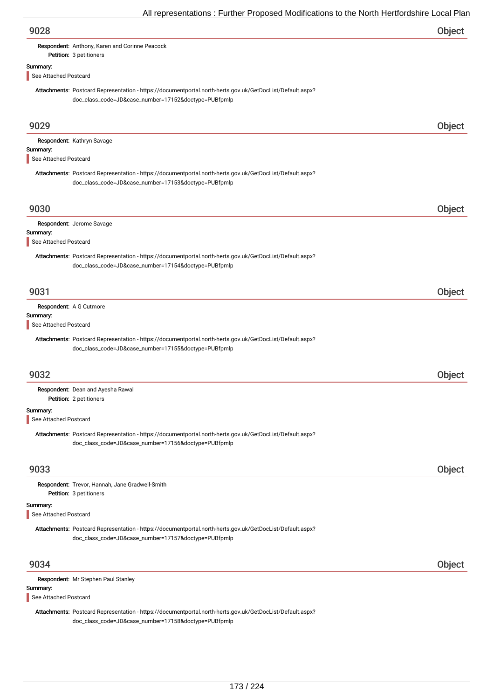|                                   | $\frac{1}{2}$ and operation of the control theorem constructed to the indicated ability Ecodi in                                                                  |        |
|-----------------------------------|-------------------------------------------------------------------------------------------------------------------------------------------------------------------|--------|
| 9028                              |                                                                                                                                                                   | Object |
|                                   | Respondent: Anthony, Karen and Corinne Peacock<br>Petition: 3 petitioners                                                                                         |        |
| Summary:                          |                                                                                                                                                                   |        |
| See Attached Postcard             |                                                                                                                                                                   |        |
|                                   | Attachments: Postcard Representation - https://documentportal.north-herts.gov.uk/GetDocList/Default.aspx?<br>doc_class_code=JD&case_number=17152&doctype=PUBfpmlp |        |
| 9029                              |                                                                                                                                                                   | Object |
| Summary:                          | Respondent: Kathryn Savage                                                                                                                                        |        |
| See Attached Postcard             |                                                                                                                                                                   |        |
|                                   | Attachments: Postcard Representation - https://documentportal.north-herts.gov.uk/GetDocList/Default.aspx?<br>doc_class_code=JD&case_number=17153&doctype=PUBfpmlp |        |
| 9030                              |                                                                                                                                                                   | Object |
|                                   | Respondent: Jerome Savage                                                                                                                                         |        |
| Summary:<br>See Attached Postcard |                                                                                                                                                                   |        |
|                                   | Attachments: Postcard Representation - https://documentportal.north-herts.gov.uk/GetDocList/Default.aspx?<br>doc_class_code=JD&case_number=17154&doctype=PUBfpmlp |        |
| 9031                              |                                                                                                                                                                   | Object |
|                                   | Respondent: A G Cutmore                                                                                                                                           |        |
| Summary:<br>See Attached Postcard |                                                                                                                                                                   |        |
|                                   | Attachments: Postcard Representation - https://documentportal.north-herts.gov.uk/GetDocList/Default.aspx?<br>doc_class_code=JD&case_number=17155&doctype=PUBfpmlp |        |
| 9032                              |                                                                                                                                                                   | Object |
|                                   | Respondent: Dean and Ayesha Rawal<br>Petition: 2 petitioners                                                                                                      |        |
| Summary:                          |                                                                                                                                                                   |        |
| See Attached Postcard             |                                                                                                                                                                   |        |
|                                   | Attachments: Postcard Representation - https://documentportal.north-herts.gov.uk/GetDocList/Default.aspx?<br>doc_class_code=JD&case_number=17156&doctype=PUBfpmlp |        |
| 9033                              |                                                                                                                                                                   | Object |
|                                   | Respondent: Trevor, Hannah, Jane Gradwell-Smith<br>Petition: 3 petitioners                                                                                        |        |
| Summary:<br>See Attached Postcard |                                                                                                                                                                   |        |
|                                   | Attachments: Postcard Representation - https://documentportal.north-herts.gov.uk/GetDocList/Default.aspx?<br>doc_class_code=JD&case_number=17157&doctype=PUBfpmlp |        |
| 9034                              |                                                                                                                                                                   | Object |
|                                   | Respondent: Mr Stephen Paul Stanley                                                                                                                               |        |
| Summary:<br>See Attached Postcard |                                                                                                                                                                   |        |
|                                   | Attachments: Postcard Representation - https://documentportal.north-herts.gov.uk/GetDocList/Default.aspx?<br>doc_class_code=JD&case_number=17158&doctype=PUBfpmlp |        |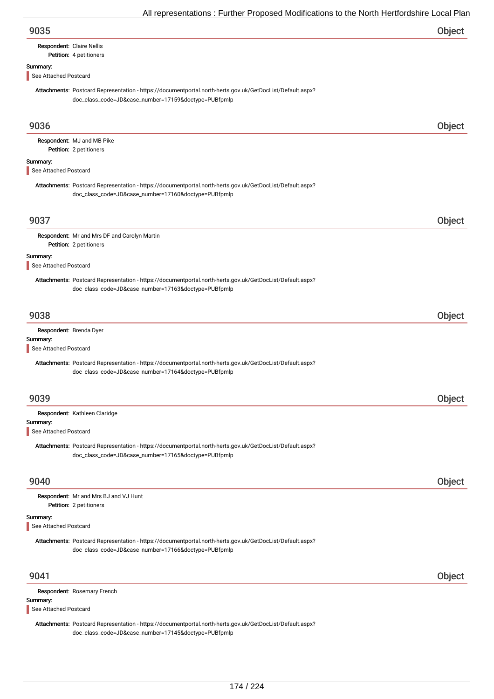| 9035 | Object |
|------|--------|
|      |        |

## Respondent: Claire Nellis

## Petition: 4 petitioners

## Summary:

See Attached Postcard

Attachments: Postcard Representation - https://documentportal.north-herts.gov.uk/GetDocList/Default.aspx? doc\_class\_code=JD&case\_number=17159&doctype=PUBfpmlp

| 9036                                |                                                                                                                                                                   | Object |
|-------------------------------------|-------------------------------------------------------------------------------------------------------------------------------------------------------------------|--------|
|                                     | Respondent: MJ and MB Pike                                                                                                                                        |        |
|                                     | Petition: 2 petitioners                                                                                                                                           |        |
| Summary:<br>See Attached Postcard   |                                                                                                                                                                   |        |
|                                     | Attachments: Postcard Representation - https://documentportal.north-herts.gov.uk/GetDocList/Default.aspx?<br>doc_class_code=JD&case_number=17160&doctype=PUBfpmlp |        |
| 9037                                |                                                                                                                                                                   | Object |
|                                     | Respondent: Mr and Mrs DF and Carolyn Martin<br>Petition: 2 petitioners                                                                                           |        |
|                                     |                                                                                                                                                                   |        |
| Summary:<br>See Attached Postcard   |                                                                                                                                                                   |        |
|                                     | Attachments: Postcard Representation - https://documentportal.north-herts.gov.uk/GetDocList/Default.aspx?<br>doc_class_code=JD&case_number=17163&doctype=PUBfpmlp |        |
| 9038                                |                                                                                                                                                                   | Object |
| Respondent: Brenda Dyer<br>Summary: |                                                                                                                                                                   |        |
| See Attached Postcard               |                                                                                                                                                                   |        |
|                                     | Attachments: Postcard Representation - https://documentportal.north-herts.gov.uk/GetDocList/Default.aspx?<br>doc_class_code=JD&case_number=17164&doctype=PUBfpmlp |        |
| 9039                                |                                                                                                                                                                   | Object |
|                                     | Respondent: Kathleen Claridge                                                                                                                                     |        |
| Summary:<br>See Attached Postcard   |                                                                                                                                                                   |        |
|                                     | Attachments: Postcard Representation - https://documentportal.north-herts.gov.uk/GetDocList/Default.aspx?<br>doc_class_code=JD&case_number=17165&doctype=PUBfpmlp |        |
| 9040                                |                                                                                                                                                                   | Object |
|                                     | Respondent: Mr and Mrs BJ and VJ Hunt<br>Petition: 2 petitioners                                                                                                  |        |
| Summary:                            |                                                                                                                                                                   |        |
| See Attached Postcard               |                                                                                                                                                                   |        |
|                                     | Attachments: Postcard Representation - https://documentportal.north-herts.gov.uk/GetDocList/Default.aspx?<br>doc_class_code=JD&case_number=17166&doctype=PUBfpmlp |        |
| 9041                                |                                                                                                                                                                   | Object |
| Summary:<br>See Attached Postcard   | Respondent: Rosemary French                                                                                                                                       |        |
|                                     | Attachments: Postcard Representation - https://documentportal.north-herts.gov.uk/GetDocList/Default.aspx?<br>doc_class_code=JD&case_number=17145&doctype=PUBfpmlp |        |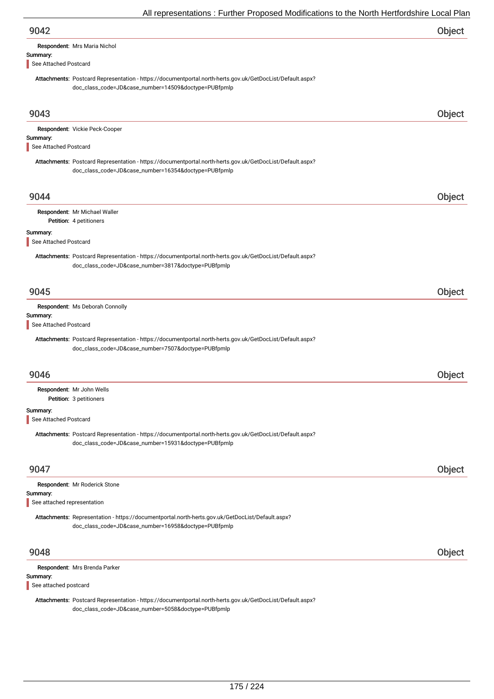|                                   | $\frac{1}{2}$ and operation of the characteristic construction of the characteristic condition of $\frac{1}{2}$                                                   |        |
|-----------------------------------|-------------------------------------------------------------------------------------------------------------------------------------------------------------------|--------|
| 9042                              |                                                                                                                                                                   | Object |
|                                   | Respondent: Mrs Maria Nichol                                                                                                                                      |        |
| Summary:                          |                                                                                                                                                                   |        |
| See Attached Postcard             |                                                                                                                                                                   |        |
|                                   | Attachments: Postcard Representation - https://documentportal.north-herts.gov.uk/GetDocList/Default.aspx?<br>doc_class_code=JD&case_number=14509&doctype=PUBfpmlp |        |
| 9043                              |                                                                                                                                                                   | Object |
|                                   | Respondent: Vickie Peck-Cooper                                                                                                                                    |        |
| Summary:                          |                                                                                                                                                                   |        |
| See Attached Postcard             |                                                                                                                                                                   |        |
|                                   | Attachments: Postcard Representation - https://documentportal.north-herts.gov.uk/GetDocList/Default.aspx?                                                         |        |
|                                   | doc_class_code=JD&case_number=16354&doctype=PUBfpmlp                                                                                                              |        |
|                                   |                                                                                                                                                                   |        |
| 9044                              |                                                                                                                                                                   | Object |
|                                   | Respondent: Mr Michael Waller                                                                                                                                     |        |
|                                   | Petition: 4 petitioners                                                                                                                                           |        |
| Summary:                          |                                                                                                                                                                   |        |
| See Attached Postcard             |                                                                                                                                                                   |        |
|                                   | Attachments: Postcard Representation - https://documentportal.north-herts.gov.uk/GetDocList/Default.aspx?<br>doc_class_code=JD&case_number=3817&doctype=PUBfpmlp  |        |
| 9045                              |                                                                                                                                                                   | Object |
|                                   | Respondent: Ms Deborah Connolly                                                                                                                                   |        |
| Summary:                          |                                                                                                                                                                   |        |
| See Attached Postcard             |                                                                                                                                                                   |        |
|                                   | Attachments: Postcard Representation - https://documentportal.north-herts.gov.uk/GetDocList/Default.aspx?<br>doc_class_code=JD&case_number=7507&doctype=PUBfpmlp  |        |
| 9046                              |                                                                                                                                                                   | Object |
|                                   |                                                                                                                                                                   |        |
|                                   | Respondent: Mr John Wells<br>Petition: 3 petitioners                                                                                                              |        |
|                                   |                                                                                                                                                                   |        |
| Summary:<br>See Attached Postcard |                                                                                                                                                                   |        |
|                                   |                                                                                                                                                                   |        |
|                                   | Attachments: Postcard Representation - https://documentportal.north-herts.gov.uk/GetDocList/Default.aspx?<br>doc_class_code=JD&case_number=15931&doctype=PUBfpmlp |        |
| 9047                              |                                                                                                                                                                   | Object |
|                                   | Respondent: Mr Roderick Stone                                                                                                                                     |        |
|                                   |                                                                                                                                                                   |        |

## Summary:

See attached representation

Attachments: Representation - https://documentportal.north-herts.gov.uk/GetDocList/Default.aspx? doc\_class\_code=JD&case\_number=16958&doctype=PUBfpmlp

| 9048 |                               |  |
|------|-------------------------------|--|
|      | Respondent: Mrs Brenda Parker |  |
|      | Summary:                      |  |

See attached postcard

Attachments: Postcard Representation - https://documentportal.north-herts.gov.uk/GetDocList/Default.aspx? doc\_class\_code=JD&case\_number=5058&doctype=PUBfpmlp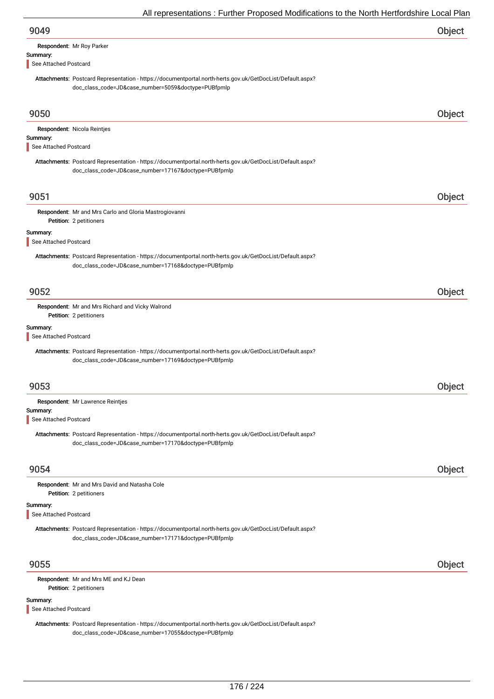|                                   | All representations . Further Froposed Modifications to the North Heritoruship Local Fial                                                                         |        |
|-----------------------------------|-------------------------------------------------------------------------------------------------------------------------------------------------------------------|--------|
| 9049                              |                                                                                                                                                                   | Object |
|                                   | Respondent: Mr Roy Parker                                                                                                                                         |        |
| Summary:<br>See Attached Postcard |                                                                                                                                                                   |        |
|                                   | Attachments: Postcard Representation - https://documentportal.north-herts.gov.uk/GetDocList/Default.aspx?<br>doc_class_code=JD&case_number=5059&doctype=PUBfpmlp  |        |
| 9050                              |                                                                                                                                                                   | Object |
|                                   | Respondent: Nicola Reintjes                                                                                                                                       |        |
| Summary:<br>See Attached Postcard |                                                                                                                                                                   |        |
|                                   | Attachments: Postcard Representation - https://documentportal.north-herts.gov.uk/GetDocList/Default.aspx?<br>doc_class_code=JD&case_number=17167&doctype=PUBfpmlp |        |
| 9051                              |                                                                                                                                                                   | Object |
|                                   | Respondent: Mr and Mrs Carlo and Gloria Mastrogiovanni<br>Petition: 2 petitioners                                                                                 |        |
| Summary:<br>See Attached Postcard |                                                                                                                                                                   |        |
|                                   | Attachments: Postcard Representation - https://documentportal.north-herts.gov.uk/GetDocList/Default.aspx?<br>doc_class_code=JD&case_number=17168&doctype=PUBfpmlp |        |
| 9052                              |                                                                                                                                                                   | Object |
|                                   | Respondent: Mr and Mrs Richard and Vicky Walrond<br>Petition: 2 petitioners                                                                                       |        |
| Summary:<br>See Attached Postcard |                                                                                                                                                                   |        |
|                                   | Attachments: Postcard Representation - https://documentportal.north-herts.gov.uk/GetDocList/Default.aspx?<br>doc_class_code=JD&case_number=17169&doctype=PUBfpmlp |        |
| 9053                              |                                                                                                                                                                   | Object |
|                                   | Respondent: Mr Lawrence Reintjes                                                                                                                                  |        |
| Summary:<br>See Attached Postcard |                                                                                                                                                                   |        |
|                                   | Attachments: Postcard Representation - https://documentportal.north-herts.gov.uk/GetDocList/Default.aspx?<br>doc_class_code=JD&case_number=17170&doctype=PUBfpmlp |        |
| 9054                              |                                                                                                                                                                   | Object |
|                                   | Respondent: Mr and Mrs David and Natasha Cole<br>Petition: 2 petitioners                                                                                          |        |
| Summary:<br>See Attached Postcard |                                                                                                                                                                   |        |
|                                   | Attachments: Postcard Representation - https://documentportal.north-herts.gov.uk/GetDocList/Default.aspx?<br>doc_class_code=JD&case_number=17171&doctype=PUBfpmlp |        |
| 9055                              |                                                                                                                                                                   | Object |
|                                   | Respondent: Mr and Mrs ME and KJ Dean<br>Petition: 2 petitioners                                                                                                  |        |
| Summary:<br>See Attached Postcard |                                                                                                                                                                   |        |
|                                   | Attachments: Postcard Representation - https://documentportal.north-herts.gov.uk/GetDocList/Default.aspx?                                                         |        |

doc\_class\_code=JD&case\_number=17055&doctype=PUBfpmlp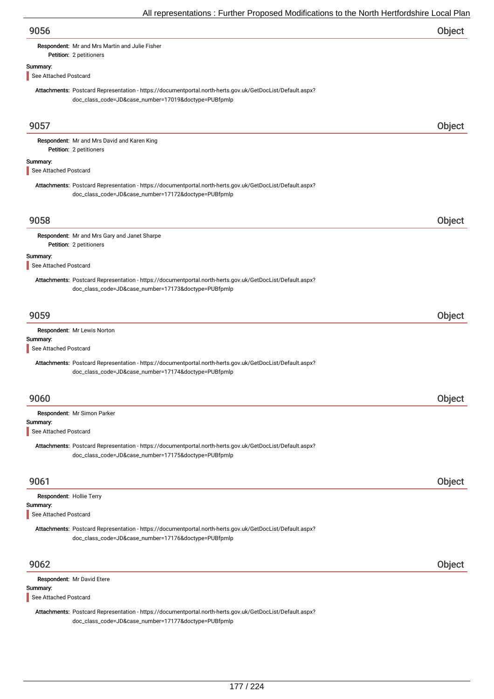# Respondent: Mr and Mrs Martin and Julie Fisher

Petition: 2 petitioners

# Summary:

See Attached Postcard

Attachments: Postcard Representation - https://documentportal.north-herts.gov.uk/GetDocList/Default.aspx? doc\_class\_code=JD&case\_number=17019&doctype=PUBfpmlp

| 9057                                                          |                                                                                                                                                                   | Object        |
|---------------------------------------------------------------|-------------------------------------------------------------------------------------------------------------------------------------------------------------------|---------------|
|                                                               | Respondent: Mr and Mrs David and Karen King<br>Petition: 2 petitioners                                                                                            |               |
| Summary:<br>See Attached Postcard                             |                                                                                                                                                                   |               |
|                                                               | Attachments: Postcard Representation - https://documentportal.north-herts.gov.uk/GetDocList/Default.aspx?<br>doc_class_code=JD&case_number=17172&doctype=PUBfpmlp |               |
| 9058                                                          |                                                                                                                                                                   | Object        |
|                                                               | Respondent: Mr and Mrs Gary and Janet Sharpe<br>Petition: 2 petitioners                                                                                           |               |
| Summary:<br>See Attached Postcard                             |                                                                                                                                                                   |               |
|                                                               | Attachments: Postcard Representation - https://documentportal.north-herts.gov.uk/GetDocList/Default.aspx?<br>doc_class_code=JD&case_number=17173&doctype=PUBfpmlp |               |
| 9059                                                          |                                                                                                                                                                   | Object        |
| Summary:<br>See Attached Postcard                             | Respondent: Mr Lewis Norton                                                                                                                                       |               |
|                                                               | Attachments: Postcard Representation - https://documentportal.north-herts.gov.uk/GetDocList/Default.aspx?<br>doc_class_code=JD&case_number=17174&doctype=PUBfpmlp |               |
| 9060                                                          |                                                                                                                                                                   | Object        |
| Summary:<br>See Attached Postcard                             | Respondent: Mr Simon Parker                                                                                                                                       |               |
|                                                               | Attachments: Postcard Representation - https://documentportal.north-herts.gov.uk/GetDocList/Default.aspx?<br>doc_class_code=JD&case_number=17175&doctype=PUBfpmlp |               |
| 9061                                                          |                                                                                                                                                                   | <b>Object</b> |
| Respondent: Hollie Terry<br>Summary:<br>See Attached Postcard |                                                                                                                                                                   |               |
|                                                               | Attachments: Postcard Representation - https://documentportal.north-herts.gov.uk/GetDocList/Default.aspx?<br>doc_class_code=JD&case_number=17176&doctype=PUBfpmlp |               |
| 9062                                                          |                                                                                                                                                                   | Object        |
| Summary:<br>See Attached Postcard                             | Respondent: Mr David Etere                                                                                                                                        |               |
|                                                               | Attachments: Postcard Representation - https://documentportal.north-herts.gov.uk/GetDocList/Default.aspx?<br>doc_class_code=JD&case_number=17177&doctype=PUBfpmlp |               |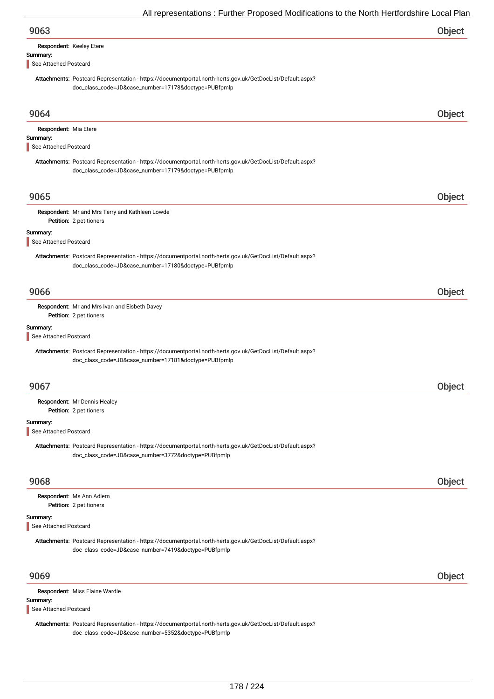| 9063                                                                                                                                                              | Object        |
|-------------------------------------------------------------------------------------------------------------------------------------------------------------------|---------------|
| Respondent: Keeley Etere                                                                                                                                          |               |
| Summary:<br>See Attached Postcard                                                                                                                                 |               |
| Attachments: Postcard Representation - https://documentportal.north-herts.gov.uk/GetDocList/Default.aspx?                                                         |               |
| doc_class_code=JD&case_number=17178&doctype=PUBfpmlp                                                                                                              |               |
| 9064                                                                                                                                                              | Object        |
| Respondent: Mia Etere                                                                                                                                             |               |
| Summary:<br>See Attached Postcard                                                                                                                                 |               |
| Attachments: Postcard Representation - https://documentportal.north-herts.gov.uk/GetDocList/Default.aspx?                                                         |               |
| doc_class_code=JD&case_number=17179&doctype=PUBfpmlp                                                                                                              |               |
|                                                                                                                                                                   |               |
| 9065                                                                                                                                                              | Object        |
| Respondent: Mr and Mrs Terry and Kathleen Lowde                                                                                                                   |               |
| Petition: 2 petitioners                                                                                                                                           |               |
| Summary:<br>See Attached Postcard                                                                                                                                 |               |
| Attachments: Postcard Representation - https://documentportal.north-herts.gov.uk/GetDocList/Default.aspx?<br>doc_class_code=JD&case_number=17180&doctype=PUBfpmlp |               |
|                                                                                                                                                                   |               |
| 9066                                                                                                                                                              | Object        |
| Respondent: Mr and Mrs Ivan and Eisbeth Davey<br>Petition: 2 petitioners                                                                                          |               |
| Summary:<br>See Attached Postcard                                                                                                                                 |               |
| Attachments: Postcard Representation - https://documentportal.north-herts.gov.uk/GetDocList/Default.aspx?                                                         |               |
| doc_class_code=JD&case_number=17181&doctype=PUBfpmlp                                                                                                              |               |
| 9067                                                                                                                                                              | <b>Object</b> |
| Respondent: Mr Dennis Healey                                                                                                                                      |               |
| Petition: 2 petitioners                                                                                                                                           |               |
| Summary:<br>See Attached Postcard                                                                                                                                 |               |
| Attachments: Postcard Representation - https://documentportal.north-herts.gov.uk/GetDocList/Default.aspx?                                                         |               |
| doc_class_code=JD&case_number=3772&doctype=PUBfpmlp                                                                                                               |               |
| 9068                                                                                                                                                              | Object        |
| Respondent: Ms Ann Adlem<br>Petition: 2 petitioners                                                                                                               |               |
| Summary:                                                                                                                                                          |               |
| See Attached Postcard                                                                                                                                             |               |
| Attachments: Postcard Representation - https://documentportal.north-herts.gov.uk/GetDocList/Default.aspx?<br>doc_class_code=JD&case_number=7419&doctype=PUBfpmlp  |               |
| 9069                                                                                                                                                              | Object        |
| Respondent: Miss Elaine Wardle                                                                                                                                    |               |
| Summary:                                                                                                                                                          |               |
| See Attached Postcard                                                                                                                                             |               |
|                                                                                                                                                                   |               |

Attachments: Postcard Representation - https://documentportal.north-herts.gov.uk/GetDocList/Default.aspx? doc\_class\_code=JD&case\_number=5352&doctype=PUBfpmlp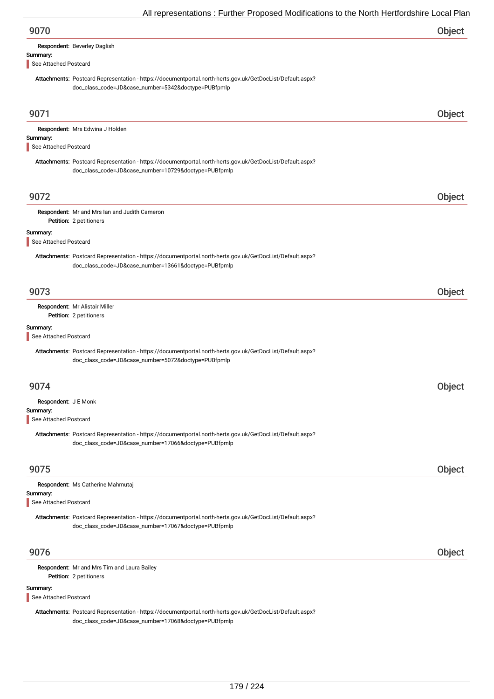| Respondent: Beverley Daglish                                                                                                                                      |                    |
|-------------------------------------------------------------------------------------------------------------------------------------------------------------------|--------------------|
| Summary:                                                                                                                                                          |                    |
| See Attached Postcard                                                                                                                                             |                    |
| Attachments: Postcard Representation - https://documentportal.north-herts.gov.uk/GetDocList/Default.aspx?<br>doc_class_code=JD&case_number=5342&doctype=PUBfpmlp  |                    |
| 9071                                                                                                                                                              | Objec <sup>+</sup> |
| Respondent: Mrs Edwina J Holden                                                                                                                                   |                    |
| Summary:                                                                                                                                                          |                    |
| See Attached Postcard                                                                                                                                             |                    |
| Attachments: Postcard Representation - https://documentportal.north-herts.gov.uk/GetDocList/Default.aspx?<br>doc_class_code=JD&case_number=10729&doctype=PUBfpmlp |                    |

Petition: 2 petitioners Respondent: Mr and Mrs Ian and Judith Cameron

## Summary:

See Attached Postcard

Attachments: Postcard Representation - https://documentportal.north-herts.gov.uk/GetDocList/Default.aspx? doc\_class\_code=JD&case\_number=13661&doctype=PUBfpmlp

# 9073 Object

Petition: 2 petitioners Respondent: Mr Alistair Miller

## Summary:

See Attached Postcard

Attachments: Postcard Representation - https://documentportal.north-herts.gov.uk/GetDocList/Default.aspx? doc\_class\_code=JD&case\_number=5072&doctype=PUBfpmlp

| 9074                                                                                                                                                              |        |
|-------------------------------------------------------------------------------------------------------------------------------------------------------------------|--------|
| Respondent: J E Monk                                                                                                                                              |        |
| Summary:                                                                                                                                                          |        |
| See Attached Postcard                                                                                                                                             |        |
| Attachments: Postcard Representation - https://documentportal.north-herts.gov.uk/GetDocList/Default.aspx?                                                         |        |
| doc_class_code=JD&case_number=17066&doctype=PUBfpmlp                                                                                                              |        |
|                                                                                                                                                                   |        |
| 9075                                                                                                                                                              | Obieci |
| Respondent: Ms Catherine Mahmutaj                                                                                                                                 |        |
| Summary:                                                                                                                                                          |        |
| See Attached Postcard                                                                                                                                             |        |
| Attachments: Postcard Representation - https://documentportal.north-herts.gov.uk/GetDocList/Default.aspx?<br>doc_class_code=JD&case_number=17067&doctype=PUBfpmlp |        |
|                                                                                                                                                                   |        |

# 9076 Object

Petition: 2 petitioners Respondent: Mr and Mrs Tim and Laura Bailey

## Summary:

See Attached Postcard

Attachments: Postcard Representation - https://documentportal.north-herts.gov.uk/GetDocList/Default.aspx? doc\_class\_code=JD&case\_number=17068&doctype=PUBfpmlp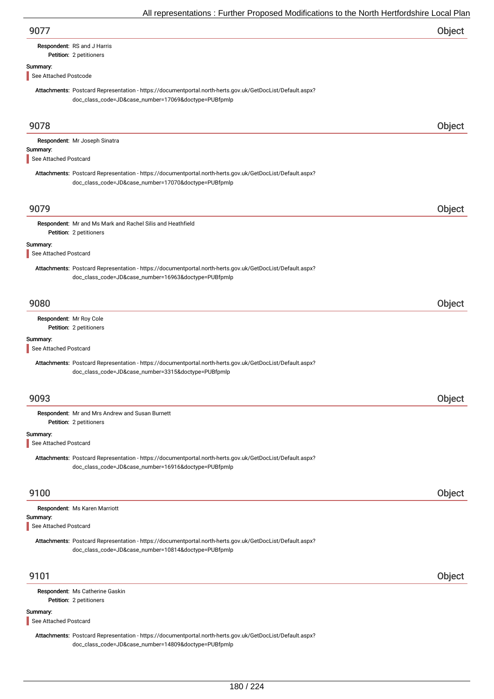| 9077 | Object |
|------|--------|
|------|--------|

# Respondent: RS and J Harris

## Petition: 2 petitioners

## Summary:

See Attached Postcode

Attachments: Postcard Representation - https://documentportal.north-herts.gov.uk/GetDocList/Default.aspx? doc\_class\_code=JD&case\_number=17069&doctype=PUBfpmlp

| 9078                              |                                                                                                                                                                   | Object |
|-----------------------------------|-------------------------------------------------------------------------------------------------------------------------------------------------------------------|--------|
| Summary:<br>See Attached Postcard | Respondent: Mr Joseph Sinatra                                                                                                                                     |        |
|                                   | Attachments: Postcard Representation - https://documentportal.north-herts.gov.uk/GetDocList/Default.aspx?<br>doc_class_code=JD&case_number=17070&doctype=PUBfpmlp |        |
| 9079                              |                                                                                                                                                                   | Object |
|                                   | Respondent: Mr and Ms Mark and Rachel Silis and Heathfield<br>Petition: 2 petitioners                                                                             |        |
| Summary:<br>See Attached Postcard |                                                                                                                                                                   |        |
|                                   | Attachments: Postcard Representation - https://documentportal.north-herts.gov.uk/GetDocList/Default.aspx?<br>doc_class_code=JD&case_number=16963&doctype=PUBfpmlp |        |
| 9080                              |                                                                                                                                                                   | Object |
|                                   | Respondent: Mr Roy Cole<br>Petition: 2 petitioners                                                                                                                |        |
| Summary:<br>See Attached Postcard |                                                                                                                                                                   |        |
|                                   | Attachments: Postcard Representation - https://documentportal.north-herts.gov.uk/GetDocList/Default.aspx?<br>doc_class_code=JD&case_number=3315&doctype=PUBfpmlp  |        |
| 9093                              |                                                                                                                                                                   | Object |
|                                   | Respondent: Mr and Mrs Andrew and Susan Burnett<br>Petition: 2 petitioners                                                                                        |        |
| Summary:<br>See Attached Postcard |                                                                                                                                                                   |        |
|                                   | Attachments: Postcard Representation - https://documentportal.north-herts.gov.uk/GetDocList/Default.aspx?<br>doc_class_code=JD&case_number=16916&doctype=PUBfpmlp |        |
| 9100                              |                                                                                                                                                                   | Object |
| Summary:<br>See Attached Postcard | Respondent: Ms Karen Marriott                                                                                                                                     |        |
|                                   | Attachments: Postcard Representation - https://documentportal.north-herts.gov.uk/GetDocList/Default.aspx?<br>doc_class_code=JD&case_number=10814&doctype=PUBfpmlp |        |
| 9101                              |                                                                                                                                                                   | Object |
|                                   | Respondent: Ms Catherine Gaskin<br>Petition: 2 petitioners                                                                                                        |        |
| Summary:<br>See Attached Postcard |                                                                                                                                                                   |        |
|                                   | Attachments: Postcard Representation - https://documentportal.north-herts.gov.uk/GetDocList/Default.aspx?<br>doc_class_code=JD&case_number=14809&doctype=PUBfpmlp |        |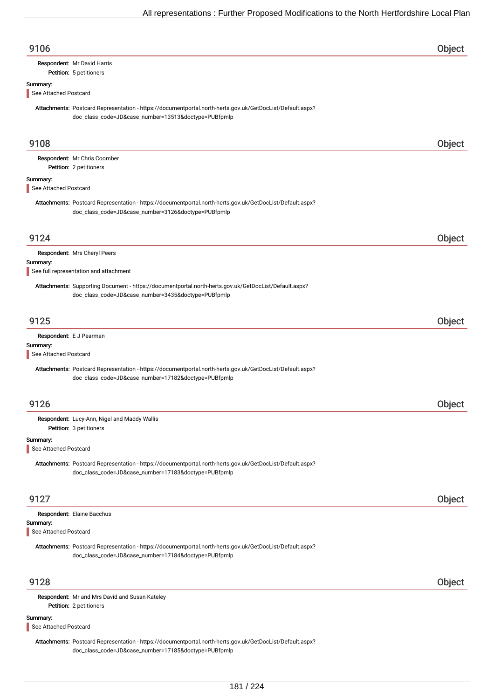| 9106                              |                                                                                                                                                                   | Object |
|-----------------------------------|-------------------------------------------------------------------------------------------------------------------------------------------------------------------|--------|
|                                   | Respondent: Mr David Harris<br>Petition: 5 petitioners                                                                                                            |        |
| Summary:                          |                                                                                                                                                                   |        |
| See Attached Postcard             |                                                                                                                                                                   |        |
|                                   | Attachments: Postcard Representation - https://documentportal.north-herts.gov.uk/GetDocList/Default.aspx?<br>doc_class_code=JD&case_number=13513&doctype=PUBfpmlp |        |
| 9108                              |                                                                                                                                                                   | Object |
|                                   | Respondent: Mr Chris Coomber<br>Petition: 2 petitioners                                                                                                           |        |
| Summary:<br>See Attached Postcard |                                                                                                                                                                   |        |
|                                   | Attachments: Postcard Representation - https://documentportal.north-herts.gov.uk/GetDocList/Default.aspx?<br>doc_class_code=JD&case_number=3126&doctype=PUBfpmlp  |        |
| 9124                              |                                                                                                                                                                   | Object |
|                                   | Respondent: Mrs Cheryl Peers                                                                                                                                      |        |
| Summary:                          | See full representation and attachment                                                                                                                            |        |
|                                   | Attachments: Supporting Document - https://documentportal.north-herts.gov.uk/GetDocList/Default.aspx?<br>doc_class_code=JD&case_number=3435&doctype=PUBfpmlp      |        |
| 9125                              |                                                                                                                                                                   | Object |
|                                   | Respondent: E J Pearman                                                                                                                                           |        |
| Summary:<br>See Attached Postcard |                                                                                                                                                                   |        |
|                                   | Attachments: Postcard Representation - https://documentportal.north-herts.gov.uk/GetDocList/Default.aspx?<br>doc_class_code=JD&case_number=17182&doctype=PUBfpmlp |        |
| 9126                              |                                                                                                                                                                   | Object |
|                                   | Respondent: Lucy-Ann, Nigel and Maddy Wallis<br>Petition: 3 petitioners                                                                                           |        |
| Summary:<br>See Attached Postcard |                                                                                                                                                                   |        |
|                                   | Attachments: Postcard Representation - https://documentportal.north-herts.gov.uk/GetDocList/Default.aspx?<br>doc_class_code=JD&case_number=17183&doctype=PUBfpmlp |        |
| 9127                              |                                                                                                                                                                   | Object |
|                                   | Respondent: Elaine Bacchus                                                                                                                                        |        |
| Summary:<br>See Attached Postcard |                                                                                                                                                                   |        |
|                                   | Attachments: Postcard Representation - https://documentportal.north-herts.gov.uk/GetDocList/Default.aspx?<br>doc_class_code=JD&case_number=17184&doctype=PUBfpmlp |        |
| 9128                              |                                                                                                                                                                   | Object |
|                                   | Respondent: Mr and Mrs David and Susan Kateley<br>Petition: 2 petitioners                                                                                         |        |
| Summary:<br>See Attached Postcard |                                                                                                                                                                   |        |
|                                   | Attachments: Postcard Representation - https://documentportal.north-herts.gov.uk/GetDocList/Default.aspx?                                                         |        |

doc\_class\_code=JD&case\_number=17185&doctype=PUBfpmlp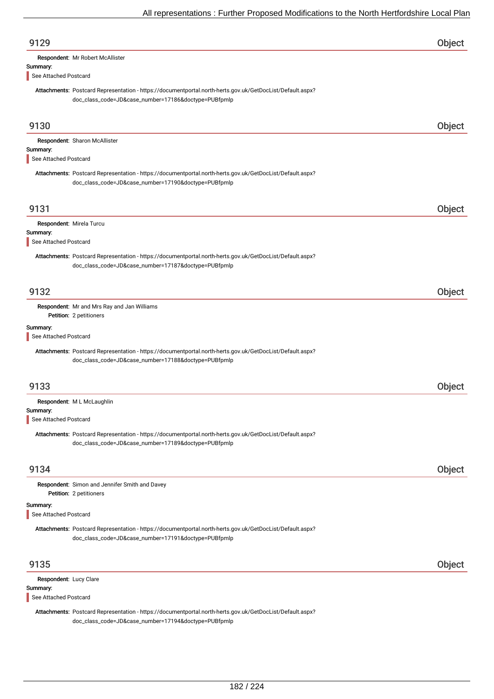| 9129                              |                                                                                                                                                                   | Object |
|-----------------------------------|-------------------------------------------------------------------------------------------------------------------------------------------------------------------|--------|
|                                   | Respondent: Mr Robert McAllister                                                                                                                                  |        |
| Summary:                          |                                                                                                                                                                   |        |
| See Attached Postcard             |                                                                                                                                                                   |        |
|                                   | Attachments: Postcard Representation - https://documentportal.north-herts.gov.uk/GetDocList/Default.aspx?<br>doc_class_code=JD&case_number=17186&doctype=PUBfpmlp |        |
| 9130                              |                                                                                                                                                                   | Object |
| Summary:<br>See Attached Postcard | Respondent: Sharon McAllister                                                                                                                                     |        |
|                                   | Attachments: Postcard Representation - https://documentportal.north-herts.gov.uk/GetDocList/Default.aspx?<br>doc_class_code=JD&case_number=17190&doctype=PUBfpmlp |        |
| 9131                              |                                                                                                                                                                   | Object |
| Respondent: Mirela Turcu          |                                                                                                                                                                   |        |
| Summary:<br>See Attached Postcard |                                                                                                                                                                   |        |
|                                   | Attachments: Postcard Representation - https://documentportal.north-herts.gov.uk/GetDocList/Default.aspx?<br>doc_class_code=JD&case_number=17187&doctype=PUBfpmlp |        |
| 9132                              |                                                                                                                                                                   | Object |
|                                   | Respondent: Mr and Mrs Ray and Jan Williams                                                                                                                       |        |
|                                   | Petition: 2 petitioners                                                                                                                                           |        |
| Summary:                          |                                                                                                                                                                   |        |
| See Attached Postcard             |                                                                                                                                                                   |        |
|                                   | Attachments: Postcard Representation - https://documentportal.north-herts.gov.uk/GetDocList/Default.aspx?<br>doc_class_code=JD&case_number=17188&doctype=PUBfpmlp |        |
| 9133                              |                                                                                                                                                                   | Object |
|                                   | Respondent: M L McLaughlin                                                                                                                                        |        |
| Summary:<br>See Attached Postcard |                                                                                                                                                                   |        |
|                                   |                                                                                                                                                                   |        |
|                                   | Attachments: Postcard Representation - https://documentportal.north-herts.gov.uk/GetDocList/Default.aspx?<br>doc_class_code=JD&case_number=17189&doctype=PUBfpmlp |        |
| 9134                              |                                                                                                                                                                   | Object |
|                                   | Respondent: Simon and Jennifer Smith and Davey<br>Petition: 2 petitioners                                                                                         |        |
| Summary:                          |                                                                                                                                                                   |        |
| See Attached Postcard             |                                                                                                                                                                   |        |
|                                   | Attachments: Postcard Representation - https://documentportal.north-herts.gov.uk/GetDocList/Default.aspx?<br>doc_class_code=JD&case_number=17191&doctype=PUBfpmlp |        |
| 9135                              |                                                                                                                                                                   | Object |
| Respondent: Lucy Clare            |                                                                                                                                                                   |        |
| Summary:                          |                                                                                                                                                                   |        |
| See Attached Postcard             |                                                                                                                                                                   |        |
|                                   | Attachments: Postcard Representation - https://documentportal.north-herts.gov.uk/GetDocList/Default.aspx?<br>doc_class_code=JD&case_number=17194&doctype=PUBfpmlp |        |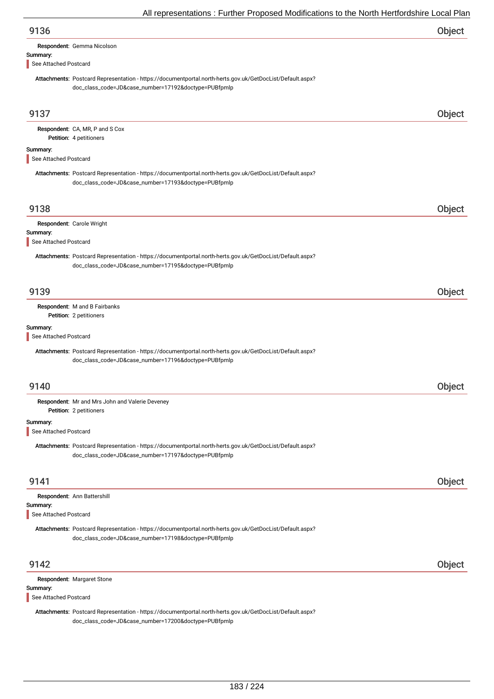|                                                                                                                                                                                                        | All representations . Further Froposed Modifications to the North Hertfordshire Local Fial |        |
|--------------------------------------------------------------------------------------------------------------------------------------------------------------------------------------------------------|--------------------------------------------------------------------------------------------|--------|
| 9136                                                                                                                                                                                                   |                                                                                            | Object |
| Respondent: Gemma Nicolson                                                                                                                                                                             |                                                                                            |        |
| Summary:<br>See Attached Postcard                                                                                                                                                                      |                                                                                            |        |
| Attachments: Postcard Representation - https://documentportal.north-herts.gov.uk/GetDocList/Default.aspx?<br>doc_class_code=JD&case_number=17192&doctype=PUBfpmlp                                      |                                                                                            |        |
| 9137                                                                                                                                                                                                   |                                                                                            | Object |
| Respondent: CA, MR, P and S Cox<br>Petition: 4 petitioners                                                                                                                                             |                                                                                            |        |
| Summary:<br>See Attached Postcard                                                                                                                                                                      |                                                                                            |        |
| Attachments: Postcard Representation - https://documentportal.north-herts.gov.uk/GetDocList/Default.aspx?<br>doc_class_code=JD&case_number=17193&doctype=PUBfpmlp                                      |                                                                                            |        |
| 9138                                                                                                                                                                                                   |                                                                                            | Object |
| Respondent: Carole Wright                                                                                                                                                                              |                                                                                            |        |
| Summary:<br>See Attached Postcard                                                                                                                                                                      |                                                                                            |        |
| Attachments: Postcard Representation - https://documentportal.north-herts.gov.uk/GetDocList/Default.aspx?<br>doc_class_code=JD&case_number=17195&doctype=PUBfpmlp                                      |                                                                                            |        |
| 9139                                                                                                                                                                                                   |                                                                                            | Object |
| Respondent: M and B Fairbanks<br>Petition: 2 petitioners                                                                                                                                               |                                                                                            |        |
| Summary:<br>See Attached Postcard<br>Attachments: Postcard Representation - https://documentportal.north-herts.gov.uk/GetDocList/Default.aspx?<br>doc_class_code=JD&case_number=17196&doctype=PUBfpmlp |                                                                                            |        |
|                                                                                                                                                                                                        |                                                                                            |        |
| 9140                                                                                                                                                                                                   |                                                                                            | Object |
| Respondent: Mr and Mrs John and Valerie Deveney<br>Petition: 2 petitioners                                                                                                                             |                                                                                            |        |
| Summary:<br>See Attached Postcard                                                                                                                                                                      |                                                                                            |        |
| Attachments: Postcard Representation - https://documentportal.north-herts.gov.uk/GetDocList/Default.aspx?<br>doc_class_code=JD&case_number=17197&doctype=PUBfpmlp                                      |                                                                                            |        |
| 9141                                                                                                                                                                                                   |                                                                                            | Object |
| Respondent: Ann Battershill<br>Summary:<br>See Attached Postcard                                                                                                                                       |                                                                                            |        |
| Attachments: Postcard Representation - https://documentportal.north-herts.gov.uk/GetDocList/Default.aspx?<br>doc_class_code=JD&case_number=17198&doctype=PUBfpmlp                                      |                                                                                            |        |
| 9142                                                                                                                                                                                                   |                                                                                            | Object |
| Respondent: Margaret Stone<br>Summary:                                                                                                                                                                 |                                                                                            |        |
| See Attached Postcard                                                                                                                                                                                  |                                                                                            |        |
| Attachments: Postcard Representation - https://documentportal.north-herts.gov.uk/GetDocList/Default.aspx?<br>doc_class_code=JD&case_number=17200&doctype=PUBfpmlp                                      |                                                                                            |        |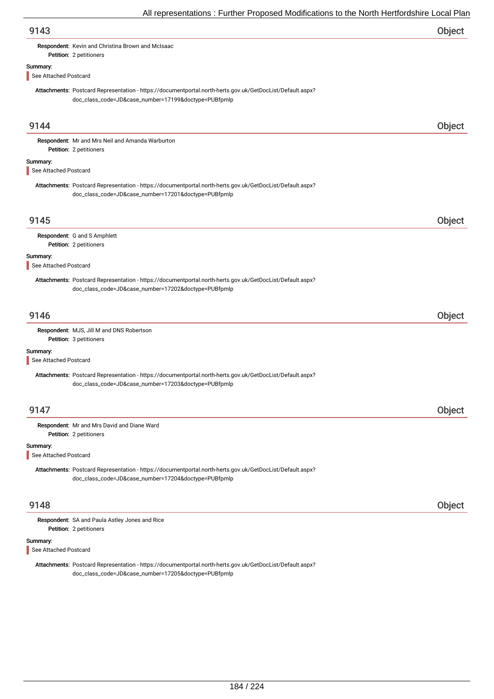Respondent: Kevin and Christina Brown and McIsaac

## Summary:

See Attached Postcard

Petition: 2 petitioners

Attachments: Postcard Representation - https://documentportal.north-herts.gov.uk/GetDocList/Default.aspx? doc\_class\_code=JD&case\_number=17199&doctype=PUBfpmlp

| 9144                              |                                                                                                                                                                   | Object |
|-----------------------------------|-------------------------------------------------------------------------------------------------------------------------------------------------------------------|--------|
|                                   | Respondent: Mr and Mrs Neil and Amanda Warburton<br>Petition: 2 petitioners                                                                                       |        |
| Summary:<br>See Attached Postcard |                                                                                                                                                                   |        |
|                                   | Attachments: Postcard Representation - https://documentportal.north-herts.gov.uk/GetDocList/Default.aspx?<br>doc_class_code=JD&case_number=17201&doctype=PUBfpmlp |        |
| 9145                              |                                                                                                                                                                   | Object |
|                                   | Respondent: G and S Amphlett<br>Petition: 2 petitioners                                                                                                           |        |
| Summary:<br>See Attached Postcard |                                                                                                                                                                   |        |
|                                   | Attachments: Postcard Representation - https://documentportal.north-herts.gov.uk/GetDocList/Default.aspx?<br>doc_class_code=JD&case_number=17202&doctype=PUBfpmlp |        |
| 9146                              |                                                                                                                                                                   | Object |
|                                   | Respondent: MJS, Jill M and DNS Robertson<br>Petition: 3 petitioners                                                                                              |        |
| Summary:<br>See Attached Postcard |                                                                                                                                                                   |        |
|                                   | Attachments: Postcard Representation - https://documentportal.north-herts.gov.uk/GetDocList/Default.aspx?<br>doc_class_code=JD&case_number=17203&doctype=PUBfpmlp |        |
| 9147                              |                                                                                                                                                                   | Object |
|                                   | Respondent: Mr and Mrs David and Diane Ward<br>Petition: 2 petitioners                                                                                            |        |
| Summary:<br>See Attached Postcard |                                                                                                                                                                   |        |
|                                   | Attachments: Postcard Representation - https://documentportal.north-herts.gov.uk/GetDocList/Default.aspx?<br>doc_class_code=JD&case_number=17204&doctype=PUBfpmlp |        |
| 9148                              |                                                                                                                                                                   | Object |
|                                   | Respondent: SA and Paula Astley Jones and Rice<br>Petition: 2 petitioners                                                                                         |        |
| Summary:<br>See Attached Postcard |                                                                                                                                                                   |        |
|                                   | Attachments: Postcard Representation - https://documentportal.north-herts.gov.uk/GetDocList/Default.aspx?<br>doc_class_code=JD&case_number=17205&doctype=PUBfpmlp |        |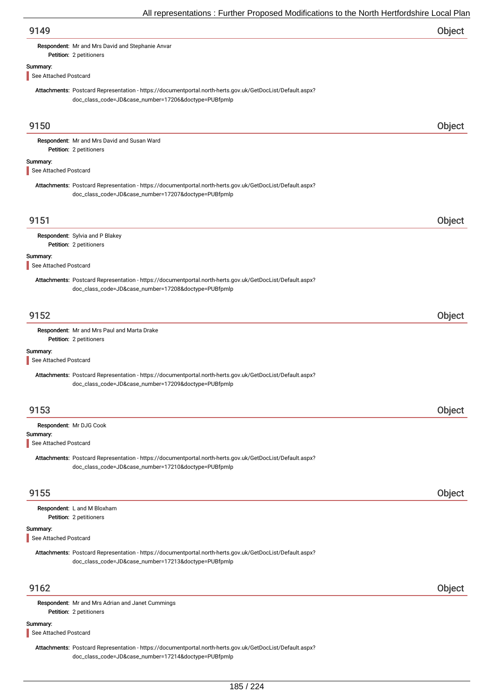| 9149 | Object |
|------|--------|
|------|--------|

Respondent: Mr and Mrs David and Stephanie Anvar

## Summary:

See Attached Postcard

Petition: 2 petitioners

Attachments: Postcard Representation - https://documentportal.north-herts.gov.uk/GetDocList/Default.aspx? doc\_class\_code=JD&case\_number=17206&doctype=PUBfpmlp

| 9150                              |                                                                                                                                                                   | Object |
|-----------------------------------|-------------------------------------------------------------------------------------------------------------------------------------------------------------------|--------|
|                                   | Respondent: Mr and Mrs David and Susan Ward<br>Petition: 2 petitioners                                                                                            |        |
| Summary:<br>See Attached Postcard |                                                                                                                                                                   |        |
|                                   | Attachments: Postcard Representation - https://documentportal.north-herts.gov.uk/GetDocList/Default.aspx?<br>doc_class_code=JD&case_number=17207&doctype=PUBfpmlp |        |
| 9151                              |                                                                                                                                                                   | Object |
|                                   | Respondent: Sylvia and P Blakey<br>Petition: 2 petitioners                                                                                                        |        |
| Summary:<br>See Attached Postcard |                                                                                                                                                                   |        |
|                                   | Attachments: Postcard Representation - https://documentportal.north-herts.gov.uk/GetDocList/Default.aspx?<br>doc_class_code=JD&case_number=17208&doctype=PUBfpmlp |        |
| 9152                              |                                                                                                                                                                   | Object |
|                                   | Respondent: Mr and Mrs Paul and Marta Drake<br>Petition: 2 petitioners                                                                                            |        |
| Summary:<br>See Attached Postcard |                                                                                                                                                                   |        |
|                                   | Attachments: Postcard Representation - https://documentportal.north-herts.gov.uk/GetDocList/Default.aspx?<br>doc_class_code=JD&case_number=17209&doctype=PUBfpmlp |        |
| 9153                              |                                                                                                                                                                   | Object |
| Summary:<br>See Attached Postcard | Respondent: Mr DJG Cook                                                                                                                                           |        |
|                                   | Attachments: Postcard Representation - https://documentportal.north-herts.gov.uk/GetDocList/Default.aspx?<br>doc_class_code=JD&case_number=17210&doctype=PUBfpmlp |        |
| 9155                              |                                                                                                                                                                   | Object |
|                                   | Respondent: L and M Bloxham<br>Petition: 2 petitioners                                                                                                            |        |
| Summary:<br>See Attached Postcard |                                                                                                                                                                   |        |
|                                   | Attachments: Postcard Representation - https://documentportal.north-herts.gov.uk/GetDocList/Default.aspx?<br>doc_class_code=JD&case_number=17213&doctype=PUBfpmlp |        |
| 9162                              |                                                                                                                                                                   | Object |
|                                   | Respondent: Mr and Mrs Adrian and Janet Cummings<br>Petition: 2 petitioners                                                                                       |        |
| Summary:<br>See Attached Postcard |                                                                                                                                                                   |        |

Attachments: Postcard Representation - https://documentportal.north-herts.gov.uk/GetDocList/Default.aspx? doc\_class\_code=JD&case\_number=17214&doctype=PUBfpmlp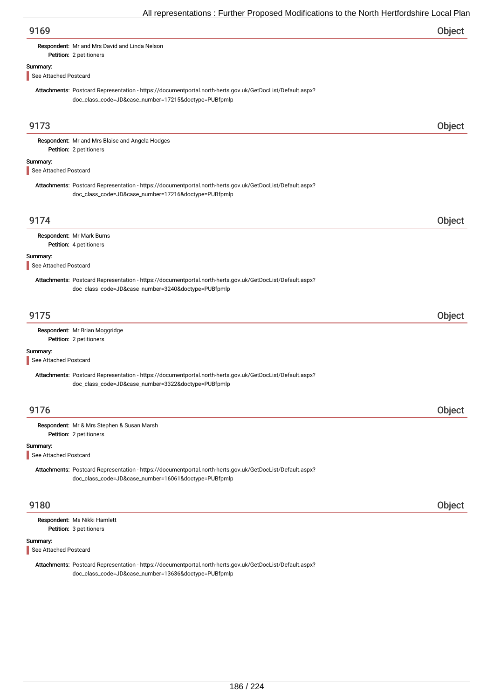| 9169 | Object |
|------|--------|
|------|--------|

### Respondent: Mr and Mrs David and Linda Nelson

Petition: 2 petitioners

### Summary:

See Attached Postcard

Attachments: Postcard Representation - https://documentportal.north-herts.gov.uk/GetDocList/Default.aspx? doc\_class\_code=JD&case\_number=17215&doctype=PUBfpmlp

| 9173                              |                                                                                                                                                                   | Object |
|-----------------------------------|-------------------------------------------------------------------------------------------------------------------------------------------------------------------|--------|
|                                   | Respondent: Mr and Mrs Blaise and Angela Hodges                                                                                                                   |        |
|                                   | Petition: 2 petitioners                                                                                                                                           |        |
| Summary:<br>See Attached Postcard |                                                                                                                                                                   |        |
|                                   | Attachments: Postcard Representation - https://documentportal.north-herts.gov.uk/GetDocList/Default.aspx?<br>doc_class_code=JD&case_number=17216&doctype=PUBfpmlp |        |
| 9174                              |                                                                                                                                                                   | Object |
|                                   | Respondent: Mr Mark Burns                                                                                                                                         |        |
|                                   | Petition: 4 petitioners                                                                                                                                           |        |
| Summary:<br>See Attached Postcard |                                                                                                                                                                   |        |
|                                   | Attachments: Postcard Representation - https://documentportal.north-herts.gov.uk/GetDocList/Default.aspx?<br>doc_class_code=JD&case_number=3240&doctype=PUBfpmlp  |        |
| 9175                              |                                                                                                                                                                   | Object |
|                                   | Respondent: Mr Brian Moggridge<br>Petition: 2 petitioners                                                                                                         |        |
| Summary:<br>See Attached Postcard |                                                                                                                                                                   |        |
|                                   | Attachments: Postcard Representation - https://documentportal.north-herts.gov.uk/GetDocList/Default.aspx?<br>doc_class_code=JD&case_number=3322&doctype=PUBfpmlp  |        |
| 9176                              |                                                                                                                                                                   | Object |
|                                   | Respondent: Mr & Mrs Stephen & Susan Marsh<br>Petition: 2 petitioners                                                                                             |        |
| Summary:<br>See Attached Postcard |                                                                                                                                                                   |        |
|                                   | Attachments: Postcard Representation - https://documentportal.north-herts.gov.uk/GetDocList/Default.aspx?<br>doc_class_code=JD&case_number=16061&doctype=PUBfpmlp |        |
| 9180                              |                                                                                                                                                                   | Object |
|                                   | Respondent: Ms Nikki Hamlett<br>Petition: 3 petitioners                                                                                                           |        |
| Summary:<br>See Attached Postcard |                                                                                                                                                                   |        |
|                                   | Attachments: Postcard Representation - https://documentportal.north-herts.gov.uk/GetDocList/Default.aspx?<br>doc_class_code=JD&case_number=13636&doctype=PUBfpmlp |        |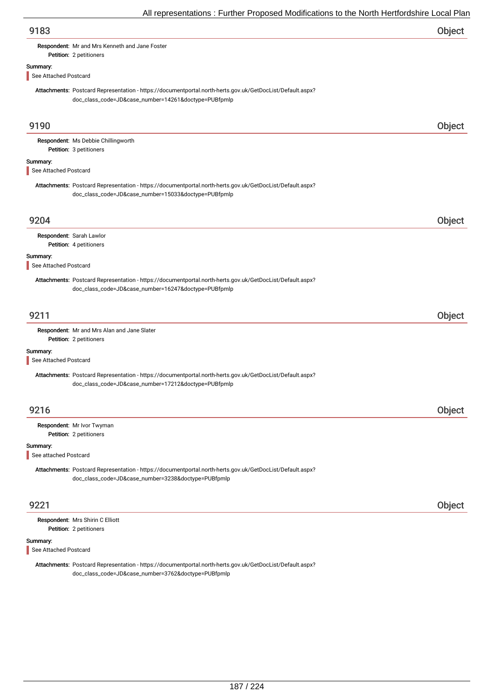Respondent: Mr and Mrs Kenneth and Jane Foster

## Summary:

See Attached Postcard

Petition: 2 petitioners

Attachments: Postcard Representation - https://documentportal.north-herts.gov.uk/GetDocList/Default.aspx? doc\_class\_code=JD&case\_number=14261&doctype=PUBfpmlp

| 9190                              |                                                                                                                                                                   | Object |
|-----------------------------------|-------------------------------------------------------------------------------------------------------------------------------------------------------------------|--------|
|                                   | Respondent: Ms Debbie Chillingworth<br>Petition: 3 petitioners                                                                                                    |        |
| Summary:<br>See Attached Postcard |                                                                                                                                                                   |        |
|                                   | Attachments: Postcard Representation - https://documentportal.north-herts.gov.uk/GetDocList/Default.aspx?<br>doc_class_code=JD&case_number=15033&doctype=PUBfpmlp |        |
| 9204                              |                                                                                                                                                                   | Object |
| Respondent: Sarah Lawlor          | Petition: 4 petitioners                                                                                                                                           |        |
| Summary:<br>See Attached Postcard |                                                                                                                                                                   |        |
|                                   | Attachments: Postcard Representation - https://documentportal.north-herts.gov.uk/GetDocList/Default.aspx?<br>doc_class_code=JD&case_number=16247&doctype=PUBfpmlp |        |
| 9211                              |                                                                                                                                                                   | Object |
|                                   | Respondent: Mr and Mrs Alan and Jane Slater<br>Petition: 2 petitioners                                                                                            |        |
| Summary:<br>See Attached Postcard |                                                                                                                                                                   |        |
|                                   | Attachments: Postcard Representation - https://documentportal.north-herts.gov.uk/GetDocList/Default.aspx?<br>doc_class_code=JD&case_number=17212&doctype=PUBfpmlp |        |
| 9216                              |                                                                                                                                                                   | Object |
|                                   | Respondent: Mr Ivor Twyman<br>Petition: 2 petitioners                                                                                                             |        |
| Summary:<br>See attached Postcard |                                                                                                                                                                   |        |
|                                   | Attachments: Postcard Representation - https://documentportal.north-herts.gov.uk/GetDocList/Default.aspx?<br>doc_class_code=JD&case_number=3238&doctype=PUBfpmlp  |        |
| 9221                              |                                                                                                                                                                   | Object |
|                                   | Respondent: Mrs Shirin C Elliott<br>Petition: 2 petitioners                                                                                                       |        |
| Summary:<br>See Attached Postcard |                                                                                                                                                                   |        |
|                                   | Attachments: Postcard Representation - https://documentportal.north-herts.gov.uk/GetDocList/Default.aspx?<br>doc_class_code=JD&case_number=3762&doctype=PUBfpmlp  |        |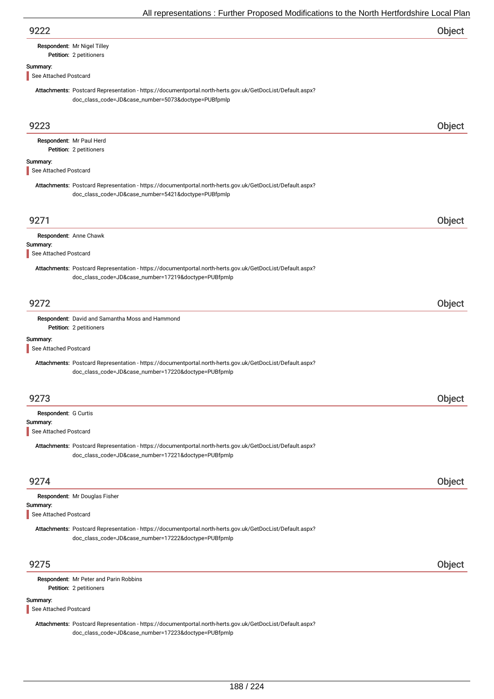| 9222 | Object |
|------|--------|
|      |        |

## Respondent: Mr Nigel Tilley

### Petition: 2 petitioners

### Summary:

See Attached Postcard

Attachments: Postcard Representation - https://documentportal.north-herts.gov.uk/GetDocList/Default.aspx? doc\_class\_code=JD&case\_number=5073&doctype=PUBfpmlp

| 9223                                                      |                                                                                                                                                                   | Object        |
|-----------------------------------------------------------|-------------------------------------------------------------------------------------------------------------------------------------------------------------------|---------------|
|                                                           | Respondent: Mr Paul Herd<br>Petition: 2 petitioners                                                                                                               |               |
| Summary:<br>See Attached Postcard                         |                                                                                                                                                                   |               |
|                                                           | Attachments: Postcard Representation - https://documentportal.north-herts.gov.uk/GetDocList/Default.aspx?<br>doc_class_code=JD&case_number=5421&doctype=PUBfpmlp  |               |
| 9271                                                      |                                                                                                                                                                   | Object        |
| Summary:<br>See Attached Postcard                         | Respondent: Anne Chawk                                                                                                                                            |               |
|                                                           | Attachments: Postcard Representation - https://documentportal.north-herts.gov.uk/GetDocList/Default.aspx?<br>doc_class_code=JD&case_number=17219&doctype=PUBfpmlp |               |
| 9272                                                      |                                                                                                                                                                   | Object        |
|                                                           | Respondent: David and Samantha Moss and Hammond<br>Petition: 2 petitioners                                                                                        |               |
| Summary:<br>See Attached Postcard                         |                                                                                                                                                                   |               |
|                                                           | Attachments: Postcard Representation - https://documentportal.north-herts.gov.uk/GetDocList/Default.aspx?<br>doc_class_code=JD&case_number=17220&doctype=PUBfpmlp |               |
| 9273                                                      |                                                                                                                                                                   | Object        |
| Respondent: G Curtis<br>Summary:<br>See Attached Postcard |                                                                                                                                                                   |               |
|                                                           | Attachments: Postcard Representation - https://documentportal.north-herts.gov.uk/GetDocList/Default.aspx?<br>doc_class_code=JD&case_number=17221&doctype=PUBfpmlp |               |
| 9274                                                      |                                                                                                                                                                   | <b>Object</b> |
| Summary:<br>See Attached Postcard                         | Respondent: Mr Douglas Fisher                                                                                                                                     |               |
|                                                           | Attachments: Postcard Representation - https://documentportal.north-herts.gov.uk/GetDocList/Default.aspx?<br>doc_class_code=JD&case_number=17222&doctype=PUBfpmlp |               |
| 9275                                                      |                                                                                                                                                                   | Object        |
|                                                           | Respondent: Mr Peter and Parin Robbins<br>Petition: 2 petitioners                                                                                                 |               |
| Summary:<br>See Attached Postcard                         |                                                                                                                                                                   |               |
|                                                           | Attachments: Postcard Representation - https://documentportal.north-herts.gov.uk/GetDocList/Default.aspx?<br>doc_class_code=JD&case_number=17223&doctype=PUBfpmlp |               |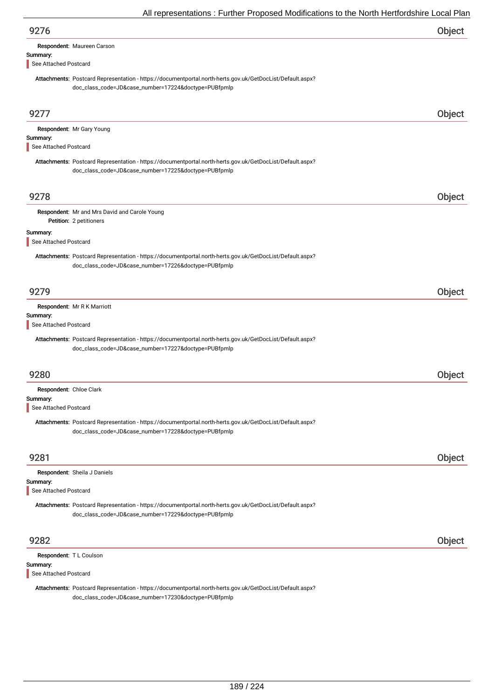| 9276                                                                                                                                                              | Object |
|-------------------------------------------------------------------------------------------------------------------------------------------------------------------|--------|
| Respondent: Maureen Carson                                                                                                                                        |        |
| Summary:<br>See Attached Postcard                                                                                                                                 |        |
| Attachments: Postcard Representation - https://documentportal.north-herts.gov.uk/GetDocList/Default.aspx?                                                         |        |
| doc_class_code=JD&case_number=17224&doctype=PUBfpmlp                                                                                                              |        |
|                                                                                                                                                                   |        |
| 9277                                                                                                                                                              | Object |
| Respondent: Mr Gary Young                                                                                                                                         |        |
| Summary:<br>See Attached Postcard                                                                                                                                 |        |
| Attachments: Postcard Representation - https://documentportal.north-herts.gov.uk/GetDocList/Default.aspx?                                                         |        |
| doc_class_code=JD&case_number=17225&doctype=PUBfpmlp                                                                                                              |        |
|                                                                                                                                                                   |        |
| 9278                                                                                                                                                              | Object |
| Respondent: Mr and Mrs David and Carole Young<br>Petition: 2 petitioners                                                                                          |        |
| Summary:                                                                                                                                                          |        |
| See Attached Postcard                                                                                                                                             |        |
| Attachments: Postcard Representation - https://documentportal.north-herts.gov.uk/GetDocList/Default.aspx?<br>doc_class_code=JD&case_number=17226&doctype=PUBfpmlp |        |
| 9279                                                                                                                                                              | Object |
| Respondent: Mr R K Marriott                                                                                                                                       |        |
| Summary:<br>See Attached Postcard                                                                                                                                 |        |
| Attachments: Postcard Representation - https://documentportal.north-herts.gov.uk/GetDocList/Default.aspx?                                                         |        |
| doc_class_code=JD&case_number=17227&doctype=PUBfpmlp                                                                                                              |        |
|                                                                                                                                                                   |        |
| 9280                                                                                                                                                              | Object |
| Respondent: Chloe Clark                                                                                                                                           |        |
| Summary:<br>See Attached Postcard                                                                                                                                 |        |
| Attachments: Postcard Representation - https://documentportal.north-herts.gov.uk/GetDocList/Default.aspx?<br>doc_class_code=JD&case_number=17228&doctype=PUBfpmlp |        |
| 9281                                                                                                                                                              | Object |
| Respondent: Sheila J Daniels                                                                                                                                      |        |
| Summary:                                                                                                                                                          |        |
| See Attached Postcard                                                                                                                                             |        |
| Attachments: Postcard Representation - https://documentportal.north-herts.gov.uk/GetDocList/Default.aspx?<br>doc_class_code=JD&case_number=17229&doctype=PUBfpmlp |        |
| 9282                                                                                                                                                              | Object |
| Respondent: TL Coulson                                                                                                                                            |        |
| Summary:                                                                                                                                                          |        |
| See Attached Postcard<br>Attachmente: Pecteard Penresentation - https://decumentpertal.perth-berts.gov.uk/CetDeeList/Default.gopx2                                |        |

Attachments: Postcard Representation - https://documentportal.north-herts.gov.uk/GetDocList/Default.aspx? doc\_class\_code=JD&case\_number=17230&doctype=PUBfpmlp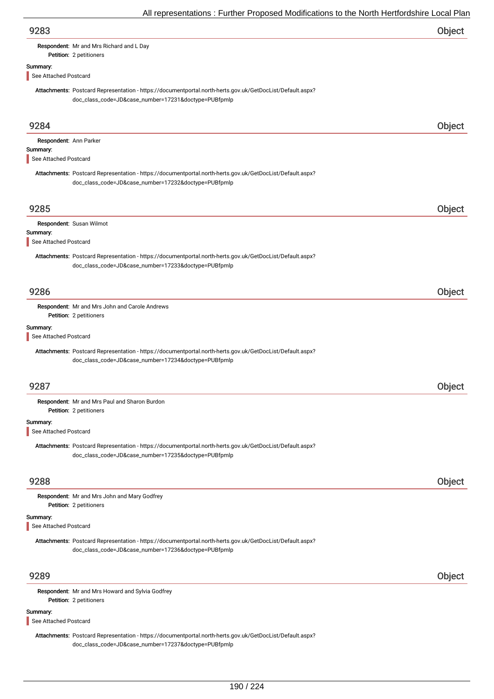| 9283                              |                                                                                                                                                                   | Object |
|-----------------------------------|-------------------------------------------------------------------------------------------------------------------------------------------------------------------|--------|
|                                   | Respondent: Mr and Mrs Richard and L Day                                                                                                                          |        |
|                                   | Petition: 2 petitioners                                                                                                                                           |        |
| Summary:<br>See Attached Postcard |                                                                                                                                                                   |        |
|                                   | Attachments: Postcard Representation - https://documentportal.north-herts.gov.uk/GetDocList/Default.aspx?                                                         |        |
|                                   | doc_class_code=JD&case_number=17231&doctype=PUBfpmlp                                                                                                              |        |
| 9284                              |                                                                                                                                                                   | Object |
| Respondent: Ann Parker            |                                                                                                                                                                   |        |
| Summary:                          |                                                                                                                                                                   |        |
| See Attached Postcard             |                                                                                                                                                                   |        |
|                                   | Attachments: Postcard Representation - https://documentportal.north-herts.gov.uk/GetDocList/Default.aspx?<br>doc_class_code=JD&case_number=17232&doctype=PUBfpmlp |        |
| 9285                              |                                                                                                                                                                   | Object |
|                                   | Respondent: Susan Wilmot                                                                                                                                          |        |
| Summary:                          |                                                                                                                                                                   |        |
| See Attached Postcard             |                                                                                                                                                                   |        |
|                                   | Attachments: Postcard Representation - https://documentportal.north-herts.gov.uk/GetDocList/Default.aspx?                                                         |        |
|                                   | doc_class_code=JD&case_number=17233&doctype=PUBfpmlp                                                                                                              |        |
| 9286                              |                                                                                                                                                                   | Object |
|                                   | Respondent: Mr and Mrs John and Carole Andrews                                                                                                                    |        |
|                                   | Petition: 2 petitioners                                                                                                                                           |        |
| Summary:                          |                                                                                                                                                                   |        |
| See Attached Postcard             |                                                                                                                                                                   |        |
|                                   | Attachments: Postcard Representation - https://documentportal.north-herts.gov.uk/GetDocList/Default.aspx?<br>doc_class_code=JD&case_number=17234&doctype=PUBfpmlp |        |
|                                   |                                                                                                                                                                   |        |
| 9287                              |                                                                                                                                                                   | Object |
|                                   | Respondent: Mr and Mrs Paul and Sharon Burdon<br>Petition: 2 petitioners                                                                                          |        |
| Summary:                          |                                                                                                                                                                   |        |
| See Attached Postcard             |                                                                                                                                                                   |        |
|                                   | Attachments: Postcard Representation - https://documentportal.north-herts.gov.uk/GetDocList/Default.aspx?<br>doc_class_code=JD&case_number=17235&doctype=PUBfpmlp |        |
| 9288                              |                                                                                                                                                                   | Object |
|                                   | Respondent: Mr and Mrs John and Mary Godfrey<br>Petition: 2 petitioners                                                                                           |        |
| Summary:<br>See Attached Postcard |                                                                                                                                                                   |        |
|                                   | Attachments: Postcard Representation - https://documentportal.north-herts.gov.uk/GetDocList/Default.aspx?                                                         |        |
|                                   | doc_class_code=JD&case_number=17236&doctype=PUBfpmlp                                                                                                              |        |
| 9289                              |                                                                                                                                                                   | Object |
|                                   | Respondent: Mr and Mrs Howard and Sylvia Godfrey<br>Petition: 2 petitioners                                                                                       |        |
| Summary:                          |                                                                                                                                                                   |        |
| See Attached Postcard             |                                                                                                                                                                   |        |
|                                   | Attachments: Postcard Representation - https://documentportal.north-herts.gov.uk/GetDocList/Default.aspx?                                                         |        |

doc\_class\_code=JD&case\_number=17237&doctype=PUBfpmlp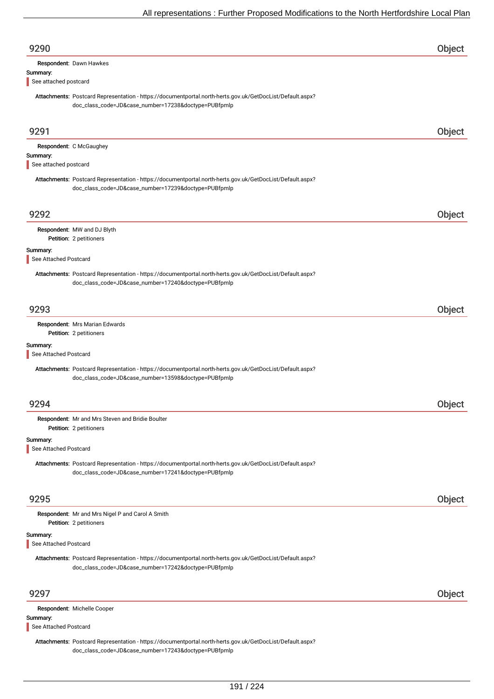| 9290                              |                                                                                                                                                                   | Object        |
|-----------------------------------|-------------------------------------------------------------------------------------------------------------------------------------------------------------------|---------------|
|                                   | Respondent: Dawn Hawkes                                                                                                                                           |               |
| Summary:<br>See attached postcard |                                                                                                                                                                   |               |
|                                   | Attachments: Postcard Representation - https://documentportal.north-herts.gov.uk/GetDocList/Default.aspx?<br>doc_class_code=JD&case_number=17238&doctype=PUBfpmlp |               |
| 9291                              |                                                                                                                                                                   | Object        |
|                                   | Respondent: C McGaughey                                                                                                                                           |               |
| Summary:<br>See attached postcard |                                                                                                                                                                   |               |
|                                   | Attachments: Postcard Representation - https://documentportal.north-herts.gov.uk/GetDocList/Default.aspx?<br>doc_class_code=JD&case_number=17239&doctype=PUBfpmlp |               |
| 9292                              |                                                                                                                                                                   | Object        |
|                                   | Respondent: MW and DJ Blyth                                                                                                                                       |               |
| Summary:                          | Petition: 2 petitioners                                                                                                                                           |               |
| See Attached Postcard             |                                                                                                                                                                   |               |
|                                   | Attachments: Postcard Representation - https://documentportal.north-herts.gov.uk/GetDocList/Default.aspx?<br>doc_class_code=JD&case_number=17240&doctype=PUBfpmlp |               |
| 9293                              |                                                                                                                                                                   | Object        |
|                                   | Respondent: Mrs Marian Edwards<br>Petition: 2 petitioners                                                                                                         |               |
| Summary:                          |                                                                                                                                                                   |               |
| See Attached Postcard             |                                                                                                                                                                   |               |
|                                   | Attachments: Postcard Representation - https://documentportal.north-herts.gov.uk/GetDocList/Default.aspx?<br>doc_class_code=JD&case_number=13598&doctype=PUBfpmlp |               |
| 9294                              |                                                                                                                                                                   | <b>Object</b> |
|                                   | Respondent: Mr and Mrs Steven and Bridie Boulter<br>Petition: 2 petitioners                                                                                       |               |
| Summary:                          |                                                                                                                                                                   |               |
| See Attached Postcard             |                                                                                                                                                                   |               |
|                                   | Attachments: Postcard Representation - https://documentportal.north-herts.gov.uk/GetDocList/Default.aspx?<br>doc_class_code=JD&case_number=17241&doctype=PUBfpmlp |               |
| 9295                              |                                                                                                                                                                   | Object        |
|                                   | Respondent: Mr and Mrs Nigel P and Carol A Smith<br>Petition: 2 petitioners                                                                                       |               |
| Summary:<br>See Attached Postcard |                                                                                                                                                                   |               |
|                                   | Attachments: Postcard Representation - https://documentportal.north-herts.gov.uk/GetDocList/Default.aspx?<br>doc_class_code=JD&case_number=17242&doctype=PUBfpmlp |               |
| 9297                              |                                                                                                                                                                   | Object        |
|                                   | Respondent: Michelle Cooper                                                                                                                                       |               |
| Summary:<br>See Attached Postcard |                                                                                                                                                                   |               |
|                                   | Attachments: Postcard Representation - https://documentportal.north-herts.gov.uk/GetDocList/Default.aspx?<br>doc_class_code=JD&case_number=17243&doctype=PUBfpmlp |               |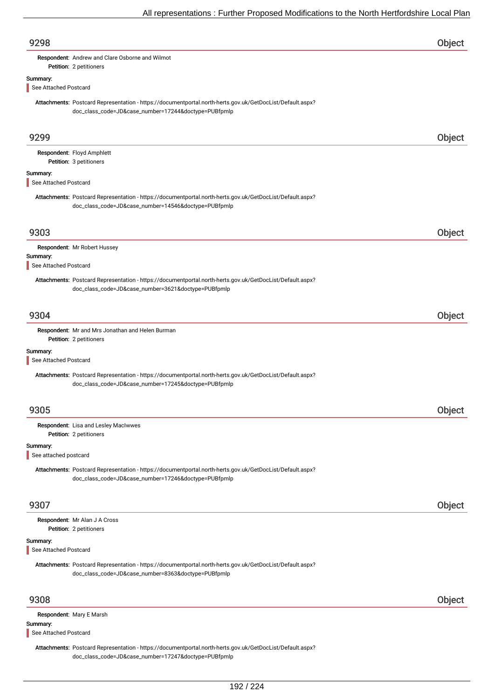| 9298                              |                                                                                                                                                                   | <b>Object</b> |
|-----------------------------------|-------------------------------------------------------------------------------------------------------------------------------------------------------------------|---------------|
|                                   | Respondent: Andrew and Clare Osborne and Wilmot<br>Petition: 2 petitioners                                                                                        |               |
| Summary:                          |                                                                                                                                                                   |               |
| See Attached Postcard             |                                                                                                                                                                   |               |
|                                   | Attachments: Postcard Representation - https://documentportal.north-herts.gov.uk/GetDocList/Default.aspx?<br>doc_class_code=JD&case_number=17244&doctype=PUBfpmlp |               |
| 9299                              |                                                                                                                                                                   | Object        |
|                                   | Respondent: Floyd Amphlett                                                                                                                                        |               |
| Summary:                          | Petition: 3 petitioners                                                                                                                                           |               |
| See Attached Postcard             |                                                                                                                                                                   |               |
|                                   | Attachments: Postcard Representation - https://documentportal.north-herts.gov.uk/GetDocList/Default.aspx?<br>doc_class_code=JD&case_number=14546&doctype=PUBfpmlp |               |
| 9303                              |                                                                                                                                                                   | Object        |
|                                   | Respondent: Mr Robert Hussey                                                                                                                                      |               |
| Summary:<br>See Attached Postcard |                                                                                                                                                                   |               |
|                                   | Attachments: Postcard Representation - https://documentportal.north-herts.gov.uk/GetDocList/Default.aspx?<br>doc_class_code=JD&case_number=3621&doctype=PUBfpmlp  |               |
| 9304                              |                                                                                                                                                                   | Object        |
|                                   | Respondent: Mr and Mrs Jonathan and Helen Burman                                                                                                                  |               |
| Summary:<br>See Attached Postcard | Petition: 2 petitioners                                                                                                                                           |               |
|                                   | Attachments: Postcard Representation - https://documentportal.north-herts.gov.uk/GetDocList/Default.aspx?                                                         |               |
|                                   | doc_class_code=JD&case_number=17245&doctype=PUBfpmlp                                                                                                              |               |
| 9305                              |                                                                                                                                                                   | Object        |
|                                   | Respondent: Lisa and Lesley MacIwwes<br>Petition: 2 petitioners                                                                                                   |               |
| Summary:<br>See attached postcard |                                                                                                                                                                   |               |
|                                   | Attachments: Postcard Representation - https://documentportal.north-herts.gov.uk/GetDocList/Default.aspx?                                                         |               |
|                                   | doc_class_code=JD&case_number=17246&doctype=PUBfpmlp                                                                                                              |               |
| 9307                              |                                                                                                                                                                   | Object        |
|                                   | Respondent: Mr Alan J A Cross<br>Petition: 2 petitioners                                                                                                          |               |
| Summary:<br>See Attached Postcard |                                                                                                                                                                   |               |
|                                   | Attachments: Postcard Representation - https://documentportal.north-herts.gov.uk/GetDocList/Default.aspx?                                                         |               |
|                                   | doc_class_code=JD&case_number=8363&doctype=PUBfpmlp                                                                                                               |               |
| 9308                              |                                                                                                                                                                   | Object        |
|                                   | Respondent: Mary E Marsh                                                                                                                                          |               |
| Summary:<br>See Attached Postcard |                                                                                                                                                                   |               |
|                                   | Attachments: Postcard Representation - https://documentportal.north-herts.gov.uk/GetDocList/Default.aspx?<br>doc_class_code=JD&case_number=17247&doctype=PUBfpmlp |               |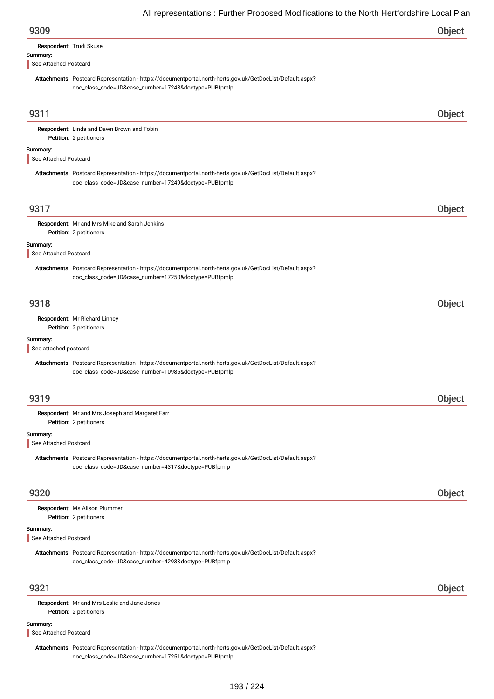| Respondent: Trudi Skuse |  |
|-------------------------|--|
| Summary:                |  |

See Attached Postcard

Attachments: Postcard Representation - https://documentportal.north-herts.gov.uk/GetDocList/Default.aspx? doc\_class\_code=JD&case\_number=17248&doctype=PUBfpmlp

|                                   | doc_class_code=JD&case_number=17248&doctype=POBipmip                                                                                                              |        |
|-----------------------------------|-------------------------------------------------------------------------------------------------------------------------------------------------------------------|--------|
| 9311                              |                                                                                                                                                                   | Object |
|                                   | Respondent: Linda and Dawn Brown and Tobin<br>Petition: 2 petitioners                                                                                             |        |
| Summary:<br>See Attached Postcard |                                                                                                                                                                   |        |
|                                   | Attachments: Postcard Representation - https://documentportal.north-herts.gov.uk/GetDocList/Default.aspx?<br>doc_class_code=JD&case_number=17249&doctype=PUBfpmlp |        |
| 9317                              |                                                                                                                                                                   | Object |
|                                   | Respondent: Mr and Mrs Mike and Sarah Jenkins<br>Petition: 2 petitioners                                                                                          |        |
| Summary:<br>See Attached Postcard |                                                                                                                                                                   |        |
|                                   | Attachments: Postcard Representation - https://documentportal.north-herts.gov.uk/GetDocList/Default.aspx?<br>doc_class_code=JD&case_number=17250&doctype=PUBfpmlp |        |
| 9318                              |                                                                                                                                                                   | Object |
|                                   | Respondent: Mr Richard Linney<br>Petition: 2 petitioners                                                                                                          |        |
| Summary:<br>See attached postcard |                                                                                                                                                                   |        |
|                                   | Attachments: Postcard Representation - https://documentportal.north-herts.gov.uk/GetDocList/Default.aspx?<br>doc_class_code=JD&case_number=10986&doctype=PUBfpmlp |        |
| 9319                              |                                                                                                                                                                   | Object |
|                                   | Respondent: Mr and Mrs Joseph and Margaret Farr<br>Petition: 2 petitioners                                                                                        |        |
| Summary:<br>See Attached Postcard |                                                                                                                                                                   |        |
|                                   | Attachments: Postcard Representation - https://documentportal.north-herts.gov.uk/GetDocList/Default.aspx?<br>doc_class_code=JD&case_number=4317&doctype=PUBfpmlp  |        |
| 9320                              |                                                                                                                                                                   | Object |
|                                   | Respondent: Ms Alison Plummer<br>Petition: 2 petitioners                                                                                                          |        |
| Summary:<br>See Attached Postcard |                                                                                                                                                                   |        |
|                                   | Attachments: Postcard Representation - https://documentportal.north-herts.gov.uk/GetDocList/Default.aspx?<br>doc_class_code=JD&case_number=4293&doctype=PUBfpmlp  |        |
| 9321                              |                                                                                                                                                                   | Object |
|                                   |                                                                                                                                                                   |        |

Petition: 2 petitioners Respondent: Mr and Mrs Leslie and Jane Jones

#### Summary:

See Attached Postcard

Attachments: Postcard Representation - https://documentportal.north-herts.gov.uk/GetDocList/Default.aspx? doc\_class\_code=JD&case\_number=17251&doctype=PUBfpmlp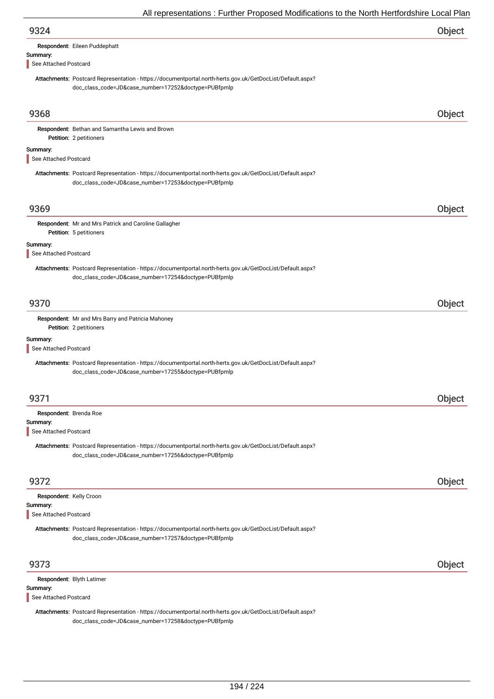| 9324                                                                                                                                                              | <b>Object</b> |
|-------------------------------------------------------------------------------------------------------------------------------------------------------------------|---------------|
| Respondent: Eileen Puddephatt                                                                                                                                     |               |
| Summary:<br>See Attached Postcard                                                                                                                                 |               |
| Attachments: Postcard Representation - https://documentportal.north-herts.gov.uk/GetDocList/Default.aspx?<br>doc_class_code=JD&case_number=17252&doctype=PUBfpmlp |               |
| 9368                                                                                                                                                              | Object        |
| Respondent: Bethan and Samantha Lewis and Brown<br>Petition: 2 petitioners                                                                                        |               |
| Summary:<br>See Attached Postcard                                                                                                                                 |               |
| Attachments: Postcard Representation - https://documentportal.north-herts.gov.uk/GetDocList/Default.aspx?<br>doc_class_code=JD&case_number=17253&doctype=PUBfpmlp |               |
| 9369                                                                                                                                                              | Object        |
| Respondent: Mr and Mrs Patrick and Caroline Gallagher<br>Petition: 5 petitioners                                                                                  |               |
| Summary:<br>See Attached Postcard                                                                                                                                 |               |
| Attachments: Postcard Representation - https://documentportal.north-herts.gov.uk/GetDocList/Default.aspx?<br>doc_class_code=JD&case_number=17254&doctype=PUBfpmlp |               |
| 9370                                                                                                                                                              | Object        |
| Respondent: Mr and Mrs Barry and Patricia Mahoney                                                                                                                 |               |
| Petition: 2 petitioners<br>Summary:                                                                                                                               |               |
| See Attached Postcard                                                                                                                                             |               |
| Attachments: Postcard Representation - https://documentportal.north-herts.gov.uk/GetDocList/Default.aspx?<br>doc_class_code=JD&case_number=17255&doctype=PUBfpmlp |               |
| 9371                                                                                                                                                              | Object        |
| Respondent: Brenda Roe                                                                                                                                            |               |
| Summary:<br>See Attached Postcard                                                                                                                                 |               |
| Attachments: Postcard Representation - https://documentportal.north-herts.gov.uk/GetDocList/Default.aspx?<br>doc_class_code=JD&case_number=17256&doctype=PUBfpmlp |               |
| 9372                                                                                                                                                              | Object        |
| Respondent: Kelly Croon                                                                                                                                           |               |
| Summary:<br>See Attached Postcard                                                                                                                                 |               |
| Attachments: Postcard Representation - https://documentportal.north-herts.gov.uk/GetDocList/Default.aspx?<br>doc_class_code=JD&case_number=17257&doctype=PUBfpmlp |               |
| 9373                                                                                                                                                              | Object        |
| Respondent: Blyth Latimer                                                                                                                                         |               |
| Summary:<br>See Attached Postcard                                                                                                                                 |               |
| Attachments: Postcard Representation - https://documentportal.north-herts.gov.uk/GetDocList/Default.aspx?<br>doc_class_code=JD&case_number=17258&doctype=PUBfpmlp |               |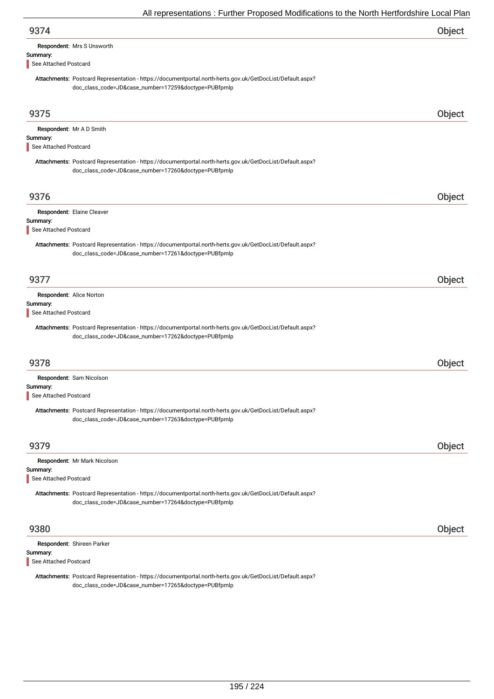| 9374                              |                                                                                                                                                                   | Object |
|-----------------------------------|-------------------------------------------------------------------------------------------------------------------------------------------------------------------|--------|
|                                   | Respondent: Mrs S Unsworth                                                                                                                                        |        |
| Summary:<br>See Attached Postcard |                                                                                                                                                                   |        |
|                                   |                                                                                                                                                                   |        |
|                                   | Attachments: Postcard Representation - https://documentportal.north-herts.gov.uk/GetDocList/Default.aspx?<br>doc_class_code=JD&case_number=17259&doctype=PUBfpmlp |        |
|                                   |                                                                                                                                                                   |        |
| 9375                              |                                                                                                                                                                   | Object |
|                                   | Respondent: Mr A D Smith                                                                                                                                          |        |
| Summary:                          |                                                                                                                                                                   |        |
| See Attached Postcard             |                                                                                                                                                                   |        |
|                                   | Attachments: Postcard Representation - https://documentportal.north-herts.gov.uk/GetDocList/Default.aspx?<br>doc_class_code=JD&case_number=17260&doctype=PUBfpmlp |        |
| 9376                              |                                                                                                                                                                   | Object |
|                                   |                                                                                                                                                                   |        |
| Summary:                          | Respondent: Elaine Cleaver                                                                                                                                        |        |
| See Attached Postcard             |                                                                                                                                                                   |        |
|                                   | Attachments: Postcard Representation - https://documentportal.north-herts.gov.uk/GetDocList/Default.aspx?<br>doc_class_code=JD&case_number=17261&doctype=PUBfpmlp |        |
| 9377                              |                                                                                                                                                                   | Object |
|                                   | Respondent: Alice Norton                                                                                                                                          |        |
| Summary:<br>See Attached Postcard |                                                                                                                                                                   |        |
|                                   |                                                                                                                                                                   |        |
|                                   | Attachments: Postcard Representation - https://documentportal.north-herts.gov.uk/GetDocList/Default.aspx?<br>doc_class_code=JD&case_number=17262&doctype=PUBfpmlp |        |
| 9378                              |                                                                                                                                                                   | Object |
|                                   | Respondent: Sam Nicolson                                                                                                                                          |        |
| Summary:<br>See Attached Postcard |                                                                                                                                                                   |        |
|                                   | Attachments: Postcard Representation - https://documentportal.north-herts.gov.uk/GetDocList/Default.aspx?                                                         |        |
|                                   | doc_class_code=JD&case_number=17263&doctype=PUBfpmlp                                                                                                              |        |
| 9379                              |                                                                                                                                                                   | Object |
|                                   | Respondent: Mr Mark Nicolson                                                                                                                                      |        |
| Summary:<br>See Attached Postcard |                                                                                                                                                                   |        |
|                                   | Attachments: Postcard Representation - https://documentportal.north-herts.gov.uk/GetDocList/Default.aspx?<br>doc_class_code=JD&case_number=17264&doctype=PUBfpmlp |        |
| 9380                              |                                                                                                                                                                   | Object |
|                                   | Respondent: Shireen Parker                                                                                                                                        |        |
| Summary:<br>See Attached Postcard |                                                                                                                                                                   |        |
|                                   | Attachments: Postcard Representation - https://documentportal.north-herts.gov.uk/GetDocList/Default.aspx?                                                         |        |
|                                   | doc_class_code=JD&case_number=17265&doctype=PUBfpmlp                                                                                                              |        |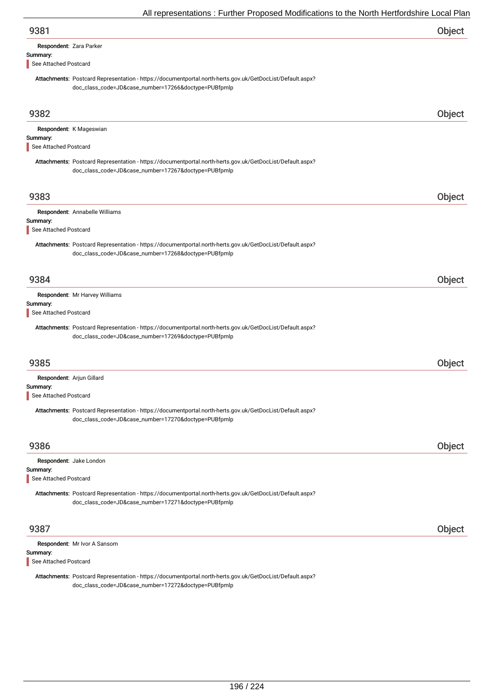| Respondent: Zara Parker |  |
|-------------------------|--|
| Summary:                |  |

See Attached Postcard

Attachments: Postcard Representation - https://documentportal.north-herts.gov.uk/GetDocList/Default.aspx? doc\_class\_code=JD&case\_number=17266&doctype=PUBfpmlp

| 9382                                                           |                                                                                                                                                                   | Object |
|----------------------------------------------------------------|-------------------------------------------------------------------------------------------------------------------------------------------------------------------|--------|
| Summary:<br>See Attached Postcard                              | Respondent: K Mageswian                                                                                                                                           |        |
|                                                                | Attachments: Postcard Representation - https://documentportal.north-herts.gov.uk/GetDocList/Default.aspx?<br>doc_class_code=JD&case_number=17267&doctype=PUBfpmlp |        |
| 9383                                                           |                                                                                                                                                                   | Object |
|                                                                | Respondent: Annabelle Williams                                                                                                                                    |        |
| Summary:<br>See Attached Postcard                              |                                                                                                                                                                   |        |
|                                                                | Attachments: Postcard Representation - https://documentportal.north-herts.gov.uk/GetDocList/Default.aspx?<br>doc_class_code=JD&case_number=17268&doctype=PUBfpmlp |        |
| 9384                                                           |                                                                                                                                                                   | Object |
| Summary:<br>See Attached Postcard                              | Respondent: Mr Harvey Williams                                                                                                                                    |        |
|                                                                | Attachments: Postcard Representation - https://documentportal.north-herts.gov.uk/GetDocList/Default.aspx?<br>doc_class_code=JD&case_number=17269&doctype=PUBfpmlp |        |
| 9385                                                           |                                                                                                                                                                   | Object |
| Respondent: Arjun Gillard<br>Summary:<br>See Attached Postcard |                                                                                                                                                                   |        |
|                                                                | Attachments: Postcard Representation - https://documentportal.north-herts.gov.uk/GetDocList/Default.aspx?<br>doc_class_code=JD&case_number=17270&doctype=PUBfpmlp |        |
| 9386                                                           |                                                                                                                                                                   | Object |
| Summary:<br>See Attached Postcard                              | Respondent: Jake London                                                                                                                                           |        |
|                                                                | Attachments: Postcard Representation - https://documentportal.north-herts.gov.uk/GetDocList/Default.aspx?<br>doc_class_code=JD&case_number=17271&doctype=PUBfpmlp |        |
| 9387                                                           |                                                                                                                                                                   | Object |
| Summary:<br>See Attached Postcard                              | Respondent: Mr Ivor A Sansom                                                                                                                                      |        |

Attachments: Postcard Representation - https://documentportal.north-herts.gov.uk/GetDocList/Default.aspx? doc\_class\_code=JD&case\_number=17272&doctype=PUBfpmlp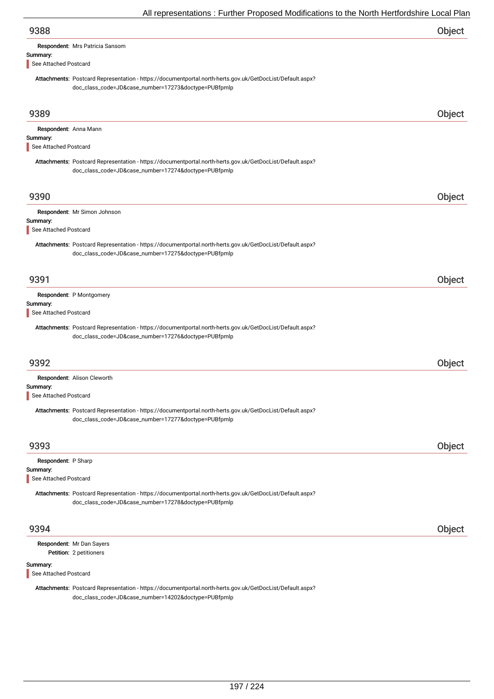| All representations . Further Froposed Modifications to the North Heritoruship Local Fial                                                                         |        |
|-------------------------------------------------------------------------------------------------------------------------------------------------------------------|--------|
| 9388                                                                                                                                                              | Object |
| Respondent: Mrs Patricia Sansom                                                                                                                                   |        |
| Summary:<br>See Attached Postcard                                                                                                                                 |        |
| Attachments: Postcard Representation - https://documentportal.north-herts.gov.uk/GetDocList/Default.aspx?                                                         |        |
| doc_class_code=JD&case_number=17273&doctype=PUBfpmlp                                                                                                              |        |
|                                                                                                                                                                   |        |
| 9389                                                                                                                                                              | Object |
| Respondent: Anna Mann                                                                                                                                             |        |
| Summary:<br>See Attached Postcard                                                                                                                                 |        |
|                                                                                                                                                                   |        |
| Attachments: Postcard Representation - https://documentportal.north-herts.gov.uk/GetDocList/Default.aspx?<br>doc_class_code=JD&case_number=17274&doctype=PUBfpmlp |        |
|                                                                                                                                                                   |        |
| 9390                                                                                                                                                              | Object |
| Respondent: Mr Simon Johnson                                                                                                                                      |        |
| Summary:                                                                                                                                                          |        |
| See Attached Postcard                                                                                                                                             |        |
| Attachments: Postcard Representation - https://documentportal.north-herts.gov.uk/GetDocList/Default.aspx?                                                         |        |
| doc_class_code=JD&case_number=17275&doctype=PUBfpmlp                                                                                                              |        |
| 9391                                                                                                                                                              |        |
|                                                                                                                                                                   | Object |
| Respondent: P Montgomery<br>Summary:                                                                                                                              |        |
| See Attached Postcard                                                                                                                                             |        |
| Attachments: Postcard Representation - https://documentportal.north-herts.gov.uk/GetDocList/Default.aspx?<br>doc_class_code=JD&case_number=17276&doctype=PUBfpmlp |        |
|                                                                                                                                                                   |        |
| 9392                                                                                                                                                              | Object |
| Respondent: Alison Cleworth                                                                                                                                       |        |
| Summary:                                                                                                                                                          |        |
| See Attached Postcard                                                                                                                                             |        |
| Attachments: Postcard Representation - https://documentportal.north-herts.gov.uk/GetDocList/Default.aspx?<br>doc_class_code=JD&case_number=17277&doctype=PUBfpmlp |        |
|                                                                                                                                                                   |        |
| 9393                                                                                                                                                              | Object |
| Respondent: P Sharp                                                                                                                                               |        |
| Summary:<br>See Attached Postcard                                                                                                                                 |        |
|                                                                                                                                                                   |        |
| Attachments: Postcard Representation - https://documentportal.north-herts.gov.uk/GetDocList/Default.aspx?<br>doc_class_code=JD&case_number=17278&doctype=PUBfpmlp |        |
| 9394                                                                                                                                                              | Object |
| Respondent: Mr Dan Sayers                                                                                                                                         |        |
| Petition: 2 petitioners                                                                                                                                           |        |
| Summary:<br>See Attached Postcard                                                                                                                                 |        |
| Attachmente: Pecteard Penresentation - https://decumentpertal.perth-berts.gov.uk/CetDeeList/Default.gopx2                                                         |        |

Attachments: Postcard Representation - https://documentportal.north-herts.gov.uk/GetDocList/Default.aspx? doc\_class\_code=JD&case\_number=14202&doctype=PUBfpmlp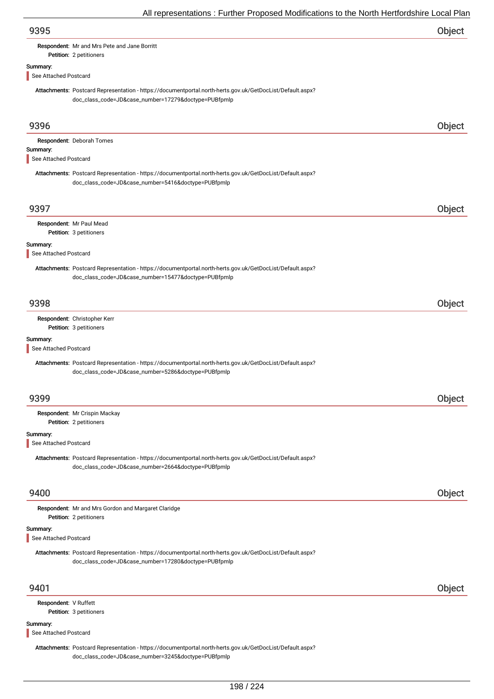| 9395                              |                                                                                                                                                                   | Object |
|-----------------------------------|-------------------------------------------------------------------------------------------------------------------------------------------------------------------|--------|
|                                   | Respondent: Mr and Mrs Pete and Jane Borritt<br>Petition: 2 petitioners                                                                                           |        |
| Summary:                          |                                                                                                                                                                   |        |
| See Attached Postcard             |                                                                                                                                                                   |        |
|                                   | Attachments: Postcard Representation - https://documentportal.north-herts.gov.uk/GetDocList/Default.aspx?<br>doc_class_code=JD&case_number=17279&doctype=PUBfpmlp |        |
| 9396                              |                                                                                                                                                                   | Object |
|                                   | Respondent: Deborah Tomes                                                                                                                                         |        |
| Summary:<br>See Attached Postcard |                                                                                                                                                                   |        |
|                                   | Attachments: Postcard Representation - https://documentportal.north-herts.gov.uk/GetDocList/Default.aspx?<br>doc_class_code=JD&case_number=5416&doctype=PUBfpmlp  |        |
| 9397                              |                                                                                                                                                                   | Object |
|                                   | Respondent: Mr Paul Mead                                                                                                                                          |        |
| Summary:                          | Petition: 3 petitioners                                                                                                                                           |        |
| See Attached Postcard             |                                                                                                                                                                   |        |
|                                   | Attachments: Postcard Representation - https://documentportal.north-herts.gov.uk/GetDocList/Default.aspx?<br>doc_class_code=JD&case_number=15477&doctype=PUBfpmlp |        |
| 9398                              |                                                                                                                                                                   | Object |
|                                   | Respondent: Christopher Kerr<br>Petition: 3 petitioners                                                                                                           |        |
| Summary:                          |                                                                                                                                                                   |        |
| See Attached Postcard             |                                                                                                                                                                   |        |
|                                   | Attachments: Postcard Representation - https://documentportal.north-herts.gov.uk/GetDocList/Default.aspx?<br>doc_class_code=JD&case_number=5286&doctype=PUBfpmlp  |        |
| 9399                              |                                                                                                                                                                   | Object |
|                                   | Respondent: Mr Crispin Mackay                                                                                                                                     |        |
|                                   | Petition: 2 petitioners                                                                                                                                           |        |
| Summary:<br>See Attached Postcard |                                                                                                                                                                   |        |
|                                   | Attachments: Postcard Representation - https://documentportal.north-herts.gov.uk/GetDocList/Default.aspx?<br>doc_class_code=JD&case_number=2664&doctype=PUBfpmlp  |        |
| 9400                              |                                                                                                                                                                   | Object |
|                                   | Respondent: Mr and Mrs Gordon and Margaret Claridge<br>Petition: 2 petitioners                                                                                    |        |
| Summary:<br>See Attached Postcard |                                                                                                                                                                   |        |
|                                   | Attachments: Postcard Representation - https://documentportal.north-herts.gov.uk/GetDocList/Default.aspx?<br>doc_class_code=JD&case_number=17280&doctype=PUBfpmlp |        |
| 9401                              |                                                                                                                                                                   | Object |
| Respondent: V Ruffett             |                                                                                                                                                                   |        |
|                                   | Petition: 3 petitioners                                                                                                                                           |        |
| Summary:<br>See Attached Postcard |                                                                                                                                                                   |        |
|                                   | Attachments: Postcard Representation - https://documentportal.north-herts.gov.uk/GetDocList/Default.aspx?<br>doc_class_code=JD&case_number=3245&doctype=PUBfpmlp  |        |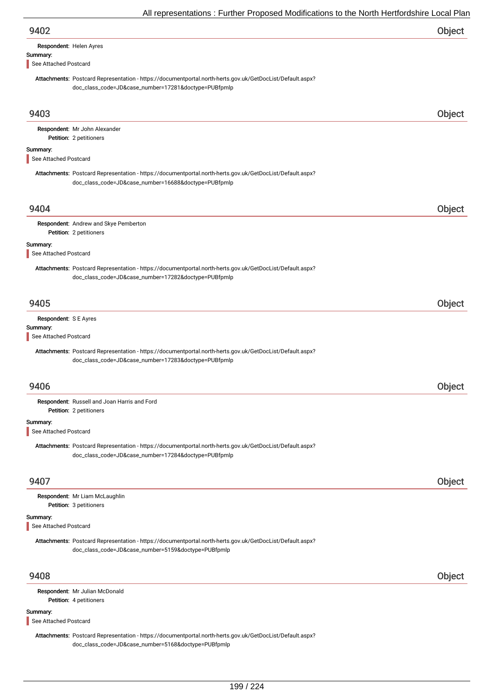| 9402 | Object |
|------|--------|
|      |        |

| Respondent: Helen Ayres |  |
|-------------------------|--|
|                         |  |

Summary:

See Attached Postcard

Attachments: Postcard Representation - https://documentportal.north-herts.gov.uk/GetDocList/Default.aspx? doc\_class\_code=JD&case\_number=17281&doctype=PUBfpmlp

| 9403                                                       |                                                                                                                                                                   | Object |
|------------------------------------------------------------|-------------------------------------------------------------------------------------------------------------------------------------------------------------------|--------|
|                                                            | Respondent: Mr John Alexander<br>Petition: 2 petitioners                                                                                                          |        |
| Summary:                                                   |                                                                                                                                                                   |        |
| See Attached Postcard                                      |                                                                                                                                                                   |        |
|                                                            | Attachments: Postcard Representation - https://documentportal.north-herts.gov.uk/GetDocList/Default.aspx?<br>doc_class_code=JD&case_number=16688&doctype=PUBfpmlp |        |
| 9404                                                       |                                                                                                                                                                   | Object |
|                                                            | Respondent: Andrew and Skye Pemberton<br>Petition: 2 petitioners                                                                                                  |        |
| Summary:<br>See Attached Postcard                          |                                                                                                                                                                   |        |
|                                                            | Attachments: Postcard Representation - https://documentportal.north-herts.gov.uk/GetDocList/Default.aspx?<br>doc_class_code=JD&case_number=17282&doctype=PUBfpmlp |        |
| 9405                                                       |                                                                                                                                                                   | Object |
| Respondent: S E Ayres<br>Summary:<br>See Attached Postcard |                                                                                                                                                                   |        |
|                                                            | Attachments: Postcard Representation - https://documentportal.north-herts.gov.uk/GetDocList/Default.aspx?<br>doc_class_code=JD&case_number=17283&doctype=PUBfpmlp |        |
| 9406                                                       |                                                                                                                                                                   | Object |
|                                                            | Respondent: Russell and Joan Harris and Ford<br>Petition: 2 petitioners                                                                                           |        |
| Summary:<br>See Attached Postcard                          |                                                                                                                                                                   |        |
|                                                            | Attachments: Postcard Representation - https://documentportal.north-herts.gov.uk/GetDocList/Default.aspx?<br>doc_class_code=JD&case_number=17284&doctype=PUBfpmlp |        |
| 9407                                                       |                                                                                                                                                                   | Object |
|                                                            | Respondent: Mr Liam McLaughlin<br>Petition: 3 petitioners                                                                                                         |        |
| Summary:<br>See Attached Postcard                          |                                                                                                                                                                   |        |
|                                                            | Attachments: Postcard Representation - https://documentportal.north-herts.gov.uk/GetDocList/Default.aspx?<br>doc_class_code=JD&case_number=5159&doctype=PUBfpmlp  |        |
| 9408                                                       |                                                                                                                                                                   | Object |
|                                                            | Respondent: Mr Julian McDonald<br>Petition: 4 petitioners                                                                                                         |        |
| Summary:<br>See Attached Postcard                          |                                                                                                                                                                   |        |
|                                                            | Attachments: Postcard Representation - https://documentportal.north-herts.gov.uk/GetDocList/Default.aspx?                                                         |        |

doc\_class\_code=JD&case\_number=5168&doctype=PUBfpmlp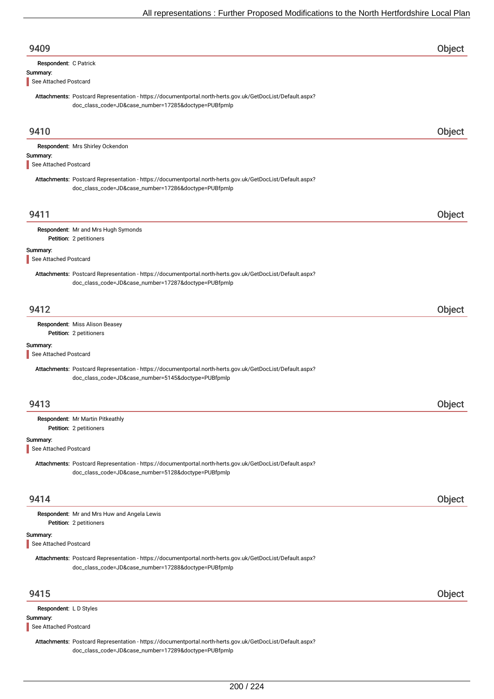| 9409                               |                                                                                                                                                                   | Object |
|------------------------------------|-------------------------------------------------------------------------------------------------------------------------------------------------------------------|--------|
| Respondent: C Patrick              |                                                                                                                                                                   |        |
| Summary:<br>See Attached Postcard  |                                                                                                                                                                   |        |
|                                    | Attachments: Postcard Representation - https://documentportal.north-herts.gov.uk/GetDocList/Default.aspx?<br>doc_class_code=JD&case_number=17285&doctype=PUBfpmlp |        |
| 9410                               |                                                                                                                                                                   | Object |
|                                    | Respondent: Mrs Shirley Ockendon                                                                                                                                  |        |
| Summary:<br>See Attached Postcard  |                                                                                                                                                                   |        |
|                                    | Attachments: Postcard Representation - https://documentportal.north-herts.gov.uk/GetDocList/Default.aspx?<br>doc_class_code=JD&case_number=17286&doctype=PUBfpmlp |        |
| 9411                               |                                                                                                                                                                   | Object |
|                                    | Respondent: Mr and Mrs Hugh Symonds<br>Petition: 2 petitioners                                                                                                    |        |
| Summary:<br>See Attached Postcard  |                                                                                                                                                                   |        |
|                                    | Attachments: Postcard Representation - https://documentportal.north-herts.gov.uk/GetDocList/Default.aspx?<br>doc_class_code=JD&case_number=17287&doctype=PUBfpmlp |        |
| 9412                               |                                                                                                                                                                   | Object |
|                                    | Respondent: Miss Alison Beasey<br>Petition: 2 petitioners                                                                                                         |        |
| Summary:<br>See Attached Postcard  |                                                                                                                                                                   |        |
|                                    | Attachments: Postcard Representation - https://documentportal.north-herts.gov.uk/GetDocList/Default.aspx?<br>doc_class_code=JD&case_number=5145&doctype=PUBfpmlp  |        |
| 9413                               |                                                                                                                                                                   | Object |
|                                    | Respondent: Mr Martin Pitkeathly<br>Petition: 2 petitioners                                                                                                       |        |
| Summary:<br>See Attached Postcard  |                                                                                                                                                                   |        |
|                                    | Attachments: Postcard Representation - https://documentportal.north-herts.gov.uk/GetDocList/Default.aspx?<br>doc_class_code=JD&case_number=5128&doctype=PUBfpmlp  |        |
| 9414                               |                                                                                                                                                                   | Object |
|                                    | Respondent: Mr and Mrs Huw and Angela Lewis<br>Petition: 2 petitioners                                                                                            |        |
| Summary:<br>See Attached Postcard  |                                                                                                                                                                   |        |
|                                    | Attachments: Postcard Representation - https://documentportal.north-herts.gov.uk/GetDocList/Default.aspx?<br>doc_class_code=JD&case_number=17288&doctype=PUBfpmlp |        |
| 9415                               |                                                                                                                                                                   | Object |
| Respondent: L D Styles<br>Summary: |                                                                                                                                                                   |        |
| See Attached Postcard              |                                                                                                                                                                   |        |
|                                    | Attachments: Postcard Representation - https://documentportal.north-herts.gov.uk/GetDocList/Default.aspx?<br>doc_class_code=JD&case_number=17289&doctype=PUBfpmlp |        |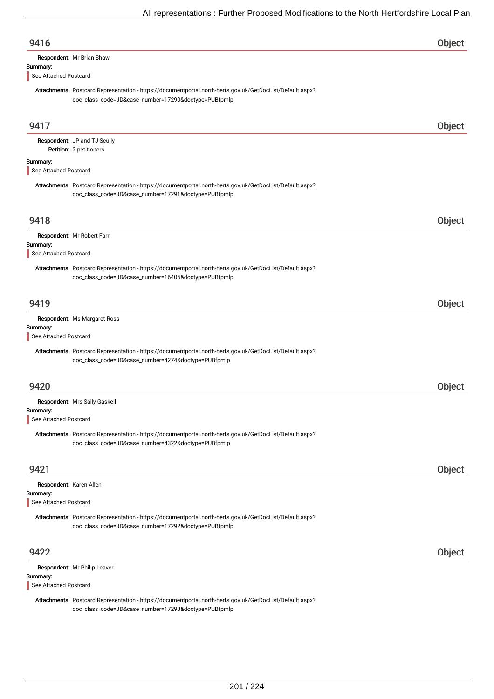| 9416                              |                                                                                                                                                                   | Object |
|-----------------------------------|-------------------------------------------------------------------------------------------------------------------------------------------------------------------|--------|
| Summary:                          | Respondent: Mr Brian Shaw                                                                                                                                         |        |
| See Attached Postcard             |                                                                                                                                                                   |        |
|                                   | Attachments: Postcard Representation - https://documentportal.north-herts.gov.uk/GetDocList/Default.aspx?<br>doc_class_code=JD&case_number=17290&doctype=PUBfpmlp |        |
| 9417                              |                                                                                                                                                                   | Object |
|                                   | Respondent: JP and TJ Scully<br>Petition: 2 petitioners                                                                                                           |        |
| Summary:<br>See Attached Postcard |                                                                                                                                                                   |        |
|                                   | Attachments: Postcard Representation - https://documentportal.north-herts.gov.uk/GetDocList/Default.aspx?<br>doc_class_code=JD&case_number=17291&doctype=PUBfpmlp |        |
| 9418                              |                                                                                                                                                                   | Object |
| Summary:<br>See Attached Postcard | Respondent: Mr Robert Farr                                                                                                                                        |        |
|                                   | Attachments: Postcard Representation - https://documentportal.north-herts.gov.uk/GetDocList/Default.aspx?<br>doc_class_code=JD&case_number=16405&doctype=PUBfpmlp |        |
| 9419                              |                                                                                                                                                                   | Object |
| Summary:<br>See Attached Postcard | Respondent: Ms Margaret Ross                                                                                                                                      |        |
|                                   | Attachments: Postcard Representation - https://documentportal.north-herts.gov.uk/GetDocList/Default.aspx?<br>doc_class_code=JD&case_number=4274&doctype=PUBfpmlp  |        |
| 9420                              |                                                                                                                                                                   | Object |
| Summary:<br>See Attached Postcard | Respondent: Mrs Sally Gaskell                                                                                                                                     |        |
|                                   | Attachments: Postcard Representation - https://documentportal.north-herts.gov.uk/GetDocList/Default.aspx?<br>doc_class_code=JD&case_number=4322&doctype=PUBfpmlp  |        |
| 9421                              |                                                                                                                                                                   | Object |
| Respondent: Karen Allen           |                                                                                                                                                                   |        |
| Summary:<br>See Attached Postcard |                                                                                                                                                                   |        |
|                                   | Attachments: Postcard Representation - https://documentportal.north-herts.gov.uk/GetDocList/Default.aspx?<br>doc_class_code=JD&case_number=17292&doctype=PUBfpmlp |        |
| 9422                              |                                                                                                                                                                   | Object |
| Summary:                          | Respondent: Mr Philip Leaver                                                                                                                                      |        |
| See Attached Postcard             |                                                                                                                                                                   |        |

Attachments: Postcard Representation - https://documentportal.north-herts.gov.uk/GetDocList/Default.aspx? doc\_class\_code=JD&case\_number=17293&doctype=PUBfpmlp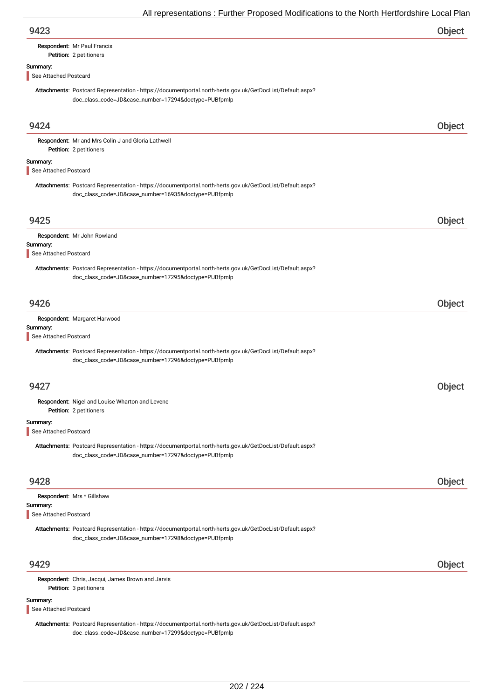| 9423                                                                                                                                                              | Object |
|-------------------------------------------------------------------------------------------------------------------------------------------------------------------|--------|
| Respondent: Mr Paul Francis<br>Petition: 2 petitioners                                                                                                            |        |
| Summary:<br>See Attached Postcard                                                                                                                                 |        |
| Attachments: Postcard Representation - https://documentportal.north-herts.gov.uk/GetDocList/Default.aspx?<br>doc_class_code=JD&case_number=17294&doctype=PUBfpmlp |        |
| 9424                                                                                                                                                              | Object |
| Respondent: Mr and Mrs Colin J and Gloria Lathwell<br>Petition: 2 petitioners                                                                                     |        |
| Summary:<br>See Attached Postcard                                                                                                                                 |        |
| Attachments: Postcard Representation - https://documentportal.north-herts.gov.uk/GetDocList/Default.aspx?<br>doc_class_code=JD&case_number=16935&doctype=PUBfpmlp |        |
| 9425                                                                                                                                                              | Object |
| Respondent: Mr John Rowland<br>Summary:<br>See Attached Postcard                                                                                                  |        |
| Attachments: Postcard Representation - https://documentportal.north-herts.gov.uk/GetDocList/Default.aspx?<br>doc_class_code=JD&case_number=17295&doctype=PUBfpmlp |        |
| 9426                                                                                                                                                              | Object |
| Respondent: Margaret Harwood<br>Summary:<br>See Attached Postcard                                                                                                 |        |
| Attachments: Postcard Representation - https://documentportal.north-herts.gov.uk/GetDocList/Default.aspx?<br>doc_class_code=JD&case_number=17296&doctype=PUBfpmlp |        |
| 9427                                                                                                                                                              | Object |
| Respondent: Nigel and Louise Wharton and Levene<br>Petition: 2 petitioners                                                                                        |        |
| Summary:<br>See Attached Postcard                                                                                                                                 |        |
| Attachments: Postcard Representation - https://documentportal.north-herts.gov.uk/GetDocList/Default.aspx?<br>doc_class_code=JD&case_number=17297&doctype=PUBfpmlp |        |
| 9428                                                                                                                                                              | Object |
| Respondent: Mrs * Gillshaw<br>Summary:<br>See Attached Postcard                                                                                                   |        |
| Attachments: Postcard Representation - https://documentportal.north-herts.gov.uk/GetDocList/Default.aspx?<br>doc_class_code=JD&case_number=17298&doctype=PUBfpmlp |        |
| 9429                                                                                                                                                              | Object |
| Respondent: Chris, Jacqui, James Brown and Jarvis<br>Petition: 3 petitioners<br>Summary:                                                                          |        |
| See Attached Postcard                                                                                                                                             |        |

Attachments: Postcard Representation - https://documentportal.north-herts.gov.uk/GetDocList/Default.aspx? doc\_class\_code=JD&case\_number=17299&doctype=PUBfpmlp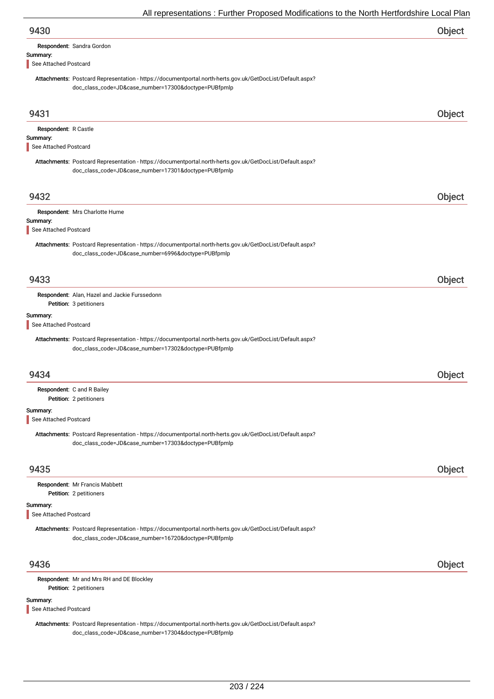| 9430                                                      |                                                                                                                                                                   | Object        |
|-----------------------------------------------------------|-------------------------------------------------------------------------------------------------------------------------------------------------------------------|---------------|
|                                                           | Respondent: Sandra Gordon                                                                                                                                         |               |
| Summary:<br>See Attached Postcard                         |                                                                                                                                                                   |               |
|                                                           | Attachments: Postcard Representation - https://documentportal.north-herts.gov.uk/GetDocList/Default.aspx?<br>doc_class_code=JD&case_number=17300&doctype=PUBfpmlp |               |
| 9431                                                      |                                                                                                                                                                   | Object        |
| Respondent: R Castle<br>Summary:<br>See Attached Postcard |                                                                                                                                                                   |               |
|                                                           | Attachments: Postcard Representation - https://documentportal.north-herts.gov.uk/GetDocList/Default.aspx?<br>doc_class_code=JD&case_number=17301&doctype=PUBfpmlp |               |
| 9432                                                      |                                                                                                                                                                   | Object        |
|                                                           | Respondent: Mrs Charlotte Hume                                                                                                                                    |               |
| Summary:<br>See Attached Postcard                         |                                                                                                                                                                   |               |
|                                                           | Attachments: Postcard Representation - https://documentportal.north-herts.gov.uk/GetDocList/Default.aspx?<br>doc_class_code=JD&case_number=6996&doctype=PUBfpmlp  |               |
| 9433                                                      |                                                                                                                                                                   | Object        |
|                                                           | Respondent: Alan, Hazel and Jackie Furssedonn<br>Petition: 3 petitioners                                                                                          |               |
| Summary:<br>See Attached Postcard                         |                                                                                                                                                                   |               |
|                                                           | Attachments: Postcard Representation - https://documentportal.north-herts.gov.uk/GetDocList/Default.aspx?<br>doc_class_code=JD&case_number=17302&doctype=PUBfpmlp |               |
| 9434                                                      |                                                                                                                                                                   | <b>Object</b> |
|                                                           | <b>Respondent:</b> C and R Bailey<br>Petition: 2 petitioners                                                                                                      |               |
| Summary:<br>See Attached Postcard                         |                                                                                                                                                                   |               |
|                                                           | Attachments: Postcard Representation - https://documentportal.north-herts.gov.uk/GetDocList/Default.aspx?<br>doc_class_code=JD&case_number=17303&doctype=PUBfpmlp |               |
| 9435                                                      |                                                                                                                                                                   | Object        |
|                                                           | Respondent: Mr Francis Mabbett<br>Petition: 2 petitioners                                                                                                         |               |
| Summary:                                                  |                                                                                                                                                                   |               |
| See Attached Postcard                                     | Attachments: Postcard Representation - https://documentportal.north-herts.gov.uk/GetDocList/Default.aspx?<br>doc_class_code=JD&case_number=16720&doctype=PUBfpmlp |               |
| 9436                                                      |                                                                                                                                                                   | Object        |
|                                                           | Respondent: Mr and Mrs RH and DE Blockley<br>Petition: 2 petitioners                                                                                              |               |
| Summary:<br>See Attached Postcard                         |                                                                                                                                                                   |               |
|                                                           | Attachments: Postcard Representation - https://documentportal.north-herts.gov.uk/GetDocList/Default.aspx?                                                         |               |

doc\_class\_code=JD&case\_number=17304&doctype=PUBfpmlp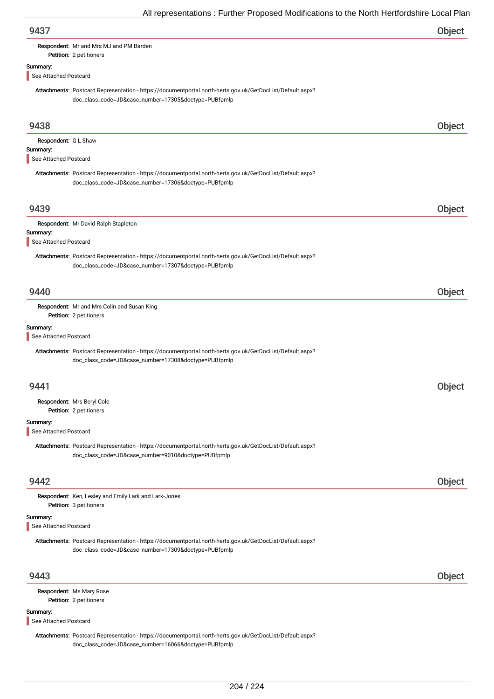| 9437                                                                                                                                                              | Object |
|-------------------------------------------------------------------------------------------------------------------------------------------------------------------|--------|
| Respondent: Mr and Mrs MJ and PM Barden<br>Petition: 2 petitioners                                                                                                |        |
|                                                                                                                                                                   |        |
| Summary:<br>See Attached Postcard                                                                                                                                 |        |
| Attachments: Postcard Representation - https://documentportal.north-herts.gov.uk/GetDocList/Default.aspx?<br>doc_class_code=JD&case_number=17305&doctype=PUBfpmlp |        |
| 9438                                                                                                                                                              | Object |
| Respondent: G L Shaw                                                                                                                                              |        |
| Summary:<br>See Attached Postcard                                                                                                                                 |        |
| Attachments: Postcard Representation - https://documentportal.north-herts.gov.uk/GetDocList/Default.aspx?<br>doc_class_code=JD&case_number=17306&doctype=PUBfpmlp |        |
| 9439                                                                                                                                                              | Object |
| Respondent: Mr David Ralph Stapleton                                                                                                                              |        |
| Summary:<br>See Attached Postcard                                                                                                                                 |        |
| Attachments: Postcard Representation - https://documentportal.north-herts.gov.uk/GetDocList/Default.aspx?<br>doc_class_code=JD&case_number=17307&doctype=PUBfpmlp |        |
| 9440                                                                                                                                                              | Object |
| Respondent: Mr and Mrs Colin and Susan King<br>Petition: 2 petitioners                                                                                            |        |
| Summary:<br>See Attached Postcard                                                                                                                                 |        |
| Attachments: Postcard Representation - https://documentportal.north-herts.gov.uk/GetDocList/Default.aspx?<br>doc_class_code=JD&case_number=17308&doctype=PUBfpmlp |        |
| 9441                                                                                                                                                              | Object |
| Respondent: Mrs Beryl Cole<br>Petition: 2 petitioners                                                                                                             |        |
| Summary:                                                                                                                                                          |        |
| See Attached Postcard                                                                                                                                             |        |
| Attachments: Postcard Representation - https://documentportal.north-herts.gov.uk/GetDocList/Default.aspx?<br>doc_class_code=JD&case_number=9010&doctype=PUBfpmlp  |        |
| 9442                                                                                                                                                              | Object |
| Respondent: Ken, Lesley and Emily Lark and Lark-Jones<br>Petition: 3 petitioners                                                                                  |        |
| Summary:<br>See Attached Postcard                                                                                                                                 |        |
| Attachments: Postcard Representation - https://documentportal.north-herts.gov.uk/GetDocList/Default.aspx?<br>doc_class_code=JD&case_number=17309&doctype=PUBfpmlp |        |
| 9443                                                                                                                                                              | Object |
| Respondent: Ms Mary Rose<br>Petition: 2 petitioners                                                                                                               |        |
| Summary:<br>See Attached Postcard                                                                                                                                 |        |

Attachments: Postcard Representation - https://documentportal.north-herts.gov.uk/GetDocList/Default.aspx? doc\_class\_code=JD&case\_number=16066&doctype=PUBfpmlp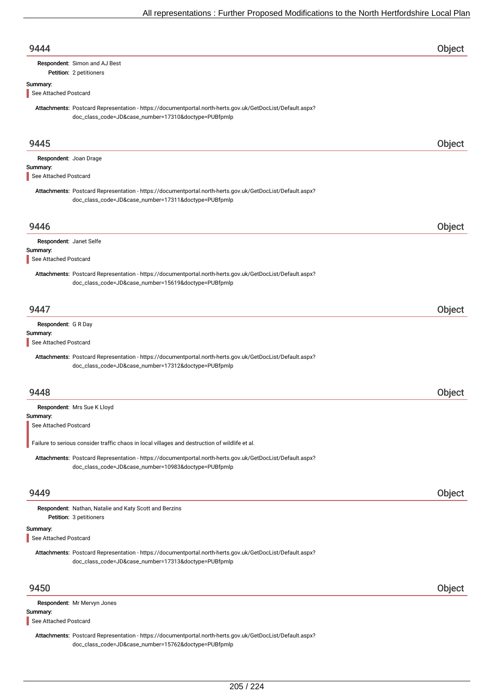| 9444                                                        |                                                                                                                                                                   | Object |
|-------------------------------------------------------------|-------------------------------------------------------------------------------------------------------------------------------------------------------------------|--------|
|                                                             | Respondent: Simon and AJ Best<br>Petition: 2 petitioners                                                                                                          |        |
| Summary:<br>See Attached Postcard                           |                                                                                                                                                                   |        |
|                                                             | Attachments: Postcard Representation - https://documentportal.north-herts.gov.uk/GetDocList/Default.aspx?<br>doc_class_code=JD&case_number=17310&doctype=PUBfpmlp |        |
| 9445                                                        |                                                                                                                                                                   | Object |
| Respondent: Joan Drage<br>Summary:<br>See Attached Postcard |                                                                                                                                                                   |        |
|                                                             | Attachments: Postcard Representation - https://documentportal.north-herts.gov.uk/GetDocList/Default.aspx?<br>doc_class_code=JD&case_number=17311&doctype=PUBfpmlp |        |
| 9446                                                        |                                                                                                                                                                   | Object |
| Respondent: Janet Selfe<br>Summary:                         |                                                                                                                                                                   |        |
| See Attached Postcard                                       |                                                                                                                                                                   |        |
|                                                             | Attachments: Postcard Representation - https://documentportal.north-herts.gov.uk/GetDocList/Default.aspx?<br>doc_class_code=JD&case_number=15619&doctype=PUBfpmlp |        |
| 9447                                                        |                                                                                                                                                                   | Object |
| Respondent: G R Day<br>Summary:                             |                                                                                                                                                                   |        |
| See Attached Postcard                                       |                                                                                                                                                                   |        |
|                                                             | Attachments: Postcard Representation - https://documentportal.north-herts.gov.uk/GetDocList/Default.aspx?<br>doc_class_code=JD&case_number=17312&doctype=PUBfpmlp |        |
| 9448                                                        |                                                                                                                                                                   | Object |
|                                                             | Respondent: Mrs Sue K Lloyd                                                                                                                                       |        |
| Summary:<br>See Attached Postcard                           |                                                                                                                                                                   |        |
|                                                             | Failure to serious consider traffic chaos in local villages and destruction of wildlife et al.                                                                    |        |
|                                                             | Attachments: Postcard Representation - https://documentportal.north-herts.gov.uk/GetDocList/Default.aspx?<br>doc_class_code=JD&case_number=10983&doctype=PUBfpmlp |        |
| 9449                                                        |                                                                                                                                                                   | Object |
|                                                             | <b>Respondent:</b> Nathan, Natalie and Katy Scott and Berzins<br>Petition: 3 petitioners                                                                          |        |
| Summary:<br>See Attached Postcard                           |                                                                                                                                                                   |        |
|                                                             | Attachments: Postcard Representation - https://documentportal.north-herts.gov.uk/GetDocList/Default.aspx?<br>doc_class_code=JD&case_number=17313&doctype=PUBfpmlp |        |
| 9450                                                        |                                                                                                                                                                   | Object |
| Summary:                                                    | Respondent: Mr Mervyn Jones                                                                                                                                       |        |
| See Attached Postcard                                       |                                                                                                                                                                   |        |
|                                                             | Attachments: Postcard Representation - https://documentportal.north-herts.gov.uk/GetDocList/Default.aspx?<br>doc_class_code=JD&case_number=15762&doctype=PUBfpmlp |        |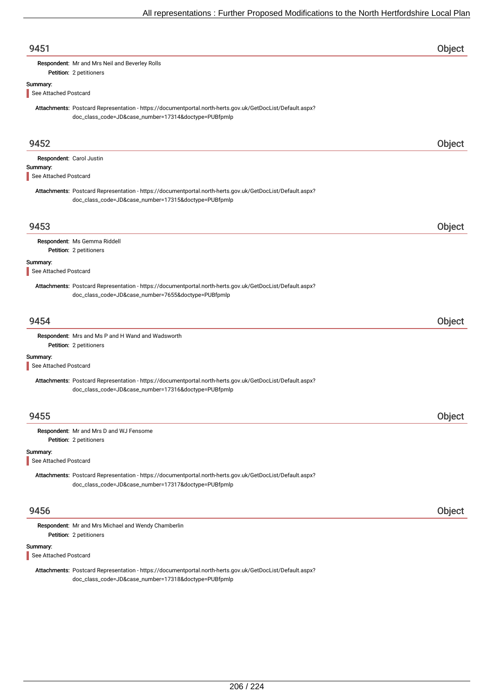| 9451                              |                                                                                                                                                                   | Object |
|-----------------------------------|-------------------------------------------------------------------------------------------------------------------------------------------------------------------|--------|
|                                   | Respondent: Mr and Mrs Neil and Beverley Rolls                                                                                                                    |        |
|                                   | Petition: 2 petitioners                                                                                                                                           |        |
| Summary:                          |                                                                                                                                                                   |        |
| See Attached Postcard             |                                                                                                                                                                   |        |
|                                   | Attachments: Postcard Representation - https://documentportal.north-herts.gov.uk/GetDocList/Default.aspx?<br>doc_class_code=JD&case_number=17314&doctype=PUBfpmlp |        |
| 9452                              |                                                                                                                                                                   | Object |
|                                   | Respondent: Carol Justin                                                                                                                                          |        |
| Summary:                          |                                                                                                                                                                   |        |
| See Attached Postcard             |                                                                                                                                                                   |        |
|                                   | Attachments: Postcard Representation - https://documentportal.north-herts.gov.uk/GetDocList/Default.aspx?<br>doc_class_code=JD&case_number=17315&doctype=PUBfpmlp |        |
| 9453                              |                                                                                                                                                                   | Object |
|                                   | Respondent: Ms Gemma Riddell                                                                                                                                      |        |
|                                   | Petition: 2 petitioners                                                                                                                                           |        |
| Summary:                          |                                                                                                                                                                   |        |
| See Attached Postcard             |                                                                                                                                                                   |        |
|                                   | Attachments: Postcard Representation - https://documentportal.north-herts.gov.uk/GetDocList/Default.aspx?<br>doc_class_code=JD&case_number=7655&doctype=PUBfpmlp  |        |
| 9454                              |                                                                                                                                                                   | Object |
|                                   | Respondent: Mrs and Ms P and H Wand and Wadsworth<br>Petition: 2 petitioners                                                                                      |        |
| Summary:<br>See Attached Postcard |                                                                                                                                                                   |        |
|                                   | Attachments: Postcard Representation - https://documentportal.north-herts.gov.uk/GetDocList/Default.aspx?<br>doc_class_code=JD&case_number=17316&doctype=PUBfpmlp |        |
| 9455                              |                                                                                                                                                                   | Object |
|                                   | Respondent: Mr and Mrs D and WJ Fensome<br>Petition: 2 petitioners                                                                                                |        |
| Summary:<br>See Attached Postcard |                                                                                                                                                                   |        |
|                                   | Attachments: Postcard Representation - https://documentportal.north-herts.gov.uk/GetDocList/Default.aspx?<br>doc_class_code=JD&case_number=17317&doctype=PUBfpmlp |        |
| 9456                              |                                                                                                                                                                   | Object |
|                                   | Respondent: Mr and Mrs Michael and Wendy Chamberlin<br>Petition: 2 petitioners                                                                                    |        |
| Summary:<br>See Attached Postcard |                                                                                                                                                                   |        |
|                                   | Attachments: Postcard Representation - https://documentportal.north-herts.gov.uk/GetDocList/Default.aspx?                                                         |        |

doc\_class\_code=JD&case\_number=17318&doctype=PUBfpmlp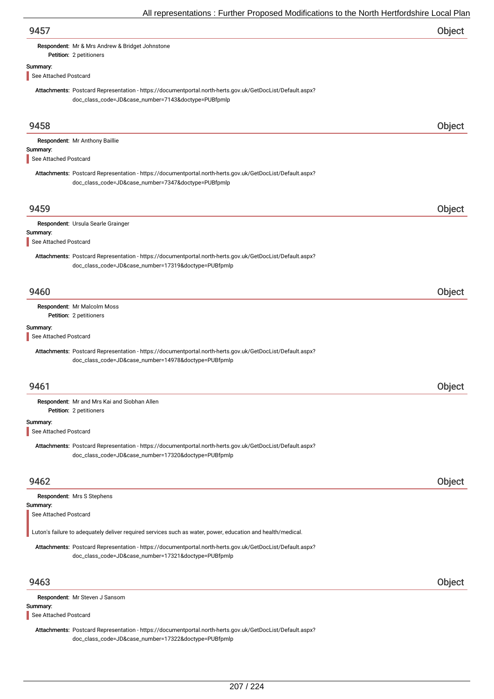| 9457                              |                                                                                                                                                                   | Object |
|-----------------------------------|-------------------------------------------------------------------------------------------------------------------------------------------------------------------|--------|
|                                   | Respondent: Mr & Mrs Andrew & Bridget Johnstone<br>Petition: 2 petitioners                                                                                        |        |
| Summary:                          |                                                                                                                                                                   |        |
| See Attached Postcard             |                                                                                                                                                                   |        |
|                                   | Attachments: Postcard Representation - https://documentportal.north-herts.gov.uk/GetDocList/Default.aspx?<br>doc_class_code=JD&case_number=7143&doctype=PUBfpmlp  |        |
|                                   |                                                                                                                                                                   |        |
| 9458                              |                                                                                                                                                                   | Object |
|                                   | Respondent: Mr Anthony Baillie                                                                                                                                    |        |
| Summary:<br>See Attached Postcard |                                                                                                                                                                   |        |
|                                   | Attachments: Postcard Representation - https://documentportal.north-herts.gov.uk/GetDocList/Default.aspx?<br>doc_class_code=JD&case_number=7347&doctype=PUBfpmlp  |        |
| 9459                              |                                                                                                                                                                   | Object |
|                                   | Respondent: Ursula Searle Grainger                                                                                                                                |        |
| Summary:<br>See Attached Postcard |                                                                                                                                                                   |        |
|                                   | Attachments: Postcard Representation - https://documentportal.north-herts.gov.uk/GetDocList/Default.aspx?                                                         |        |
|                                   | doc_class_code=JD&case_number=17319&doctype=PUBfpmlp                                                                                                              |        |
| 9460                              |                                                                                                                                                                   | Object |
|                                   | Respondent: Mr Malcolm Moss                                                                                                                                       |        |
|                                   | Petition: 2 petitioners                                                                                                                                           |        |
| Summary:<br>See Attached Postcard |                                                                                                                                                                   |        |
|                                   | Attachments: Postcard Representation - https://documentportal.north-herts.gov.uk/GetDocList/Default.aspx?<br>doc_class_code=JD&case_number=14978&doctype=PUBfpmlp |        |
|                                   |                                                                                                                                                                   |        |
| 9461                              |                                                                                                                                                                   | Object |
|                                   | Respondent: Mr and Mrs Kai and Siobhan Allen<br>Petition: 2 petitioners                                                                                           |        |
| Summary:<br>See Attached Postcard |                                                                                                                                                                   |        |
|                                   | Attachments: Postcard Representation - https://documentportal.north-herts.gov.uk/GetDocList/Default.aspx?                                                         |        |
|                                   | doc_class_code=JD&case_number=17320&doctype=PUBfpmlp                                                                                                              |        |
| 9462                              |                                                                                                                                                                   | Object |
|                                   | Respondent: Mrs S Stephens                                                                                                                                        |        |
| Summary:<br>See Attached Postcard |                                                                                                                                                                   |        |
|                                   | Luton's failure to adequately deliver required services such as water, power, education and health/medical.                                                       |        |
|                                   | Attachments: Postcard Representation - https://documentportal.north-herts.gov.uk/GetDocList/Default.aspx?                                                         |        |
|                                   | doc_class_code=JD&case_number=17321&doctype=PUBfpmlp                                                                                                              |        |
| 9463                              |                                                                                                                                                                   | Object |
|                                   | Respondent: Mr Steven J Sansom                                                                                                                                    |        |
| Summary:<br>See Attached Postcard |                                                                                                                                                                   |        |
|                                   | Attachments: Postcard Representation - https://documentportal.north-herts.gov.uk/GetDocList/Default.aspx?                                                         |        |
|                                   | doc_class_code=JD&case_number=17322&doctype=PUBfpmlp                                                                                                              |        |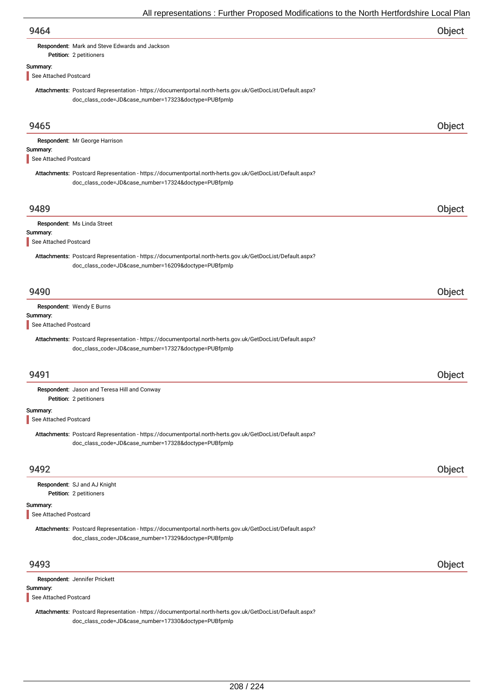|                                   | $\overline{\phantom{a}}$ in representations . Funtion Froposca modifications to the north richtionashing Eodal Fia                                                |        |
|-----------------------------------|-------------------------------------------------------------------------------------------------------------------------------------------------------------------|--------|
| 9464                              |                                                                                                                                                                   | Object |
|                                   | Respondent: Mark and Steve Edwards and Jackson                                                                                                                    |        |
|                                   | Petition: 2 petitioners                                                                                                                                           |        |
| Summary:<br>See Attached Postcard |                                                                                                                                                                   |        |
|                                   |                                                                                                                                                                   |        |
|                                   | Attachments: Postcard Representation - https://documentportal.north-herts.gov.uk/GetDocList/Default.aspx?<br>doc_class_code=JD&case_number=17323&doctype=PUBfpmlp |        |
| 9465                              |                                                                                                                                                                   | Object |
|                                   | Respondent: Mr George Harrison                                                                                                                                    |        |
| Summary:                          |                                                                                                                                                                   |        |
| See Attached Postcard             |                                                                                                                                                                   |        |
|                                   | Attachments: Postcard Representation - https://documentportal.north-herts.gov.uk/GetDocList/Default.aspx?<br>doc_class_code=JD&case_number=17324&doctype=PUBfpmlp |        |
| 9489                              |                                                                                                                                                                   | Object |
|                                   | Respondent: Ms Linda Street                                                                                                                                       |        |
| Summary:                          |                                                                                                                                                                   |        |
| See Attached Postcard             |                                                                                                                                                                   |        |
|                                   | Attachments: Postcard Representation - https://documentportal.north-herts.gov.uk/GetDocList/Default.aspx?<br>doc_class_code=JD&case_number=16209&doctype=PUBfpmlp |        |
| 9490                              |                                                                                                                                                                   | Object |
|                                   | Respondent: Wendy E Burns                                                                                                                                         |        |
| Summary:<br>See Attached Postcard |                                                                                                                                                                   |        |
|                                   | Attachments: Postcard Representation - https://documentportal.north-herts.gov.uk/GetDocList/Default.aspx?                                                         |        |
|                                   | doc_class_code=JD&case_number=17327&doctype=PUBfpmlp                                                                                                              |        |
|                                   |                                                                                                                                                                   |        |
| 9491                              |                                                                                                                                                                   | Object |
|                                   | Respondent: Jason and Teresa Hill and Conway                                                                                                                      |        |
|                                   | Petition: 2 petitioners                                                                                                                                           |        |
| Summary:                          |                                                                                                                                                                   |        |
| See Attached Postcard             |                                                                                                                                                                   |        |
|                                   | Attachments: Postcard Representation - https://documentportal.north-herts.gov.uk/GetDocList/Default.aspx?<br>doc_class_code=JD&case_number=17328&doctype=PUBfpmlp |        |
| 9492                              |                                                                                                                                                                   | Object |
|                                   | Respondent: SJ and AJ Knight                                                                                                                                      |        |
|                                   | Petition: 2 petitioners                                                                                                                                           |        |
| Summary:<br>See Attached Postcard |                                                                                                                                                                   |        |
|                                   | Attachments: Postcard Representation - https://documentportal.north-herts.gov.uk/GetDocList/Default.aspx?<br>doc_class_code=JD&case_number=17329&doctype=PUBfpmlp |        |
| 9493                              |                                                                                                                                                                   | Object |
|                                   | Respondent: Jennifer Prickett                                                                                                                                     |        |
| Summary:                          |                                                                                                                                                                   |        |
| See Attached Postcard             |                                                                                                                                                                   |        |
|                                   | Attachments: Postcard Representation - https://documentportal.north-herts.gov.uk/GetDocList/Default.aspx?<br>doc_class_code=JD&case_number=17330&doctype=PUBfpmlp |        |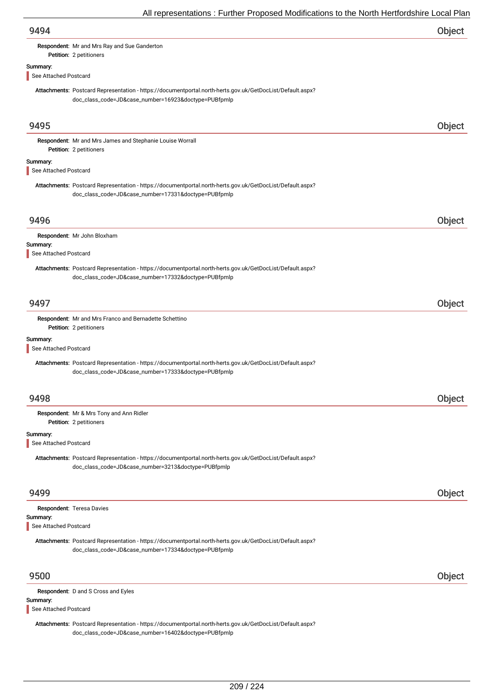| 9494                              |                                                                                                                                                                   | Object |
|-----------------------------------|-------------------------------------------------------------------------------------------------------------------------------------------------------------------|--------|
|                                   | Respondent: Mr and Mrs Ray and Sue Ganderton<br>Petition: 2 petitioners                                                                                           |        |
| Summary:<br>See Attached Postcard |                                                                                                                                                                   |        |
|                                   | Attachments: Postcard Representation - https://documentportal.north-herts.gov.uk/GetDocList/Default.aspx?<br>doc_class_code=JD&case_number=16923&doctype=PUBfpmlp |        |
| 9495                              |                                                                                                                                                                   | Object |
|                                   | Respondent: Mr and Mrs James and Stephanie Louise Worrall<br>Petition: 2 petitioners                                                                              |        |
| Summary:                          |                                                                                                                                                                   |        |
| See Attached Postcard             |                                                                                                                                                                   |        |
|                                   | Attachments: Postcard Representation - https://documentportal.north-herts.gov.uk/GetDocList/Default.aspx?<br>doc_class_code=JD&case_number=17331&doctype=PUBfpmlp |        |
| 9496                              |                                                                                                                                                                   | Object |
|                                   | Respondent: Mr John Bloxham                                                                                                                                       |        |
| Summary:<br>See Attached Postcard |                                                                                                                                                                   |        |
|                                   | Attachments: Postcard Representation - https://documentportal.north-herts.gov.uk/GetDocList/Default.aspx?<br>doc_class_code=JD&case_number=17332&doctype=PUBfpmlp |        |
| 9497                              |                                                                                                                                                                   | Object |
|                                   | Respondent: Mr and Mrs Franco and Bernadette Schettino<br>Petition: 2 petitioners                                                                                 |        |
| Summary:                          |                                                                                                                                                                   |        |
| See Attached Postcard             |                                                                                                                                                                   |        |
|                                   | Attachments: Postcard Representation - https://documentportal.north-herts.gov.uk/GetDocList/Default.aspx?<br>doc_class_code=JD&case_number=17333&doctype=PUBfpmlp |        |
| 9498                              |                                                                                                                                                                   | Object |
|                                   | Respondent: Mr & Mrs Tony and Ann Ridler                                                                                                                          |        |
|                                   | Petition: 2 petitioners                                                                                                                                           |        |
| Summary:<br>See Attached Postcard |                                                                                                                                                                   |        |
|                                   | Attachments: Postcard Representation - https://documentportal.north-herts.gov.uk/GetDocList/Default.aspx?<br>doc_class_code=JD&case_number=3213&doctype=PUBfpmlp  |        |
| 9499                              |                                                                                                                                                                   | Object |
|                                   | Respondent: Teresa Davies                                                                                                                                         |        |
| Summary:<br>See Attached Postcard |                                                                                                                                                                   |        |
|                                   | Attachments: Postcard Representation - https://documentportal.north-herts.gov.uk/GetDocList/Default.aspx?<br>doc_class_code=JD&case_number=17334&doctype=PUBfpmlp |        |
| 9500                              |                                                                                                                                                                   | Object |
|                                   | Respondent: D and S Cross and Eyles                                                                                                                               |        |
| Summary:<br>See Attached Postcard |                                                                                                                                                                   |        |
|                                   |                                                                                                                                                                   |        |

Attachments: Postcard Representation - https://documentportal.north-herts.gov.uk/GetDocList/Default.aspx? doc\_class\_code=JD&case\_number=16402&doctype=PUBfpmlp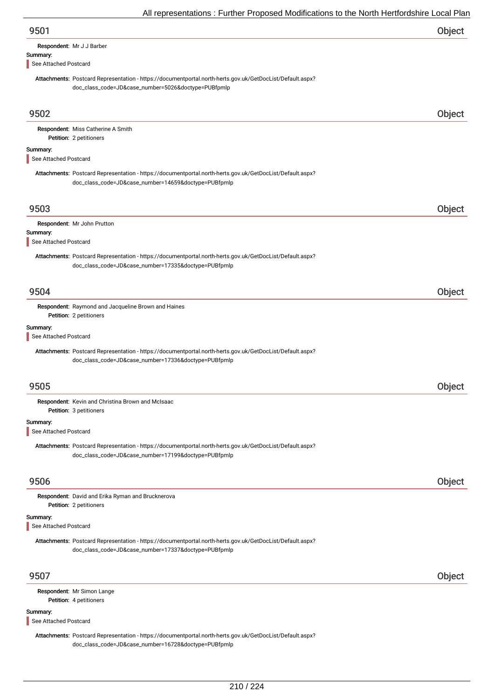| Respondent: Mr J J Barber |
|---------------------------|
|                           |

Summary:

# See Attached Postcard

Attachments: Postcard Representation - https://documentportal.north-herts.gov.uk/GetDocList/Default.aspx? doc\_class\_code=JD&case\_number=5026&doctype=PUBfpmlp

| 9502                              |                                                                                                                                                                   | Object        |
|-----------------------------------|-------------------------------------------------------------------------------------------------------------------------------------------------------------------|---------------|
|                                   | Respondent: Miss Catherine A Smith<br>Petition: 2 petitioners                                                                                                     |               |
| Summary:<br>See Attached Postcard |                                                                                                                                                                   |               |
|                                   | Attachments: Postcard Representation - https://documentportal.north-herts.gov.uk/GetDocList/Default.aspx?<br>doc_class_code=JD&case_number=14659&doctype=PUBfpmlp |               |
| 9503                              |                                                                                                                                                                   | Object        |
| Summary:<br>See Attached Postcard | Respondent: Mr John Prutton                                                                                                                                       |               |
|                                   | Attachments: Postcard Representation - https://documentportal.north-herts.gov.uk/GetDocList/Default.aspx?<br>doc_class_code=JD&case_number=17335&doctype=PUBfpmlp |               |
| 9504                              |                                                                                                                                                                   | <b>Object</b> |
|                                   | Respondent: Raymond and Jacqueline Brown and Haines<br>Petition: 2 petitioners                                                                                    |               |
| Summary:<br>See Attached Postcard |                                                                                                                                                                   |               |
|                                   | Attachments: Postcard Representation - https://documentportal.north-herts.gov.uk/GetDocList/Default.aspx?<br>doc_class_code=JD&case_number=17336&doctype=PUBfpmlp |               |
| 9505                              |                                                                                                                                                                   | Object        |
|                                   | Respondent: Kevin and Christina Brown and McIsaac<br>Petition: 3 petitioners                                                                                      |               |
| Summary:<br>See Attached Postcard |                                                                                                                                                                   |               |
|                                   | Attachments: Postcard Representation - https://documentportal.north-herts.gov.uk/GetDocList/Default.aspx?<br>doc_class_code=JD&case_number=17199&doctype=PUBfpmlp |               |
| 9506                              |                                                                                                                                                                   | Object        |
|                                   | Respondent: David and Erika Ryman and Brucknerova<br>Petition: 2 petitioners                                                                                      |               |
| Summary:<br>See Attached Postcard |                                                                                                                                                                   |               |
|                                   | Attachments: Postcard Representation - https://documentportal.north-herts.gov.uk/GetDocList/Default.aspx?<br>doc_class_code=JD&case_number=17337&doctype=PUBfpmlp |               |
| 9507                              |                                                                                                                                                                   | Object        |
|                                   | Respondent: Mr Simon Lange<br>Petition: 4 petitioners                                                                                                             |               |
| Summary:<br>See Attached Postcard |                                                                                                                                                                   |               |

Attachments: Postcard Representation - https://documentportal.north-herts.gov.uk/GetDocList/Default.aspx? doc\_class\_code=JD&case\_number=16728&doctype=PUBfpmlp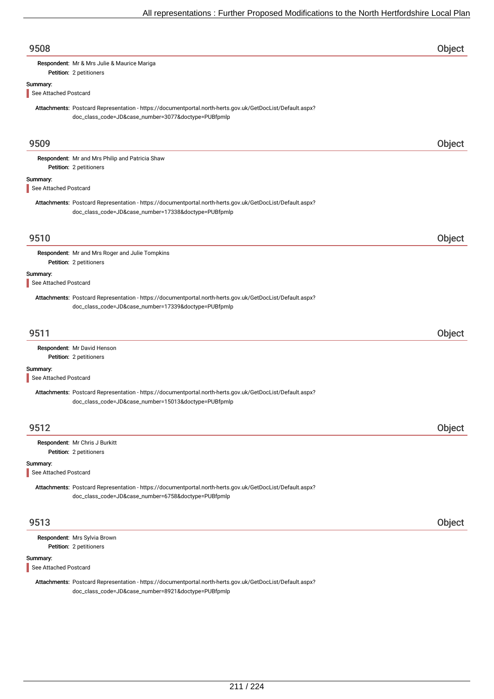| 9508                              |                                                                                                                                                                   | Object |
|-----------------------------------|-------------------------------------------------------------------------------------------------------------------------------------------------------------------|--------|
|                                   | Respondent: Mr & Mrs Julie & Maurice Mariga<br>Petition: 2 petitioners                                                                                            |        |
| Summary:                          |                                                                                                                                                                   |        |
| See Attached Postcard             |                                                                                                                                                                   |        |
|                                   | Attachments: Postcard Representation - https://documentportal.north-herts.gov.uk/GetDocList/Default.aspx?<br>doc_class_code=JD&case_number=3077&doctype=PUBfpmlp  |        |
| 9509                              |                                                                                                                                                                   | Object |
|                                   | Respondent: Mr and Mrs Philip and Patricia Shaw                                                                                                                   |        |
|                                   | Petition: 2 petitioners                                                                                                                                           |        |
| Summary:                          |                                                                                                                                                                   |        |
| See Attached Postcard             |                                                                                                                                                                   |        |
|                                   | Attachments: Postcard Representation - https://documentportal.north-herts.gov.uk/GetDocList/Default.aspx?<br>doc_class_code=JD&case_number=17338&doctype=PUBfpmlp |        |
| 9510                              |                                                                                                                                                                   | Object |
|                                   | Respondent: Mr and Mrs Roger and Julie Tompkins                                                                                                                   |        |
|                                   | Petition: 2 petitioners                                                                                                                                           |        |
| Summary:                          |                                                                                                                                                                   |        |
| See Attached Postcard             |                                                                                                                                                                   |        |
|                                   | Attachments: Postcard Representation - https://documentportal.north-herts.gov.uk/GetDocList/Default.aspx?<br>doc_class_code=JD&case_number=17339&doctype=PUBfpmlp |        |
| 9511                              |                                                                                                                                                                   | Object |
|                                   | Respondent: Mr David Henson<br>Petition: 2 petitioners                                                                                                            |        |
| Summary:<br>See Attached Postcard |                                                                                                                                                                   |        |
|                                   | Attachments: Postcard Representation - https://documentportal.north-herts.gov.uk/GetDocList/Default.aspx?<br>doc_class_code=JD&case_number=15013&doctype=PUBfpmlp |        |
| 9512                              |                                                                                                                                                                   | Object |
|                                   | Respondent: Mr Chris J Burkitt<br>Petition: 2 petitioners                                                                                                         |        |
| Summary:<br>See Attached Postcard |                                                                                                                                                                   |        |
|                                   | Attachments: Postcard Representation - https://documentportal.north-herts.gov.uk/GetDocList/Default.aspx?<br>doc_class_code=JD&case_number=6758&doctype=PUBfpmlp  |        |
| 9513                              |                                                                                                                                                                   | Object |
|                                   | Respondent: Mrs Sylvia Brown<br>Petition: 2 petitioners                                                                                                           |        |
| Summary:<br>See Attached Postcard |                                                                                                                                                                   |        |
|                                   | Attachments: Postcard Representation - https://documentportal.north-herts.gov.uk/GetDocList/Default.aspx?<br>doc_class_code=JD&case_number=8921&doctype=PUBfpmlp  |        |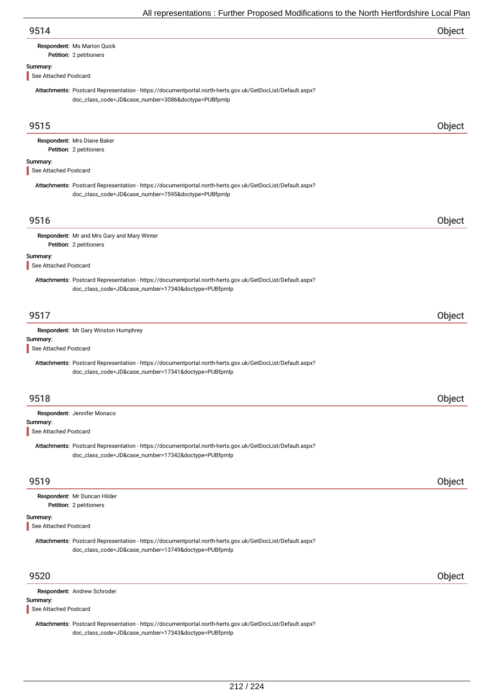| 9514 | Object |
|------|--------|
|      |        |

## Respondent: Ms Marion Quick

Petition: 2 petitioners

### Summary:

See Attached Postcard

Attachments: Postcard Representation - https://documentportal.north-herts.gov.uk/GetDocList/Default.aspx? doc\_class\_code=JD&case\_number=3086&doctype=PUBfpmlp

| 9515                              |                                                                                                                                                                   | Object        |
|-----------------------------------|-------------------------------------------------------------------------------------------------------------------------------------------------------------------|---------------|
|                                   | Respondent: Mrs Diane Baker<br>Petition: 2 petitioners                                                                                                            |               |
| Summary:<br>See Attached Postcard |                                                                                                                                                                   |               |
|                                   | Attachments: Postcard Representation - https://documentportal.north-herts.gov.uk/GetDocList/Default.aspx?<br>doc_class_code=JD&case_number=7595&doctype=PUBfpmlp  |               |
| 9516                              |                                                                                                                                                                   | <b>Object</b> |
|                                   | Respondent: Mr and Mrs Gary and Mary Winter<br>Petition: 2 petitioners                                                                                            |               |
| Summary:<br>See Attached Postcard |                                                                                                                                                                   |               |
|                                   | Attachments: Postcard Representation - https://documentportal.north-herts.gov.uk/GetDocList/Default.aspx?<br>doc_class_code=JD&case_number=17340&doctype=PUBfpmlp |               |
| 9517                              |                                                                                                                                                                   | Object        |
| Summary:<br>See Attached Postcard | Respondent: Mr Gary Winston Humphrey                                                                                                                              |               |
|                                   | Attachments: Postcard Representation - https://documentportal.north-herts.gov.uk/GetDocList/Default.aspx?<br>doc_class_code=JD&case_number=17341&doctype=PUBfpmlp |               |
| 9518                              |                                                                                                                                                                   | Object        |
| Summary:<br>See Attached Postcard | Respondent: Jennifer Monaco                                                                                                                                       |               |
|                                   | Attachments: Postcard Representation - https://documentportal.north-herts.gov.uk/GetDocList/Default.aspx?<br>doc_class_code=JD&case_number=17342&doctype=PUBfpmlp |               |
| 9519                              |                                                                                                                                                                   | Object        |
|                                   | Respondent: Mr Duncan Hilder<br>Petition: 2 petitioners                                                                                                           |               |
| Summary:<br>See Attached Postcard |                                                                                                                                                                   |               |
|                                   | Attachments: Postcard Representation - https://documentportal.north-herts.gov.uk/GetDocList/Default.aspx?<br>doc_class_code=JD&case_number=13749&doctype=PUBfpmlp |               |
| 9520                              |                                                                                                                                                                   | Object        |
| Summary:<br>See Attached Postcard | Respondent: Andrew Schroder                                                                                                                                       |               |
|                                   | Attachments: Postcard Representation - https://documentportal.north-herts.gov.uk/GetDocList/Default.aspx?<br>doc_class_code=JD&case_number=17343&doctype=PUBfpmlp |               |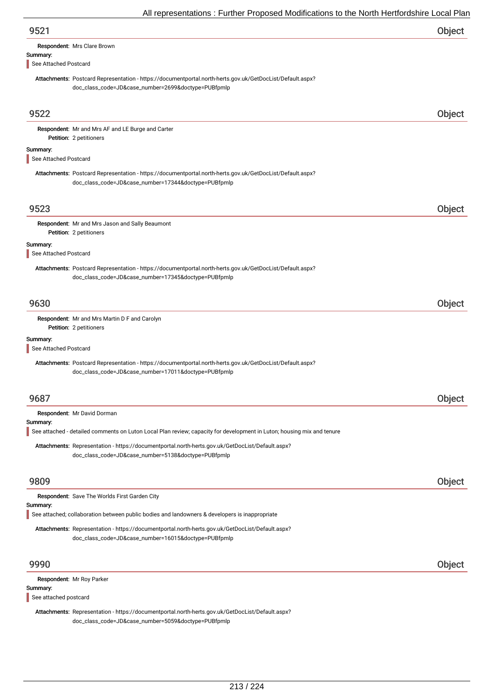| 9521                                 |                                                                                                                                                                   | Object |
|--------------------------------------|-------------------------------------------------------------------------------------------------------------------------------------------------------------------|--------|
|                                      | Respondent: Mrs Clare Brown                                                                                                                                       |        |
| Summary:                             |                                                                                                                                                                   |        |
| See Attached Postcard                |                                                                                                                                                                   |        |
|                                      | Attachments: Postcard Representation - https://documentportal.north-herts.gov.uk/GetDocList/Default.aspx?<br>doc_class_code=JD&case_number=2699&doctype=PUBfpmlp  |        |
| 9522                                 |                                                                                                                                                                   | Object |
|                                      | Respondent: Mr and Mrs AF and LE Burge and Carter                                                                                                                 |        |
|                                      | Petition: 2 petitioners                                                                                                                                           |        |
| Summary:                             |                                                                                                                                                                   |        |
| See Attached Postcard                |                                                                                                                                                                   |        |
|                                      | Attachments: Postcard Representation - https://documentportal.north-herts.gov.uk/GetDocList/Default.aspx?<br>doc_class_code=JD&case_number=17344&doctype=PUBfpmlp |        |
| 9523                                 |                                                                                                                                                                   | Object |
|                                      | Respondent: Mr and Mrs Jason and Sally Beaumont                                                                                                                   |        |
|                                      | Petition: 2 petitioners                                                                                                                                           |        |
| Summary:<br>See Attached Postcard    |                                                                                                                                                                   |        |
|                                      | Attachments: Postcard Representation - https://documentportal.north-herts.gov.uk/GetDocList/Default.aspx?<br>doc_class_code=JD&case_number=17345&doctype=PUBfpmlp |        |
| 9630                                 |                                                                                                                                                                   | Object |
|                                      | Respondent: Mr and Mrs Martin D F and Carolyn                                                                                                                     |        |
|                                      | Petition: 2 petitioners                                                                                                                                           |        |
| Summary:<br>See Attached Postcard    |                                                                                                                                                                   |        |
|                                      | Attachments: Postcard Representation - https://documentportal.north-herts.gov.uk/GetDocList/Default.aspx?<br>doc_class_code=JD&case_number=17011&doctype=PUBfpmlp |        |
|                                      |                                                                                                                                                                   | Object |
|                                      | Respondent: Mr David Dorman                                                                                                                                       |        |
|                                      |                                                                                                                                                                   |        |
|                                      | See attached - detailed comments on Luton Local Plan review; capacity for development in Luton; housing mix and tenure                                            |        |
|                                      | Attachments: Representation - https://documentportal.north-herts.gov.uk/GetDocList/Default.aspx?<br>doc_class_code=JD&case_number=5138&doctype=PUBfpmlp           |        |
|                                      |                                                                                                                                                                   |        |
|                                      | Respondent: Save The Worlds First Garden City                                                                                                                     |        |
| 9687<br>Summary:<br>9809<br>Summary: | See attached; collaboration between public bodies and landowners & developers is inappropriate                                                                    | Object |

### 9990 Object

Respondent: Mr Roy Parker

#### Summary:

See attached postcard

Attachments: Representation - https://documentportal.north-herts.gov.uk/GetDocList/Default.aspx? doc\_class\_code=JD&case\_number=5059&doctype=PUBfpmlp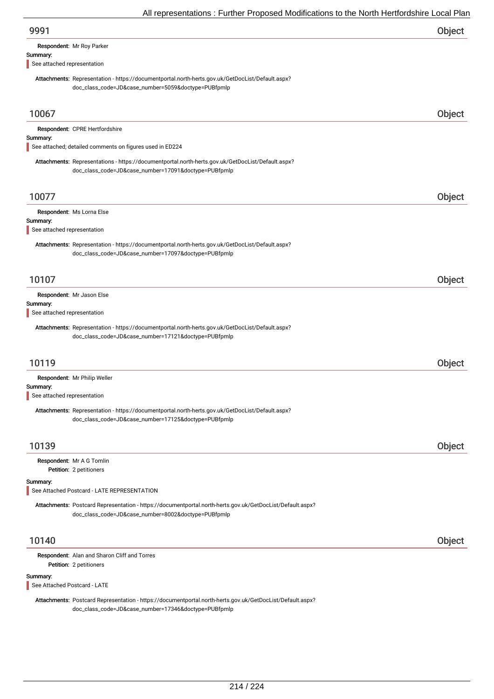| Object |
|--------|
|        |
|        |
|        |
| Object |
|        |
|        |
|        |

Attachments: Representations - https://documentportal.north-herts.gov.uk/GetDocList/Default.aspx? doc\_class\_code=JD&case\_number=17091&doctype=PUBfpmlp

## 10077 Object

Respondent: Ms Lorna Else

#### Summary:

See attached representation

Attachments: Representation - https://documentportal.north-herts.gov.uk/GetDocList/Default.aspx? doc\_class\_code=JD&case\_number=17097&doctype=PUBfpmlp

| 10107                                                                                                     | Object |
|-----------------------------------------------------------------------------------------------------------|--------|
| Respondent: Mr Jason Else                                                                                 |        |
| Summary:                                                                                                  |        |
| See attached representation                                                                               |        |
| Attachments: Representation - https://documentportal.north-herts.gov.uk/GetDocList/Default.aspx?          |        |
| doc_class_code=JD&case_number=17121&doctype=PUBfpmlp                                                      |        |
|                                                                                                           |        |
| 10119                                                                                                     | Object |
| Respondent: Mr Philip Weller                                                                              |        |
| Summary:                                                                                                  |        |
| See attached representation                                                                               |        |
| Attachments: Representation - https://documentportal.north-herts.gov.uk/GetDocList/Default.aspx?          |        |
| doc_class_code=JD&case_number=17125&doctype=PUBfpmlp                                                      |        |
|                                                                                                           |        |
| 10139                                                                                                     | Object |
| Respondent: Mr A G Tomlin                                                                                 |        |
| Petition: 2 petitioners                                                                                   |        |
| Summary:<br>See Attached Postcard - LATE REPRESENTATION                                                   |        |
| Attachments: Postcard Representation - https://documentportal.north-herts.gov.uk/GetDocList/Default.aspx? |        |

doc\_class\_code=JD&case\_number=8002&doctype=PUBfpmlp

## 10140 Object

Petition: 2 petitioners Respondent: Alan and Sharon Cliff and Torres

### Summary:

See Attached Postcard - LATE

Attachments: Postcard Representation - https://documentportal.north-herts.gov.uk/GetDocList/Default.aspx? doc\_class\_code=JD&case\_number=17346&doctype=PUBfpmlp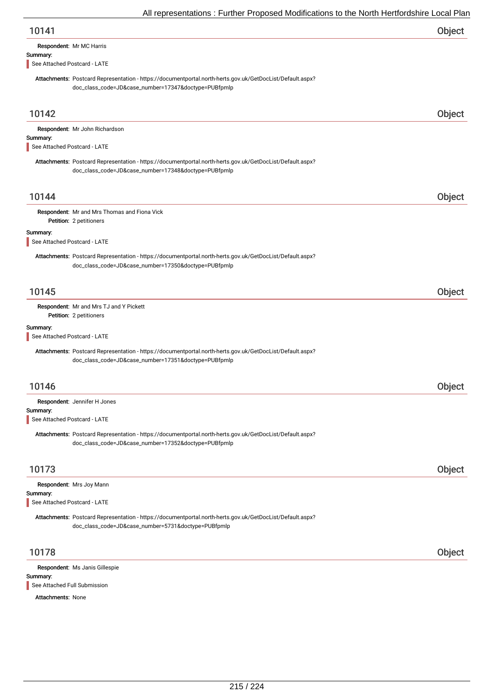| 10141 | Object |
|-------|--------|
|-------|--------|

|  |  | Respondent: Mr MC Harris |
|--|--|--------------------------|
|--|--|--------------------------|

### Summary:

See Attached Postcard - LATE

Attachments: Postcard Representation - https://documentportal.north-herts.gov.uk/GetDocList/Default.aspx? doc\_class\_code=JD&case\_number=17347&doctype=PUBfpmlp

| 10142                                    |                                                                                                                                                                   | Object |
|------------------------------------------|-------------------------------------------------------------------------------------------------------------------------------------------------------------------|--------|
|                                          | Respondent: Mr John Richardson                                                                                                                                    |        |
| Summary:<br>See Attached Postcard - LATE |                                                                                                                                                                   |        |
|                                          | Attachments: Postcard Representation - https://documentportal.north-herts.gov.uk/GetDocList/Default.aspx?                                                         |        |
|                                          | doc_class_code=JD&case_number=17348&doctype=PUBfpmlp                                                                                                              |        |
| 10144                                    |                                                                                                                                                                   | Object |
|                                          | Respondent: Mr and Mrs Thomas and Fiona Vick<br>Petition: 2 petitioners                                                                                           |        |
| Summary:                                 |                                                                                                                                                                   |        |
| See Attached Postcard - LATE             |                                                                                                                                                                   |        |
|                                          | Attachments: Postcard Representation - https://documentportal.north-herts.gov.uk/GetDocList/Default.aspx?<br>doc_class_code=JD&case_number=17350&doctype=PUBfpmlp |        |
| 10145                                    |                                                                                                                                                                   | Object |
|                                          | Respondent: Mr and Mrs TJ and Y Pickett                                                                                                                           |        |
|                                          | Petition: 2 petitioners                                                                                                                                           |        |
| Summary:<br>See Attached Postcard - LATE |                                                                                                                                                                   |        |
|                                          | Attachments: Postcard Representation - https://documentportal.north-herts.gov.uk/GetDocList/Default.aspx?<br>doc_class_code=JD&case_number=17351&doctype=PUBfpmlp |        |
| 10146                                    |                                                                                                                                                                   | Object |
|                                          | Respondent: Jennifer H Jones                                                                                                                                      |        |
| Summary:                                 |                                                                                                                                                                   |        |
| See Attached Postcard - LATE             |                                                                                                                                                                   |        |
|                                          | Attachments: Postcard Representation - https://documentportal.north-herts.gov.uk/GetDocList/Default.aspx?<br>doc_class_code=JD&case_number=17352&doctype=PUBfpmlp |        |
| 10173                                    |                                                                                                                                                                   | Object |
|                                          | Respondent: Mrs Joy Mann                                                                                                                                          |        |
| Summary:<br>See Attached Postcard - LATE |                                                                                                                                                                   |        |
|                                          | Attachments: Postcard Representation - https://documentportal.north-herts.gov.uk/GetDocList/Default.aspx?<br>doc_class_code=JD&case_number=5731&doctype=PUBfpmlp  |        |
| 10178                                    |                                                                                                                                                                   | Object |
| Summary:                                 | Respondent: Ms Janis Gillespie                                                                                                                                    |        |

See Attached Full Submission

Attachments: None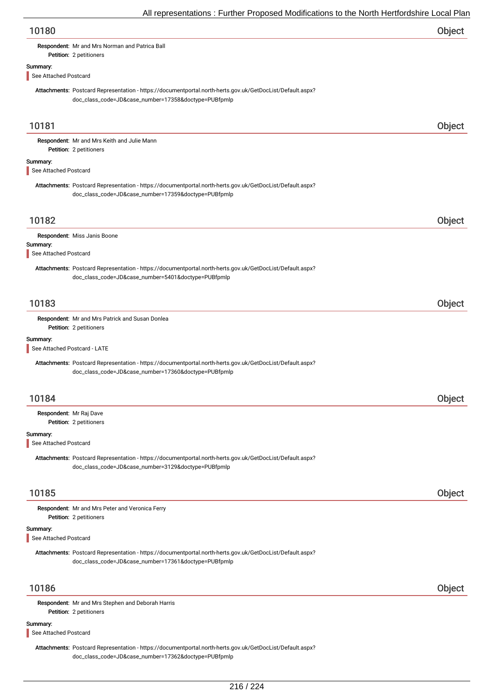| 10180                                                                                                                                                             | Object |
|-------------------------------------------------------------------------------------------------------------------------------------------------------------------|--------|
| Respondent: Mr and Mrs Norman and Patrica Ball                                                                                                                    |        |
| Petition: 2 petitioners                                                                                                                                           |        |
| Summary:<br>See Attached Postcard                                                                                                                                 |        |
| Attachments: Postcard Representation - https://documentportal.north-herts.gov.uk/GetDocList/Default.aspx?                                                         |        |
| doc_class_code=JD&case_number=17358&doctype=PUBfpmlp                                                                                                              |        |
|                                                                                                                                                                   |        |
| 10181                                                                                                                                                             | Object |
| Respondent: Mr and Mrs Keith and Julie Mann<br>Petition: 2 petitioners                                                                                            |        |
| Summary:                                                                                                                                                          |        |
| See Attached Postcard                                                                                                                                             |        |
| Attachments: Postcard Representation - https://documentportal.north-herts.gov.uk/GetDocList/Default.aspx?<br>doc_class_code=JD&case_number=17359&doctype=PUBfpmlp |        |
|                                                                                                                                                                   |        |
| 10182                                                                                                                                                             | Object |
| Respondent: Miss Janis Boone                                                                                                                                      |        |
| Summary:                                                                                                                                                          |        |
| See Attached Postcard                                                                                                                                             |        |
| Attachments: Postcard Representation - https://documentportal.north-herts.gov.uk/GetDocList/Default.aspx?                                                         |        |
| doc_class_code=JD&case_number=5401&doctype=PUBfpmlp                                                                                                               |        |
| 10183                                                                                                                                                             | Object |
| Respondent: Mr and Mrs Patrick and Susan Donlea                                                                                                                   |        |
| Petition: 2 petitioners                                                                                                                                           |        |
| Summary:                                                                                                                                                          |        |
| See Attached Postcard - LATE                                                                                                                                      |        |
| Attachments: Postcard Representation - https://documentportal.north-herts.gov.uk/GetDocList/Default.aspx?<br>doc_class_code=JD&case_number=17360&doctype=PUBfpmlp |        |
| 10184                                                                                                                                                             | Object |
| Respondent: Mr Raj Dave                                                                                                                                           |        |
| Petition: 2 petitioners                                                                                                                                           |        |
| Summary:                                                                                                                                                          |        |
| See Attached Postcard                                                                                                                                             |        |
| Attachments: Postcard Representation - https://documentportal.north-herts.gov.uk/GetDocList/Default.aspx?<br>doc_class_code=JD&case_number=3129&doctype=PUBfpmlp  |        |
|                                                                                                                                                                   |        |
| 10185                                                                                                                                                             | Object |
| Respondent: Mr and Mrs Peter and Veronica Ferry                                                                                                                   |        |
| Petition: 2 petitioners                                                                                                                                           |        |
| Summary:                                                                                                                                                          |        |
| See Attached Postcard                                                                                                                                             |        |
| Attachments: Postcard Representation - https://documentportal.north-herts.gov.uk/GetDocList/Default.aspx?<br>doc_class_code=JD&case_number=17361&doctype=PUBfpmlp |        |
| 10186                                                                                                                                                             | Object |
|                                                                                                                                                                   |        |
| Respondent: Mr and Mrs Stephen and Deborah Harris<br>Petition: 2 petitioners                                                                                      |        |
| Summary:                                                                                                                                                          |        |
|                                                                                                                                                                   |        |

## See Attached Postcard

Attachments: Postcard Representation - https://documentportal.north-herts.gov.uk/GetDocList/Default.aspx? doc\_class\_code=JD&case\_number=17362&doctype=PUBfpmlp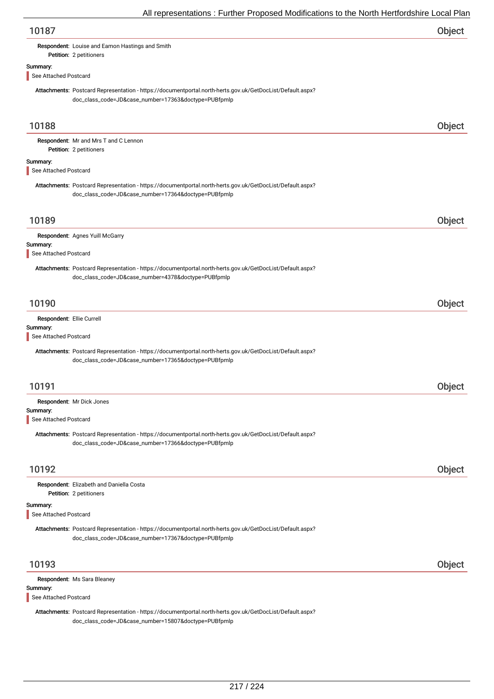## Respondent: Louise and Eamon Hastings and Smith

Petition: 2 petitioners

# Summary:

See Attached Postcard

Attachments: Postcard Representation - https://documentportal.north-herts.gov.uk/GetDocList/Default.aspx? doc\_class\_code=JD&case\_number=17363&doctype=PUBfpmlp

| 10188                                                          |                                                                                                                                                                   | <b>Object</b> |
|----------------------------------------------------------------|-------------------------------------------------------------------------------------------------------------------------------------------------------------------|---------------|
|                                                                | Respondent: Mr and Mrs T and C Lennon<br>Petition: 2 petitioners                                                                                                  |               |
| Summary:<br>See Attached Postcard                              |                                                                                                                                                                   |               |
|                                                                | Attachments: Postcard Representation - https://documentportal.north-herts.gov.uk/GetDocList/Default.aspx?<br>doc_class_code=JD&case_number=17364&doctype=PUBfpmlp |               |
| 10189                                                          |                                                                                                                                                                   | Object        |
| Summary:<br>See Attached Postcard                              | Respondent: Agnes Yuill McGarry                                                                                                                                   |               |
|                                                                | Attachments: Postcard Representation - https://documentportal.north-herts.gov.uk/GetDocList/Default.aspx?<br>doc_class_code=JD&case_number=4378&doctype=PUBfpmlp  |               |
| 10190                                                          |                                                                                                                                                                   | Object        |
| Respondent: Ellie Currell<br>Summary:<br>See Attached Postcard |                                                                                                                                                                   |               |
|                                                                | Attachments: Postcard Representation - https://documentportal.north-herts.gov.uk/GetDocList/Default.aspx?<br>doc_class_code=JD&case_number=17365&doctype=PUBfpmlp |               |
| 10191                                                          |                                                                                                                                                                   | Object        |
| Summary:<br>See Attached Postcard                              | Respondent: Mr Dick Jones                                                                                                                                         |               |
|                                                                | Attachments: Postcard Representation - https://documentportal.north-herts.gov.uk/GetDocList/Default.aspx?<br>doc_class_code=JD&case_number=17366&doctype=PUBfpmlp |               |
| 10192                                                          |                                                                                                                                                                   | Object        |
|                                                                | Respondent: Elizabeth and Daniella Costa<br>Petition: 2 petitioners                                                                                               |               |
| Summary:<br>See Attached Postcard                              |                                                                                                                                                                   |               |
|                                                                | Attachments: Postcard Representation - https://documentportal.north-herts.gov.uk/GetDocList/Default.aspx?<br>doc_class_code=JD&case_number=17367&doctype=PUBfpmlp |               |
| 10193                                                          |                                                                                                                                                                   | Object        |
| Summary:<br>See Attached Postcard                              | Respondent: Ms Sara Bleaney                                                                                                                                       |               |
|                                                                | Attachments: Postcard Representation - https://documentportal.north-herts.gov.uk/GetDocList/Default.aspx?<br>doc_class_code=JD&case_number=15807&doctype=PUBfpmlp |               |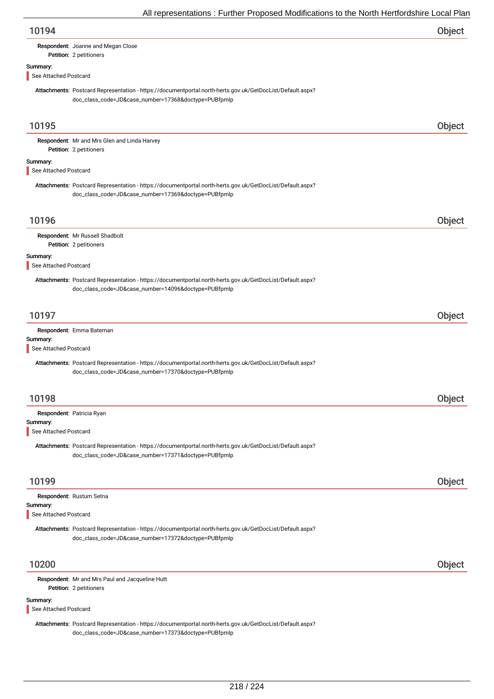| 10194                                                                                                                                                             | Object |
|-------------------------------------------------------------------------------------------------------------------------------------------------------------------|--------|
| Respondent: Joanne and Megan Close<br>Petition: 2 petitioners                                                                                                     |        |
| Summary:                                                                                                                                                          |        |
| See Attached Postcard                                                                                                                                             |        |
| Attachments: Postcard Representation - https://documentportal.north-herts.gov.uk/GetDocList/Default.aspx?<br>doc_class_code=JD&case_number=17368&doctype=PUBfpmlp |        |
| 10195                                                                                                                                                             | Object |
| Respondent: Mr and Mrs Glen and Linda Harvey<br>Petition: 2 petitioners                                                                                           |        |
| Summary:<br>See Attached Postcard                                                                                                                                 |        |
| Attachments: Postcard Representation - https://documentportal.north-herts.gov.uk/GetDocList/Default.aspx?<br>doc_class_code=JD&case_number=17369&doctype=PUBfpmlp |        |
| 10196                                                                                                                                                             | Object |
| Respondent: Mr Russell Shadbolt<br>Petition: 2 petitioners                                                                                                        |        |
| Summary:<br>See Attached Postcard                                                                                                                                 |        |
| Attachments: Postcard Representation - https://documentportal.north-herts.gov.uk/GetDocList/Default.aspx?<br>doc_class_code=JD&case_number=14096&doctype=PUBfpmlp |        |
| 10197                                                                                                                                                             | Object |
| Respondent: Emma Bateman<br>Summary:<br>See Attached Postcard                                                                                                     |        |
| Attachments: Postcard Representation - https://documentportal.north-herts.gov.uk/GetDocList/Default.aspx?<br>doc_class_code=JD&case_number=17370&doctype=PUBfpmlp |        |
| 10198                                                                                                                                                             | Object |
| Respondent: Patricia Ryan                                                                                                                                         |        |
| Summary:<br>See Attached Postcard                                                                                                                                 |        |
| Attachments: Postcard Representation - https://documentportal.north-herts.gov.uk/GetDocList/Default.aspx?<br>doc_class_code=JD&case_number=17371&doctype=PUBfpmlp |        |
| 10199                                                                                                                                                             | Object |
| Respondent: Rustum Setna                                                                                                                                          |        |
| Summary:<br>See Attached Postcard                                                                                                                                 |        |
| Attachments: Postcard Representation - https://documentportal.north-herts.gov.uk/GetDocList/Default.aspx?<br>doc_class_code=JD&case_number=17372&doctype=PUBfpmlp |        |
| 10200                                                                                                                                                             | Object |
| Respondent: Mr and Mrs Paul and Jacqueline Hutt<br>Petition: 2 petitioners                                                                                        |        |
| Summary:<br>See Attached Postcard                                                                                                                                 |        |
| Attachments: Postcard Representation - https://documentportal.north-herts.gov.uk/GetDocList/Default.aspx?<br>doc_class_code=JD&case_number=17373&doctype=PUBfpmlp |        |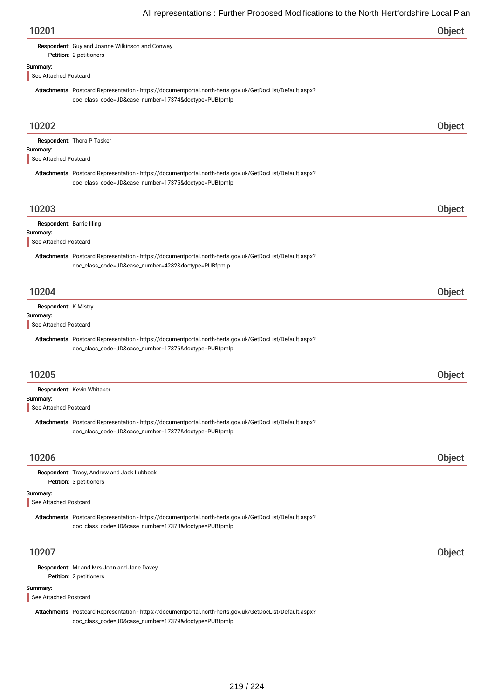|                           | All representations. Further Froposed Modifications to the North Hertrordshire Local Fiai                                                                         |        |
|---------------------------|-------------------------------------------------------------------------------------------------------------------------------------------------------------------|--------|
| 10201                     |                                                                                                                                                                   | Object |
|                           | Respondent: Guy and Joanne Wilkinson and Conway                                                                                                                   |        |
|                           | Petition: 2 petitioners                                                                                                                                           |        |
| Summary:                  |                                                                                                                                                                   |        |
| See Attached Postcard     |                                                                                                                                                                   |        |
|                           | Attachments: Postcard Representation - https://documentportal.north-herts.gov.uk/GetDocList/Default.aspx?<br>doc_class_code=JD&case_number=17374&doctype=PUBfpmlp |        |
| 10202                     |                                                                                                                                                                   | Object |
|                           | Respondent: Thora P Tasker                                                                                                                                        |        |
| Summary:                  |                                                                                                                                                                   |        |
| See Attached Postcard     |                                                                                                                                                                   |        |
|                           |                                                                                                                                                                   |        |
|                           | Attachments: Postcard Representation - https://documentportal.north-herts.gov.uk/GetDocList/Default.aspx?<br>doc_class_code=JD&case_number=17375&doctype=PUBfpmlp |        |
| 10203                     |                                                                                                                                                                   | Object |
|                           |                                                                                                                                                                   |        |
| Respondent: Barrie Illing |                                                                                                                                                                   |        |
| Summary:                  |                                                                                                                                                                   |        |
| See Attached Postcard     |                                                                                                                                                                   |        |
|                           | Attachments: Postcard Representation - https://documentportal.north-herts.gov.uk/GetDocList/Default.aspx?                                                         |        |
|                           | doc_class_code=JD&case_number=4282&doctype=PUBfpmlp                                                                                                               |        |
|                           |                                                                                                                                                                   |        |
|                           |                                                                                                                                                                   |        |
| 10204                     |                                                                                                                                                                   | Object |
| Respondent: K Mistry      |                                                                                                                                                                   |        |
| Summary:                  |                                                                                                                                                                   |        |
| See Attached Postcard     |                                                                                                                                                                   |        |
|                           | Attachments: Postcard Representation - https://documentportal.north-herts.gov.uk/GetDocList/Default.aspx?<br>doc_class_code=JD&case_number=17376&doctype=PUBfpmlp |        |
|                           |                                                                                                                                                                   |        |
| 10205                     |                                                                                                                                                                   | Object |
|                           |                                                                                                                                                                   |        |
|                           | Respondent: Kevin Whitaker                                                                                                                                        |        |
| Summary:                  |                                                                                                                                                                   |        |
| See Attached Postcard     |                                                                                                                                                                   |        |
|                           |                                                                                                                                                                   |        |
|                           | Attachments: Postcard Representation - https://documentportal.north-herts.gov.uk/GetDocList/Default.aspx?                                                         |        |
|                           | doc_class_code=JD&case_number=17377&doctype=PUBfpmlp                                                                                                              |        |
|                           |                                                                                                                                                                   |        |
| 10206                     |                                                                                                                                                                   | Object |
|                           |                                                                                                                                                                   |        |
|                           | Respondent: Tracy, Andrew and Jack Lubbock                                                                                                                        |        |
|                           | Petition: 3 petitioners                                                                                                                                           |        |
| Summary:                  |                                                                                                                                                                   |        |
| See Attached Postcard     |                                                                                                                                                                   |        |
|                           | Attachments: Postcard Representation - https://documentportal.north-herts.gov.uk/GetDocList/Default.aspx?                                                         |        |
|                           | doc_class_code=JD&case_number=17378&doctype=PUBfpmlp                                                                                                              |        |
|                           |                                                                                                                                                                   |        |
|                           |                                                                                                                                                                   |        |
| 10207                     |                                                                                                                                                                   | Object |
|                           |                                                                                                                                                                   |        |
|                           | Respondent: Mr and Mrs John and Jane Davey                                                                                                                        |        |
|                           | Petition: 2 petitioners                                                                                                                                           |        |
| Summary:                  |                                                                                                                                                                   |        |
| See Attached Postcard     |                                                                                                                                                                   |        |
|                           |                                                                                                                                                                   |        |

Attachments: Postcard Representation - https://documentportal.north-herts.gov.uk/GetDocList/Default.aspx? doc\_class\_code=JD&case\_number=17379&doctype=PUBfpmlp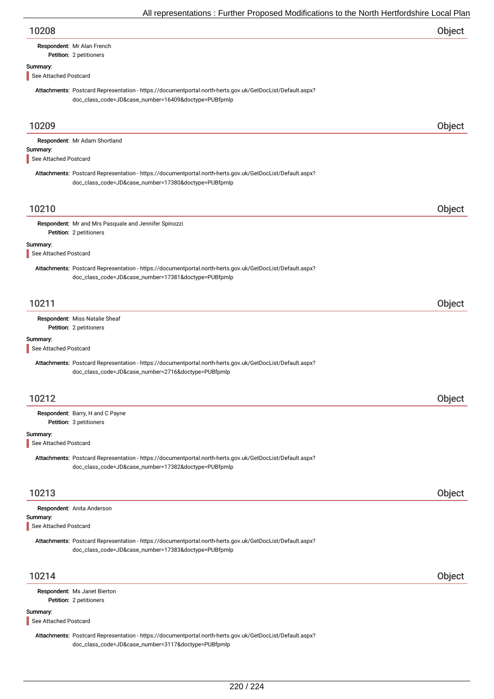| 10208 | Object |
|-------|--------|
|       |        |

# Respondent: Mr Alan French

### Petition: 2 petitioners

#### Summary:

See Attached Postcard

Attachments: Postcard Representation - https://documentportal.north-herts.gov.uk/GetDocList/Default.aspx? doc\_class\_code=JD&case\_number=16409&doctype=PUBfpmlp

| 10209                             |                                                                                                                                                                   | Object |
|-----------------------------------|-------------------------------------------------------------------------------------------------------------------------------------------------------------------|--------|
| Summary:<br>See Attached Postcard | Respondent: Mr Adam Shortland                                                                                                                                     |        |
|                                   | Attachments: Postcard Representation - https://documentportal.north-herts.gov.uk/GetDocList/Default.aspx?<br>doc_class_code=JD&case_number=17380&doctype=PUBfpmlp |        |
| 10210                             |                                                                                                                                                                   | Object |
|                                   | Respondent: Mr and Mrs Pasquale and Jennifer Spinozzi<br>Petition: 2 petitioners                                                                                  |        |
| Summary:<br>See Attached Postcard |                                                                                                                                                                   |        |
|                                   | Attachments: Postcard Representation - https://documentportal.north-herts.gov.uk/GetDocList/Default.aspx?<br>doc_class_code=JD&case_number=17381&doctype=PUBfpmlp |        |
| 10211                             |                                                                                                                                                                   | Object |
|                                   | Respondent: Miss Natalie Sheaf<br>Petition: 2 petitioners                                                                                                         |        |
| Summary:<br>See Attached Postcard |                                                                                                                                                                   |        |
|                                   | Attachments: Postcard Representation - https://documentportal.north-herts.gov.uk/GetDocList/Default.aspx?<br>doc_class_code=JD&case_number=2716&doctype=PUBfpmlp  |        |
| 10212                             |                                                                                                                                                                   | Object |
|                                   | Respondent: Barry, H and C Payne<br>Petition: 3 petitioners                                                                                                       |        |
| Summary:<br>See Attached Postcard |                                                                                                                                                                   |        |
|                                   | Attachments: Postcard Representation - https://documentportal.north-herts.gov.uk/GetDocList/Default.aspx?<br>doc_class_code=JD&case_number=17382&doctype=PUBfpmlp |        |
| 10213                             |                                                                                                                                                                   | Object |
| Summary:<br>See Attached Postcard | Respondent: Anita Anderson                                                                                                                                        |        |
|                                   | Attachments: Postcard Representation - https://documentportal.north-herts.gov.uk/GetDocList/Default.aspx?<br>doc_class_code=JD&case_number=17383&doctype=PUBfpmlp |        |
| 10214                             |                                                                                                                                                                   | Object |
|                                   | Respondent: Ms Janet Bierton<br>Petition: 2 petitioners                                                                                                           |        |
| Summary:<br>See Attached Postcard |                                                                                                                                                                   |        |
|                                   | Attachments: Postcard Representation - https://documentportal.north-herts.gov.uk/GetDocList/Default.aspx?                                                         |        |

doc\_class\_code=JD&case\_number=3117&doctype=PUBfpmlp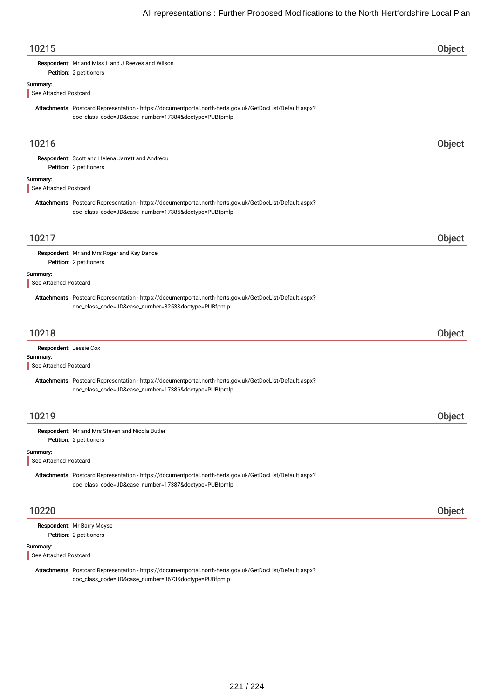| 10215                             |                                                                                                                                                                   | Object |
|-----------------------------------|-------------------------------------------------------------------------------------------------------------------------------------------------------------------|--------|
|                                   | Respondent: Mr and Miss L and J Reeves and Wilson<br>Petition: 2 petitioners                                                                                      |        |
| Summary:<br>See Attached Postcard |                                                                                                                                                                   |        |
|                                   | Attachments: Postcard Representation - https://documentportal.north-herts.gov.uk/GetDocList/Default.aspx?<br>doc_class_code=JD&case_number=17384&doctype=PUBfpmlp |        |
| 10216                             |                                                                                                                                                                   | Object |
|                                   | Respondent: Scott and Helena Jarrett and Andreou<br>Petition: 2 petitioners                                                                                       |        |
| Summary:<br>See Attached Postcard |                                                                                                                                                                   |        |
|                                   | Attachments: Postcard Representation - https://documentportal.north-herts.gov.uk/GetDocList/Default.aspx?<br>doc_class_code=JD&case_number=17385&doctype=PUBfpmlp |        |
| 10217                             |                                                                                                                                                                   | Object |
|                                   | Respondent: Mr and Mrs Roger and Kay Dance<br>Petition: 2 petitioners                                                                                             |        |
| Summary:<br>See Attached Postcard |                                                                                                                                                                   |        |
|                                   | Attachments: Postcard Representation - https://documentportal.north-herts.gov.uk/GetDocList/Default.aspx?<br>doc_class_code=JD&case_number=3253&doctype=PUBfpmlp  |        |
| 10218                             |                                                                                                                                                                   | Object |
| Respondent: Jessie Cox            |                                                                                                                                                                   |        |
| Summary:<br>See Attached Postcard |                                                                                                                                                                   |        |
|                                   | Attachments: Postcard Representation - https://documentportal.north-herts.gov.uk/GetDocList/Default.aspx?<br>doc_class_code=JD&case_number=17386&doctype=PUBfpmlp |        |
| 10219                             |                                                                                                                                                                   | Object |
|                                   | Respondent: Mr and Mrs Steven and Nicola Butler<br>Petition: 2 petitioners                                                                                        |        |
| Summary:<br>See Attached Postcard |                                                                                                                                                                   |        |
|                                   | Attachments: Postcard Representation - https://documentportal.north-herts.gov.uk/GetDocList/Default.aspx?<br>doc_class_code=JD&case_number=17387&doctype=PUBfpmlp |        |
| 10220                             |                                                                                                                                                                   | Object |
|                                   | Respondent: Mr Barry Moyse<br>Petition: 2 petitioners                                                                                                             |        |
| Summary:<br>See Attached Postcard |                                                                                                                                                                   |        |
|                                   | Attachments: Postcard Representation - https://documentportal.north-herts.gov.uk/GetDocList/Default.aspx?<br>doc_class_code=JD&case_number=3673&doctype=PUBfpmlp  |        |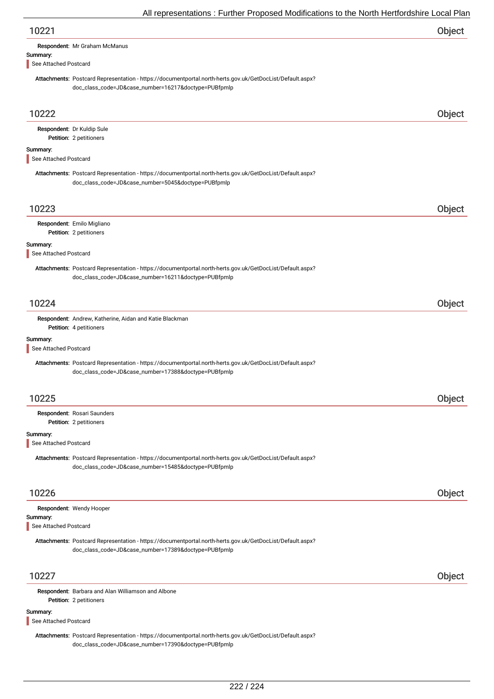| 10221                                                                                                                                                             | Object |
|-------------------------------------------------------------------------------------------------------------------------------------------------------------------|--------|
| Respondent: Mr Graham McManus                                                                                                                                     |        |
| Summary:                                                                                                                                                          |        |
| See Attached Postcard                                                                                                                                             |        |
| Attachments: Postcard Representation - https://documentportal.north-herts.gov.uk/GetDocList/Default.aspx?<br>doc_class_code=JD&case_number=16217&doctype=PUBfpmlp |        |
| 10222                                                                                                                                                             | Object |
| Respondent: Dr Kuldip Sule                                                                                                                                        |        |
| Petition: 2 petitioners                                                                                                                                           |        |
| Summary:<br>See Attached Postcard                                                                                                                                 |        |
| Attachments: Postcard Representation - https://documentportal.north-herts.gov.uk/GetDocList/Default.aspx?<br>doc_class_code=JD&case_number=5045&doctype=PUBfpmlp  |        |
| 10223                                                                                                                                                             | Object |
| Respondent: Emilo Migliano<br>Petition: 2 petitioners                                                                                                             |        |
| Summary:<br>See Attached Postcard                                                                                                                                 |        |
| Attachments: Postcard Representation - https://documentportal.north-herts.gov.uk/GetDocList/Default.aspx?<br>doc_class_code=JD&case_number=16211&doctype=PUBfpmlp |        |
| 10224                                                                                                                                                             | Object |
| Respondent: Andrew, Katherine, Aidan and Katie Blackman<br>Petition: 4 petitioners                                                                                |        |
| Summary:<br>See Attached Postcard                                                                                                                                 |        |
| Attachments: Postcard Representation - https://documentportal.north-herts.gov.uk/GetDocList/Default.aspx?<br>doc_class_code=JD&case_number=17388&doctype=PUBfpmlp |        |
| 10225                                                                                                                                                             | Object |
| Respondent: Rosari Saunders<br>Petition: 2 petitioners                                                                                                            |        |
| Summary:<br>See Attached Postcard                                                                                                                                 |        |
| Attachments: Postcard Representation - https://documentportal.north-herts.gov.uk/GetDocList/Default.aspx?<br>doc_class_code=JD&case_number=15485&doctype=PUBfpmlp |        |
| 10226                                                                                                                                                             | Object |
| Respondent: Wendy Hooper<br>Summary:<br>See Attached Postcard                                                                                                     |        |
| Attachments: Postcard Representation - https://documentportal.north-herts.gov.uk/GetDocList/Default.aspx?<br>doc_class_code=JD&case_number=17389&doctype=PUBfpmlp |        |
| 10227                                                                                                                                                             | Object |
| Respondent: Barbara and Alan Williamson and Albone                                                                                                                |        |

Summary:

See Attached Postcard

Petition: 2 petitioners

Attachments: Postcard Representation - https://documentportal.north-herts.gov.uk/GetDocList/Default.aspx? doc\_class\_code=JD&case\_number=17390&doctype=PUBfpmlp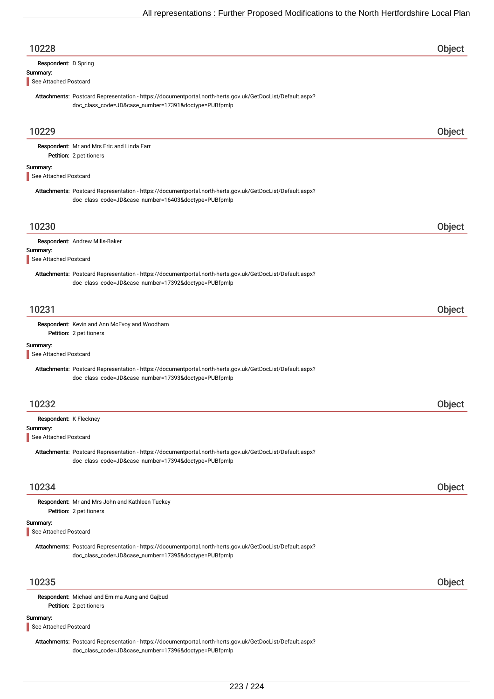| 10228                             |                                                                                                                                                                   | Object        |
|-----------------------------------|-------------------------------------------------------------------------------------------------------------------------------------------------------------------|---------------|
| Respondent: D Spring              |                                                                                                                                                                   |               |
| Summary:<br>See Attached Postcard |                                                                                                                                                                   |               |
|                                   | Attachments: Postcard Representation - https://documentportal.north-herts.gov.uk/GetDocList/Default.aspx?<br>doc_class_code=JD&case_number=17391&doctype=PUBfpmlp |               |
| 10229                             |                                                                                                                                                                   | Object        |
|                                   | Respondent: Mr and Mrs Eric and Linda Farr<br>Petition: 2 petitioners                                                                                             |               |
| Summary:<br>See Attached Postcard |                                                                                                                                                                   |               |
|                                   | Attachments: Postcard Representation - https://documentportal.north-herts.gov.uk/GetDocList/Default.aspx?<br>doc_class_code=JD&case_number=16403&doctype=PUBfpmlp |               |
| 10230                             |                                                                                                                                                                   | Object        |
|                                   | Respondent: Andrew Mills-Baker                                                                                                                                    |               |
| Summary:<br>See Attached Postcard |                                                                                                                                                                   |               |
|                                   | Attachments: Postcard Representation - https://documentportal.north-herts.gov.uk/GetDocList/Default.aspx?<br>doc_class_code=JD&case_number=17392&doctype=PUBfpmlp |               |
| 10231                             |                                                                                                                                                                   | Object        |
|                                   | Respondent: Kevin and Ann McEvoy and Woodham<br>Petition: 2 petitioners                                                                                           |               |
| Summary:                          |                                                                                                                                                                   |               |
| See Attached Postcard             |                                                                                                                                                                   |               |
|                                   | Attachments: Postcard Representation - https://documentportal.north-herts.gov.uk/GetDocList/Default.aspx?<br>doc_class_code=JD&case_number=17393&doctype=PUBfpmlp |               |
| 10232                             |                                                                                                                                                                   | <b>Object</b> |
| Respondent: K Fleckney            |                                                                                                                                                                   |               |
| Summary:<br>See Attached Postcard |                                                                                                                                                                   |               |
|                                   | Attachments: Postcard Representation - https://documentportal.north-herts.gov.uk/GetDocList/Default.aspx?<br>doc_class_code=JD&case_number=17394&doctype=PUBfpmlp |               |
| 10234                             |                                                                                                                                                                   | Object        |
|                                   | Respondent: Mr and Mrs John and Kathleen Tuckey<br>Petition: 2 petitioners                                                                                        |               |
| Summary:                          |                                                                                                                                                                   |               |
| See Attached Postcard             | Attachments: Postcard Representation - https://documentportal.north-herts.gov.uk/GetDocList/Default.aspx?<br>doc_class_code=JD&case_number=17395&doctype=PUBfpmlp |               |
|                                   |                                                                                                                                                                   |               |
| 10235                             |                                                                                                                                                                   | Object        |
|                                   | Respondent: Michael and Emima Aung and Gajbud<br>Petition: 2 petitioners                                                                                          |               |
| Summary:<br>See Attached Postcard |                                                                                                                                                                   |               |
|                                   | Attachments: Postcard Representation - https://documentportal.north-herts.gov.uk/GetDocList/Default.aspx?                                                         |               |

doc\_class\_code=JD&case\_number=17396&doctype=PUBfpmlp